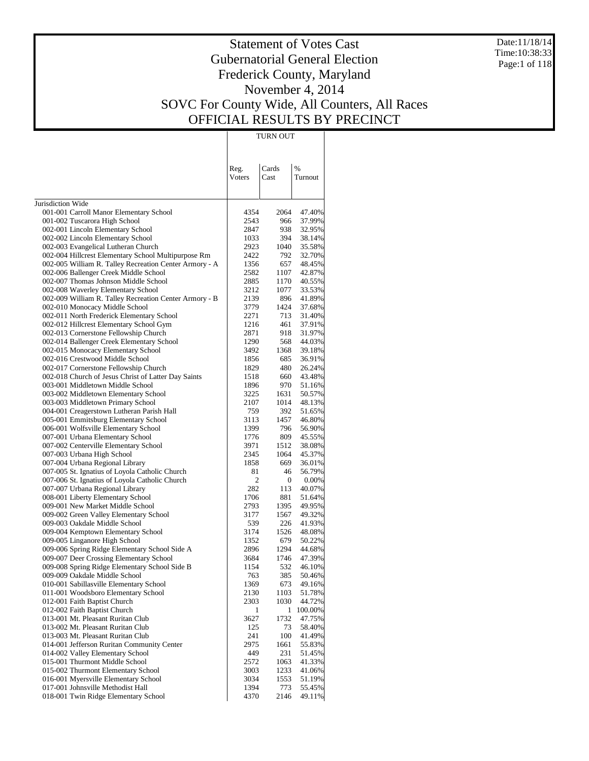Date:11/18/14 Time:10:38:33 Page:1 of 118

# Statement of Votes Cast Gubernatorial General Election Frederick County, Maryland November 4, 2014 SOVC For County Wide, All Counters, All Races OFFICIAL RESULTS BY PRECINCT

TURN OUT

|                                                                                              | Reg.         | Cards        | %                |
|----------------------------------------------------------------------------------------------|--------------|--------------|------------------|
|                                                                                              | Voters       | Cast         | Turnout          |
|                                                                                              |              |              |                  |
| Jurisdiction Wide                                                                            |              |              |                  |
| 001-001 Carroll Manor Elementary School                                                      | 4354         | 2064         | 47.40%           |
| 001-002 Tuscarora High School                                                                | 2543         | 966          | 37.99%           |
| 002-001 Lincoln Elementary School                                                            | 2847         | 938          | 32.95%           |
| 002-002 Lincoln Elementary School                                                            | 1033         | 394          | 38.14%           |
| 002-003 Evangelical Lutheran Church                                                          | 2923         | 1040         | 35.58%           |
| 002-004 Hillcrest Elementary School Multipurpose Rm                                          | 2422         | 792          | 32.70%           |
| 002-005 William R. Talley Recreation Center Armory - A                                       | 1356         | 657          | 48.45%           |
| 002-006 Ballenger Creek Middle School                                                        | 2582         | 1107         | 42.87%           |
| 002-007 Thomas Johnson Middle School                                                         | 2885         | 1170         | 40.55%           |
| 002-008 Waverley Elementary School<br>002-009 William R. Talley Recreation Center Armory - B | 3212         | 1077<br>896  | 33.53%           |
| 002-010 Monocacy Middle School                                                               | 2139<br>3779 | 1424         | 41.89%<br>37.68% |
| 002-011 North Frederick Elementary School                                                    | 2271         | 713          | 31.40%           |
| 002-012 Hillcrest Elementary School Gym                                                      | 1216         | 461          | 37.91%           |
| 002-013 Cornerstone Fellowship Church                                                        | 2871         | 918          | 31.97%           |
| 002-014 Ballenger Creek Elementary School                                                    | 1290         | 568          | 44.03%           |
| 002-015 Monocacy Elementary School                                                           | 3492         | 1368         | 39.18%           |
| 002-016 Crestwood Middle School                                                              | 1856         | 685          | 36.91%           |
| 002-017 Cornerstone Fellowship Church                                                        | 1829         | 480          | 26.24%           |
| 002-018 Church of Jesus Christ of Latter Day Saints                                          | 1518         | 660          | 43.48%           |
| 003-001 Middletown Middle School                                                             | 1896         | 970          | 51.16%           |
| 003-002 Middletown Elementary School                                                         | 3225         | 1631         | 50.57%           |
| 003-003 Middletown Primary School                                                            | 2107<br>759  | 1014<br>392  | 48.13%<br>51.65% |
| 004-001 Creagerstown Lutheran Parish Hall<br>005-001 Emmitsburg Elementary School            | 3113         | 1457         | 46.80%           |
| 006-001 Wolfsville Elementary School                                                         | 1399         | 796          | 56.90%           |
| 007-001 Urbana Elementary School                                                             | 1776         | 809          | 45.55%           |
| 007-002 Centerville Elementary School                                                        | 3971         | 1512         | 38.08%           |
| 007-003 Urbana High School                                                                   | 2345         | 1064         | 45.37%           |
| 007-004 Urbana Regional Library                                                              | 1858         | 669          | 36.01%           |
| 007-005 St. Ignatius of Loyola Catholic Church                                               | 81           | 46           | 56.79%           |
| 007-006 St. Ignatius of Loyola Catholic Church                                               | 2            | 0            | 0.00%            |
| 007-007 Urbana Regional Library                                                              | 282          | 113          | 40.07%           |
| 008-001 Liberty Elementary School                                                            | 1706         | 881          | 51.64%           |
| 009-001 New Market Middle School                                                             | 2793<br>3177 | 1395<br>1567 | 49.95%<br>49.32% |
| 009-002 Green Valley Elementary School<br>009-003 Oakdale Middle School                      | 539          | 226          | 41.93%           |
| 009-004 Kemptown Elementary School                                                           | 3174         | 1526         | 48.08%           |
| 009-005 Linganore High School                                                                | 1352         | 679          | 50.22%           |
| 009-006 Spring Ridge Elementary School Side A                                                | 2896         | 1294         | 44.68%           |
| 009-007 Deer Crossing Elementary School                                                      | 3684         | 1746         | 47.39%           |
| 009-008 Spring Ridge Elementary School Side B                                                | 1154         | 532          | 46.10%           |
| 009-009 Oakdale Middle School                                                                | 763          | 385          | 50.46%           |
| 010-001 Sabillasville Elementary School                                                      | 1369         | 673          | 49.16%           |
| 011-001 Woodsboro Elementary School                                                          | 2130         | 1103         | 51.78%           |
| 012-001 Faith Baptist Church                                                                 | 2303         | 1030         | 44.72%           |
| 012-002 Faith Baptist Church                                                                 | 1            | 1            | 100.00%          |
| 013-001 Mt. Pleasant Ruritan Club<br>013-002 Mt. Pleasant Ruritan Club                       | 3627<br>125  | 1732<br>73   | 47.75%<br>58.40% |
| 013-003 Mt. Pleasant Ruritan Club                                                            | 241          | 100          | 41.49%           |
| 014-001 Jefferson Ruritan Community Center                                                   | 2975         | 1661         | 55.83%           |
| 014-002 Valley Elementary School                                                             | 449          | 231          | 51.45%           |
| 015-001 Thurmont Middle School                                                               | 2572         | 1063         | 41.33%           |
| 015-002 Thurmont Elementary School                                                           | 3003         | 1233         | 41.06%           |
| 016-001 Myersville Elementary School                                                         | 3034         | 1553         | 51.19%           |
| 017-001 Johnsville Methodist Hall                                                            | 1394         | 773          | 55.45%           |
| 018-001 Twin Ridge Elementary School                                                         | 4370         | 2146         | 49.11%           |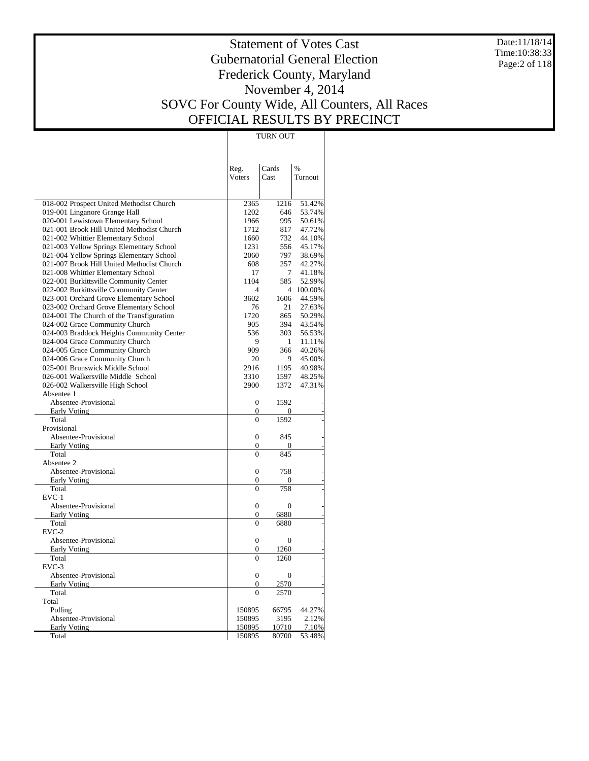Date:11/18/14 Time:10:38:33 Page:2 of 118

# Statement of Votes Cast Gubernatorial General Election Frederick County, Maryland November 4, 2014 SOVC For County Wide, All Counters, All Races OFFICIAL RESULTS BY PRECINCT

TURN OUT

|                                            | Reg.             | Cards        | $\frac{0}{0}$ |
|--------------------------------------------|------------------|--------------|---------------|
|                                            | Voters           | Cast         | Turnout       |
|                                            |                  |              |               |
|                                            |                  |              |               |
| 018-002 Prospect United Methodist Church   | 2365             | 1216         | 51.42%        |
| 019-001 Linganore Grange Hall              | 1202             | 646          | 53.74%        |
| 020-001 Lewistown Elementary School        | 1966             | 995          | 50.61%        |
| 021-001 Brook Hill United Methodist Church | 1712             | 817          | 47.72%        |
| 021-002 Whittier Elementary School         | 1660             | 732          | 44.10%        |
| 021-003 Yellow Springs Elementary School   | 1231             | 556          | 45.17%        |
| 021-004 Yellow Springs Elementary School   | 2060             | 797          | 38.69%        |
| 021-007 Brook Hill United Methodist Church | 608              | 257          | 42.27%        |
| 021-008 Whittier Elementary School         | 17               | 7            | 41.18%        |
| 022-001 Burkittsville Community Center     | 1104             | 585          | 52.99%        |
| 022-002 Burkittsville Community Center     | $\overline{4}$   |              | 4 100.00%     |
| 023-001 Orchard Grove Elementary School    | 3602             | 1606         | 44.59%        |
| 023-002 Orchard Grove Elementary School    | 76               | 21           | 27.63%        |
| 024-001 The Church of the Transfiguration  | 1720             | 865          | 50.29%        |
| 024-002 Grace Community Church             | 905              | 394          | 43.54%        |
| 024-003 Braddock Heights Community Center  | 536              | 303          | 56.53%        |
| 024-004 Grace Community Church             | 9                | 1            | 11.11%        |
| 024-005 Grace Community Church             | 909              | 366          | 40.26%        |
| 024-006 Grace Community Church             | 20               | 9            | 45.00%        |
| 025-001 Brunswick Middle School            | 2916             | 1195         | 40.98%        |
| 026-001 Walkersville Middle School         | 3310             | 1597         | 48.25%        |
| 026-002 Walkersville High School           | 2900             | 1372         | 47.31%        |
| Absentee 1                                 |                  |              |               |
| Absentee-Provisional                       | $\boldsymbol{0}$ | 1592         |               |
| Early Voting                               | 0                | 0            |               |
| Total                                      | $\theta$         | 1592         |               |
| Provisional                                |                  |              |               |
| Absentee-Provisional                       | $\mathbf{0}$     | 845          |               |
| Early Voting                               | $\overline{0}$   | $\Omega$     |               |
| Total                                      | $\theta$         | 845          |               |
| Absentee 2                                 |                  |              |               |
| Absentee-Provisional                       | $\overline{0}$   | 758          |               |
| Early Voting                               | $\overline{0}$   | 0            |               |
| Total                                      | $\overline{0}$   | 758          |               |
| $EVC-1$                                    |                  |              |               |
| Absentee-Provisional                       | $\overline{0}$   | $\mathbf{0}$ |               |
| Early Voting                               | $\boldsymbol{0}$ | 6880         |               |
| Total                                      | 0                | 6880         |               |
| $EVC-2$                                    |                  |              |               |
| Absentee-Provisional                       | $\overline{0}$   | $\mathbf{0}$ |               |
| Early Voting                               | $\overline{0}$   | 1260         |               |
| Total                                      | 0                | 1260         |               |
| $EVC-3$                                    |                  |              |               |
| Absentee-Provisional                       | 0                | $\Omega$     |               |
| Early Voting                               | $\boldsymbol{0}$ | 2570         |               |
| Total                                      | $\theta$         | 2570         |               |
| Total                                      |                  |              |               |
| Polling                                    | 150895           | 66795        | 44.27%        |
| Absentee-Provisional                       | 150895           | 3195         | 2.12%         |
| Early Voting                               | 150895           | 10710        | 7.10%         |
| Total                                      | 150895           | 80700        | 53.48%        |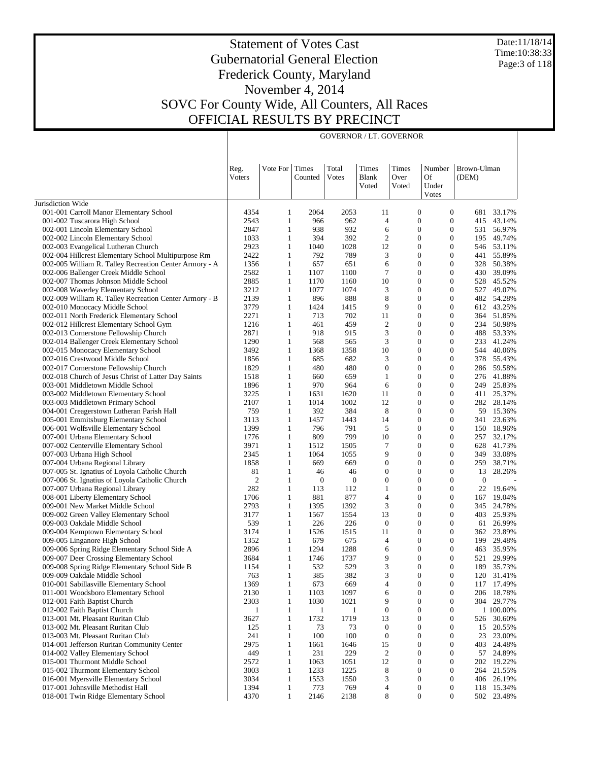Date:11/18/14 Time:10:38:33 Page: 3 of 118

# Statement of Votes Cast Gubernatorial General Election Frederick County, Maryland November 4, 2014 SOVC For County Wide, All Counters, All Races OFFICIAL RESULTS BY PRECINCT

|                                                                                                  | <b>GOVERNOR / LT. GOVERNOR</b> |                              |                        |                        |                                      |                                      |                                      |                        |                          |
|--------------------------------------------------------------------------------------------------|--------------------------------|------------------------------|------------------------|------------------------|--------------------------------------|--------------------------------------|--------------------------------------|------------------------|--------------------------|
|                                                                                                  |                                |                              |                        |                        |                                      |                                      |                                      |                        |                          |
|                                                                                                  | Reg.<br>Voters                 | Vote For Times               | Counted                | Total<br><b>V</b> otes | Times<br><b>Blank</b><br>Voted       | Times<br>Over<br>Voted               | Number<br>Of<br>Under                | Brown-Ulman<br>(DEM)   |                          |
|                                                                                                  |                                |                              |                        |                        |                                      |                                      | Votes                                |                        |                          |
| Jurisdiction Wide                                                                                |                                |                              |                        |                        |                                      |                                      |                                      |                        |                          |
| 001-001 Carroll Manor Elementary School<br>001-002 Tuscarora High School                         | 4354<br>2543                   | $\mathbf{1}$<br>$\mathbf{1}$ | 2064<br>966            | 2053<br>962            | 11<br>4                              | $\mathbf{0}$<br>$\mathbf{0}$         | $\boldsymbol{0}$<br>$\boldsymbol{0}$ |                        | 681 33.17%<br>415 43.14% |
| 002-001 Lincoln Elementary School                                                                | 2847                           | $\mathbf{1}$                 | 938                    | 932                    | 6                                    | $\mathbf{0}$                         | $\mathbf{0}$                         |                        | 531 56.97%               |
| 002-002 Lincoln Elementary School                                                                | 1033                           | $\mathbf{1}$                 | 394                    | 392                    | $\boldsymbol{2}$                     | $\boldsymbol{0}$                     | $\boldsymbol{0}$                     |                        | 195 49.74%               |
| 002-003 Evangelical Lutheran Church                                                              | 2923                           | $\mathbf{1}$                 | 1040                   | 1028                   | 12                                   | $\overline{0}$                       | $\mathbf{0}$                         |                        | 546 53.11%               |
| 002-004 Hillcrest Elementary School Multipurpose Rm                                              | 2422                           | $\mathbf{1}$                 | 792                    | 789                    | 3                                    | $\mathbf{0}$                         | $\mathbf{0}$                         |                        | 441 55.89%               |
| 002-005 William R. Talley Recreation Center Armory - A                                           | 1356                           | $\mathbf{1}$                 | 657                    | 651                    | 6                                    | $\overline{0}$                       | $\mathbf{0}$                         |                        | 328 50.38%               |
| 002-006 Ballenger Creek Middle School                                                            | 2582                           | $\mathbf{1}$                 | 1107                   | 1100                   | 7                                    | $\mathbf{0}$                         | $\boldsymbol{0}$                     |                        | 430 39.09%               |
| 002-007 Thomas Johnson Middle School                                                             | 2885                           | $\mathbf{1}$                 | 1170                   | 1160                   | 10                                   | $\overline{0}$                       | $\mathbf{0}$                         |                        | 528 45.52%               |
| 002-008 Waverley Elementary School                                                               | 3212<br>2139                   | $\mathbf{1}$<br>$\mathbf{1}$ | 1077<br>896            | 1074<br>888            | 3<br>8                               | $\mathbf{0}$<br>$\overline{0}$       | $\boldsymbol{0}$<br>$\mathbf{0}$     |                        | 527 49.07%<br>482 54.28% |
| 002-009 William R. Talley Recreation Center Armory - B<br>002-010 Monocacy Middle School         | 3779                           | $\mathbf{1}$                 | 1424                   | 1415                   | 9                                    | $\boldsymbol{0}$                     | $\boldsymbol{0}$                     |                        | 612 43.25%               |
| 002-011 North Frederick Elementary School                                                        | 2271                           | $\mathbf{1}$                 | 713                    | 702                    | 11                                   | $\overline{0}$                       | $\mathbf{0}$                         |                        | 364 51.85%               |
| 002-012 Hillcrest Elementary School Gym                                                          | 1216                           | $\mathbf{1}$                 | 461                    | 459                    | $\boldsymbol{2}$                     | $\mathbf{0}$                         | $\boldsymbol{0}$                     |                        | 234 50.98%               |
| 002-013 Cornerstone Fellowship Church                                                            | 2871                           | $\mathbf{1}$                 | 918                    | 915                    | 3                                    | $\overline{0}$                       | $\mathbf{0}$                         |                        | 488 53.33%               |
| 002-014 Ballenger Creek Elementary School                                                        | 1290                           | $\mathbf{1}$                 | 568                    | 565                    | 3                                    | $\mathbf{0}$                         | $\boldsymbol{0}$                     |                        | 233 41.24%               |
| 002-015 Monocacy Elementary School                                                               | 3492                           | $\mathbf{1}$                 | 1368                   | 1358                   | 10                                   | $\overline{0}$                       | $\mathbf{0}$                         |                        | 544 40.06%               |
| 002-016 Crestwood Middle School                                                                  | 1856                           | $\mathbf{1}$                 | 685                    | 682                    | 3                                    | $\mathbf{0}$                         | $\boldsymbol{0}$                     |                        | 378 55.43%               |
| 002-017 Cornerstone Fellowship Church                                                            | 1829                           | $\mathbf{1}$                 | 480                    | 480                    | $\boldsymbol{0}$                     | $\overline{0}$                       | $\mathbf{0}$                         |                        | 286 59.58%               |
| 002-018 Church of Jesus Christ of Latter Day Saints                                              | 1518                           | $\mathbf{1}$<br>$\mathbf{1}$ | 660                    | 659                    | 1                                    | $\mathbf{0}$<br>$\overline{0}$       | $\boldsymbol{0}$<br>$\mathbf{0}$     |                        | 276 41.88%<br>249 25.83% |
| 003-001 Middletown Middle School<br>003-002 Middletown Elementary School                         | 1896<br>3225                   | $\mathbf{1}$                 | 970<br>1631            | 964<br>1620            | 6<br>11                              | $\mathbf{0}$                         | $\boldsymbol{0}$                     |                        | 411 25.37%               |
| 003-003 Middletown Primary School                                                                | 2107                           | $\mathbf{1}$                 | 1014                   | 1002                   | 12                                   | $\overline{0}$                       | $\mathbf{0}$                         |                        | 282 28.14%               |
| 004-001 Creagerstown Lutheran Parish Hall                                                        | 759                            | $\mathbf{1}$                 | 392                    | 384                    | 8                                    | $\mathbf{0}$                         | $\boldsymbol{0}$                     |                        | 59 15.36%                |
| 005-001 Emmitsburg Elementary School                                                             | 3113                           | $\mathbf{1}$                 | 1457                   | 1443                   | 14                                   | $\overline{0}$                       | $\mathbf{0}$                         |                        | 341 23.63%               |
| 006-001 Wolfsville Elementary School                                                             | 1399                           | $\mathbf{1}$                 | 796                    | 791                    | 5                                    | $\mathbf{0}$                         | $\boldsymbol{0}$                     |                        | 150 18.96%               |
| 007-001 Urbana Elementary School                                                                 | 1776                           | $\mathbf{1}$                 | 809                    | 799                    | 10                                   | $\overline{0}$                       | $\mathbf{0}$                         |                        | 257 32.17%               |
| 007-002 Centerville Elementary School                                                            | 3971                           | $\mathbf{1}$                 | 1512                   | 1505                   | 7                                    | $\mathbf{0}$                         | $\boldsymbol{0}$                     |                        | 628 41.73%               |
| 007-003 Urbana High School                                                                       | 2345                           | $\mathbf{1}$                 | 1064                   | 1055                   | 9                                    | $\overline{0}$                       | $\mathbf{0}$                         |                        | 349 33.08%               |
| 007-004 Urbana Regional Library                                                                  | 1858                           | $\mathbf{1}$                 | 669                    | 669                    | $\boldsymbol{0}$                     | $\mathbf{0}$                         | $\boldsymbol{0}$                     |                        | 259 38.71%               |
| 007-005 St. Ignatius of Loyola Catholic Church<br>007-006 St. Ignatius of Loyola Catholic Church | 81<br>$\overline{c}$           | $\mathbf{1}$<br>$\mathbf{1}$ | 46<br>$\boldsymbol{0}$ | 46<br>$\boldsymbol{0}$ | $\boldsymbol{0}$<br>$\boldsymbol{0}$ | $\overline{0}$<br>$\mathbf{0}$       | $\mathbf{0}$<br>$\boldsymbol{0}$     | 13<br>$\boldsymbol{0}$ | 28.26%                   |
| 007-007 Urbana Regional Library                                                                  | 282                            | $\mathbf{1}$                 | 113                    | 112                    | 1                                    | $\overline{0}$                       | $\boldsymbol{0}$                     |                        | 22 19.64%                |
| 008-001 Liberty Elementary School                                                                | 1706                           | $\mathbf{1}$                 | 881                    | 877                    | $\overline{4}$                       | $\mathbf{0}$                         | $\boldsymbol{0}$                     | 167                    | 19.04%                   |
| 009-001 New Market Middle School                                                                 | 2793                           | $\mathbf{1}$                 | 1395                   | 1392                   | 3                                    | $\overline{0}$                       | $\mathbf{0}$                         |                        | 345 24.78%               |
| 009-002 Green Valley Elementary School                                                           | 3177                           | $\mathbf{1}$                 | 1567                   | 1554                   | 13                                   | $\boldsymbol{0}$                     | $\boldsymbol{0}$                     |                        | 403 25.93%               |
| 009-003 Oakdale Middle School                                                                    | 539                            | $\mathbf{1}$                 | 226                    | 226                    | $\boldsymbol{0}$                     | $\overline{0}$                       | $\mathbf{0}$                         |                        | 61 26.99%                |
| 009-004 Kemptown Elementary School                                                               | 3174                           | $\mathbf{1}$                 | 1526                   | 1515                   | 11                                   | $\mathbf{0}$                         | $\boldsymbol{0}$                     |                        | 362 23.89%               |
| 009-005 Linganore High School                                                                    | 1352                           | $\mathbf{1}$                 | 679                    | 675                    | 4                                    | $\mathbf{0}$                         | $\mathbf{0}$                         |                        | 199 29.48%               |
| 009-006 Spring Ridge Elementary School Side A                                                    | 2896                           | $\mathbf{1}$                 | 1294                   | 1288                   | 6<br>9                               | $\boldsymbol{0}$                     | $\mathbf{0}$                         |                        | 463 35.95%               |
| 009-007 Deer Crossing Elementary School<br>009-008 Spring Ridge Elementary School Side B         | 3684<br>1154                   | 1<br>$\mathbf{1}$            | 1746<br>532            | 1737<br>529            | 3                                    | $\Omega$<br>$\boldsymbol{0}$         | $\Omega$<br>$\boldsymbol{0}$         |                        | 521 29.99%<br>189 35.73% |
| 009-009 Oakdale Middle School                                                                    | 763                            | $\mathbf{1}$                 | 385                    | 382                    | 3                                    | $\mathbf{0}$                         | $\boldsymbol{0}$                     |                        | 120 31.41%               |
| 010-001 Sabillasville Elementary School                                                          | 1369                           | $\mathbf{1}$                 | 673                    | 669                    | 4                                    | $\boldsymbol{0}$                     | $\mathbf 0$                          | 117                    | 17.49%                   |
| 011-001 Woodsboro Elementary School                                                              | 2130                           | $\mathbf{1}$                 | 1103                   | 1097                   | 6                                    | $\mathbf{0}$                         | $\boldsymbol{0}$                     |                        | 206 18.78%               |
| 012-001 Faith Baptist Church                                                                     | 2303                           | $\mathbf{1}$                 | 1030                   | 1021                   | 9                                    | $\boldsymbol{0}$                     | $\boldsymbol{0}$                     |                        | 304 29.77%               |
| 012-002 Faith Baptist Church                                                                     | 1                              | $\mathbf{1}$                 | 1                      | 1                      | $\boldsymbol{0}$                     | $\mathbf{0}$                         | $\boldsymbol{0}$                     |                        | 1 100.00%                |
| 013-001 Mt. Pleasant Ruritan Club                                                                | 3627                           | $\mathbf{1}$                 | 1732                   | 1719                   | 13                                   | $\boldsymbol{0}$                     | $\boldsymbol{0}$                     |                        | 526 30.60%               |
| 013-002 Mt. Pleasant Ruritan Club                                                                | 125                            | $\mathbf{1}$                 | 73                     | 73                     | $\boldsymbol{0}$                     | $\boldsymbol{0}$                     | $\boldsymbol{0}$                     |                        | 15 20.55%                |
| 013-003 Mt. Pleasant Ruritan Club                                                                | 241                            | $\mathbf{1}$                 | 100                    | 100                    | $\boldsymbol{0}$                     | $\boldsymbol{0}$                     | $\boldsymbol{0}$                     |                        | 23 23.00%                |
| 014-001 Jefferson Ruritan Community Center                                                       | 2975                           | $\mathbf{1}$                 | 1661                   | 1646                   | 15                                   | $\boldsymbol{0}$                     | $\boldsymbol{0}$                     |                        | 403 24.48%               |
| 014-002 Valley Elementary School<br>015-001 Thurmont Middle School                               | 449                            | $\mathbf{1}$<br>$\mathbf{1}$ | 231                    | 229                    | $\overline{c}$<br>12                 | $\boldsymbol{0}$<br>$\boldsymbol{0}$ | $\boldsymbol{0}$<br>$\boldsymbol{0}$ |                        | 57 24.89%<br>202 19.22%  |
| 015-002 Thurmont Elementary School                                                               | 2572<br>3003                   | $\mathbf{1}$                 | 1063<br>1233           | 1051<br>1225           | 8                                    | $\boldsymbol{0}$                     | $\boldsymbol{0}$                     |                        | 264 21.55%               |
| 016-001 Myersville Elementary School                                                             | 3034                           | $\mathbf{1}$                 | 1553                   | 1550                   | 3                                    | $\boldsymbol{0}$                     | $\boldsymbol{0}$                     |                        | 406 26.19%               |
| 017-001 Johnsville Methodist Hall                                                                | 1394                           | $\mathbf{1}$                 | 773                    | 769                    | 4                                    | $\boldsymbol{0}$                     | $\boldsymbol{0}$                     |                        | 118 15.34%               |
| 018-001 Twin Ridge Elementary School                                                             | 4370                           | $\mathbf{1}$                 | 2146                   | 2138                   | 8                                    | $\boldsymbol{0}$                     | $\boldsymbol{0}$                     |                        | 502 23.48%               |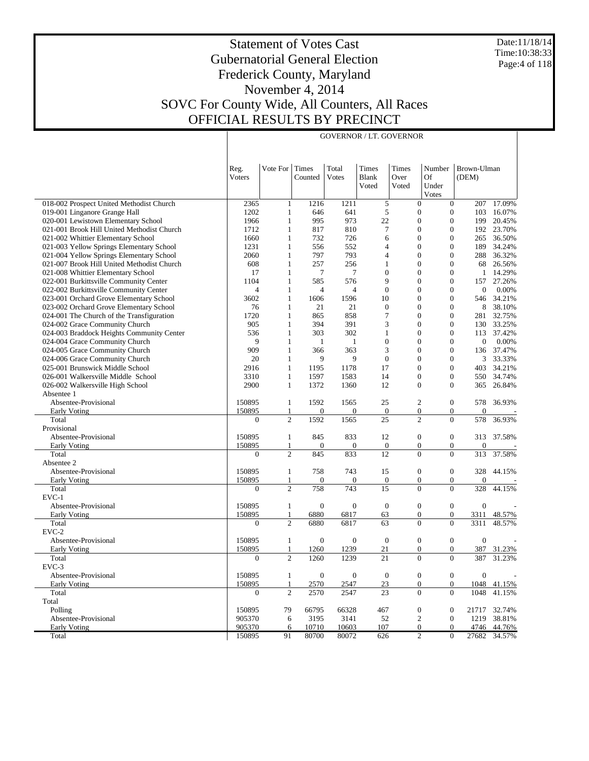Date:11/18/14 Time:10:38:33 Page:4 of 118

# Statement of Votes Cast Gubernatorial General Election Frederick County, Maryland November 4, 2014 SOVC For County Wide, All Counters, All Races OFFICIAL RESULTS BY PRECINCT

 $\overline{\phantom{a}}$ 

GOVERNOR / LT. GOVERNOR

|                                            | Reg.<br>Voters     | Vote For                       | Times<br>Counted      | Total<br><b>Votes</b> | Times<br><b>Blank</b><br>Voted | Times<br>Over<br>Voted       | Number<br>Of<br>Under<br><b>V</b> otes | Brown-Ulman<br>(DEM)  |            |
|--------------------------------------------|--------------------|--------------------------------|-----------------------|-----------------------|--------------------------------|------------------------------|----------------------------------------|-----------------------|------------|
| 018-002 Prospect United Methodist Church   | 2365               | $\mathbf{1}$                   | 1216                  | 1211                  | 5                              | $\boldsymbol{0}$             | $\mathbf{0}$                           | 207                   | 17.09%     |
| 019-001 Linganore Grange Hall              | 1202               | $\mathbf{1}$                   | 646                   | 641                   | 5                              | $\overline{0}$               | $\overline{0}$                         | 103                   | 16.07%     |
| 020-001 Lewistown Elementary School        | 1966               | $\mathbf{1}$                   | 995                   | 973                   | 22                             | $\overline{0}$               | $\mathbf{0}$                           | 199                   | 20.45%     |
| 021-001 Brook Hill United Methodist Church | 1712               | $\mathbf{1}$                   | 817                   | 810                   | $\overline{7}$                 | $\theta$                     | $\Omega$                               | 192                   | 23.70%     |
| 021-002 Whittier Elementary School         | 1660               | $\mathbf{1}$                   | 732                   | 726                   | 6                              | $\theta$                     | $\mathbf{0}$                           | 265                   | 36.50%     |
| 021-003 Yellow Springs Elementary School   | 1231               | $\mathbf{1}$                   | 556                   | 552                   | $\overline{4}$                 | $\overline{0}$               | $\mathbf{0}$                           | 189                   | 34.24%     |
| 021-004 Yellow Springs Elementary School   | 2060               | $\mathbf{1}$                   | 797                   | 793                   | $\overline{4}$                 | $\mathbf{0}$                 | $\mathbf{0}$                           | 288                   | 36.32%     |
| 021-007 Brook Hill United Methodist Church | 608                | $\mathbf{1}$                   | 257                   | 256                   | $\mathbf{1}$                   | $\overline{0}$               | $\mathbf{0}$                           | 68                    | 26.56%     |
| 021-008 Whittier Elementary School         | 17                 | $\mathbf{1}$                   | $\tau$                | $\overline{7}$        | $\Omega$                       | $\theta$                     | $\theta$                               | 1                     | 14.29%     |
| 022-001 Burkittsville Community Center     | 1104               | $\mathbf{1}$                   | 585                   | 576                   | 9                              | $\theta$                     | $\mathbf{0}$                           |                       | 157 27.26% |
| 022-002 Burkittsville Community Center     | $\overline{4}$     | $\mathbf{1}$                   | $\overline{4}$        | $\overline{4}$        | $\boldsymbol{0}$               | $\Omega$                     | $\theta$                               | $\mathbf{0}$          | 0.00%      |
| 023-001 Orchard Grove Elementary School    | 3602               | $\mathbf{1}$                   | 1606                  | 1596                  | 10                             | $\overline{0}$               | $\overline{0}$                         |                       | 546 34.21% |
| 023-002 Orchard Grove Elementary School    | 76                 | $\mathbf{1}$                   | 21                    | 21                    | $\mathbf{0}$                   | $\overline{0}$               | $\mathbf{0}$                           | 8                     | 38.10%     |
| 024-001 The Church of the Transfiguration  | 1720               | $\mathbf{1}$                   | 865                   | 858                   | $\overline{7}$                 | $\theta$                     | $\theta$                               | 281                   | 32.75%     |
| 024-002 Grace Community Church             | 905                | $\mathbf{1}$                   | 394                   | 391                   | 3                              | $\overline{0}$               | $\mathbf{0}$                           |                       | 130 33.25% |
| 024-003 Braddock Heights Community Center  | 536                | $\mathbf{1}$                   | 303                   | 302                   | $\mathbf{1}$                   | $\Omega$                     | $\theta$                               |                       | 113 37.42% |
| 024-004 Grace Community Church             | 9                  | $\mathbf{1}$                   | $\mathbf{1}$          | $\mathbf{1}$          | $\Omega$                       | $\theta$                     | $\theta$                               | $\boldsymbol{0}$      | 0.00%      |
| 024-005 Grace Community Church             | 909                | $\mathbf{1}$                   | 366                   | 363                   | 3                              | $\overline{0}$               | $\mathbf{0}$                           | 136                   | 37.47%     |
| 024-006 Grace Community Church             | 20                 | $\mathbf{1}$                   | 9                     | 9                     | $\Omega$                       | $\theta$                     | $\theta$                               |                       | 3 33.33%   |
| 025-001 Brunswick Middle School            | 2916               | $\mathbf{1}$                   | 1195                  | 1178                  | 17                             | $\overline{0}$               | $\mathbf{0}$                           | 403                   | 34.21%     |
| 026-001 Walkersville Middle School         | 3310               | $\mathbf{1}$                   | 1597                  | 1583                  | 14                             | $\overline{0}$               | $\mathbf{0}$                           | 550                   | 34.74%     |
| 026-002 Walkersville High School           | 2900               | $\mathbf{1}$                   | 1372                  | 1360                  | 12                             | $\theta$                     | $\mathbf{0}$                           | 365                   | 26.84%     |
| Absentee 1                                 |                    |                                |                       |                       |                                |                              |                                        |                       |            |
| Absentee-Provisional                       | 150895             | $\mathbf{1}$                   | 1592                  | 1565                  | 25                             | $\overline{c}$               | $\overline{0}$                         | 578                   | 36.93%     |
| <b>Early Voting</b>                        | 150895             | $\mathbf{1}$                   | $\mathbf{0}$          | $\mathbf{0}$          | $\mathbf{0}$                   | $\mathbf{0}$                 | $\boldsymbol{0}$                       | $\overline{0}$        |            |
| Total                                      | $\mathbf{0}$       | $\overline{2}$                 | 1592                  | 1565                  | 25                             | $\overline{2}$               | $\Omega$                               | 578                   | 36.93%     |
| Provisional                                |                    |                                |                       |                       |                                |                              |                                        |                       |            |
| Absentee-Provisional                       | 150895             | $\mathbf{1}$                   | 845                   | 833                   | 12                             | $\boldsymbol{0}$             | $\boldsymbol{0}$                       | 313                   | 37.58%     |
| <b>Early Voting</b>                        | 150895             | $\mathbf{1}$                   | $\mathbf{0}$          | $\mathbf{0}$          | $\boldsymbol{0}$               | $\boldsymbol{0}$             | $\boldsymbol{0}$                       | $\mathbf{0}$          |            |
| Total                                      | $\mathbf{0}$       | $\overline{c}$                 | 845                   | 833                   | 12                             | $\Omega$                     | $\Omega$                               | 313                   | 37.58%     |
| Absentee 2                                 |                    |                                |                       |                       |                                |                              |                                        |                       |            |
| Absentee-Provisional                       | 150895             | $\mathbf{1}$                   | 758                   | 743                   | 15                             | $\mathbf{0}$<br>$\mathbf{0}$ | $\mathbf{0}$<br>$\mathbf{0}$           | 328                   | 44.15%     |
| <b>Early Voting</b><br>Total               | 150895<br>$\theta$ | $\mathbf{1}$<br>$\overline{2}$ | $\overline{0}$<br>758 | $\mathbf{0}$<br>743   | $\mathbf{0}$<br>15             | $\theta$                     | $\theta$                               | $\overline{0}$<br>328 | 44.15%     |
| $EVC-1$                                    |                    |                                |                       |                       |                                |                              |                                        |                       |            |
| Absentee-Provisional                       | 150895             | $\mathbf{1}$                   | $\overline{0}$        | $\overline{0}$        | $\boldsymbol{0}$               | $\overline{0}$               | $\mathbf{0}$                           | $\boldsymbol{0}$      |            |
| Early Voting                               | 150895             | $\mathbf{1}$                   | 6880                  | 6817                  | 63                             | $\overline{0}$               | $\mathbf{0}$                           | 3311                  | 48.57%     |
| Total                                      | $\Omega$           | $\overline{2}$                 | 6880                  | 6817                  | 63                             | $\Omega$                     | $\Omega$                               | 3311                  | 48.57%     |
| $EVC-2$                                    |                    |                                |                       |                       |                                |                              |                                        |                       |            |
| Absentee-Provisional                       | 150895             | $\mathbf{1}$                   | $\boldsymbol{0}$      | $\boldsymbol{0}$      | $\boldsymbol{0}$               | $\boldsymbol{0}$             | $\boldsymbol{0}$                       | $\boldsymbol{0}$      |            |
| <b>Early Voting</b>                        | 150895             | $\mathbf{1}$                   | 1260                  | 1239                  | 21                             | $\boldsymbol{0}$             | $\mathbf{0}$                           | 387                   | 31.23%     |
| Total                                      | $\mathbf{0}$       | $\overline{2}$                 | 1260                  | 1239                  | 21                             | $\overline{0}$               | $\mathbf{0}$                           | 387                   | 31.23%     |
| $EVC-3$                                    |                    |                                |                       |                       |                                |                              |                                        |                       |            |
| Absentee-Provisional                       | 150895             | $\mathbf{1}$                   | $\theta$              | $\overline{0}$        | $\mathbf{0}$                   | $\mathbf{0}$                 | $\mathbf{0}$                           | $\overline{0}$        |            |
| <b>Early Voting</b>                        | 150895             | $\mathbf{1}$                   | 2570                  | 2547                  | 23                             | $\boldsymbol{0}$             | $\boldsymbol{0}$                       | 1048                  | 41.15%     |
| Total                                      | $\overline{0}$     | $\overline{2}$                 | 2570                  | 2547                  | 23                             | $\overline{0}$               | $\mathbf{0}$                           | 1048                  | 41.15%     |
| Total                                      |                    |                                |                       |                       |                                |                              |                                        |                       |            |
| Polling                                    | 150895             | 79                             | 66795                 | 66328                 | 467                            | $\boldsymbol{0}$             | $\overline{0}$                         | 21717                 | 32.74%     |
| Absentee-Provisional                       | 905370             | 6                              | 3195                  | 3141                  | 52                             | $\overline{2}$               | $\mathbf{0}$                           | 1219                  | 38.81%     |
| Early Voting                               | 905370             | 6                              | 10710                 | 10603                 | 107                            | $\Omega$                     | $\Omega$                               | 4746                  | 44.76%     |
| Total                                      | 150895             | 91                             | 80700                 | 80072                 | 626                            | $\overline{c}$               | $\Omega$                               | 27682                 | 34.57%     |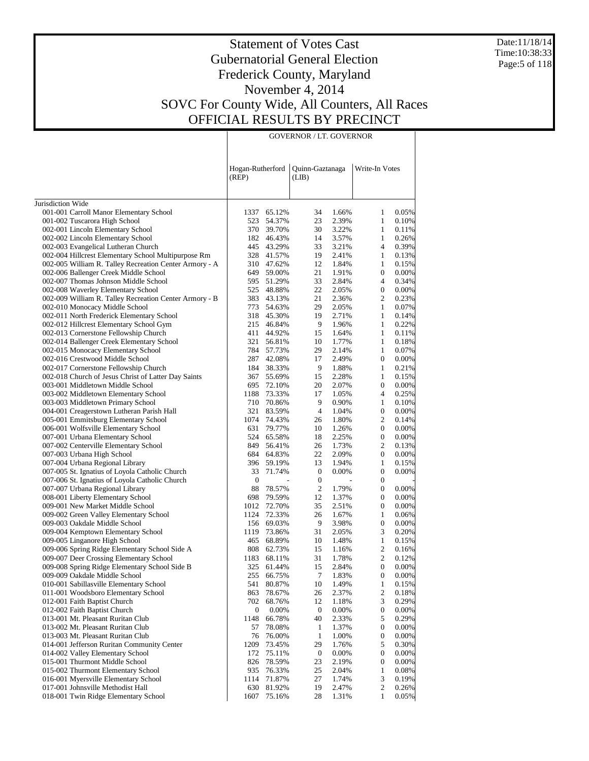Date:11/18/14 Time:10:38:33 Page:5 of 118

## Statement of Votes Cast Gubernatorial General Election Frederick County, Maryland November 4, 2014 SOVC For County Wide, All Counters, All Races OFFICIAL RESULTS BY PRECINCT

GOVERNOR / LT. GOVERNOR

|                                                                                    | Hogan-Rutherford |                      | Quinn-Gaztanaga        |                | Write-In Votes   |                |
|------------------------------------------------------------------------------------|------------------|----------------------|------------------------|----------------|------------------|----------------|
|                                                                                    | (REP)            |                      | (LIB)                  |                |                  |                |
|                                                                                    |                  |                      |                        |                |                  |                |
| Jurisdiction Wide                                                                  |                  |                      |                        |                |                  |                |
| 001-001 Carroll Manor Elementary School                                            | 1337             | 65.12%               | 34                     | 1.66%          | $\mathbf{1}$     | 0.05%          |
| 001-002 Tuscarora High School                                                      | 523              | 54.37%               | 23                     | 2.39%          | 1                | 0.10%          |
| 002-001 Lincoln Elementary School                                                  |                  | 370 39.70%           | 30                     | 3.22%          | 1                | 0.11%          |
| 002-002 Lincoln Elementary School                                                  |                  | 182 46.43%           | 14                     | 3.57%          | 1                | 0.26%          |
| 002-003 Evangelical Lutheran Church                                                |                  | 445 43.29%           | 33                     | 3.21%          | 4                | 0.39%          |
| 002-004 Hillcrest Elementary School Multipurpose Rm                                |                  | 328 41.57%           | 19                     | 2.41%          | 1                | 0.13%          |
| 002-005 William R. Talley Recreation Center Armory - A                             |                  | 310 47.62%           | 12                     | 1.84%          | 1                | 0.15%          |
| 002-006 Ballenger Creek Middle School                                              | 649              | 59.00%               | 21                     | 1.91%          | $\boldsymbol{0}$ | 0.00%          |
| 002-007 Thomas Johnson Middle School                                               |                  | 595 51.29%           | 33                     | 2.84%          | 4                | 0.34%          |
| 002-008 Waverley Elementary School                                                 |                  | 525 48.88%           | 22                     | 2.05%          | $\boldsymbol{0}$ | 0.00%          |
| 002-009 William R. Talley Recreation Center Armory - B                             |                  | 383 43.13%           | 21                     | 2.36%          | $\overline{c}$   | 0.23%          |
| 002-010 Monocacy Middle School                                                     | 773              | 54.63%               | 29                     | 2.05%          | 1                | 0.07%          |
| 002-011 North Frederick Elementary School                                          |                  | 318 45.30%           | 19                     | 2.71%          | 1                | 0.14%          |
| 002-012 Hillcrest Elementary School Gym                                            |                  | 215 46.84%           | 9                      | 1.96%          | 1                | 0.22%          |
| 002-013 Cornerstone Fellowship Church<br>002-014 Ballenger Creek Elementary School | 321              | 411 44.92%           | 15<br>10               | 1.64%<br>1.77% | 1<br>1           | 0.11%<br>0.18% |
| 002-015 Monocacy Elementary School                                                 |                  | 56.81%<br>784 57.73% | 29                     | 2.14%          | 1                | 0.07%          |
| 002-016 Crestwood Middle School                                                    | 287              | 42.08%               | 17                     | 2.49%          | $\boldsymbol{0}$ | 0.00%          |
| 002-017 Cornerstone Fellowship Church                                              |                  | 184 38.33%           | 9                      | 1.88%          | 1                | 0.21%          |
| 002-018 Church of Jesus Christ of Latter Day Saints                                | 367              | 55.69%               | 15                     | 2.28%          | 1                | 0.15%          |
| 003-001 Middletown Middle School                                                   |                  | 695 72.10%           | 20                     | 2.07%          | $\boldsymbol{0}$ | 0.00%          |
| 003-002 Middletown Elementary School                                               |                  | 1188 73.33%          | 17                     | 1.05%          | 4                | 0.25%          |
| 003-003 Middletown Primary School                                                  |                  | 710 70.86%           | 9                      | 0.90%          | 1                | 0.10%          |
| 004-001 Creagerstown Lutheran Parish Hall                                          | 321              | 83.59%               | $\overline{4}$         | 1.04%          | $\boldsymbol{0}$ | 0.00%          |
| 005-001 Emmitsburg Elementary School                                               |                  | 1074 74.43%          | 26                     | 1.80%          | $\overline{c}$   | 0.14%          |
| 006-001 Wolfsville Elementary School                                               | 631              | 79.77%               | 10                     | 1.26%          | $\boldsymbol{0}$ | 0.00%          |
| 007-001 Urbana Elementary School                                                   |                  | 524 65.58%           | 18                     | 2.25%          | 0                | 0.00%          |
| 007-002 Centerville Elementary School                                              | 849              | 56.41%               | 26                     | 1.73%          | 2                | 0.13%          |
| 007-003 Urbana High School                                                         |                  | 684 64.83%           | 22                     | 2.09%          | $\boldsymbol{0}$ | 0.00%          |
| 007-004 Urbana Regional Library                                                    |                  | 396 59.19%           | 13                     | 1.94%          | $\mathbf{1}$     | 0.15%          |
| 007-005 St. Ignatius of Loyola Catholic Church                                     | 33               | 71.74%               | $\mathbf{0}$           | 0.00%          | 0                | 0.00%          |
| 007-006 St. Ignatius of Loyola Catholic Church                                     | $\boldsymbol{0}$ |                      | $\boldsymbol{0}$       |                | 0                |                |
| 007-007 Urbana Regional Library                                                    | 88               | 78.57%               | 2                      | 1.79%          | 0                | $0.00\%$       |
| 008-001 Liberty Elementary School                                                  | 698              | 79.59%               | 12                     | 1.37%          | $\boldsymbol{0}$ | 0.00%          |
| 009-001 New Market Middle School                                                   | 1012             | 72.70%               | 35                     | 2.51%          | $\boldsymbol{0}$ | 0.00%          |
| 009-002 Green Valley Elementary School                                             | 1124             | 72.33%               | 26                     | 1.67%          | 1                | 0.06%          |
| 009-003 Oakdale Middle School                                                      |                  | 156 69.03%           | 9                      | 3.98%          | 0                | 0.00%          |
| 009-004 Kemptown Elementary School                                                 | 1119             | 73.86%               | 31                     | 2.05%          | 3                | 0.20%          |
| 009-005 Linganore High School                                                      |                  | 465 68.89%           | 10                     | 1.48%          | $\mathbf{1}$     | 0.15%          |
| 009-006 Spring Ridge Elementary School Side A                                      | 808              | 62.73%               | 15                     | 1.16%          | 2                | 0.16%          |
| 009-007 Deer Crossing Elementary School                                            | 1183             | 68.11%               | 31                     | 1.78%          | $\overline{c}$   | 0.12%          |
| 009-008 Spring Ridge Elementary School Side B                                      | 325              | 61.44%               | 15                     | 2.84%          | $\boldsymbol{0}$ | 0.00%          |
| 009-009 Oakdale Middle School                                                      | 255              | 66.75%               | 7                      | 1.83%          | $\boldsymbol{0}$ | 0.00%          |
| 010-001 Sabillasville Elementary School                                            | 541              | 80.87%               | 10                     | 1.49%          | $\mathbf{1}$     | 0.15%          |
| 011-001 Woodsboro Elementary School<br>012-001 Faith Baptist Church                | 863              | 78.67%               | 26                     | 2.37%          | 2                | 0.18%<br>0.29% |
|                                                                                    | 702<br>0         | 68.76%               | 12<br>$\boldsymbol{0}$ | 1.18%          | 3<br>0           |                |
| 012-002 Faith Baptist Church<br>013-001 Mt. Pleasant Ruritan Club                  |                  | 0.00%<br>66.78%      | 40                     | 0.00%<br>2.33% | 5                | 0.00%<br>0.29% |
| 013-002 Mt. Pleasant Ruritan Club                                                  | 1148<br>57       | 78.08%               | $\mathbf{1}$           | 1.37%          | 0                | 0.00%          |
| 013-003 Mt. Pleasant Ruritan Club                                                  | 76               | 76.00%               | $\mathbf{1}$           | 1.00%          | 0                | 0.00%          |
| 014-001 Jefferson Ruritan Community Center                                         | 1209             | 73.45%               | 29                     | 1.76%          | 5                | 0.30%          |
| 014-002 Valley Elementary School                                                   | 172              | 75.11%               | $\boldsymbol{0}$       | 0.00%          | 0                | 0.00%          |
| 015-001 Thurmont Middle School                                                     | 826              | 78.59%               | 23                     | 2.19%          | 0                | 0.00%          |
| 015-002 Thurmont Elementary School                                                 | 935              | 76.33%               | 25                     | 2.04%          | $\mathbf{1}$     | 0.08%          |
| 016-001 Myersville Elementary School                                               | 1114             | 71.87%               | 27                     | 1.74%          | 3                | 0.19%          |
| 017-001 Johnsville Methodist Hall                                                  | 630              | 81.92%               | 19                     | 2.47%          | 2                | 0.26%          |
| 018-001 Twin Ridge Elementary School                                               | 1607             | 75.16%               | 28                     | 1.31%          | $\mathbf{1}$     | 0.05%          |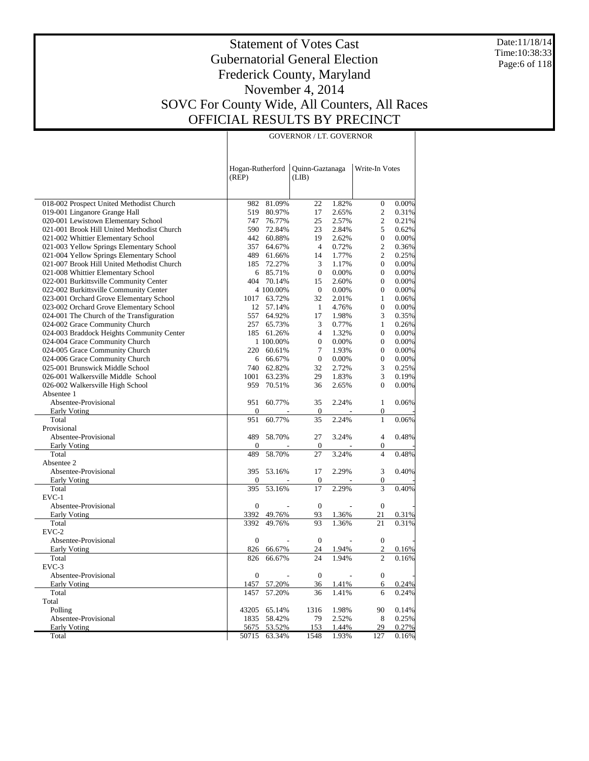Date:11/18/14 Time:10:38:33 Page:6 of 118

# Statement of Votes Cast Gubernatorial General Election Frederick County, Maryland November 4, 2014 SOVC For County Wide, All Counters, All Races OFFICIAL RESULTS BY PRECINCT

GOVERNOR / LT. GOVERNOR

 $\mathbb{R}$ 

|                                            | Hogan-Rutherford<br>(REP) |                       | Quinn-Gaztanaga<br>(LIB) |                | Write-In Votes       |                |
|--------------------------------------------|---------------------------|-----------------------|--------------------------|----------------|----------------------|----------------|
|                                            |                           |                       |                          |                |                      |                |
| 018-002 Prospect United Methodist Church   | 982                       | 81.09%                | 22                       | 1.82%          | $\Omega$             | 0.00%          |
| 019-001 Linganore Grange Hall              | 519                       | 80.97%                | 17                       | 2.65%          | $\overline{c}$       | 0.31%          |
| 020-001 Lewistown Elementary School        | 747                       | 76.77%                | 25                       | 2.57%          | $\overline{c}$       | 0.21%          |
| 021-001 Brook Hill United Methodist Church |                           | 590 72.84%            | 23                       | 2.84%          | 5                    | 0.62%          |
| 021-002 Whittier Elementary School         |                           | 442 60.88%            | 19                       | 2.62%          | $\mathbf{0}$         | 0.00%          |
| 021-003 Yellow Springs Elementary School   | 357                       | 64.67%                | $\overline{4}$           | 0.72%          | $\overline{c}$       | 0.36%          |
| 021-004 Yellow Springs Elementary School   |                           | 489 61.66%            | 14                       | 1.77%          | $\overline{c}$       | 0.25%          |
| 021-007 Brook Hill United Methodist Church | 185                       | 72.27%                | 3                        | 1.17%          | $\mathbf{0}$         | 0.00%          |
| 021-008 Whittier Elementary School         |                           | 6 85.71%              | $\mathbf{0}$             | 0.00%          | $\mathbf{0}$         | 0.00%          |
| 022-001 Burkittsville Community Center     |                           | 404 70.14%            | 15                       | 2.60%          | $\overline{0}$       | 0.00%          |
| 022-002 Burkittsville Community Center     |                           | 4 100.00%             | $\mathbf{0}$             | 0.00%          | $\overline{0}$       | 0.00%          |
| 023-001 Orchard Grove Elementary School    |                           | 1017 63.72%           | 32                       | 2.01%          | $\mathbf{1}$         | 0.06%          |
| 023-002 Orchard Grove Elementary School    |                           | 12 57.14%             | $\mathbf{1}$             | 4.76%          | $\theta$             | 0.00%          |
| 024-001 The Church of the Transfiguration  | 557                       | 64.92%                | 17                       | 1.98%          | 3                    | 0.35%          |
| 024-002 Grace Community Church             |                           | 257 65.73%            | 3                        | 0.77%          | $\mathbf{1}$         | 0.26%          |
| 024-003 Braddock Heights Community Center  |                           | 185 61.26%            | $\overline{4}$           | 1.32%          | $\Omega$             | 0.00%          |
| 024-004 Grace Community Church             |                           | 1 100.00%             | $\mathbf{0}$             | 0.00%          | $\overline{0}$       | 0.00%          |
| 024-005 Grace Community Church             | 220                       | 60.61%                | $\overline{7}$           | 1.93%          | $\overline{0}$       | 0.00%          |
| 024-006 Grace Community Church             |                           | 6 66.67%              | $\Omega$                 | 0.00%          | $\Omega$             | 0.00%          |
| 025-001 Brunswick Middle School            |                           | 740 62.82%            | 32                       | 2.72%          | 3                    | 0.25%          |
| 026-001 Walkersville Middle School         |                           | 1001 63.23%           | 29                       | 1.83%          | 3                    | 0.19%          |
| 026-002 Walkersville High School           | 959                       | 70.51%                | 36                       | 2.65%          | $\overline{0}$       | 0.00%          |
| Absentee 1                                 |                           |                       |                          |                |                      |                |
| Absentee-Provisional                       | 951                       | 60.77%                | 35                       | 2.24%          | $\mathbf{1}$         | $0.06\%$       |
| <b>Early Voting</b>                        | $\mathbf{0}$              |                       | $\mathbf{0}$             |                | $\overline{0}$       |                |
| Total                                      | 951                       | 60.77%                | 35                       | 2.24%          | $\mathbf{1}$         | 0.06%          |
| Provisional                                |                           |                       |                          |                |                      |                |
| Absentee-Provisional                       | 489                       | 58.70%                | 27                       | 3.24%          | $\overline{4}$       | 0.48%          |
| Early Voting                               | $\Omega$                  |                       | $\Omega$                 |                | $\Omega$             |                |
| Total                                      | 489                       | 58.70%                | 27                       | 3.24%          | $\overline{4}$       | 0.48%          |
| Absentee 2                                 |                           |                       |                          |                |                      |                |
| Absentee-Provisional                       | 395                       | 53.16%                | 17                       | 2.29%          | 3                    | 0.40%          |
| Early Voting                               | $\mathbf{0}$              |                       | $\mathbf{0}$             |                | $\boldsymbol{0}$     |                |
| Total                                      | 395                       | 53.16%                | 17                       | 2.29%          | 3                    | 0.40%          |
| $EVC-1$                                    |                           |                       |                          |                |                      |                |
| Absentee-Provisional                       | $\mathbf{0}$              | L,                    | $\overline{0}$<br>93     | L,             | $\overline{0}$<br>21 |                |
| Early Voting<br>Total                      | 3392                      | 3392 49.76%<br>49.76% | 93                       | 1.36%<br>1.36% | 21                   | 0.31%<br>0.31% |
| $EVC-2$                                    |                           |                       |                          |                |                      |                |
| Absentee-Provisional                       | $\mathbf{0}$              |                       | $\boldsymbol{0}$         |                | $\boldsymbol{0}$     |                |
| Early Voting                               | 826                       | 66.67%                | 24                       | 1.94%          | $\overline{c}$       | 0.16%          |
| Total                                      | 826                       | 66.67%                | 24                       | 1.94%          | $\overline{c}$       | 0.16%          |
| $EVC-3$                                    |                           |                       |                          |                |                      |                |
| Absentee-Provisional                       | $\Omega$                  |                       | $\Omega$                 |                | $\mathbf{0}$         |                |
| Early Voting                               | 1457                      | 57.20%                | 36                       | 1.41%          | 6                    | 0.24%          |
| Total                                      | 1457                      | 57.20%                | 36                       | 1.41%          | 6                    | 0.24%          |
| Total                                      |                           |                       |                          |                |                      |                |
| Polling                                    |                           | 43205 65.14%          | 1316                     | 1.98%          | 90                   | 0.14%          |
| Absentee-Provisional                       |                           | 1835 58.42%           | 79                       | 2.52%          | 8                    | 0.25%          |
| Early Voting                               | 5675                      | 53.52%                | 153                      | 1.44%          | 29                   | 0.27%          |
| Total                                      | 50715                     | 63.34%                | 1548                     | 1.93%          | 127                  | 0.16%          |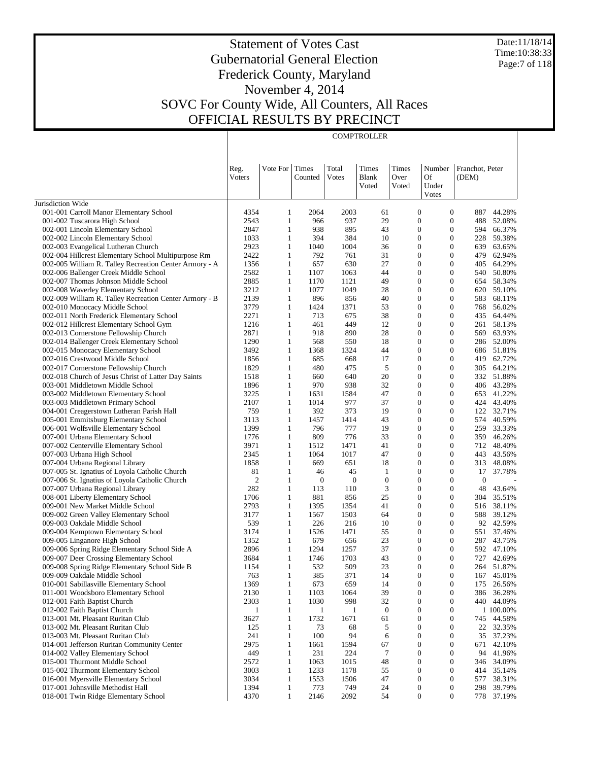Date:11/18/14 Time:10:38:33 Page:7 of 118

# Statement of Votes Cast Gubernatorial General Election Frederick County, Maryland November 4, 2014 SOVC For County Wide, All Counters, All Races OFFICIAL RESULTS BY PRECINCT

|                                                                                              | Reg.<br><b>V</b> oters | Vote For Times               | Counted      | Total<br>Votes   | Times<br><b>Blank</b><br>Voted | Times<br>Over<br>Voted               | Number<br>Of<br>Under<br>Votes   | Franchot, Peter<br>(DEM) |                          |
|----------------------------------------------------------------------------------------------|------------------------|------------------------------|--------------|------------------|--------------------------------|--------------------------------------|----------------------------------|--------------------------|--------------------------|
| Jurisdiction Wide                                                                            |                        |                              |              |                  |                                |                                      |                                  |                          |                          |
| 001-001 Carroll Manor Elementary School                                                      | 4354                   | $\mathbf{1}$                 | 2064         | 2003             | 61                             | $\boldsymbol{0}$                     | $\boldsymbol{0}$                 | 887                      | 44.28%                   |
| 001-002 Tuscarora High School                                                                | 2543                   | $\mathbf{1}$                 | 966          | 937              | 29                             | $\boldsymbol{0}$                     | $\boldsymbol{0}$                 | 488                      | 52.08%                   |
| 002-001 Lincoln Elementary School                                                            | 2847                   | $\mathbf{1}$                 | 938          | 895              | 43                             | $\boldsymbol{0}$                     | $\mathbf{0}$                     | 594                      | 66.37%                   |
| 002-002 Lincoln Elementary School                                                            | 1033                   | $\mathbf{1}$                 | 394          | 384              | 10                             | $\boldsymbol{0}$                     | $\boldsymbol{0}$                 | 228                      | 59.38%                   |
| 002-003 Evangelical Lutheran Church                                                          | 2923                   | $\mathbf{1}$                 | 1040         | 1004             | 36                             | $\mathbf{0}$                         | $\mathbf{0}$                     | 639                      | 63.65%                   |
| 002-004 Hillcrest Elementary School Multipurpose Rm                                          | 2422                   | $\mathbf{1}$                 | 792          | 761              | 31                             | $\boldsymbol{0}$                     | $\boldsymbol{0}$                 | 479                      | 62.94%                   |
| 002-005 William R. Talley Recreation Center Armory - A                                       | 1356                   | $\mathbf{1}$                 | 657          | 630              | 27                             | $\boldsymbol{0}$                     | $\mathbf{0}$                     | 405                      | 64.29%                   |
| 002-006 Ballenger Creek Middle School                                                        | 2582                   | $\mathbf{1}$                 | 1107         | 1063             | 44                             | $\boldsymbol{0}$                     | $\boldsymbol{0}$                 | 540                      | 50.80%                   |
| 002-007 Thomas Johnson Middle School                                                         | 2885                   | $\mathbf{1}$                 | 1170         | 1121             | 49                             | $\mathbf{0}$                         | $\mathbf{0}$                     | 654                      | 58.34%                   |
| 002-008 Waverley Elementary School<br>002-009 William R. Talley Recreation Center Armory - B | 3212<br>2139           | $\mathbf{1}$<br>$\mathbf{1}$ | 1077<br>896  | 1049<br>856      | 28<br>40                       | $\boldsymbol{0}$<br>$\boldsymbol{0}$ | $\boldsymbol{0}$<br>$\mathbf{0}$ |                          | 620 59.10%<br>583 68.11% |
| 002-010 Monocacy Middle School                                                               | 3779                   | $\mathbf{1}$                 | 1424         | 1371             | 53                             | $\boldsymbol{0}$                     | $\boldsymbol{0}$                 | 768                      | 56.02%                   |
| 002-011 North Frederick Elementary School                                                    | 2271                   | $\mathbf{1}$                 | 713          | 675              | 38                             | $\mathbf{0}$                         | $\mathbf{0}$                     | 435                      | 64.44%                   |
| 002-012 Hillcrest Elementary School Gym                                                      | 1216                   | $\mathbf{1}$                 | 461          | 449              | 12                             | $\boldsymbol{0}$                     | $\boldsymbol{0}$                 | 261                      | 58.13%                   |
| 002-013 Cornerstone Fellowship Church                                                        | 2871                   | $\mathbf{1}$                 | 918          | 890              | 28                             | $\boldsymbol{0}$                     | $\mathbf{0}$                     | 569                      | 63.93%                   |
| 002-014 Ballenger Creek Elementary School                                                    | 1290                   | $\mathbf{1}$                 | 568          | 550              | 18                             | $\boldsymbol{0}$                     | $\boldsymbol{0}$                 |                          | 286 52.00%               |
| 002-015 Monocacy Elementary School                                                           | 3492                   | $\mathbf{1}$                 | 1368         | 1324             | 44                             | $\mathbf{0}$                         | $\mathbf{0}$                     |                          | 686 51.81%               |
| 002-016 Crestwood Middle School                                                              | 1856                   | $\mathbf{1}$                 | 685          | 668              | 17                             | $\boldsymbol{0}$                     | $\boldsymbol{0}$                 |                          | 419 62.72%               |
| 002-017 Cornerstone Fellowship Church                                                        | 1829                   | $\mathbf{1}$                 | 480          | 475              | 5                              | $\boldsymbol{0}$                     | $\mathbf{0}$                     |                          | 305 64.21%               |
| 002-018 Church of Jesus Christ of Latter Day Saints                                          | 1518                   | 1                            | 660          | 640              | 20                             | $\boldsymbol{0}$                     | $\boldsymbol{0}$                 |                          | 332 51.88%               |
| 003-001 Middletown Middle School                                                             | 1896                   | $\mathbf{1}$                 | 970          | 938              | 32                             | $\mathbf{0}$                         | $\mathbf{0}$                     |                          | 406 43.28%               |
| 003-002 Middletown Elementary School                                                         | 3225                   | $\mathbf{1}$                 | 1631         | 1584             | 47                             | $\boldsymbol{0}$                     | $\boldsymbol{0}$                 |                          | 653 41.22%               |
| 003-003 Middletown Primary School                                                            | 2107                   | $\mathbf{1}$                 | 1014         | 977              | 37                             | $\boldsymbol{0}$                     | $\mathbf{0}$                     |                          | 424 43.40%               |
| 004-001 Creagerstown Lutheran Parish Hall                                                    | 759                    | $\mathbf{1}$                 | 392          | 373              | 19                             | $\boldsymbol{0}$                     | $\boldsymbol{0}$                 |                          | 122 32.71%               |
| 005-001 Emmitsburg Elementary School                                                         | 3113                   | $\mathbf{1}$                 | 1457         | 1414             | 43                             | $\boldsymbol{0}$                     | $\mathbf{0}$                     |                          | 574 40.59%               |
| 006-001 Wolfsville Elementary School                                                         | 1399                   | $\mathbf{1}$                 | 796          | 777              | 19                             | $\boldsymbol{0}$                     | $\boldsymbol{0}$                 |                          | 259 33.33%               |
| 007-001 Urbana Elementary School                                                             | 1776                   | $\mathbf{1}$                 | 809          | 776              | 33                             | $\boldsymbol{0}$                     | $\mathbf{0}$                     |                          | 359 46.26%               |
| 007-002 Centerville Elementary School                                                        | 3971                   | $\mathbf{1}$                 | 1512         | 1471             | 41                             | $\boldsymbol{0}$                     | $\boldsymbol{0}$                 |                          | 712 48.40%               |
| 007-003 Urbana High School                                                                   | 2345                   | $\mathbf{1}$                 | 1064         | 1017             | 47                             | $\mathbf{0}$                         | $\mathbf{0}$                     |                          | 443 43.56%               |
| 007-004 Urbana Regional Library                                                              | 1858                   | $\mathbf{1}$                 | 669          | 651              | 18                             | $\boldsymbol{0}$                     | $\boldsymbol{0}$                 |                          | 313 48.08%               |
| 007-005 St. Ignatius of Loyola Catholic Church                                               | 81                     | $\mathbf{1}$                 | 46           | 45               | 1                              | $\mathbf{0}$                         | $\mathbf{0}$                     | 17                       | 37.78%                   |
| 007-006 St. Ignatius of Loyola Catholic Church                                               | $\boldsymbol{2}$       | $\mathbf{1}$                 | $\mathbf{0}$ | $\boldsymbol{0}$ | $\boldsymbol{0}$               | $\boldsymbol{0}$                     | $\boldsymbol{0}$                 | $\mathbf{0}$             |                          |
| 007-007 Urbana Regional Library                                                              | 282                    | $\mathbf{1}$                 | 113          | 110              | 3                              | $\mathbf{0}$                         | $\mathbf{0}$                     | 48                       | 43.64%                   |
| 008-001 Liberty Elementary School                                                            | 1706                   | $\mathbf{1}$                 | 881          | 856              | 25                             | $\boldsymbol{0}$                     | $\boldsymbol{0}$                 |                          | 304 35.51%               |
| 009-001 New Market Middle School                                                             | 2793                   | $\mathbf{1}$                 | 1395         | 1354             | 41                             | $\mathbf{0}$                         | $\mathbf{0}$                     |                          | 516 38.11%               |
| 009-002 Green Valley Elementary School                                                       | 3177                   | $\mathbf{1}$                 | 1567         | 1503             | 64                             | $\boldsymbol{0}$                     | $\boldsymbol{0}$                 |                          | 588 39.12%               |
| 009-003 Oakdale Middle School                                                                | 539                    | $\mathbf{1}$                 | 226          | 216              | 10                             | $\mathbf{0}$                         | $\mathbf{0}$                     |                          | 92 42.59%                |
| 009-004 Kemptown Elementary School                                                           | 3174                   | $\mathbf{1}$                 | 1526         | 1471             | 55                             | $\boldsymbol{0}$                     | $\boldsymbol{0}$                 |                          | 551 37.46%               |
| 009-005 Linganore High School                                                                | 1352                   | $\mathbf{1}$<br>$\mathbf{1}$ | 679<br>1294  | 656<br>1257      | 23<br>37                       | $\boldsymbol{0}$<br>$\boldsymbol{0}$ | $\mathbf{0}$<br>$\boldsymbol{0}$ |                          | 287 43.75%               |
| 009-006 Spring Ridge Elementary School Side A<br>009-007 Deer Crossing Elementary School     | 2896<br>3684           | 1                            | 1746         | 1703             | 43                             | $\mathbf{0}$                         | $\mathbf{0}$                     |                          | 592 47.10%<br>727 42.69% |
| 009-008 Spring Ridge Elementary School Side B                                                | 1154                   | $\mathbf{1}$                 | 532          | 509              | 23                             | $\mathbf{0}$                         | $\mathbf{0}$                     |                          | 264 51.87%               |
| 009-009 Oakdale Middle School                                                                | 763                    | $\mathbf{1}$                 | 385          | 371              | 14                             | $\boldsymbol{0}$                     | $\boldsymbol{0}$                 |                          | 167 45.01%               |
| 010-001 Sabillasville Elementary School                                                      | 1369                   | $\mathbf{1}$                 | 673          | 659              | 14                             | $\boldsymbol{0}$                     | $\boldsymbol{0}$                 |                          | 175 26.56%               |
| 011-001 Woodsboro Elementary School                                                          | 2130                   | 1                            | 1103         | 1064             | 39                             | 0                                    | $\boldsymbol{0}$                 |                          | 386 36.28%               |
| 012-001 Faith Baptist Church                                                                 | 2303                   | 1                            | 1030         | 998              | 32                             | 0                                    | 0                                |                          | 440 44.09%               |
| 012-002 Faith Baptist Church                                                                 | 1                      | $\mathbf{1}$                 | 1            | 1                | $\boldsymbol{0}$               | 0                                    | $\boldsymbol{0}$                 |                          | 1 100.00%                |
| 013-001 Mt. Pleasant Ruritan Club                                                            | 3627                   | $\mathbf{1}$                 | 1732         | 1671             | 61                             | 0                                    | $\boldsymbol{0}$                 |                          | 745 44.58%               |
| 013-002 Mt. Pleasant Ruritan Club                                                            | 125                    | $\mathbf{1}$                 | 73           | 68               | 5                              | 0                                    | $\boldsymbol{0}$                 |                          | 22 32.35%                |
| 013-003 Mt. Pleasant Ruritan Club                                                            | 241                    | $\mathbf{1}$                 | 100          | 94               | 6                              | 0                                    | $\boldsymbol{0}$                 |                          | 35 37.23%                |
| 014-001 Jefferson Ruritan Community Center                                                   | 2975                   | $\mathbf{1}$                 | 1661         | 1594             | 67                             | 0                                    | $\boldsymbol{0}$                 | 671                      | 42.10%                   |
| 014-002 Valley Elementary School                                                             | 449                    | 1                            | 231          | 224              | 7                              | 0                                    | $\boldsymbol{0}$                 |                          | 94 41.96%                |
| 015-001 Thurmont Middle School                                                               | 2572                   | $\mathbf{1}$                 | 1063         | 1015             | 48                             | 0                                    | $\boldsymbol{0}$                 |                          | 346 34.09%               |
| 015-002 Thurmont Elementary School                                                           | 3003                   | 1                            | 1233         | 1178             | 55                             | 0                                    | $\boldsymbol{0}$                 |                          | 414 35.14%               |
| 016-001 Myersville Elementary School                                                         | 3034                   | $\mathbf{1}$                 | 1553         | 1506             | 47                             | 0                                    | $\boldsymbol{0}$                 | 577                      | 38.31%                   |
| 017-001 Johnsville Methodist Hall                                                            | 1394                   | $\mathbf{1}$                 | 773          | 749              | 24                             | 0                                    | 0                                | 298                      | 39.79%                   |
| 018-001 Twin Ridge Elementary School                                                         | 4370                   | $\mathbf{1}$                 | 2146         | 2092             | 54                             | $\boldsymbol{0}$                     | $\boldsymbol{0}$                 | 778                      | 37.19%                   |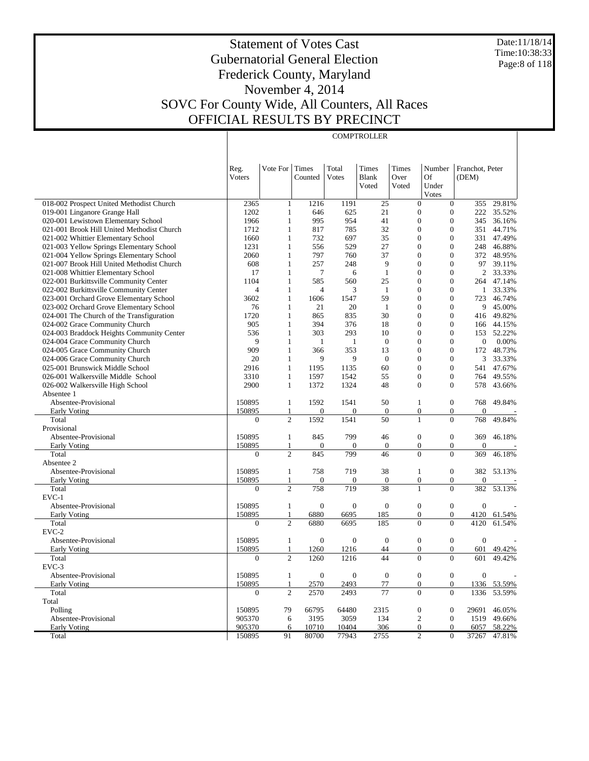Date:11/18/14 Time:10:38:33 Page:8 of 118

# Statement of Votes Cast Gubernatorial General Election Frederick County, Maryland November 4, 2014 SOVC For County Wide, All Counters, All Races OFFICIAL RESULTS BY PRECINCT

|                                             | Reg.<br>Voters   | Vote For       | Times<br>Counted | Total<br><b>V</b> otes | Times<br><b>Blank</b><br>Voted | Times<br>Over<br>Voted | Number<br>Of<br>Under<br>Votes | Franchot, Peter<br>(DEM) |            |
|---------------------------------------------|------------------|----------------|------------------|------------------------|--------------------------------|------------------------|--------------------------------|--------------------------|------------|
| 018-002 Prospect United Methodist Church    | 2365             | $\mathbf{1}$   | 1216             | 1191                   | 25                             | $\mathbf{0}$           | $\overline{0}$                 | 355                      | 29.81%     |
| 019-001 Linganore Grange Hall               | 1202             | $\mathbf{1}$   | 646              | 625                    | 21                             | $\mathbf{0}$           | $\mathbf{0}$                   | 222                      | 35.52%     |
| 020-001 Lewistown Elementary School         | 1966             | $\mathbf{1}$   | 995              | 954                    | 41                             | $\overline{0}$         | $\mathbf{0}$                   | 345                      | 36.16%     |
| 021-001 Brook Hill United Methodist Church  | 1712             | $\mathbf{1}$   | 817              | 785                    | 32                             | $\overline{0}$         | $\theta$                       | 351                      | 44.71%     |
| 021-002 Whittier Elementary School          | 1660             | $\mathbf{1}$   | 732              | 697                    | 35                             | $\overline{0}$         | $\mathbf{0}$                   | 331                      | 47.49%     |
| 021-003 Yellow Springs Elementary School    | 1231             | $\mathbf{1}$   | 556              | 529                    | 27                             | $\overline{0}$         | $\mathbf{0}$                   | 248                      | 46.88%     |
| 021-004 Yellow Springs Elementary School    | 2060             | $\mathbf{1}$   | 797              | 760                    | 37                             | $\overline{0}$         | $\overline{0}$                 | 372                      | 48.95%     |
| 021-007 Brook Hill United Methodist Church  | 608              | $\mathbf{1}$   | 257              | 248                    | 9                              | $\overline{0}$         | $\overline{0}$                 | 97                       | 39.11%     |
| 021-008 Whittier Elementary School          | 17               | $\mathbf{1}$   | 7                | 6                      | $\mathbf{1}$                   | $\overline{0}$         | $\mathbf{0}$                   | $\overline{c}$           | 33.33%     |
| 022-001 Burkittsville Community Center      | 1104             | $\mathbf{1}$   | 585              | 560                    | 25                             | $\overline{0}$         | $\overline{0}$                 | 264                      | 47.14%     |
| 022-002 Burkittsville Community Center      | $\overline{4}$   | $\mathbf{1}$   | $\overline{4}$   | 3                      | $\mathbf{1}$                   | $\overline{0}$         | $\mathbf{0}$                   | $\mathbf{1}$             | 33.33%     |
| 023-001 Orchard Grove Elementary School     | 3602             | $\mathbf{1}$   | 1606             | 1547                   | 59                             | $\overline{0}$         | $\mathbf{0}$                   | 723                      | 46.74%     |
| 023-002 Orchard Grove Elementary School     | 76               | $\mathbf{1}$   | 21               | 20                     | $\mathbf{1}$                   | $\overline{0}$         | $\Omega$                       | 9                        | 45.00%     |
| 024-001 The Church of the Transfiguration   | 1720             | $\mathbf{1}$   | 865              | 835                    | 30                             | $\overline{0}$         | $\mathbf{0}$                   |                          | 416 49.82% |
| 024-002 Grace Community Church              | 905              | $\mathbf{1}$   | 394              | 376                    | 18                             | $\overline{0}$         | $\mathbf{0}$                   | 166                      | 44.15%     |
| 024-003 Braddock Heights Community Center   | 536              | $\mathbf{1}$   | 303              | 293                    | 10                             | $\theta$               | $\mathbf{0}$                   | 153                      | 52.22%     |
| 024-004 Grace Community Church              | 9                | $\mathbf{1}$   | 1                | $\mathbf{1}$           | $\theta$                       | $\overline{0}$         | $\mathbf{0}$                   | $\mathbf{0}$             | 0.00%      |
| 024-005 Grace Community Church              | 909              | $\mathbf{1}$   | 366              | 353                    | 13                             | $\overline{0}$         | $\mathbf{0}$                   | 172                      | 48.73%     |
| 024-006 Grace Community Church              | 20               | $\mathbf{1}$   | 9                | 9                      | $\mathbf{0}$                   | $\theta$               | $\overline{0}$                 | 3                        | 33.33%     |
| 025-001 Brunswick Middle School             | 2916             | $\mathbf{1}$   | 1195             | 1135                   | 60                             | $\theta$               | $\theta$                       | 541                      | 47.67%     |
| 026-001 Walkersville Middle School          | 3310             | $\mathbf{1}$   | 1597             | 1542                   | 55                             | $\mathbf{0}$           | $\mathbf{0}$                   | 764                      | 49.55%     |
| 026-002 Walkersville High School            | 2900             | $\mathbf{1}$   | 1372             | 1324                   | 48                             | $\overline{0}$         | $\mathbf{0}$                   | 578                      | 43.66%     |
| Absentee 1                                  |                  |                |                  |                        |                                |                        |                                |                          |            |
| Absentee-Provisional                        | 150895           | $\mathbf{1}$   | 1592             | 1541                   | 50                             | $\mathbf{1}$           | $\overline{0}$                 | 768                      | 49.84%     |
| Early Voting                                | 150895           | $\mathbf{1}$   | $\theta$         | $\overline{0}$         | $\overline{0}$                 | $\boldsymbol{0}$       | $\mathbf{0}$                   | $\Omega$                 |            |
| Total                                       | $\boldsymbol{0}$ | $\overline{2}$ | 1592             | 1541                   | 50                             | $\mathbf{1}$           | $\Omega$                       | 768                      | 49.84%     |
| Provisional                                 |                  |                |                  |                        |                                |                        |                                |                          |            |
| Absentee-Provisional                        | 150895           | $\mathbf{1}$   | 845              | 799                    | 46                             | $\overline{0}$         | $\boldsymbol{0}$               | 369                      | 46.18%     |
| <b>Early Voting</b>                         | 150895           | $\mathbf{1}$   | $\boldsymbol{0}$ | $\boldsymbol{0}$       | $\boldsymbol{0}$               | $\boldsymbol{0}$       | $\boldsymbol{0}$               | $\Omega$                 |            |
| Total                                       | $\Omega$         | $\overline{2}$ | 845              | 799                    | 46                             | $\theta$               | $\Omega$                       | 369                      | 46.18%     |
| Absentee 2                                  |                  |                |                  |                        |                                |                        |                                |                          |            |
| Absentee-Provisional                        | 150895           | $\mathbf{1}$   | 758              | 719                    | 38                             | $\mathbf{1}$           | $\boldsymbol{0}$               | 382                      | 53.13%     |
| <b>Early Voting</b>                         | 150895           | $\mathbf{1}$   | $\mathbf{0}$     | $\mathbf{0}$           | $\boldsymbol{0}$               | $\mathbf{0}$           | $\boldsymbol{0}$               | $\boldsymbol{0}$         |            |
| Total<br>$EVC-1$                            | $\boldsymbol{0}$ | $\overline{2}$ | 758              | 719                    | 38                             | $\mathbf{1}$           | $\mathbf{0}$                   | 382                      | 53.13%     |
|                                             | 150895           | $\mathbf{1}$   | $\mathbf{0}$     | $\boldsymbol{0}$       | $\boldsymbol{0}$               | $\overline{0}$         | $\boldsymbol{0}$               | $\boldsymbol{0}$         |            |
| Absentee-Provisional<br><b>Early Voting</b> | 150895           | $\mathbf{1}$   | 6880             | 6695                   | 185                            | $\boldsymbol{0}$       | $\mathbf{0}$                   | 4120                     | 61.54%     |
| Total                                       | $\overline{0}$   | $\overline{2}$ | 6880             | 6695                   | 185                            | $\mathbf{0}$           | $\mathbf{0}$                   | 4120                     | 61.54%     |
| $EVC-2$                                     |                  |                |                  |                        |                                |                        |                                |                          |            |
| Absentee-Provisional                        | 150895           | $\mathbf{1}$   | $\overline{0}$   | $\overline{0}$         | $\overline{0}$                 | $\boldsymbol{0}$       | $\boldsymbol{0}$               | $\overline{0}$           |            |
| <b>Early Voting</b>                         | 150895           | $\mathbf{1}$   | 1260             | 1216                   | 44                             | $\mathbf{0}$           | $\mathbf{0}$                   | 601                      | 49.42%     |
| Total                                       | $\mathbf{0}$     | $\overline{2}$ | 1260             | 1216                   | 44                             | $\Omega$               | $\mathbf{0}$                   | 601                      | 49.42%     |
| $EVC-3$                                     |                  |                |                  |                        |                                |                        |                                |                          |            |
| Absentee-Provisional                        | 150895           | $\mathbf{1}$   | $\mathbf{0}$     | $\overline{0}$         | $\mathbf{0}$                   | $\mathbf{0}$           | $\mathbf{0}$                   | $\overline{0}$           |            |
| <b>Early Voting</b>                         | 150895           | $\mathbf{1}$   | 2570             | 2493                   | 77                             | $\overline{0}$         | $\boldsymbol{0}$               | 1336                     | 53.59%     |
| Total                                       | $\overline{0}$   | $\overline{2}$ | 2570             | 2493                   | 77                             | $\theta$               | $\mathbf{0}$                   | 1336                     | 53.59%     |
| Total                                       |                  |                |                  |                        |                                |                        |                                |                          |            |
| Polling                                     | 150895           | 79             | 66795            | 64480                  | 2315                           | $\boldsymbol{0}$       | $\boldsymbol{0}$               | 29691                    | 46.05%     |
| Absentee-Provisional                        | 905370           | 6              | 3195             | 3059                   | 134                            | $\overline{c}$         | $\mathbf{0}$                   | 1519                     | 49.66%     |
| <b>Early Voting</b>                         | 905370           | 6              | 10710            | 10404                  | 306                            | $\Omega$               | $\Omega$                       | 6057                     | 58.22%     |
| Total                                       | 150895           | 91             | 80700            | 77943                  | 2755                           | $\overline{c}$         | $\Omega$                       | 37267                    | 47.81%     |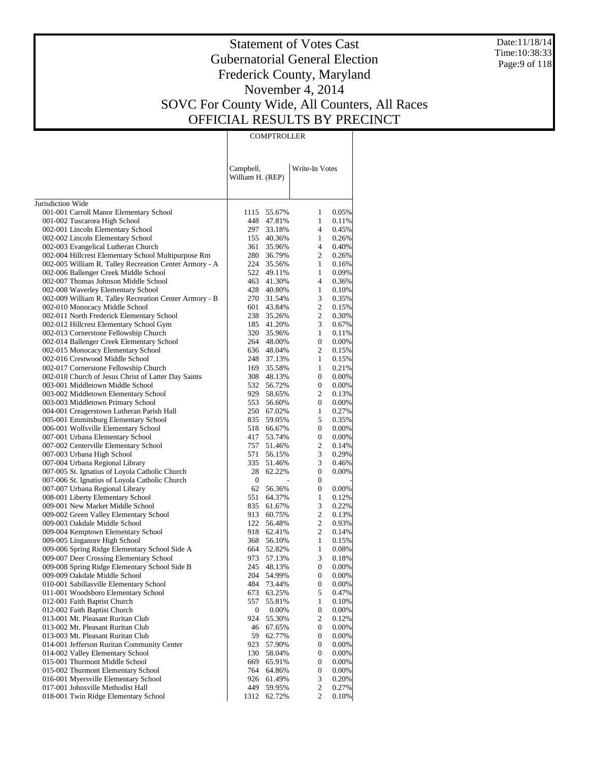Date:11/18/14 Time:10:38:33 Page:9 of 118

# Statement of Votes Cast Gubernatorial General Election Frederick County, Maryland November 4, 2014 SOVC For County Wide, All Counters, All Races OFFICIAL RESULTS BY PRECINCT

|                                                                                                               | Campbell,<br>William H. (REP) |                          | Write-In Votes    |                |
|---------------------------------------------------------------------------------------------------------------|-------------------------------|--------------------------|-------------------|----------------|
|                                                                                                               |                               |                          |                   |                |
| Jurisdiction Wide                                                                                             |                               |                          |                   |                |
| 001-001 Carroll Manor Elementary School                                                                       |                               | 1115 55.67%              | 1                 | 0.05%          |
| 001-002 Tuscarora High School                                                                                 |                               | 448 47.81%               | $\mathbf{1}$      | 0.11%          |
| 002-001 Lincoln Elementary School                                                                             |                               | 297 33.18%               | $\overline{4}$    | 0.45%          |
| 002-002 Lincoln Elementary School                                                                             |                               | 155 40.36%               | 1                 | 0.26%          |
| 002-003 Evangelical Lutheran Church                                                                           | 361                           | 35.96%                   | 4<br>2            | 0.40%          |
| 002-004 Hillcrest Elementary School Multipurpose Rm<br>002-005 William R. Talley Recreation Center Armory - A |                               | 280 36.79%<br>224 35.56% | 1                 | 0.26%<br>0.16% |
| 002-006 Ballenger Creek Middle School                                                                         |                               | 522 49.11%               | $\mathbf{1}$      | 0.09%          |
| 002-007 Thomas Johnson Middle School                                                                          | 463                           | 41.30%                   | 4                 | 0.36%          |
| 002-008 Waverley Elementary School                                                                            |                               | 428 40.80%               | $\mathbf{1}$      | 0.10%          |
| 002-009 William R. Talley Recreation Center Armory - B                                                        |                               | 270 31.54%               | 3                 | 0.35%          |
| 002-010 Monocacy Middle School                                                                                |                               | 601 43.84%               | 2                 | 0.15%          |
| 002-011 North Frederick Elementary School                                                                     |                               | 238 35.26%               | 2                 | 0.30%          |
| 002-012 Hillcrest Elementary School Gym                                                                       |                               | 185 41.20%               | 3                 | 0.67%          |
| 002-013 Cornerstone Fellowship Church                                                                         |                               | 320 35.96%               | 1                 | 0.11%          |
| 002-014 Ballenger Creek Elementary School                                                                     |                               | 264 48.00%               | $\boldsymbol{0}$  | 0.00%          |
| 002-015 Monocacy Elementary School                                                                            |                               | 636 48.04%               | 2                 | 0.15%          |
| 002-016 Crestwood Middle School                                                                               |                               | 248 37.13%               | $\mathbf{1}$      | 0.15%          |
| 002-017 Cornerstone Fellowship Church                                                                         |                               | 169 35.58%               | 1                 | 0.21%          |
| 002-018 Church of Jesus Christ of Latter Day Saints                                                           |                               | 308 48.13%               | $\boldsymbol{0}$  | 0.00%          |
| 003-001 Middletown Middle School                                                                              |                               | 532 56.72%               | 0                 | 0.00%          |
| 003-002 Middletown Elementary School                                                                          | 929                           | 58.65%                   | 2                 | 0.13%          |
| 003-003 Middletown Primary School                                                                             |                               | 553 56.60%               | 0                 | 0.00%          |
| 004-001 Creagerstown Lutheran Parish Hall                                                                     |                               | 250 67.02%               | $\mathbf{1}$      | 0.27%          |
| 005-001 Emmitsburg Elementary School                                                                          |                               | 835 59.05%               | 5                 | 0.35%          |
| 006-001 Wolfsville Elementary School                                                                          |                               | 518 66.67%               | $\boldsymbol{0}$  | 0.00%          |
| 007-001 Urbana Elementary School                                                                              |                               | 417 53.74%               | 0<br>2            | 0.00%<br>0.14% |
| 007-002 Centerville Elementary School<br>007-003 Urbana High School                                           | 571                           | 757 51.46%<br>56.15%     | 3                 | 0.29%          |
| 007-004 Urbana Regional Library                                                                               |                               | 335 51.46%               | 3                 | 0.46%          |
| 007-005 St. Ignatius of Loyola Catholic Church                                                                |                               | 28 62.22%                | 0                 | 0.00%          |
| 007-006 St. Ignatius of Loyola Catholic Church                                                                | $\boldsymbol{0}$              |                          | 0                 |                |
| 007-007 Urbana Regional Library                                                                               | 62                            | 56.36%                   | 0                 | 0.00%          |
| 008-001 Liberty Elementary School                                                                             |                               | 551 64.37%               | 1                 | 0.12%          |
| 009-001 New Market Middle School                                                                              |                               | 835 61.67%               | 3                 | 0.22%          |
| 009-002 Green Valley Elementary School                                                                        | 913                           | 60.75%                   | 2                 | 0.13%          |
| 009-003 Oakdale Middle School                                                                                 |                               | 122 56.48%               | 2                 | 0.93%          |
| 009-004 Kemptown Elementary School                                                                            |                               | 918 62.41%               | 2                 | 0.14%          |
| 009-005 Linganore High School                                                                                 |                               | 368 56.10%               | 1                 | 0.15%          |
| 009-006 Spring Ridge Elementary School Side A                                                                 |                               | 664 52.82%               | $\mathbf{1}$      | 0.08%          |
| 009-007 Deer Crossing Elementary School                                                                       |                               | 973 57.13%               | 3                 | 0.18%          |
| 009-008 Spring Ridge Elementary School Side B                                                                 | 245                           | 48.13%                   | $\boldsymbol{0}$  | 0.00%          |
| 009-009 Oakdale Middle School                                                                                 | 204                           | 54.99%                   | $\mathbf{0}$      | $0.00\%$       |
| 010-001 Sabillasville Elementary School                                                                       | 484                           | 73.44%                   | $\boldsymbol{0}$  | $0.00\%$       |
| 011-001 Woodsboro Elementary School<br>012-001 Faith Baptist Church                                           | 673<br>557                    | 63.25%                   | 5<br>$\mathbf{1}$ | 0.47%          |
| 012-002 Faith Baptist Church                                                                                  | 0                             | 55.81%<br>0.00%          | $\boldsymbol{0}$  | 0.10%<br>0.00% |
| 013-001 Mt. Pleasant Ruritan Club                                                                             | 924                           | 55.30%                   | 2                 | 0.12%          |
| 013-002 Mt. Pleasant Ruritan Club                                                                             | 46                            | 67.65%                   | 0                 | 0.00%          |
| 013-003 Mt. Pleasant Ruritan Club                                                                             | 59                            | 62.77%                   | $\boldsymbol{0}$  | 0.00%          |
| 014-001 Jefferson Ruritan Community Center                                                                    | 923                           | 57.90%                   | 0                 | 0.00%          |
| 014-002 Valley Elementary School                                                                              | 130                           | 58.04%                   | $\boldsymbol{0}$  | 0.00%          |
| 015-001 Thurmont Middle School                                                                                | 669                           | 65.91%                   | 0                 | 0.00%          |
| 015-002 Thurmont Elementary School                                                                            | 764                           | 64.86%                   | $\boldsymbol{0}$  | 0.00%          |
| 016-001 Myersville Elementary School                                                                          | 926                           | 61.49%                   | 3                 | 0.20%          |
| 017-001 Johnsville Methodist Hall                                                                             | 449                           | 59.95%                   | 2                 | 0.27%          |
| 018-001 Twin Ridge Elementary School                                                                          | 1312                          | 62.72%                   | 2                 | 0.10%          |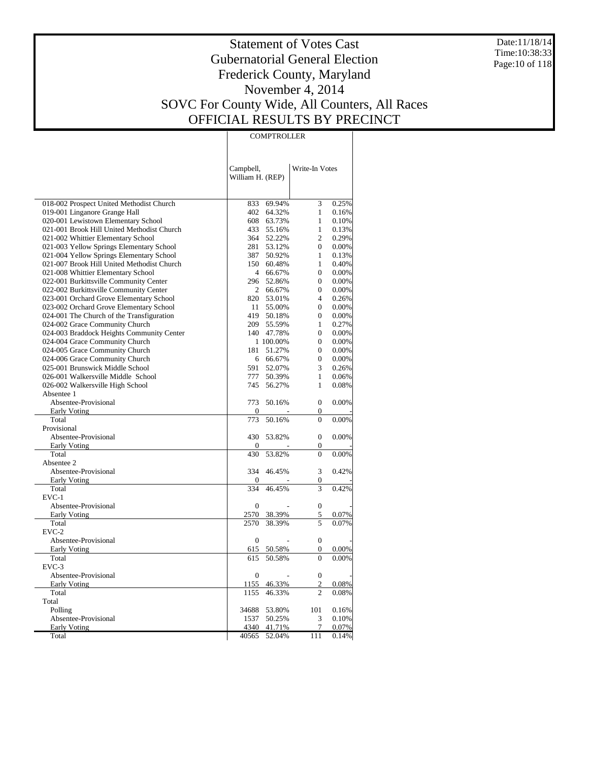Date:11/18/14 Time:10:38:33 Page:10 of 118

# Statement of Votes Cast Gubernatorial General Election Frederick County, Maryland November 4, 2014 SOVC For County Wide, All Counters, All Races OFFICIAL RESULTS BY PRECINCT

|                                            | Campbell,        |            | Write-In Votes           |       |
|--------------------------------------------|------------------|------------|--------------------------|-------|
|                                            | William H. (REP) |            |                          |       |
|                                            |                  |            |                          |       |
| 018-002 Prospect United Methodist Church   | 833              | 69.94%     | 3                        | 0.25% |
| 019-001 Linganore Grange Hall              | 402              | 64.32%     | $\mathbf{1}$             | 0.16% |
| 020-001 Lewistown Elementary School        | 608              | 63.73%     | $\mathbf{1}$             | 0.10% |
| 021-001 Brook Hill United Methodist Church | 433              | 55.16%     | $\mathbf{1}$             | 0.13% |
| 021-002 Whittier Elementary School         | 364              | 52.22%     | $\overline{c}$           | 0.29% |
| 021-003 Yellow Springs Elementary School   | 281              | 53.12%     | $\mathbf{0}$             | 0.00% |
| 021-004 Yellow Springs Elementary School   | 387              | 50.92%     | 1                        | 0.13% |
| 021-007 Brook Hill United Methodist Church | 150              | 60.48%     | 1                        | 0.40% |
| 021-008 Whittier Elementary School         | $\overline{4}$   | 66.67%     | $\boldsymbol{0}$         | 0.00% |
| 022-001 Burkittsville Community Center     | 296              | 52.86%     | $\boldsymbol{0}$         | 0.00% |
| 022-002 Burkittsville Community Center     | 2                | 66.67%     | 0                        | 0.00% |
| 023-001 Orchard Grove Elementary School    |                  | 820 53.01% | $\overline{4}$           | 0.26% |
| 023-002 Orchard Grove Elementary School    | 11               | 55.00%     | $\mathbf{0}$             | 0.00% |
| 024-001 The Church of the Transfiguration  |                  | 419 50.18% | $\mathbf{0}$             | 0.00% |
| 024-002 Grace Community Church             | 209              | 55.59%     | 1                        | 0.27% |
| 024-003 Braddock Heights Community Center  |                  | 140 47.78% | $\boldsymbol{0}$         | 0.00% |
| 024-004 Grace Community Church             |                  | 1 100.00%  | $\mathbf{0}$             | 0.00% |
| 024-005 Grace Community Church             | 181              | 51.27%     | $\mathbf{0}$             | 0.00% |
| 024-006 Grace Community Church             |                  | 6 66.67%   | $\Omega$                 | 0.00% |
| 025-001 Brunswick Middle School            | 591              | 52.07%     | 3                        | 0.26% |
| 026-001 Walkersville Middle School         | 777              | 50.39%     | $\mathbf{1}$             | 0.06% |
| 026-002 Walkersville High School           | 745              | 56.27%     | 1                        | 0.08% |
| Absentee 1                                 |                  |            |                          |       |
| Absentee-Provisional                       | 773              | 50.16%     | $\mathbf{0}$             | 0.00% |
| Early Voting                               | $\mathbf{0}$     |            | $\boldsymbol{0}$         |       |
| Total                                      | 773              | 50.16%     | $\Omega$                 | 0.00% |
| Provisional                                |                  |            |                          |       |
| Absentee-Provisional                       | 430              | 53.82%     | $\boldsymbol{0}$         | 0.00% |
| Early Voting                               | $\Omega$         |            | 0                        |       |
| Total                                      | 430              | 53.82%     | $\Omega$                 | 0.00% |
| Absentee 2                                 |                  |            |                          |       |
| Absentee-Provisional                       | 334              | 46.45%     | 3                        | 0.42% |
| Early Voting                               | $\mathbf{0}$     |            | $\overline{0}$           |       |
| Total                                      | 334              | 46.45%     | 3                        | 0.42% |
| $EVC-1$                                    |                  |            |                          |       |
| Absentee-Provisional                       | $\Omega$         |            | $\boldsymbol{0}$         |       |
| Early Voting                               | 2570             | 38.39%     | 5                        | 0.07% |
| Total                                      | 2570             | 38.39%     | 5                        | 0.07% |
| $EVC-2$                                    |                  |            |                          |       |
| Absentee-Provisional                       | $\mathbf{0}$     |            | $\mathbf{0}$             |       |
| Early Voting                               | 615              | 50.58%     | $\mathbf{0}$             | 0.00% |
| Total                                      | 615              | 50.58%     | $\Omega$                 | 0.00% |
| $EVC-3$                                    |                  |            |                          |       |
| Absentee-Provisional                       | $\mathbf{0}$     |            | $\mathbf{0}$             |       |
| <b>Early Voting</b>                        | 1155             | 46.33%     | 2                        | 0.08% |
| Total                                      | 1155             | 46.33%     | $\overline{\mathcal{L}}$ | 0.08% |
| Total                                      |                  |            |                          |       |
| Polling                                    | 34688            | 53.80%     | 101                      | 0.16% |
| Absentee-Provisional                       | 1537             | 50.25%     | 3                        | 0.10% |
| <b>Early Voting</b>                        | 4340             | 41.71%     | 7                        | 0.07% |
| Total                                      | 40565            | 52.04%     | 111                      | 0.14% |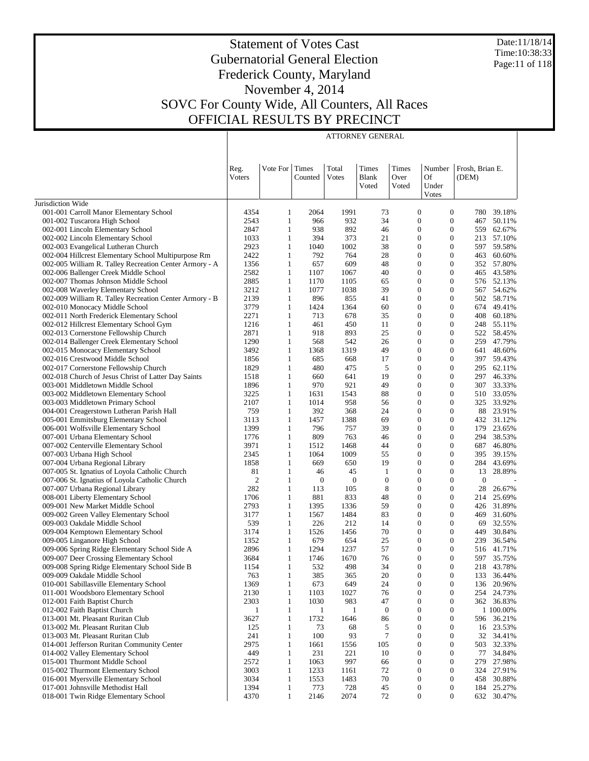Date:11/18/14 Time:10:38:33 Page:11 of 118

 $\overline{\phantom{a}}$ 

# Statement of Votes Cast Gubernatorial General Election Frederick County, Maryland November 4, 2014 SOVC For County Wide, All Counters, All Races OFFICIAL RESULTS BY PRECINCT

Τ

ATTORNEY GENERAL

|                                                                                                 | Reg.<br><b>V</b> oters | Vote For                     | Times<br>Counted | Total<br>Votes   | Times<br><b>Blank</b><br>Voted | Times<br>Over<br>Voted               | Number<br>Of<br>Under<br>Votes       | Frosh, Brian E.<br>(DEM) |                         |
|-------------------------------------------------------------------------------------------------|------------------------|------------------------------|------------------|------------------|--------------------------------|--------------------------------------|--------------------------------------|--------------------------|-------------------------|
| Jurisdiction Wide                                                                               |                        |                              |                  |                  |                                |                                      |                                      |                          |                         |
| 001-001 Carroll Manor Elementary School                                                         | 4354                   | $\mathbf{1}$                 | 2064             | 1991             | 73                             | $\boldsymbol{0}$                     | $\mathbf{0}$                         |                          | 780 39.18%              |
| 001-002 Tuscarora High School                                                                   | 2543                   | $\mathbf{1}$                 | 966              | 932              | 34                             | $\mathbf{0}$                         | $\mathbf{0}$                         | 467                      | 50.11%                  |
| 002-001 Lincoln Elementary School                                                               | 2847                   | $\mathbf{1}$                 | 938              | 892              | 46                             | $\mathbf{0}$                         | $\mathbf{0}$                         |                          | 559 62.67%              |
| 002-002 Lincoln Elementary School                                                               | 1033                   | $\mathbf{1}$                 | 394              | 373              | 21                             | $\mathbf{0}$                         | $\mathbf{0}$                         |                          | 213 57.10%              |
| 002-003 Evangelical Lutheran Church                                                             | 2923                   | $\mathbf{1}$                 | 1040             | 1002             | 38                             | $\mathbf{0}$                         | $\mathbf{0}$                         |                          | 597 59.58%              |
| 002-004 Hillcrest Elementary School Multipurpose Rm                                             | 2422                   | $\mathbf{1}$<br>$\mathbf{1}$ | 792<br>657       | 764              | 28                             | $\mathbf{0}$<br>$\mathbf{0}$         | $\mathbf{0}$<br>$\mathbf{0}$         | 463                      | 60.60%<br>352 57.80%    |
| 002-005 William R. Talley Recreation Center Armory - A<br>002-006 Ballenger Creek Middle School | 1356<br>2582           | $\mathbf{1}$                 | 1107             | 609<br>1067      | 48<br>40                       | $\mathbf{0}$                         | $\mathbf{0}$                         |                          | 465 43.58%              |
| 002-007 Thomas Johnson Middle School                                                            | 2885                   | $\mathbf{1}$                 | 1170             | 1105             | 65                             | $\mathbf{0}$                         | $\mathbf{0}$                         |                          | 576 52.13%              |
| 002-008 Waverley Elementary School                                                              | 3212                   | $\mathbf{1}$                 | 1077             | 1038             | 39                             | $\mathbf{0}$                         | $\mathbf{0}$                         |                          | 567 54.62%              |
| 002-009 William R. Talley Recreation Center Armory - B                                          | 2139                   | $\mathbf{1}$                 | 896              | 855              | 41                             | $\mathbf{0}$                         | $\mathbf{0}$                         |                          | 502 58.71%              |
| 002-010 Monocacy Middle School                                                                  | 3779                   | $\mathbf{1}$                 | 1424             | 1364             | 60                             | $\mathbf{0}$                         | $\mathbf{0}$                         | 674                      | 49.41%                  |
| 002-011 North Frederick Elementary School                                                       | 2271                   | $\mathbf{1}$                 | 713              | 678              | 35                             | $\mathbf{0}$                         | $\mathbf{0}$                         |                          | 408 60.18%              |
| 002-012 Hillcrest Elementary School Gym                                                         | 1216                   | $\mathbf{1}$                 | 461              | 450              | 11                             | $\mathbf{0}$                         | $\mathbf{0}$                         |                          | 248 55.11%              |
| 002-013 Cornerstone Fellowship Church                                                           | 2871                   | $\mathbf{1}$                 | 918              | 893              | 25                             | $\mathbf{0}$                         | $\mathbf{0}$                         |                          | 522 58.45%              |
| 002-014 Ballenger Creek Elementary School                                                       | 1290                   | $\mathbf{1}$                 | 568              | 542              | 26                             | $\mathbf{0}$                         | $\mathbf{0}$                         |                          | 259 47.79%              |
| 002-015 Monocacy Elementary School                                                              | 3492                   | $\mathbf{1}$                 | 1368             | 1319             | 49                             | $\mathbf{0}$                         | $\mathbf{0}$                         |                          | 641 48.60%              |
| 002-016 Crestwood Middle School                                                                 | 1856                   | $\mathbf{1}$                 | 685              | 668              | 17                             | $\mathbf{0}$                         | $\mathbf{0}$                         |                          | 397 59.43%              |
| 002-017 Cornerstone Fellowship Church                                                           | 1829                   | $\mathbf{1}$                 | 480              | 475              | 5                              | $\mathbf{0}$                         | $\mathbf{0}$                         |                          | 295 62.11%              |
| 002-018 Church of Jesus Christ of Latter Day Saints                                             | 1518                   | $\mathbf{1}$                 | 660              | 641              | 19                             | $\mathbf{0}$                         | $\mathbf{0}$                         |                          | 297 46.33%              |
| 003-001 Middletown Middle School                                                                | 1896                   | $\mathbf{1}$                 | 970              | 921              | 49                             | $\mathbf{0}$                         | $\mathbf{0}$                         |                          | 307 33.33%              |
| 003-002 Middletown Elementary School                                                            | 3225                   | $\mathbf{1}$                 | 1631             | 1543             | 88                             | $\mathbf{0}$                         | $\mathbf{0}$                         |                          | 510 33.05%              |
| 003-003 Middletown Primary School                                                               | 2107                   | $\mathbf{1}$                 | 1014             | 958              | 56                             | $\mathbf{0}$                         | $\boldsymbol{0}$                     |                          | 325 33.92%              |
| 004-001 Creagerstown Lutheran Parish Hall                                                       | 759                    | $\mathbf{1}$                 | 392              | 368              | 24                             | $\mathbf{0}$                         | $\mathbf{0}$                         |                          | 88 23.91%               |
| 005-001 Emmitsburg Elementary School                                                            | 3113                   | $\mathbf{1}$                 | 1457             | 1388             | 69                             | $\mathbf{0}$                         | $\mathbf{0}$                         |                          | 432 31.12%              |
| 006-001 Wolfsville Elementary School                                                            | 1399                   | $\mathbf{1}$                 | 796              | 757              | 39                             | $\mathbf{0}$                         | $\mathbf{0}$                         |                          | 179 23.65%              |
| 007-001 Urbana Elementary School                                                                | 1776                   | $\mathbf{1}$                 | 809              | 763              | 46                             | $\mathbf{0}$<br>$\mathbf{0}$         | $\mathbf{0}$                         | 294                      | 38.53%                  |
| 007-002 Centerville Elementary School<br>007-003 Urbana High School                             | 3971<br>2345           | $\mathbf{1}$<br>$\mathbf{1}$ | 1512<br>1064     | 1468<br>1009     | 44<br>55                       | $\mathbf{0}$                         | $\mathbf{0}$<br>$\mathbf{0}$         | 687<br>395               | 46.80%<br>39.15%        |
| 007-004 Urbana Regional Library                                                                 | 1858                   | $\mathbf{1}$                 | 669              | 650              | 19                             | $\mathbf{0}$                         | $\mathbf{0}$                         | 284                      | 43.69%                  |
| 007-005 St. Ignatius of Loyola Catholic Church                                                  | 81                     | $\mathbf{1}$                 | 46               | 45               | $\mathbf{1}$                   | $\mathbf{0}$                         | $\boldsymbol{0}$                     | 13                       | 28.89%                  |
| 007-006 St. Ignatius of Loyola Catholic Church                                                  | $\overline{2}$         | $\mathbf{1}$                 | $\boldsymbol{0}$ | $\boldsymbol{0}$ | $\boldsymbol{0}$               | $\mathbf{0}$                         | $\mathbf{0}$                         | $\mathbf{0}$             |                         |
| 007-007 Urbana Regional Library                                                                 | 282                    | $\mathbf{1}$                 | 113              | 105              | 8                              | $\mathbf{0}$                         | $\mathbf{0}$                         | 28                       | 26.67%                  |
| 008-001 Liberty Elementary School                                                               | 1706                   | $\mathbf{1}$                 | 881              | 833              | 48                             | $\mathbf{0}$                         | $\mathbf{0}$                         | 214                      | 25.69%                  |
| 009-001 New Market Middle School                                                                | 2793                   | $\mathbf{1}$                 | 1395             | 1336             | 59                             | $\mathbf{0}$                         | $\mathbf{0}$                         |                          | 426 31.89%              |
| 009-002 Green Valley Elementary School                                                          | 3177                   | $\mathbf{1}$                 | 1567             | 1484             | 83                             | $\mathbf{0}$                         | $\mathbf{0}$                         | 469                      | 31.60%                  |
| 009-003 Oakdale Middle School                                                                   | 539                    | $\mathbf{1}$                 | 226              | 212              | 14                             | $\mathbf{0}$                         | $\mathbf{0}$                         | 69                       | 32.55%                  |
| 009-004 Kemptown Elementary School                                                              | 3174                   | $\mathbf{1}$                 | 1526             | 1456             | 70                             | $\mathbf{0}$                         | $\mathbf{0}$                         | 449                      | 30.84%                  |
| 009-005 Linganore High School                                                                   | 1352                   | $\mathbf{1}$                 | 679              | 654              | 25                             | $\mathbf{0}$                         | $\mathbf{0}$                         | 239                      | 36.54%                  |
| 009-006 Spring Ridge Elementary School Side A                                                   | 2896                   | $\mathbf{1}$                 | 1294             | 1237             | 57                             | $\overline{0}$                       | $\mathbf{0}$                         |                          | 516 41.71%              |
| 009-007 Deer Crossing Elementary School                                                         | 3684                   | $\mathbf{1}$                 | 1746             | 1670             | 76                             | $\overline{0}$                       | $\mathbf{0}$                         |                          | 597 35.75%              |
| 009-008 Spring Ridge Elementary School Side B                                                   | 1154                   | $\mathbf{1}$                 | 532              | 498              | 34                             | $\mathbf{0}$                         | $\mathbf{0}$                         |                          | 218 43.78%              |
| 009-009 Oakdale Middle School                                                                   | 763                    | $\mathbf{1}$                 | 385              | 365              | 20                             | $\boldsymbol{0}$                     | $\boldsymbol{0}$                     | 133                      | 36.44%                  |
| 010-001 Sabillasville Elementary School                                                         | 1369                   | $\mathbf{1}$                 | 673              | 649              | 24                             | $\boldsymbol{0}$                     | $\boldsymbol{0}$                     |                          | 136 20.96%              |
| 011-001 Woodsboro Elementary School                                                             | 2130                   | $\mathbf{1}$                 | 1103             | 1027             | 76                             | $\boldsymbol{0}$                     | $\boldsymbol{0}$                     |                          | 254 24.73%              |
| 012-001 Faith Baptist Church                                                                    | 2303                   | $\mathbf{1}$                 | 1030             | 983              | 47                             | $\boldsymbol{0}$<br>$\boldsymbol{0}$ | $\boldsymbol{0}$<br>$\boldsymbol{0}$ |                          | 362 36.83%<br>1 100.00% |
| 012-002 Faith Baptist Church<br>013-001 Mt. Pleasant Ruritan Club                               | $\mathbf{1}$<br>3627   | $\mathbf{1}$<br>$\mathbf{1}$ | 1<br>1732        | 1<br>1646        | $\boldsymbol{0}$<br>86         | $\boldsymbol{0}$                     | $\boldsymbol{0}$                     |                          | 596 36.21%              |
| 013-002 Mt. Pleasant Ruritan Club                                                               | 125                    | $\mathbf{1}$                 | 73               | 68               | 5                              | $\boldsymbol{0}$                     | $\boldsymbol{0}$                     |                          | 16 23.53%               |
| 013-003 Mt. Pleasant Ruritan Club                                                               | 241                    | $\mathbf{1}$                 | 100              | 93               | 7                              | $\boldsymbol{0}$                     | $\boldsymbol{0}$                     |                          | 32 34.41%               |
| 014-001 Jefferson Ruritan Community Center                                                      | 2975                   | $\mathbf{1}$                 | 1661             | 1556             | 105                            | $\boldsymbol{0}$                     | $\boldsymbol{0}$                     |                          | 503 32.33%              |
| 014-002 Valley Elementary School                                                                | 449                    | $\mathbf{1}$                 | 231              | 221              | 10                             | $\boldsymbol{0}$                     | $\boldsymbol{0}$                     |                          | 77 34.84%               |
| 015-001 Thurmont Middle School                                                                  | 2572                   | $\mathbf{1}$                 | 1063             | 997              | 66                             | $\boldsymbol{0}$                     | $\boldsymbol{0}$                     |                          | 279 27.98%              |
| 015-002 Thurmont Elementary School                                                              | 3003                   | $\mathbf{1}$                 | 1233             | 1161             | 72                             | $\boldsymbol{0}$                     | $\boldsymbol{0}$                     |                          | 324 27.91%              |
| 016-001 Myersville Elementary School                                                            | 3034                   | $\mathbf{1}$                 | 1553             | 1483             | 70                             | $\boldsymbol{0}$                     | $\boldsymbol{0}$                     |                          | 458 30.88%              |
| 017-001 Johnsville Methodist Hall                                                               | 1394                   | $\mathbf{1}$                 | 773              | 728              | 45                             | $\boldsymbol{0}$                     | $\boldsymbol{0}$                     | 184                      | 25.27%                  |
| 018-001 Twin Ridge Elementary School                                                            | 4370                   | $\mathbf{1}$                 | 2146             | 2074             | $72\,$                         | $\boldsymbol{0}$                     | $\mathbf{0}$                         |                          | 632 30.47%              |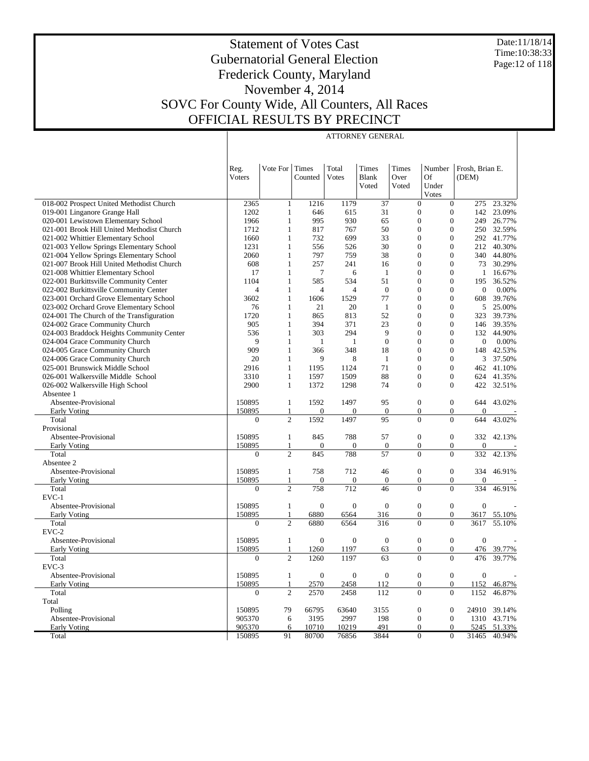Date:11/18/14 Time:10:38:33 Page:12 of 118

# Statement of Votes Cast Gubernatorial General Election Frederick County, Maryland November 4, 2014 SOVC For County Wide, All Counters, All Races OFFICIAL RESULTS BY PRECINCT

ATTORNEY GENERAL

|                                            | Reg.<br>Voters           | Vote For                       | <b>Times</b><br>Counted | Total<br><b>V</b> otes | <b>Times</b><br><b>Blank</b><br>Voted | Times<br>Over<br>Voted           | Number<br>Of<br>Under<br>Votes     | Frosh, Brian E.<br>(DEM) |                  |
|--------------------------------------------|--------------------------|--------------------------------|-------------------------|------------------------|---------------------------------------|----------------------------------|------------------------------------|--------------------------|------------------|
| 018-002 Prospect United Methodist Church   | 2365                     | $\mathbf{1}$                   | 1216                    | 1179                   | 37                                    | $\mathbf{0}$                     | $\mathbf{0}$                       | 275                      | 23.32%           |
| 019-001 Linganore Grange Hall              | 1202                     | $\mathbf{1}$                   | 646                     | 615                    | 31                                    | $\mathbf{0}$                     | $\boldsymbol{0}$                   | 142                      | 23.09%           |
| 020-001 Lewistown Elementary School        | 1966                     | $\mathbf{1}$                   | 995                     | 930                    | 65                                    | $\overline{0}$                   | $\overline{0}$                     | 249                      | 26.77%           |
| 021-001 Brook Hill United Methodist Church | 1712                     | $\mathbf{1}$                   | 817                     | 767                    | 50                                    | $\mathbf{0}$                     | $\overline{0}$                     | 250                      | 32.59%           |
| 021-002 Whittier Elementary School         | 1660                     | 1                              | 732                     | 699                    | 33                                    | $\mathbf{0}$                     | $\mathbf{0}$                       | 292                      | 41.77%           |
| 021-003 Yellow Springs Elementary School   | 1231                     | $\mathbf{1}$                   | 556                     | 526                    | 30                                    | $\Omega$                         | $\Omega$                           | 212                      | 40.30%           |
| 021-004 Yellow Springs Elementary School   | 2060                     | $\mathbf{1}$                   | 797                     | 759                    | 38                                    | $\mathbf{0}$                     | $\overline{0}$                     | 340                      | 44.80%           |
| 021-007 Brook Hill United Methodist Church | 608                      | $\mathbf{1}$                   | 257                     | 241                    | 16                                    | $\Omega$                         | $\overline{0}$                     | 73                       | 30.29%           |
| 021-008 Whittier Elementary School         | 17                       | $\mathbf{1}$                   | $\tau$                  | 6                      | 1                                     | $\theta$                         | $\theta$                           | 1                        | 16.67%           |
| 022-001 Burkittsville Community Center     | 1104                     | $\mathbf{1}$                   | 585                     | 534                    | 51                                    | $\mathbf{0}$                     | $\mathbf{0}$                       | 195                      | 36.52%           |
| 022-002 Burkittsville Community Center     | $\overline{4}$           | $\mathbf{1}$                   | $\overline{4}$          | $\overline{4}$         | $\mathbf{0}$                          | $\mathbf{0}$                     | $\boldsymbol{0}$                   | $\boldsymbol{0}$         | 0.00%            |
| 023-001 Orchard Grove Elementary School    | 3602                     | $\mathbf{1}$                   | 1606                    | 1529                   | 77                                    | $\mathbf{0}$                     | $\overline{0}$                     | 608                      | 39.76%           |
| 023-002 Orchard Grove Elementary School    | 76                       | $\mathbf{1}$                   | 21                      | 20                     | 1                                     | $\mathbf{0}$                     | $\mathbf{0}$                       | 5                        | 25.00%           |
| 024-001 The Church of the Transfiguration  | 1720                     | 1                              | 865                     | 813                    | 52                                    | $\theta$                         | $\mathbf{0}$                       | 323                      | 39.73%           |
| 024-002 Grace Community Church             | 905                      | $\mathbf{1}$                   | 394                     | 371                    | 23                                    | $\mathbf{0}$                     | $\overline{0}$                     | 146                      | 39.35%           |
| 024-003 Braddock Heights Community Center  | 536                      | $\mathbf{1}$                   | 303                     | 294                    | 9                                     | $\mathbf{0}$                     | $\overline{0}$                     | 132                      | 44.90%           |
| 024-004 Grace Community Church             | 9                        | $\mathbf{1}$                   | $\mathbf{1}$            | $\mathbf{1}$           | $\mathbf{0}$                          | $\mathbf{0}$                     | $\overline{0}$                     | $\overline{0}$           | 0.00%            |
| 024-005 Grace Community Church             | 909                      | $\mathbf{1}$                   | 366                     | 348                    | 18                                    | $\Omega$                         | $\Omega$                           | 148                      | 42.53%           |
| 024-006 Grace Community Church             | 20                       | $\mathbf{1}$                   | 9                       | 8                      | $\mathbf{1}$                          | $\Omega$                         | $\Omega$                           |                          | 3 37.50%         |
| 025-001 Brunswick Middle School            | 2916                     | $\mathbf{1}$                   | 1195                    | 1124                   | 71                                    | $\mathbf{0}$                     | $\overline{0}$                     |                          | 462 41.10%       |
| 026-001 Walkersville Middle School         | 3310                     | $\mathbf{1}$                   | 1597                    | 1509                   | 88                                    | $\boldsymbol{0}$                 | $\boldsymbol{0}$                   |                          | 624 41.35%       |
| 026-002 Walkersville High School           | 2900                     | $\mathbf{1}$                   | 1372                    | 1298                   | 74                                    | $\mathbf{0}$                     | $\overline{0}$                     |                          | 422 32.51%       |
| Absentee 1                                 |                          |                                |                         |                        |                                       |                                  |                                    |                          |                  |
| Absentee-Provisional                       | 150895                   | $\mathbf{1}$                   | 1592                    | 1497                   | 95                                    | $\boldsymbol{0}$                 | $\boldsymbol{0}$                   | 644                      | 43.02%           |
| Early Voting                               | 150895                   | $\mathbf{1}$                   | $\mathbf{0}$            | $\mathbf{0}$           | $\mathbf{0}$                          | $\mathbf{0}$                     | $\overline{0}$                     | $\overline{0}$           |                  |
| Total                                      | $\mathbf{0}$             | $\overline{c}$                 | 1592                    | 1497                   | 95                                    | $\Omega$                         | $\overline{0}$                     | 644                      | 43.02%           |
| Provisional                                |                          |                                |                         |                        |                                       |                                  |                                    |                          |                  |
| Absentee-Provisional                       | 150895                   | $\mathbf{1}$                   | 845                     | 788                    | 57                                    | $\mathbf{0}$                     | $\boldsymbol{0}$                   | 332                      | 42.13%           |
| Early Voting                               | 150895                   | $\mathbf{1}$                   | $\overline{0}$          | $\overline{0}$         | $\mathbf{0}$                          | $\mathbf{0}$                     | $\overline{0}$                     | $\overline{0}$           |                  |
| Total                                      | $\Omega$                 | $\overline{c}$                 | 845                     | 788                    | 57                                    | $\theta$                         | $\Omega$                           | 332                      | 42.13%           |
| Absentee 2                                 |                          |                                |                         |                        |                                       |                                  |                                    |                          |                  |
| Absentee-Provisional                       | 150895                   | $\mathbf{1}$                   | 758                     | 712                    | 46                                    | $\boldsymbol{0}$                 | $\boldsymbol{0}$                   | 334                      | 46.91%           |
| Early Voting                               | 150895                   | $\mathbf{1}$                   | $\mathbf{0}$            | $\boldsymbol{0}$       | $\boldsymbol{0}$                      | $\boldsymbol{0}$                 | $\boldsymbol{0}$                   | $\Omega$                 |                  |
| Total                                      | $\overline{0}$           | $\overline{c}$                 | 758                     | 712                    | 46                                    | $\mathbf{0}$                     | $\boldsymbol{0}$                   | 334                      | 46.91%           |
| $EVC-1$                                    |                          |                                |                         |                        |                                       |                                  |                                    |                          |                  |
| Absentee-Provisional                       | 150895                   | $\mathbf{1}$                   | $\mathbf{0}$            | $\mathbf{0}$           | $\mathbf{0}$                          | $\boldsymbol{0}$                 | $\boldsymbol{0}$                   | $\boldsymbol{0}$         |                  |
| <b>Early Voting</b>                        | 150895<br>$\overline{0}$ | $\mathbf{1}$<br>$\overline{c}$ | 6880                    | 6564                   | 316                                   | $\boldsymbol{0}$<br>$\mathbf{0}$ | $\boldsymbol{0}$<br>$\overline{0}$ | 3617                     | 55.10%<br>55.10% |
| Total<br>$EVC-2$                           |                          |                                | 6880                    | 6564                   | 316                                   |                                  |                                    | 3617                     |                  |
| Absentee-Provisional                       | 150895                   | $\mathbf{1}$                   | $\overline{0}$          | $\overline{0}$         | $\overline{0}$                        | $\overline{0}$                   | $\overline{0}$                     | $\mathbf{0}$             |                  |
| <b>Early Voting</b>                        | 150895                   | $\mathbf{1}$                   | 1260                    | 1197                   | 63                                    | $\overline{0}$                   | $\overline{0}$                     | 476                      | 39.77%           |
| Total                                      | $\Omega$                 | $\overline{c}$                 | 1260                    | 1197                   | 63                                    | $\theta$                         | $\Omega$                           | 476                      | 39.77%           |
| $EVC-3$                                    |                          |                                |                         |                        |                                       |                                  |                                    |                          |                  |
| Absentee-Provisional                       | 150895                   | $\mathbf{1}$                   | $\theta$                | $\boldsymbol{0}$       | $\Omega$                              | $\boldsymbol{0}$                 | $\boldsymbol{0}$                   | $\boldsymbol{0}$         |                  |
| Early Voting                               | 150895                   | $\mathbf{1}$                   | 2570                    | 2458                   | 112                                   | $\boldsymbol{0}$                 | $\boldsymbol{0}$                   | 1152                     | 46.87%           |
| Total                                      | $\overline{0}$           | $\overline{c}$                 | 2570                    | 2458                   | 112                                   | $\mathbf{0}$                     | $\mathbf{0}$                       | 1152                     | 46.87%           |
| Total                                      |                          |                                |                         |                        |                                       |                                  |                                    |                          |                  |
| Polling                                    | 150895                   | 79                             | 66795                   | 63640                  | 3155                                  | $\boldsymbol{0}$                 | $\mathbf{0}$                       | 24910                    | 39.14%           |
| Absentee-Provisional                       | 905370                   | 6                              | 3195                    | 2997                   | 198                                   | $\mathbf{0}$                     | $\overline{0}$                     | 1310                     | 43.71%           |
| Early Voting                               | 905370                   | 6                              | 10710                   | 10219                  | 491                                   | $\Omega$                         | $\Omega$                           | 5245                     | 51.33%           |
| Total                                      | 150895                   | 91                             | 80700                   | 76856                  | 3844                                  | $\Omega$                         | $\Omega$                           |                          | 31465 40.94%     |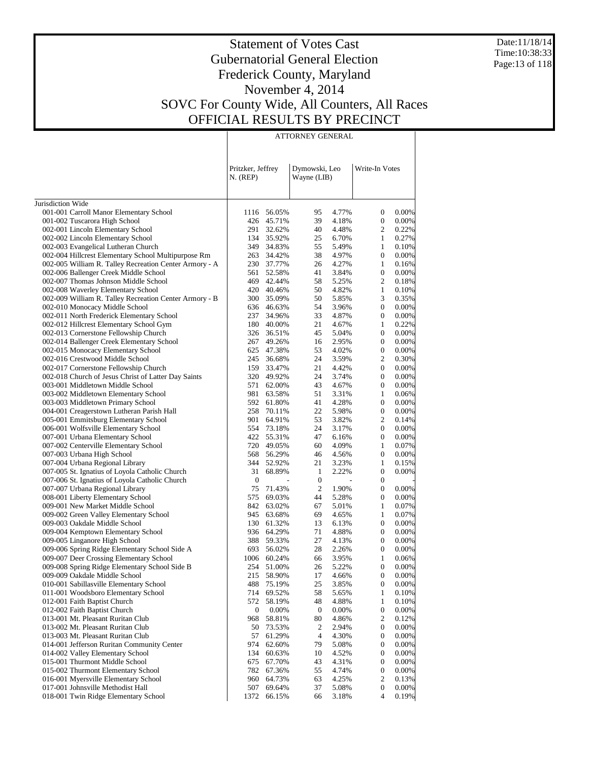Date:11/18/14 Time:10:38:33 Page:13 of 118

# Statement of Votes Cast Gubernatorial General Election Frederick County, Maryland November 4, 2014 SOVC For County Wide, All Counters, All Races OFFICIAL RESULTS BY PRECINCT

ATTORNEY GENERAL

| Dymowski, Leo<br>Write-In Votes<br>Pritzker, Jeffrey<br>$N.$ (REP)<br>Wayne (LIB)<br>Jurisdiction Wide<br>001-001 Carroll Manor Elementary School<br>4.77%<br>0.00%<br>1116 56.05%<br>95<br>$\mathbf{0}$<br>001-002 Tuscarora High School<br>426 45.71%<br>39<br>4.18%<br>$\mathbf{0}$<br>0.00%<br>2<br>002-001 Lincoln Elementary School<br>291 32.62%<br>40<br>4.48%<br>0.22%<br>002-002 Lincoln Elementary School<br>134 35.92%<br>25<br>6.70%<br>$\mathbf{1}$<br>0.27%<br>002-003 Evangelical Lutheran Church<br>349 34.83%<br>55<br>5.49%<br>$\mathbf{1}$<br>0.10%<br>$\mathbf{0}$<br>002-004 Hillcrest Elementary School Multipurpose Rm<br>263 34.42%<br>38<br>4.97%<br>0.00%<br>002-005 William R. Talley Recreation Center Armory - A<br>230 37.77%<br>26<br>4.27%<br>$\mathbf{1}$<br>0.16%<br>$\mathbf{0}$<br>002-006 Ballenger Creek Middle School<br>561 52.58%<br>41<br>3.84%<br>0.00%<br>2<br>002-007 Thomas Johnson Middle School<br>469 42.44%<br>58<br>5.25%<br>0.18%<br>002-008 Waverley Elementary School<br>50<br>4.82%<br>$\mathbf{1}$<br>0.10%<br>420 40.46%<br>$\mathfrak{Z}$<br>002-009 William R. Talley Recreation Center Armory - B<br>300 35.09%<br>50<br>5.85%<br>0.35%<br>$\mathbf{0}$<br>002-010 Monocacy Middle School<br>54<br>3.96%<br>0.00%<br>636 46.63%<br>002-011 North Frederick Elementary School<br>237<br>33<br>4.87%<br>$\mathbf{0}$<br>0.00%<br>34.96%<br>002-012 Hillcrest Elementary School Gym<br>21<br>4.67%<br>$\mathbf{1}$<br>0.22%<br>180 40.00%<br>002-013 Cornerstone Fellowship Church<br>326 36.51%<br>45<br>5.04%<br>$\boldsymbol{0}$<br>0.00%<br>$\mathbf{0}$<br>002-014 Ballenger Creek Elementary School<br>2.95%<br>0.00%<br>267 49.26%<br>16<br>002-015 Monocacy Elementary School<br>625 47.38%<br>53<br>4.02%<br>$\boldsymbol{0}$<br>0.00%<br>2<br>002-016 Crestwood Middle School<br>245 36.68%<br>24<br>3.59%<br>0.30%<br>002-017 Cornerstone Fellowship Church<br>159 33.47%<br>21<br>4.42%<br>$\boldsymbol{0}$<br>0.00%<br>$\overline{0}$<br>002-018 Church of Jesus Christ of Latter Day Saints<br>320 49.92%<br>24<br>3.74%<br>0.00%<br>003-001 Middletown Middle School<br>571 62.00%<br>43<br>4.67%<br>$\mathbf{0}$<br>0.00%<br>981 63.58%<br>51<br>3.31%<br>$\mathbf{1}$<br>0.06%<br>003-002 Middletown Elementary School<br>003-003 Middletown Primary School<br>592 61.80%<br>41<br>4.28%<br>$\boldsymbol{0}$<br>0.00%<br>$\boldsymbol{0}$<br>004-001 Creagerstown Lutheran Parish Hall<br>258 70.11%<br>22<br>5.98%<br>0.00%<br>$\overline{c}$<br>005-001 Emmitsburg Elementary School<br>901 64.91%<br>53<br>3.82%<br>0.14%<br>$\overline{0}$<br>006-001 Wolfsville Elementary School<br>554 73.18%<br>24<br>3.17%<br>0.00%<br>007-001 Urbana Elementary School<br>422 55.31%<br>47<br>6.16%<br>$\boldsymbol{0}$<br>0.00%<br>007-002 Centerville Elementary School<br>720 49.05%<br>60<br>4.09%<br>$\mathbf{1}$<br>0.07%<br>007-003 Urbana High School<br>568 56.29%<br>46<br>4.56%<br>$\boldsymbol{0}$<br>0.00%<br>007-004 Urbana Regional Library<br>344 52.92%<br>21<br>3.23%<br>$\mathbf{1}$<br>0.15%<br>2.22%<br>$\boldsymbol{0}$<br>007-005 St. Ignatius of Loyola Catholic Church<br>31 68.89%<br>$\mathbf{1}$<br>0.00%<br>007-006 St. Ignatius of Loyola Catholic Church<br>$\mathbf{0}$<br>$\mathbf{0}$<br>$\boldsymbol{0}$<br>007-007 Urbana Regional Library<br>75<br>71.43%<br>2<br>1.90%<br>$\boldsymbol{0}$<br>$0.00\%$<br>008-001 Liberty Elementary School<br>575 69.03%<br>44<br>5.28%<br>$\boldsymbol{0}$<br>0.00%<br>009-001 New Market Middle School<br>842 63.02%<br>67<br>5.01%<br>$\mathbf{1}$<br>0.07%<br>$\mathbf{1}$<br>009-002 Green Valley Elementary School<br>945 63.68%<br>69<br>4.65%<br>0.07%<br>009-003 Oakdale Middle School<br>130 61.32%<br>13<br>6.13%<br>$\boldsymbol{0}$<br>0.00%<br>936 64.29%<br>71<br>4.88%<br>$\boldsymbol{0}$<br>0.00%<br>009-004 Kemptown Elementary School<br>27<br>009-005 Linganore High School<br>388 59.33%<br>4.13%<br>$\boldsymbol{0}$<br>0.00%<br>$\mathbf{0}$<br>009-006 Spring Ridge Elementary School Side A<br>693 56.02%<br>28<br>2.26%<br>0.00%<br>009-007 Deer Crossing Elementary School<br>3.95%<br>$\mathbf{1}$<br>1006 60.24%<br>66<br>0.06%<br>$\boldsymbol{0}$<br>009-008 Spring Ridge Elementary School Side B<br>254 51.00%<br>26<br>5.22%<br>0.00%<br>009-009 Oakdale Middle School<br>215 58.90%<br>17<br>$\overline{0}$<br>$0.00\%$<br>4.66%<br>$\boldsymbol{0}$<br>$0.00\%$<br>010-001 Sabillasville Elementary School<br>488 75.19%<br>25<br>3.85%<br>011-001 Woodsboro Elementary School<br>69.52%<br>58<br>5.65%<br>1<br>0.10%<br>714<br>012-001 Faith Baptist Church<br>572<br>58.19%<br>48<br>4.88%<br>$\mathbf{1}$<br>0.10%<br>012-002 Faith Baptist Church<br>$\boldsymbol{0}$<br>0.00%<br>$\boldsymbol{0}$<br>0.00%<br>0<br>0.00%<br>2<br>013-001 Mt. Pleasant Ruritan Club<br>58.81%<br>80<br>4.86%<br>0.12%<br>968<br>013-002 Mt. Pleasant Ruritan Club<br>50 73.53%<br>2<br>2.94%<br>$\boldsymbol{0}$<br>0.00%<br>013-003 Mt. Pleasant Ruritan Club<br>61.29%<br>4<br>4.30%<br>$\boldsymbol{0}$<br>0.00%<br>57<br>014-001 Jefferson Ruritan Community Center<br>62.60%<br>79<br>5.08%<br>$\boldsymbol{0}$<br>0.00%<br>974<br>014-002 Valley Elementary School<br>134<br>60.63%<br>10<br>4.52%<br>$\boldsymbol{0}$<br>0.00%<br>015-001 Thurmont Middle School<br>67.70%<br>43<br>4.31%<br>$\boldsymbol{0}$<br>0.00%<br>675<br>015-002 Thurmont Elementary School<br>782<br>55<br>4.74%<br>$\boldsymbol{0}$<br>0.00%<br>67.36%<br>016-001 Myersville Elementary School<br>960<br>64.73%<br>63<br>4.25%<br>2<br>0.13%<br>017-001 Johnsville Methodist Hall<br>507<br>69.64%<br>37<br>5.08%<br>$\boldsymbol{0}$<br>$0.00\%$<br>018-001 Twin Ridge Elementary School<br>1372<br>66.15%<br>3.18%<br>4<br>0.19%<br>66 |  |  |  |  |
|------------------------------------------------------------------------------------------------------------------------------------------------------------------------------------------------------------------------------------------------------------------------------------------------------------------------------------------------------------------------------------------------------------------------------------------------------------------------------------------------------------------------------------------------------------------------------------------------------------------------------------------------------------------------------------------------------------------------------------------------------------------------------------------------------------------------------------------------------------------------------------------------------------------------------------------------------------------------------------------------------------------------------------------------------------------------------------------------------------------------------------------------------------------------------------------------------------------------------------------------------------------------------------------------------------------------------------------------------------------------------------------------------------------------------------------------------------------------------------------------------------------------------------------------------------------------------------------------------------------------------------------------------------------------------------------------------------------------------------------------------------------------------------------------------------------------------------------------------------------------------------------------------------------------------------------------------------------------------------------------------------------------------------------------------------------------------------------------------------------------------------------------------------------------------------------------------------------------------------------------------------------------------------------------------------------------------------------------------------------------------------------------------------------------------------------------------------------------------------------------------------------------------------------------------------------------------------------------------------------------------------------------------------------------------------------------------------------------------------------------------------------------------------------------------------------------------------------------------------------------------------------------------------------------------------------------------------------------------------------------------------------------------------------------------------------------------------------------------------------------------------------------------------------------------------------------------------------------------------------------------------------------------------------------------------------------------------------------------------------------------------------------------------------------------------------------------------------------------------------------------------------------------------------------------------------------------------------------------------------------------------------------------------------------------------------------------------------------------------------------------------------------------------------------------------------------------------------------------------------------------------------------------------------------------------------------------------------------------------------------------------------------------------------------------------------------------------------------------------------------------------------------------------------------------------------------------------------------------------------------------------------------------------------------------------------------------------------------------------------------------------------------------------------------------------------------------------------------------------------------------------------------------------------------------------------------------------------------------------------------------------------------------------------------------------------------------------------------------------------------------------------------------------------------------------------------------------------------------------------------------------------------------------------------------------------------------------------------------------------------------------------------------------------------------------------------------------------------------------------------------------------------------------------------------------------------------------------------------------------------------------------------------------------------------------------------------------------------------------------------------------------------------------------------------------------------------------------------------------------------------------------------------------------------------------------------------------------------------------------------------------------------------------------------------------------------------------------------------------------------------------------------------------------------|--|--|--|--|
|                                                                                                                                                                                                                                                                                                                                                                                                                                                                                                                                                                                                                                                                                                                                                                                                                                                                                                                                                                                                                                                                                                                                                                                                                                                                                                                                                                                                                                                                                                                                                                                                                                                                                                                                                                                                                                                                                                                                                                                                                                                                                                                                                                                                                                                                                                                                                                                                                                                                                                                                                                                                                                                                                                                                                                                                                                                                                                                                                                                                                                                                                                                                                                                                                                                                                                                                                                                                                                                                                                                                                                                                                                                                                                                                                                                                                                                                                                                                                                                                                                                                                                                                                                                                                                                                                                                                                                                                                                                                                                                                                                                                                                                                                                                                                                                                                                                                                                                                                                                                                                                                                                                                                                                                                                                                                                                                                                                                                                                                                                                                                                                                                                                                                                                                                                                                |  |  |  |  |
|                                                                                                                                                                                                                                                                                                                                                                                                                                                                                                                                                                                                                                                                                                                                                                                                                                                                                                                                                                                                                                                                                                                                                                                                                                                                                                                                                                                                                                                                                                                                                                                                                                                                                                                                                                                                                                                                                                                                                                                                                                                                                                                                                                                                                                                                                                                                                                                                                                                                                                                                                                                                                                                                                                                                                                                                                                                                                                                                                                                                                                                                                                                                                                                                                                                                                                                                                                                                                                                                                                                                                                                                                                                                                                                                                                                                                                                                                                                                                                                                                                                                                                                                                                                                                                                                                                                                                                                                                                                                                                                                                                                                                                                                                                                                                                                                                                                                                                                                                                                                                                                                                                                                                                                                                                                                                                                                                                                                                                                                                                                                                                                                                                                                                                                                                                                                |  |  |  |  |
|                                                                                                                                                                                                                                                                                                                                                                                                                                                                                                                                                                                                                                                                                                                                                                                                                                                                                                                                                                                                                                                                                                                                                                                                                                                                                                                                                                                                                                                                                                                                                                                                                                                                                                                                                                                                                                                                                                                                                                                                                                                                                                                                                                                                                                                                                                                                                                                                                                                                                                                                                                                                                                                                                                                                                                                                                                                                                                                                                                                                                                                                                                                                                                                                                                                                                                                                                                                                                                                                                                                                                                                                                                                                                                                                                                                                                                                                                                                                                                                                                                                                                                                                                                                                                                                                                                                                                                                                                                                                                                                                                                                                                                                                                                                                                                                                                                                                                                                                                                                                                                                                                                                                                                                                                                                                                                                                                                                                                                                                                                                                                                                                                                                                                                                                                                                                |  |  |  |  |
|                                                                                                                                                                                                                                                                                                                                                                                                                                                                                                                                                                                                                                                                                                                                                                                                                                                                                                                                                                                                                                                                                                                                                                                                                                                                                                                                                                                                                                                                                                                                                                                                                                                                                                                                                                                                                                                                                                                                                                                                                                                                                                                                                                                                                                                                                                                                                                                                                                                                                                                                                                                                                                                                                                                                                                                                                                                                                                                                                                                                                                                                                                                                                                                                                                                                                                                                                                                                                                                                                                                                                                                                                                                                                                                                                                                                                                                                                                                                                                                                                                                                                                                                                                                                                                                                                                                                                                                                                                                                                                                                                                                                                                                                                                                                                                                                                                                                                                                                                                                                                                                                                                                                                                                                                                                                                                                                                                                                                                                                                                                                                                                                                                                                                                                                                                                                |  |  |  |  |
|                                                                                                                                                                                                                                                                                                                                                                                                                                                                                                                                                                                                                                                                                                                                                                                                                                                                                                                                                                                                                                                                                                                                                                                                                                                                                                                                                                                                                                                                                                                                                                                                                                                                                                                                                                                                                                                                                                                                                                                                                                                                                                                                                                                                                                                                                                                                                                                                                                                                                                                                                                                                                                                                                                                                                                                                                                                                                                                                                                                                                                                                                                                                                                                                                                                                                                                                                                                                                                                                                                                                                                                                                                                                                                                                                                                                                                                                                                                                                                                                                                                                                                                                                                                                                                                                                                                                                                                                                                                                                                                                                                                                                                                                                                                                                                                                                                                                                                                                                                                                                                                                                                                                                                                                                                                                                                                                                                                                                                                                                                                                                                                                                                                                                                                                                                                                |  |  |  |  |
|                                                                                                                                                                                                                                                                                                                                                                                                                                                                                                                                                                                                                                                                                                                                                                                                                                                                                                                                                                                                                                                                                                                                                                                                                                                                                                                                                                                                                                                                                                                                                                                                                                                                                                                                                                                                                                                                                                                                                                                                                                                                                                                                                                                                                                                                                                                                                                                                                                                                                                                                                                                                                                                                                                                                                                                                                                                                                                                                                                                                                                                                                                                                                                                                                                                                                                                                                                                                                                                                                                                                                                                                                                                                                                                                                                                                                                                                                                                                                                                                                                                                                                                                                                                                                                                                                                                                                                                                                                                                                                                                                                                                                                                                                                                                                                                                                                                                                                                                                                                                                                                                                                                                                                                                                                                                                                                                                                                                                                                                                                                                                                                                                                                                                                                                                                                                |  |  |  |  |
|                                                                                                                                                                                                                                                                                                                                                                                                                                                                                                                                                                                                                                                                                                                                                                                                                                                                                                                                                                                                                                                                                                                                                                                                                                                                                                                                                                                                                                                                                                                                                                                                                                                                                                                                                                                                                                                                                                                                                                                                                                                                                                                                                                                                                                                                                                                                                                                                                                                                                                                                                                                                                                                                                                                                                                                                                                                                                                                                                                                                                                                                                                                                                                                                                                                                                                                                                                                                                                                                                                                                                                                                                                                                                                                                                                                                                                                                                                                                                                                                                                                                                                                                                                                                                                                                                                                                                                                                                                                                                                                                                                                                                                                                                                                                                                                                                                                                                                                                                                                                                                                                                                                                                                                                                                                                                                                                                                                                                                                                                                                                                                                                                                                                                                                                                                                                |  |  |  |  |
|                                                                                                                                                                                                                                                                                                                                                                                                                                                                                                                                                                                                                                                                                                                                                                                                                                                                                                                                                                                                                                                                                                                                                                                                                                                                                                                                                                                                                                                                                                                                                                                                                                                                                                                                                                                                                                                                                                                                                                                                                                                                                                                                                                                                                                                                                                                                                                                                                                                                                                                                                                                                                                                                                                                                                                                                                                                                                                                                                                                                                                                                                                                                                                                                                                                                                                                                                                                                                                                                                                                                                                                                                                                                                                                                                                                                                                                                                                                                                                                                                                                                                                                                                                                                                                                                                                                                                                                                                                                                                                                                                                                                                                                                                                                                                                                                                                                                                                                                                                                                                                                                                                                                                                                                                                                                                                                                                                                                                                                                                                                                                                                                                                                                                                                                                                                                |  |  |  |  |
|                                                                                                                                                                                                                                                                                                                                                                                                                                                                                                                                                                                                                                                                                                                                                                                                                                                                                                                                                                                                                                                                                                                                                                                                                                                                                                                                                                                                                                                                                                                                                                                                                                                                                                                                                                                                                                                                                                                                                                                                                                                                                                                                                                                                                                                                                                                                                                                                                                                                                                                                                                                                                                                                                                                                                                                                                                                                                                                                                                                                                                                                                                                                                                                                                                                                                                                                                                                                                                                                                                                                                                                                                                                                                                                                                                                                                                                                                                                                                                                                                                                                                                                                                                                                                                                                                                                                                                                                                                                                                                                                                                                                                                                                                                                                                                                                                                                                                                                                                                                                                                                                                                                                                                                                                                                                                                                                                                                                                                                                                                                                                                                                                                                                                                                                                                                                |  |  |  |  |
|                                                                                                                                                                                                                                                                                                                                                                                                                                                                                                                                                                                                                                                                                                                                                                                                                                                                                                                                                                                                                                                                                                                                                                                                                                                                                                                                                                                                                                                                                                                                                                                                                                                                                                                                                                                                                                                                                                                                                                                                                                                                                                                                                                                                                                                                                                                                                                                                                                                                                                                                                                                                                                                                                                                                                                                                                                                                                                                                                                                                                                                                                                                                                                                                                                                                                                                                                                                                                                                                                                                                                                                                                                                                                                                                                                                                                                                                                                                                                                                                                                                                                                                                                                                                                                                                                                                                                                                                                                                                                                                                                                                                                                                                                                                                                                                                                                                                                                                                                                                                                                                                                                                                                                                                                                                                                                                                                                                                                                                                                                                                                                                                                                                                                                                                                                                                |  |  |  |  |
|                                                                                                                                                                                                                                                                                                                                                                                                                                                                                                                                                                                                                                                                                                                                                                                                                                                                                                                                                                                                                                                                                                                                                                                                                                                                                                                                                                                                                                                                                                                                                                                                                                                                                                                                                                                                                                                                                                                                                                                                                                                                                                                                                                                                                                                                                                                                                                                                                                                                                                                                                                                                                                                                                                                                                                                                                                                                                                                                                                                                                                                                                                                                                                                                                                                                                                                                                                                                                                                                                                                                                                                                                                                                                                                                                                                                                                                                                                                                                                                                                                                                                                                                                                                                                                                                                                                                                                                                                                                                                                                                                                                                                                                                                                                                                                                                                                                                                                                                                                                                                                                                                                                                                                                                                                                                                                                                                                                                                                                                                                                                                                                                                                                                                                                                                                                                |  |  |  |  |
|                                                                                                                                                                                                                                                                                                                                                                                                                                                                                                                                                                                                                                                                                                                                                                                                                                                                                                                                                                                                                                                                                                                                                                                                                                                                                                                                                                                                                                                                                                                                                                                                                                                                                                                                                                                                                                                                                                                                                                                                                                                                                                                                                                                                                                                                                                                                                                                                                                                                                                                                                                                                                                                                                                                                                                                                                                                                                                                                                                                                                                                                                                                                                                                                                                                                                                                                                                                                                                                                                                                                                                                                                                                                                                                                                                                                                                                                                                                                                                                                                                                                                                                                                                                                                                                                                                                                                                                                                                                                                                                                                                                                                                                                                                                                                                                                                                                                                                                                                                                                                                                                                                                                                                                                                                                                                                                                                                                                                                                                                                                                                                                                                                                                                                                                                                                                |  |  |  |  |
|                                                                                                                                                                                                                                                                                                                                                                                                                                                                                                                                                                                                                                                                                                                                                                                                                                                                                                                                                                                                                                                                                                                                                                                                                                                                                                                                                                                                                                                                                                                                                                                                                                                                                                                                                                                                                                                                                                                                                                                                                                                                                                                                                                                                                                                                                                                                                                                                                                                                                                                                                                                                                                                                                                                                                                                                                                                                                                                                                                                                                                                                                                                                                                                                                                                                                                                                                                                                                                                                                                                                                                                                                                                                                                                                                                                                                                                                                                                                                                                                                                                                                                                                                                                                                                                                                                                                                                                                                                                                                                                                                                                                                                                                                                                                                                                                                                                                                                                                                                                                                                                                                                                                                                                                                                                                                                                                                                                                                                                                                                                                                                                                                                                                                                                                                                                                |  |  |  |  |
|                                                                                                                                                                                                                                                                                                                                                                                                                                                                                                                                                                                                                                                                                                                                                                                                                                                                                                                                                                                                                                                                                                                                                                                                                                                                                                                                                                                                                                                                                                                                                                                                                                                                                                                                                                                                                                                                                                                                                                                                                                                                                                                                                                                                                                                                                                                                                                                                                                                                                                                                                                                                                                                                                                                                                                                                                                                                                                                                                                                                                                                                                                                                                                                                                                                                                                                                                                                                                                                                                                                                                                                                                                                                                                                                                                                                                                                                                                                                                                                                                                                                                                                                                                                                                                                                                                                                                                                                                                                                                                                                                                                                                                                                                                                                                                                                                                                                                                                                                                                                                                                                                                                                                                                                                                                                                                                                                                                                                                                                                                                                                                                                                                                                                                                                                                                                |  |  |  |  |
|                                                                                                                                                                                                                                                                                                                                                                                                                                                                                                                                                                                                                                                                                                                                                                                                                                                                                                                                                                                                                                                                                                                                                                                                                                                                                                                                                                                                                                                                                                                                                                                                                                                                                                                                                                                                                                                                                                                                                                                                                                                                                                                                                                                                                                                                                                                                                                                                                                                                                                                                                                                                                                                                                                                                                                                                                                                                                                                                                                                                                                                                                                                                                                                                                                                                                                                                                                                                                                                                                                                                                                                                                                                                                                                                                                                                                                                                                                                                                                                                                                                                                                                                                                                                                                                                                                                                                                                                                                                                                                                                                                                                                                                                                                                                                                                                                                                                                                                                                                                                                                                                                                                                                                                                                                                                                                                                                                                                                                                                                                                                                                                                                                                                                                                                                                                                |  |  |  |  |
|                                                                                                                                                                                                                                                                                                                                                                                                                                                                                                                                                                                                                                                                                                                                                                                                                                                                                                                                                                                                                                                                                                                                                                                                                                                                                                                                                                                                                                                                                                                                                                                                                                                                                                                                                                                                                                                                                                                                                                                                                                                                                                                                                                                                                                                                                                                                                                                                                                                                                                                                                                                                                                                                                                                                                                                                                                                                                                                                                                                                                                                                                                                                                                                                                                                                                                                                                                                                                                                                                                                                                                                                                                                                                                                                                                                                                                                                                                                                                                                                                                                                                                                                                                                                                                                                                                                                                                                                                                                                                                                                                                                                                                                                                                                                                                                                                                                                                                                                                                                                                                                                                                                                                                                                                                                                                                                                                                                                                                                                                                                                                                                                                                                                                                                                                                                                |  |  |  |  |
|                                                                                                                                                                                                                                                                                                                                                                                                                                                                                                                                                                                                                                                                                                                                                                                                                                                                                                                                                                                                                                                                                                                                                                                                                                                                                                                                                                                                                                                                                                                                                                                                                                                                                                                                                                                                                                                                                                                                                                                                                                                                                                                                                                                                                                                                                                                                                                                                                                                                                                                                                                                                                                                                                                                                                                                                                                                                                                                                                                                                                                                                                                                                                                                                                                                                                                                                                                                                                                                                                                                                                                                                                                                                                                                                                                                                                                                                                                                                                                                                                                                                                                                                                                                                                                                                                                                                                                                                                                                                                                                                                                                                                                                                                                                                                                                                                                                                                                                                                                                                                                                                                                                                                                                                                                                                                                                                                                                                                                                                                                                                                                                                                                                                                                                                                                                                |  |  |  |  |
|                                                                                                                                                                                                                                                                                                                                                                                                                                                                                                                                                                                                                                                                                                                                                                                                                                                                                                                                                                                                                                                                                                                                                                                                                                                                                                                                                                                                                                                                                                                                                                                                                                                                                                                                                                                                                                                                                                                                                                                                                                                                                                                                                                                                                                                                                                                                                                                                                                                                                                                                                                                                                                                                                                                                                                                                                                                                                                                                                                                                                                                                                                                                                                                                                                                                                                                                                                                                                                                                                                                                                                                                                                                                                                                                                                                                                                                                                                                                                                                                                                                                                                                                                                                                                                                                                                                                                                                                                                                                                                                                                                                                                                                                                                                                                                                                                                                                                                                                                                                                                                                                                                                                                                                                                                                                                                                                                                                                                                                                                                                                                                                                                                                                                                                                                                                                |  |  |  |  |
|                                                                                                                                                                                                                                                                                                                                                                                                                                                                                                                                                                                                                                                                                                                                                                                                                                                                                                                                                                                                                                                                                                                                                                                                                                                                                                                                                                                                                                                                                                                                                                                                                                                                                                                                                                                                                                                                                                                                                                                                                                                                                                                                                                                                                                                                                                                                                                                                                                                                                                                                                                                                                                                                                                                                                                                                                                                                                                                                                                                                                                                                                                                                                                                                                                                                                                                                                                                                                                                                                                                                                                                                                                                                                                                                                                                                                                                                                                                                                                                                                                                                                                                                                                                                                                                                                                                                                                                                                                                                                                                                                                                                                                                                                                                                                                                                                                                                                                                                                                                                                                                                                                                                                                                                                                                                                                                                                                                                                                                                                                                                                                                                                                                                                                                                                                                                |  |  |  |  |
|                                                                                                                                                                                                                                                                                                                                                                                                                                                                                                                                                                                                                                                                                                                                                                                                                                                                                                                                                                                                                                                                                                                                                                                                                                                                                                                                                                                                                                                                                                                                                                                                                                                                                                                                                                                                                                                                                                                                                                                                                                                                                                                                                                                                                                                                                                                                                                                                                                                                                                                                                                                                                                                                                                                                                                                                                                                                                                                                                                                                                                                                                                                                                                                                                                                                                                                                                                                                                                                                                                                                                                                                                                                                                                                                                                                                                                                                                                                                                                                                                                                                                                                                                                                                                                                                                                                                                                                                                                                                                                                                                                                                                                                                                                                                                                                                                                                                                                                                                                                                                                                                                                                                                                                                                                                                                                                                                                                                                                                                                                                                                                                                                                                                                                                                                                                                |  |  |  |  |
|                                                                                                                                                                                                                                                                                                                                                                                                                                                                                                                                                                                                                                                                                                                                                                                                                                                                                                                                                                                                                                                                                                                                                                                                                                                                                                                                                                                                                                                                                                                                                                                                                                                                                                                                                                                                                                                                                                                                                                                                                                                                                                                                                                                                                                                                                                                                                                                                                                                                                                                                                                                                                                                                                                                                                                                                                                                                                                                                                                                                                                                                                                                                                                                                                                                                                                                                                                                                                                                                                                                                                                                                                                                                                                                                                                                                                                                                                                                                                                                                                                                                                                                                                                                                                                                                                                                                                                                                                                                                                                                                                                                                                                                                                                                                                                                                                                                                                                                                                                                                                                                                                                                                                                                                                                                                                                                                                                                                                                                                                                                                                                                                                                                                                                                                                                                                |  |  |  |  |
|                                                                                                                                                                                                                                                                                                                                                                                                                                                                                                                                                                                                                                                                                                                                                                                                                                                                                                                                                                                                                                                                                                                                                                                                                                                                                                                                                                                                                                                                                                                                                                                                                                                                                                                                                                                                                                                                                                                                                                                                                                                                                                                                                                                                                                                                                                                                                                                                                                                                                                                                                                                                                                                                                                                                                                                                                                                                                                                                                                                                                                                                                                                                                                                                                                                                                                                                                                                                                                                                                                                                                                                                                                                                                                                                                                                                                                                                                                                                                                                                                                                                                                                                                                                                                                                                                                                                                                                                                                                                                                                                                                                                                                                                                                                                                                                                                                                                                                                                                                                                                                                                                                                                                                                                                                                                                                                                                                                                                                                                                                                                                                                                                                                                                                                                                                                                |  |  |  |  |
|                                                                                                                                                                                                                                                                                                                                                                                                                                                                                                                                                                                                                                                                                                                                                                                                                                                                                                                                                                                                                                                                                                                                                                                                                                                                                                                                                                                                                                                                                                                                                                                                                                                                                                                                                                                                                                                                                                                                                                                                                                                                                                                                                                                                                                                                                                                                                                                                                                                                                                                                                                                                                                                                                                                                                                                                                                                                                                                                                                                                                                                                                                                                                                                                                                                                                                                                                                                                                                                                                                                                                                                                                                                                                                                                                                                                                                                                                                                                                                                                                                                                                                                                                                                                                                                                                                                                                                                                                                                                                                                                                                                                                                                                                                                                                                                                                                                                                                                                                                                                                                                                                                                                                                                                                                                                                                                                                                                                                                                                                                                                                                                                                                                                                                                                                                                                |  |  |  |  |
|                                                                                                                                                                                                                                                                                                                                                                                                                                                                                                                                                                                                                                                                                                                                                                                                                                                                                                                                                                                                                                                                                                                                                                                                                                                                                                                                                                                                                                                                                                                                                                                                                                                                                                                                                                                                                                                                                                                                                                                                                                                                                                                                                                                                                                                                                                                                                                                                                                                                                                                                                                                                                                                                                                                                                                                                                                                                                                                                                                                                                                                                                                                                                                                                                                                                                                                                                                                                                                                                                                                                                                                                                                                                                                                                                                                                                                                                                                                                                                                                                                                                                                                                                                                                                                                                                                                                                                                                                                                                                                                                                                                                                                                                                                                                                                                                                                                                                                                                                                                                                                                                                                                                                                                                                                                                                                                                                                                                                                                                                                                                                                                                                                                                                                                                                                                                |  |  |  |  |
|                                                                                                                                                                                                                                                                                                                                                                                                                                                                                                                                                                                                                                                                                                                                                                                                                                                                                                                                                                                                                                                                                                                                                                                                                                                                                                                                                                                                                                                                                                                                                                                                                                                                                                                                                                                                                                                                                                                                                                                                                                                                                                                                                                                                                                                                                                                                                                                                                                                                                                                                                                                                                                                                                                                                                                                                                                                                                                                                                                                                                                                                                                                                                                                                                                                                                                                                                                                                                                                                                                                                                                                                                                                                                                                                                                                                                                                                                                                                                                                                                                                                                                                                                                                                                                                                                                                                                                                                                                                                                                                                                                                                                                                                                                                                                                                                                                                                                                                                                                                                                                                                                                                                                                                                                                                                                                                                                                                                                                                                                                                                                                                                                                                                                                                                                                                                |  |  |  |  |
|                                                                                                                                                                                                                                                                                                                                                                                                                                                                                                                                                                                                                                                                                                                                                                                                                                                                                                                                                                                                                                                                                                                                                                                                                                                                                                                                                                                                                                                                                                                                                                                                                                                                                                                                                                                                                                                                                                                                                                                                                                                                                                                                                                                                                                                                                                                                                                                                                                                                                                                                                                                                                                                                                                                                                                                                                                                                                                                                                                                                                                                                                                                                                                                                                                                                                                                                                                                                                                                                                                                                                                                                                                                                                                                                                                                                                                                                                                                                                                                                                                                                                                                                                                                                                                                                                                                                                                                                                                                                                                                                                                                                                                                                                                                                                                                                                                                                                                                                                                                                                                                                                                                                                                                                                                                                                                                                                                                                                                                                                                                                                                                                                                                                                                                                                                                                |  |  |  |  |
|                                                                                                                                                                                                                                                                                                                                                                                                                                                                                                                                                                                                                                                                                                                                                                                                                                                                                                                                                                                                                                                                                                                                                                                                                                                                                                                                                                                                                                                                                                                                                                                                                                                                                                                                                                                                                                                                                                                                                                                                                                                                                                                                                                                                                                                                                                                                                                                                                                                                                                                                                                                                                                                                                                                                                                                                                                                                                                                                                                                                                                                                                                                                                                                                                                                                                                                                                                                                                                                                                                                                                                                                                                                                                                                                                                                                                                                                                                                                                                                                                                                                                                                                                                                                                                                                                                                                                                                                                                                                                                                                                                                                                                                                                                                                                                                                                                                                                                                                                                                                                                                                                                                                                                                                                                                                                                                                                                                                                                                                                                                                                                                                                                                                                                                                                                                                |  |  |  |  |
|                                                                                                                                                                                                                                                                                                                                                                                                                                                                                                                                                                                                                                                                                                                                                                                                                                                                                                                                                                                                                                                                                                                                                                                                                                                                                                                                                                                                                                                                                                                                                                                                                                                                                                                                                                                                                                                                                                                                                                                                                                                                                                                                                                                                                                                                                                                                                                                                                                                                                                                                                                                                                                                                                                                                                                                                                                                                                                                                                                                                                                                                                                                                                                                                                                                                                                                                                                                                                                                                                                                                                                                                                                                                                                                                                                                                                                                                                                                                                                                                                                                                                                                                                                                                                                                                                                                                                                                                                                                                                                                                                                                                                                                                                                                                                                                                                                                                                                                                                                                                                                                                                                                                                                                                                                                                                                                                                                                                                                                                                                                                                                                                                                                                                                                                                                                                |  |  |  |  |
|                                                                                                                                                                                                                                                                                                                                                                                                                                                                                                                                                                                                                                                                                                                                                                                                                                                                                                                                                                                                                                                                                                                                                                                                                                                                                                                                                                                                                                                                                                                                                                                                                                                                                                                                                                                                                                                                                                                                                                                                                                                                                                                                                                                                                                                                                                                                                                                                                                                                                                                                                                                                                                                                                                                                                                                                                                                                                                                                                                                                                                                                                                                                                                                                                                                                                                                                                                                                                                                                                                                                                                                                                                                                                                                                                                                                                                                                                                                                                                                                                                                                                                                                                                                                                                                                                                                                                                                                                                                                                                                                                                                                                                                                                                                                                                                                                                                                                                                                                                                                                                                                                                                                                                                                                                                                                                                                                                                                                                                                                                                                                                                                                                                                                                                                                                                                |  |  |  |  |
|                                                                                                                                                                                                                                                                                                                                                                                                                                                                                                                                                                                                                                                                                                                                                                                                                                                                                                                                                                                                                                                                                                                                                                                                                                                                                                                                                                                                                                                                                                                                                                                                                                                                                                                                                                                                                                                                                                                                                                                                                                                                                                                                                                                                                                                                                                                                                                                                                                                                                                                                                                                                                                                                                                                                                                                                                                                                                                                                                                                                                                                                                                                                                                                                                                                                                                                                                                                                                                                                                                                                                                                                                                                                                                                                                                                                                                                                                                                                                                                                                                                                                                                                                                                                                                                                                                                                                                                                                                                                                                                                                                                                                                                                                                                                                                                                                                                                                                                                                                                                                                                                                                                                                                                                                                                                                                                                                                                                                                                                                                                                                                                                                                                                                                                                                                                                |  |  |  |  |
|                                                                                                                                                                                                                                                                                                                                                                                                                                                                                                                                                                                                                                                                                                                                                                                                                                                                                                                                                                                                                                                                                                                                                                                                                                                                                                                                                                                                                                                                                                                                                                                                                                                                                                                                                                                                                                                                                                                                                                                                                                                                                                                                                                                                                                                                                                                                                                                                                                                                                                                                                                                                                                                                                                                                                                                                                                                                                                                                                                                                                                                                                                                                                                                                                                                                                                                                                                                                                                                                                                                                                                                                                                                                                                                                                                                                                                                                                                                                                                                                                                                                                                                                                                                                                                                                                                                                                                                                                                                                                                                                                                                                                                                                                                                                                                                                                                                                                                                                                                                                                                                                                                                                                                                                                                                                                                                                                                                                                                                                                                                                                                                                                                                                                                                                                                                                |  |  |  |  |
|                                                                                                                                                                                                                                                                                                                                                                                                                                                                                                                                                                                                                                                                                                                                                                                                                                                                                                                                                                                                                                                                                                                                                                                                                                                                                                                                                                                                                                                                                                                                                                                                                                                                                                                                                                                                                                                                                                                                                                                                                                                                                                                                                                                                                                                                                                                                                                                                                                                                                                                                                                                                                                                                                                                                                                                                                                                                                                                                                                                                                                                                                                                                                                                                                                                                                                                                                                                                                                                                                                                                                                                                                                                                                                                                                                                                                                                                                                                                                                                                                                                                                                                                                                                                                                                                                                                                                                                                                                                                                                                                                                                                                                                                                                                                                                                                                                                                                                                                                                                                                                                                                                                                                                                                                                                                                                                                                                                                                                                                                                                                                                                                                                                                                                                                                                                                |  |  |  |  |
|                                                                                                                                                                                                                                                                                                                                                                                                                                                                                                                                                                                                                                                                                                                                                                                                                                                                                                                                                                                                                                                                                                                                                                                                                                                                                                                                                                                                                                                                                                                                                                                                                                                                                                                                                                                                                                                                                                                                                                                                                                                                                                                                                                                                                                                                                                                                                                                                                                                                                                                                                                                                                                                                                                                                                                                                                                                                                                                                                                                                                                                                                                                                                                                                                                                                                                                                                                                                                                                                                                                                                                                                                                                                                                                                                                                                                                                                                                                                                                                                                                                                                                                                                                                                                                                                                                                                                                                                                                                                                                                                                                                                                                                                                                                                                                                                                                                                                                                                                                                                                                                                                                                                                                                                                                                                                                                                                                                                                                                                                                                                                                                                                                                                                                                                                                                                |  |  |  |  |
|                                                                                                                                                                                                                                                                                                                                                                                                                                                                                                                                                                                                                                                                                                                                                                                                                                                                                                                                                                                                                                                                                                                                                                                                                                                                                                                                                                                                                                                                                                                                                                                                                                                                                                                                                                                                                                                                                                                                                                                                                                                                                                                                                                                                                                                                                                                                                                                                                                                                                                                                                                                                                                                                                                                                                                                                                                                                                                                                                                                                                                                                                                                                                                                                                                                                                                                                                                                                                                                                                                                                                                                                                                                                                                                                                                                                                                                                                                                                                                                                                                                                                                                                                                                                                                                                                                                                                                                                                                                                                                                                                                                                                                                                                                                                                                                                                                                                                                                                                                                                                                                                                                                                                                                                                                                                                                                                                                                                                                                                                                                                                                                                                                                                                                                                                                                                |  |  |  |  |
|                                                                                                                                                                                                                                                                                                                                                                                                                                                                                                                                                                                                                                                                                                                                                                                                                                                                                                                                                                                                                                                                                                                                                                                                                                                                                                                                                                                                                                                                                                                                                                                                                                                                                                                                                                                                                                                                                                                                                                                                                                                                                                                                                                                                                                                                                                                                                                                                                                                                                                                                                                                                                                                                                                                                                                                                                                                                                                                                                                                                                                                                                                                                                                                                                                                                                                                                                                                                                                                                                                                                                                                                                                                                                                                                                                                                                                                                                                                                                                                                                                                                                                                                                                                                                                                                                                                                                                                                                                                                                                                                                                                                                                                                                                                                                                                                                                                                                                                                                                                                                                                                                                                                                                                                                                                                                                                                                                                                                                                                                                                                                                                                                                                                                                                                                                                                |  |  |  |  |
|                                                                                                                                                                                                                                                                                                                                                                                                                                                                                                                                                                                                                                                                                                                                                                                                                                                                                                                                                                                                                                                                                                                                                                                                                                                                                                                                                                                                                                                                                                                                                                                                                                                                                                                                                                                                                                                                                                                                                                                                                                                                                                                                                                                                                                                                                                                                                                                                                                                                                                                                                                                                                                                                                                                                                                                                                                                                                                                                                                                                                                                                                                                                                                                                                                                                                                                                                                                                                                                                                                                                                                                                                                                                                                                                                                                                                                                                                                                                                                                                                                                                                                                                                                                                                                                                                                                                                                                                                                                                                                                                                                                                                                                                                                                                                                                                                                                                                                                                                                                                                                                                                                                                                                                                                                                                                                                                                                                                                                                                                                                                                                                                                                                                                                                                                                                                |  |  |  |  |
|                                                                                                                                                                                                                                                                                                                                                                                                                                                                                                                                                                                                                                                                                                                                                                                                                                                                                                                                                                                                                                                                                                                                                                                                                                                                                                                                                                                                                                                                                                                                                                                                                                                                                                                                                                                                                                                                                                                                                                                                                                                                                                                                                                                                                                                                                                                                                                                                                                                                                                                                                                                                                                                                                                                                                                                                                                                                                                                                                                                                                                                                                                                                                                                                                                                                                                                                                                                                                                                                                                                                                                                                                                                                                                                                                                                                                                                                                                                                                                                                                                                                                                                                                                                                                                                                                                                                                                                                                                                                                                                                                                                                                                                                                                                                                                                                                                                                                                                                                                                                                                                                                                                                                                                                                                                                                                                                                                                                                                                                                                                                                                                                                                                                                                                                                                                                |  |  |  |  |
|                                                                                                                                                                                                                                                                                                                                                                                                                                                                                                                                                                                                                                                                                                                                                                                                                                                                                                                                                                                                                                                                                                                                                                                                                                                                                                                                                                                                                                                                                                                                                                                                                                                                                                                                                                                                                                                                                                                                                                                                                                                                                                                                                                                                                                                                                                                                                                                                                                                                                                                                                                                                                                                                                                                                                                                                                                                                                                                                                                                                                                                                                                                                                                                                                                                                                                                                                                                                                                                                                                                                                                                                                                                                                                                                                                                                                                                                                                                                                                                                                                                                                                                                                                                                                                                                                                                                                                                                                                                                                                                                                                                                                                                                                                                                                                                                                                                                                                                                                                                                                                                                                                                                                                                                                                                                                                                                                                                                                                                                                                                                                                                                                                                                                                                                                                                                |  |  |  |  |
|                                                                                                                                                                                                                                                                                                                                                                                                                                                                                                                                                                                                                                                                                                                                                                                                                                                                                                                                                                                                                                                                                                                                                                                                                                                                                                                                                                                                                                                                                                                                                                                                                                                                                                                                                                                                                                                                                                                                                                                                                                                                                                                                                                                                                                                                                                                                                                                                                                                                                                                                                                                                                                                                                                                                                                                                                                                                                                                                                                                                                                                                                                                                                                                                                                                                                                                                                                                                                                                                                                                                                                                                                                                                                                                                                                                                                                                                                                                                                                                                                                                                                                                                                                                                                                                                                                                                                                                                                                                                                                                                                                                                                                                                                                                                                                                                                                                                                                                                                                                                                                                                                                                                                                                                                                                                                                                                                                                                                                                                                                                                                                                                                                                                                                                                                                                                |  |  |  |  |
|                                                                                                                                                                                                                                                                                                                                                                                                                                                                                                                                                                                                                                                                                                                                                                                                                                                                                                                                                                                                                                                                                                                                                                                                                                                                                                                                                                                                                                                                                                                                                                                                                                                                                                                                                                                                                                                                                                                                                                                                                                                                                                                                                                                                                                                                                                                                                                                                                                                                                                                                                                                                                                                                                                                                                                                                                                                                                                                                                                                                                                                                                                                                                                                                                                                                                                                                                                                                                                                                                                                                                                                                                                                                                                                                                                                                                                                                                                                                                                                                                                                                                                                                                                                                                                                                                                                                                                                                                                                                                                                                                                                                                                                                                                                                                                                                                                                                                                                                                                                                                                                                                                                                                                                                                                                                                                                                                                                                                                                                                                                                                                                                                                                                                                                                                                                                |  |  |  |  |
|                                                                                                                                                                                                                                                                                                                                                                                                                                                                                                                                                                                                                                                                                                                                                                                                                                                                                                                                                                                                                                                                                                                                                                                                                                                                                                                                                                                                                                                                                                                                                                                                                                                                                                                                                                                                                                                                                                                                                                                                                                                                                                                                                                                                                                                                                                                                                                                                                                                                                                                                                                                                                                                                                                                                                                                                                                                                                                                                                                                                                                                                                                                                                                                                                                                                                                                                                                                                                                                                                                                                                                                                                                                                                                                                                                                                                                                                                                                                                                                                                                                                                                                                                                                                                                                                                                                                                                                                                                                                                                                                                                                                                                                                                                                                                                                                                                                                                                                                                                                                                                                                                                                                                                                                                                                                                                                                                                                                                                                                                                                                                                                                                                                                                                                                                                                                |  |  |  |  |
|                                                                                                                                                                                                                                                                                                                                                                                                                                                                                                                                                                                                                                                                                                                                                                                                                                                                                                                                                                                                                                                                                                                                                                                                                                                                                                                                                                                                                                                                                                                                                                                                                                                                                                                                                                                                                                                                                                                                                                                                                                                                                                                                                                                                                                                                                                                                                                                                                                                                                                                                                                                                                                                                                                                                                                                                                                                                                                                                                                                                                                                                                                                                                                                                                                                                                                                                                                                                                                                                                                                                                                                                                                                                                                                                                                                                                                                                                                                                                                                                                                                                                                                                                                                                                                                                                                                                                                                                                                                                                                                                                                                                                                                                                                                                                                                                                                                                                                                                                                                                                                                                                                                                                                                                                                                                                                                                                                                                                                                                                                                                                                                                                                                                                                                                                                                                |  |  |  |  |
|                                                                                                                                                                                                                                                                                                                                                                                                                                                                                                                                                                                                                                                                                                                                                                                                                                                                                                                                                                                                                                                                                                                                                                                                                                                                                                                                                                                                                                                                                                                                                                                                                                                                                                                                                                                                                                                                                                                                                                                                                                                                                                                                                                                                                                                                                                                                                                                                                                                                                                                                                                                                                                                                                                                                                                                                                                                                                                                                                                                                                                                                                                                                                                                                                                                                                                                                                                                                                                                                                                                                                                                                                                                                                                                                                                                                                                                                                                                                                                                                                                                                                                                                                                                                                                                                                                                                                                                                                                                                                                                                                                                                                                                                                                                                                                                                                                                                                                                                                                                                                                                                                                                                                                                                                                                                                                                                                                                                                                                                                                                                                                                                                                                                                                                                                                                                |  |  |  |  |
|                                                                                                                                                                                                                                                                                                                                                                                                                                                                                                                                                                                                                                                                                                                                                                                                                                                                                                                                                                                                                                                                                                                                                                                                                                                                                                                                                                                                                                                                                                                                                                                                                                                                                                                                                                                                                                                                                                                                                                                                                                                                                                                                                                                                                                                                                                                                                                                                                                                                                                                                                                                                                                                                                                                                                                                                                                                                                                                                                                                                                                                                                                                                                                                                                                                                                                                                                                                                                                                                                                                                                                                                                                                                                                                                                                                                                                                                                                                                                                                                                                                                                                                                                                                                                                                                                                                                                                                                                                                                                                                                                                                                                                                                                                                                                                                                                                                                                                                                                                                                                                                                                                                                                                                                                                                                                                                                                                                                                                                                                                                                                                                                                                                                                                                                                                                                |  |  |  |  |
|                                                                                                                                                                                                                                                                                                                                                                                                                                                                                                                                                                                                                                                                                                                                                                                                                                                                                                                                                                                                                                                                                                                                                                                                                                                                                                                                                                                                                                                                                                                                                                                                                                                                                                                                                                                                                                                                                                                                                                                                                                                                                                                                                                                                                                                                                                                                                                                                                                                                                                                                                                                                                                                                                                                                                                                                                                                                                                                                                                                                                                                                                                                                                                                                                                                                                                                                                                                                                                                                                                                                                                                                                                                                                                                                                                                                                                                                                                                                                                                                                                                                                                                                                                                                                                                                                                                                                                                                                                                                                                                                                                                                                                                                                                                                                                                                                                                                                                                                                                                                                                                                                                                                                                                                                                                                                                                                                                                                                                                                                                                                                                                                                                                                                                                                                                                                |  |  |  |  |
|                                                                                                                                                                                                                                                                                                                                                                                                                                                                                                                                                                                                                                                                                                                                                                                                                                                                                                                                                                                                                                                                                                                                                                                                                                                                                                                                                                                                                                                                                                                                                                                                                                                                                                                                                                                                                                                                                                                                                                                                                                                                                                                                                                                                                                                                                                                                                                                                                                                                                                                                                                                                                                                                                                                                                                                                                                                                                                                                                                                                                                                                                                                                                                                                                                                                                                                                                                                                                                                                                                                                                                                                                                                                                                                                                                                                                                                                                                                                                                                                                                                                                                                                                                                                                                                                                                                                                                                                                                                                                                                                                                                                                                                                                                                                                                                                                                                                                                                                                                                                                                                                                                                                                                                                                                                                                                                                                                                                                                                                                                                                                                                                                                                                                                                                                                                                |  |  |  |  |
|                                                                                                                                                                                                                                                                                                                                                                                                                                                                                                                                                                                                                                                                                                                                                                                                                                                                                                                                                                                                                                                                                                                                                                                                                                                                                                                                                                                                                                                                                                                                                                                                                                                                                                                                                                                                                                                                                                                                                                                                                                                                                                                                                                                                                                                                                                                                                                                                                                                                                                                                                                                                                                                                                                                                                                                                                                                                                                                                                                                                                                                                                                                                                                                                                                                                                                                                                                                                                                                                                                                                                                                                                                                                                                                                                                                                                                                                                                                                                                                                                                                                                                                                                                                                                                                                                                                                                                                                                                                                                                                                                                                                                                                                                                                                                                                                                                                                                                                                                                                                                                                                                                                                                                                                                                                                                                                                                                                                                                                                                                                                                                                                                                                                                                                                                                                                |  |  |  |  |
|                                                                                                                                                                                                                                                                                                                                                                                                                                                                                                                                                                                                                                                                                                                                                                                                                                                                                                                                                                                                                                                                                                                                                                                                                                                                                                                                                                                                                                                                                                                                                                                                                                                                                                                                                                                                                                                                                                                                                                                                                                                                                                                                                                                                                                                                                                                                                                                                                                                                                                                                                                                                                                                                                                                                                                                                                                                                                                                                                                                                                                                                                                                                                                                                                                                                                                                                                                                                                                                                                                                                                                                                                                                                                                                                                                                                                                                                                                                                                                                                                                                                                                                                                                                                                                                                                                                                                                                                                                                                                                                                                                                                                                                                                                                                                                                                                                                                                                                                                                                                                                                                                                                                                                                                                                                                                                                                                                                                                                                                                                                                                                                                                                                                                                                                                                                                |  |  |  |  |
|                                                                                                                                                                                                                                                                                                                                                                                                                                                                                                                                                                                                                                                                                                                                                                                                                                                                                                                                                                                                                                                                                                                                                                                                                                                                                                                                                                                                                                                                                                                                                                                                                                                                                                                                                                                                                                                                                                                                                                                                                                                                                                                                                                                                                                                                                                                                                                                                                                                                                                                                                                                                                                                                                                                                                                                                                                                                                                                                                                                                                                                                                                                                                                                                                                                                                                                                                                                                                                                                                                                                                                                                                                                                                                                                                                                                                                                                                                                                                                                                                                                                                                                                                                                                                                                                                                                                                                                                                                                                                                                                                                                                                                                                                                                                                                                                                                                                                                                                                                                                                                                                                                                                                                                                                                                                                                                                                                                                                                                                                                                                                                                                                                                                                                                                                                                                |  |  |  |  |
|                                                                                                                                                                                                                                                                                                                                                                                                                                                                                                                                                                                                                                                                                                                                                                                                                                                                                                                                                                                                                                                                                                                                                                                                                                                                                                                                                                                                                                                                                                                                                                                                                                                                                                                                                                                                                                                                                                                                                                                                                                                                                                                                                                                                                                                                                                                                                                                                                                                                                                                                                                                                                                                                                                                                                                                                                                                                                                                                                                                                                                                                                                                                                                                                                                                                                                                                                                                                                                                                                                                                                                                                                                                                                                                                                                                                                                                                                                                                                                                                                                                                                                                                                                                                                                                                                                                                                                                                                                                                                                                                                                                                                                                                                                                                                                                                                                                                                                                                                                                                                                                                                                                                                                                                                                                                                                                                                                                                                                                                                                                                                                                                                                                                                                                                                                                                |  |  |  |  |
|                                                                                                                                                                                                                                                                                                                                                                                                                                                                                                                                                                                                                                                                                                                                                                                                                                                                                                                                                                                                                                                                                                                                                                                                                                                                                                                                                                                                                                                                                                                                                                                                                                                                                                                                                                                                                                                                                                                                                                                                                                                                                                                                                                                                                                                                                                                                                                                                                                                                                                                                                                                                                                                                                                                                                                                                                                                                                                                                                                                                                                                                                                                                                                                                                                                                                                                                                                                                                                                                                                                                                                                                                                                                                                                                                                                                                                                                                                                                                                                                                                                                                                                                                                                                                                                                                                                                                                                                                                                                                                                                                                                                                                                                                                                                                                                                                                                                                                                                                                                                                                                                                                                                                                                                                                                                                                                                                                                                                                                                                                                                                                                                                                                                                                                                                                                                |  |  |  |  |
|                                                                                                                                                                                                                                                                                                                                                                                                                                                                                                                                                                                                                                                                                                                                                                                                                                                                                                                                                                                                                                                                                                                                                                                                                                                                                                                                                                                                                                                                                                                                                                                                                                                                                                                                                                                                                                                                                                                                                                                                                                                                                                                                                                                                                                                                                                                                                                                                                                                                                                                                                                                                                                                                                                                                                                                                                                                                                                                                                                                                                                                                                                                                                                                                                                                                                                                                                                                                                                                                                                                                                                                                                                                                                                                                                                                                                                                                                                                                                                                                                                                                                                                                                                                                                                                                                                                                                                                                                                                                                                                                                                                                                                                                                                                                                                                                                                                                                                                                                                                                                                                                                                                                                                                                                                                                                                                                                                                                                                                                                                                                                                                                                                                                                                                                                                                                |  |  |  |  |
|                                                                                                                                                                                                                                                                                                                                                                                                                                                                                                                                                                                                                                                                                                                                                                                                                                                                                                                                                                                                                                                                                                                                                                                                                                                                                                                                                                                                                                                                                                                                                                                                                                                                                                                                                                                                                                                                                                                                                                                                                                                                                                                                                                                                                                                                                                                                                                                                                                                                                                                                                                                                                                                                                                                                                                                                                                                                                                                                                                                                                                                                                                                                                                                                                                                                                                                                                                                                                                                                                                                                                                                                                                                                                                                                                                                                                                                                                                                                                                                                                                                                                                                                                                                                                                                                                                                                                                                                                                                                                                                                                                                                                                                                                                                                                                                                                                                                                                                                                                                                                                                                                                                                                                                                                                                                                                                                                                                                                                                                                                                                                                                                                                                                                                                                                                                                |  |  |  |  |
|                                                                                                                                                                                                                                                                                                                                                                                                                                                                                                                                                                                                                                                                                                                                                                                                                                                                                                                                                                                                                                                                                                                                                                                                                                                                                                                                                                                                                                                                                                                                                                                                                                                                                                                                                                                                                                                                                                                                                                                                                                                                                                                                                                                                                                                                                                                                                                                                                                                                                                                                                                                                                                                                                                                                                                                                                                                                                                                                                                                                                                                                                                                                                                                                                                                                                                                                                                                                                                                                                                                                                                                                                                                                                                                                                                                                                                                                                                                                                                                                                                                                                                                                                                                                                                                                                                                                                                                                                                                                                                                                                                                                                                                                                                                                                                                                                                                                                                                                                                                                                                                                                                                                                                                                                                                                                                                                                                                                                                                                                                                                                                                                                                                                                                                                                                                                |  |  |  |  |
|                                                                                                                                                                                                                                                                                                                                                                                                                                                                                                                                                                                                                                                                                                                                                                                                                                                                                                                                                                                                                                                                                                                                                                                                                                                                                                                                                                                                                                                                                                                                                                                                                                                                                                                                                                                                                                                                                                                                                                                                                                                                                                                                                                                                                                                                                                                                                                                                                                                                                                                                                                                                                                                                                                                                                                                                                                                                                                                                                                                                                                                                                                                                                                                                                                                                                                                                                                                                                                                                                                                                                                                                                                                                                                                                                                                                                                                                                                                                                                                                                                                                                                                                                                                                                                                                                                                                                                                                                                                                                                                                                                                                                                                                                                                                                                                                                                                                                                                                                                                                                                                                                                                                                                                                                                                                                                                                                                                                                                                                                                                                                                                                                                                                                                                                                                                                |  |  |  |  |
|                                                                                                                                                                                                                                                                                                                                                                                                                                                                                                                                                                                                                                                                                                                                                                                                                                                                                                                                                                                                                                                                                                                                                                                                                                                                                                                                                                                                                                                                                                                                                                                                                                                                                                                                                                                                                                                                                                                                                                                                                                                                                                                                                                                                                                                                                                                                                                                                                                                                                                                                                                                                                                                                                                                                                                                                                                                                                                                                                                                                                                                                                                                                                                                                                                                                                                                                                                                                                                                                                                                                                                                                                                                                                                                                                                                                                                                                                                                                                                                                                                                                                                                                                                                                                                                                                                                                                                                                                                                                                                                                                                                                                                                                                                                                                                                                                                                                                                                                                                                                                                                                                                                                                                                                                                                                                                                                                                                                                                                                                                                                                                                                                                                                                                                                                                                                |  |  |  |  |
|                                                                                                                                                                                                                                                                                                                                                                                                                                                                                                                                                                                                                                                                                                                                                                                                                                                                                                                                                                                                                                                                                                                                                                                                                                                                                                                                                                                                                                                                                                                                                                                                                                                                                                                                                                                                                                                                                                                                                                                                                                                                                                                                                                                                                                                                                                                                                                                                                                                                                                                                                                                                                                                                                                                                                                                                                                                                                                                                                                                                                                                                                                                                                                                                                                                                                                                                                                                                                                                                                                                                                                                                                                                                                                                                                                                                                                                                                                                                                                                                                                                                                                                                                                                                                                                                                                                                                                                                                                                                                                                                                                                                                                                                                                                                                                                                                                                                                                                                                                                                                                                                                                                                                                                                                                                                                                                                                                                                                                                                                                                                                                                                                                                                                                                                                                                                |  |  |  |  |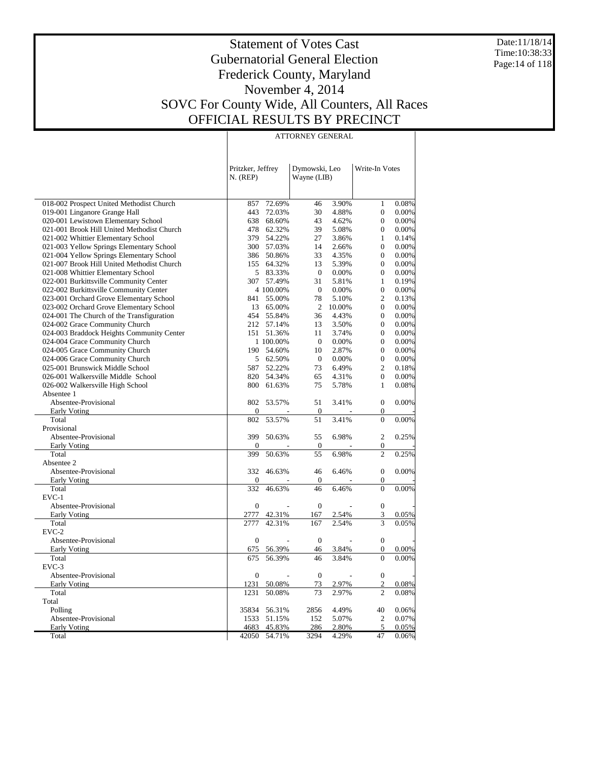Date:11/18/14 Time:10:38:33 Page:14 of 118

# Statement of Votes Cast Gubernatorial General Election Frederick County, Maryland November 4, 2014 SOVC For County Wide, All Counters, All Races OFFICIAL RESULTS BY PRECINCT

ATTORNEY GENERAL

Τ

|                                            | Pritzker, Jeffrey<br>$N.$ (REP) |              | Dymowski, Leo<br>Wayne (LIB) |        | Write-In Votes   |       |
|--------------------------------------------|---------------------------------|--------------|------------------------------|--------|------------------|-------|
|                                            |                                 |              |                              |        |                  |       |
| 018-002 Prospect United Methodist Church   |                                 | 857 72.69%   | 46                           | 3.90%  | $\mathbf{1}$     | 0.08% |
| 019-001 Linganore Grange Hall              |                                 | 443 72.03%   | 30                           | 4.88%  | $\mathbf{0}$     | 0.00% |
| 020-001 Lewistown Elementary School        |                                 | 638 68.60%   | 43                           | 4.62%  | $\boldsymbol{0}$ | 0.00% |
| 021-001 Brook Hill United Methodist Church |                                 | 478 62.32%   | 39                           | 5.08%  | $\mathbf{0}$     | 0.00% |
| 021-002 Whittier Elementary School         |                                 | 379 54.22%   | 27                           | 3.86%  | $\mathbf{1}$     | 0.14% |
| 021-003 Yellow Springs Elementary School   |                                 | 300 57.03%   | 14                           | 2.66%  | $\mathbf{0}$     | 0.00% |
| 021-004 Yellow Springs Elementary School   |                                 | 386 50.86%   | 33                           | 4.35%  | $\mathbf{0}$     | 0.00% |
| 021-007 Brook Hill United Methodist Church | 155                             | 64.32%       | 13                           | 5.39%  | $\mathbf{0}$     | 0.00% |
| 021-008 Whittier Elementary School         |                                 | 5 83.33%     | $\mathbf{0}$                 | 0.00%  | $\mathbf{0}$     | 0.00% |
| 022-001 Burkittsville Community Center     |                                 | 307 57.49%   | 31                           | 5.81%  | 1                | 0.19% |
| 022-002 Burkittsville Community Center     |                                 | 4 100.00%    | $\mathbf{0}$                 | 0.00%  | $\mathbf{0}$     | 0.00% |
| 023-001 Orchard Grove Elementary School    |                                 | 841 55.00%   | 78                           | 5.10%  | $\overline{c}$   | 0.13% |
| 023-002 Orchard Grove Elementary School    |                                 | 13 65.00%    | 2                            | 10.00% | $\mathbf{0}$     | 0.00% |
| 024-001 The Church of the Transfiguration  |                                 | 454 55.84%   | 36                           | 4.43%  | $\boldsymbol{0}$ | 0.00% |
| 024-002 Grace Community Church             |                                 | 212 57.14%   | 13                           | 3.50%  | $\mathbf{0}$     | 0.00% |
| 024-003 Braddock Heights Community Center  |                                 | 151 51.36%   | 11                           | 3.74%  | $\mathbf{0}$     | 0.00% |
| 024-004 Grace Community Church             |                                 | 1 100,00%    | $\Omega$                     | 0.00%  | $\theta$         | 0.00% |
| 024-005 Grace Community Church             |                                 | 190 54.60%   | 10                           | 2.87%  | $\mathbf{0}$     | 0.00% |
| 024-006 Grace Community Church             |                                 | 5 62.50%     | $\boldsymbol{0}$             | 0.00%  | $\boldsymbol{0}$ | 0.00% |
| 025-001 Brunswick Middle School            |                                 | 587 52.22%   | 73                           | 6.49%  | $\overline{c}$   | 0.18% |
| 026-001 Walkersville Middle School         |                                 | 820 54.34%   | 65                           | 4.31%  | $\theta$         | 0.00% |
| 026-002 Walkersville High School           | 800                             | 61.63%       | 75                           | 5.78%  | 1                | 0.08% |
| Absentee 1                                 |                                 |              |                              |        |                  |       |
| Absentee-Provisional                       |                                 | 802 53.57%   | 51                           | 3.41%  | $\overline{0}$   | 0.00% |
| Early Voting                               | $\mathbf{0}$                    |              | $\mathbf{0}$                 |        | $\overline{0}$   |       |
| Total                                      | 802                             | 53.57%       | 51                           | 3.41%  | $\mathbf{0}$     | 0.00% |
| Provisional                                |                                 |              |                              |        |                  |       |
| Absentee-Provisional                       | 399                             | 50.63%       | 55                           | 6.98%  | $\overline{c}$   | 0.25% |
| Early Voting                               | $\overline{0}$                  |              | $\mathbf{0}$                 |        | $\mathbf{0}$     |       |
| Total                                      | 399                             | 50.63%       | 55                           | 6.98%  | $\overline{c}$   | 0.25% |
| Absentee 2                                 |                                 |              |                              |        |                  |       |
| Absentee-Provisional                       | 332                             | 46.63%       | 46                           | 6.46%  | $\mathbf{0}$     | 0.00% |
| Early Voting                               | $\Omega$                        |              | $\Omega$                     |        | $\Omega$         |       |
| Total                                      | 332                             | 46.63%       | 46                           | 6.46%  | $\Omega$         | 0.00% |
| $EVC-1$                                    |                                 |              |                              |        |                  |       |
| Absentee-Provisional                       | $\overline{0}$                  |              | $\mathbf{0}$                 |        | $\mathbf{0}$     |       |
| Early Voting                               | 2777                            | 42.31%       | 167                          | 2.54%  | 3                | 0.05% |
| Total                                      | 2777                            | 42.31%       | 167                          | 2.54%  | 3                | 0.05% |
| $EVC-2$                                    |                                 |              |                              |        |                  |       |
| Absentee-Provisional                       | $\mathbf{0}$                    |              | $\mathbf{0}$                 |        | $\boldsymbol{0}$ |       |
| Early Voting                               | 675                             | 56.39%       | 46                           | 3.84%  | $\overline{0}$   | 0.00% |
| Total                                      | 675                             | 56.39%       | 46                           | 3.84%  | $\overline{0}$   | 0.00% |
| $EVC-3$                                    |                                 |              |                              |        |                  |       |
| Absentee-Provisional                       | $\mathbf{0}$                    |              | $\theta$                     |        | $\overline{0}$   |       |
| Early Voting                               | 1231                            | 50.08%       | 73                           | 2.97%  | $\overline{c}$   | 0.08% |
| Total                                      | 1231                            | 50.08%       | 73                           | 2.97%  | $\mathfrak{D}$   | 0.08% |
| Total                                      |                                 |              |                              |        |                  |       |
| Polling                                    | 35834                           | 56.31%       | 2856                         | 4.49%  | 40               | 0.06% |
| Absentee-Provisional                       | 1533                            | 51.15%       | 152                          | 5.07%  | $\overline{c}$   | 0.07% |
| <b>Early Voting</b>                        | 4683                            | 45.83%       | 286                          | 2.80%  | 5                | 0.05% |
| Total                                      |                                 | 42050 54.71% | 3294                         | 4.29%  | 47               | 0.06% |

 $\top$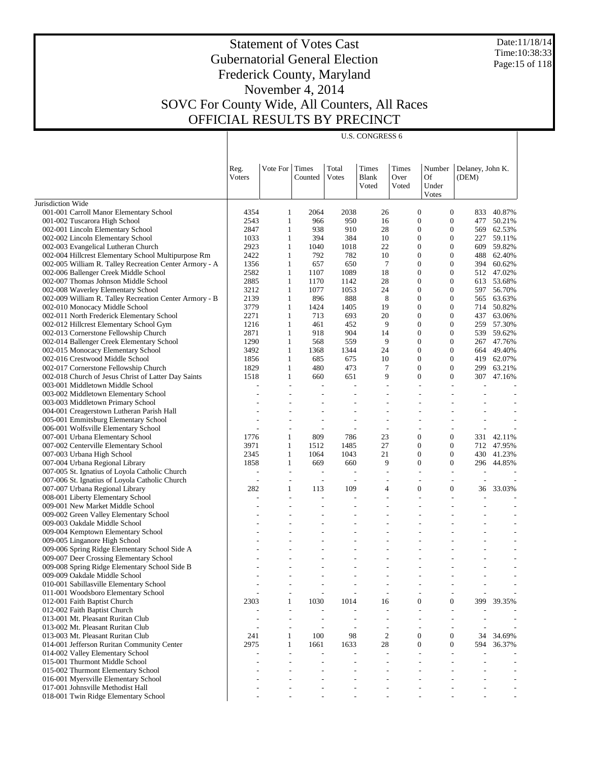Date:11/18/14 Time:10:38:33 Page:15 of 118

# Statement of Votes Cast Gubernatorial General Election Frederick County, Maryland November 4, 2014 SOVC For County Wide, All Counters, All Races OFFICIAL RESULTS BY PRECINCT

|                                                                                         | Reg.<br><b>V</b> oters | Vote For Times               | Counted                                    | Total<br>Votes           | Times<br><b>Blank</b><br>Voted | Times<br>Over<br>Voted           | Number<br>Of<br>Under<br>Votes   | Delaney, John K.<br>(DEM) |                          |
|-----------------------------------------------------------------------------------------|------------------------|------------------------------|--------------------------------------------|--------------------------|--------------------------------|----------------------------------|----------------------------------|---------------------------|--------------------------|
| Jurisdiction Wide                                                                       |                        |                              |                                            |                          |                                |                                  |                                  |                           |                          |
| 001-001 Carroll Manor Elementary School                                                 | 4354                   | $\mathbf{1}$                 | 2064                                       | 2038                     | 26                             | $\boldsymbol{0}$                 | $\mathbf{0}$                     | 833                       | 40.87%                   |
| 001-002 Tuscarora High School                                                           | 2543                   | $\mathbf{1}$                 | 966                                        | 950                      | 16                             | $\boldsymbol{0}$                 | $\mathbf{0}$                     | 477                       | 50.21%                   |
| 002-001 Lincoln Elementary School                                                       | 2847                   | $\mathbf{1}$                 | 938                                        | 910                      | 28                             | $\boldsymbol{0}$                 | $\boldsymbol{0}$                 | 569                       | 62.53%                   |
| 002-002 Lincoln Elementary School                                                       | 1033                   | $\mathbf{1}$                 | 394                                        | 384                      | 10                             | $\mathbf{0}$                     | $\mathbf{0}$                     |                           | 227 59.11%               |
| 002-003 Evangelical Lutheran Church                                                     | 2923                   | $\mathbf{1}$                 | 1040                                       | 1018                     | 22                             | $\boldsymbol{0}$                 | $\mathbf{0}$                     | 609                       | 59.82%                   |
| 002-004 Hillcrest Elementary School Multipurpose Rm                                     | 2422                   | $\mathbf{1}$                 | 792                                        | 782                      | 10                             | $\mathbf{0}$                     | $\mathbf{0}$                     |                           | 488 62.40%               |
| 002-005 William R. Talley Recreation Center Armory - A                                  | 1356                   | $\mathbf{1}$                 | 657                                        | 650                      | $\overline{7}$                 | $\boldsymbol{0}$                 | $\mathbf{0}$                     |                           | 394 60.62%               |
| 002-006 Ballenger Creek Middle School                                                   | 2582                   | $\mathbf{1}$                 | 1107                                       | 1089                     | 18                             | $\mathbf{0}$                     | $\mathbf{0}$                     |                           | 512 47.02%               |
| 002-007 Thomas Johnson Middle School                                                    | 2885                   | $\mathbf{1}$                 | 1170                                       | 1142                     | 28                             | $\boldsymbol{0}$                 | $\mathbf{0}$                     |                           | 613 53.68%               |
| 002-008 Waverley Elementary School                                                      | 3212                   | $\mathbf{1}$                 | 1077                                       | 1053                     | 24                             | $\mathbf{0}$                     | $\mathbf{0}$                     |                           | 597 56.70%               |
| 002-009 William R. Talley Recreation Center Armory - B                                  | 2139                   | $\mathbf{1}$                 | 896                                        | 888                      | 8                              | $\boldsymbol{0}$                 | $\boldsymbol{0}$                 |                           | 565 63.63%               |
| 002-010 Monocacy Middle School                                                          | 3779                   | $\mathbf{1}$                 | 1424                                       | 1405                     | 19                             | $\mathbf{0}$                     | $\mathbf{0}$                     |                           | 714 50.82%               |
| 002-011 North Frederick Elementary School                                               | 2271                   | $\mathbf{1}$                 | 713                                        | 693                      | 20                             | $\boldsymbol{0}$                 | $\mathbf{0}$                     | 437                       | 63.06%                   |
| 002-012 Hillcrest Elementary School Gym                                                 | 1216                   | $\mathbf{1}$                 | 461                                        | 452                      | 9                              | $\mathbf{0}$                     | $\mathbf{0}$                     |                           | 259 57.30%               |
| 002-013 Cornerstone Fellowship Church                                                   | 2871                   | $\mathbf{1}$                 | 918                                        | 904                      | 14                             | $\boldsymbol{0}$                 | $\mathbf{0}$                     | 539                       | 59.62%                   |
| 002-014 Ballenger Creek Elementary School                                               | 1290                   | $\mathbf{1}$                 | 568                                        | 559                      | 9                              | $\mathbf{0}$                     | $\mathbf{0}$                     |                           | 267 47.76%               |
| 002-015 Monocacy Elementary School                                                      | 3492                   | $\mathbf{1}$                 | 1368                                       | 1344                     | 24                             | $\boldsymbol{0}$<br>$\mathbf{0}$ | $\mathbf{0}$                     |                           | 664 49.40%               |
| 002-016 Crestwood Middle School<br>002-017 Cornerstone Fellowship Church                | 1856                   | $\mathbf{1}$                 | 685                                        | 675<br>473               | 10<br>$\overline{7}$           | $\mathbf{0}$                     | $\mathbf{0}$                     |                           | 419 62.07%<br>63.21%     |
|                                                                                         | 1829<br>1518           | $\mathbf{1}$<br>$\mathbf{1}$ | 480<br>660                                 | 651                      | 9                              | $\Omega$                         | $\boldsymbol{0}$<br>$\mathbf{0}$ | 299                       | 307 47.16%               |
| 002-018 Church of Jesus Christ of Latter Day Saints<br>003-001 Middletown Middle School |                        |                              | L,<br>$\overline{\phantom{a}}$             | $\overline{a}$           | $\overline{a}$                 | $\overline{a}$                   |                                  |                           |                          |
| 003-002 Middletown Elementary School                                                    |                        | $\overline{a}$               | $\overline{a}$                             | L.                       | L,                             | $\overline{a}$                   |                                  |                           |                          |
| 003-003 Middletown Primary School                                                       |                        |                              | L.                                         | L.                       |                                |                                  |                                  |                           |                          |
| 004-001 Creagerstown Lutheran Parish Hall                                               |                        | $\overline{a}$               | L                                          | ÷,                       | L,                             | $\overline{a}$                   |                                  |                           | $\overline{a}$           |
| 005-001 Emmitsburg Elementary School                                                    |                        |                              | L                                          | $\overline{a}$           | ٠                              |                                  |                                  |                           |                          |
| 006-001 Wolfsville Elementary School                                                    |                        | $\overline{a}$               | $\overline{\phantom{a}}$                   | $\overline{\phantom{a}}$ | $\overline{\phantom{a}}$       | $\overline{\phantom{a}}$         | $\overline{\phantom{a}}$         | $\overline{\phantom{a}}$  |                          |
| 007-001 Urbana Elementary School                                                        | 1776                   | $\mathbf{1}$                 | 809                                        | 786                      | 23                             | $\boldsymbol{0}$                 | $\boldsymbol{0}$                 |                           | 331 42.11%               |
| 007-002 Centerville Elementary School                                                   | 3971                   | $\mathbf{1}$                 | 1512                                       | 1485                     | 27                             | $\mathbf{0}$                     | $\mathbf{0}$                     |                           | 712 47.95%               |
| 007-003 Urbana High School                                                              | 2345                   | $\mathbf{1}$                 | 1064                                       | 1043                     | 21                             | $\mathbf{0}$                     | $\mathbf{0}$                     |                           | 430 41.23%               |
| 007-004 Urbana Regional Library                                                         | 1858                   | $\mathbf{1}$                 | 669                                        | 660                      | 9                              | $\mathbf{0}$                     | $\mathbf{0}$                     |                           | 296 44.85%               |
| 007-005 St. Ignatius of Loyola Catholic Church                                          | $\tilde{\phantom{a}}$  |                              | $\overline{a}$<br>$\sim$                   | $\sim$                   | $\overline{a}$                 | $\overline{a}$                   | $\overline{a}$                   | $\overline{a}$            |                          |
| 007-006 St. Ignatius of Loyola Catholic Church                                          | $\tilde{\phantom{a}}$  |                              | $\frac{1}{2}$<br>$\overline{\phantom{a}}$  | $\overline{\phantom{a}}$ | $\overline{a}$                 | $\sim$                           | $\overline{a}$                   |                           |                          |
| 007-007 Urbana Regional Library                                                         | 282                    | $\mathbf{1}$                 | 113                                        | 109                      | 4                              | $\boldsymbol{0}$                 | $\boldsymbol{0}$                 | 36                        | 33.03%                   |
| 008-001 Liberty Elementary School                                                       | ۰                      |                              | $\overline{\phantom{a}}$<br>$\overline{a}$ | $\overline{a}$           | L,                             | $\overline{a}$                   | $\overline{a}$                   | $\overline{\phantom{a}}$  | $\overline{\phantom{a}}$ |
| 009-001 New Market Middle School                                                        |                        |                              | ÷,<br>L                                    | ÷,                       |                                |                                  |                                  |                           | $\overline{\phantom{a}}$ |
| 009-002 Green Valley Elementary School                                                  |                        |                              | $\overline{a}$<br>$\overline{a}$           | L.                       | L,                             | $\overline{a}$                   | $\overline{a}$                   | ÷                         | $\sim$                   |
| 009-003 Oakdale Middle School                                                           |                        |                              | L,<br>L,                                   | L,                       |                                |                                  |                                  |                           | $\overline{\phantom{a}}$ |
| 009-004 Kemptown Elementary School                                                      |                        | $\overline{a}$               | $\overline{a}$                             | L,                       | $\overline{a}$                 | $\overline{a}$                   | $\overline{a}$                   | $\tilde{\phantom{a}}$     | $\overline{\phantom{a}}$ |
| 009-005 Linganore High School                                                           |                        |                              | ÷,<br>$\overline{a}$                       | ÷,                       |                                |                                  |                                  |                           |                          |
| 009-006 Spring Ridge Elementary School Side A                                           |                        | $\overline{a}$               | $\overline{a}$                             | L.                       | L,                             | $\overline{a}$                   | $\overline{a}$                   | $\sim$                    | $\overline{\phantom{a}}$ |
| 009-007 Deer Crossing Elementary School                                                 |                        |                              | L,<br>L.                                   | ÷,                       |                                |                                  |                                  | $\overline{a}$            | $\overline{a}$           |
| 009-008 Spring Ridge Elementary School Side B                                           |                        |                              | L,<br>$\overline{a}$                       | L.                       | L,                             | $\overline{a}$                   | $\overline{a}$                   | $\sim$                    | $\overline{\phantom{a}}$ |
| 009-009 Oakdale Middle School                                                           |                        |                              |                                            |                          |                                |                                  |                                  |                           |                          |
| 010-001 Sabillasville Elementary School                                                 |                        |                              | $\overline{a}$                             |                          |                                | $\overline{\phantom{0}}$         |                                  |                           |                          |
| 011-001 Woodsboro Elementary School                                                     |                        |                              | L                                          | ۰                        |                                |                                  |                                  |                           |                          |
| 012-001 Faith Baptist Church                                                            | 2303                   | 1                            | 1030                                       | 1014                     | 16                             | 0                                | $\boldsymbol{0}$                 | 399                       | 39.35%                   |
| 012-002 Faith Baptist Church                                                            |                        |                              | L                                          | ٠                        |                                |                                  |                                  |                           |                          |
| 013-001 Mt. Pleasant Ruritan Club                                                       |                        |                              | Ĭ.                                         |                          |                                |                                  |                                  |                           |                          |
| 013-002 Mt. Pleasant Ruritan Club                                                       |                        |                              |                                            |                          |                                |                                  |                                  |                           |                          |
| 013-003 Mt. Pleasant Ruritan Club                                                       | 241                    | 1                            | 100                                        | 98                       | $\overline{c}$                 | $\overline{0}$                   | $\boldsymbol{0}$                 | 34                        | 34.69%                   |
| 014-001 Jefferson Ruritan Community Center                                              | 2975                   | 1                            | 1661                                       | 1633                     | 28                             | 0                                | $\boldsymbol{0}$                 | 594                       | 36.37%                   |
| 014-002 Valley Elementary School                                                        |                        | $\overline{a}$               |                                            |                          |                                |                                  |                                  |                           |                          |
| 015-001 Thurmont Middle School                                                          |                        |                              |                                            |                          |                                |                                  |                                  |                           |                          |
| 015-002 Thurmont Elementary School                                                      |                        |                              |                                            | L                        |                                |                                  |                                  |                           |                          |
| 016-001 Myersville Elementary School                                                    |                        |                              |                                            |                          |                                |                                  |                                  |                           |                          |
| 017-001 Johnsville Methodist Hall                                                       |                        |                              |                                            |                          |                                |                                  |                                  |                           |                          |
| 018-001 Twin Ridge Elementary School                                                    |                        |                              |                                            |                          |                                |                                  |                                  |                           |                          |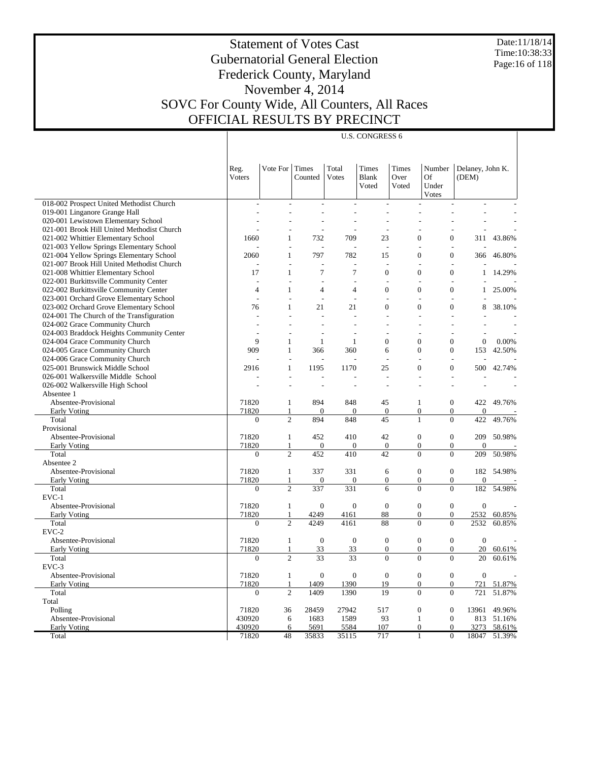Date:11/18/14 Time:10:38:33 Page:16 of 118

 $\overline{\phantom{a}}$ 

# Statement of Votes Cast Gubernatorial General Election Frederick County, Maryland November 4, 2014 SOVC For County Wide, All Counters, All Races OFFICIAL RESULTS BY PRECINCT

Τ

|                                                                              | Reg.<br><b>Voters</b> | Vote For           | <b>Times</b><br>Counted          | Total<br>Votes                   | Times<br><b>Blank</b><br>Voted | <b>Times</b><br>Over<br>Voted  | Number<br>Of<br>Under<br>Votes   | Delaney, John K.<br>(DEM) |                  |
|------------------------------------------------------------------------------|-----------------------|--------------------|----------------------------------|----------------------------------|--------------------------------|--------------------------------|----------------------------------|---------------------------|------------------|
| 018-002 Prospect United Methodist Church                                     | $\overline{a}$        | $\overline{a}$     | $\overline{a}$                   | $\overline{a}$                   | $\overline{a}$                 |                                |                                  |                           |                  |
| 019-001 Linganore Grange Hall                                                |                       |                    |                                  |                                  |                                |                                |                                  |                           |                  |
| 020-001 Lewistown Elementary School                                          |                       | ÷,                 | J.                               | ÷,                               | ÷                              | L.                             |                                  | ÷.                        |                  |
| 021-001 Brook Hill United Methodist Church                                   |                       | L,                 |                                  | L,                               | $\overline{a}$                 | L,                             | ÷.                               |                           |                  |
| 021-002 Whittier Elementary School                                           | 1660                  | $\mathbf{1}$       | 732                              | 709                              | 23                             | $\overline{0}$                 | $\boldsymbol{0}$                 | 311                       | 43.86%           |
| 021-003 Yellow Springs Elementary School                                     |                       |                    |                                  |                                  | ÷,                             |                                |                                  |                           |                  |
| 021-004 Yellow Springs Elementary School                                     | 2060                  | $\mathbf{1}$       | 797                              | 782                              | 15                             | $\overline{0}$                 | $\overline{0}$                   | 366                       | 46.80%           |
| 021-007 Brook Hill United Methodist Church                                   | J.                    | L,<br>$\mathbf{1}$ | $\overline{a}$<br>$\overline{7}$ | $\overline{a}$<br>$\overline{7}$ | $\overline{a}$                 | L,<br>$\overline{0}$           | $\overline{a}$                   |                           |                  |
| 021-008 Whittier Elementary School<br>022-001 Burkittsville Community Center | 17<br>J.              | L,                 | J.                               | L,                               | $\boldsymbol{0}$<br>J.         | L,                             | $\boldsymbol{0}$<br>J.           | $\mathbf{1}$              | 14.29%           |
| 022-002 Burkittsville Community Center                                       | $\overline{4}$        | $\mathbf{1}$       | $\overline{4}$                   | $\overline{4}$                   | $\mathbf{0}$                   | $\overline{0}$                 | $\overline{0}$                   | 1                         | 25.00%           |
| 023-001 Orchard Grove Elementary School                                      |                       | J.                 |                                  | L,                               |                                |                                |                                  |                           |                  |
| 023-002 Orchard Grove Elementary School                                      | 76                    | 1                  | 21                               | 21                               | $\overline{0}$                 | $\overline{0}$                 | $\overline{0}$                   | 8                         | 38.10%           |
| 024-001 The Church of the Transfiguration                                    |                       | L.                 |                                  | L.                               | L.                             | ÷.                             |                                  |                           |                  |
| 024-002 Grace Community Church                                               | J.                    | ÷.                 | J.                               | J.                               | J.                             | $\overline{a}$                 | L.                               |                           |                  |
| 024-003 Braddock Heights Community Center                                    |                       |                    |                                  | $\overline{a}$                   |                                |                                |                                  |                           |                  |
| 024-004 Grace Community Church                                               | 9                     | $\mathbf{1}$       | $\mathbf{1}$                     | $\mathbf{1}$                     | $\boldsymbol{0}$               | $\theta$                       | $\Omega$                         | $\boldsymbol{0}$          | 0.00%            |
| 024-005 Grace Community Church                                               | 909                   | 1                  | 366                              | 360                              | 6                              | $\overline{0}$                 | $\overline{0}$                   | 153                       | 42.50%           |
| 024-006 Grace Community Church                                               |                       | ÷.                 | $\overline{a}$                   | L.                               | ÷.                             | L.                             | L,                               |                           |                  |
| 025-001 Brunswick Middle School                                              | 2916                  | $\mathbf{1}$       | 1195                             | 1170                             | 25                             | $\boldsymbol{0}$               | $\overline{0}$                   | 500                       | 42.74%           |
| 026-001 Walkersville Middle School                                           |                       |                    |                                  |                                  |                                |                                |                                  |                           |                  |
| 026-002 Walkersville High School                                             |                       |                    |                                  |                                  |                                |                                |                                  |                           |                  |
| Absentee 1                                                                   |                       |                    |                                  |                                  |                                |                                |                                  |                           |                  |
| Absentee-Provisional                                                         | 71820                 | $\mathbf{1}$       | 894                              | 848                              | 45                             | $\mathbf{1}$                   | $\boldsymbol{0}$                 | 422                       | 49.76%           |
| <b>Early Voting</b>                                                          | 71820                 | $\mathbf{1}$       | $\mathbf{0}$                     | $\mathbf{0}$                     | $\mathbf{0}$                   | $\overline{0}$                 | $\overline{0}$                   | $\mathbf{0}$              |                  |
| Total                                                                        | $\Omega$              | $\overline{2}$     | 894                              | 848                              | 45                             | $\mathbf{1}$                   | $\theta$                         | 422                       | 49.76%           |
| Provisional                                                                  |                       |                    |                                  |                                  |                                |                                |                                  |                           |                  |
| Absentee-Provisional                                                         | 71820                 | $\mathbf{1}$       | 452                              | 410                              | 42                             | $\boldsymbol{0}$               | $\boldsymbol{0}$                 | 209                       | 50.98%           |
| <b>Early Voting</b>                                                          | 71820                 | $\mathbf{1}$       | $\overline{0}$                   | $\mathbf{0}$                     | $\boldsymbol{0}$               | $\boldsymbol{0}$               | $\boldsymbol{0}$                 | $\boldsymbol{0}$          |                  |
| Total                                                                        | $\Omega$              | $\overline{c}$     | 452                              | 410                              | 42                             | $\theta$                       | $\Omega$                         | 209                       | 50.98%           |
| Absentee 2                                                                   |                       |                    |                                  |                                  |                                |                                |                                  |                           |                  |
| Absentee-Provisional                                                         | 71820                 | $\mathbf{1}$       | 337                              | 331                              | 6                              | $\boldsymbol{0}$               | $\boldsymbol{0}$                 | 182                       | 54.98%           |
| Early Voting                                                                 | 71820                 | $\mathbf{1}$       | $\overline{0}$                   | $\mathbf{0}$                     | $\boldsymbol{0}$               | $\boldsymbol{0}$               | $\overline{0}$                   | $\mathbf{0}$              |                  |
| Total                                                                        | $\Omega$              | $\overline{2}$     | 337                              | 331                              | 6                              | $\theta$                       | $\Omega$                         | 182                       | 54.98%           |
| $EVC-1$                                                                      |                       |                    |                                  |                                  |                                |                                |                                  |                           |                  |
| Absentee-Provisional                                                         | 71820                 | $\mathbf{1}$       | $\overline{0}$                   | $\overline{0}$                   | $\boldsymbol{0}$               | $\boldsymbol{0}$               | $\boldsymbol{0}$                 | $\boldsymbol{0}$          |                  |
| <b>Early Voting</b>                                                          | 71820                 | 1                  | 4249                             | 4161                             | 88                             | $\boldsymbol{0}$               | $\boldsymbol{0}$                 | 2532                      | 60.85%           |
| Total                                                                        | $\theta$              | $\overline{2}$     | 4249                             | 4161                             | 88                             | $\theta$                       | $\theta$                         | 2532                      | 60.85%           |
| $EVC-2$                                                                      |                       |                    |                                  |                                  |                                |                                |                                  |                           |                  |
| Absentee-Provisional                                                         | 71820                 | $\mathbf{1}$       | $\boldsymbol{0}$                 | $\boldsymbol{0}$                 | $\boldsymbol{0}$               | $\boldsymbol{0}$               | $\boldsymbol{0}$                 | $\boldsymbol{0}$          |                  |
| Early Voting                                                                 | 71820                 | $\mathbf{1}$       | 33                               | 33                               | $\boldsymbol{0}$               | $\boldsymbol{0}$               | $\boldsymbol{0}$                 | 20                        | 60.61%           |
| Total                                                                        | $\overline{0}$        | $\overline{2}$     | 33                               | 33                               | $\overline{0}$                 | $\overline{0}$                 | $\overline{0}$                   | 20                        | 60.61%           |
| $EVC-3$                                                                      |                       |                    |                                  |                                  |                                |                                |                                  |                           |                  |
| Absentee-Provisional                                                         | 71820                 | $\mathbf{1}$       | $\boldsymbol{0}$                 | $\theta$                         | $\boldsymbol{0}$               | $\boldsymbol{0}$               | $\boldsymbol{0}$                 | $\boldsymbol{0}$          |                  |
| Early Voting                                                                 | 71820                 | $\mathbf{1}$       | 1409                             | 1390                             | 19                             | $\boldsymbol{0}$               | $\boldsymbol{0}$                 | 721                       | 51.87%           |
| Total                                                                        | $\mathbf{0}$          | $\overline{c}$     | 1409                             | 1390                             | 19                             | $\overline{0}$                 | $\overline{0}$                   | 721                       | 51.87%           |
| Total                                                                        |                       |                    |                                  |                                  |                                |                                |                                  |                           |                  |
| Polling                                                                      | 71820                 | 36                 | 28459<br>1683                    | 27942                            | 517                            | $\overline{0}$<br>$\mathbf{1}$ | $\mathbf{0}$<br>$\boldsymbol{0}$ | 13961                     | 49.96%           |
| Absentee-Provisional<br>Early Voting                                         | 430920<br>430920      | 6<br>6             | 5691                             | 1589<br>5584                     | 93<br>107                      | $\Omega$                       | $\Omega$                         | 813<br>3273               | 51.16%<br>58.61% |
| Total                                                                        | 71820                 | 48                 | 35833                            | 35115                            | 717                            | $\mathbf{1}$                   | $\Omega$                         | 18047                     | 51.39%           |
|                                                                              |                       |                    |                                  |                                  |                                |                                |                                  |                           |                  |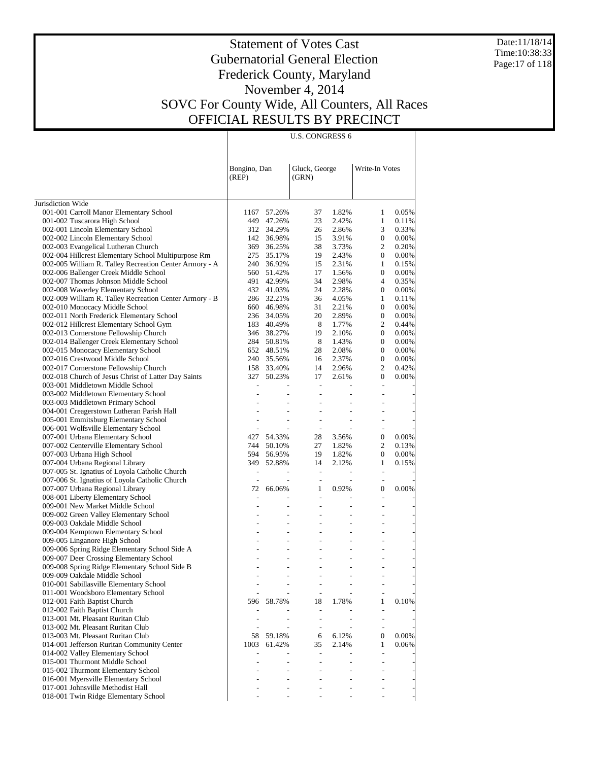Date:11/18/14 Time:10:38:33 Page:17 of 118

# Statement of Votes Cast Gubernatorial General Election Frederick County, Maryland November 4, 2014 SOVC For County Wide, All Counters, All Races OFFICIAL RESULTS BY PRECINCT

|                                                                                                               | Bongino, Dan<br>(REP)     |                          | Gluck, George<br>(GRN)   |                              | Write-In Votes                     |                   |
|---------------------------------------------------------------------------------------------------------------|---------------------------|--------------------------|--------------------------|------------------------------|------------------------------------|-------------------|
|                                                                                                               |                           |                          |                          |                              |                                    |                   |
| Jurisdiction Wide                                                                                             |                           |                          |                          |                              |                                    |                   |
| 001-001 Carroll Manor Elementary School                                                                       |                           | 1167 57.26%              | 37                       | 1.82%                        | $\mathbf{1}$                       | 0.05%             |
| 001-002 Tuscarora High School                                                                                 |                           | 449 47.26%               | 23                       | 2.42%                        | $\mathbf{1}$                       | 0.11%             |
| 002-001 Lincoln Elementary School                                                                             |                           | 312 34.29%               | 26                       | 2.86%                        | 3                                  | 0.33%             |
| 002-002 Lincoln Elementary School<br>002-003 Evangelical Lutheran Church                                      |                           | 142 36.98%<br>369 36.25% | 15                       | 3.91%                        | $\boldsymbol{0}$<br>$\overline{c}$ | $0.00\%$<br>0.20% |
|                                                                                                               |                           |                          | 38                       | 3.73%                        | $\overline{0}$                     |                   |
| 002-004 Hillcrest Elementary School Multipurpose Rm<br>002-005 William R. Talley Recreation Center Armory - A |                           | 275 35.17%<br>240 36.92% | 19<br>15                 | 2.43%<br>2.31%               | $\mathbf{1}$                       | 0.00%<br>0.15%    |
| 002-006 Ballenger Creek Middle School                                                                         |                           | 560 51.42%               | 17                       | 1.56%                        | $\overline{0}$                     | 0.00%             |
| 002-007 Thomas Johnson Middle School                                                                          |                           | 491 42.99%               | 34                       | 2.98%                        | $\overline{4}$                     | 0.35%             |
| 002-008 Waverley Elementary School                                                                            |                           | 432 41.03%               | 24                       | 2.28%                        | $\mathbf{0}$                       | 0.00%             |
| 002-009 William R. Talley Recreation Center Armory - B                                                        |                           | 286 32.21%               | 36                       | 4.05%                        | $\mathbf{1}$                       | 0.11%             |
| 002-010 Monocacy Middle School                                                                                |                           | 660 46.98%               | 31                       | 2.21%                        | $\overline{0}$                     | 0.00%             |
| 002-011 North Frederick Elementary School                                                                     |                           | 236 34.05%               | 20                       | 2.89%                        | $\mathbf{0}$                       | 0.00%             |
| 002-012 Hillcrest Elementary School Gym                                                                       |                           | 183 40.49%               | 8                        | 1.77%                        | $\overline{c}$                     | 0.44%             |
| 002-013 Cornerstone Fellowship Church                                                                         |                           | 346 38.27%               | 19                       | 2.10%                        | $\mathbf{0}$                       | 0.00%             |
| 002-014 Ballenger Creek Elementary School                                                                     |                           | 284 50.81%               | 8                        | 1.43%                        | $\overline{0}$                     | 0.00%             |
| 002-015 Monocacy Elementary School                                                                            |                           | 652 48.51%               | 28                       | 2.08%                        | $\mathbf{0}$                       | $0.00\%$          |
| 002-016 Crestwood Middle School                                                                               |                           | 240 35.56%               | 16                       | 2.37%                        | $\mathbf{0}$                       | $0.00\%$          |
| 002-017 Cornerstone Fellowship Church                                                                         |                           | 158 33.40%               | 14                       | 2.96%                        | $\overline{c}$                     | 0.42%             |
| 002-018 Church of Jesus Christ of Latter Day Saints                                                           |                           | 327 50.23%               | 17                       | 2.61%                        | $\mathbf{0}$                       | 0.00%             |
| 003-001 Middletown Middle School                                                                              | $\mathbb{Z}^{\mathbb{Z}}$ |                          | $\overline{\phantom{a}}$ | $\overline{\phantom{a}}$     | $\overline{a}$                     |                   |
| 003-002 Middletown Elementary School                                                                          |                           |                          | $\overline{\phantom{a}}$ |                              | $\overline{a}$                     |                   |
| 003-003 Middletown Primary School                                                                             | $\mathbf{r}$              | ÷,                       | $\frac{1}{2}$            | $\overline{a}$               | ÷,                                 |                   |
| 004-001 Creagerstown Lutheran Parish Hall                                                                     | ÷.                        | $\overline{a}$           | $\overline{a}$           | $\overline{a}$               | $\overline{a}$                     |                   |
| 005-001 Emmitsburg Elementary School                                                                          | $\mathcal{L}^{\pm}$       | $\overline{\phantom{a}}$ | $\overline{\phantom{a}}$ | $\overline{\phantom{a}}$     | $\overline{a}$                     |                   |
| 006-001 Wolfsville Elementary School                                                                          |                           |                          | $\mathcal{L}$            | $\overline{a}$               | $\overline{a}$                     |                   |
| 007-001 Urbana Elementary School                                                                              |                           | 427 54.33%               | 28                       | 3.56%                        | $\boldsymbol{0}$                   | $0.00\%$          |
| 007-002 Centerville Elementary School                                                                         |                           | 744 50.10%               | 27                       | 1.82%                        | $\overline{c}$                     | 0.13%             |
| 007-003 Urbana High School                                                                                    |                           | 594 56.95%               | 19                       | 1.82%                        | $\mathbf{0}$                       | $0.00\%$          |
| 007-004 Urbana Regional Library                                                                               |                           | 349 52.88%               | 14                       | 2.12%                        | $\mathbf{1}$                       | 0.15%             |
| 007-005 St. Ignatius of Loyola Catholic Church                                                                | $\overline{\phantom{a}}$  |                          | $\sim$                   |                              | ÷,                                 |                   |
| 007-006 St. Ignatius of Loyola Catholic Church                                                                |                           |                          | $\sim$                   |                              | ÷,                                 |                   |
| 007-007 Urbana Regional Library                                                                               |                           | 72 66.06%                | $\mathbf{1}$             | 0.92%                        | $\boldsymbol{0}$                   | $0.00\%$          |
| 008-001 Liberty Elementary School                                                                             |                           |                          | $\overline{\phantom{a}}$ |                              | $\frac{1}{2}$                      |                   |
| 009-001 New Market Middle School                                                                              | $\overline{\phantom{a}}$  | $\overline{\phantom{a}}$ | $\overline{\phantom{a}}$ | $\overline{a}$               | $\overline{a}$                     |                   |
| 009-002 Green Valley Elementary School                                                                        | ÷.                        | $\overline{\phantom{a}}$ | $\overline{a}$           | $\overline{a}$               | $\overline{a}$                     |                   |
| 009-003 Oakdale Middle School                                                                                 | $\overline{a}$            | $\overline{\phantom{a}}$ | $\mathcal{L}$            | $\frac{1}{2}$                | $\overline{a}$                     |                   |
| 009-004 Kemptown Elementary School                                                                            |                           | $\overline{\phantom{a}}$ | $\mathbf{r}$             | $\overline{a}$               | $\overline{a}$                     |                   |
| 009-005 Linganore High School                                                                                 |                           | $\frac{1}{2}$            | $\mathcal{L}$            | $\overline{a}$               | $\overline{a}$                     |                   |
| 009-006 Spring Ridge Elementary School Side A                                                                 |                           | L.                       | $\overline{a}$           | $\overline{a}$               |                                    |                   |
| 009-007 Deer Crossing Elementary School                                                                       | $\frac{1}{2}$             | $\frac{1}{2}$            | $\frac{1}{2}$            | $\frac{1}{2}$                | $\overline{a}$                     |                   |
| 009-008 Spring Ridge Elementary School Side B                                                                 | L.                        | $\overline{a}$           | ÷.                       | $\frac{1}{2}$                |                                    |                   |
| 009-009 Oakdale Middle School                                                                                 |                           | -                        |                          | $\frac{1}{2}$                |                                    |                   |
| 010-001 Sabillasville Elementary School                                                                       | $\overline{a}$            |                          |                          |                              | $\overline{a}$                     |                   |
| 011-001 Woodsboro Elementary School                                                                           | L,                        |                          | $\overline{\phantom{a}}$ |                              |                                    |                   |
| 012-001 Faith Baptist Church                                                                                  |                           | 596 58.78%               | 18                       | 1.78%                        | $\mathbf{1}$                       | 0.10%             |
| 012-002 Faith Baptist Church                                                                                  | $\overline{a}$            |                          | $\frac{1}{2}$            |                              | $\frac{1}{2}$                      |                   |
| 013-001 Mt. Pleasant Ruritan Club                                                                             |                           |                          | ÷,                       |                              | $\frac{1}{2}$                      |                   |
| 013-002 Mt. Pleasant Ruritan Club                                                                             | $\overline{a}$            | $\overline{a}$           | $\overline{\phantom{a}}$ | $\qquad \qquad \blacksquare$ | $\overline{\phantom{a}}$           |                   |
| 013-003 Mt. Pleasant Ruritan Club                                                                             |                           | 58 59.18%                | 6                        | 6.12%                        | $\boldsymbol{0}$                   | 0.00%             |
| 014-001 Jefferson Ruritan Community Center                                                                    |                           | 1003 61.42%              | 35                       | 2.14%                        | $\mathbf{1}$                       | $0.06\%$          |
| 014-002 Valley Elementary School                                                                              |                           |                          | $\frac{1}{2}$            |                              | $\frac{1}{2}$                      |                   |
| 015-001 Thurmont Middle School                                                                                | $\overline{a}$            | $\overline{a}$           | $\overline{a}$           |                              | $\overline{a}$                     |                   |
| 015-002 Thurmont Elementary School<br>016-001 Myersville Elementary School                                    |                           | $\overline{a}$           | $\overline{a}$           | $\overline{a}$               |                                    |                   |
| 017-001 Johnsville Methodist Hall                                                                             |                           |                          |                          |                              |                                    |                   |
| 018-001 Twin Ridge Elementary School                                                                          |                           | $\overline{a}$           | $\overline{a}$           | $\overline{a}$               | L,                                 |                   |
|                                                                                                               |                           |                          |                          |                              |                                    |                   |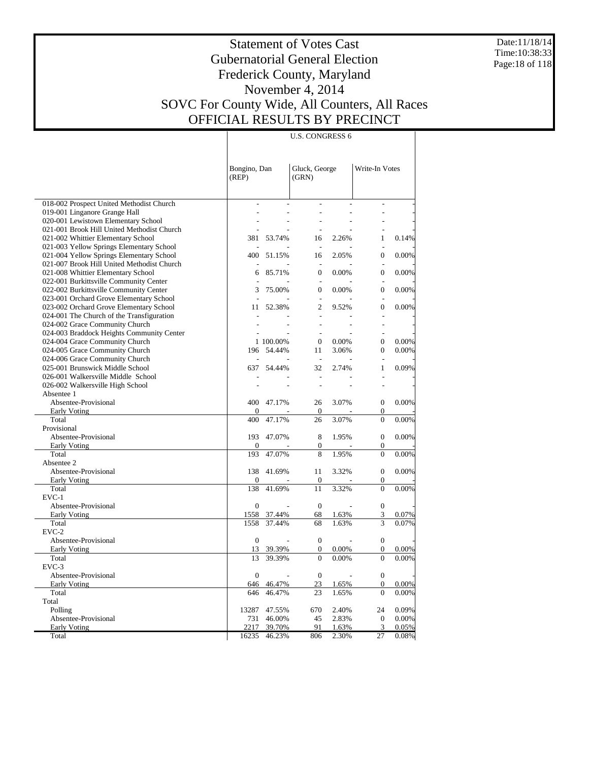Date:11/18/14 Time:10:38:33 Page:18 of 118

# Statement of Votes Cast Gubernatorial General Election Frederick County, Maryland November 4, 2014 SOVC For County Wide, All Counters, All Races OFFICIAL RESULTS BY PRECINCT

|                                            | Bongino, Dan<br>(REP) |                | Gluck, George<br>(GRN)   |                | Write-In Votes           |          |
|--------------------------------------------|-----------------------|----------------|--------------------------|----------------|--------------------------|----------|
| 018-002 Prospect United Methodist Church   | $\overline{a}$        | L,             | ÷,                       | $\overline{a}$ | ÷,                       |          |
| 019-001 Linganore Grange Hall              |                       | $\overline{a}$ | L.                       |                |                          |          |
| 020-001 Lewistown Elementary School        |                       |                |                          |                |                          |          |
| 021-001 Brook Hill United Methodist Church |                       |                | $\overline{a}$           |                |                          |          |
| 021-002 Whittier Elementary School         | 381                   | 53.74%         | 16                       | 2.26%          | $\mathbf{1}$             | 0.14%    |
| 021-003 Yellow Springs Elementary School   | L.                    |                | $\overline{a}$           |                | L.                       |          |
| 021-004 Yellow Springs Elementary School   | 400                   | 51.15%         | 16                       | 2.05%          | $\overline{0}$           | 0.00%    |
| 021-007 Brook Hill United Methodist Church |                       |                |                          |                |                          |          |
| 021-008 Whittier Elementary School         | 6                     | 85.71%         | $\mathbf{0}$             | 0.00%          | $\overline{0}$           | 0.00%    |
| 022-001 Burkittsville Community Center     | L,                    |                |                          |                |                          |          |
| 022-002 Burkittsville Community Center     | 3                     | 75.00%         | $\mathbf{0}$             | 0.00%          | $\overline{0}$           | 0.00%    |
| 023-001 Orchard Grove Elementary School    |                       |                | L,                       |                | L,                       |          |
| 023-002 Orchard Grove Elementary School    | 11                    | 52.38%         | $\overline{c}$           | 9.52%          | $\overline{0}$           | 0.00%    |
| 024-001 The Church of the Transfiguration  | L.                    |                | $\overline{a}$           |                | L.                       |          |
| 024-002 Grace Community Church             |                       |                |                          |                |                          |          |
| 024-003 Braddock Heights Community Center  |                       |                |                          |                | $\overline{a}$           |          |
| 024-004 Grace Community Church             |                       | 1 100.00%      | $\overline{0}$           | 0.00%          | $\overline{0}$           | 0.00%    |
| 024-005 Grace Community Church             |                       | 196 54.44%     | 11                       | 3.06%          | $\overline{0}$           | 0.00%    |
| 024-006 Grace Community Church             |                       |                | $\overline{\phantom{a}}$ |                | $\overline{a}$           |          |
| 025-001 Brunswick Middle School            | 637                   | 54.44%         | 32                       | 2.74%          | $\mathbf{1}$             | 0.09%    |
| 026-001 Walkersville Middle School         |                       |                |                          |                | L.                       |          |
| 026-002 Walkersville High School           |                       |                |                          |                | L.                       |          |
| Absentee 1                                 |                       |                |                          |                |                          |          |
| Absentee-Provisional                       |                       | 400 47.17%     | 26                       | 3.07%          | $\overline{0}$           | $0.00\%$ |
| Early Voting                               | $\Omega$              |                | $\mathbf{0}$             |                | $\overline{0}$           |          |
| Total                                      | 400                   | 47.17%         | 26                       | 3.07%          | $\Omega$                 | 0.00%    |
| Provisional                                |                       |                |                          |                |                          |          |
| Absentee-Provisional                       |                       | 193 47.07%     | 8                        | 1.95%          | $\Omega$                 | 0.00%    |
| Early Voting                               | $\mathbf{0}$          |                | $\mathbf{0}$             |                | $\overline{0}$           |          |
| Total                                      | 193                   | 47.07%         | 8                        | 1.95%          | $\mathbf{0}$             | 0.00%    |
| Absentee 2                                 |                       |                |                          |                |                          |          |
| Absentee-Provisional                       |                       | 138 41.69%     | 11                       | 3.32%          | $\Omega$                 | 0.00%    |
| Early Voting                               | $\Omega$              |                | $\Omega$                 |                | $\theta$                 |          |
| Total                                      | 138                   | 41.69%         | 11                       | 3.32%          | $\theta$                 | 0.00%    |
| $EVC-1$                                    |                       |                |                          |                |                          |          |
| Absentee-Provisional                       | $\Omega$              |                | $\Omega$                 |                | $\Omega$                 |          |
| Early Voting                               |                       | 1558 37.44%    | 68                       | 1.63%          | 3                        | 0.07%    |
| Total                                      | 1558                  | 37.44%         | 68                       | 1.63%          | 3                        | 0.07%    |
| $EVC-2$                                    |                       |                |                          |                |                          |          |
| Absentee-Provisional                       | $\boldsymbol{0}$      |                | $\Omega$                 |                | $\Omega$                 |          |
| Early Voting                               | 13                    | 39.39%         | $\boldsymbol{0}$         | 0.00%          | $\boldsymbol{0}$         | 0.00%    |
| Total                                      | 13                    | 39.39%         | $\Omega$                 | 0.00%          | $\Omega$                 | 0.00%    |
| $EVC-3$                                    |                       |                |                          |                |                          |          |
| Absentee-Provisional                       | $\Omega$              |                | $\Omega$                 |                | $\overline{0}$           |          |
| Early Voting                               | 646                   | 46.47%         | 23                       | 1.65%          | $\boldsymbol{0}$         | 0.00%    |
| Total                                      | 646                   | 46.47%         | 23                       | 1.65%          | $\theta$                 | 0.00%    |
| Total                                      |                       |                |                          |                |                          |          |
| Polling                                    | 13287                 | 47.55%         | 670                      | 2.40%          | 24                       | 0.09%    |
| Absentee-Provisional                       |                       | 731 46.00%     | 45<br>91                 | 2.83%          | $\Omega$<br>$\mathbf{3}$ | 0.00%    |
| Early Voting                               | 2217                  | 39.70%         |                          | 1.63%          | 27                       | 0.05%    |
| Total                                      |                       | 16235 46.23%   | 806                      | 2.30%          |                          | 0.08%    |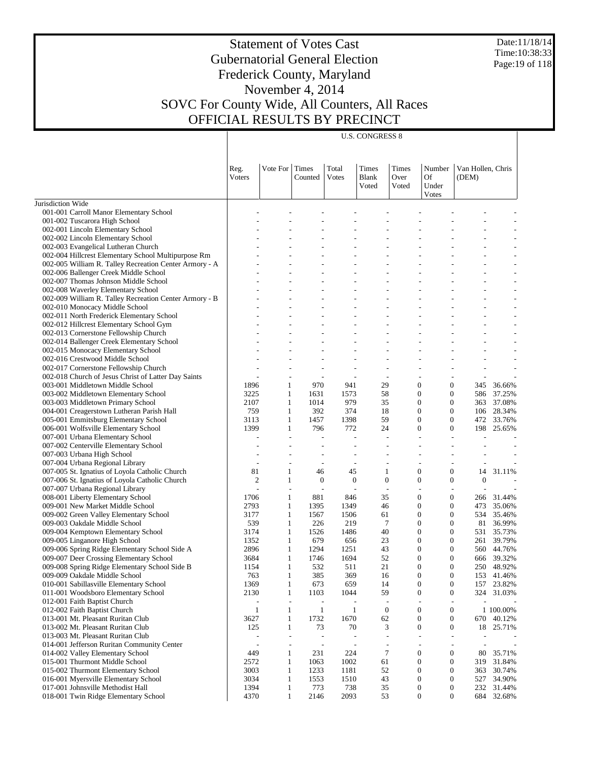Date:11/18/14 Time:10:38:33 Page:19 of 118

 $\overline{\phantom{a}}$ 

#### Statement of Votes Cast Gubernatorial General Election Frederick County, Maryland November 4, 2014 SOVC For County Wide, All Counters, All Races OFFICIAL RESULTS BY PRECINCT U.S. CONGRESS 8

Τ

|                                                                                                               | Reg.<br>Voters         | Vote For                       | Times<br>Counted         | Total<br>Votes | Times<br><b>Blank</b><br>Voted | Times<br>Over<br>Voted       | Number<br>Of<br>Under<br>Votes                                               | Van Hollen, Chris<br>(DEM)                           |                          |
|---------------------------------------------------------------------------------------------------------------|------------------------|--------------------------------|--------------------------|----------------|--------------------------------|------------------------------|------------------------------------------------------------------------------|------------------------------------------------------|--------------------------|
| Jurisdiction Wide                                                                                             |                        |                                |                          |                |                                |                              |                                                                              |                                                      |                          |
| 001-001 Carroll Manor Elementary School                                                                       |                        |                                |                          |                |                                |                              |                                                                              |                                                      |                          |
| 001-002 Tuscarora High School                                                                                 |                        |                                |                          |                |                                |                              |                                                                              |                                                      |                          |
| 002-001 Lincoln Elementary School                                                                             |                        |                                |                          |                |                                |                              |                                                                              |                                                      | $\overline{\phantom{a}}$ |
| 002-002 Lincoln Elementary School                                                                             |                        |                                |                          |                |                                |                              |                                                                              |                                                      |                          |
| 002-003 Evangelical Lutheran Church                                                                           |                        |                                |                          |                |                                |                              |                                                                              |                                                      |                          |
| 002-004 Hillcrest Elementary School Multipurpose Rm<br>002-005 William R. Talley Recreation Center Armory - A |                        |                                |                          |                |                                |                              |                                                                              |                                                      | $\overline{\phantom{a}}$ |
| 002-006 Ballenger Creek Middle School                                                                         |                        |                                |                          |                |                                |                              |                                                                              |                                                      |                          |
| 002-007 Thomas Johnson Middle School                                                                          |                        |                                |                          |                |                                |                              |                                                                              | $\overline{a}$                                       |                          |
| 002-008 Waverley Elementary School                                                                            |                        |                                |                          |                |                                |                              |                                                                              |                                                      |                          |
| 002-009 William R. Talley Recreation Center Armory - B                                                        |                        |                                |                          |                |                                |                              |                                                                              |                                                      |                          |
| 002-010 Monocacy Middle School                                                                                |                        |                                |                          |                |                                |                              |                                                                              |                                                      |                          |
| 002-011 North Frederick Elementary School                                                                     |                        |                                |                          |                |                                |                              |                                                                              |                                                      |                          |
| 002-012 Hillcrest Elementary School Gym                                                                       |                        |                                |                          |                |                                |                              |                                                                              |                                                      |                          |
| 002-013 Cornerstone Fellowship Church                                                                         |                        |                                |                          |                |                                |                              |                                                                              | $\overline{a}$                                       |                          |
| 002-014 Ballenger Creek Elementary School                                                                     |                        |                                |                          |                |                                |                              |                                                                              |                                                      |                          |
| 002-015 Monocacy Elementary School                                                                            |                        |                                |                          |                |                                |                              |                                                                              |                                                      |                          |
| 002-016 Crestwood Middle School                                                                               |                        |                                |                          |                |                                |                              |                                                                              |                                                      |                          |
| 002-017 Cornerstone Fellowship Church                                                                         |                        |                                |                          |                | $\overline{\phantom{a}}$       |                              | $\overline{\phantom{a}}$                                                     | $\overline{a}$                                       |                          |
| 002-018 Church of Jesus Christ of Latter Day Saints                                                           |                        | $\mathbf{1}$                   | 970                      | 941            | $\overline{a}$                 |                              | $\mathbf{0}$<br>$\mathbf{0}$                                                 | $\overline{a}$<br>345                                |                          |
| 003-001 Middletown Middle School<br>003-002 Middletown Elementary School                                      | 1896<br>3225           | $\mathbf{1}$                   | 1631                     | 1573           | 29<br>58                       |                              | $\mathbf{0}$<br>$\mathbf{0}$                                                 | 586                                                  | 36.66%<br>37.25%         |
| 003-003 Middletown Primary School                                                                             | 2107                   | $\mathbf{1}$                   | 1014                     | 979            | 35                             |                              | $\mathbf{0}$<br>$\mathbf{0}$                                                 | 363                                                  | 37.08%                   |
| 004-001 Creagerstown Lutheran Parish Hall                                                                     | 759                    | $\mathbf{1}$                   | 392                      | 374            | 18                             |                              | $\mathbf{0}$<br>$\mathbf{0}$                                                 | 106                                                  | 28.34%                   |
| 005-001 Emmitsburg Elementary School                                                                          | 3113                   | $\mathbf{1}$                   | 1457                     | 1398           | 59                             |                              | $\mathbf{0}$<br>$\mathbf{0}$                                                 | 472                                                  | 33.76%                   |
| 006-001 Wolfsville Elementary School                                                                          | 1399                   | $\mathbf{1}$                   | 796                      | 772            | 24                             |                              | $\mathbf{0}$<br>$\mathbf{0}$                                                 | 198                                                  | 25.65%                   |
| 007-001 Urbana Elementary School                                                                              |                        | $\overline{a}$                 | Ĭ.                       |                | $\overline{a}$                 |                              |                                                                              | $\overline{a}$                                       |                          |
| 007-002 Centerville Elementary School                                                                         |                        |                                |                          |                |                                |                              |                                                                              |                                                      |                          |
| 007-003 Urbana High School                                                                                    |                        |                                |                          |                |                                |                              | $\overline{a}$                                                               |                                                      |                          |
| 007-004 Urbana Regional Library                                                                               | $\overline{a}$         | $\overline{a}$                 | $\overline{a}$           |                | $\overline{\phantom{a}}$       |                              |                                                                              | $\overline{a}$                                       |                          |
| 007-005 St. Ignatius of Loyola Catholic Church                                                                | 81                     | $\mathbf{1}$                   | 46                       | 45             | 1                              |                              | $\mathbf{0}$<br>$\mathbf{0}$                                                 | 14                                                   | 31.11%                   |
| 007-006 St. Ignatius of Loyola Catholic Church                                                                | $\mathfrak{2}$         | $\mathbf{1}$                   | $\overline{0}$           | $\mathbf{0}$   | $\overline{0}$                 |                              | $\mathbf{0}$<br>$\mathbf{0}$                                                 | $\mathbf{0}$                                         |                          |
| 007-007 Urbana Regional Library<br>008-001 Liberty Elementary School                                          | $\overline{a}$<br>1706 | $\overline{a}$<br>$\mathbf{1}$ | $\overline{a}$<br>881    | 846            | 35                             | $\overline{a}$               | $\overline{a}$<br>$\mathbf{0}$<br>$\mathbf{0}$                               | $\overline{\phantom{a}}$<br>$\overline{a}$<br>266    | 31.44%                   |
| 009-001 New Market Middle School                                                                              | 2793                   | $\mathbf{1}$                   | 1395                     | 1349           | 46                             |                              | $\mathbf{0}$<br>$\mathbf{0}$                                                 | 473                                                  | 35.06%                   |
| 009-002 Green Valley Elementary School                                                                        | 3177                   | 1                              | 1567                     | 1506           | 61                             |                              | $\mathbf{0}$<br>$\mathbf{0}$                                                 | 534                                                  | 35.46%                   |
| 009-003 Oakdale Middle School                                                                                 | 539                    | 1                              | 226                      | 219            | 7                              |                              | $\mathbf{0}$<br>$\mathbf{0}$                                                 | 81                                                   | 36.99%                   |
| 009-004 Kemptown Elementary School                                                                            | 3174                   | $\mathbf{1}$                   | 1526                     | 1486           | 40                             |                              | $\mathbf{0}$<br>$\mathbf{0}$                                                 | 531                                                  | 35.73%                   |
| 009-005 Linganore High School                                                                                 | 1352                   | $\mathbf{1}$                   | 679                      | 656            | 23                             |                              | $\mathbf{0}$<br>$\mathbf{0}$                                                 | 261                                                  | 39.79%                   |
| 009-006 Spring Ridge Elementary School Side A                                                                 | 2896                   | $\mathbf{1}$                   | 1294                     | 1251           | 43                             |                              | $\mathbf{0}$<br>$\mathbf{0}$                                                 | 560                                                  | 44.76%                   |
| 009-007 Deer Crossing Elementary School                                                                       | 3684                   | $\mathbf{1}$                   | 1746                     | 1694           | 52                             |                              | $\mathbf{0}$<br>$\mathbf{0}$                                                 | 666                                                  | 39.32%                   |
| 009-008 Spring Ridge Elementary School Side B                                                                 | 1154                   | $\mathbf{1}$                   | 532                      | 511            | 21                             |                              | $\Omega$<br>$\Omega$                                                         |                                                      | 250 48.92%               |
| 009-009 Oakdale Middle School                                                                                 | 763                    | $\mathbf{1}$                   | 385                      | 369            | 16                             |                              | $\boldsymbol{0}$<br>$\boldsymbol{0}$                                         | 153                                                  | 41.46%                   |
| 010-001 Sabillasville Elementary School                                                                       | 1369                   | $\mathbf{1}$                   | 673                      | 659            | 14                             |                              | $\boldsymbol{0}$<br>$\boldsymbol{0}$                                         | 157                                                  | 23.82%                   |
| 011-001 Woodsboro Elementary School                                                                           | 2130                   | $\mathbf{1}$                   | 1103                     | 1044           | 59                             |                              | $\boldsymbol{0}$<br>$\boldsymbol{0}$                                         | 324                                                  | 31.03%                   |
| 012-001 Faith Baptist Church                                                                                  |                        | $\overline{\phantom{a}}$       |                          |                |                                | $\overline{a}$               | $\overline{a}$                                                               | $\overline{\phantom{a}}$<br>$\overline{a}$           |                          |
| 012-002 Faith Baptist Church                                                                                  | $\mathbf{1}$           | $\mathbf{1}$                   | $\mathbf{1}$             | $\mathbf{1}$   | $\boldsymbol{0}$               |                              | $\boldsymbol{0}$<br>$\boldsymbol{0}$                                         |                                                      | 1 100.00%                |
| 013-001 Mt. Pleasant Ruritan Club<br>013-002 Mt. Pleasant Ruritan Club                                        | 3627<br>125            | $\mathbf{1}$<br>$\mathbf{1}$   | 1732<br>73               | 1670<br>70     | 62                             | 3                            | $\boldsymbol{0}$<br>$\boldsymbol{0}$<br>$\boldsymbol{0}$<br>$\boldsymbol{0}$ | 670                                                  | 40.12%<br>18 25.71%      |
| 013-003 Mt. Pleasant Ruritan Club                                                                             |                        | $\overline{a}$                 | $\overline{\phantom{a}}$ |                | $\overline{a}$                 | $\overline{\phantom{a}}$     | $\qquad \qquad \blacksquare$                                                 | $\overline{\phantom{a}}$                             |                          |
| 014-001 Jefferson Ruritan Community Center                                                                    | $\overline{a}$         | $\overline{\phantom{a}}$       | $\overline{\phantom{a}}$ |                | $\overline{a}$                 | $\qquad \qquad \blacksquare$ | $\overline{\phantom{a}}$                                                     | $\overline{\phantom{a}}$<br>$\overline{\phantom{a}}$ |                          |
| 014-002 Valley Elementary School                                                                              | 449                    | $\mathbf{1}$                   | 231                      | 224            |                                | 7                            | $\boldsymbol{0}$<br>$\boldsymbol{0}$                                         | 80                                                   | 35.71%                   |
| 015-001 Thurmont Middle School                                                                                | 2572                   | $\mathbf{1}$                   | 1063                     | 1002           | 61                             |                              | $\boldsymbol{0}$<br>$\boldsymbol{0}$                                         | 319                                                  | 31.84%                   |
| 015-002 Thurmont Elementary School                                                                            | 3003                   | $\mathbf{1}$                   | 1233                     | 1181           | 52                             |                              | $\boldsymbol{0}$<br>$\boldsymbol{0}$                                         | 363                                                  | 30.74%                   |
| 016-001 Myersville Elementary School                                                                          | 3034                   | $\mathbf{1}$                   | 1553                     | 1510           | 43                             |                              | $\boldsymbol{0}$<br>$\boldsymbol{0}$                                         | 527                                                  | 34.90%                   |
| 017-001 Johnsville Methodist Hall                                                                             | 1394                   | $\mathbf{1}$                   | 773                      | 738            | 35                             |                              | $\boldsymbol{0}$<br>$\boldsymbol{0}$                                         | 232                                                  | 31.44%                   |
| 018-001 Twin Ridge Elementary School                                                                          | 4370                   | $\mathbf{1}$                   | 2146                     | 2093           | 53                             |                              | $\boldsymbol{0}$<br>$\boldsymbol{0}$                                         |                                                      | 684 32.68%               |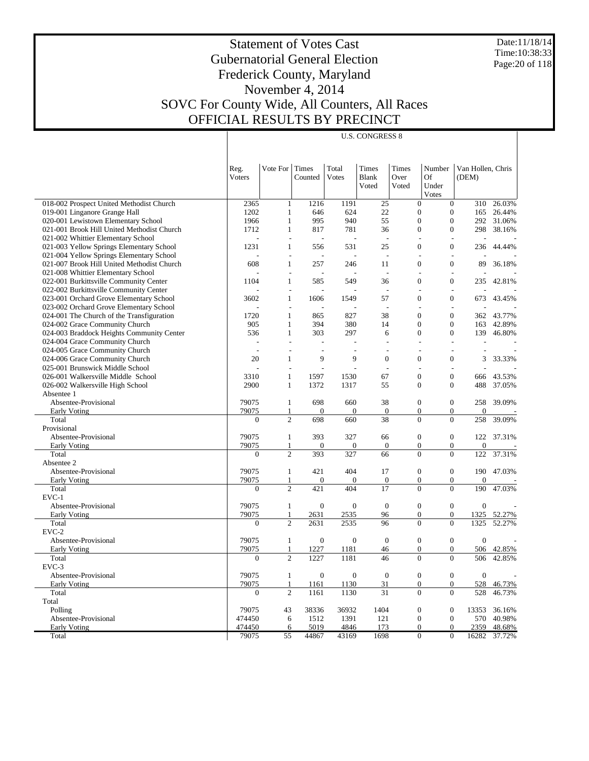Date:11/18/14 Time:10:38:33 Page:20 of 118

 $\overline{\phantom{a}}$ 

# Statement of Votes Cast Gubernatorial General Election Frederick County, Maryland November 4, 2014 SOVC For County Wide, All Counters, All Races OFFICIAL RESULTS BY PRECINCT

 $\top$ 

| Vote For Times<br><b>Times</b><br><b>Times</b><br>Van Hollen, Chris<br>Total<br>Number<br>Reg.<br>Voters<br>Counted<br>Votes<br><b>Blank</b><br>Over<br>Of<br>(DEM)<br>Voted<br>Voted<br>Under<br>Votes<br>2365<br>1216<br>1191<br>25<br>018-002 Prospect United Methodist Church<br>$\mathbf{1}$<br>$\boldsymbol{0}$<br>$\mathbf{0}$<br>310<br>26.03%<br>019-001 Linganore Grange Hall<br>$\mathbf{1}$<br>646<br>624<br>22<br>$\boldsymbol{0}$<br>$\overline{0}$<br>26.44%<br>1202<br>165<br>020-001 Lewistown Elementary School<br>995<br>$\overline{0}$<br>$\mathbf{1}$<br>940<br>55<br>$\mathbf{0}$<br>292<br>31.06%<br>1966<br>021-001 Brook Hill United Methodist Church<br>817<br>781<br>36<br>$\overline{0}$<br>$\overline{0}$<br>298<br>38.16%<br>1712<br>1<br>021-002 Whittier Elementary School<br>$\overline{a}$<br>L,<br>L,<br>L,<br>L,<br>L.<br>$\overline{a}$<br>$\overline{a}$<br>$\mathbf{0}$<br>021-003 Yellow Springs Elementary School<br>1231<br>$\mathbf{1}$<br>531<br>25<br>$\boldsymbol{0}$<br>236<br>44.44%<br>556<br>021-004 Yellow Springs Elementary School<br>J.<br>L,<br>L.<br>$\overline{a}$<br>L,<br>L,<br>$\overline{0}$<br>021-007 Brook Hill United Methodist Church<br>608<br>$\mathbf{1}$<br>257<br>11<br>$\overline{0}$<br>89<br>246<br>36.18%<br>021-008 Whittier Elementary School<br>L,<br>J.<br>L,<br>022-001 Burkittsville Community Center<br>585<br>549<br>$\overline{0}$<br>$\overline{0}$<br>1104<br>1<br>36<br>235<br>42.81%<br>022-002 Burkittsville Community Center<br>$\overline{a}$<br>$\overline{a}$<br>$\overline{a}$<br>L,<br>$\mathbf{1}$<br>57<br>$\overline{0}$<br>$\overline{0}$<br>023-001 Orchard Grove Elementary School<br>3602<br>1606<br>1549<br>673<br>43.45%<br>023-002 Orchard Grove Elementary School<br>L,<br>L,<br>L,<br>38<br>$\overline{0}$<br>024-001 The Church of the Transfiguration<br>1720<br>$\mathbf{1}$<br>865<br>827<br>$\theta$<br>362<br>43.77%<br>024-002 Grace Community Church<br>905<br>$\mathbf{1}$<br>394<br>380<br>$\theta$<br>$\overline{0}$<br>42.89%<br>14<br>163<br>024-003 Braddock Heights Community Center<br>536<br>$\mathbf{1}$<br>303<br>297<br>6<br>$\mathbf{0}$<br>$\mathbf{0}$<br>139<br>46.80%<br>024-004 Grace Community Church<br>L,<br>L,<br>L,<br>L,<br>L,<br>L,<br>L,<br>024-005 Grace Community Church<br>L,<br>L,<br>÷,<br>÷,<br>÷,<br>024-006 Grace Community Church<br>$\mathbf{1}$<br>9<br>9<br>$\mathbf{0}$<br>$\overline{0}$<br>$\overline{0}$<br>20<br>3<br>33.33%<br>025-001 Brunswick Middle School<br>L,<br>L,<br>L,<br>L,<br>J.<br>L,<br>1530<br>$\overline{0}$<br>$\overline{0}$<br>026-001 Walkersville Middle School<br>3310<br>$\mathbf{1}$<br>1597<br>67<br>666<br>43.53%<br>$\mathbf{1}$<br>55<br>$\theta$<br>$\theta$<br>026-002 Walkersville High School<br>2900<br>1372<br>1317<br>488<br>37.05%<br>Absentee 1<br>$\overline{0}$<br>$\overline{0}$<br>$\mathbf{1}$<br>698<br>660<br>38<br>Absentee-Provisional<br>79075<br>258<br>39.09%<br>79075<br>$\mathbf{1}$<br>$\overline{0}$<br>$\mathbf{0}$<br>$\mathbf{0}$<br>$\overline{0}$<br>$\overline{0}$<br>Early Voting<br>$\overline{0}$<br>$\overline{c}$<br>698<br>38<br>39.09%<br>Total<br>$\overline{0}$<br>660<br>$\theta$<br>$\Omega$<br>258<br>Provisional<br>$\overline{0}$<br>$\boldsymbol{0}$<br>79075<br>$\mathbf{1}$<br>393<br>327<br>Absentee-Provisional<br>66<br>122<br>37.31%<br>$\mathbf{0}$<br>$\mathbf{0}$<br><b>Early Voting</b><br>79075<br>$\mathbf{1}$<br>$\boldsymbol{0}$<br>$\mathbf{0}$<br>$\boldsymbol{0}$<br>$\boldsymbol{0}$<br>$\overline{c}$<br>$\theta$<br>$\Omega$<br>Total<br>$\Omega$<br>393<br>327<br>66<br>122<br>37.31%<br>Absentee 2<br>79075<br>$\mathbf{1}$<br>404<br>17<br>$\mathbf{0}$<br>$\overline{0}$<br>Absentee-Provisional<br>421<br>190<br>47.03%<br>79075<br>$\mathbf{1}$<br>$\mathbf{0}$<br>$\mathbf{0}$<br>$\mathbf{0}$<br>$\boldsymbol{0}$<br>$\boldsymbol{0}$<br>Early Voting<br>$\overline{0}$<br>$\overline{2}$<br>17<br>421<br>404<br>$\overline{0}$<br>$\overline{0}$<br>190<br>47.03%<br>Total<br>$\overline{0}$<br>$EVC-1$<br>$\mathbf{1}$<br>$\overline{0}$<br>$\overline{0}$<br>$\overline{0}$<br>$\overline{0}$<br>$\mathbf{0}$<br>$\mathbf{0}$<br>Absentee-Provisional<br>79075<br>2535<br>96<br>$\overline{0}$<br>$\overline{0}$<br>1325<br>Early Voting<br>79075<br>$\mathbf{1}$<br>2631<br>52.27%<br>$\overline{c}$<br>$\theta$<br>$\theta$<br>Total<br>2631<br>2535<br>96<br>1325<br>52.27%<br>$\theta$<br>$EVC-2$<br>$\mathbf{1}$<br>$\overline{0}$<br>$\overline{0}$<br>$\boldsymbol{0}$<br>$\boldsymbol{0}$<br>$\boldsymbol{0}$<br>Absentee-Provisional<br>79075<br>$\overline{0}$<br><b>Early Voting</b><br>79075<br>$\mathbf{1}$<br>1227<br>1181<br>46<br>$\mathbf{0}$<br>$\overline{0}$<br>506<br>42.85%<br>$\overline{c}$<br>1227<br>1181<br>46<br>$\theta$<br>$\Omega$<br>506<br>Total<br>$\Omega$<br>42.85%<br>$EVC-3$<br>$\mathbf{1}$<br>$\overline{0}$<br>$\overline{0}$<br>$\mathbf{0}$<br>$\mathbf{0}$<br>$\mathbf{0}$<br>$\boldsymbol{0}$<br>Absentee-Provisional<br>79075<br>79075<br>$\mathbf{1}$<br>1161<br>1130<br>31<br>$\boldsymbol{0}$<br>$\boldsymbol{0}$<br>528<br><b>Early Voting</b><br>46.73%<br>$\overline{c}$<br>Total<br>$\mathbf{0}$<br>1161<br>1130<br>31<br>$\theta$<br>$\overline{0}$<br>528<br>46.73%<br>Total<br>$\boldsymbol{0}$<br>$\mathbf{0}$<br>Polling<br>79075<br>43<br>38336<br>36932<br>1404<br>13353<br>36.16%<br>1512<br>1391<br>$\overline{0}$<br>$\boldsymbol{0}$<br>570<br>Absentee-Provisional<br>474450<br>6<br>121<br>40.98%<br>474450<br>5019<br>4846<br>173<br>$\Omega$<br>$\theta$<br>2359<br>48.68%<br>Early Voting<br>6<br>55<br>$\Omega$<br>79075<br>43169<br>1698<br>$\theta$ |       |  |       |  |  |       |        |
|-----------------------------------------------------------------------------------------------------------------------------------------------------------------------------------------------------------------------------------------------------------------------------------------------------------------------------------------------------------------------------------------------------------------------------------------------------------------------------------------------------------------------------------------------------------------------------------------------------------------------------------------------------------------------------------------------------------------------------------------------------------------------------------------------------------------------------------------------------------------------------------------------------------------------------------------------------------------------------------------------------------------------------------------------------------------------------------------------------------------------------------------------------------------------------------------------------------------------------------------------------------------------------------------------------------------------------------------------------------------------------------------------------------------------------------------------------------------------------------------------------------------------------------------------------------------------------------------------------------------------------------------------------------------------------------------------------------------------------------------------------------------------------------------------------------------------------------------------------------------------------------------------------------------------------------------------------------------------------------------------------------------------------------------------------------------------------------------------------------------------------------------------------------------------------------------------------------------------------------------------------------------------------------------------------------------------------------------------------------------------------------------------------------------------------------------------------------------------------------------------------------------------------------------------------------------------------------------------------------------------------------------------------------------------------------------------------------------------------------------------------------------------------------------------------------------------------------------------------------------------------------------------------------------------------------------------------------------------------------------------------------------------------------------------------------------------------------------------------------------------------------------------------------------------------------------------------------------------------------------------------------------------------------------------------------------------------------------------------------------------------------------------------------------------------------------------------------------------------------------------------------------------------------------------------------------------------------------------------------------------------------------------------------------------------------------------------------------------------------------------------------------------------------------------------------------------------------------------------------------------------------------------------------------------------------------------------------------------------------------------------------------------------------------------------------------------------------------------------------------------------------------------------------------------------------------------------------------------------------------------------------------------------------------------------------------------------------------------------------------------------------------------------------------------------------------------------------------------------------------------------------------------------------------------------------------------------------------------------------------------------------------------------------------------------------------------------------------------------------------------------------------------------------------------------------------------------------------------------------------------------------------------------------------------------------------------------------------------------------------------------------------------------------------------------------------------------------------------------------------------------------------------------------------------------------------------------------------------------------------------------------------------------------------------------------------------------------------------------------------------------------------------------------------------------------------------------------------------------------------------------------------------------------------------------------------------------------------------------------------------------------------------------------------------------------------------------|-------|--|-------|--|--|-------|--------|
|                                                                                                                                                                                                                                                                                                                                                                                                                                                                                                                                                                                                                                                                                                                                                                                                                                                                                                                                                                                                                                                                                                                                                                                                                                                                                                                                                                                                                                                                                                                                                                                                                                                                                                                                                                                                                                                                                                                                                                                                                                                                                                                                                                                                                                                                                                                                                                                                                                                                                                                                                                                                                                                                                                                                                                                                                                                                                                                                                                                                                                                                                                                                                                                                                                                                                                                                                                                                                                                                                                                                                                                                                                                                                                                                                                                                                                                                                                                                                                                                                                                                                                                                                                                                                                                                                                                                                                                                                                                                                                                                                                                                                                                                                                                                                                                                                                                                                                                                                                                                                                                                                                                                                                                                                                                                                                                                                                                                                                                                                                                                                                                                                                                                                                     |       |  |       |  |  |       |        |
|                                                                                                                                                                                                                                                                                                                                                                                                                                                                                                                                                                                                                                                                                                                                                                                                                                                                                                                                                                                                                                                                                                                                                                                                                                                                                                                                                                                                                                                                                                                                                                                                                                                                                                                                                                                                                                                                                                                                                                                                                                                                                                                                                                                                                                                                                                                                                                                                                                                                                                                                                                                                                                                                                                                                                                                                                                                                                                                                                                                                                                                                                                                                                                                                                                                                                                                                                                                                                                                                                                                                                                                                                                                                                                                                                                                                                                                                                                                                                                                                                                                                                                                                                                                                                                                                                                                                                                                                                                                                                                                                                                                                                                                                                                                                                                                                                                                                                                                                                                                                                                                                                                                                                                                                                                                                                                                                                                                                                                                                                                                                                                                                                                                                                                     |       |  |       |  |  |       |        |
|                                                                                                                                                                                                                                                                                                                                                                                                                                                                                                                                                                                                                                                                                                                                                                                                                                                                                                                                                                                                                                                                                                                                                                                                                                                                                                                                                                                                                                                                                                                                                                                                                                                                                                                                                                                                                                                                                                                                                                                                                                                                                                                                                                                                                                                                                                                                                                                                                                                                                                                                                                                                                                                                                                                                                                                                                                                                                                                                                                                                                                                                                                                                                                                                                                                                                                                                                                                                                                                                                                                                                                                                                                                                                                                                                                                                                                                                                                                                                                                                                                                                                                                                                                                                                                                                                                                                                                                                                                                                                                                                                                                                                                                                                                                                                                                                                                                                                                                                                                                                                                                                                                                                                                                                                                                                                                                                                                                                                                                                                                                                                                                                                                                                                                     |       |  |       |  |  |       |        |
|                                                                                                                                                                                                                                                                                                                                                                                                                                                                                                                                                                                                                                                                                                                                                                                                                                                                                                                                                                                                                                                                                                                                                                                                                                                                                                                                                                                                                                                                                                                                                                                                                                                                                                                                                                                                                                                                                                                                                                                                                                                                                                                                                                                                                                                                                                                                                                                                                                                                                                                                                                                                                                                                                                                                                                                                                                                                                                                                                                                                                                                                                                                                                                                                                                                                                                                                                                                                                                                                                                                                                                                                                                                                                                                                                                                                                                                                                                                                                                                                                                                                                                                                                                                                                                                                                                                                                                                                                                                                                                                                                                                                                                                                                                                                                                                                                                                                                                                                                                                                                                                                                                                                                                                                                                                                                                                                                                                                                                                                                                                                                                                                                                                                                                     |       |  |       |  |  |       |        |
|                                                                                                                                                                                                                                                                                                                                                                                                                                                                                                                                                                                                                                                                                                                                                                                                                                                                                                                                                                                                                                                                                                                                                                                                                                                                                                                                                                                                                                                                                                                                                                                                                                                                                                                                                                                                                                                                                                                                                                                                                                                                                                                                                                                                                                                                                                                                                                                                                                                                                                                                                                                                                                                                                                                                                                                                                                                                                                                                                                                                                                                                                                                                                                                                                                                                                                                                                                                                                                                                                                                                                                                                                                                                                                                                                                                                                                                                                                                                                                                                                                                                                                                                                                                                                                                                                                                                                                                                                                                                                                                                                                                                                                                                                                                                                                                                                                                                                                                                                                                                                                                                                                                                                                                                                                                                                                                                                                                                                                                                                                                                                                                                                                                                                                     |       |  |       |  |  |       |        |
|                                                                                                                                                                                                                                                                                                                                                                                                                                                                                                                                                                                                                                                                                                                                                                                                                                                                                                                                                                                                                                                                                                                                                                                                                                                                                                                                                                                                                                                                                                                                                                                                                                                                                                                                                                                                                                                                                                                                                                                                                                                                                                                                                                                                                                                                                                                                                                                                                                                                                                                                                                                                                                                                                                                                                                                                                                                                                                                                                                                                                                                                                                                                                                                                                                                                                                                                                                                                                                                                                                                                                                                                                                                                                                                                                                                                                                                                                                                                                                                                                                                                                                                                                                                                                                                                                                                                                                                                                                                                                                                                                                                                                                                                                                                                                                                                                                                                                                                                                                                                                                                                                                                                                                                                                                                                                                                                                                                                                                                                                                                                                                                                                                                                                                     |       |  |       |  |  |       |        |
|                                                                                                                                                                                                                                                                                                                                                                                                                                                                                                                                                                                                                                                                                                                                                                                                                                                                                                                                                                                                                                                                                                                                                                                                                                                                                                                                                                                                                                                                                                                                                                                                                                                                                                                                                                                                                                                                                                                                                                                                                                                                                                                                                                                                                                                                                                                                                                                                                                                                                                                                                                                                                                                                                                                                                                                                                                                                                                                                                                                                                                                                                                                                                                                                                                                                                                                                                                                                                                                                                                                                                                                                                                                                                                                                                                                                                                                                                                                                                                                                                                                                                                                                                                                                                                                                                                                                                                                                                                                                                                                                                                                                                                                                                                                                                                                                                                                                                                                                                                                                                                                                                                                                                                                                                                                                                                                                                                                                                                                                                                                                                                                                                                                                                                     |       |  |       |  |  |       |        |
|                                                                                                                                                                                                                                                                                                                                                                                                                                                                                                                                                                                                                                                                                                                                                                                                                                                                                                                                                                                                                                                                                                                                                                                                                                                                                                                                                                                                                                                                                                                                                                                                                                                                                                                                                                                                                                                                                                                                                                                                                                                                                                                                                                                                                                                                                                                                                                                                                                                                                                                                                                                                                                                                                                                                                                                                                                                                                                                                                                                                                                                                                                                                                                                                                                                                                                                                                                                                                                                                                                                                                                                                                                                                                                                                                                                                                                                                                                                                                                                                                                                                                                                                                                                                                                                                                                                                                                                                                                                                                                                                                                                                                                                                                                                                                                                                                                                                                                                                                                                                                                                                                                                                                                                                                                                                                                                                                                                                                                                                                                                                                                                                                                                                                                     |       |  |       |  |  |       |        |
|                                                                                                                                                                                                                                                                                                                                                                                                                                                                                                                                                                                                                                                                                                                                                                                                                                                                                                                                                                                                                                                                                                                                                                                                                                                                                                                                                                                                                                                                                                                                                                                                                                                                                                                                                                                                                                                                                                                                                                                                                                                                                                                                                                                                                                                                                                                                                                                                                                                                                                                                                                                                                                                                                                                                                                                                                                                                                                                                                                                                                                                                                                                                                                                                                                                                                                                                                                                                                                                                                                                                                                                                                                                                                                                                                                                                                                                                                                                                                                                                                                                                                                                                                                                                                                                                                                                                                                                                                                                                                                                                                                                                                                                                                                                                                                                                                                                                                                                                                                                                                                                                                                                                                                                                                                                                                                                                                                                                                                                                                                                                                                                                                                                                                                     |       |  |       |  |  |       |        |
|                                                                                                                                                                                                                                                                                                                                                                                                                                                                                                                                                                                                                                                                                                                                                                                                                                                                                                                                                                                                                                                                                                                                                                                                                                                                                                                                                                                                                                                                                                                                                                                                                                                                                                                                                                                                                                                                                                                                                                                                                                                                                                                                                                                                                                                                                                                                                                                                                                                                                                                                                                                                                                                                                                                                                                                                                                                                                                                                                                                                                                                                                                                                                                                                                                                                                                                                                                                                                                                                                                                                                                                                                                                                                                                                                                                                                                                                                                                                                                                                                                                                                                                                                                                                                                                                                                                                                                                                                                                                                                                                                                                                                                                                                                                                                                                                                                                                                                                                                                                                                                                                                                                                                                                                                                                                                                                                                                                                                                                                                                                                                                                                                                                                                                     |       |  |       |  |  |       |        |
|                                                                                                                                                                                                                                                                                                                                                                                                                                                                                                                                                                                                                                                                                                                                                                                                                                                                                                                                                                                                                                                                                                                                                                                                                                                                                                                                                                                                                                                                                                                                                                                                                                                                                                                                                                                                                                                                                                                                                                                                                                                                                                                                                                                                                                                                                                                                                                                                                                                                                                                                                                                                                                                                                                                                                                                                                                                                                                                                                                                                                                                                                                                                                                                                                                                                                                                                                                                                                                                                                                                                                                                                                                                                                                                                                                                                                                                                                                                                                                                                                                                                                                                                                                                                                                                                                                                                                                                                                                                                                                                                                                                                                                                                                                                                                                                                                                                                                                                                                                                                                                                                                                                                                                                                                                                                                                                                                                                                                                                                                                                                                                                                                                                                                                     |       |  |       |  |  |       |        |
|                                                                                                                                                                                                                                                                                                                                                                                                                                                                                                                                                                                                                                                                                                                                                                                                                                                                                                                                                                                                                                                                                                                                                                                                                                                                                                                                                                                                                                                                                                                                                                                                                                                                                                                                                                                                                                                                                                                                                                                                                                                                                                                                                                                                                                                                                                                                                                                                                                                                                                                                                                                                                                                                                                                                                                                                                                                                                                                                                                                                                                                                                                                                                                                                                                                                                                                                                                                                                                                                                                                                                                                                                                                                                                                                                                                                                                                                                                                                                                                                                                                                                                                                                                                                                                                                                                                                                                                                                                                                                                                                                                                                                                                                                                                                                                                                                                                                                                                                                                                                                                                                                                                                                                                                                                                                                                                                                                                                                                                                                                                                                                                                                                                                                                     |       |  |       |  |  |       |        |
|                                                                                                                                                                                                                                                                                                                                                                                                                                                                                                                                                                                                                                                                                                                                                                                                                                                                                                                                                                                                                                                                                                                                                                                                                                                                                                                                                                                                                                                                                                                                                                                                                                                                                                                                                                                                                                                                                                                                                                                                                                                                                                                                                                                                                                                                                                                                                                                                                                                                                                                                                                                                                                                                                                                                                                                                                                                                                                                                                                                                                                                                                                                                                                                                                                                                                                                                                                                                                                                                                                                                                                                                                                                                                                                                                                                                                                                                                                                                                                                                                                                                                                                                                                                                                                                                                                                                                                                                                                                                                                                                                                                                                                                                                                                                                                                                                                                                                                                                                                                                                                                                                                                                                                                                                                                                                                                                                                                                                                                                                                                                                                                                                                                                                                     |       |  |       |  |  |       |        |
|                                                                                                                                                                                                                                                                                                                                                                                                                                                                                                                                                                                                                                                                                                                                                                                                                                                                                                                                                                                                                                                                                                                                                                                                                                                                                                                                                                                                                                                                                                                                                                                                                                                                                                                                                                                                                                                                                                                                                                                                                                                                                                                                                                                                                                                                                                                                                                                                                                                                                                                                                                                                                                                                                                                                                                                                                                                                                                                                                                                                                                                                                                                                                                                                                                                                                                                                                                                                                                                                                                                                                                                                                                                                                                                                                                                                                                                                                                                                                                                                                                                                                                                                                                                                                                                                                                                                                                                                                                                                                                                                                                                                                                                                                                                                                                                                                                                                                                                                                                                                                                                                                                                                                                                                                                                                                                                                                                                                                                                                                                                                                                                                                                                                                                     |       |  |       |  |  |       |        |
|                                                                                                                                                                                                                                                                                                                                                                                                                                                                                                                                                                                                                                                                                                                                                                                                                                                                                                                                                                                                                                                                                                                                                                                                                                                                                                                                                                                                                                                                                                                                                                                                                                                                                                                                                                                                                                                                                                                                                                                                                                                                                                                                                                                                                                                                                                                                                                                                                                                                                                                                                                                                                                                                                                                                                                                                                                                                                                                                                                                                                                                                                                                                                                                                                                                                                                                                                                                                                                                                                                                                                                                                                                                                                                                                                                                                                                                                                                                                                                                                                                                                                                                                                                                                                                                                                                                                                                                                                                                                                                                                                                                                                                                                                                                                                                                                                                                                                                                                                                                                                                                                                                                                                                                                                                                                                                                                                                                                                                                                                                                                                                                                                                                                                                     |       |  |       |  |  |       |        |
|                                                                                                                                                                                                                                                                                                                                                                                                                                                                                                                                                                                                                                                                                                                                                                                                                                                                                                                                                                                                                                                                                                                                                                                                                                                                                                                                                                                                                                                                                                                                                                                                                                                                                                                                                                                                                                                                                                                                                                                                                                                                                                                                                                                                                                                                                                                                                                                                                                                                                                                                                                                                                                                                                                                                                                                                                                                                                                                                                                                                                                                                                                                                                                                                                                                                                                                                                                                                                                                                                                                                                                                                                                                                                                                                                                                                                                                                                                                                                                                                                                                                                                                                                                                                                                                                                                                                                                                                                                                                                                                                                                                                                                                                                                                                                                                                                                                                                                                                                                                                                                                                                                                                                                                                                                                                                                                                                                                                                                                                                                                                                                                                                                                                                                     |       |  |       |  |  |       |        |
|                                                                                                                                                                                                                                                                                                                                                                                                                                                                                                                                                                                                                                                                                                                                                                                                                                                                                                                                                                                                                                                                                                                                                                                                                                                                                                                                                                                                                                                                                                                                                                                                                                                                                                                                                                                                                                                                                                                                                                                                                                                                                                                                                                                                                                                                                                                                                                                                                                                                                                                                                                                                                                                                                                                                                                                                                                                                                                                                                                                                                                                                                                                                                                                                                                                                                                                                                                                                                                                                                                                                                                                                                                                                                                                                                                                                                                                                                                                                                                                                                                                                                                                                                                                                                                                                                                                                                                                                                                                                                                                                                                                                                                                                                                                                                                                                                                                                                                                                                                                                                                                                                                                                                                                                                                                                                                                                                                                                                                                                                                                                                                                                                                                                                                     |       |  |       |  |  |       |        |
|                                                                                                                                                                                                                                                                                                                                                                                                                                                                                                                                                                                                                                                                                                                                                                                                                                                                                                                                                                                                                                                                                                                                                                                                                                                                                                                                                                                                                                                                                                                                                                                                                                                                                                                                                                                                                                                                                                                                                                                                                                                                                                                                                                                                                                                                                                                                                                                                                                                                                                                                                                                                                                                                                                                                                                                                                                                                                                                                                                                                                                                                                                                                                                                                                                                                                                                                                                                                                                                                                                                                                                                                                                                                                                                                                                                                                                                                                                                                                                                                                                                                                                                                                                                                                                                                                                                                                                                                                                                                                                                                                                                                                                                                                                                                                                                                                                                                                                                                                                                                                                                                                                                                                                                                                                                                                                                                                                                                                                                                                                                                                                                                                                                                                                     |       |  |       |  |  |       |        |
|                                                                                                                                                                                                                                                                                                                                                                                                                                                                                                                                                                                                                                                                                                                                                                                                                                                                                                                                                                                                                                                                                                                                                                                                                                                                                                                                                                                                                                                                                                                                                                                                                                                                                                                                                                                                                                                                                                                                                                                                                                                                                                                                                                                                                                                                                                                                                                                                                                                                                                                                                                                                                                                                                                                                                                                                                                                                                                                                                                                                                                                                                                                                                                                                                                                                                                                                                                                                                                                                                                                                                                                                                                                                                                                                                                                                                                                                                                                                                                                                                                                                                                                                                                                                                                                                                                                                                                                                                                                                                                                                                                                                                                                                                                                                                                                                                                                                                                                                                                                                                                                                                                                                                                                                                                                                                                                                                                                                                                                                                                                                                                                                                                                                                                     |       |  |       |  |  |       |        |
|                                                                                                                                                                                                                                                                                                                                                                                                                                                                                                                                                                                                                                                                                                                                                                                                                                                                                                                                                                                                                                                                                                                                                                                                                                                                                                                                                                                                                                                                                                                                                                                                                                                                                                                                                                                                                                                                                                                                                                                                                                                                                                                                                                                                                                                                                                                                                                                                                                                                                                                                                                                                                                                                                                                                                                                                                                                                                                                                                                                                                                                                                                                                                                                                                                                                                                                                                                                                                                                                                                                                                                                                                                                                                                                                                                                                                                                                                                                                                                                                                                                                                                                                                                                                                                                                                                                                                                                                                                                                                                                                                                                                                                                                                                                                                                                                                                                                                                                                                                                                                                                                                                                                                                                                                                                                                                                                                                                                                                                                                                                                                                                                                                                                                                     |       |  |       |  |  |       |        |
|                                                                                                                                                                                                                                                                                                                                                                                                                                                                                                                                                                                                                                                                                                                                                                                                                                                                                                                                                                                                                                                                                                                                                                                                                                                                                                                                                                                                                                                                                                                                                                                                                                                                                                                                                                                                                                                                                                                                                                                                                                                                                                                                                                                                                                                                                                                                                                                                                                                                                                                                                                                                                                                                                                                                                                                                                                                                                                                                                                                                                                                                                                                                                                                                                                                                                                                                                                                                                                                                                                                                                                                                                                                                                                                                                                                                                                                                                                                                                                                                                                                                                                                                                                                                                                                                                                                                                                                                                                                                                                                                                                                                                                                                                                                                                                                                                                                                                                                                                                                                                                                                                                                                                                                                                                                                                                                                                                                                                                                                                                                                                                                                                                                                                                     |       |  |       |  |  |       |        |
|                                                                                                                                                                                                                                                                                                                                                                                                                                                                                                                                                                                                                                                                                                                                                                                                                                                                                                                                                                                                                                                                                                                                                                                                                                                                                                                                                                                                                                                                                                                                                                                                                                                                                                                                                                                                                                                                                                                                                                                                                                                                                                                                                                                                                                                                                                                                                                                                                                                                                                                                                                                                                                                                                                                                                                                                                                                                                                                                                                                                                                                                                                                                                                                                                                                                                                                                                                                                                                                                                                                                                                                                                                                                                                                                                                                                                                                                                                                                                                                                                                                                                                                                                                                                                                                                                                                                                                                                                                                                                                                                                                                                                                                                                                                                                                                                                                                                                                                                                                                                                                                                                                                                                                                                                                                                                                                                                                                                                                                                                                                                                                                                                                                                                                     |       |  |       |  |  |       |        |
|                                                                                                                                                                                                                                                                                                                                                                                                                                                                                                                                                                                                                                                                                                                                                                                                                                                                                                                                                                                                                                                                                                                                                                                                                                                                                                                                                                                                                                                                                                                                                                                                                                                                                                                                                                                                                                                                                                                                                                                                                                                                                                                                                                                                                                                                                                                                                                                                                                                                                                                                                                                                                                                                                                                                                                                                                                                                                                                                                                                                                                                                                                                                                                                                                                                                                                                                                                                                                                                                                                                                                                                                                                                                                                                                                                                                                                                                                                                                                                                                                                                                                                                                                                                                                                                                                                                                                                                                                                                                                                                                                                                                                                                                                                                                                                                                                                                                                                                                                                                                                                                                                                                                                                                                                                                                                                                                                                                                                                                                                                                                                                                                                                                                                                     |       |  |       |  |  |       |        |
|                                                                                                                                                                                                                                                                                                                                                                                                                                                                                                                                                                                                                                                                                                                                                                                                                                                                                                                                                                                                                                                                                                                                                                                                                                                                                                                                                                                                                                                                                                                                                                                                                                                                                                                                                                                                                                                                                                                                                                                                                                                                                                                                                                                                                                                                                                                                                                                                                                                                                                                                                                                                                                                                                                                                                                                                                                                                                                                                                                                                                                                                                                                                                                                                                                                                                                                                                                                                                                                                                                                                                                                                                                                                                                                                                                                                                                                                                                                                                                                                                                                                                                                                                                                                                                                                                                                                                                                                                                                                                                                                                                                                                                                                                                                                                                                                                                                                                                                                                                                                                                                                                                                                                                                                                                                                                                                                                                                                                                                                                                                                                                                                                                                                                                     |       |  |       |  |  |       |        |
|                                                                                                                                                                                                                                                                                                                                                                                                                                                                                                                                                                                                                                                                                                                                                                                                                                                                                                                                                                                                                                                                                                                                                                                                                                                                                                                                                                                                                                                                                                                                                                                                                                                                                                                                                                                                                                                                                                                                                                                                                                                                                                                                                                                                                                                                                                                                                                                                                                                                                                                                                                                                                                                                                                                                                                                                                                                                                                                                                                                                                                                                                                                                                                                                                                                                                                                                                                                                                                                                                                                                                                                                                                                                                                                                                                                                                                                                                                                                                                                                                                                                                                                                                                                                                                                                                                                                                                                                                                                                                                                                                                                                                                                                                                                                                                                                                                                                                                                                                                                                                                                                                                                                                                                                                                                                                                                                                                                                                                                                                                                                                                                                                                                                                                     |       |  |       |  |  |       |        |
|                                                                                                                                                                                                                                                                                                                                                                                                                                                                                                                                                                                                                                                                                                                                                                                                                                                                                                                                                                                                                                                                                                                                                                                                                                                                                                                                                                                                                                                                                                                                                                                                                                                                                                                                                                                                                                                                                                                                                                                                                                                                                                                                                                                                                                                                                                                                                                                                                                                                                                                                                                                                                                                                                                                                                                                                                                                                                                                                                                                                                                                                                                                                                                                                                                                                                                                                                                                                                                                                                                                                                                                                                                                                                                                                                                                                                                                                                                                                                                                                                                                                                                                                                                                                                                                                                                                                                                                                                                                                                                                                                                                                                                                                                                                                                                                                                                                                                                                                                                                                                                                                                                                                                                                                                                                                                                                                                                                                                                                                                                                                                                                                                                                                                                     |       |  |       |  |  |       |        |
|                                                                                                                                                                                                                                                                                                                                                                                                                                                                                                                                                                                                                                                                                                                                                                                                                                                                                                                                                                                                                                                                                                                                                                                                                                                                                                                                                                                                                                                                                                                                                                                                                                                                                                                                                                                                                                                                                                                                                                                                                                                                                                                                                                                                                                                                                                                                                                                                                                                                                                                                                                                                                                                                                                                                                                                                                                                                                                                                                                                                                                                                                                                                                                                                                                                                                                                                                                                                                                                                                                                                                                                                                                                                                                                                                                                                                                                                                                                                                                                                                                                                                                                                                                                                                                                                                                                                                                                                                                                                                                                                                                                                                                                                                                                                                                                                                                                                                                                                                                                                                                                                                                                                                                                                                                                                                                                                                                                                                                                                                                                                                                                                                                                                                                     |       |  |       |  |  |       |        |
|                                                                                                                                                                                                                                                                                                                                                                                                                                                                                                                                                                                                                                                                                                                                                                                                                                                                                                                                                                                                                                                                                                                                                                                                                                                                                                                                                                                                                                                                                                                                                                                                                                                                                                                                                                                                                                                                                                                                                                                                                                                                                                                                                                                                                                                                                                                                                                                                                                                                                                                                                                                                                                                                                                                                                                                                                                                                                                                                                                                                                                                                                                                                                                                                                                                                                                                                                                                                                                                                                                                                                                                                                                                                                                                                                                                                                                                                                                                                                                                                                                                                                                                                                                                                                                                                                                                                                                                                                                                                                                                                                                                                                                                                                                                                                                                                                                                                                                                                                                                                                                                                                                                                                                                                                                                                                                                                                                                                                                                                                                                                                                                                                                                                                                     |       |  |       |  |  |       |        |
|                                                                                                                                                                                                                                                                                                                                                                                                                                                                                                                                                                                                                                                                                                                                                                                                                                                                                                                                                                                                                                                                                                                                                                                                                                                                                                                                                                                                                                                                                                                                                                                                                                                                                                                                                                                                                                                                                                                                                                                                                                                                                                                                                                                                                                                                                                                                                                                                                                                                                                                                                                                                                                                                                                                                                                                                                                                                                                                                                                                                                                                                                                                                                                                                                                                                                                                                                                                                                                                                                                                                                                                                                                                                                                                                                                                                                                                                                                                                                                                                                                                                                                                                                                                                                                                                                                                                                                                                                                                                                                                                                                                                                                                                                                                                                                                                                                                                                                                                                                                                                                                                                                                                                                                                                                                                                                                                                                                                                                                                                                                                                                                                                                                                                                     |       |  |       |  |  |       |        |
|                                                                                                                                                                                                                                                                                                                                                                                                                                                                                                                                                                                                                                                                                                                                                                                                                                                                                                                                                                                                                                                                                                                                                                                                                                                                                                                                                                                                                                                                                                                                                                                                                                                                                                                                                                                                                                                                                                                                                                                                                                                                                                                                                                                                                                                                                                                                                                                                                                                                                                                                                                                                                                                                                                                                                                                                                                                                                                                                                                                                                                                                                                                                                                                                                                                                                                                                                                                                                                                                                                                                                                                                                                                                                                                                                                                                                                                                                                                                                                                                                                                                                                                                                                                                                                                                                                                                                                                                                                                                                                                                                                                                                                                                                                                                                                                                                                                                                                                                                                                                                                                                                                                                                                                                                                                                                                                                                                                                                                                                                                                                                                                                                                                                                                     |       |  |       |  |  |       |        |
|                                                                                                                                                                                                                                                                                                                                                                                                                                                                                                                                                                                                                                                                                                                                                                                                                                                                                                                                                                                                                                                                                                                                                                                                                                                                                                                                                                                                                                                                                                                                                                                                                                                                                                                                                                                                                                                                                                                                                                                                                                                                                                                                                                                                                                                                                                                                                                                                                                                                                                                                                                                                                                                                                                                                                                                                                                                                                                                                                                                                                                                                                                                                                                                                                                                                                                                                                                                                                                                                                                                                                                                                                                                                                                                                                                                                                                                                                                                                                                                                                                                                                                                                                                                                                                                                                                                                                                                                                                                                                                                                                                                                                                                                                                                                                                                                                                                                                                                                                                                                                                                                                                                                                                                                                                                                                                                                                                                                                                                                                                                                                                                                                                                                                                     |       |  |       |  |  |       |        |
|                                                                                                                                                                                                                                                                                                                                                                                                                                                                                                                                                                                                                                                                                                                                                                                                                                                                                                                                                                                                                                                                                                                                                                                                                                                                                                                                                                                                                                                                                                                                                                                                                                                                                                                                                                                                                                                                                                                                                                                                                                                                                                                                                                                                                                                                                                                                                                                                                                                                                                                                                                                                                                                                                                                                                                                                                                                                                                                                                                                                                                                                                                                                                                                                                                                                                                                                                                                                                                                                                                                                                                                                                                                                                                                                                                                                                                                                                                                                                                                                                                                                                                                                                                                                                                                                                                                                                                                                                                                                                                                                                                                                                                                                                                                                                                                                                                                                                                                                                                                                                                                                                                                                                                                                                                                                                                                                                                                                                                                                                                                                                                                                                                                                                                     |       |  |       |  |  |       |        |
|                                                                                                                                                                                                                                                                                                                                                                                                                                                                                                                                                                                                                                                                                                                                                                                                                                                                                                                                                                                                                                                                                                                                                                                                                                                                                                                                                                                                                                                                                                                                                                                                                                                                                                                                                                                                                                                                                                                                                                                                                                                                                                                                                                                                                                                                                                                                                                                                                                                                                                                                                                                                                                                                                                                                                                                                                                                                                                                                                                                                                                                                                                                                                                                                                                                                                                                                                                                                                                                                                                                                                                                                                                                                                                                                                                                                                                                                                                                                                                                                                                                                                                                                                                                                                                                                                                                                                                                                                                                                                                                                                                                                                                                                                                                                                                                                                                                                                                                                                                                                                                                                                                                                                                                                                                                                                                                                                                                                                                                                                                                                                                                                                                                                                                     |       |  |       |  |  |       |        |
|                                                                                                                                                                                                                                                                                                                                                                                                                                                                                                                                                                                                                                                                                                                                                                                                                                                                                                                                                                                                                                                                                                                                                                                                                                                                                                                                                                                                                                                                                                                                                                                                                                                                                                                                                                                                                                                                                                                                                                                                                                                                                                                                                                                                                                                                                                                                                                                                                                                                                                                                                                                                                                                                                                                                                                                                                                                                                                                                                                                                                                                                                                                                                                                                                                                                                                                                                                                                                                                                                                                                                                                                                                                                                                                                                                                                                                                                                                                                                                                                                                                                                                                                                                                                                                                                                                                                                                                                                                                                                                                                                                                                                                                                                                                                                                                                                                                                                                                                                                                                                                                                                                                                                                                                                                                                                                                                                                                                                                                                                                                                                                                                                                                                                                     |       |  |       |  |  |       |        |
|                                                                                                                                                                                                                                                                                                                                                                                                                                                                                                                                                                                                                                                                                                                                                                                                                                                                                                                                                                                                                                                                                                                                                                                                                                                                                                                                                                                                                                                                                                                                                                                                                                                                                                                                                                                                                                                                                                                                                                                                                                                                                                                                                                                                                                                                                                                                                                                                                                                                                                                                                                                                                                                                                                                                                                                                                                                                                                                                                                                                                                                                                                                                                                                                                                                                                                                                                                                                                                                                                                                                                                                                                                                                                                                                                                                                                                                                                                                                                                                                                                                                                                                                                                                                                                                                                                                                                                                                                                                                                                                                                                                                                                                                                                                                                                                                                                                                                                                                                                                                                                                                                                                                                                                                                                                                                                                                                                                                                                                                                                                                                                                                                                                                                                     |       |  |       |  |  |       |        |
|                                                                                                                                                                                                                                                                                                                                                                                                                                                                                                                                                                                                                                                                                                                                                                                                                                                                                                                                                                                                                                                                                                                                                                                                                                                                                                                                                                                                                                                                                                                                                                                                                                                                                                                                                                                                                                                                                                                                                                                                                                                                                                                                                                                                                                                                                                                                                                                                                                                                                                                                                                                                                                                                                                                                                                                                                                                                                                                                                                                                                                                                                                                                                                                                                                                                                                                                                                                                                                                                                                                                                                                                                                                                                                                                                                                                                                                                                                                                                                                                                                                                                                                                                                                                                                                                                                                                                                                                                                                                                                                                                                                                                                                                                                                                                                                                                                                                                                                                                                                                                                                                                                                                                                                                                                                                                                                                                                                                                                                                                                                                                                                                                                                                                                     |       |  |       |  |  |       |        |
|                                                                                                                                                                                                                                                                                                                                                                                                                                                                                                                                                                                                                                                                                                                                                                                                                                                                                                                                                                                                                                                                                                                                                                                                                                                                                                                                                                                                                                                                                                                                                                                                                                                                                                                                                                                                                                                                                                                                                                                                                                                                                                                                                                                                                                                                                                                                                                                                                                                                                                                                                                                                                                                                                                                                                                                                                                                                                                                                                                                                                                                                                                                                                                                                                                                                                                                                                                                                                                                                                                                                                                                                                                                                                                                                                                                                                                                                                                                                                                                                                                                                                                                                                                                                                                                                                                                                                                                                                                                                                                                                                                                                                                                                                                                                                                                                                                                                                                                                                                                                                                                                                                                                                                                                                                                                                                                                                                                                                                                                                                                                                                                                                                                                                                     |       |  |       |  |  |       |        |
|                                                                                                                                                                                                                                                                                                                                                                                                                                                                                                                                                                                                                                                                                                                                                                                                                                                                                                                                                                                                                                                                                                                                                                                                                                                                                                                                                                                                                                                                                                                                                                                                                                                                                                                                                                                                                                                                                                                                                                                                                                                                                                                                                                                                                                                                                                                                                                                                                                                                                                                                                                                                                                                                                                                                                                                                                                                                                                                                                                                                                                                                                                                                                                                                                                                                                                                                                                                                                                                                                                                                                                                                                                                                                                                                                                                                                                                                                                                                                                                                                                                                                                                                                                                                                                                                                                                                                                                                                                                                                                                                                                                                                                                                                                                                                                                                                                                                                                                                                                                                                                                                                                                                                                                                                                                                                                                                                                                                                                                                                                                                                                                                                                                                                                     |       |  |       |  |  |       |        |
|                                                                                                                                                                                                                                                                                                                                                                                                                                                                                                                                                                                                                                                                                                                                                                                                                                                                                                                                                                                                                                                                                                                                                                                                                                                                                                                                                                                                                                                                                                                                                                                                                                                                                                                                                                                                                                                                                                                                                                                                                                                                                                                                                                                                                                                                                                                                                                                                                                                                                                                                                                                                                                                                                                                                                                                                                                                                                                                                                                                                                                                                                                                                                                                                                                                                                                                                                                                                                                                                                                                                                                                                                                                                                                                                                                                                                                                                                                                                                                                                                                                                                                                                                                                                                                                                                                                                                                                                                                                                                                                                                                                                                                                                                                                                                                                                                                                                                                                                                                                                                                                                                                                                                                                                                                                                                                                                                                                                                                                                                                                                                                                                                                                                                                     |       |  |       |  |  |       |        |
|                                                                                                                                                                                                                                                                                                                                                                                                                                                                                                                                                                                                                                                                                                                                                                                                                                                                                                                                                                                                                                                                                                                                                                                                                                                                                                                                                                                                                                                                                                                                                                                                                                                                                                                                                                                                                                                                                                                                                                                                                                                                                                                                                                                                                                                                                                                                                                                                                                                                                                                                                                                                                                                                                                                                                                                                                                                                                                                                                                                                                                                                                                                                                                                                                                                                                                                                                                                                                                                                                                                                                                                                                                                                                                                                                                                                                                                                                                                                                                                                                                                                                                                                                                                                                                                                                                                                                                                                                                                                                                                                                                                                                                                                                                                                                                                                                                                                                                                                                                                                                                                                                                                                                                                                                                                                                                                                                                                                                                                                                                                                                                                                                                                                                                     |       |  |       |  |  |       |        |
|                                                                                                                                                                                                                                                                                                                                                                                                                                                                                                                                                                                                                                                                                                                                                                                                                                                                                                                                                                                                                                                                                                                                                                                                                                                                                                                                                                                                                                                                                                                                                                                                                                                                                                                                                                                                                                                                                                                                                                                                                                                                                                                                                                                                                                                                                                                                                                                                                                                                                                                                                                                                                                                                                                                                                                                                                                                                                                                                                                                                                                                                                                                                                                                                                                                                                                                                                                                                                                                                                                                                                                                                                                                                                                                                                                                                                                                                                                                                                                                                                                                                                                                                                                                                                                                                                                                                                                                                                                                                                                                                                                                                                                                                                                                                                                                                                                                                                                                                                                                                                                                                                                                                                                                                                                                                                                                                                                                                                                                                                                                                                                                                                                                                                                     |       |  |       |  |  |       |        |
|                                                                                                                                                                                                                                                                                                                                                                                                                                                                                                                                                                                                                                                                                                                                                                                                                                                                                                                                                                                                                                                                                                                                                                                                                                                                                                                                                                                                                                                                                                                                                                                                                                                                                                                                                                                                                                                                                                                                                                                                                                                                                                                                                                                                                                                                                                                                                                                                                                                                                                                                                                                                                                                                                                                                                                                                                                                                                                                                                                                                                                                                                                                                                                                                                                                                                                                                                                                                                                                                                                                                                                                                                                                                                                                                                                                                                                                                                                                                                                                                                                                                                                                                                                                                                                                                                                                                                                                                                                                                                                                                                                                                                                                                                                                                                                                                                                                                                                                                                                                                                                                                                                                                                                                                                                                                                                                                                                                                                                                                                                                                                                                                                                                                                                     |       |  |       |  |  |       |        |
|                                                                                                                                                                                                                                                                                                                                                                                                                                                                                                                                                                                                                                                                                                                                                                                                                                                                                                                                                                                                                                                                                                                                                                                                                                                                                                                                                                                                                                                                                                                                                                                                                                                                                                                                                                                                                                                                                                                                                                                                                                                                                                                                                                                                                                                                                                                                                                                                                                                                                                                                                                                                                                                                                                                                                                                                                                                                                                                                                                                                                                                                                                                                                                                                                                                                                                                                                                                                                                                                                                                                                                                                                                                                                                                                                                                                                                                                                                                                                                                                                                                                                                                                                                                                                                                                                                                                                                                                                                                                                                                                                                                                                                                                                                                                                                                                                                                                                                                                                                                                                                                                                                                                                                                                                                                                                                                                                                                                                                                                                                                                                                                                                                                                                                     |       |  |       |  |  |       |        |
|                                                                                                                                                                                                                                                                                                                                                                                                                                                                                                                                                                                                                                                                                                                                                                                                                                                                                                                                                                                                                                                                                                                                                                                                                                                                                                                                                                                                                                                                                                                                                                                                                                                                                                                                                                                                                                                                                                                                                                                                                                                                                                                                                                                                                                                                                                                                                                                                                                                                                                                                                                                                                                                                                                                                                                                                                                                                                                                                                                                                                                                                                                                                                                                                                                                                                                                                                                                                                                                                                                                                                                                                                                                                                                                                                                                                                                                                                                                                                                                                                                                                                                                                                                                                                                                                                                                                                                                                                                                                                                                                                                                                                                                                                                                                                                                                                                                                                                                                                                                                                                                                                                                                                                                                                                                                                                                                                                                                                                                                                                                                                                                                                                                                                                     |       |  |       |  |  |       |        |
|                                                                                                                                                                                                                                                                                                                                                                                                                                                                                                                                                                                                                                                                                                                                                                                                                                                                                                                                                                                                                                                                                                                                                                                                                                                                                                                                                                                                                                                                                                                                                                                                                                                                                                                                                                                                                                                                                                                                                                                                                                                                                                                                                                                                                                                                                                                                                                                                                                                                                                                                                                                                                                                                                                                                                                                                                                                                                                                                                                                                                                                                                                                                                                                                                                                                                                                                                                                                                                                                                                                                                                                                                                                                                                                                                                                                                                                                                                                                                                                                                                                                                                                                                                                                                                                                                                                                                                                                                                                                                                                                                                                                                                                                                                                                                                                                                                                                                                                                                                                                                                                                                                                                                                                                                                                                                                                                                                                                                                                                                                                                                                                                                                                                                                     |       |  |       |  |  |       |        |
|                                                                                                                                                                                                                                                                                                                                                                                                                                                                                                                                                                                                                                                                                                                                                                                                                                                                                                                                                                                                                                                                                                                                                                                                                                                                                                                                                                                                                                                                                                                                                                                                                                                                                                                                                                                                                                                                                                                                                                                                                                                                                                                                                                                                                                                                                                                                                                                                                                                                                                                                                                                                                                                                                                                                                                                                                                                                                                                                                                                                                                                                                                                                                                                                                                                                                                                                                                                                                                                                                                                                                                                                                                                                                                                                                                                                                                                                                                                                                                                                                                                                                                                                                                                                                                                                                                                                                                                                                                                                                                                                                                                                                                                                                                                                                                                                                                                                                                                                                                                                                                                                                                                                                                                                                                                                                                                                                                                                                                                                                                                                                                                                                                                                                                     |       |  |       |  |  |       |        |
|                                                                                                                                                                                                                                                                                                                                                                                                                                                                                                                                                                                                                                                                                                                                                                                                                                                                                                                                                                                                                                                                                                                                                                                                                                                                                                                                                                                                                                                                                                                                                                                                                                                                                                                                                                                                                                                                                                                                                                                                                                                                                                                                                                                                                                                                                                                                                                                                                                                                                                                                                                                                                                                                                                                                                                                                                                                                                                                                                                                                                                                                                                                                                                                                                                                                                                                                                                                                                                                                                                                                                                                                                                                                                                                                                                                                                                                                                                                                                                                                                                                                                                                                                                                                                                                                                                                                                                                                                                                                                                                                                                                                                                                                                                                                                                                                                                                                                                                                                                                                                                                                                                                                                                                                                                                                                                                                                                                                                                                                                                                                                                                                                                                                                                     |       |  |       |  |  |       |        |
|                                                                                                                                                                                                                                                                                                                                                                                                                                                                                                                                                                                                                                                                                                                                                                                                                                                                                                                                                                                                                                                                                                                                                                                                                                                                                                                                                                                                                                                                                                                                                                                                                                                                                                                                                                                                                                                                                                                                                                                                                                                                                                                                                                                                                                                                                                                                                                                                                                                                                                                                                                                                                                                                                                                                                                                                                                                                                                                                                                                                                                                                                                                                                                                                                                                                                                                                                                                                                                                                                                                                                                                                                                                                                                                                                                                                                                                                                                                                                                                                                                                                                                                                                                                                                                                                                                                                                                                                                                                                                                                                                                                                                                                                                                                                                                                                                                                                                                                                                                                                                                                                                                                                                                                                                                                                                                                                                                                                                                                                                                                                                                                                                                                                                                     |       |  |       |  |  |       |        |
|                                                                                                                                                                                                                                                                                                                                                                                                                                                                                                                                                                                                                                                                                                                                                                                                                                                                                                                                                                                                                                                                                                                                                                                                                                                                                                                                                                                                                                                                                                                                                                                                                                                                                                                                                                                                                                                                                                                                                                                                                                                                                                                                                                                                                                                                                                                                                                                                                                                                                                                                                                                                                                                                                                                                                                                                                                                                                                                                                                                                                                                                                                                                                                                                                                                                                                                                                                                                                                                                                                                                                                                                                                                                                                                                                                                                                                                                                                                                                                                                                                                                                                                                                                                                                                                                                                                                                                                                                                                                                                                                                                                                                                                                                                                                                                                                                                                                                                                                                                                                                                                                                                                                                                                                                                                                                                                                                                                                                                                                                                                                                                                                                                                                                                     |       |  |       |  |  |       |        |
|                                                                                                                                                                                                                                                                                                                                                                                                                                                                                                                                                                                                                                                                                                                                                                                                                                                                                                                                                                                                                                                                                                                                                                                                                                                                                                                                                                                                                                                                                                                                                                                                                                                                                                                                                                                                                                                                                                                                                                                                                                                                                                                                                                                                                                                                                                                                                                                                                                                                                                                                                                                                                                                                                                                                                                                                                                                                                                                                                                                                                                                                                                                                                                                                                                                                                                                                                                                                                                                                                                                                                                                                                                                                                                                                                                                                                                                                                                                                                                                                                                                                                                                                                                                                                                                                                                                                                                                                                                                                                                                                                                                                                                                                                                                                                                                                                                                                                                                                                                                                                                                                                                                                                                                                                                                                                                                                                                                                                                                                                                                                                                                                                                                                                                     | Total |  | 44867 |  |  | 16282 | 37.72% |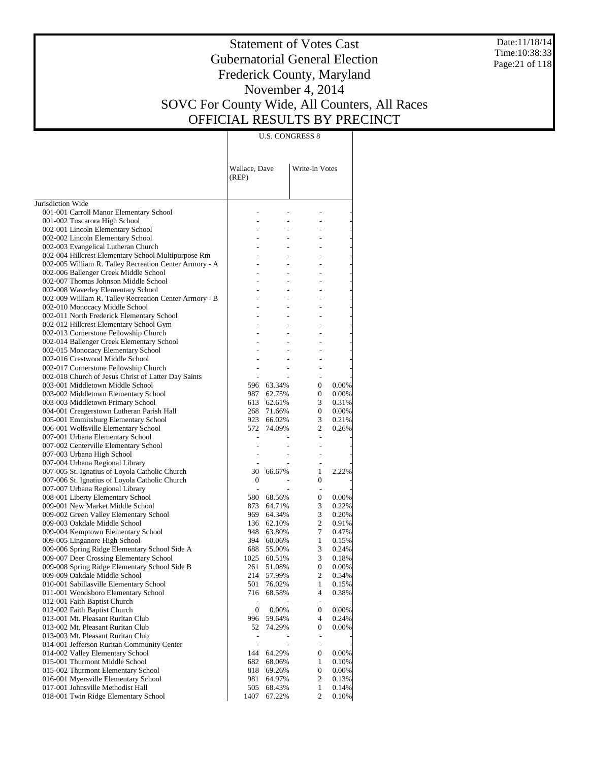Date:11/18/14 Time:10:38:33 Page:21 of 118

# Statement of Votes Cast Gubernatorial General Election Frederick County, Maryland November 4, 2014 SOVC For County Wide, All Counters, All Races OFFICIAL RESULTS BY PRECINCT

|                                                                          | Wallace, Dave<br>(REP)      |                          | Write-In Votes           |                |
|--------------------------------------------------------------------------|-----------------------------|--------------------------|--------------------------|----------------|
|                                                                          |                             |                          |                          |                |
| Jurisdiction Wide                                                        |                             |                          |                          |                |
| 001-001 Carroll Manor Elementary School                                  |                             |                          |                          |                |
| 001-002 Tuscarora High School                                            |                             | ÷.                       |                          |                |
| 002-001 Lincoln Elementary School<br>002-002 Lincoln Elementary School   |                             |                          | L,                       |                |
| 002-003 Evangelical Lutheran Church                                      | $\sim$                      |                          |                          |                |
| 002-004 Hillcrest Elementary School Multipurpose Rm                      | ÷                           | $\overline{a}$           |                          |                |
| 002-005 William R. Talley Recreation Center Armory - A                   | ÷                           | ÷                        |                          |                |
| 002-006 Ballenger Creek Middle School                                    | ÷                           | $\overline{a}$           | L,                       |                |
| 002-007 Thomas Johnson Middle School                                     | ÷.                          | ÷                        |                          |                |
| 002-008 Waverley Elementary School                                       | ÷                           | ÷                        |                          |                |
| 002-009 William R. Talley Recreation Center Armory - B                   | ÷                           | ÷                        |                          |                |
| 002-010 Monocacy Middle School                                           | ÷                           | $\overline{a}$           | ÷,                       |                |
| 002-011 North Frederick Elementary School                                |                             | ÷.                       |                          |                |
| 002-012 Hillcrest Elementary School Gym                                  | ÷                           | $\overline{a}$           |                          |                |
| 002-013 Cornerstone Fellowship Church                                    |                             | ÷                        |                          |                |
| 002-014 Ballenger Creek Elementary School                                |                             | $\overline{a}$           | L,                       |                |
| 002-015 Monocacy Elementary School                                       |                             |                          |                          |                |
| 002-016 Crestwood Middle School<br>002-017 Cornerstone Fellowship Church |                             |                          | L,<br>÷,                 |                |
| 002-018 Church of Jesus Christ of Latter Day Saints                      | ÷                           |                          | $\overline{\phantom{a}}$ |                |
| 003-001 Middletown Middle School                                         |                             | 596 63.34%               | $\boldsymbol{0}$         | $0.00\%$       |
| 003-002 Middletown Elementary School                                     |                             | 987 62.75%               | $\mathbf{0}$             | 0.00%          |
| 003-003 Middletown Primary School                                        |                             | 613 62.61%               | 3                        | 0.31%          |
| 004-001 Creagerstown Lutheran Parish Hall                                |                             | 268 71.66%               | $\mathbf{0}$             | $0.00\%$       |
| 005-001 Emmitsburg Elementary School                                     |                             | 923 66.02%               | 3                        | 0.21%          |
| 006-001 Wolfsville Elementary School                                     |                             | 572 74.09%               | $\overline{2}$           | 0.26%          |
| 007-001 Urbana Elementary School                                         |                             |                          | $\overline{\phantom{a}}$ |                |
| 007-002 Centerville Elementary School                                    |                             |                          | ÷,                       |                |
| 007-003 Urbana High School                                               |                             |                          | L,                       |                |
| 007-004 Urbana Regional Library                                          | $\sim$                      |                          | $\overline{\phantom{a}}$ |                |
| 007-005 St. Ignatius of Loyola Catholic Church                           |                             | 30 66.67%                | 1                        | 2.22%          |
| 007-006 St. Ignatius of Loyola Catholic Church                           | $\mathbf{0}$                |                          | $\mathbf{0}$             |                |
| 007-007 Urbana Regional Library                                          | $\mathcal{L}^{\mathcal{A}}$ |                          | $\overline{\phantom{a}}$ |                |
| 008-001 Liberty Elementary School                                        |                             | 580 68.56%               | $\mathbf{0}$             | 0.00%          |
| 009-001 New Market Middle School                                         |                             | 873 64.71%               | 3<br>3                   | 0.22%          |
| 009-002 Green Valley Elementary School<br>009-003 Oakdale Middle School  |                             | 969 64.34%<br>136 62.10% | $\overline{c}$           | 0.20%<br>0.91% |
| 009-004 Kemptown Elementary School                                       |                             | 948 63.80%               | 7                        | 0.47%          |
| 009-005 Linganore High School                                            |                             | 394 60.06%               | $\mathbf{1}$             | 0.15%          |
| 009-006 Spring Ridge Elementary School Side A                            |                             | 688 55.00%               | 3                        | 0.24%          |
| 009-007 Deer Crossing Elementary School                                  |                             | 1025 60.51%              | 3                        | 0.18%          |
| 009-008 Spring Ridge Elementary School Side B                            | 261                         | 51.08%                   | $\mathbf{0}$             | $0.00\%$       |
| 009-009 Oakdale Middle School                                            | 214                         | 57.99%                   | $\overline{c}$           | 0.54%          |
| 010-001 Sabillasville Elementary School                                  | 501                         | 76.02%                   | $\mathbf{1}$             | 0.15%          |
| 011-001 Woodsboro Elementary School                                      | 716                         | 68.58%                   | 4                        | 0.38%          |
| 012-001 Faith Baptist Church                                             |                             |                          | $\overline{\phantom{a}}$ |                |
| 012-002 Faith Baptist Church                                             | $\boldsymbol{0}$            | 0.00%                    | 0                        | 0.00%          |
| 013-001 Mt. Pleasant Ruritan Club                                        | 996                         | 59.64%                   | 4                        | 0.24%          |
| 013-002 Mt. Pleasant Ruritan Club                                        | 52                          | 74.29%                   | 0                        | 0.00%          |
| 013-003 Mt. Pleasant Ruritan Club                                        | ÷,                          |                          | $\overline{\phantom{a}}$ |                |
| 014-001 Jefferson Ruritan Community Center                               | $\overline{a}$              |                          | $\overline{\phantom{a}}$ |                |
| 014-002 Valley Elementary School<br>015-001 Thurmont Middle School       | 144                         | 64.29%                   | 0                        | 0.00%          |
| 015-002 Thurmont Elementary School                                       | 682<br>818                  | 68.06%                   | 1<br>$\boldsymbol{0}$    | 0.10%          |
| 016-001 Myersville Elementary School                                     | 981                         | 69.26%<br>64.97%         | 2                        | 0.00%<br>0.13% |
| 017-001 Johnsville Methodist Hall                                        | 505                         | 68.43%                   | $\mathbf{1}$             | 0.14%          |
| 018-001 Twin Ridge Elementary School                                     | 1407                        | 67.22%                   | 2                        | 0.10%          |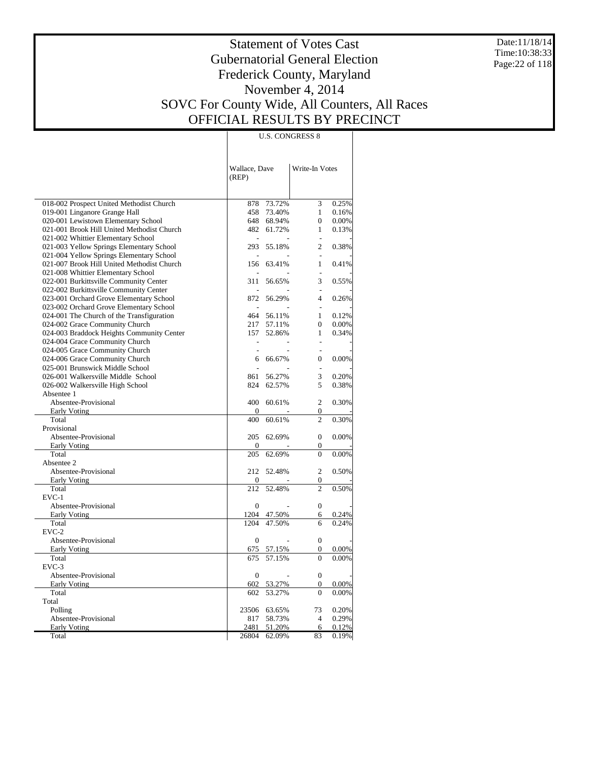Date:11/18/14 Time:10:38:33 Page:22 of 118

# Statement of Votes Cast Gubernatorial General Election Frederick County, Maryland November 4, 2014 SOVC For County Wide, All Counters, All Races OFFICIAL RESULTS BY PRECINCT

|                                                                             | <b>U.S. CONGRESS 8</b> |                          |                          |                |  |  |  |  |
|-----------------------------------------------------------------------------|------------------------|--------------------------|--------------------------|----------------|--|--|--|--|
|                                                                             |                        |                          |                          |                |  |  |  |  |
|                                                                             |                        |                          |                          |                |  |  |  |  |
|                                                                             | Wallace, Dave          |                          | Write-In Votes           |                |  |  |  |  |
|                                                                             | (REP)                  |                          |                          |                |  |  |  |  |
|                                                                             |                        |                          |                          |                |  |  |  |  |
|                                                                             |                        |                          |                          |                |  |  |  |  |
| 018-002 Prospect United Methodist Church                                    |                        | 878 73.72%               | 3                        | 0.25%          |  |  |  |  |
| 019-001 Linganore Grange Hall                                               |                        | 458 73.40%               | 1                        | 0.16%          |  |  |  |  |
| 020-001 Lewistown Elementary School                                         |                        | 648 68.94%               | $\boldsymbol{0}$         | 0.00%          |  |  |  |  |
| 021-001 Brook Hill United Methodist Church                                  |                        | 482 61.72%               | 1                        | 0.13%          |  |  |  |  |
| 021-002 Whittier Elementary School                                          |                        |                          | $\overline{a}$           |                |  |  |  |  |
| 021-003 Yellow Springs Elementary School                                    |                        | 293 55.18%               | $\overline{c}$           | 0.38%          |  |  |  |  |
| 021-004 Yellow Springs Elementary School                                    |                        |                          | $\overline{\phantom{a}}$ |                |  |  |  |  |
| 021-007 Brook Hill United Methodist Church                                  |                        | 156 63.41%               | 1                        | 0.41%          |  |  |  |  |
| 021-008 Whittier Elementary School                                          |                        |                          |                          |                |  |  |  |  |
| 022-001 Burkittsville Community Center                                      |                        | 311 56.65%               | 3                        | 0.55%          |  |  |  |  |
| 022-002 Burkittsville Community Center                                      |                        |                          | ٠                        |                |  |  |  |  |
| 023-001 Orchard Grove Elementary School                                     |                        | 872 56.29%               | 4                        | 0.26%          |  |  |  |  |
| 023-002 Orchard Grove Elementary School                                     |                        |                          |                          |                |  |  |  |  |
| 024-001 The Church of the Transfiguration<br>024-002 Grace Community Church |                        | 464 56.11%<br>217 57.11% | 1<br>$\boldsymbol{0}$    | 0.12%<br>0.00% |  |  |  |  |
| 024-003 Braddock Heights Community Center                                   |                        | 157 52.86%               | 1                        | 0.34%          |  |  |  |  |
| 024-004 Grace Community Church                                              |                        |                          | ÷,                       |                |  |  |  |  |
| 024-005 Grace Community Church                                              | ٠                      |                          | $\overline{\phantom{a}}$ |                |  |  |  |  |
| 024-006 Grace Community Church                                              |                        | 6 66.67%                 | 0                        | 0.00%          |  |  |  |  |
| 025-001 Brunswick Middle School                                             |                        |                          |                          |                |  |  |  |  |
| 026-001 Walkersville Middle School                                          | 861                    | 56.27%                   | 3                        | 0.20%          |  |  |  |  |
| 026-002 Walkersville High School                                            |                        | 824 62.57%               | 5                        | 0.38%          |  |  |  |  |
| Absentee 1                                                                  |                        |                          |                          |                |  |  |  |  |
| Absentee-Provisional                                                        |                        | 400 60.61%               | 2                        | 0.30%          |  |  |  |  |
| Early Voting                                                                | 0                      |                          | 0                        |                |  |  |  |  |
| Total                                                                       | 400                    | 60.61%                   | $\overline{c}$           | 0.30%          |  |  |  |  |
| Provisional                                                                 |                        |                          |                          |                |  |  |  |  |
| Absentee-Provisional                                                        |                        | 205 62.69%               | $\boldsymbol{0}$         | 0.00%          |  |  |  |  |
| Early Voting                                                                | $\overline{0}$         |                          | 0                        |                |  |  |  |  |
| Total                                                                       | 205                    | 62.69%                   | $\overline{0}$           | 0.00%          |  |  |  |  |
| Absentee 2                                                                  |                        |                          |                          |                |  |  |  |  |
| Absentee-Provisional                                                        |                        | 212 52.48%               | 2                        | 0.50%          |  |  |  |  |
| Early Voting                                                                | 0                      |                          | 0                        |                |  |  |  |  |
| Total                                                                       |                        | 212 52.48%               | $\overline{c}$           | 0.50%          |  |  |  |  |
| $EVC-1$                                                                     |                        |                          |                          |                |  |  |  |  |
| Absentee-Provisional                                                        | $\mathbf{0}$           |                          | 0                        |                |  |  |  |  |
| Early Voting<br>Total                                                       | 1204                   | 1204 47.50%<br>47.50%    | 6<br>6                   | 0.24%<br>0.24% |  |  |  |  |
| $EVC-2$                                                                     |                        |                          |                          |                |  |  |  |  |
| Absentee-Provisional                                                        | 0                      |                          | 0                        |                |  |  |  |  |
| Early Voting                                                                |                        | 675 57.15%               | $\boldsymbol{0}$         | 0.00%          |  |  |  |  |
| Total                                                                       |                        | 675 57.15%               | $\boldsymbol{0}$         | 0.00%          |  |  |  |  |
| $EVC-3$                                                                     |                        |                          |                          |                |  |  |  |  |
| Absentee-Provisional                                                        | 0                      |                          | $\boldsymbol{0}$         |                |  |  |  |  |
| Early Voting                                                                | 602                    | 53.27%                   | $\boldsymbol{0}$         | 0.00%          |  |  |  |  |
| Total                                                                       | 602                    | 53.27%                   | $\mathbf{0}$             | 0.00%          |  |  |  |  |
| Total                                                                       |                        |                          |                          |                |  |  |  |  |
| Polling                                                                     | 23506                  | 63.65%                   | 73                       | 0.20%          |  |  |  |  |
| Absentee-Provisional                                                        | 817                    | 58.73%                   | $\overline{4}$           | 0.29%          |  |  |  |  |
| <b>Early Voting</b>                                                         | 2481                   | 51.20%                   | 6                        | 0.12%          |  |  |  |  |
| Total                                                                       | 26804                  | 62.09%                   | 83                       | 0.19%          |  |  |  |  |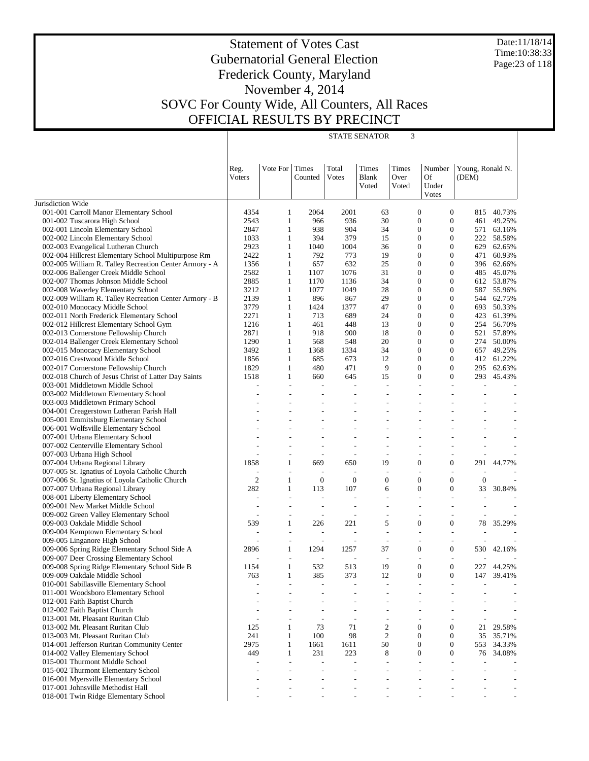Date:11/18/14 Time:10:38:33 Page:23 of 118

# Statement of Votes Cast Gubernatorial General Election Frederick County, Maryland November 4, 2014 SOVC For County Wide, All Counters, All Races OFFICIAL RESULTS BY PRECINCT

|                                                                           | Reg.<br><b>V</b> oters | Vote For Times           | Counted          | Total<br>Votes   | Times<br><b>Blank</b><br>Voted | Times<br>Over<br>Voted | Number<br>Of<br>Under<br>Votes | Young, Ronald N.<br>(DEM) |                |
|---------------------------------------------------------------------------|------------------------|--------------------------|------------------|------------------|--------------------------------|------------------------|--------------------------------|---------------------------|----------------|
| Jurisdiction Wide                                                         |                        |                          |                  |                  |                                |                        |                                |                           |                |
| 001-001 Carroll Manor Elementary School                                   | 4354                   | $\mathbf{1}$             | 2064             | 2001             | 63                             | $\boldsymbol{0}$       | $\boldsymbol{0}$               | 815                       | 40.73%         |
| 001-002 Tuscarora High School                                             | 2543                   | $\mathbf{1}$             | 966              | 936              | 30                             | $\boldsymbol{0}$       | $\boldsymbol{0}$               | 461                       | 49.25%         |
| 002-001 Lincoln Elementary School                                         | 2847                   | $\mathbf{1}$             | 938              | 904              | 34                             | $\boldsymbol{0}$       | $\mathbf{0}$                   |                           | 571 63.16%     |
| 002-002 Lincoln Elementary School                                         | 1033                   | $\mathbf{1}$             | 394              | 379              | 15                             | $\boldsymbol{0}$       | $\boldsymbol{0}$               |                           | 222 58.58%     |
| 002-003 Evangelical Lutheran Church                                       | 2923                   | $\mathbf{1}$             | 1040             | 1004             | 36                             | $\boldsymbol{0}$       | $\mathbf{0}$                   | 629                       | 62.65%         |
| 002-004 Hillcrest Elementary School Multipurpose Rm                       | 2422                   | $\mathbf{1}$             | 792              | 773              | 19                             | $\boldsymbol{0}$       | $\boldsymbol{0}$               |                           | 471 60.93%     |
| 002-005 William R. Talley Recreation Center Armory - A                    | 1356                   | $\mathbf{1}$             | 657              | 632              | 25                             | $\boldsymbol{0}$       | $\mathbf{0}$                   |                           | 396 62.66%     |
| 002-006 Ballenger Creek Middle School                                     | 2582                   | $\mathbf{1}$             | 1107             | 1076             | 31                             | $\boldsymbol{0}$       | $\boldsymbol{0}$               |                           | 485 45.07%     |
| 002-007 Thomas Johnson Middle School                                      | 2885                   | $\mathbf{1}$             | 1170             | 1136             | 34                             | $\boldsymbol{0}$       | $\mathbf{0}$                   |                           | 612 53.87%     |
| 002-008 Waverley Elementary School                                        | 3212                   | $\mathbf{1}$             | 1077             | 1049             | 28                             | $\boldsymbol{0}$       | $\boldsymbol{0}$               |                           | 587 55.96%     |
| 002-009 William R. Talley Recreation Center Armory - B                    | 2139                   | $\mathbf{1}$             | 896              | 867              | 29                             | $\boldsymbol{0}$       | $\mathbf{0}$                   | 544                       | 62.75%         |
| 002-010 Monocacy Middle School                                            | 3779                   | $\mathbf{1}$             | 1424             | 1377             | 47                             | $\boldsymbol{0}$       | $\mathbf{0}$                   | 693                       | 50.33%         |
| 002-011 North Frederick Elementary School                                 | 2271                   | $\mathbf{1}$             | 713              | 689              | 24                             | $\boldsymbol{0}$       | $\mathbf{0}$                   | 423                       | 61.39%         |
| 002-012 Hillcrest Elementary School Gym                                   | 1216                   | $\mathbf{1}$             | 461              | 448              | 13                             | $\boldsymbol{0}$       | $\mathbf{0}$                   | 254                       | 56.70%         |
| 002-013 Cornerstone Fellowship Church                                     | 2871                   | $\mathbf{1}$             | 918              | 900              | 18                             | $\boldsymbol{0}$       | $\mathbf{0}$                   |                           | 521 57.89%     |
| 002-014 Ballenger Creek Elementary School                                 | 1290                   | $\mathbf{1}$             | 568              | 548              | 20                             | $\boldsymbol{0}$       | $\boldsymbol{0}$               |                           | 274 50.00%     |
| 002-015 Monocacy Elementary School                                        | 3492                   | $\mathbf{1}$             | 1368             | 1334             | 34                             | $\boldsymbol{0}$       | $\mathbf{0}$                   |                           | 657 49.25%     |
| 002-016 Crestwood Middle School                                           | 1856                   | $\mathbf{1}$             | 685              | 673              | 12                             | $\boldsymbol{0}$       | $\boldsymbol{0}$               |                           | 412 61.22%     |
| 002-017 Cornerstone Fellowship Church                                     | 1829                   | $\mathbf{1}$             | 480              | 471              | 9                              | $\boldsymbol{0}$       | $\mathbf{0}$                   |                           | 295 62.63%     |
| 002-018 Church of Jesus Christ of Latter Day Saints                       | 1518                   | $\mathbf{1}$             | 660              | 645              | 15                             | $\mathbf{0}$           | $\boldsymbol{0}$               |                           | 293 45.43%     |
| 003-001 Middletown Middle School                                          |                        | $\overline{a}$           | $\overline{a}$   | L,               | $\overline{a}$                 | L.                     |                                | $\overline{a}$            |                |
| 003-002 Middletown Elementary School                                      |                        | $\overline{a}$           | $\overline{a}$   | $\overline{a}$   | $\overline{a}$                 | $\overline{a}$         |                                |                           |                |
| 003-003 Middletown Primary School                                         |                        |                          |                  |                  |                                |                        |                                |                           |                |
| 004-001 Creagerstown Lutheran Parish Hall                                 |                        | ÷,                       | ÷.               | L,               | ÷,                             | L,                     |                                | ÷,                        | $\overline{a}$ |
| 005-001 Emmitsburg Elementary School                                      |                        |                          |                  | L,               |                                |                        |                                |                           |                |
| 006-001 Wolfsville Elementary School                                      |                        | $\overline{a}$           |                  | -                | $\overline{a}$                 | $\overline{a}$         |                                |                           |                |
| 007-001 Urbana Elementary School                                          |                        |                          |                  | $\overline{a}$   |                                |                        |                                |                           |                |
| 007-002 Centerville Elementary School                                     |                        | L,                       | ÷,               | ÷,               | ÷,                             | ÷,                     | L,                             | $\overline{a}$            |                |
| 007-003 Urbana High School                                                |                        | L,                       | $\overline{a}$   | $\overline{a}$   | ÷,                             | ÷,                     |                                |                           |                |
| 007-004 Urbana Regional Library                                           | 1858                   | $\mathbf{1}$             | 669              | 650              | 19                             | 0                      | 0                              | 291                       | 44.77%         |
| 007-005 St. Ignatius of Loyola Catholic Church                            |                        | $\overline{a}$           |                  |                  | $\overline{a}$                 |                        |                                | ÷,                        |                |
| 007-006 St. Ignatius of Loyola Catholic Church                            | 2                      | $\mathbf{1}$             | $\boldsymbol{0}$ | $\boldsymbol{0}$ | $\boldsymbol{0}$               | 0                      | $\boldsymbol{0}$               | $\boldsymbol{0}$          |                |
| 007-007 Urbana Regional Library                                           | 282                    | $\mathbf{1}$             | 113              | 107              | 6                              | 0                      | $\boldsymbol{0}$               | 33                        | 30.84%         |
| 008-001 Liberty Elementary School                                         |                        | $\overline{a}$           | $\overline{a}$   | Ĭ.               | $\overline{a}$                 | $\overline{a}$         | $\overline{a}$                 |                           |                |
| 009-001 New Market Middle School                                          |                        | $\overline{a}$           | $\overline{a}$   | $\overline{a}$   | ÷,                             | L,                     | ÷,                             |                           |                |
| 009-002 Green Valley Elementary School                                    | ÷,                     | $\overline{a}$           | $\overline{a}$   | $\overline{a}$   | $\overline{a}$                 | ÷,                     | ÷,                             |                           |                |
| 009-003 Oakdale Middle School                                             | 539                    | $\mathbf{1}$             | 226              | 221              | 5                              | $\boldsymbol{0}$       | 0                              | 78                        | 35.29%         |
| 009-004 Kemptown Elementary School                                        |                        | $\overline{\phantom{a}}$ | $\overline{a}$   | Ĭ.               | $\overline{a}$                 | $\overline{a}$         | $\overline{a}$                 |                           |                |
| 009-005 Linganore High School                                             | ÷,                     | $\overline{a}$           | $\overline{a}$   | $\overline{a}$   | $\overline{\phantom{a}}$       | $\overline{a}$         | ÷,                             |                           |                |
| 009-006 Spring Ridge Elementary School Side A                             | 2896                   | $\mathbf{1}$             | 1294             | 1257             | 37                             | $\boldsymbol{0}$       | $\boldsymbol{0}$               | 530                       | 42.16%         |
| 009-007 Deer Crossing Elementary School                                   |                        | $\overline{a}$           | $\overline{a}$   | $\overline{a}$   | $\overline{a}$                 | $\overline{a}$         |                                |                           |                |
| 009-008 Spring Ridge Elementary School Side B                             | 1154                   | $\mathbf{1}$             | 532              | 513              | 19                             | $\boldsymbol{0}$       | $\boldsymbol{0}$               |                           | 227 44.25%     |
| 009-009 Oakdale Middle School                                             | 763                    | $\mathbf{1}$             | 385              | 373              | 12                             | $\boldsymbol{0}$       | $\boldsymbol{0}$               |                           | 147 39.41%     |
| 010-001 Sabillasville Elementary School                                   |                        |                          |                  |                  |                                |                        |                                |                           |                |
| 011-001 Woodsboro Elementary School                                       |                        |                          |                  |                  |                                |                        |                                |                           |                |
| 012-001 Faith Baptist Church                                              |                        |                          |                  |                  |                                |                        |                                |                           |                |
| 012-002 Faith Baptist Church                                              |                        |                          |                  |                  |                                |                        |                                |                           |                |
| 013-001 Mt. Pleasant Ruritan Club                                         |                        | L,                       |                  | Ĭ.               |                                |                        |                                |                           |                |
| 013-002 Mt. Pleasant Ruritan Club                                         | 125                    | $\mathbf{1}$             | 73               | 71               | 2                              | 0                      | $\overline{0}$                 | 21                        | 29.58%         |
| 013-003 Mt. Pleasant Ruritan Club                                         | 241                    | 1                        | 100              | 98               | 2                              | $\boldsymbol{0}$       | $\boldsymbol{0}$               | 35                        | 35.71%         |
| 014-001 Jefferson Ruritan Community Center                                | 2975                   | $\mathbf{1}$             | 1661             | 1611             | 50                             | 0                      | $\boldsymbol{0}$               | 553                       | 34.33%         |
| 014-002 Valley Elementary School                                          | 449                    | 1                        | 231              | 223              | 8                              | 0                      | 0                              | 76                        | 34.08%         |
| 015-001 Thurmont Middle School                                            |                        | $\overline{a}$           |                  |                  |                                |                        |                                |                           |                |
| 015-002 Thurmont Elementary School                                        |                        |                          |                  | L.               |                                | $\overline{a}$<br>÷.   |                                |                           |                |
| 016-001 Myersville Elementary School<br>017-001 Johnsville Methodist Hall |                        |                          |                  |                  |                                |                        |                                |                           |                |
| 018-001 Twin Ridge Elementary School                                      |                        |                          |                  |                  |                                |                        |                                |                           |                |
|                                                                           |                        |                          |                  |                  |                                |                        |                                |                           |                |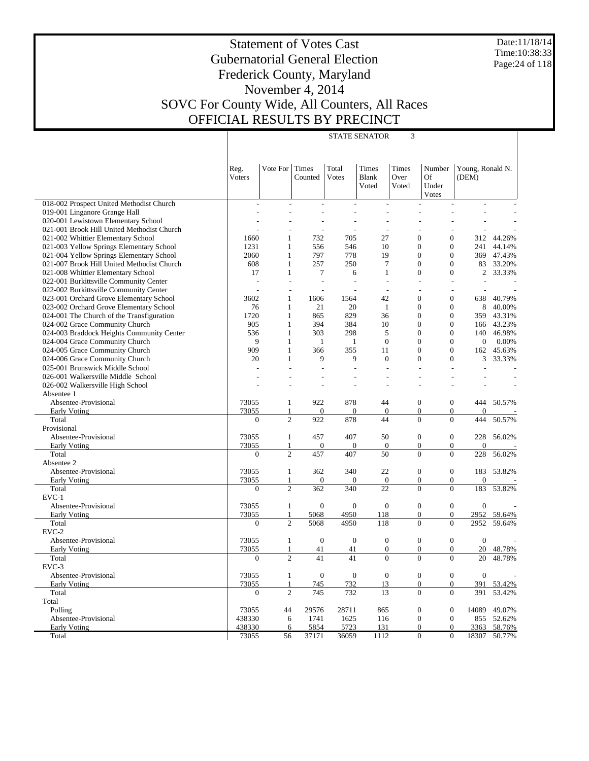Date:11/18/14 Time:10:38:33 Page:24 of 118

# Statement of Votes Cast Gubernatorial General Election Frederick County, Maryland November 4, 2014 SOVC For County Wide, All Counters, All Races OFFICIAL RESULTS BY PRECINCT

 $\overline{\phantom{a}}$ 

|                                                                                  | Reg.<br>Voters   | Vote For                       | Times<br>Counted | Total<br><b>Votes</b> | Times<br><b>Blank</b><br>Voted | Times<br>Over<br>Voted     | Number<br>Of<br>Under<br>Votes     | Young, Ronald N.<br>(DEM) |                  |
|----------------------------------------------------------------------------------|------------------|--------------------------------|------------------|-----------------------|--------------------------------|----------------------------|------------------------------------|---------------------------|------------------|
| 018-002 Prospect United Methodist Church                                         |                  |                                | ÷                |                       |                                |                            |                                    |                           |                  |
| 019-001 Linganore Grange Hall                                                    |                  |                                |                  |                       |                                |                            |                                    |                           |                  |
| 020-001 Lewistown Elementary School                                              |                  |                                |                  |                       |                                |                            |                                    |                           |                  |
| 021-001 Brook Hill United Methodist Church                                       |                  |                                |                  | ÷,                    | ÷,                             |                            |                                    | J.                        |                  |
| 021-002 Whittier Elementary School                                               | 1660             | 1                              | 732              | 705                   | 27                             | $\overline{0}$             | $\overline{0}$                     | 312                       | 44.26%           |
| 021-003 Yellow Springs Elementary School                                         | 1231             | $\mathbf{1}$                   | 556              | 546                   | 10                             | $\overline{0}$             | $\overline{0}$                     | 241                       | 44.14%           |
| 021-004 Yellow Springs Elementary School                                         | 2060             | 1                              | 797              | 778                   | 19                             | $\overline{0}$             | $\overline{0}$                     | 369                       | 47.43%           |
| 021-007 Brook Hill United Methodist Church                                       | 608              | 1<br>$\mathbf{1}$              | 257              | 250                   | 7                              | $\overline{0}$<br>$\theta$ | $\overline{0}$<br>$\theta$         | 83                        | 33.20%           |
| 021-008 Whittier Elementary School                                               | 17               | L.                             | 7                | 6<br>L.               | $\mathbf{1}$<br>$\overline{a}$ | $\overline{a}$             | L.                                 | 2<br>J.                   | 33.33%           |
| 022-001 Burkittsville Community Center<br>022-002 Burkittsville Community Center |                  |                                |                  |                       | $\overline{a}$                 | J.                         |                                    |                           |                  |
| 023-001 Orchard Grove Elementary School                                          | 3602             | $\mathbf{1}$                   | 1606             | 1564                  | 42                             | $\theta$                   | $\theta$                           | 638                       | 40.79%           |
| 023-002 Orchard Grove Elementary School                                          | 76               | $\mathbf{1}$                   | 21               | 20                    | $\mathbf{1}$                   | $\overline{0}$             | $\mathbf{0}$                       | 8                         | 40.00%           |
| 024-001 The Church of the Transfiguration                                        | 1720             | $\mathbf{1}$                   | 865              | 829                   | 36                             | $\overline{0}$             | $\mathbf{0}$                       | 359                       | 43.31%           |
| 024-002 Grace Community Church                                                   | 905              | $\mathbf{1}$                   | 394              | 384                   | 10                             | $\overline{0}$             | $\overline{0}$                     | 166                       | 43.23%           |
| 024-003 Braddock Heights Community Center                                        | 536              | $\mathbf{1}$                   | 303              | 298                   | 5                              | $\theta$                   | $\overline{0}$                     | 140                       | 46.98%           |
| 024-004 Grace Community Church                                                   | 9                | 1                              | 1                | $\mathbf{1}$          | $\mathbf{0}$                   | $\theta$                   | $\theta$                           | $\mathbf{0}$              | 0.00%            |
| 024-005 Grace Community Church                                                   | 909              | $\mathbf{1}$                   | 366              | 355                   | 11                             | $\theta$                   | $\overline{0}$                     | 162                       | 45.63%           |
| 024-006 Grace Community Church                                                   | 20               | $\mathbf{1}$                   | 9                | 9                     | $\overline{0}$                 | $\theta$                   | $\overline{0}$                     | 3                         | 33.33%           |
| 025-001 Brunswick Middle School                                                  |                  |                                |                  | L,                    |                                |                            |                                    |                           |                  |
| 026-001 Walkersville Middle School                                               |                  |                                |                  |                       |                                |                            |                                    |                           |                  |
| 026-002 Walkersville High School                                                 |                  |                                |                  |                       |                                |                            |                                    |                           |                  |
| Absentee 1                                                                       |                  |                                |                  |                       |                                |                            |                                    |                           |                  |
| Absentee-Provisional                                                             | 73055            | $\mathbf{1}$                   | 922              | 878                   | 44                             | $\overline{0}$             | $\mathbf{0}$                       | 444                       | 50.57%           |
| <b>Early Voting</b>                                                              | 73055            | $\mathbf{1}$                   | $\overline{0}$   | $\overline{0}$        | $\mathbf{0}$                   | $\overline{0}$             | $\mathbf{0}$                       | $\overline{0}$            |                  |
| Total                                                                            | $\mathbf{0}$     | $\overline{c}$                 | 922              | 878                   | 44                             | $\theta$                   | $\theta$                           | 444                       | 50.57%           |
| Provisional                                                                      |                  |                                |                  |                       |                                |                            |                                    |                           |                  |
| Absentee-Provisional                                                             | 73055            | $\mathbf{1}$                   | 457              | 407                   | 50                             | $\mathbf{0}$               | $\overline{0}$                     | 228                       | 56.02%           |
| Early Voting                                                                     | 73055            | $\mathbf{1}$<br>$\mathfrak{D}$ | $\boldsymbol{0}$ | $\boldsymbol{0}$      | $\boldsymbol{0}$<br>50         | $\mathbf{0}$               | $\boldsymbol{0}$<br>$\overline{0}$ | $\theta$                  |                  |
| Total                                                                            | $\Omega$         |                                | 457              | 407                   |                                | $\overline{0}$             |                                    | 228                       | 56.02%           |
| Absentee 2<br>Absentee-Provisional                                               | 73055            | $\mathbf{1}$                   | 362              | 340                   | 22                             | $\boldsymbol{0}$           | $\mathbf{0}$                       | 183                       | 53.82%           |
| Early Voting                                                                     | 73055            | $\mathbf{1}$                   | $\mathbf{0}$     | $\overline{0}$        | $\mathbf{0}$                   | $\mathbf{0}$               | $\overline{0}$                     | $\overline{0}$            |                  |
| Total                                                                            | $\mathbf{0}$     | $\overline{2}$                 | 362              | 340                   | 22                             | $\mathbf{0}$               | $\mathbf{0}$                       | 183                       | 53.82%           |
| $EVC-1$                                                                          |                  |                                |                  |                       |                                |                            |                                    |                           |                  |
| Absentee-Provisional                                                             | 73055            | $\mathbf{1}$                   | $\overline{0}$   | $\mathbf{0}$          | $\overline{0}$                 | $\mathbf{0}$               | $\mathbf{0}$                       | $\boldsymbol{0}$          |                  |
| Early Voting                                                                     | 73055            | $\mathbf{1}$                   | 5068             | 4950                  | 118                            | $\mathbf{0}$               | $\overline{0}$                     | 2952                      | 59.64%           |
| Total                                                                            | $\theta$         | $\overline{c}$                 | 5068             | 4950                  | 118                            | $\theta$                   | $\Omega$                           | 2952                      | 59.64%           |
| $EVC-2$                                                                          |                  |                                |                  |                       |                                |                            |                                    |                           |                  |
| Absentee-Provisional                                                             | 73055            | $\mathbf{1}$                   | $\overline{0}$   | $\overline{0}$        | $\mathbf{0}$                   | $\mathbf{0}$               | $\boldsymbol{0}$                   | $\overline{0}$            |                  |
| Early Voting                                                                     | 73055            | $\mathbf{1}$                   | 41               | 41                    | $\boldsymbol{0}$               | $\boldsymbol{0}$           | $\boldsymbol{0}$                   | 20                        | 48.78%           |
| Total                                                                            | $\mathbf{0}$     | $\overline{2}$                 | 41               | 41                    | $\Omega$                       | $\theta$                   | $\Omega$                           | 20                        | 48.78%           |
| $EVC-3$                                                                          |                  |                                |                  |                       |                                |                            |                                    |                           |                  |
| Absentee-Provisional                                                             | 73055            | $\mathbf{1}$                   | $\mathbf{0}$     | $\mathbf{0}$          | $\overline{0}$                 | $\mathbf{0}$               | $\mathbf{0}$                       | $\overline{0}$            |                  |
| Early Voting                                                                     | 73055            | $\mathbf{1}$                   | 745              | 732                   | 13                             | $\mathbf{0}$               | $\mathbf{0}$                       | 391                       | 53.42%           |
| Total                                                                            | $\Omega$         | $\overline{c}$                 | 745              | 732                   | 13                             | $\theta$                   | $\theta$                           | 391                       | 53.42%           |
| Total                                                                            |                  |                                |                  |                       |                                |                            |                                    |                           |                  |
| Polling                                                                          | 73055            | 44                             | 29576            | 28711                 | 865                            | $\overline{0}$             | $\overline{0}$                     | 14089                     | 49.07%           |
| Absentee-Provisional<br><b>Early Voting</b>                                      | 438330<br>438330 | 6<br>6                         | 1741<br>5854     | 1625<br>5723          | 116<br>131                     | $\mathbf{0}$<br>$\Omega$   | $\mathbf{0}$<br>$\Omega$           | 855<br>3363               | 52.62%<br>58.76% |
| Total                                                                            | 73055            | 56                             | 37171            | 36059                 | 1112                           | $\theta$                   | $\Omega$                           | 18307                     | 50.77%           |
|                                                                                  |                  |                                |                  |                       |                                |                            |                                    |                           |                  |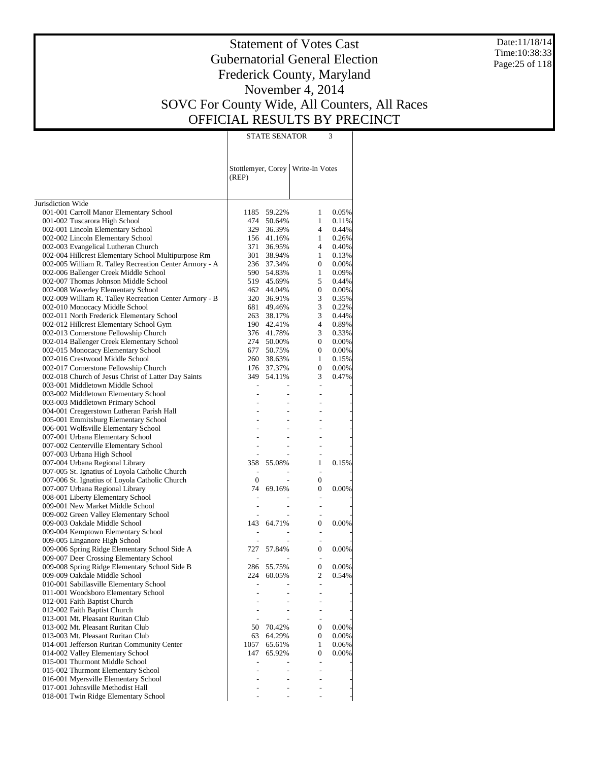Date:11/18/14 Time:10:38:33 Page:25 of 118

# Statement of Votes Cast Gubernatorial General Election Frederick County, Maryland November 4, 2014 SOVC For County Wide, All Counters, All Races OFFICIAL RESULTS BY PRECINCT

|                                                                     | (REP)                  |                     | Stottlemyer, Corey   Write-In Votes |          |
|---------------------------------------------------------------------|------------------------|---------------------|-------------------------------------|----------|
| Jurisdiction Wide                                                   |                        |                     |                                     |          |
| 001-001 Carroll Manor Elementary School                             |                        | 1185 59.22%         | 1                                   | 0.05%    |
| 001-002 Tuscarora High School                                       | 474                    | 50.64%              | 1                                   | 0.11%    |
| 002-001 Lincoln Elementary School                                   |                        | 329 36.39%          | $\overline{4}$                      | 0.44%    |
| 002-002 Lincoln Elementary School                                   |                        | 156 41.16%          | 1                                   | 0.26%    |
| 002-003 Evangelical Lutheran Church                                 | 371                    | 36.95%              | $\overline{4}$                      | 0.40%    |
| 002-004 Hillcrest Elementary School Multipurpose Rm                 | 301                    | 38.94%              | 1                                   | 0.13%    |
| 002-005 William R. Talley Recreation Center Armory - A              |                        | 236 37.34%          | $\mathbf{0}$                        | 0.00%    |
| 002-006 Ballenger Creek Middle School                               |                        | 590 54.83%          | 1                                   | 0.09%    |
| 002-007 Thomas Johnson Middle School                                |                        | 519 45.69%          | 5                                   | 0.44%    |
| 002-008 Waverley Elementary School                                  |                        | 462 44.04%          | $\mathbf{0}$                        | 0.00%    |
| 002-009 William R. Talley Recreation Center Armory - B              |                        | 320 36.91%          | 3                                   | 0.35%    |
| 002-010 Monocacy Middle School                                      | 681                    | 49.46%              | 3                                   | 0.22%    |
| 002-011 North Frederick Elementary School                           |                        | 263 38.17%          | 3                                   | 0.44%    |
| 002-012 Hillcrest Elementary School Gym                             |                        | 190 42.41%          | $\overline{4}$                      | 0.89%    |
| 002-013 Cornerstone Fellowship Church                               |                        | 376 41.78%          | 3                                   | 0.33%    |
| 002-014 Ballenger Creek Elementary School                           |                        | 274 50.00%          | $\overline{0}$                      | 0.00%    |
| 002-015 Monocacy Elementary School                                  | 677                    | 50.75%              | $\mathbf{0}$                        | 0.00%    |
| 002-016 Crestwood Middle School                                     |                        | 260 38.63%          | $\mathbf{1}$                        | 0.15%    |
| 002-017 Cornerstone Fellowship Church                               |                        | 176 37.37%          | $\mathbf{0}$                        | 0.00%    |
| 002-018 Church of Jesus Christ of Latter Day Saints                 |                        | 349 54.11%          | 3                                   | 0.47%    |
| 003-001 Middletown Middle School                                    | ÷                      |                     | $\sim$                              |          |
| 003-002 Middletown Elementary School                                |                        |                     | $\sim$<br>÷                         |          |
| 003-003 Middletown Primary School                                   |                        |                     |                                     |          |
| 004-001 Creagerstown Lutheran Parish Hall                           |                        | a na<br>$\sim$      |                                     |          |
| 005-001 Emmitsburg Elementary School                                | $\sim$                 | $\overline{a}$<br>÷ | L.                                  |          |
| 006-001 Wolfsville Elementary School                                | $\mathbf{L}$<br>$\sim$ | $\overline{a}$      | $\overline{a}$<br>L.                |          |
| 007-001 Urbana Elementary School                                    |                        | $\sim$              | L,                                  |          |
| 007-002 Centerville Elementary School<br>007-003 Urbana High School |                        | $\sim$              | $\overline{a}$                      |          |
| 007-004 Urbana Regional Library                                     |                        | 358 55.08%          | 1                                   | 0.15%    |
| 007-005 St. Ignatius of Loyola Catholic Church                      | $\sim$                 |                     | $\sim$                              |          |
| 007-006 St. Ignatius of Loyola Catholic Church                      | $\Omega$               | $\sim$              | $\mathbf{0}$                        |          |
| 007-007 Urbana Regional Library                                     |                        | 74 69.16%           | $\mathbf{0}$                        | 0.00%    |
| 008-001 Liberty Elementary School                                   |                        |                     | $\overline{\phantom{a}}$            |          |
| 009-001 New Market Middle School                                    |                        |                     | $\overline{a}$                      |          |
| 009-002 Green Valley Elementary School                              |                        |                     | $\overline{a}$                      |          |
| 009-003 Oakdale Middle School                                       |                        | 143 64.71%          | $\mathbf{0}$                        | 0.00%    |
| 009-004 Kemptown Elementary School                                  |                        |                     | $\overline{\phantom{a}}$            |          |
| 009-005 Linganore High School                                       |                        |                     | $\overline{a}$                      |          |
| 009-006 Spring Ridge Elementary School Side A                       |                        | 727 57.84%          | 0                                   | 0.00%    |
| 009-007 Deer Crossing Elementary School                             |                        |                     | $\overline{a}$                      |          |
| 009-008 Spring Ridge Elementary School Side B                       |                        | 286 55.75%          | $\mathbf{0}$                        | 0.00%    |
| 009-009 Oakdale Middle School                                       |                        | 224 60.05%          | $\mathfrak{D}$                      | 0.54%    |
| 010-001 Sabillasville Elementary School                             |                        |                     |                                     |          |
| 011-001 Woodsboro Elementary School                                 |                        |                     |                                     |          |
| 012-001 Faith Baptist Church                                        |                        |                     |                                     |          |
| 012-002 Faith Baptist Church                                        |                        |                     | ÷,                                  |          |
| 013-001 Mt. Pleasant Ruritan Club                                   |                        |                     | $\overline{\phantom{a}}$            |          |
| 013-002 Mt. Pleasant Ruritan Club                                   |                        | 50 70.42%           | 0                                   | 0.00%    |
| 013-003 Mt. Pleasant Ruritan Club                                   |                        | 63 64.29%           | 0                                   | $0.00\%$ |
| 014-001 Jefferson Ruritan Community Center                          | 1057                   | 65.61%              | 1                                   | 0.06%    |
| 014-002 Valley Elementary School                                    | 147                    | 65.92%              | $\mathbf{0}$                        | $0.00\%$ |
| 015-001 Thurmont Middle School                                      |                        |                     | $\overline{\phantom{a}}$            |          |
| 015-002 Thurmont Elementary School                                  |                        |                     | ÷.                                  |          |
| 016-001 Myersville Elementary School                                |                        | $\overline{a}$      | $\overline{a}$                      |          |
| 017-001 Johnsville Methodist Hall                                   |                        | ÷                   | ٠                                   |          |
| 018-001 Twin Ridge Elementary School                                |                        | $\overline{a}$      | $\overline{a}$                      |          |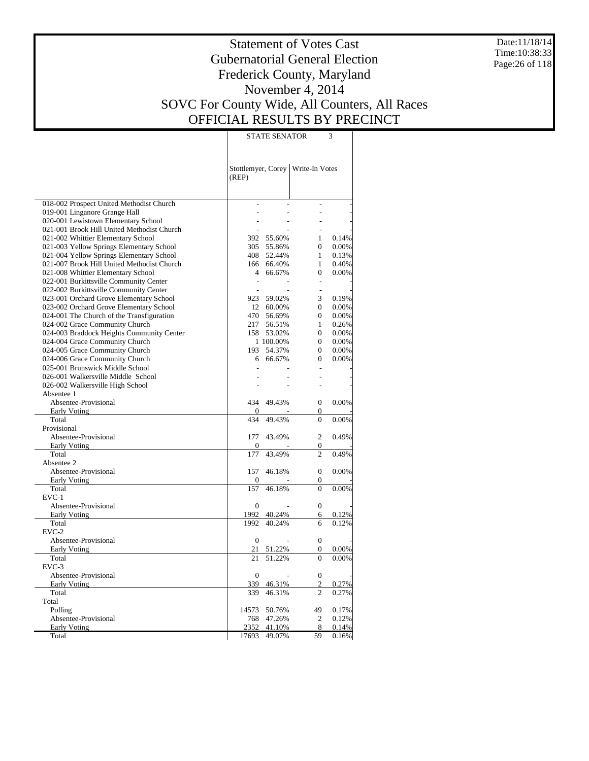Date:11/18/14 Time:10:38:33 Page:26 of 118

# Statement of Votes Cast Gubernatorial General Election Frederick County, Maryland November 4, 2014 SOVC For County Wide, All Counters, All Races OFFICIAL RESULTS BY PRECINCT

STATE SENATOR 3

 $\top$ 

 $\overline{\phantom{0}}$ 

|                                            | (REP)          |              | Stottlemyer, Corey   Write-In Votes |       |
|--------------------------------------------|----------------|--------------|-------------------------------------|-------|
|                                            |                |              |                                     |       |
| 018-002 Prospect United Methodist Church   |                |              |                                     |       |
| 019-001 Linganore Grange Hall              |                |              |                                     |       |
| 020-001 Lewistown Elementary School        |                |              |                                     |       |
| 021-001 Brook Hill United Methodist Church |                |              |                                     |       |
| 021-002 Whittier Elementary School         | 392            | 55.60%       | $\mathbf{1}$                        | 0.14% |
| 021-003 Yellow Springs Elementary School   | 305            | 55.86%       | $\Omega$                            | 0.00% |
| 021-004 Yellow Springs Elementary School   | 408            | 52.44%       | 1                                   | 0.13% |
| 021-007 Brook Hill United Methodist Church |                | 166 66.40%   | 1                                   | 0.40% |
| 021-008 Whittier Elementary School         | $\overline{4}$ | 66.67%       | $\boldsymbol{0}$                    | 0.00% |
| 022-001 Burkittsville Community Center     |                |              |                                     |       |
| 022-002 Burkittsville Community Center     |                |              | L.                                  |       |
| 023-001 Orchard Grove Elementary School    | 923            | 59.02%       | 3                                   | 0.19% |
| 023-002 Orchard Grove Elementary School    |                | 12 60.00%    | $\boldsymbol{0}$                    | 0.00% |
| 024-001 The Church of the Transfiguration  | 470            | 56.69%       | $\mathbf{0}$                        | 0.00% |
| 024-002 Grace Community Church             | 217            | 56.51%       | $\mathbf{1}$                        | 0.26% |
| 024-003 Braddock Heights Community Center  |                | 158 53.02%   | $\Omega$                            | 0.00% |
| 024-004 Grace Community Church             |                | 1 100.00%    | $\Omega$                            | 0.00% |
| 024-005 Grace Community Church             |                | 193 54.37%   | $\Omega$                            | 0.00% |
| 024-006 Grace Community Church             | 6              | 66.67%       | $\boldsymbol{0}$                    | 0.00% |
| 025-001 Brunswick Middle School            |                |              |                                     |       |
| 026-001 Walkersville Middle School         |                |              |                                     |       |
| 026-002 Walkersville High School           |                |              |                                     |       |
| Absentee 1                                 |                |              |                                     |       |
| Absentee-Provisional                       |                | 434 49.43%   | $\boldsymbol{0}$                    | 0.00% |
| Early Voting                               | 0              |              | $\boldsymbol{0}$                    |       |
| Total                                      | 434            | 49.43%       | $\theta$                            | 0.00% |
| Provisional                                |                |              |                                     |       |
| Absentee-Provisional                       |                | 177 43.49%   | $\overline{c}$                      | 0.49% |
| Early Voting<br>Total                      | 0<br>177       | 43.49%       | $\mathbf{0}$<br>$\overline{c}$      | 0.49% |
| Absentee 2                                 |                |              |                                     |       |
| Absentee-Provisional                       |                | 157 46.18%   | $\mathbf{0}$                        | 0.00% |
| Early Voting                               | $\Omega$       |              | $\mathbf{0}$                        |       |
| Total                                      | 157            | 46.18%       | $\Omega$                            | 0.00% |
| $EVC-1$                                    |                |              |                                     |       |
| Absentee-Provisional                       | $\mathbf{0}$   |              | $\mathbf{0}$                        |       |
| Early Voting                               |                | 1992 40.24%  | 6                                   | 0.12% |
| Total                                      | 1992           | 40.24%       | 6                                   | 0.12% |
| $EVC-2$                                    |                |              |                                     |       |
| Absentee-Provisional                       | $\mathbf{0}$   |              | $\mathbf{0}$                        |       |
| Early Voting                               | 21             | 51.22%       | $\boldsymbol{0}$                    | 0.00% |
| Total                                      | 21             | 51.22%       | $\Omega$                            | 0.00% |
| $EVC-3$                                    |                |              |                                     |       |
| Absentee-Provisional                       | $\Omega$       |              | $\boldsymbol{0}$                    |       |
| <b>Early Voting</b>                        | 339            | 46.31%       | $\overline{c}$                      | 0.27% |
| Total                                      |                | 339 46.31%   | $\overline{c}$                      | 0.27% |
| Total                                      |                |              |                                     |       |
| Polling                                    | 14573          | 50.76%       | 49                                  | 0.17% |
| Absentee-Provisional                       | 768            | 47.26%       | $\overline{c}$                      | 0.12% |
| <b>Early Voting</b>                        | 2352           | 41.10%       | 8                                   | 0.14% |
| Total                                      |                | 17693 49.07% | 59                                  | 0.16% |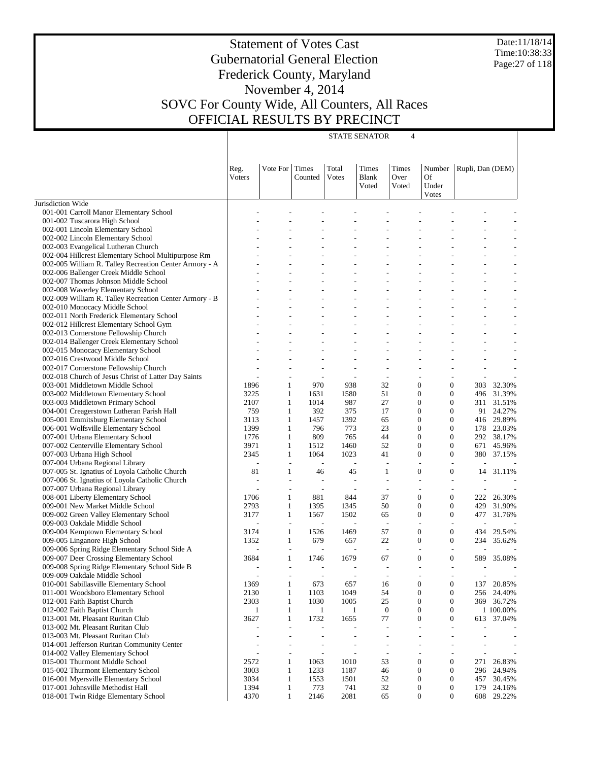Date:11/18/14 Time:10:38:33 Page:27 of 118

#### Statement of Votes Cast Gubernatorial General Election Frederick County, Maryland November 4, 2014 SOVC For County Wide, All Counters, All Races OFFICIAL RESULTS BY PRECINCT STATE SENATOR 4

|                                                                                   | Reg.<br><b>V</b> oters | Vote For Times                             | Counted                  | Total<br>Votes                 | Times<br>Blank<br>Voted          | Times<br>Over<br>Voted           | Number<br>Of<br>Under<br><b>V</b> otes               | Rupli, Dan (DEM)               |                          |
|-----------------------------------------------------------------------------------|------------------------|--------------------------------------------|--------------------------|--------------------------------|----------------------------------|----------------------------------|------------------------------------------------------|--------------------------------|--------------------------|
| Jurisdiction Wide                                                                 |                        |                                            |                          |                                |                                  |                                  |                                                      |                                |                          |
| 001-001 Carroll Manor Elementary School                                           |                        |                                            |                          |                                |                                  |                                  |                                                      |                                |                          |
| 001-002 Tuscarora High School                                                     |                        | L.                                         | L.                       |                                | L,                               | L,                               |                                                      | L,                             | $\overline{\phantom{a}}$ |
| 002-001 Lincoln Elementary School                                                 |                        |                                            |                          |                                |                                  |                                  |                                                      |                                |                          |
| 002-002 Lincoln Elementary School                                                 |                        | $\overline{a}$                             | L,                       |                                | $\overline{a}$                   | L,                               | $\overline{a}$                                       | $\overline{a}$                 | $\overline{\phantom{a}}$ |
| 002-003 Evangelical Lutheran Church                                               |                        |                                            |                          |                                |                                  |                                  |                                                      |                                |                          |
| 002-004 Hillcrest Elementary School Multipurpose Rm                               |                        | L.                                         |                          |                                | $\overline{a}$                   |                                  | L,                                                   | $\overline{a}$                 | $\overline{\phantom{a}}$ |
| 002-005 William R. Talley Recreation Center Armory - A                            |                        |                                            |                          |                                |                                  |                                  |                                                      |                                |                          |
| 002-006 Ballenger Creek Middle School<br>002-007 Thomas Johnson Middle School     |                        | $\overline{a}$                             | L,                       |                                | $\overline{a}$                   | L,                               | L,                                                   | L,                             | $\overline{\phantom{a}}$ |
| 002-008 Waverley Elementary School                                                |                        | $\overline{a}$                             | L,                       |                                | L,                               | L,                               | L,                                                   | $\overline{a}$                 | $\overline{\phantom{a}}$ |
| 002-009 William R. Talley Recreation Center Armory - B                            |                        |                                            |                          |                                |                                  |                                  |                                                      |                                |                          |
| 002-010 Monocacy Middle School                                                    |                        | L.                                         | $\overline{a}$           |                                | L.                               | L,                               | L,                                                   | L,                             | $\overline{\phantom{a}}$ |
| 002-011 North Frederick Elementary School                                         |                        |                                            |                          |                                |                                  |                                  |                                                      |                                |                          |
| 002-012 Hillcrest Elementary School Gym                                           |                        | $\overline{a}$                             | L,                       |                                | $\overline{a}$                   | L,                               | $\overline{a}$                                       | $\overline{a}$                 | $\overline{\phantom{a}}$ |
| 002-013 Cornerstone Fellowship Church                                             |                        |                                            |                          |                                |                                  |                                  |                                                      |                                |                          |
| 002-014 Ballenger Creek Elementary School                                         |                        | L.                                         |                          |                                | L.                               | L,                               | L,                                                   | L,                             | $\overline{a}$           |
| 002-015 Monocacy Elementary School                                                |                        |                                            |                          |                                |                                  |                                  |                                                      |                                |                          |
| 002-016 Crestwood Middle School                                                   |                        | $\overline{a}$                             | ÷,                       |                                | $\overline{a}$                   | Ĭ.                               | $\overline{a}$                                       |                                | $\overline{\phantom{a}}$ |
| 002-017 Cornerstone Fellowship Church                                             |                        |                                            |                          |                                |                                  |                                  |                                                      |                                |                          |
| 002-018 Church of Jesus Christ of Latter Day Saints                               | L,                     | L.                                         | L,                       |                                | $\overline{\phantom{a}}$         | $\overline{\phantom{a}}$         | $\overline{a}$                                       | L,<br>L,                       |                          |
| 003-001 Middletown Middle School                                                  | 1896                   | $\mathbf{1}$                               | 970                      | 938                            | 32                               |                                  | $\overline{0}$<br>$\overline{0}$                     | 303                            | 32.30%                   |
| 003-002 Middletown Elementary School                                              | 3225                   | $\mathbf{1}$                               | 1631                     | 1580                           | 51                               |                                  | $\mathbf{0}$<br>$\mathbf{0}$                         |                                | 496 31.39%               |
| 003-003 Middletown Primary School                                                 | 2107                   | $\mathbf{1}$                               | 1014                     | 987                            | 27                               |                                  | $\mathbf{0}$<br>$\mathbf{0}$                         | 311                            | 31.51%                   |
| 004-001 Creagerstown Lutheran Parish Hall                                         | 759                    | $\mathbf{1}$                               | 392                      | 375                            | 17                               |                                  | $\overline{0}$<br>$\mathbf{0}$                       |                                | 91 24.27%                |
| 005-001 Emmitsburg Elementary School                                              | 3113                   | $\mathbf{1}$                               | 1457                     | 1392                           | 65                               |                                  | $\overline{0}$<br>$\mathbf{0}$                       |                                | 416 29.89%               |
| 006-001 Wolfsville Elementary School                                              | 1399                   | $\mathbf{1}$                               | 796                      | 773                            | 23                               |                                  | $\overline{0}$<br>$\mathbf{0}$                       |                                | 178 23.03%               |
| 007-001 Urbana Elementary School                                                  | 1776                   | $\mathbf{1}$                               | 809                      | 765                            | 44                               |                                  | $\overline{0}$<br>$\mathbf{0}$                       |                                | 292 38.17%               |
| 007-002 Centerville Elementary School                                             | 3971                   | $\mathbf{1}$                               | 1512                     | 1460                           | 52                               |                                  | $\theta$<br>$\mathbf{0}$                             | 671                            | 45.96%                   |
| 007-003 Urbana High School                                                        | 2345<br>L,             | $\mathbf{1}$<br>$\overline{a}$             | 1064                     | 1023                           | 41                               |                                  | $\mathbf{0}$<br>$\mathbf{0}$<br>L,<br>$\overline{a}$ | 380                            | 37.15%                   |
| 007-004 Urbana Regional Library<br>007-005 St. Ignatius of Loyola Catholic Church | 81                     | $\mathbf{1}$                               | $\sim$<br>46             | $\overline{\phantom{a}}$<br>45 | L,<br>1                          |                                  | $\overline{0}$<br>$\overline{0}$                     | $\overline{\phantom{a}}$<br>14 | 31.11%                   |
| 007-006 St. Ignatius of Loyola Catholic Church                                    | $\overline{a}$         | $\overline{a}$                             | $\overline{\phantom{a}}$ | $\overline{\phantom{a}}$       |                                  | $\overline{\phantom{a}}$         | $\overline{a}$<br>$\overline{\phantom{a}}$           |                                |                          |
| 007-007 Urbana Regional Library                                                   |                        |                                            | $\overline{a}$           |                                | ÷,                               |                                  |                                                      |                                |                          |
| 008-001 Liberty Elementary School                                                 | 1706                   | $\mathbf{1}$                               | 881                      | 844                            | 37                               |                                  | $\overline{0}$<br>$\boldsymbol{0}$                   | 222                            | 26.30%                   |
| 009-001 New Market Middle School                                                  | 2793                   | $\mathbf{1}$                               | 1395                     | 1345                           | 50                               |                                  | $\mathbf{0}$<br>$\mathbf{0}$                         | 429                            | 31.90%                   |
| 009-002 Green Valley Elementary School                                            | 3177                   | $\mathbf{1}$                               | 1567                     | 1502                           | 65                               |                                  | $\mathbf{0}$<br>$\mathbf{0}$                         |                                | 477 31.76%               |
| 009-003 Oakdale Middle School                                                     | $\overline{a}$         | $\overline{a}$                             | $\sim$                   |                                |                                  | $\overline{\phantom{a}}$         | L,                                                   | L,                             |                          |
| 009-004 Kemptown Elementary School                                                | 3174                   | $\mathbf{1}$                               | 1526                     | 1469                           | 57                               |                                  | $\overline{0}$<br>$\mathbf{0}$                       | 434                            | 29.54%                   |
| 009-005 Linganore High School                                                     | 1352                   | $\mathbf{1}$                               | 679                      | 657                            | 22                               |                                  | $\mathbf{0}$<br>$\mathbf{0}$                         |                                | 234 35.62%               |
| 009-006 Spring Ridge Elementary School Side A                                     | $\overline{a}$         | $\overline{\phantom{a}}$                   | $\overline{\phantom{a}}$ | J.                             |                                  | $\overline{\phantom{a}}$         | L,<br>$\overline{a}$                                 | $\overline{\phantom{a}}$       |                          |
| 009-007 Deer Crossing Elementary School                                           | 3684                   | $\mathbf{1}$                               | 1746                     | 1679                           | 67                               |                                  | $\boldsymbol{0}$<br>$\boldsymbol{0}$                 | 589                            | 35.08%                   |
| 009-008 Spring Ridge Elementary School Side B                                     | $\overline{a}$         | $\overline{a}$                             | $\overline{\phantom{a}}$ |                                |                                  | $\overline{\phantom{a}}$         |                                                      | $\overline{a}$                 |                          |
| 009-009 Oakdale Middle School                                                     |                        |                                            |                          |                                |                                  |                                  |                                                      |                                |                          |
| 010-001 Sabillasville Elementary School                                           | 1369                   | $\mathbf{1}$                               | 673                      | 657                            | 16                               |                                  | $\boldsymbol{0}$<br>$\boldsymbol{0}$                 |                                | 137 20.85%               |
| 011-001 Woodsboro Elementary School                                               | 2130                   | $\mathbf{1}$                               | 1103                     | 1049                           | 54                               |                                  | $\boldsymbol{0}$<br>$\boldsymbol{0}$                 |                                | 256 24.40%               |
| 012-001 Faith Baptist Church                                                      | 2303                   | $\mathbf{1}$                               | 1030                     | 1005                           | 25                               |                                  | $\boldsymbol{0}$<br>0                                |                                | 369 36.72%               |
| 012-002 Faith Baptist Church                                                      | 1                      | $\mathbf{1}$                               | 1                        | 1                              | $\boldsymbol{0}$                 |                                  | $\boldsymbol{0}$<br>0                                |                                | 1 100.00%                |
| 013-001 Mt. Pleasant Ruritan Club<br>013-002 Mt. Pleasant Ruritan Club            | 3627                   | $\mathbf{1}$                               | 1732                     | 1655                           | 77                               |                                  | 0<br>$\boldsymbol{0}$                                |                                | 613 37.04%               |
|                                                                                   |                        | $\overline{a}$                             |                          |                                |                                  | L,                               |                                                      |                                |                          |
| 013-003 Mt. Pleasant Ruritan Club<br>014-001 Jefferson Ruritan Community Center   |                        | $\overline{\phantom{a}}$<br>$\overline{a}$ |                          |                                | $\overline{a}$<br>$\overline{a}$ | $\overline{a}$<br>$\overline{a}$ | $\overline{a}$<br>$\overline{a}$                     | $\overline{a}$                 |                          |
| 014-002 Valley Elementary School                                                  |                        | $\overline{a}$                             | $\overline{a}$           | $\overline{a}$                 |                                  | $\overline{\phantom{a}}$         | $\overline{a}$<br>$\overline{a}$                     |                                |                          |
| 015-001 Thurmont Middle School                                                    | 2572                   | $\mathbf{1}$                               | 1063                     | 1010                           | 53                               |                                  | $\boldsymbol{0}$<br>$\boldsymbol{0}$                 | 271                            | 26.83%                   |
| 015-002 Thurmont Elementary School                                                | 3003                   | $\mathbf{1}$                               | 1233                     | 1187                           | 46                               |                                  | 0<br>$\boldsymbol{0}$                                |                                | 296 24.94%               |
| 016-001 Myersville Elementary School                                              | 3034                   | $\mathbf{1}$                               | 1553                     | 1501                           | 52                               |                                  | $\boldsymbol{0}$<br>$\boldsymbol{0}$                 | 457                            | 30.45%                   |
| 017-001 Johnsville Methodist Hall                                                 | 1394                   | 1                                          | 773                      | 741                            | 32                               |                                  | $\boldsymbol{0}$<br>0                                | 179                            | 24.16%                   |
| 018-001 Twin Ridge Elementary School                                              | 4370                   | $\mathbf{1}$                               | 2146                     | 2081                           | 65                               |                                  | $\boldsymbol{0}$<br>$\boldsymbol{0}$                 | 608                            | 29.22%                   |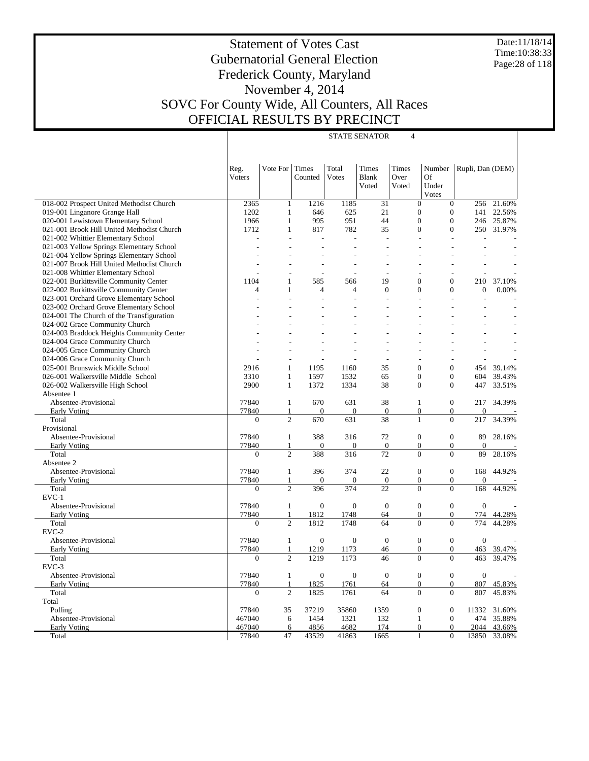Date:11/18/14 Time:10:38:33 Page:28 of 118

# Statement of Votes Cast Gubernatorial General Election Frederick County, Maryland November 4, 2014 SOVC For County Wide, All Counters, All Races OFFICIAL RESULTS BY PRECINCT

|                                            | Reg.<br>Voters          | Vote For Times                 | Counted             | Total<br>Votes      | Times<br><b>Blank</b><br>Voted | Times<br>Over<br>Voted           | Number<br>Of<br>Under<br>Votes | Rupli, Dan (DEM)   |            |
|--------------------------------------------|-------------------------|--------------------------------|---------------------|---------------------|--------------------------------|----------------------------------|--------------------------------|--------------------|------------|
| 018-002 Prospect United Methodist Church   | 2365                    | $\mathbf{1}$                   | 1216                | 1185                | 31                             | $\boldsymbol{0}$                 | $\boldsymbol{0}$               | 256                | 21.60%     |
| 019-001 Linganore Grange Hall              | 1202                    | $\mathbf{1}$                   | 646                 | 625                 | 21                             | $\mathbf{0}$                     | $\mathbf{0}$                   | 141                | 22.56%     |
| 020-001 Lewistown Elementary School        | 1966                    | 1                              | 995                 | 951                 | 44                             | $\mathbf{0}$                     | $\mathbf{0}$                   | 246                | 25.87%     |
| 021-001 Brook Hill United Methodist Church | 1712                    | $\mathbf{1}$                   | 817                 | 782                 | 35                             | $\mathbf{0}$                     | $\mathbf{0}$                   |                    | 250 31.97% |
| 021-002 Whittier Elementary School         |                         |                                |                     |                     |                                | L.                               |                                |                    |            |
| 021-003 Yellow Springs Elementary School   |                         |                                |                     |                     |                                |                                  |                                |                    |            |
| 021-004 Yellow Springs Elementary School   |                         |                                |                     |                     |                                |                                  |                                |                    |            |
| 021-007 Brook Hill United Methodist Church |                         |                                |                     | ÷                   |                                | ÷.                               |                                |                    |            |
| 021-008 Whittier Elementary School         |                         | L.                             | $\overline{a}$      | $\sim$              | $\overline{a}$                 | L.                               | ÷.                             |                    |            |
| 022-001 Burkittsville Community Center     | 1104                    | $\mathbf{1}$                   | 585                 | 566                 | 19                             | $\mathbf{0}$                     | $\mathbf{0}$                   | 210                | 37.10%     |
| 022-002 Burkittsville Community Center     | $\overline{4}$          | $\mathbf{1}$                   | $\overline{4}$      | $\overline{4}$      | $\mathbf{0}$                   | $\mathbf{0}$                     | $\mathbf{0}$                   | $\overline{0}$     | 0.00%      |
| 023-001 Orchard Grove Elementary School    |                         |                                |                     |                     |                                | $\overline{a}$                   |                                |                    |            |
| 023-002 Orchard Grove Elementary School    |                         |                                |                     |                     |                                | L.                               |                                |                    |            |
| 024-001 The Church of the Transfiguration  |                         |                                |                     |                     |                                |                                  |                                |                    |            |
| 024-002 Grace Community Church             |                         |                                |                     |                     |                                |                                  |                                |                    |            |
| 024-003 Braddock Heights Community Center  |                         |                                |                     |                     |                                |                                  |                                |                    |            |
| 024-004 Grace Community Church             |                         |                                |                     |                     |                                |                                  |                                |                    |            |
| 024-005 Grace Community Church             |                         |                                |                     |                     |                                |                                  |                                |                    |            |
| 024-006 Grace Community Church             |                         |                                |                     |                     |                                |                                  |                                |                    |            |
| 025-001 Brunswick Middle School            | 2916                    | $\mathbf{1}$                   | 1195                | 1160                | 35                             | $\mathbf{0}$                     | $\mathbf{0}$                   | 454                | 39.14%     |
| 026-001 Walkersville Middle School         | 3310                    | $\mathbf{1}$                   | 1597                | 1532                | 65                             | $\mathbf{0}$                     | $\mathbf{0}$                   | 604                | 39.43%     |
| 026-002 Walkersville High School           | 2900                    | $\mathbf{1}$                   | 1372                | 1334                | 38                             | $\mathbf{0}$                     | $\mathbf{0}$                   | 447                | 33.51%     |
| Absentee 1                                 |                         |                                |                     |                     |                                |                                  |                                |                    |            |
| Absentee-Provisional                       | 77840                   | $\mathbf{1}$                   | 670                 | 631                 | 38                             | $\mathbf{1}$                     | $\boldsymbol{0}$               | 217                | 34.39%     |
| Early Voting                               | 77840                   | 1                              | $\mathbf{0}$        | $\mathbf{0}$        | $\mathbf{0}$                   | $\boldsymbol{0}$                 | $\mathbf{0}$                   | $\boldsymbol{0}$   |            |
| Total                                      | $\overline{0}$          | $\overline{c}$                 | 670                 | 631                 | 38                             | $\mathbf{1}$                     | $\mathbf{0}$                   | 217                | 34.39%     |
| Provisional                                |                         |                                |                     |                     |                                |                                  |                                |                    |            |
| Absentee-Provisional                       | 77840                   | $\mathbf{1}$                   | 388                 | 316                 | 72                             | $\boldsymbol{0}$                 | $\boldsymbol{0}$               | 89                 | 28.16%     |
| Early Voting<br>Total                      | 77840<br>$\overline{0}$ | $\mathbf{1}$<br>$\overline{c}$ | $\mathbf{0}$<br>388 | $\mathbf{0}$<br>316 | $\boldsymbol{0}$<br>72         | $\boldsymbol{0}$<br>$\mathbf{0}$ | $\mathbf{0}$<br>$\mathbf{0}$   | $\mathbf{0}$<br>89 | 28.16%     |
| Absentee 2                                 |                         |                                |                     |                     |                                |                                  |                                |                    |            |
| Absentee-Provisional                       | 77840                   | $\mathbf{1}$                   | 396                 | 374                 | 22                             | $\boldsymbol{0}$                 | $\boldsymbol{0}$               | 168                | 44.92%     |
| Early Voting                               | 77840                   | $\mathbf{1}$                   | $\mathbf{0}$        | $\mathbf{0}$        | $\boldsymbol{0}$               | $\mathbf{0}$                     | $\mathbf{0}$                   | $\overline{0}$     |            |
| Total                                      | $\overline{0}$          | $\overline{c}$                 | 396                 | 374                 | 22                             | $\overline{0}$                   | $\overline{0}$                 | 168                | 44.92%     |
| $EVC-1$                                    |                         |                                |                     |                     |                                |                                  |                                |                    |            |
| Absentee-Provisional                       | 77840                   | $\mathbf{1}$                   | $\boldsymbol{0}$    | $\boldsymbol{0}$    | $\boldsymbol{0}$               | $\boldsymbol{0}$                 | $\boldsymbol{0}$               | $\mathbf{0}$       |            |
| <b>Early Voting</b>                        | 77840                   | $\mathbf{1}$                   | 1812                | 1748                | 64                             | $\mathbf{0}$                     | $\mathbf{0}$                   | 774                | 44.28%     |
| Total                                      | $\overline{0}$          | $\overline{2}$                 | 1812                | 1748                | 64                             | $\mathbf{0}$                     | $\mathbf{0}$                   | 774                | 44.28%     |
| $EVC-2$                                    |                         |                                |                     |                     |                                |                                  |                                |                    |            |
| Absentee-Provisional                       | 77840                   | $\mathbf{1}$                   | $\boldsymbol{0}$    | $\boldsymbol{0}$    | $\boldsymbol{0}$               | $\boldsymbol{0}$                 | $\boldsymbol{0}$               | $\boldsymbol{0}$   |            |
| Early Voting                               | 77840                   | $\mathbf{1}$                   | 1219                | 1173                | 46                             | $\boldsymbol{0}$                 | $\mathbf{0}$                   | 463                | 39.47%     |
| Total                                      | $\overline{0}$          | $\overline{2}$                 | 1219                | 1173                | 46                             | $\overline{0}$                   | $\mathbf{0}$                   | 463                | 39.47%     |
| $EVC-3$                                    |                         |                                |                     |                     |                                |                                  |                                |                    |            |
| Absentee-Provisional                       | 77840                   | $\mathbf{1}$                   | $\mathbf{0}$        | $\boldsymbol{0}$    | $\boldsymbol{0}$               | $\boldsymbol{0}$                 | $\boldsymbol{0}$               | $\boldsymbol{0}$   |            |
| <b>Early Voting</b>                        | 77840                   | $\mathbf{1}$                   | 1825                | 1761                | 64                             | $\mathbf{0}$                     | $\mathbf{0}$                   | 807                | 45.83%     |
| Total                                      | $\overline{0}$          | $\overline{c}$                 | 1825                | 1761                | 64                             | $\mathbf{0}$                     | $\mathbf{0}$                   | 807                | 45.83%     |
| Total                                      |                         |                                |                     |                     |                                |                                  |                                |                    |            |
| Polling                                    | 77840                   | 35                             | 37219               | 35860               | 1359                           | $\boldsymbol{0}$                 | $\boldsymbol{0}$               | 11332              | 31.60%     |
| Absentee-Provisional                       | 467040                  | 6                              | 1454                | 1321                | 132                            | $\mathbf{1}$                     | $\boldsymbol{0}$               | 474                | 35.88%     |
| Early Voting                               | 467040                  | 6                              | 4856                | 4682                | 174                            | $\mathbf{0}$                     | $\mathbf{0}$                   | 2044               | 43.66%     |
| Total                                      | 77840                   | 47                             | 43529               | 41863               | 1665                           | $\mathbf{1}$                     | $\mathbf{0}$                   | 13850              | 33.08%     |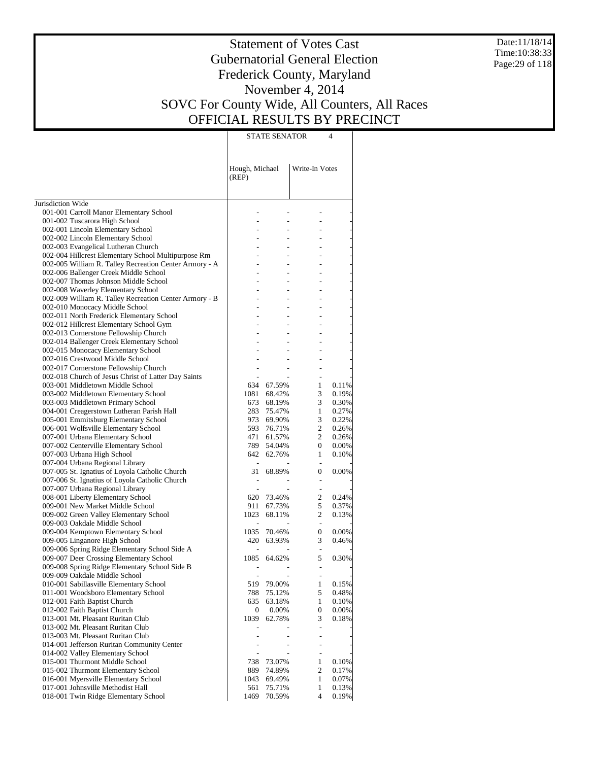Date:11/18/14 Time:10:38:33 Page:29 of 118

# Statement of Votes Cast Gubernatorial General Election Frederick County, Maryland November 4, 2014 SOVC For County Wide, All Counters, All Races OFFICIAL RESULTS BY PRECINCT

|                                                                                | Hough, Michael<br>(REP) |                      | Write-In Votes           |                |
|--------------------------------------------------------------------------------|-------------------------|----------------------|--------------------------|----------------|
|                                                                                |                         |                      |                          |                |
| Jurisdiction Wide                                                              |                         |                      |                          |                |
| 001-001 Carroll Manor Elementary School<br>001-002 Tuscarora High School       |                         |                      |                          |                |
| 002-001 Lincoln Elementary School                                              |                         |                      |                          |                |
| 002-002 Lincoln Elementary School                                              |                         |                      |                          |                |
| 002-003 Evangelical Lutheran Church                                            |                         |                      |                          |                |
| 002-004 Hillcrest Elementary School Multipurpose Rm                            |                         |                      |                          |                |
| 002-005 William R. Talley Recreation Center Armory - A                         |                         |                      |                          |                |
| 002-006 Ballenger Creek Middle School                                          |                         |                      |                          |                |
| 002-007 Thomas Johnson Middle School                                           |                         | $\overline{a}$       |                          |                |
| 002-008 Waverley Elementary School                                             |                         |                      |                          |                |
| 002-009 William R. Talley Recreation Center Armory - B                         |                         |                      |                          |                |
| 002-010 Monocacy Middle School<br>002-011 North Frederick Elementary School    |                         | $\overline{a}$       |                          |                |
| 002-012 Hillcrest Elementary School Gym                                        |                         |                      |                          |                |
| 002-013 Cornerstone Fellowship Church                                          |                         |                      |                          |                |
| 002-014 Ballenger Creek Elementary School                                      |                         |                      |                          |                |
| 002-015 Monocacy Elementary School                                             |                         |                      |                          |                |
| 002-016 Crestwood Middle School                                                |                         |                      |                          |                |
| 002-017 Cornerstone Fellowship Church                                          |                         |                      |                          |                |
| 002-018 Church of Jesus Christ of Latter Day Saints                            |                         |                      |                          |                |
| 003-001 Middletown Middle School                                               |                         | 634 67.59%           | $\mathbf{1}$             | 0.11%          |
| 003-002 Middletown Elementary School                                           | 1081                    | 68.42%               | 3 <sup>7</sup>           | 0.19%          |
| 003-003 Middletown Primary School<br>004-001 Creagerstown Lutheran Parish Hall | 673<br>283              | 68.19%<br>75.47%     | 3<br>$\mathbf{1}$        | 0.30%<br>0.27% |
| 005-001 Emmitsburg Elementary School                                           | 973                     | 69.90%               | 3                        | 0.22%          |
| 006-001 Wolfsville Elementary School                                           | 593                     | 76.71%               | $\mathbf{2}$             | 0.26%          |
| 007-001 Urbana Elementary School                                               | 471                     | 61.57%               | $\mathbf{2}$             | 0.26%          |
| 007-002 Centerville Elementary School                                          | 789                     | 54.04%               | $\overline{0}$           | 0.00%          |
| 007-003 Urbana High School                                                     |                         | 642 62.76%           | $\mathbf{1}$             | 0.10%          |
| 007-004 Urbana Regional Library                                                | $\sim$                  |                      | L.                       |                |
| 007-005 St. Ignatius of Loyola Catholic Church                                 |                         | 31 68.89%            | $\overline{0}$           | 0.00%          |
| 007-006 St. Ignatius of Loyola Catholic Church                                 |                         |                      | $\overline{a}$           |                |
| 007-007 Urbana Regional Library                                                |                         |                      | $\frac{1}{2}$            |                |
| 008-001 Liberty Elementary School<br>009-001 New Market Middle School          | 911                     | 620 73.46%<br>67.73% | 2<br>5                   | 0.24%<br>0.37% |
| 009-002 Green Valley Elementary School                                         |                         | 1023 68.11%          | $\overline{2}$           | 0.13%          |
| 009-003 Oakdale Middle School                                                  |                         |                      | $\overline{\phantom{a}}$ |                |
| 009-004 Kemptown Elementary School                                             |                         | 1035 70.46%          | $\mathbf{0}$             | 0.00%          |
| 009-005 Linganore High School                                                  |                         | 420 63.93%           | 3                        | 0.46%          |
| 009-006 Spring Ridge Elementary School Side A                                  |                         |                      | ÷,                       |                |
| 009-007 Deer Crossing Elementary School                                        |                         | 1085 64.62%          | 5                        | 0.30%          |
| 009-008 Spring Ridge Elementary School Side B                                  |                         |                      |                          |                |
| 009-009 Oakdale Middle School                                                  |                         |                      |                          |                |
| 010-001 Sabillasville Elementary School                                        | 519                     | 79.00%               | $\mathbf{1}$             | 0.15%          |
| 011-001 Woodsboro Elementary School<br>012-001 Faith Baptist Church            | 788                     | 75.12%               | 5<br>1                   | 0.48%          |
| 012-002 Faith Baptist Church                                                   | 635<br>0                | 63.18%<br>0.00%      | 0                        | 0.10%<br>0.00% |
| 013-001 Mt. Pleasant Ruritan Club                                              | 1039                    | 62.78%               | 3                        | 0.18%          |
| 013-002 Mt. Pleasant Ruritan Club                                              |                         |                      | $\overline{a}$           |                |
| 013-003 Mt. Pleasant Ruritan Club                                              |                         |                      | $\overline{\phantom{m}}$ |                |
| 014-001 Jefferson Ruritan Community Center                                     |                         |                      | $\overline{\phantom{m}}$ |                |
| 014-002 Valley Elementary School                                               |                         |                      | $\frac{1}{2}$            |                |
| 015-001 Thurmont Middle School                                                 | 738                     | 73.07%               | $\mathbf{1}$             | 0.10%          |
| 015-002 Thurmont Elementary School                                             | 889                     | 74.89%               | 2                        | 0.17%          |
| 016-001 Myersville Elementary School                                           | 1043                    | 69.49%               | 1                        | 0.07%          |
| 017-001 Johnsville Methodist Hall                                              | 561                     | 75.71%               | $\mathbf{1}$             | 0.13%          |
| 018-001 Twin Ridge Elementary School                                           | 1469                    | 70.59%               | 4                        | 0.19%          |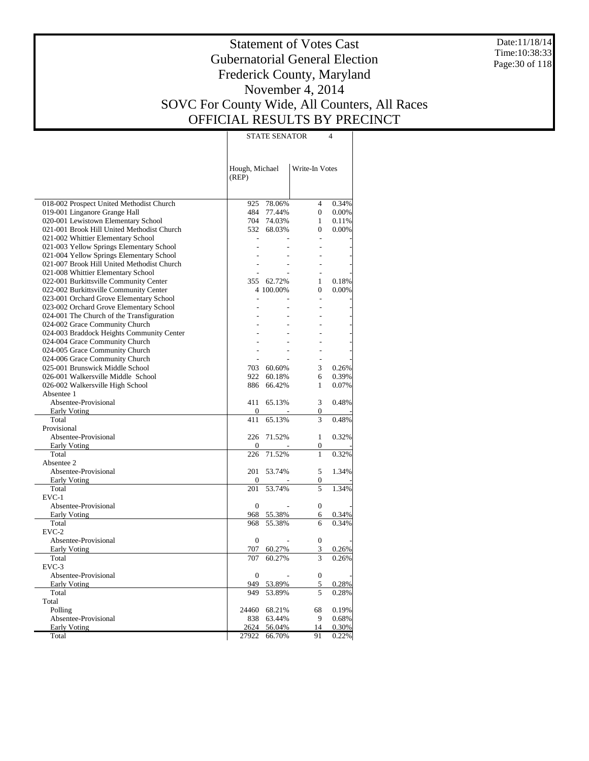Date:11/18/14 Time:10:38:33 Page:30 of 118

# Statement of Votes Cast Gubernatorial General Election Frederick County, Maryland November 4, 2014 SOVC For County Wide, All Counters, All Races OFFICIAL RESULTS BY PRECINCT

STATE SENATOR 4

 $\top$ 

|                                                                                | Hough, Michael<br>(REP) |            | Write-In Votes   |       |
|--------------------------------------------------------------------------------|-------------------------|------------|------------------|-------|
|                                                                                |                         |            |                  |       |
| 018-002 Prospect United Methodist Church                                       | 925                     | 78.06%     | $\overline{4}$   | 0.34% |
| 019-001 Linganore Grange Hall                                                  | 484                     | 77.44%     | $\Omega$         | 0.00% |
| 020-001 Lewistown Elementary School                                            |                         | 704 74.03% | 1                | 0.11% |
| 021-001 Brook Hill United Methodist Church                                     |                         | 532 68.03% | $\mathbf{0}$     | 0.00% |
| 021-002 Whittier Elementary School<br>021-003 Yellow Springs Elementary School |                         |            |                  |       |
| 021-004 Yellow Springs Elementary School                                       |                         |            |                  |       |
| 021-007 Brook Hill United Methodist Church                                     |                         |            |                  |       |
| 021-008 Whittier Elementary School                                             |                         |            |                  |       |
| 022-001 Burkittsville Community Center                                         |                         | 355 62.72% | $\mathbf{1}$     | 0.18% |
| 022-002 Burkittsville Community Center                                         |                         | 4 100.00%  | $\overline{0}$   | 0.00% |
| 023-001 Orchard Grove Elementary School                                        |                         |            | ÷,               |       |
| 023-002 Orchard Grove Elementary School                                        |                         |            |                  |       |
| 024-001 The Church of the Transfiguration                                      |                         |            |                  |       |
| 024-002 Grace Community Church                                                 |                         |            |                  |       |
| 024-003 Braddock Heights Community Center                                      |                         |            |                  |       |
| 024-004 Grace Community Church                                                 |                         |            |                  |       |
| 024-005 Grace Community Church                                                 |                         |            |                  |       |
| 024-006 Grace Community Church                                                 |                         |            |                  |       |
| 025-001 Brunswick Middle School                                                |                         | 703 60.60% | 3                | 0.26% |
| 026-001 Walkersville Middle School                                             | 922                     | 60.18%     | 6                | 0.39% |
| 026-002 Walkersville High School                                               | 886                     | 66.42%     | 1                | 0.07% |
| Absentee 1                                                                     |                         |            |                  |       |
| Absentee-Provisional                                                           | 411                     | 65.13%     | 3                | 0.48% |
| Early Voting                                                                   | $\Omega$                |            | $\Omega$         |       |
| Total                                                                          | 411                     | 65.13%     | 3                | 0.48% |
| Provisional                                                                    |                         |            |                  |       |
| Absentee-Provisional                                                           | 226                     | 71.52%     | 1                | 0.32% |
| Early Voting                                                                   | $\mathbf{0}$            |            | $\boldsymbol{0}$ |       |
| Total                                                                          | 226                     | 71.52%     | $\mathbf{1}$     | 0.32% |
| Absentee 2                                                                     |                         |            |                  |       |
| Absentee-Provisional                                                           | 201                     | 53.74%     | 5                | 1.34% |
| Early Voting                                                                   | $\Omega$                |            | $\overline{0}$   |       |
| Total                                                                          | 201                     | 53.74%     | 5                | 1.34% |
| $EVC-1$                                                                        |                         |            |                  |       |
| Absentee-Provisional                                                           | $\mathbf{0}$            |            | $\mathbf{0}$     |       |
| Early Voting                                                                   | 968                     | 55.38%     | 6                | 0.34% |
| Total                                                                          | 968                     | 55.38%     | 6                | 0.34% |
| $EVC-2$                                                                        |                         |            |                  |       |
| Absentee-Provisional                                                           | $\Omega$                |            | $\Omega$         |       |
| Early Voting                                                                   | 707                     | 60.27%     | 3                | 0.26% |
| Total                                                                          | 707                     | 60.27%     | 3                | 0.26% |
| $EVC-3$                                                                        |                         |            |                  |       |
| Absentee-Provisional                                                           | $\mathbf{0}$            |            | $\mathbf{0}$     |       |
| Early Voting                                                                   | 949                     | 53.89%     | 5                | 0.28% |
| Total                                                                          |                         | 949 53.89% | 5                | 0.28% |
| Total                                                                          |                         |            |                  |       |
| Polling                                                                        | 24460                   | 68.21%     | 68               | 0.19% |
| Absentee-Provisional                                                           | 838                     | 63.44%     | 9                | 0.68% |
| Early Voting                                                                   | 2624                    | 56.04%     | 14               | 0.30% |
| Total                                                                          | 27922                   | 66.70%     | 91               | 0.22% |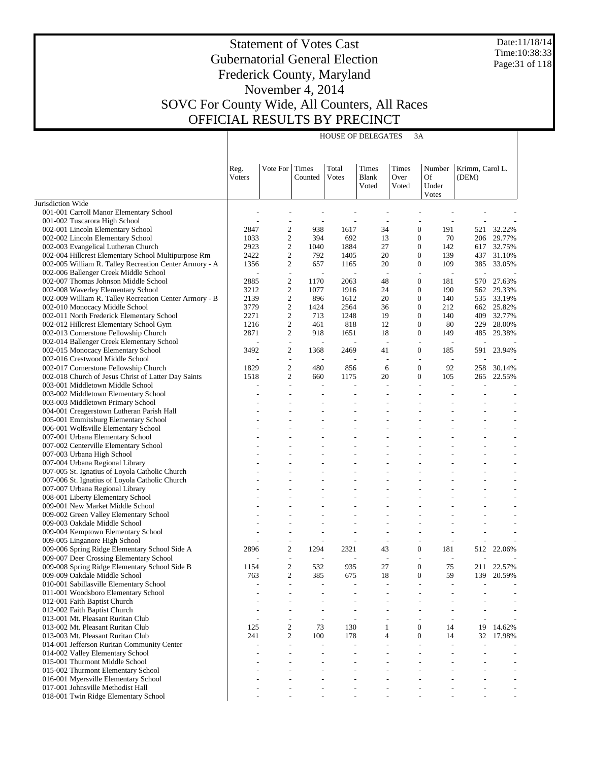Date:11/18/14 Time:10:38:33 Page:31 of 118

# Statement of Votes Cast Gubernatorial General Election Frederick County, Maryland November 4, 2014 SOVC For County Wide, All Counters, All Races OFFICIAL RESULTS BY PRECINCT

|                                                                                  | Reg.<br>Voters         | Vote For Times                     | Counted                  | Total<br><b>Votes</b>  | Times<br><b>Blank</b><br>Voted | Times<br>Over<br>Voted                   | Number<br>Of<br>Under<br>Votes  | Krimm, Carol L.<br>(DEM) |                          |
|----------------------------------------------------------------------------------|------------------------|------------------------------------|--------------------------|------------------------|--------------------------------|------------------------------------------|---------------------------------|--------------------------|--------------------------|
| Jurisdiction Wide                                                                |                        |                                    |                          |                        |                                |                                          |                                 |                          |                          |
| 001-001 Carroll Manor Elementary School                                          |                        |                                    |                          |                        |                                |                                          |                                 |                          |                          |
| 001-002 Tuscarora High School                                                    |                        | $\overline{a}$                     | $\overline{a}$           | $\overline{a}$         | $\overline{a}$                 | $\overline{a}$                           | $\overline{\phantom{a}}$        | $\overline{\phantom{a}}$ |                          |
| 002-001 Lincoln Elementary School                                                | 2847                   | $\boldsymbol{2}$                   | 938                      | 1617                   | 34                             | $\boldsymbol{0}$                         | 191                             | 521                      | 32.22%                   |
| 002-002 Lincoln Elementary School                                                | 1033                   | $\boldsymbol{2}$                   | 394                      | 692                    | 13                             | $\mathbf{0}$                             | 70                              | 206                      | 29.77%                   |
| 002-003 Evangelical Lutheran Church                                              | 2923                   | $\overline{c}$                     | 1040                     | 1884                   | 27                             | $\mathbf{0}$                             | 142                             | 617                      | 32.75%                   |
| 002-004 Hillcrest Elementary School Multipurpose Rm                              | 2422                   | $\mathfrak{2}$                     | 792                      | 1405                   | 20                             | $\mathbf{0}$                             | 139                             | 437                      | 31.10%                   |
| 002-005 William R. Talley Recreation Center Armory - A                           | 1356                   | $\mathfrak{2}$                     | 657                      | 1165                   | 20                             | $\mathbf{0}$                             | 109                             | 385                      | 33.05%                   |
| 002-006 Ballenger Creek Middle School                                            | ÷,                     | $\overline{\phantom{a}}$           | $\overline{\phantom{a}}$ | ÷,                     | $\overline{\phantom{a}}$       | $\overline{\phantom{a}}$                 | $\overline{\phantom{a}}$        | $\overline{\phantom{a}}$ |                          |
| 002-007 Thomas Johnson Middle School                                             | 2885                   | $\mathbf{2}$                       | 1170                     | 2063                   | 48                             | $\mathbf{0}$                             | 181                             | 570                      | 27.63%                   |
| 002-008 Waverley Elementary School                                               | 3212                   | $\overline{c}$                     | 1077                     | 1916                   | 24                             | $\mathbf{0}$                             | 190                             | 562                      | 29.33%                   |
| 002-009 William R. Talley Recreation Center Armory - B                           | 2139                   | $\overline{2}$                     | 896                      | 1612                   | 20                             | $\mathbf{0}$                             | 140                             |                          | 535 33.19%               |
| 002-010 Monocacy Middle School                                                   | 3779                   | $\sqrt{2}$                         | 1424                     | 2564                   | 36                             | $\mathbf{0}$<br>$\mathbf{0}$             | 212                             |                          | 662 25.82%               |
| 002-011 North Frederick Elementary School                                        | 2271                   | $\mathbf{2}$                       | 713<br>461               | 1248                   | 19                             | $\mathbf{0}$                             | 140                             | 409                      | 32.77%<br>28.00%         |
| 002-012 Hillcrest Elementary School Gym<br>002-013 Cornerstone Fellowship Church | 1216                   | $\boldsymbol{2}$<br>$\overline{c}$ |                          | 818                    | 12                             | $\mathbf{0}$                             | 80<br>149                       | 229                      |                          |
|                                                                                  | 2871                   | $\overline{a}$                     | 918<br>$\overline{a}$    | 1651<br>$\overline{a}$ | 18                             |                                          |                                 | 485                      | 29.38%                   |
| 002-014 Ballenger Creek Elementary School<br>002-015 Monocacy Elementary School  | $\overline{a}$<br>3492 | $\mathfrak{2}$                     |                          |                        | $\overline{\phantom{a}}$<br>41 | $\overline{\phantom{a}}$<br>$\mathbf{0}$ | $\overline{\phantom{a}}$<br>185 | $\overline{\phantom{a}}$ |                          |
| 002-016 Crestwood Middle School                                                  |                        | $\overline{a}$                     | 1368                     | 2469                   | $\overline{a}$                 | $\overline{\phantom{a}}$                 | $\overline{\phantom{a}}$        | 591<br>L,                | 23.94%                   |
| 002-017 Cornerstone Fellowship Church                                            | 1829                   | $\overline{c}$                     | 480                      | 856                    | 6                              | $\mathbf{0}$                             | 92                              | 258                      | 30.14%                   |
| 002-018 Church of Jesus Christ of Latter Day Saints                              | 1518                   | $\overline{c}$                     | 660                      | 1175                   | 20                             | $\mathbf{0}$                             | 105                             |                          | 265 22.55%               |
| 003-001 Middletown Middle School                                                 |                        |                                    | L,                       |                        |                                |                                          |                                 | L,                       |                          |
| 003-002 Middletown Elementary School                                             |                        | $\overline{a}$                     | L,                       |                        |                                |                                          |                                 |                          |                          |
| 003-003 Middletown Primary School                                                |                        |                                    |                          |                        |                                |                                          |                                 |                          |                          |
| 004-001 Creagerstown Lutheran Parish Hall                                        |                        | L,                                 |                          | $\overline{a}$         |                                | $\overline{\phantom{a}}$                 |                                 | $\overline{a}$           | $\overline{\phantom{a}}$ |
| 005-001 Emmitsburg Elementary School                                             |                        |                                    |                          |                        |                                |                                          |                                 |                          |                          |
| 006-001 Wolfsville Elementary School                                             |                        |                                    |                          | $\overline{a}$         |                                |                                          |                                 | $\overline{a}$           | $\overline{\phantom{a}}$ |
| 007-001 Urbana Elementary School                                                 |                        |                                    |                          |                        |                                |                                          |                                 |                          |                          |
| 007-002 Centerville Elementary School                                            |                        | L,                                 |                          | $\overline{a}$         |                                | $\overline{a}$                           |                                 | $\overline{a}$           | $\overline{a}$           |
| 007-003 Urbana High School                                                       |                        |                                    |                          |                        |                                |                                          |                                 |                          |                          |
| 007-004 Urbana Regional Library                                                  |                        |                                    |                          |                        |                                | $\overline{a}$                           |                                 | $\overline{a}$           |                          |
| 007-005 St. Ignatius of Loyola Catholic Church                                   |                        |                                    |                          |                        |                                |                                          |                                 |                          |                          |
| 007-006 St. Ignatius of Loyola Catholic Church                                   |                        | $\overline{a}$                     |                          | $\overline{a}$         |                                | $\overline{a}$                           |                                 | $\overline{a}$           |                          |
| 007-007 Urbana Regional Library                                                  |                        |                                    |                          |                        |                                |                                          |                                 |                          |                          |
| 008-001 Liberty Elementary School                                                |                        | L,                                 |                          | $\overline{a}$         |                                | $\overline{\phantom{a}}$                 |                                 | $\overline{a}$           | $\overline{\phantom{a}}$ |
| 009-001 New Market Middle School                                                 |                        |                                    |                          |                        |                                |                                          |                                 |                          |                          |
| 009-002 Green Valley Elementary School                                           |                        | $\overline{a}$                     |                          | $\overline{a}$         |                                | $\overline{a}$                           |                                 | L,                       |                          |
| 009-003 Oakdale Middle School                                                    |                        |                                    |                          |                        |                                |                                          |                                 |                          |                          |
| 009-004 Kemptown Elementary School                                               |                        | $\overline{a}$                     |                          | $\overline{a}$         | $\overline{a}$                 | $\overline{\phantom{a}}$                 | $\overline{a}$                  | $\overline{a}$           |                          |
| 009-005 Linganore High School                                                    |                        | $\overline{a}$                     |                          | $\overline{a}$         | $\overline{a}$                 | $\overline{\phantom{a}}$                 | $\overline{\phantom{a}}$        | $\overline{\phantom{a}}$ |                          |
| 009-006 Spring Ridge Elementary School Side A                                    | 2896                   | $\overline{c}$                     | 1294                     | 2321                   | 43                             | $\mathbf{0}$                             | 181                             | 512                      | 22.06%                   |
| 009-007 Deer Crossing Elementary School                                          |                        |                                    |                          |                        | $\overline{a}$                 | $\sim$                                   | $\overline{\phantom{a}}$        | L,                       |                          |
| 009-008 Spring Ridge Elementary School Side B                                    | 1154                   | $\overline{c}$                     | 532                      | 935                    | 27                             | $\Omega$                                 | 75                              |                          | 211 22.57%               |
| 009-009 Oakdale Middle School                                                    | 763                    | $\overline{c}$                     | 385                      | 675                    | 18                             | $\boldsymbol{0}$                         | 59                              |                          | 139 20.59%               |
| 010-001 Sabillasville Elementary School                                          | ÷,                     | $\overline{a}$                     |                          | $\overline{a}$         |                                | $\overline{\phantom{a}}$                 |                                 |                          |                          |
| 011-001 Woodsboro Elementary School                                              |                        |                                    |                          |                        |                                |                                          |                                 |                          |                          |
| 012-001 Faith Baptist Church                                                     |                        |                                    |                          |                        |                                |                                          |                                 |                          |                          |
| 012-002 Faith Baptist Church                                                     |                        |                                    |                          |                        |                                |                                          |                                 |                          |                          |
| 013-001 Mt. Pleasant Ruritan Club                                                |                        |                                    |                          |                        |                                | $\overline{\phantom{0}}$                 |                                 |                          |                          |
| 013-002 Mt. Pleasant Ruritan Club                                                | 125                    | $\boldsymbol{2}$                   | 73                       | 130                    | 1                              | $\boldsymbol{0}$                         | 14                              | 19                       | 14.62%                   |
| 013-003 Mt. Pleasant Ruritan Club                                                | 241                    | $\boldsymbol{2}$                   | 100                      | 178                    | 4                              | $\mathbf{0}$                             | 14                              | 32                       | 17.98%                   |
| 014-001 Jefferson Ruritan Community Center                                       |                        |                                    |                          |                        |                                |                                          |                                 | L,                       |                          |
| 014-002 Valley Elementary School                                                 |                        | $\overline{a}$                     |                          |                        |                                | $\overline{a}$                           |                                 |                          |                          |
| 015-001 Thurmont Middle School                                                   |                        |                                    |                          |                        |                                |                                          |                                 |                          |                          |
| 015-002 Thurmont Elementary School                                               |                        |                                    |                          |                        |                                |                                          |                                 |                          |                          |
| 016-001 Myersville Elementary School                                             |                        |                                    |                          |                        |                                |                                          |                                 |                          |                          |
| 017-001 Johnsville Methodist Hall                                                |                        |                                    |                          |                        |                                |                                          |                                 |                          |                          |
| 018-001 Twin Ridge Elementary School                                             |                        |                                    |                          |                        |                                |                                          |                                 |                          |                          |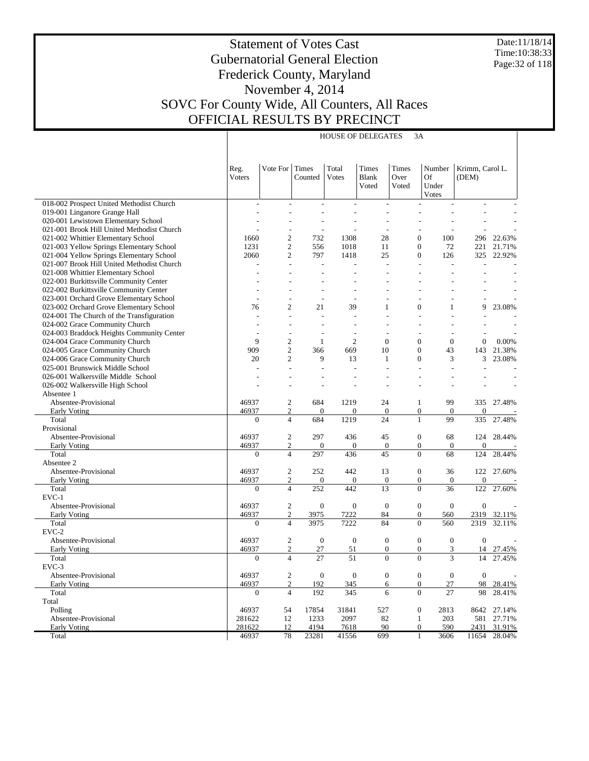Date:11/18/14 Time:10:38:33 Page:32 of 118

# Statement of Votes Cast Gubernatorial General Election Frederick County, Maryland November 4, 2014 SOVC For County Wide, All Counters, All Races OFFICIAL RESULTS BY PRECINCT

|                                                                                        | Reg.<br>Voters | Vote For                | Times<br>Counted | Total<br>Votes   | Times<br><b>Blank</b><br>Voted | <b>Times</b><br>Over<br>Voted | Number<br>Of<br>Under<br><b>V</b> otes | Krimm, Carol L.<br>(DEM) |            |
|----------------------------------------------------------------------------------------|----------------|-------------------------|------------------|------------------|--------------------------------|-------------------------------|----------------------------------------|--------------------------|------------|
| 018-002 Prospect United Methodist Church                                               |                |                         |                  |                  |                                |                               |                                        |                          |            |
| 019-001 Linganore Grange Hall                                                          |                |                         |                  |                  |                                |                               |                                        |                          |            |
| 020-001 Lewistown Elementary School                                                    |                |                         |                  |                  |                                |                               |                                        |                          |            |
| 021-001 Brook Hill United Methodist Church                                             | L.             | $\overline{a}$          | L.               | L.               | $\overline{a}$                 | L.                            |                                        | $\overline{a}$           |            |
| 021-002 Whittier Elementary School                                                     | 1660           | 2                       | 732              | 1308             | 28                             | $\overline{0}$                | 100                                    | 296                      | 22.63%     |
| 021-003 Yellow Springs Elementary School                                               | 1231           | $\overline{c}$          | 556              | 1018             | 11                             | $\mathbf{0}$                  | 72                                     | 221                      | 21.71%     |
| 021-004 Yellow Springs Elementary School<br>021-007 Brook Hill United Methodist Church | 2060           | $\overline{c}$<br>L,    | 797<br>L.        | 1418             | 25                             | $\Omega$                      | 126                                    | 325                      | 22.92%     |
| 021-008 Whittier Elementary School                                                     |                | L.                      | L.               | L.               | $\overline{a}$                 | $\overline{a}$                |                                        |                          |            |
| 022-001 Burkittsville Community Center                                                 |                | L                       |                  |                  |                                |                               |                                        |                          |            |
| 022-002 Burkittsville Community Center                                                 |                |                         |                  |                  |                                |                               |                                        |                          |            |
| 023-001 Orchard Grove Elementary School                                                | ÷,             | $\overline{a}$          | L,               | L,               |                                | ÷                             |                                        |                          |            |
| 023-002 Orchard Grove Elementary School                                                | 76             | $\overline{c}$          | 21               | 39               | 1                              | $\mathbf{0}$                  | 1                                      | 9                        | 23.08%     |
| 024-001 The Church of the Transfiguration                                              |                |                         |                  | Ĭ.               |                                |                               |                                        |                          |            |
| 024-002 Grace Community Church                                                         |                | L,                      |                  |                  |                                |                               |                                        |                          |            |
| 024-003 Braddock Heights Community Center                                              |                | J.                      |                  | ÷,               |                                |                               |                                        |                          |            |
| 024-004 Grace Community Church                                                         | 9              | 2                       | 1                | $\overline{c}$   | $\mathbf{0}$                   | $\mathbf{0}$                  | $\mathbf{0}$                           | $\mathbf{0}$             | 0.00%      |
| 024-005 Grace Community Church                                                         | 909            | $\overline{c}$          | 366              | 669              | 10                             | $\overline{0}$                | 43                                     | 143                      | 21.38%     |
| 024-006 Grace Community Church                                                         | 20             | $\overline{c}$          | 9                | 13               | 1                              | $\mathbf{0}$                  | 3                                      | 3                        | 23.08%     |
| 025-001 Brunswick Middle School                                                        |                | L,                      |                  |                  |                                |                               |                                        |                          |            |
| 026-001 Walkersville Middle School                                                     |                | ÷,                      |                  |                  |                                |                               |                                        |                          |            |
| 026-002 Walkersville High School                                                       |                | J.                      | $\overline{a}$   |                  |                                | L.                            |                                        |                          |            |
| Absentee 1                                                                             | 46937          | $\overline{c}$          | 684              | 1219             | 24                             | $\mathbf{1}$                  | 99                                     |                          |            |
| Absentee-Provisional<br>Early Voting                                                   | 46937          | 2                       | $\boldsymbol{0}$ | $\mathbf{0}$     | $\boldsymbol{0}$               | $\boldsymbol{0}$              | $\boldsymbol{0}$                       | 335<br>$\boldsymbol{0}$  | 27.48%     |
| Total                                                                                  | $\mathbf{0}$   | $\overline{\mathbf{4}}$ | 684              | 1219             | 24                             | $\mathbf{1}$                  | 99                                     | 335                      | 27.48%     |
| Provisional                                                                            |                |                         |                  |                  |                                |                               |                                        |                          |            |
| Absentee-Provisional                                                                   | 46937          | $\overline{c}$          | 297              | 436              | 45                             | $\mathbf{0}$                  | 68                                     | 124                      | 28.44%     |
| Early Voting                                                                           | 46937          | $\overline{c}$          | $\mathbf{0}$     | $\mathbf{0}$     | $\mathbf{0}$                   | $\mathbf{0}$                  | $\mathbf{0}$                           | $\overline{0}$           |            |
| Total                                                                                  | $\Omega$       | $\overline{\mathbf{4}}$ | 297              | 436              | 45                             | $\Omega$                      | 68                                     | 124                      | 28.44%     |
| Absentee 2                                                                             |                |                         |                  |                  |                                |                               |                                        |                          |            |
| Absentee-Provisional                                                                   | 46937          | $\overline{c}$          | 252              | 442              | 13                             | $\mathbf{0}$                  | 36                                     | 122                      | 27.60%     |
| <b>Early Voting</b>                                                                    | 46937          | $\overline{c}$          | $\theta$         | $\theta$         | $\mathbf{0}$                   | $\overline{0}$                | $\overline{0}$                         | $\mathbf{0}$             |            |
| Total                                                                                  | $\theta$       | $\overline{4}$          | 252              | 442              | 13                             | $\Omega$                      | 36                                     | 122                      | 27.60%     |
| $EVC-1$                                                                                |                |                         |                  |                  |                                |                               |                                        |                          |            |
| Absentee-Provisional                                                                   | 46937          | $\overline{c}$          | $\boldsymbol{0}$ | $\boldsymbol{0}$ | $\boldsymbol{0}$               | $\boldsymbol{0}$              | $\theta$                               | $\boldsymbol{0}$         |            |
| <b>Early Voting</b>                                                                    | 46937          | $\overline{c}$          | 3975             | 7222             | 84                             | $\mathbf{0}$<br>$\Omega$      | 560                                    | 2319                     | 32.11%     |
| Total<br>$EVC-2$                                                                       | $\overline{0}$ | $\overline{\mathbf{4}}$ | 3975             | 7222             | 84                             |                               | 560                                    | 2319                     | 32.11%     |
| Absentee-Provisional                                                                   | 46937          | $\overline{c}$          | $\boldsymbol{0}$ | $\boldsymbol{0}$ | $\boldsymbol{0}$               | $\mathbf{0}$                  | $\boldsymbol{0}$                       | $\overline{0}$           |            |
| Early Voting                                                                           | 46937          | $\overline{c}$          | 27               | 51               | $\boldsymbol{0}$               | $\mathbf{0}$                  | 3                                      | 14                       | 27.45%     |
| Total                                                                                  | $\theta$       | $\overline{4}$          | 27               | 51               | $\Omega$                       | $\Omega$                      | 3                                      | 14                       | 27.45%     |
| $EVC-3$                                                                                |                |                         |                  |                  |                                |                               |                                        |                          |            |
| Absentee-Provisional                                                                   | 46937          | $\overline{c}$          | $\mathbf{0}$     | $\overline{0}$   | $\overline{0}$                 | $\mathbf{0}$                  | $\mathbf{0}$                           | $\overline{0}$           |            |
| <b>Early Voting</b>                                                                    | 46937          | $\overline{c}$          | 192              | 345              | 6                              | $\mathbf{0}$                  | 27                                     | 98                       | 28.41%     |
| Total                                                                                  | $\theta$       | $\overline{4}$          | 192              | 345              | 6                              | $\Omega$                      | 27                                     | 98                       | 28.41%     |
| Total                                                                                  |                |                         |                  |                  |                                |                               |                                        |                          |            |
| Polling                                                                                | 46937          | 54                      | 17854            | 31841            | 527                            | $\boldsymbol{0}$              | 2813                                   | 8642                     | 27.14%     |
| Absentee-Provisional                                                                   | 281622         | 12                      | 1233             | 2097             | 82                             | $\mathbf{1}$                  | 203                                    |                          | 581 27.71% |
| <b>Early Voting</b>                                                                    | 281622         | 12                      | 4194             | 7618             | 90                             | $\mathbf{0}$                  | 590                                    | 2431                     | 31.91%     |
| Total                                                                                  | 46937          | 78                      | 23281            | 41556            | 699                            | 1                             | 3606                                   | 11654                    | 28.04%     |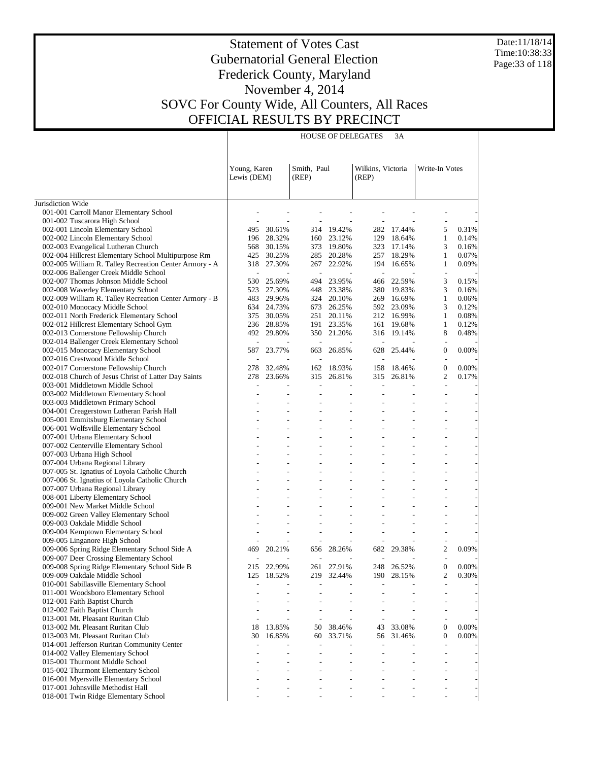Date:11/18/14 Time:10:38:33 Page:33 of 118

 $\overline{\phantom{a}}$ 

## Statement of Votes Cast Gubernatorial General Election Frederick County, Maryland November 4, 2014 SOVC For County Wide, All Counters, All Races OFFICIAL RESULTS BY PRECINCT

 $\overline{\phantom{a}}$ 

|                                                                                 | Young, Karen<br>Lewis (DEM) |            | Smith, Paul<br>(REP)     |                          | Wilkins, Victoria<br>(REP)   |            | Write-In Votes          |          |  |
|---------------------------------------------------------------------------------|-----------------------------|------------|--------------------------|--------------------------|------------------------------|------------|-------------------------|----------|--|
| Jurisdiction Wide                                                               |                             |            |                          |                          |                              |            |                         |          |  |
| 001-001 Carroll Manor Elementary School                                         |                             |            |                          |                          |                              |            |                         |          |  |
| 001-002 Tuscarora High School                                                   |                             |            | $\overline{a}$           | $\overline{a}$           | $\overline{\phantom{a}}$     |            |                         |          |  |
| 002-001 Lincoln Elementary School                                               | 495                         | 30.61%     |                          | 314 19.42%               |                              | 282 17.44% | 5                       | 0.31%    |  |
| 002-002 Lincoln Elementary School                                               | 196                         | 28.32%     | 160                      | 23.12%                   | 129                          | 18.64%     | 1                       | 0.14%    |  |
| 002-003 Evangelical Lutheran Church                                             | 568                         | 30.15%     | 373                      | 19.80%                   | 323                          | 17.14%     | 3                       | 0.16%    |  |
| 002-004 Hillcrest Elementary School Multipurpose Rm                             | 425                         | 30.25%     | 285                      | 20.28%                   | 257                          | 18.29%     | 1                       | 0.07%    |  |
| 002-005 William R. Talley Recreation Center Armory - A                          |                             | 318 27.30% | 267                      | 22.92%                   | 194                          | 16.65%     | 1                       | 0.09%    |  |
| 002-006 Ballenger Creek Middle School                                           | $\frac{1}{2}$               |            | $\overline{\phantom{a}}$ | $\overline{a}$           | $\qquad \qquad \blacksquare$ |            |                         |          |  |
| 002-007 Thomas Johnson Middle School                                            | 530                         | 25.69%     | 494                      | 23.95%                   | 466                          | 22.59%     | 3                       | 0.15%    |  |
| 002-008 Waverley Elementary School                                              | 523                         | 27.30%     | 448                      | 23.38%                   | 380                          | 19.83%     | 3                       | 0.16%    |  |
| 002-009 William R. Talley Recreation Center Armory - B                          | 483                         | 29.96%     |                          | 324 20.10%               |                              | 269 16.69% | 1                       | 0.06%    |  |
| 002-010 Monocacy Middle School                                                  |                             | 634 24.73% | 673                      | 26.25%                   |                              | 592 23.09% | 3                       | 0.12%    |  |
| 002-011 North Frederick Elementary School                                       | 375                         | 30.05%     | 251                      | 20.11%                   |                              | 212 16.99% | 1                       | 0.08%    |  |
| 002-012 Hillcrest Elementary School Gym                                         |                             | 236 28.85% |                          | 191 23.35%               | 161                          | 19.68%     | 1                       | 0.12%    |  |
| 002-013 Cornerstone Fellowship Church                                           |                             | 492 29.80% |                          | 350 21.20%               |                              | 316 19.14% | 8                       | 0.48%    |  |
| 002-014 Ballenger Creek Elementary School                                       | $\frac{1}{2}$               |            | $\overline{\phantom{a}}$ |                          | $\overline{\phantom{a}}$     |            |                         |          |  |
| 002-015 Monocacy Elementary School                                              | 587                         | 23.77%     | 663                      | 26.85%                   | 628                          | 25.44%     | $\boldsymbol{0}$        | 0.00%    |  |
| 002-016 Crestwood Middle School                                                 |                             |            | $\overline{a}$           |                          |                              |            |                         |          |  |
| 002-017 Cornerstone Fellowship Church                                           | 278                         | 32.48%     | 162                      | 18.93%                   | 158                          | 18.46%     | $\boldsymbol{0}$        | 0.00%    |  |
| 002-018 Church of Jesus Christ of Latter Day Saints                             |                             | 278 23.66% | 315                      | 26.81%                   | 315                          | 26.81%     | $\overline{c}$          | 0.17%    |  |
| 003-001 Middletown Middle School                                                |                             |            |                          |                          |                              |            | $\overline{a}$          |          |  |
| 003-002 Middletown Elementary School                                            |                             |            |                          |                          |                              |            | $\overline{a}$          |          |  |
| 003-003 Middletown Primary School                                               |                             |            |                          |                          |                              |            |                         |          |  |
| 004-001 Creagerstown Lutheran Parish Hall                                       |                             |            |                          | $\overline{a}$           |                              |            |                         |          |  |
| 005-001 Emmitsburg Elementary School                                            |                             |            |                          |                          |                              |            |                         |          |  |
| 006-001 Wolfsville Elementary School                                            |                             |            |                          | $\overline{\phantom{0}}$ |                              |            | $\overline{a}$          |          |  |
| 007-001 Urbana Elementary School                                                |                             |            |                          |                          |                              |            |                         |          |  |
| 007-002 Centerville Elementary School                                           |                             |            |                          | $\overline{\phantom{0}}$ |                              |            |                         |          |  |
| 007-003 Urbana High School                                                      |                             |            |                          |                          |                              |            |                         |          |  |
| 007-004 Urbana Regional Library                                                 |                             |            |                          | $\overline{a}$           |                              |            |                         |          |  |
| 007-005 St. Ignatius of Loyola Catholic Church                                  |                             |            |                          |                          |                              |            |                         |          |  |
| 007-006 St. Ignatius of Loyola Catholic Church                                  |                             |            | $\overline{a}$           | ÷,                       |                              |            | $\overline{a}$          |          |  |
| 007-007 Urbana Regional Library                                                 |                             |            |                          |                          |                              |            |                         |          |  |
| 008-001 Liberty Elementary School                                               |                             |            |                          |                          |                              |            |                         |          |  |
| 009-001 New Market Middle School                                                |                             |            |                          |                          |                              |            |                         |          |  |
| 009-002 Green Valley Elementary School                                          |                             |            |                          |                          |                              |            |                         |          |  |
| 009-003 Oakdale Middle School                                                   |                             |            |                          |                          |                              |            |                         |          |  |
| 009-004 Kemptown Elementary School                                              |                             |            |                          |                          |                              |            |                         |          |  |
| 009-005 Linganore High School                                                   |                             |            |                          |                          | ÷,                           |            |                         |          |  |
| 009-006 Spring Ridge Elementary School Side A                                   | 469                         | 20.21%     | 656                      | 28.26%                   | 682                          | 29.38%     | $\overline{c}$          | 0.09%    |  |
| 009-007 Deer Crossing Elementary School                                         |                             |            |                          |                          |                              |            |                         |          |  |
| 009-008 Spring Ridge Elementary School Side B                                   | 215                         | 22.99%     |                          | 261 27.91%               |                              | 248 26.52% | $\overline{0}$          | 0.00%    |  |
| 009-009 Oakdale Middle School                                                   | 125                         | 18.52%     | 219                      | 32.44%                   | 190                          | 28.15%     | $\overline{\mathbf{c}}$ | $0.30\%$ |  |
| 010-001 Sabillasville Elementary School                                         |                             |            |                          |                          |                              |            |                         |          |  |
| 011-001 Woodsboro Elementary School                                             |                             |            |                          |                          |                              |            |                         |          |  |
| 012-001 Faith Baptist Church<br>012-002 Faith Baptist Church                    |                             |            |                          |                          |                              |            |                         |          |  |
|                                                                                 |                             |            |                          |                          |                              |            |                         |          |  |
| 013-001 Mt. Pleasant Ruritan Club<br>013-002 Mt. Pleasant Ruritan Club          | 18                          |            |                          |                          | 43                           | 33.08%     | $\boldsymbol{0}$        | 0.00%    |  |
|                                                                                 |                             | 13.85%     | 50                       | 38.46%<br>33.71%         |                              |            |                         |          |  |
| 013-003 Mt. Pleasant Ruritan Club<br>014-001 Jefferson Ruritan Community Center | 30                          | 16.85%     | 60                       |                          | 56                           | 31.46%     | $\boldsymbol{0}$        | 0.00%    |  |
| 014-002 Valley Elementary School                                                |                             |            |                          |                          |                              |            |                         |          |  |
| 015-001 Thurmont Middle School                                                  |                             |            |                          |                          |                              |            |                         |          |  |
| 015-002 Thurmont Elementary School                                              |                             |            |                          |                          |                              |            |                         |          |  |
| 016-001 Myersville Elementary School                                            |                             |            |                          |                          |                              |            |                         |          |  |
| 017-001 Johnsville Methodist Hall                                               |                             |            |                          |                          |                              |            |                         |          |  |
| 018-001 Twin Ridge Elementary School                                            |                             |            |                          |                          |                              |            |                         |          |  |
|                                                                                 |                             |            |                          |                          |                              |            |                         |          |  |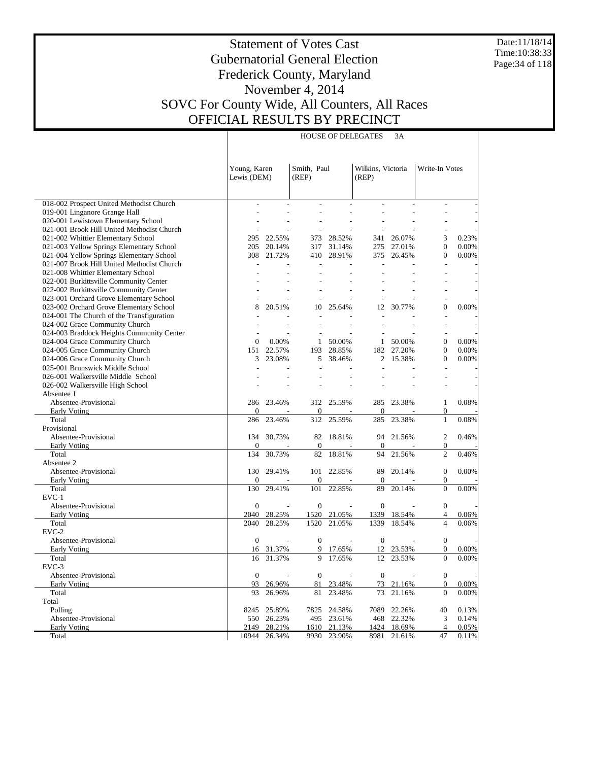Date:11/18/14 Time:10:38:33 Page:34 of 118

 $\overline{\phantom{a}}$ 

# Statement of Votes Cast Gubernatorial General Election Frederick County, Maryland November 4, 2014 SOVC For County Wide, All Counters, All Races OFFICIAL RESULTS BY PRECINCT

Τ

|                                                                                    | Young, Karen<br>Lewis (DEM) |              | Smith, Paul<br>(REP) |        | Wilkins, Victoria<br>(REP) |        | Write-In Votes   |       |
|------------------------------------------------------------------------------------|-----------------------------|--------------|----------------------|--------|----------------------------|--------|------------------|-------|
|                                                                                    |                             |              |                      |        |                            |        |                  |       |
| 018-002 Prospect United Methodist Church                                           |                             |              | L.                   |        |                            |        |                  |       |
| 019-001 Linganore Grange Hall                                                      |                             |              |                      |        |                            |        |                  |       |
| 020-001 Lewistown Elementary School                                                |                             |              |                      |        |                            |        |                  |       |
| 021-001 Brook Hill United Methodist Church                                         |                             |              |                      |        |                            |        |                  |       |
| 021-002 Whittier Elementary School                                                 | 295                         | 22.55%       | 373                  | 28.52% | 341                        | 26.07% | 3                | 0.23% |
| 021-003 Yellow Springs Elementary School                                           | 205                         | 20.14%       | 317                  | 31.14% | 275                        | 27.01% | $\mathbf{0}$     | 0.00% |
| 021-004 Yellow Springs Elementary School                                           | 308                         | 21.72%       | 410                  | 28.91% | 375                        | 26.45% | $\mathbf{0}$     | 0.00% |
| 021-007 Brook Hill United Methodist Church                                         |                             |              |                      |        |                            |        |                  |       |
| 021-008 Whittier Elementary School                                                 |                             |              |                      |        |                            |        |                  |       |
| 022-001 Burkittsville Community Center<br>022-002 Burkittsville Community Center   |                             |              |                      |        |                            |        | ÷                |       |
|                                                                                    |                             |              |                      |        |                            |        |                  |       |
| 023-001 Orchard Grove Elementary School<br>023-002 Orchard Grove Elementary School | 8                           | 20.51%       | 10                   | 25.64% | 12                         | 30.77% | $\overline{0}$   | 0.00% |
| 024-001 The Church of the Transfiguration                                          |                             |              |                      |        |                            |        |                  |       |
| 024-002 Grace Community Church                                                     |                             |              |                      |        |                            |        |                  |       |
| 024-003 Braddock Heights Community Center                                          |                             |              |                      |        |                            |        |                  |       |
| 024-004 Grace Community Church                                                     | $\mathbf{0}$                | 0.00%        | 1                    | 50.00% | $\mathbf{1}$               | 50.00% | $\overline{0}$   | 0.00% |
| 024-005 Grace Community Church                                                     | 151                         | 22.57%       | 193                  | 28.85% | 182                        | 27.20% | $\theta$         | 0.00% |
| 024-006 Grace Community Church                                                     | 3                           | 23.08%       | 5                    | 38.46% | 2                          | 15.38% | $\mathbf{0}$     | 0.00% |
| 025-001 Brunswick Middle School                                                    |                             |              |                      |        |                            |        |                  |       |
| 026-001 Walkersville Middle School                                                 |                             |              |                      |        |                            |        |                  |       |
| 026-002 Walkersville High School                                                   |                             |              |                      |        |                            |        |                  |       |
| Absentee 1                                                                         |                             |              |                      |        |                            |        |                  |       |
| Absentee-Provisional                                                               |                             | 286 23.46%   | 312                  | 25.59% | 285                        | 23.38% | $\mathbf{1}$     | 0.08% |
| Early Voting                                                                       | $\Omega$                    |              | $\boldsymbol{0}$     |        | $\boldsymbol{0}$           |        | $\Omega$         |       |
| Total                                                                              | 286                         | 23.46%       | 312                  | 25.59% | 285                        | 23.38% | $\mathbf{1}$     | 0.08% |
| Provisional                                                                        |                             |              |                      |        |                            |        |                  |       |
| Absentee-Provisional                                                               | 134                         | 30.73%       | 82                   | 18.81% | 94                         | 21.56% | $\overline{2}$   | 0.46% |
| <b>Early Voting</b>                                                                | $\mathbf{0}$                |              | $\mathbf{0}$         |        | $\mathbf{0}$               |        | $\mathbf{0}$     |       |
| Total                                                                              | 134                         | 30.73%       | 82                   | 18.81% | 94                         | 21.56% | $\overline{c}$   | 0.46% |
| Absentee 2                                                                         |                             |              |                      |        |                            |        |                  |       |
| Absentee-Provisional                                                               | 130                         | 29.41%       | 101                  | 22.85% | 89                         | 20.14% | $\overline{0}$   | 0.00% |
| <b>Early Voting</b>                                                                | $\mathbf{0}$                |              | $\mathbf{0}$         |        | $\mathbf{0}$               |        | $\mathbf{0}$     |       |
| Total                                                                              | 130                         | 29.41%       | 101                  | 22.85% | 89                         | 20.14% | $\overline{0}$   | 0.00% |
| $EVC-1$                                                                            |                             |              |                      |        |                            |        |                  |       |
| Absentee-Provisional                                                               | $\overline{0}$              |              | $\overline{0}$       |        | $\overline{0}$             |        | $\overline{0}$   |       |
| <b>Early Voting</b>                                                                | 2040                        | 28.25%       | 1520                 | 21.05% | 1339                       | 18.54% | $\overline{4}$   | 0.06% |
| Total                                                                              | 2040                        | 28.25%       | 1520                 | 21.05% | 1339                       | 18.54% | $\overline{4}$   | 0.06% |
| $EVC-2$                                                                            |                             |              |                      |        |                            |        |                  |       |
| Absentee-Provisional                                                               | $\overline{0}$              |              | $\boldsymbol{0}$     |        | $\overline{0}$             |        | $\boldsymbol{0}$ |       |
| Early Voting                                                                       | 16                          | 31.37%       | 9                    | 17.65% | 12                         | 23.53% | $\mathbf{0}$     | 0.00% |
| Total                                                                              | 16                          | 31.37%       | 9                    | 17.65% | $12\,$                     | 23.53% | $\Omega$         | 0.00% |
| $EVC-3$                                                                            |                             |              |                      |        |                            |        |                  |       |
| Absentee-Provisional                                                               | $\Omega$                    |              | $\Omega$             |        | $\theta$                   |        | $\overline{0}$   |       |
| <b>Early Voting</b>                                                                | 93                          | 26.96%       | 81                   | 23.48% | 73                         | 21.16% | $\mathbf{0}$     | 0.00% |
| Total                                                                              | 93                          | 26.96%       | 81                   | 23.48% | 73                         | 21.16% | $\overline{0}$   | 0.00% |
| Total                                                                              |                             |              |                      |        |                            |        |                  |       |
| Polling                                                                            | 8245                        | 25.89%       | 7825                 | 24.58% | 7089                       | 22.26% | 40               | 0.13% |
| Absentee-Provisional                                                               | 550                         | 26.23%       | 495                  | 23.61% | 468                        | 22.32% | 3                | 0.14% |
| Early Voting                                                                       | 2149                        | 28.21%       | 1610                 | 21.13% | 1424                       | 18.69% | $\overline{4}$   | 0.05% |
| Total                                                                              |                             | 10944 26.34% | 9930                 | 23.90% | 8981                       | 21.61% | 47               | 0.11% |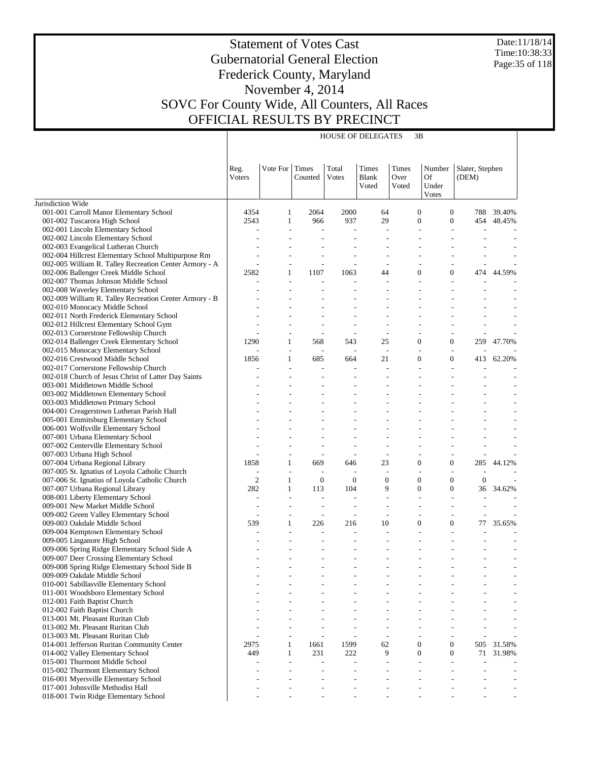Date:11/18/14 Time:10:38:33 Page:35 of 118

# Statement of Votes Cast Gubernatorial General Election Frederick County, Maryland November 4, 2014 SOVC For County Wide, All Counters, All Races OFFICIAL RESULTS BY PRECINCT

Τ

|                                                        | Reg.<br>Voters | Vote For     | Times<br>Counted | Total<br>Votes | Times<br><b>Blank</b><br>Voted | Times<br>Over<br>Voted | Number<br>Of<br>Under<br>Votes | Slater, Stephen<br>(DEM) |        |
|--------------------------------------------------------|----------------|--------------|------------------|----------------|--------------------------------|------------------------|--------------------------------|--------------------------|--------|
| Jurisdiction Wide                                      |                |              |                  |                |                                |                        |                                |                          |        |
| 001-001 Carroll Manor Elementary School                | 4354           | $\mathbf{1}$ | 2064             | 2000           | 64                             | $\boldsymbol{0}$       | $\boldsymbol{0}$               | 788                      | 39.40% |
| 001-002 Tuscarora High School                          | 2543           | $\mathbf{1}$ | 966              | 937            | 29                             | $\mathbf{0}$           | $\mathbf{0}$                   | 454                      | 48.45% |
| 002-001 Lincoln Elementary School                      |                |              |                  |                |                                |                        |                                |                          |        |
| 002-002 Lincoln Elementary School                      |                |              |                  |                |                                |                        |                                |                          |        |
| 002-003 Evangelical Lutheran Church                    |                |              |                  |                |                                |                        |                                |                          |        |
| 002-004 Hillcrest Elementary School Multipurpose Rm    |                |              |                  |                |                                |                        |                                |                          |        |
| 002-005 William R. Talley Recreation Center Armory - A |                |              |                  |                |                                |                        |                                |                          |        |
| 002-006 Ballenger Creek Middle School                  | 2582           | 1            | 1107             | 1063           | 44                             | $\mathbf{0}$           | $\mathbf{0}$                   | 474                      | 44.59% |
| 002-007 Thomas Johnson Middle School                   |                |              |                  |                |                                |                        |                                |                          |        |
| 002-008 Waverley Elementary School                     |                |              |                  |                |                                |                        |                                |                          |        |
| 002-009 William R. Talley Recreation Center Armory - B |                |              |                  |                |                                |                        |                                |                          |        |
| 002-010 Monocacy Middle School                         |                |              |                  |                |                                |                        |                                |                          |        |
| 002-011 North Frederick Elementary School              |                |              |                  |                |                                |                        |                                |                          |        |
| 002-012 Hillcrest Elementary School Gym                |                |              |                  |                |                                |                        |                                |                          |        |
| 002-013 Cornerstone Fellowship Church                  |                |              |                  | $\overline{a}$ |                                |                        |                                | $\overline{a}$           |        |
| 002-014 Ballenger Creek Elementary School              | 1290           | 1            | 568              | 543            | 25                             | $\mathbf{0}$           | $\mathbf{0}$                   | 259                      | 47.70% |
| 002-015 Monocacy Elementary School                     |                |              |                  |                |                                |                        |                                |                          |        |
| 002-016 Crestwood Middle School                        | 1856           | 1            | 685              | 664            | 21                             | $\mathbf{0}$           | $\mathbf{0}$                   | 413                      | 62.20% |
| 002-017 Cornerstone Fellowship Church                  |                |              |                  |                |                                |                        |                                |                          |        |
| 002-018 Church of Jesus Christ of Latter Day Saints    |                |              |                  |                |                                |                        |                                |                          |        |
| 003-001 Middletown Middle School                       |                |              |                  |                |                                |                        |                                |                          |        |
| 003-002 Middletown Elementary School                   |                |              |                  |                |                                |                        |                                |                          |        |
| 003-003 Middletown Primary School                      |                |              |                  |                |                                |                        |                                |                          |        |
| 004-001 Creagerstown Lutheran Parish Hall              |                |              |                  |                |                                |                        |                                |                          |        |
| 005-001 Emmitsburg Elementary School                   |                |              |                  |                |                                |                        |                                |                          |        |
| 006-001 Wolfsville Elementary School                   |                |              |                  |                |                                |                        |                                |                          |        |
| 007-001 Urbana Elementary School                       |                |              |                  |                |                                |                        |                                |                          |        |
| 007-002 Centerville Elementary School                  |                |              |                  |                |                                |                        |                                |                          |        |
| 007-003 Urbana High School                             |                |              |                  |                |                                |                        |                                | $\overline{a}$           |        |
| 007-004 Urbana Regional Library                        | 1858           | 1            | 669              | 646            | 23                             | $\mathbf{0}$           | $\boldsymbol{0}$               | 285                      | 44.12% |
| 007-005 St. Ignatius of Loyola Catholic Church         |                |              |                  |                |                                |                        |                                |                          |        |
| 007-006 St. Ignatius of Loyola Catholic Church         | $\overline{2}$ | 1            | $\mathbf{0}$     | $\mathbf{0}$   | $\boldsymbol{0}$               | $\mathbf{0}$           | $\boldsymbol{0}$               | $\mathbf{0}$             |        |
| 007-007 Urbana Regional Library                        | 282            | $\mathbf{1}$ | 113              | 104            | 9                              | $\boldsymbol{0}$       | $\boldsymbol{0}$               | 36                       | 34.62% |
| 008-001 Liberty Elementary School                      |                |              |                  |                |                                |                        |                                |                          |        |
| 009-001 New Market Middle School                       |                |              |                  |                |                                |                        |                                |                          |        |
| 009-002 Green Valley Elementary School                 |                |              |                  |                |                                |                        |                                |                          |        |
| 009-003 Oakdale Middle School                          | 539            | 1            | 226              | 216            | 10                             | $\boldsymbol{0}$       | $\boldsymbol{0}$               | 77                       | 35.65% |
| 009-004 Kemptown Elementary School                     |                |              |                  |                |                                |                        |                                |                          |        |
| 009-005 Linganore High School                          |                |              |                  |                |                                |                        |                                |                          |        |
| 009-006 Spring Ridge Elementary School Side A          |                |              |                  |                |                                |                        |                                |                          |        |
| 009-007 Deer Crossing Elementary School                |                |              |                  |                |                                |                        |                                |                          |        |
| 009-008 Spring Ridge Elementary School Side B          |                |              |                  |                |                                |                        |                                |                          |        |
|                                                        |                |              |                  |                |                                |                        |                                |                          |        |
| 009-009 Oakdale Middle School                          |                |              |                  |                |                                |                        |                                |                          |        |
| 010-001 Sabillasville Elementary School                |                |              |                  |                |                                |                        |                                |                          |        |
| 011-001 Woodsboro Elementary School                    |                |              |                  |                |                                |                        |                                |                          |        |
| 012-001 Faith Baptist Church                           |                |              |                  |                |                                |                        |                                |                          |        |
| 012-002 Faith Baptist Church                           |                |              |                  |                |                                |                        |                                |                          |        |
| 013-001 Mt. Pleasant Ruritan Club                      |                |              |                  |                |                                |                        |                                |                          |        |
| 013-002 Mt. Pleasant Ruritan Club                      |                |              |                  |                |                                |                        |                                |                          |        |
| 013-003 Mt. Pleasant Ruritan Club                      |                |              |                  |                |                                |                        |                                |                          |        |
| 014-001 Jefferson Ruritan Community Center             | 2975           | 1            | 1661             | 1599           | 62                             | $\boldsymbol{0}$       | $\boldsymbol{0}$               | 505                      | 31.58% |
| 014-002 Valley Elementary School                       | 449            | $\mathbf{1}$ | 231              | 222            | 9                              | $\mathbf{0}$           | $\mathbf{0}$                   | 71                       | 31.98% |
| 015-001 Thurmont Middle School                         |                |              |                  |                |                                |                        |                                |                          |        |
| 015-002 Thurmont Elementary School                     |                |              |                  |                |                                |                        |                                |                          |        |
| 016-001 Myersville Elementary School                   |                |              |                  |                |                                |                        |                                |                          |        |
| 017-001 Johnsville Methodist Hall                      |                |              |                  |                |                                |                        |                                |                          |        |
| 018-001 Twin Ridge Elementary School                   |                |              |                  |                |                                |                        |                                |                          |        |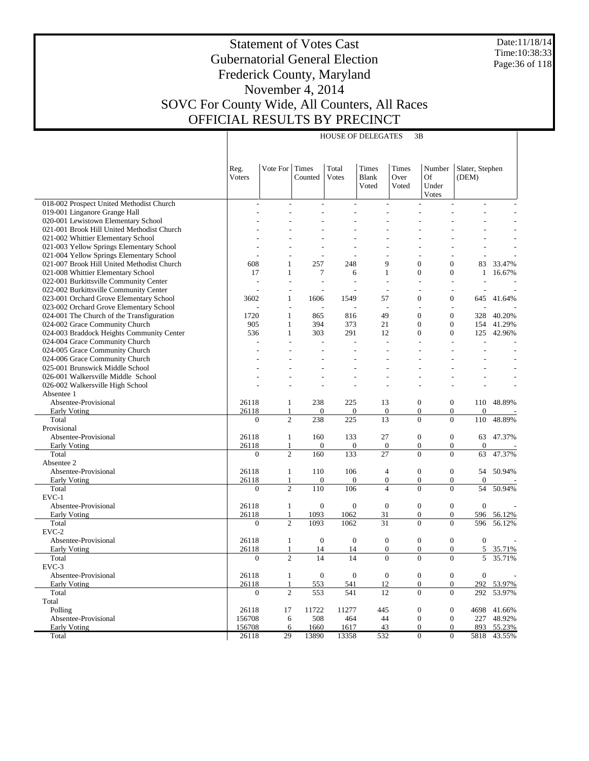Date:11/18/14 Time:10:38:33 Page: 36 of 118

#### Statement of Votes Cast Gubernatorial General Election Frederick County, Maryland November 4, 2014 SOVC For County Wide, All Counters, All Races OFFICIAL RESULTS BY PRECINCT HOUSE OF DELEGATES 3B

 $\overline{\phantom{a}}$ 

|                                                                                      | Reg.<br>Voters        | Vote For                       | <b>Times</b><br>Counted | Total<br><b>Votes</b> | Times<br><b>Blank</b><br>Voted | Times<br>Over<br>Voted       | Number<br>Of<br>Under<br>Votes     | Slater, Stephen<br>(DEM) |                  |
|--------------------------------------------------------------------------------------|-----------------------|--------------------------------|-------------------------|-----------------------|--------------------------------|------------------------------|------------------------------------|--------------------------|------------------|
| 018-002 Prospect United Methodist Church                                             |                       |                                |                         |                       |                                |                              |                                    |                          |                  |
| 019-001 Linganore Grange Hall                                                        |                       |                                |                         |                       |                                |                              |                                    |                          |                  |
| 020-001 Lewistown Elementary School                                                  |                       |                                |                         |                       |                                |                              |                                    |                          |                  |
| 021-001 Brook Hill United Methodist Church                                           |                       |                                |                         |                       |                                |                              |                                    |                          |                  |
| 021-002 Whittier Elementary School                                                   |                       |                                |                         |                       |                                |                              |                                    |                          |                  |
| 021-003 Yellow Springs Elementary School                                             |                       |                                |                         |                       |                                |                              |                                    |                          |                  |
| 021-004 Yellow Springs Elementary School                                             |                       | $\overline{a}$                 |                         |                       |                                |                              |                                    |                          |                  |
| 021-007 Brook Hill United Methodist Church                                           | 608                   | 1                              | 257                     | 248                   | 9                              | $\mathbf{0}$                 | $\mathbf{0}$                       | 83                       | 33.47%           |
| 021-008 Whittier Elementary School                                                   | 17                    | $\mathbf{1}$                   | 7                       | 6                     | $\mathbf{1}$                   | $\Omega$                     | $\mathbf{0}$                       | 1                        | 16.67%           |
| 022-001 Burkittsville Community Center                                               |                       | ÷.                             |                         | $\overline{a}$        | L.                             | L.                           |                                    |                          |                  |
| 022-002 Burkittsville Community Center                                               | 3602                  | L,<br>$\mathbf{1}$             | 1606                    | L.<br>1549            | L,<br>57                       | L,<br>$\mathbf{0}$           | $\mathbf{0}$                       |                          |                  |
| 023-001 Orchard Grove Elementary School                                              |                       | L,                             |                         |                       | L,                             | L,                           |                                    | 645                      | 41.64%           |
| 023-002 Orchard Grove Elementary School<br>024-001 The Church of the Transfiguration | 1720                  | $\mathbf{1}$                   | 865                     | 816                   | 49                             | $\theta$                     | $\theta$                           | 328                      | 40.20%           |
| 024-002 Grace Community Church                                                       | 905                   | 1                              | 394                     | 373                   | 21                             | $\boldsymbol{0}$             | $\boldsymbol{0}$                   | 154                      | 41.29%           |
| 024-003 Braddock Heights Community Center                                            | 536                   | $\mathbf{1}$                   | 303                     | 291                   | 12                             | $\mathbf{0}$                 | $\mathbf{0}$                       | 125                      | 42.96%           |
| 024-004 Grace Community Church                                                       |                       |                                |                         |                       |                                |                              |                                    |                          |                  |
| 024-005 Grace Community Church                                                       |                       |                                |                         |                       |                                |                              |                                    |                          |                  |
| 024-006 Grace Community Church                                                       |                       |                                |                         |                       |                                |                              |                                    |                          |                  |
| 025-001 Brunswick Middle School                                                      |                       |                                |                         |                       |                                |                              |                                    |                          |                  |
| 026-001 Walkersville Middle School                                                   |                       | $\overline{a}$                 |                         | L.                    |                                |                              |                                    |                          |                  |
| 026-002 Walkersville High School                                                     |                       |                                |                         |                       |                                |                              |                                    |                          |                  |
| Absentee 1                                                                           |                       |                                |                         |                       |                                |                              |                                    |                          |                  |
| Absentee-Provisional                                                                 | 26118                 | $\mathbf{1}$                   | 238                     | 225                   | 13                             | $\boldsymbol{0}$             | $\overline{0}$                     | 110                      | 48.89%           |
| Early Voting                                                                         | 26118                 | 1                              | $\boldsymbol{0}$        | $\boldsymbol{0}$      | $\boldsymbol{0}$               | $\boldsymbol{0}$             | $\boldsymbol{0}$                   | $\mathbf{0}$             |                  |
| Total                                                                                | $\Omega$              | $\overline{c}$                 | 238                     | 225                   | 13                             | $\theta$                     | $\theta$                           | 110                      | 48.89%           |
| Provisional                                                                          |                       |                                |                         |                       |                                |                              |                                    |                          |                  |
| Absentee-Provisional                                                                 | 26118                 | $\mathbf{1}$                   | 160                     | 133                   | 27                             | $\boldsymbol{0}$             | $\boldsymbol{0}$                   | 63                       | 47.37%           |
| <b>Early Voting</b>                                                                  | 26118                 | $\mathbf{1}$                   | $\mathbf{0}$            | $\mathbf{0}$          | $\mathbf{0}$                   | $\mathbf{0}$                 | $\overline{0}$                     | $\mathbf{0}$             |                  |
| Total                                                                                | $\Omega$              | $\overline{c}$                 | 160                     | 133                   | 27                             | $\theta$                     | $\theta$                           | 63                       | 47.37%           |
| Absentee 2                                                                           |                       |                                |                         |                       |                                |                              |                                    |                          |                  |
| Absentee-Provisional                                                                 | 26118                 | $\mathbf{1}$                   | 110                     | 106                   | $\overline{4}$                 | $\boldsymbol{0}$             | $\boldsymbol{0}$                   | 54                       | 50.94%           |
| <b>Early Voting</b>                                                                  | 26118                 | $\mathbf{1}$                   | $\mathbf{0}$            | $\mathbf{0}$          | $\boldsymbol{0}$               | $\mathbf{0}$                 | $\overline{0}$                     | $\overline{0}$           |                  |
| Total                                                                                | $\Omega$              | $\overline{c}$                 | 110                     | 106                   | $\overline{4}$                 | $\theta$                     | $\Omega$                           | 54                       | 50.94%           |
| $EVC-1$                                                                              |                       |                                |                         |                       |                                |                              |                                    |                          |                  |
| Absentee-Provisional                                                                 | 26118                 | $\mathbf{1}$                   | $\boldsymbol{0}$        | $\boldsymbol{0}$      | $\boldsymbol{0}$               | $\boldsymbol{0}$             | $\boldsymbol{0}$                   | $\mathbf{0}$             |                  |
| <b>Early Voting</b><br>Total                                                         | 26118<br>$\mathbf{0}$ | $\mathbf{1}$<br>$\overline{c}$ | 1093<br>1093            | 1062<br>1062          | 31<br>31                       | $\boldsymbol{0}$<br>$\theta$ | $\boldsymbol{0}$<br>$\overline{0}$ | 596<br>596               | 56.12%<br>56.12% |
| $EVC-2$                                                                              |                       |                                |                         |                       |                                |                              |                                    |                          |                  |
| Absentee-Provisional                                                                 | 26118                 | $\mathbf{1}$                   | $\boldsymbol{0}$        | $\boldsymbol{0}$      | $\boldsymbol{0}$               | $\boldsymbol{0}$             | $\boldsymbol{0}$                   | $\boldsymbol{0}$         |                  |
| <b>Early Voting</b>                                                                  | 26118                 | $\mathbf{1}$                   | 14                      | 14                    | $\boldsymbol{0}$               | $\boldsymbol{0}$             | $\boldsymbol{0}$                   | 5                        | 35.71%           |
| Total                                                                                | $\mathbf{0}$          | $\overline{c}$                 | 14                      | 14                    | $\mathbf{0}$                   | $\mathbf{0}$                 | $\overline{0}$                     | 5                        | 35.71%           |
| $EVC-3$                                                                              |                       |                                |                         |                       |                                |                              |                                    |                          |                  |
| Absentee-Provisional                                                                 | 26118                 | $\mathbf{1}$                   | $\overline{0}$          | $\overline{0}$        | $\overline{0}$                 | $\boldsymbol{0}$             | $\boldsymbol{0}$                   | $\mathbf{0}$             |                  |
| <b>Early Voting</b>                                                                  | 26118                 | $\mathbf{1}$                   | 553                     | 541                   | 12                             | $\boldsymbol{0}$             | $\boldsymbol{0}$                   | 292                      | 53.97%           |
| Total                                                                                | $\mathbf{0}$          | $\overline{c}$                 | 553                     | 541                   | 12                             | $\Omega$                     | $\theta$                           | 292                      | 53.97%           |
| Total                                                                                |                       |                                |                         |                       |                                |                              |                                    |                          |                  |
| Polling                                                                              | 26118                 | 17                             | 11722                   | 11277                 | 445                            | $\boldsymbol{0}$             | $\boldsymbol{0}$                   | 4698                     | 41.66%           |
| Absentee-Provisional                                                                 | 156708                | 6                              | 508                     | 464                   | 44                             | $\mathbf{0}$                 | $\boldsymbol{0}$                   | 227                      | 48.92%           |
| Early Voting                                                                         | 156708                | 6                              | 1660                    | 1617                  | 43                             | $\Omega$                     | $\overline{0}$                     | 893                      | 55.23%           |
| Total                                                                                | 26118                 | 29                             | 13890                   | 13358                 | 532                            | $\Omega$                     | $\overline{0}$                     | 5818                     | 43.55%           |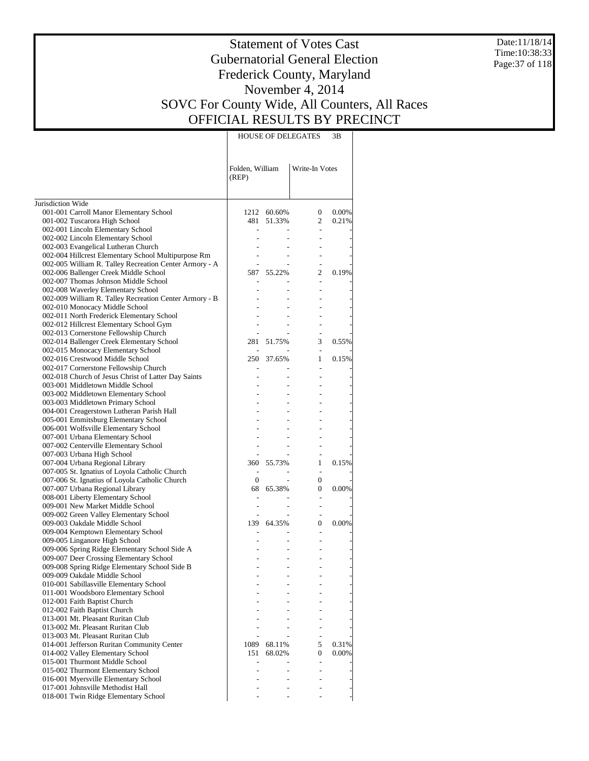Date:11/18/14 Time:10:38:33 Page:37 of 118

## Statement of Votes Cast Gubernatorial General Election Frederick County, Maryland November 4, 2014 SOVC For County Wide, All Counters, All Races OFFICIAL RESULTS BY PRECINCT

| HOUSE OF DELEGATES 3B

|                                                                                      | Folden, William<br>(REP) |             | Write-In Votes |       |
|--------------------------------------------------------------------------------------|--------------------------|-------------|----------------|-------|
| Jurisdiction Wide                                                                    |                          |             |                |       |
| 001-001 Carroll Manor Elementary School                                              |                          | 1212 60.60% | $\overline{0}$ | 0.00% |
| 001-002 Tuscarora High School                                                        |                          | 481 51.33%  | $\overline{2}$ | 0.21% |
| 002-001 Lincoln Elementary School                                                    |                          |             | $\overline{a}$ |       |
| 002-002 Lincoln Elementary School                                                    |                          |             |                |       |
| 002-003 Evangelical Lutheran Church                                                  |                          |             |                |       |
| 002-004 Hillcrest Elementary School Multipurpose Rm                                  |                          |             |                |       |
| 002-005 William R. Talley Recreation Center Armory - A                               | ÷                        |             |                |       |
| 002-006 Ballenger Creek Middle School                                                |                          | 587 55.22%  | 2              | 0.19% |
| 002-007 Thomas Johnson Middle School                                                 |                          |             | $\overline{a}$ |       |
| 002-008 Waverley Elementary School                                                   |                          |             |                |       |
| 002-009 William R. Talley Recreation Center Armory - B                               |                          |             |                |       |
| 002-010 Monocacy Middle School                                                       |                          |             |                |       |
| 002-011 North Frederick Elementary School<br>002-012 Hillcrest Elementary School Gym |                          |             |                |       |
| 002-013 Cornerstone Fellowship Church                                                | $\sim$                   |             |                |       |
| 002-014 Ballenger Creek Elementary School                                            |                          | 281 51.75%  | 3              | 0.55% |
| 002-015 Monocacy Elementary School                                                   |                          |             | $\blacksquare$ |       |
| 002-016 Crestwood Middle School                                                      |                          | 250 37.65%  | 1              | 0.15% |
| 002-017 Cornerstone Fellowship Church                                                |                          |             |                |       |
| 002-018 Church of Jesus Christ of Latter Day Saints                                  |                          |             |                |       |
| 003-001 Middletown Middle School                                                     |                          |             |                |       |
| 003-002 Middletown Elementary School                                                 |                          |             |                |       |
| 003-003 Middletown Primary School                                                    |                          |             |                |       |
| 004-001 Creagerstown Lutheran Parish Hall                                            |                          |             |                |       |
| 005-001 Emmitsburg Elementary School                                                 |                          |             |                |       |
| 006-001 Wolfsville Elementary School                                                 |                          |             |                |       |
| 007-001 Urbana Elementary School                                                     |                          |             |                |       |
| 007-002 Centerville Elementary School                                                |                          |             |                |       |
| 007-003 Urbana High School                                                           |                          |             |                |       |
| 007-004 Urbana Regional Library                                                      |                          | 360 55.73%  | 1              | 0.15% |
| 007-005 St. Ignatius of Loyola Catholic Church                                       |                          |             | $\overline{a}$ |       |
| 007-006 St. Ignatius of Loyola Catholic Church                                       | $\mathbf{0}$             |             | 0              |       |
| 007-007 Urbana Regional Library                                                      |                          | 68 65.38%   | 0              | 0.00% |
| 008-001 Liberty Elementary School                                                    |                          |             |                |       |
| 009-001 New Market Middle School                                                     | $\overline{a}$           |             |                |       |
| 009-002 Green Valley Elementary School                                               |                          |             |                |       |
| 009-003 Oakdale Middle School                                                        |                          | 139 64.35%  | 0              | 0.00% |
| 009-004 Kemptown Elementary School                                                   |                          |             |                |       |
| 009-005 Linganore High School<br>009-006 Spring Ridge Elementary School Side A       |                          |             |                |       |
| 009-007 Deer Crossing Elementary School                                              |                          |             |                |       |
| 009-008 Spring Ridge Elementary School Side B                                        |                          |             |                |       |
| 009-009 Oakdale Middle School                                                        |                          |             |                |       |
| 010-001 Sabillasville Elementary School                                              |                          |             |                |       |
| 011-001 Woodsboro Elementary School                                                  |                          |             |                |       |
| 012-001 Faith Baptist Church                                                         |                          |             |                |       |
| 012-002 Faith Baptist Church                                                         |                          |             |                |       |
| 013-001 Mt. Pleasant Ruritan Club                                                    |                          |             |                |       |
| 013-002 Mt. Pleasant Ruritan Club                                                    |                          |             |                |       |
| 013-003 Mt. Pleasant Ruritan Club                                                    |                          |             |                |       |
| 014-001 Jefferson Ruritan Community Center                                           |                          | 1089 68.11% | 5              | 0.31% |
| 014-002 Valley Elementary School                                                     |                          | 151 68.02%  | 0              | 0.00% |
| 015-001 Thurmont Middle School                                                       |                          |             |                |       |
| 015-002 Thurmont Elementary School                                                   |                          |             |                |       |
| 016-001 Myersville Elementary School                                                 |                          |             |                |       |
| 017-001 Johnsville Methodist Hall                                                    |                          |             |                |       |
| 018-001 Twin Ridge Elementary School                                                 |                          |             |                |       |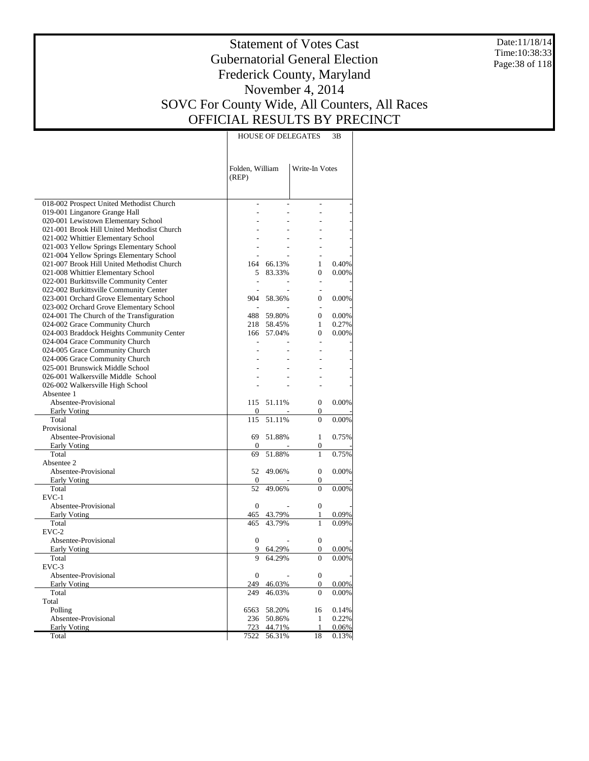Date:11/18/14 Time:10:38:33 Page:38 of 118

# Statement of Votes Cast Gubernatorial General Election Frederick County, Maryland November 4, 2014 SOVC For County Wide, All Counters, All Races OFFICIAL RESULTS BY PRECINCT

| HOUSE OF DELEGATES 3B

|                                                                      | Folden, William<br>(REP) |            | Write-In Votes           |          |
|----------------------------------------------------------------------|--------------------------|------------|--------------------------|----------|
|                                                                      |                          |            |                          |          |
| 018-002 Prospect United Methodist Church                             |                          |            |                          |          |
| 019-001 Linganore Grange Hall<br>020-001 Lewistown Elementary School |                          |            |                          |          |
| 021-001 Brook Hill United Methodist Church                           |                          |            |                          |          |
| 021-002 Whittier Elementary School                                   |                          |            |                          |          |
| 021-003 Yellow Springs Elementary School                             |                          |            |                          |          |
| 021-004 Yellow Springs Elementary School                             |                          |            |                          |          |
| 021-007 Brook Hill United Methodist Church                           |                          | 164 66.13% | 1                        | 0.40%    |
| 021-008 Whittier Elementary School                                   |                          | 5 83.33%   | $\overline{0}$           | 0.00%    |
| 022-001 Burkittsville Community Center                               |                          |            |                          |          |
| 022-002 Burkittsville Community Center                               |                          |            | $\overline{a}$           |          |
| 023-001 Orchard Grove Elementary School                              |                          | 904 58.36% | $\boldsymbol{0}$         | 0.00%    |
| 023-002 Orchard Grove Elementary School                              |                          |            |                          |          |
| 024-001 The Church of the Transfiguration                            |                          | 488 59.80% | $\mathbf{0}$             | 0.00%    |
| 024-002 Grace Community Church                                       |                          | 218 58.45% | 1                        | 0.27%    |
| 024-003 Braddock Heights Community Center                            |                          | 166 57.04% | $\Omega$                 | 0.00%    |
| 024-004 Grace Community Church                                       |                          |            |                          |          |
| 024-005 Grace Community Church                                       |                          |            |                          |          |
| 024-006 Grace Community Church                                       |                          |            |                          |          |
| 025-001 Brunswick Middle School                                      |                          |            |                          |          |
| 026-001 Walkersville Middle School                                   |                          |            |                          |          |
| 026-002 Walkersville High School                                     |                          |            |                          |          |
| Absentee 1                                                           |                          |            |                          |          |
| Absentee-Provisional                                                 |                          | 115 51.11% | $\mathbf{0}$             | 0.00%    |
| Early Voting                                                         | 0                        |            | $\Omega$                 |          |
| Total                                                                |                          | 115 51.11% | $\Omega$                 | 0.00%    |
| Provisional                                                          |                          |            |                          |          |
| Absentee-Provisional                                                 | 69                       | 51.88%     | $\mathbf{1}$<br>$\theta$ | 0.75%    |
| Early Voting<br>Total                                                | $\Omega$<br>69           | 51.88%     | $\mathbf{1}$             | 0.75%    |
| Absentee 2                                                           |                          |            |                          |          |
| Absentee-Provisional                                                 | 52                       | 49.06%     | $\mathbf{0}$             | 0.00%    |
| Early Voting                                                         | $\mathbf{0}$             |            | $\overline{0}$           |          |
| Total                                                                | 52                       | 49.06%     | $\Omega$                 | 0.00%    |
| $EVC-1$                                                              |                          |            |                          |          |
| Absentee-Provisional                                                 | $\mathbf{0}$             |            | $\mathbf{0}$             |          |
| Early Voting                                                         | 465                      | 43.79%     | 1                        | 0.09%    |
| Total                                                                | 465                      | 43.79%     | $\mathbf{1}$             | 0.09%    |
| $EVC-2$                                                              |                          |            |                          |          |
| Absentee-Provisional                                                 | $\theta$                 |            | $\Omega$                 |          |
| Early Voting                                                         | 9                        | 64.29%     | $\boldsymbol{0}$         | 0.00%    |
| Total                                                                | 9                        | 64.29%     | $\boldsymbol{0}$         | 0.00%    |
| $EVC-3$                                                              |                          |            |                          |          |
| Absentee-Provisional                                                 | $\mathbf{0}$             |            | $\mathbf{0}$             |          |
| Early Voting                                                         | 249                      | 46.03%     | $\theta$                 | $0.00\%$ |
| Total                                                                | 249                      | 46.03%     | $\theta$                 | 0.00%    |
| Total                                                                |                          |            |                          |          |
| Polling                                                              | 6563                     | 58.20%     | 16                       | 0.14%    |
| Absentee-Provisional                                                 |                          | 236 50.86% | 1                        | 0.22%    |
| Early Voting                                                         | 723                      | 44.71%     | 1                        | 0.06%    |
| Total                                                                | 7522                     | 56.31%     | 18                       | 0.13%    |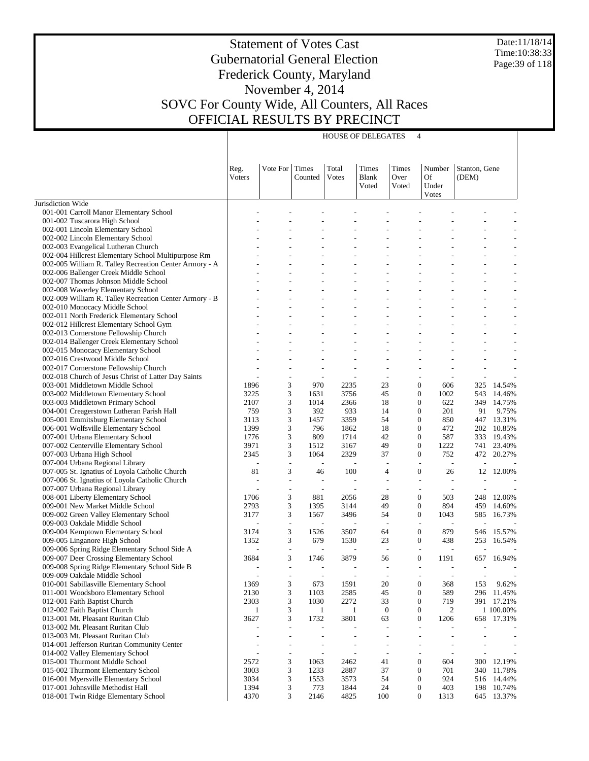Date:11/18/14 Time:10:38:33 Page:39 of 118

 $\overline{\phantom{a}}$ 

#### Statement of Votes Cast Gubernatorial General Election Frederick County, Maryland November 4, 2014 SOVC For County Wide, All Counters, All Races OFFICIAL RESULTS BY PRECINCT HOUSE OF DELEGATES 4  $\top$

|                                                                                                               | Reg.<br>Voters           | Vote For                 | Times<br>Counted         | Total<br><b>V</b> otes | Times<br><b>Blank</b><br>Voted | Times<br>Over<br>Voted   | Number<br>Of<br>Under<br>Votes                     | Stanton, Gene<br>(DEM)                               |                          |
|---------------------------------------------------------------------------------------------------------------|--------------------------|--------------------------|--------------------------|------------------------|--------------------------------|--------------------------|----------------------------------------------------|------------------------------------------------------|--------------------------|
| Jurisdiction Wide                                                                                             |                          |                          |                          |                        |                                |                          |                                                    |                                                      |                          |
| 001-001 Carroll Manor Elementary School                                                                       |                          |                          |                          |                        |                                |                          |                                                    |                                                      |                          |
| 001-002 Tuscarora High School                                                                                 |                          |                          |                          |                        |                                |                          |                                                    |                                                      |                          |
| 002-001 Lincoln Elementary School                                                                             |                          |                          |                          |                        | $\overline{a}$                 |                          |                                                    | $\overline{a}$                                       |                          |
| 002-002 Lincoln Elementary School                                                                             |                          |                          |                          |                        |                                |                          |                                                    |                                                      |                          |
| 002-003 Evangelical Lutheran Church                                                                           |                          | L.                       |                          |                        | ÷.                             |                          | $\overline{a}$                                     | $\overline{a}$                                       |                          |
| 002-004 Hillcrest Elementary School Multipurpose Rm<br>002-005 William R. Talley Recreation Center Armory - A |                          | L,                       |                          |                        | $\overline{a}$                 |                          | $\overline{a}$                                     | $\overline{a}$                                       |                          |
| 002-006 Ballenger Creek Middle School                                                                         |                          |                          |                          |                        |                                |                          |                                                    |                                                      |                          |
| 002-007 Thomas Johnson Middle School                                                                          |                          | L,                       | $\overline{a}$           |                        | $\overline{a}$                 | $\overline{a}$           | $\overline{a}$                                     | $\overline{a}$<br>٠                                  |                          |
| 002-008 Waverley Elementary School                                                                            |                          |                          |                          |                        |                                |                          |                                                    |                                                      |                          |
| 002-009 William R. Talley Recreation Center Armory - B                                                        |                          | L.                       |                          |                        | ÷.                             |                          | $\overline{a}$                                     | $\overline{a}$                                       |                          |
| 002-010 Monocacy Middle School                                                                                |                          |                          |                          |                        |                                |                          |                                                    |                                                      |                          |
| 002-011 North Frederick Elementary School                                                                     |                          | L,                       |                          |                        | $\overline{a}$                 | $\overline{a}$           | $\overline{a}$                                     | $\overline{a}$                                       |                          |
| 002-012 Hillcrest Elementary School Gym                                                                       |                          |                          |                          |                        |                                |                          |                                                    |                                                      |                          |
| 002-013 Cornerstone Fellowship Church                                                                         |                          | L.                       |                          |                        | ÷.                             |                          | $\overline{a}$                                     | $\overline{a}$                                       |                          |
| 002-014 Ballenger Creek Elementary School                                                                     |                          |                          |                          |                        |                                |                          |                                                    |                                                      |                          |
| 002-015 Monocacy Elementary School                                                                            |                          | L,                       |                          |                        | $\overline{a}$                 |                          | $\overline{a}$                                     | ÷,                                                   |                          |
| 002-016 Crestwood Middle School                                                                               |                          |                          |                          |                        |                                |                          |                                                    |                                                      |                          |
| 002-017 Cornerstone Fellowship Church                                                                         | ÷,                       | L,                       | $\overline{a}$           |                        | $\overline{a}$                 | $\overline{a}$           | $\overline{a}$                                     | $\overline{a}$                                       |                          |
| 002-018 Church of Jesus Christ of Latter Day Saints                                                           |                          | $\overline{a}$           | $\overline{a}$           |                        | $\overline{\phantom{a}}$       | $\overline{a}$           | $\overline{a}$                                     | $\sim$<br>$\overline{a}$                             |                          |
| 003-001 Middletown Middle School                                                                              | 1896                     | 3                        | 970                      | 2235                   | 23                             |                          | $\boldsymbol{0}$<br>606                            | 325                                                  | 14.54%                   |
| 003-002 Middletown Elementary School                                                                          | 3225                     | 3                        | 1631                     | 3756                   | 45                             |                          | $\boldsymbol{0}$<br>1002                           | 543                                                  | 14.46%                   |
| 003-003 Middletown Primary School<br>004-001 Creagerstown Lutheran Parish Hall                                | 2107<br>759              | 3<br>3                   | 1014<br>392              | 2366<br>933            | 18<br>14                       |                          | $\boldsymbol{0}$<br>622<br>$\boldsymbol{0}$<br>201 | 91                                                   | 349 14.75%<br>9.75%      |
| 005-001 Emmitsburg Elementary School                                                                          | 3113                     | 3                        | 1457                     | 3359                   | 54                             |                          | $\boldsymbol{0}$<br>850                            | 447                                                  | 13.31%                   |
| 006-001 Wolfsville Elementary School                                                                          | 1399                     | 3                        | 796                      | 1862                   | 18                             |                          | $\boldsymbol{0}$<br>472                            |                                                      | 202 10.85%               |
| 007-001 Urbana Elementary School                                                                              | 1776                     | 3                        | 809                      | 1714                   | 42                             |                          | $\boldsymbol{0}$<br>587                            | 333                                                  | 19.43%                   |
| 007-002 Centerville Elementary School                                                                         | 3971                     | 3                        | 1512                     | 3167                   | 49                             |                          | $\boldsymbol{0}$<br>1222                           | 741                                                  | 23.40%                   |
| 007-003 Urbana High School                                                                                    | 2345                     | 3                        | 1064                     | 2329                   | 37                             |                          | $\mathbf{0}$<br>752                                |                                                      | 472 20.27%               |
| 007-004 Urbana Regional Library                                                                               | $\overline{a}$           | L,                       | $\overline{a}$           |                        |                                | $\overline{a}$           | $\overline{a}$<br>$\sim$                           | $\overline{\phantom{a}}$                             |                          |
| 007-005 St. Ignatius of Loyola Catholic Church                                                                | 81                       | 3                        | 46                       | 100                    |                                | 4                        | $\mathbf{0}$<br>26                                 |                                                      | 12 12.00%                |
| 007-006 St. Ignatius of Loyola Catholic Church                                                                | $\overline{a}$           | $\overline{a}$           | $\overline{\phantom{a}}$ |                        | ÷,                             | $\overline{\phantom{a}}$ | $\overline{a}$                                     | $\overline{a}$<br>$\overline{a}$                     |                          |
| 007-007 Urbana Regional Library                                                                               | $\overline{a}$           | $\overline{a}$           | $\overline{\phantom{a}}$ |                        | $\overline{a}$                 | $\overline{\phantom{a}}$ | $\overline{\phantom{a}}$                           | $\sim$<br>$\overline{\phantom{a}}$                   |                          |
| 008-001 Liberty Elementary School                                                                             | 1706                     | 3                        | 881                      | 2056                   | 28                             |                          | $\boldsymbol{0}$<br>503                            |                                                      | 248 12.06%               |
| 009-001 New Market Middle School                                                                              | 2793                     | 3                        | 1395                     | 3144                   | 49                             |                          | $\boldsymbol{0}$<br>894                            | 459                                                  | 14.60%                   |
| 009-002 Green Valley Elementary School                                                                        | 3177                     | 3                        | 1567                     | 3496                   | 54                             |                          | $\boldsymbol{0}$<br>1043                           | 585                                                  | 16.73%                   |
| 009-003 Oakdale Middle School                                                                                 | $\overline{\phantom{a}}$ | $\overline{\phantom{a}}$ | $\overline{a}$           |                        |                                | $\overline{\phantom{a}}$ | $\overline{a}$<br>$\sim$                           | $\overline{\phantom{a}}$                             |                          |
| 009-004 Kemptown Elementary School<br>009-005 Linganore High School                                           | 3174                     | 3<br>3                   | 1526<br>679              | 3507<br>1530           | 64                             |                          | $\boldsymbol{0}$<br>879<br>$\mathbf{0}$<br>438     |                                                      | 546 15.57%<br>253 16.54% |
| 009-006 Spring Ridge Elementary School Side A                                                                 | 1352                     | L,                       | $\overline{\phantom{a}}$ |                        | 23                             | $\overline{\phantom{a}}$ | $\overline{\phantom{a}}$<br>$\sim$                 | $\sim$                                               |                          |
| 009-007 Deer Crossing Elementary School                                                                       | 3684                     | 3                        | 1746                     | 3879                   | 56                             |                          | $\mathbf{0}$<br>1191                               | 657                                                  | 16.94%                   |
| 009-008 Spring Ridge Elementary School Side B                                                                 | $\overline{a}$           | $\overline{\phantom{a}}$ | $\overline{\phantom{a}}$ |                        |                                | $\overline{\phantom{a}}$ | $\overline{\phantom{a}}$                           | $\tilde{\phantom{a}}$<br>$\overline{\phantom{a}}$    |                          |
| 009-009 Oakdale Middle School                                                                                 | $\overline{\phantom{a}}$ | $\overline{\phantom{a}}$ | $\overline{\phantom{a}}$ |                        | $\overline{\phantom{a}}$       | $\overline{a}$           | $\overline{\phantom{a}}$                           | $\overline{\phantom{a}}$<br>$\overline{\phantom{a}}$ |                          |
| 010-001 Sabillasville Elementary School                                                                       | 1369                     | 3                        | 673                      | 1591                   | 20                             |                          | $\boldsymbol{0}$<br>368                            | 153                                                  | 9.62%                    |
| 011-001 Woodsboro Elementary School                                                                           | 2130                     | 3                        | 1103                     | 2585                   | 45                             |                          | $\boldsymbol{0}$<br>589                            | 296                                                  | 11.45%                   |
| 012-001 Faith Baptist Church                                                                                  | 2303                     | 3                        | 1030                     | 2272                   | 33                             |                          | $\boldsymbol{0}$<br>719                            | 391                                                  | 17.21%                   |
| 012-002 Faith Baptist Church                                                                                  | 1                        | 3                        | 1                        |                        | 1                              | $\boldsymbol{0}$         | $\boldsymbol{0}$<br>2                              |                                                      | 1 100.00%                |
| 013-001 Mt. Pleasant Ruritan Club                                                                             | 3627                     | 3                        | 1732                     | 3801                   | 63                             |                          | $\boldsymbol{0}$<br>1206                           | 658                                                  | 17.31%                   |
| 013-002 Mt. Pleasant Ruritan Club                                                                             |                          | $\overline{a}$           | $\overline{a}$           |                        | $\overline{a}$                 | $\overline{a}$           | $\overline{a}$                                     | $\overline{a}$<br>٠                                  |                          |
| 013-003 Mt. Pleasant Ruritan Club                                                                             | ٠                        | L,                       | $\overline{a}$           |                        | $\overline{a}$                 | $\overline{a}$           | $\overline{a}$                                     | $\overline{\phantom{a}}$                             |                          |
| 014-001 Jefferson Ruritan Community Center                                                                    | ٠                        | ÷,                       | $\overline{a}$           |                        | ÷,                             | $\overline{a}$           | $\overline{\phantom{a}}$                           | $\overline{\phantom{a}}$                             |                          |
| 014-002 Valley Elementary School                                                                              | ٠                        | $\overline{a}$           | $\overline{a}$           |                        | $\overline{a}$                 | $\overline{a}$           | $\overline{\phantom{0}}$                           | $\overline{\phantom{a}}$<br>$\overline{a}$           |                          |
| 015-001 Thurmont Middle School                                                                                | 2572                     | 3                        | 1063                     | 2462                   | 41                             |                          | $\boldsymbol{0}$<br>604                            |                                                      | 300 12.19%               |
| 015-002 Thurmont Elementary School<br>016-001 Myersville Elementary School                                    | 3003<br>3034             | 3<br>3                   | 1233<br>1553             | 2887<br>3573           | 37<br>54                       |                          | $\boldsymbol{0}$<br>701<br>$\boldsymbol{0}$<br>924 | 340                                                  | 11.78%<br>516 14.44%     |
| 017-001 Johnsville Methodist Hall                                                                             | 1394                     | 3                        | 773                      | 1844                   | 24                             |                          | $\boldsymbol{0}$<br>403                            | 198                                                  | 10.74%                   |
| 018-001 Twin Ridge Elementary School                                                                          | 4370                     | 3                        | 2146                     | 4825                   | 100                            |                          | $\boldsymbol{0}$<br>1313                           |                                                      | 645 13.37%               |
|                                                                                                               |                          |                          |                          |                        |                                |                          |                                                    |                                                      |                          |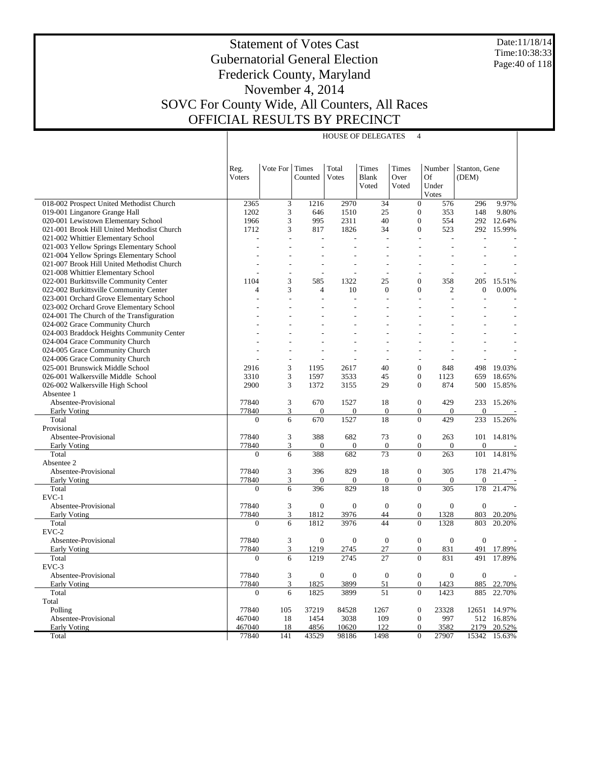Date:11/18/14 Time:10:38:33 Page:40 of 118

## Statement of Votes Cast Gubernatorial General Election Frederick County, Maryland November 4, 2014 SOVC For County Wide, All Counters, All Races OFFICIAL RESULTS BY PRECINCT HOUSE OF DELEGATES 4

|                                            | Reg.<br>Voters | Vote For       | <b>Times</b><br>Counted | Total<br>Votes   | Times<br><b>Blank</b><br>Voted | Times<br>Over<br>Voted | Number<br>Of<br>Under<br>Votes | Stanton, Gene<br>(DEM) |        |
|--------------------------------------------|----------------|----------------|-------------------------|------------------|--------------------------------|------------------------|--------------------------------|------------------------|--------|
| 018-002 Prospect United Methodist Church   | 2365           | 3              | 1216                    | 2970             | 34                             | $\boldsymbol{0}$       | 576                            | 296                    | 9.97%  |
| 019-001 Linganore Grange Hall              | 1202           | 3              | 646                     | 1510             | 25                             | $\mathbf{0}$           | 353                            | 148                    | 9.80%  |
| 020-001 Lewistown Elementary School        | 1966           | 3              | 995                     | 2311             | 40                             | $\mathbf{0}$           | 554                            | 292                    | 12.64% |
| 021-001 Brook Hill United Methodist Church | 1712           | 3              | 817                     | 1826             | 34                             | $\mathbf{0}$           | 523                            | 292                    | 15.99% |
| 021-002 Whittier Elementary School         |                |                | L.                      |                  | J.                             | L.                     |                                |                        |        |
| 021-003 Yellow Springs Elementary School   |                |                |                         | L                |                                |                        |                                |                        |        |
| 021-004 Yellow Springs Elementary School   |                |                |                         |                  |                                |                        |                                |                        |        |
| 021-007 Brook Hill United Methodist Church |                |                |                         |                  |                                |                        |                                |                        |        |
| 021-008 Whittier Elementary School         |                | $\overline{a}$ | ÷,                      | ÷,               | $\overline{a}$                 | $\overline{a}$         | $\overline{a}$                 | $\overline{a}$         |        |
| 022-001 Burkittsville Community Center     | 1104           | 3              | 585                     | 1322             | 25                             | $\mathbf{0}$           | 358                            | 205                    | 15.51% |
| 022-002 Burkittsville Community Center     | $\overline{4}$ | 3              | 4                       | 10               | $\overline{0}$                 | $\mathbf{0}$           | $\overline{c}$                 | $\overline{0}$         | 0.00%  |
| 023-001 Orchard Grove Elementary School    |                |                |                         |                  |                                | L,                     |                                |                        |        |
| 023-002 Orchard Grove Elementary School    |                |                |                         |                  |                                |                        |                                |                        |        |
| 024-001 The Church of the Transfiguration  |                |                |                         |                  |                                |                        |                                |                        |        |
| 024-002 Grace Community Church             |                |                |                         |                  |                                |                        |                                |                        |        |
| 024-003 Braddock Heights Community Center  |                |                |                         |                  |                                |                        |                                |                        |        |
| 024-004 Grace Community Church             |                |                |                         |                  |                                |                        |                                |                        |        |
| 024-005 Grace Community Church             |                |                |                         |                  |                                |                        |                                |                        |        |
| 024-006 Grace Community Church             |                | $\overline{a}$ |                         | Ĭ.               | ÷.                             | L.                     |                                |                        |        |
| 025-001 Brunswick Middle School            | 2916           | 3              | 1195                    | 2617             | 40                             | $\mathbf{0}$           | 848                            | 498                    | 19.03% |
| 026-001 Walkersville Middle School         | 3310           | 3              | 1597                    | 3533             | 45                             | $\mathbf{0}$           | 1123                           | 659                    | 18.65% |
| 026-002 Walkersville High School           | 2900           | 3              | 1372                    | 3155             | 29                             | $\mathbf{0}$           | 874                            | 500                    | 15.85% |
| Absentee 1                                 |                |                |                         |                  |                                |                        |                                |                        |        |
| Absentee-Provisional                       | 77840          | 3              | 670                     | 1527             | 18                             | $\overline{0}$         | 429                            | 233                    | 15.26% |
| Early Voting                               | 77840          | 3              | $\boldsymbol{0}$        | $\Omega$         | $\boldsymbol{0}$               | $\boldsymbol{0}$       | $\Omega$                       | $\boldsymbol{0}$       |        |
| Total                                      | $\mathbf{0}$   | 6              | 670                     | 1527             | 18                             | $\overline{0}$         | 429                            | 233                    | 15.26% |
| Provisional                                |                |                |                         |                  |                                |                        |                                |                        |        |
| Absentee-Provisional                       | 77840          | 3              | 388                     | 682              | 73                             | $\boldsymbol{0}$       | 263                            | 101                    | 14.81% |
| Early Voting                               | 77840          | 3              | $\overline{0}$          | $\mathbf{0}$     | $\mathbf{0}$                   | $\mathbf{0}$           | $\mathbf{0}$                   | $\overline{0}$         |        |
| Total                                      | $\Omega$       | 6              | 388                     | 682              | 73                             | $\theta$               | 263                            | 101                    | 14.81% |
| Absentee 2                                 |                |                |                         |                  |                                |                        |                                |                        |        |
| Absentee-Provisional                       | 77840          | 3              | 396                     | 829              | 18                             | $\boldsymbol{0}$       | 305                            | 178                    | 21.47% |
| <b>Early Voting</b>                        | 77840          | 3              | $\boldsymbol{0}$        | $\mathbf{0}$     | $\boldsymbol{0}$               | $\boldsymbol{0}$       | $\boldsymbol{0}$               | $\boldsymbol{0}$       |        |
| Total                                      | $\overline{0}$ | 6              | 396                     | 829              | 18                             | $\mathbf{0}$           | 305                            | 178                    | 21.47% |
| $EVC-1$                                    |                |                |                         |                  |                                |                        |                                |                        |        |
| Absentee-Provisional                       | 77840          | 3              | $\mathbf{0}$            | $\overline{0}$   | $\overline{0}$                 | $\overline{0}$         | $\mathbf{0}$                   | $\overline{0}$         |        |
| <b>Early Voting</b>                        | 77840          | 3              | 1812                    | 3976             | 44                             | $\mathbf{0}$           | 1328                           | 803                    | 20.20% |
| Total                                      | $\Omega$       | 6              | 1812                    | 3976             | 44                             | $\theta$               | 1328                           | 803                    | 20.20% |
| $EVC-2$                                    |                |                |                         |                  |                                |                        |                                |                        |        |
| Absentee-Provisional                       | 77840          | 3              | $\mathbf{0}$            | $\boldsymbol{0}$ | $\boldsymbol{0}$               | $\boldsymbol{0}$       | $\boldsymbol{0}$               | $\boldsymbol{0}$       |        |
| Early Voting                               | 77840          | 3              | 1219                    | 2745             | 27                             | $\boldsymbol{0}$       | 831                            | 491                    | 17.89% |
| Total                                      | $\overline{0}$ | 6              | 1219                    | 2745             | 27                             | $\mathbf{0}$           | 831                            | 491                    | 17.89% |
| $EVC-3$                                    |                |                |                         |                  |                                |                        |                                |                        |        |
| Absentee-Provisional                       | 77840          | 3              | $\mathbf{0}$            | $\mathbf{0}$     | $\overline{0}$                 | $\overline{0}$         | $\overline{0}$                 | $\overline{0}$         |        |
| <b>Early Voting</b>                        | 77840          | 3              | 1825                    | 3899             | 51                             | $\mathbf{0}$           | 1423                           | 885                    | 22.70% |
| Total                                      | $\Omega$       | 6              | 1825                    | 3899             | 51                             | $\theta$               | 1423                           | 885                    | 22.70% |
| Total                                      |                |                |                         |                  |                                |                        |                                |                        |        |
| Polling                                    | 77840          | 105            | 37219                   | 84528            | 1267                           | $\mathbf{0}$           | 23328                          | 12651                  | 14.97% |
| Absentee-Provisional                       | 467040         | 18             | 1454                    | 3038             | 109                            | $\mathbf{0}$           | 997                            | 512                    | 16.85% |
| Early Voting                               | 467040         | 18             | 4856                    | 10620            | 122                            | $\Omega$               | 3582                           | 2179                   | 20.52% |
| Total                                      | 77840          | 141            | 43529                   | 98186            | 1498                           | $\mathbf{0}$           | 27907                          | 15342                  | 15.63% |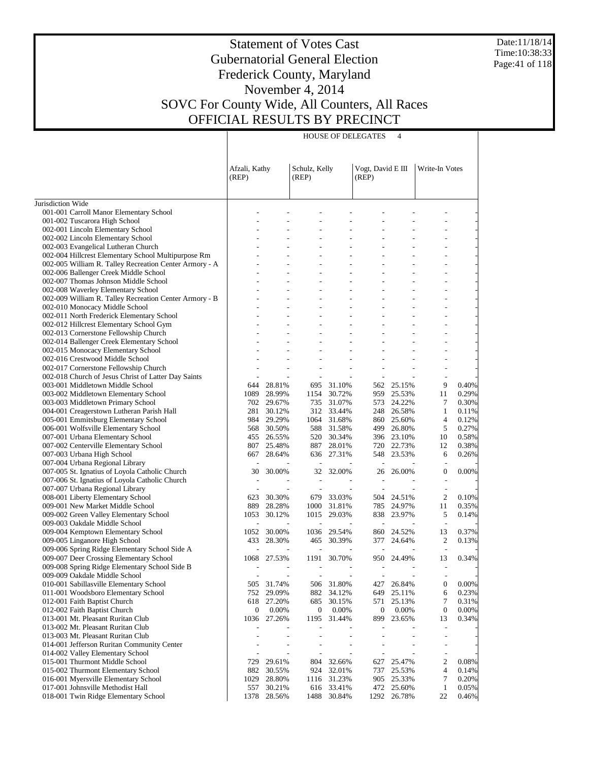Date:11/18/14 Time:10:38:33 Page:41 of 118

Τ

## Statement of Votes Cast Gubernatorial General Election Frederick County, Maryland November 4, 2014 SOVC For County Wide, All Counters, All Races OFFICIAL RESULTS BY PRECINCT HOUSE OF DELEGATES 4

 $\top$ 

|                                                                             | Afzali, Kathy<br>(REP)   |                          | Schulz, Kelly<br>(REP)   |                          | Vogt, David E III<br>(REP) |                          | Write-In Votes               |                |
|-----------------------------------------------------------------------------|--------------------------|--------------------------|--------------------------|--------------------------|----------------------------|--------------------------|------------------------------|----------------|
|                                                                             |                          |                          |                          |                          |                            |                          |                              |                |
| Jurisdiction Wide<br>001-001 Carroll Manor Elementary School                |                          |                          |                          |                          |                            |                          |                              |                |
| 001-002 Tuscarora High School                                               |                          |                          |                          |                          |                            |                          |                              |                |
| 002-001 Lincoln Elementary School                                           |                          | $\overline{a}$           | $\overline{a}$           | $\overline{\phantom{a}}$ | $\overline{a}$             |                          | $\overline{a}$               |                |
| 002-002 Lincoln Elementary School                                           |                          |                          |                          |                          |                            |                          |                              |                |
| 002-003 Evangelical Lutheran Church                                         |                          |                          | $\overline{a}$           | $\sim$                   | $\overline{a}$             |                          |                              |                |
| 002-004 Hillcrest Elementary School Multipurpose Rm                         |                          |                          |                          |                          |                            |                          |                              |                |
| 002-005 William R. Talley Recreation Center Armory - A                      |                          | $\overline{a}$           |                          | $\sim$                   | $\sim$                     |                          | ÷,                           |                |
| 002-006 Ballenger Creek Middle School                                       |                          |                          |                          |                          |                            |                          |                              |                |
| 002-007 Thomas Johnson Middle School                                        |                          | $\overline{a}$           | ٠                        | $\sim$                   | $\overline{\phantom{a}}$   |                          | ÷,                           |                |
| 002-008 Waverley Elementary School                                          |                          |                          |                          |                          |                            |                          |                              |                |
| 002-009 William R. Talley Recreation Center Armory - B                      |                          |                          |                          | $\sim$                   | $\sim$                     |                          | ÷,                           |                |
| 002-010 Monocacy Middle School<br>002-011 North Frederick Elementary School |                          | $\overline{a}$           | ٠                        | $\sim$                   | $\overline{\phantom{a}}$   |                          | ÷,                           |                |
| 002-012 Hillcrest Elementary School Gym                                     |                          |                          |                          |                          |                            |                          |                              |                |
| 002-013 Cornerstone Fellowship Church                                       |                          |                          |                          | $\sim$                   | $\sim$                     |                          | ÷,                           |                |
| 002-014 Ballenger Creek Elementary School                                   |                          |                          |                          |                          |                            |                          |                              |                |
| 002-015 Monocacy Elementary School                                          |                          |                          | $\overline{a}$           | $\overline{a}$           | $\overline{a}$             |                          |                              |                |
| 002-016 Crestwood Middle School                                             |                          |                          |                          |                          |                            |                          |                              |                |
| 002-017 Cornerstone Fellowship Church                                       |                          |                          | $\sim$                   |                          | $\overline{\phantom{a}}$   |                          | ۰                            |                |
| 002-018 Church of Jesus Christ of Latter Day Saints                         |                          |                          | $\overline{\phantom{a}}$ |                          | $\overline{\phantom{a}}$   |                          | $\overline{a}$               |                |
| 003-001 Middletown Middle School                                            | 644                      | 28.81%                   | 695                      | 31.10%                   |                            | 562 25.15%               | 9                            | 0.40%          |
| 003-002 Middletown Elementary School                                        | 1089                     | 28.99%                   |                          | 1154 30.72%              |                            | 959 25.53%               | 11                           | 0.29%          |
| 003-003 Middletown Primary School                                           |                          | 702 29.67%               | 735                      | 31.07%                   |                            | 573 24.22%               | 7                            | 0.30%          |
| 004-001 Creagerstown Lutheran Parish Hall                                   | 281                      | 30.12%                   |                          | 312 33.44%               |                            | 248 26.58%               | $\mathbf{1}$                 | 0.11%          |
| 005-001 Emmitsburg Elementary School                                        |                          | 984 29.29%               |                          | 1064 31.68%              |                            | 860 25.60%               | 4                            | 0.12%          |
| 006-001 Wolfsville Elementary School                                        |                          | 568 30.50%               |                          | 588 31.58%               |                            | 499 26.80%               | 5                            | 0.27%          |
| 007-001 Urbana Elementary School                                            |                          | 455 26.55%               |                          | 520 30.34%               |                            | 396 23.10%               | 10                           | 0.58%          |
| 007-002 Centerville Elementary School                                       | 807                      | 25.48%                   | 887                      | 28.01%                   |                            | 720 22.73%               | 12                           | 0.38%          |
| 007-003 Urbana High School                                                  |                          | 667 28.64%               |                          | 636 27.31%               |                            | 548 23.53%               | 6                            | 0.26%          |
| 007-004 Urbana Regional Library                                             | $\overline{a}$           |                          | $\sim$                   |                          | $\sim$                     |                          | $\sim$                       |                |
| 007-005 St. Ignatius of Loyola Catholic Church                              | 30                       | 30.00%                   |                          | 32 32.00%                |                            | 26 26.00%                | $\boldsymbol{0}$             | 0.00%          |
| 007-006 St. Ignatius of Loyola Catholic Church                              | $\overline{a}$           |                          | $\sim$                   |                          | $\sim$                     |                          | $\qquad \qquad \blacksquare$ |                |
| 007-007 Urbana Regional Library                                             | $\overline{a}$           | $\overline{\phantom{a}}$ | $\overline{\phantom{a}}$ |                          | $\overline{\phantom{a}}$   |                          | $\sim$<br>$\overline{c}$     |                |
| 008-001 Liberty Elementary School                                           | 623<br>889               | 30.30%<br>28.28%         | 1000                     | 679 33.03%<br>31.81%     |                            | 504 24.51%<br>785 24.97% | 11                           | 0.10%<br>0.35% |
| 009-001 New Market Middle School<br>009-002 Green Valley Elementary School  | 1053                     | 30.12%                   |                          | 1015 29.03%              |                            | 838 23.97%               | 5                            | 0.14%          |
| 009-003 Oakdale Middle School                                               | $\overline{\phantom{a}}$ | $\overline{a}$           | $\sim$                   |                          | $\sim$                     |                          | $\sim$                       |                |
| 009-004 Kemptown Elementary School                                          |                          | 1052 30.00%              |                          | 1036 29.54%              |                            | 860 24.52%               | 13                           | 0.37%          |
| 009-005 Linganore High School                                               |                          | 433 28.30%               | 465                      | 30.39%                   |                            | 377 24.64%               | $\mathfrak{2}$               | 0.13%          |
| 009-006 Spring Ridge Elementary School Side A                               | $\overline{\phantom{a}}$ |                          | $\sim$                   |                          | $\overline{\phantom{a}}$   |                          | $\overline{\phantom{a}}$     |                |
| 009-007 Deer Crossing Elementary School                                     |                          | 1068 27.53%              |                          | 1191 30.70%              |                            | 950 24.49%               | 13                           | 0.34%          |
| 009-008 Spring Ridge Elementary School Side B                               | $\overline{a}$           |                          | $\overline{\phantom{a}}$ |                          | $\sim$                     |                          | $\overline{a}$               |                |
| 009-009 Oakdale Middle School                                               | $\overline{\phantom{a}}$ | $\overline{a}$           | $\overline{\phantom{a}}$ | $\overline{\phantom{a}}$ | $\overline{\phantom{a}}$   |                          | $\overline{a}$               |                |
| 010-001 Sabillasville Elementary School                                     | 505                      | 31.74%                   | 506                      | 31.80%                   | 427                        | 26.84%                   | $\boldsymbol{0}$             | $0.00\%$       |
| 011-001 Woodsboro Elementary School                                         | 752                      | 29.09%                   | 882                      | 34.12%                   | 649                        | 25.11%                   | 6                            | 0.23%          |
| 012-001 Faith Baptist Church                                                | 618                      | 27.20%                   | 685                      | 30.15%                   | 571                        | 25.13%                   | 7                            | 0.31%          |
| 012-002 Faith Baptist Church                                                | 0                        | 0.00%                    | 0                        | 0.00%                    | 0                          | 0.00%                    | $\boldsymbol{0}$             | 0.00%          |
| 013-001 Mt. Pleasant Ruritan Club                                           | 1036                     | 27.26%                   | 1195                     | 31.44%                   | 899                        | 23.65%                   | 13                           | 0.34%          |
| 013-002 Mt. Pleasant Ruritan Club                                           |                          |                          |                          |                          |                            |                          | $\overline{a}$               |                |
| 013-003 Mt. Pleasant Ruritan Club                                           |                          | ٠                        |                          |                          |                            |                          | $\overline{a}$               |                |
| 014-001 Jefferson Ruritan Community Center                                  |                          | $\overline{a}$           |                          |                          |                            |                          | $\overline{a}$               |                |
| 014-002 Valley Elementary School                                            |                          |                          | $\overline{\phantom{a}}$ |                          |                            |                          | $\overline{a}$               |                |
| 015-001 Thurmont Middle School                                              | 729                      | 29.61%                   | 804                      | 32.66%                   | 627                        | 25.47%                   | $\boldsymbol{2}$             | 0.08%          |
| 015-002 Thurmont Elementary School                                          | 882                      | 30.55%                   | 924                      | 32.01%                   | 737                        | 25.53%                   | 4                            | 0.14%          |
| 016-001 Myersville Elementary School                                        | 1029                     | 28.80%                   | 1116                     | 31.23%                   | 905                        | 25.33%                   | 7<br>$\mathbf{1}$            | 0.20%          |
| 017-001 Johnsville Methodist Hall<br>018-001 Twin Ridge Elementary School   | 557<br>1378              | 30.21%<br>28.56%         |                          | 616 33.41%               |                            | 472 25.60%               | 22                           | 0.05%<br>0.46% |
|                                                                             |                          |                          |                          | 1488 30.84%              |                            | 1292 26.78%              |                              |                |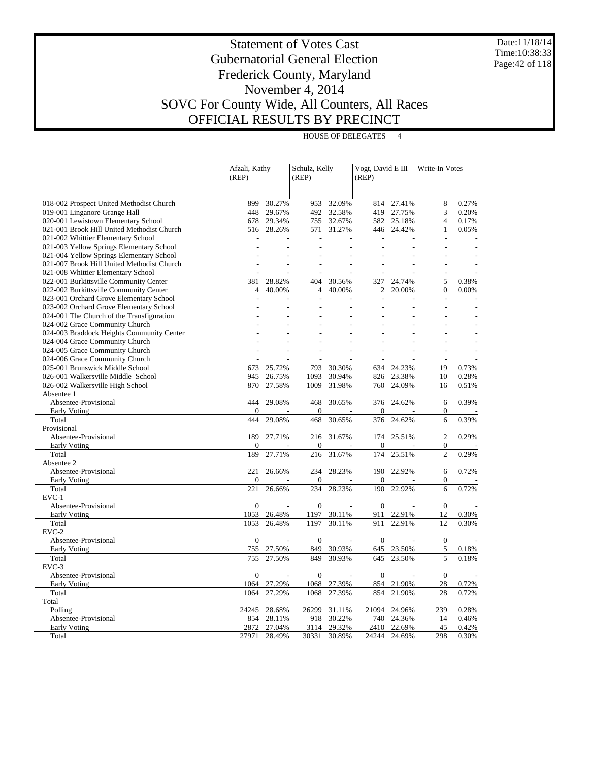Date:11/18/14 Time:10:38:33 Page:42 of 118

 $\top$ 

# Statement of Votes Cast Gubernatorial General Election Frederick County, Maryland November 4, 2014 SOVC For County Wide, All Counters, All Races OFFICIAL RESULTS BY PRECINCT

|                                                                                   |                     | <b>HOUSE OF DELEGATES</b><br>$\overline{4}$ |                         |               |                            |              |                              |                |  |  |  |  |
|-----------------------------------------------------------------------------------|---------------------|---------------------------------------------|-------------------------|---------------|----------------------------|--------------|------------------------------|----------------|--|--|--|--|
|                                                                                   | (REP)               | Afzali, Kathy<br>(REP)                      |                         | Schulz, Kelly | Vogt, David E III<br>(REP) |              | Write-In Votes               |                |  |  |  |  |
| 018-002 Prospect United Methodist Church                                          | 899                 | 30.27%                                      | 953                     | 32.09%        | 814                        | 27.41%       | 8                            | 0.27%          |  |  |  |  |
| 019-001 Linganore Grange Hall                                                     | 448                 | 29.67%                                      | 492                     | 32.58%        |                            | 419 27.75%   | 3                            | 0.20%          |  |  |  |  |
| 020-001 Lewistown Elementary School                                               |                     | 678 29.34%                                  |                         | 755 32.67%    |                            | 582 25.18%   | $\overline{4}$               | 0.17%          |  |  |  |  |
| 021-001 Brook Hill United Methodist Church                                        |                     | 516 28.26%                                  | 571                     | 31.27%        |                            | 446 24.42%   | 1                            | 0.05%          |  |  |  |  |
| 021-002 Whittier Elementary School                                                | L.                  |                                             |                         |               |                            |              | L,                           |                |  |  |  |  |
| 021-003 Yellow Springs Elementary School                                          |                     |                                             |                         |               |                            |              |                              |                |  |  |  |  |
| 021-004 Yellow Springs Elementary School                                          |                     |                                             |                         |               |                            |              |                              |                |  |  |  |  |
| 021-007 Brook Hill United Methodist Church                                        |                     |                                             |                         |               |                            |              |                              |                |  |  |  |  |
| 021-008 Whittier Elementary School                                                |                     |                                             |                         |               |                            |              | $\qquad \qquad \blacksquare$ |                |  |  |  |  |
| 022-001 Burkittsville Community Center                                            | 381                 | 28.82%                                      | 404                     | 30.56%        | 327                        | 24.74%       | 5                            | 0.38%          |  |  |  |  |
| 022-002 Burkittsville Community Center<br>023-001 Orchard Grove Elementary School | 4                   | 40.00%                                      | 4                       | 40.00%        | 2                          | 20.00%       | $\boldsymbol{0}$<br>L,       | 0.00%          |  |  |  |  |
| 023-002 Orchard Grove Elementary School                                           |                     |                                             |                         |               |                            |              | L.                           |                |  |  |  |  |
| 024-001 The Church of the Transfiguration                                         |                     |                                             |                         |               |                            |              |                              |                |  |  |  |  |
| 024-002 Grace Community Church                                                    |                     |                                             |                         |               |                            |              |                              |                |  |  |  |  |
| 024-003 Braddock Heights Community Center                                         |                     |                                             |                         |               |                            |              |                              |                |  |  |  |  |
| 024-004 Grace Community Church                                                    |                     |                                             |                         |               |                            |              |                              |                |  |  |  |  |
| 024-005 Grace Community Church                                                    |                     |                                             |                         |               |                            |              |                              |                |  |  |  |  |
| 024-006 Grace Community Church                                                    |                     |                                             |                         |               |                            |              | $\overline{a}$               |                |  |  |  |  |
| 025-001 Brunswick Middle School                                                   | 673                 | 25.72%                                      | 793                     | 30.30%        | 634                        | 24.23%       | 19                           | 0.73%          |  |  |  |  |
| 026-001 Walkersville Middle School                                                | 945                 | 26.75%                                      | 1093                    | 30.94%        | 826                        | 23.38%       | 10                           | 0.28%          |  |  |  |  |
| 026-002 Walkersville High School                                                  | 870                 | 27.58%                                      | 1009                    | 31.98%        | 760                        | 24.09%       | 16                           | 0.51%          |  |  |  |  |
| Absentee 1                                                                        |                     |                                             |                         |               |                            |              |                              |                |  |  |  |  |
| Absentee-Provisional                                                              | 444                 | 29.08%                                      | 468                     | 30.65%        | 376                        | 24.62%       | 6                            | 0.39%          |  |  |  |  |
| Early Voting<br>Total                                                             | $\mathbf{0}$<br>444 | 29.08%                                      | $\boldsymbol{0}$<br>468 | 30.65%        | $\boldsymbol{0}$<br>376    | 24.62%       | $\boldsymbol{0}$<br>6        | 0.39%          |  |  |  |  |
| Provisional                                                                       |                     |                                             |                         |               |                            |              |                              |                |  |  |  |  |
| Absentee-Provisional                                                              | 189                 | 27.71%                                      | 216                     | 31.67%        | 174                        | 25.51%       | 2                            | 0.29%          |  |  |  |  |
| Early Voting                                                                      | $\mathbf{0}$        |                                             | $\boldsymbol{0}$        |               | $\mathbf{0}$               |              | 0                            |                |  |  |  |  |
| Total                                                                             | 189                 | 27.71%                                      | 216                     | 31.67%        | 174                        | 25.51%       | $\overline{c}$               | 0.29%          |  |  |  |  |
| Absentee 2                                                                        |                     |                                             |                         |               |                            |              |                              |                |  |  |  |  |
| Absentee-Provisional                                                              | 221                 | 26.66%                                      | 234                     | 28.23%        | 190                        | 22.92%       | 6                            | 0.72%          |  |  |  |  |
| Early Voting                                                                      | $\mathbf{0}$        |                                             | $\boldsymbol{0}$        |               | $\mathbf{0}$               |              | 0                            |                |  |  |  |  |
| Total                                                                             | 221                 | 26.66%                                      | 234                     | 28.23%        | 190                        | 22.92%       | 6                            | 0.72%          |  |  |  |  |
| $EVC-1$                                                                           |                     |                                             |                         |               |                            |              |                              |                |  |  |  |  |
| Absentee-Provisional                                                              | $\boldsymbol{0}$    |                                             | $\boldsymbol{0}$        |               | $\boldsymbol{0}$           |              | $\boldsymbol{0}$             |                |  |  |  |  |
| Early Voting                                                                      | 1053                | 26.48%                                      | 1197<br>1197            | 30.11%        | 911                        | 22.91%       | 12<br>12                     | 0.30%<br>0.30% |  |  |  |  |
| Total<br>$EVC-2$                                                                  | 1053                | 26.48%                                      |                         | 30.11%        | 911                        | 22.91%       |                              |                |  |  |  |  |
| Absentee-Provisional                                                              | $\boldsymbol{0}$    |                                             | $\boldsymbol{0}$        |               | $\boldsymbol{0}$           |              | $\boldsymbol{0}$             |                |  |  |  |  |
| Early Voting                                                                      | 755                 | 27.50%                                      | 849                     | 30.93%        | 645                        | 23.50%       | 5                            | 0.18%          |  |  |  |  |
| Total                                                                             |                     | 755 27.50%                                  |                         | 849 30.93%    |                            | 645 23.50%   | 5                            | 0.18%          |  |  |  |  |
| $EVC-3$                                                                           |                     |                                             |                         |               |                            |              |                              |                |  |  |  |  |
| Absentee-Provisional                                                              | $\boldsymbol{0}$    |                                             | $\mathbf{0}$            |               | $\boldsymbol{0}$           |              | $\boldsymbol{0}$             |                |  |  |  |  |
| <b>Early Voting</b>                                                               |                     | 1064 27.29%                                 |                         | 1068 27.39%   |                            | 854 21.90%   | 28                           | 0.72%          |  |  |  |  |
| Total                                                                             |                     | 1064 27.29%                                 | 1068                    | 27.39%        | 854                        | 21.90%       | 28                           | 0.72%          |  |  |  |  |
| Total                                                                             |                     |                                             |                         |               |                            |              |                              |                |  |  |  |  |
| Polling                                                                           |                     | 24245 28.68%                                | 26299                   | 31.11%        |                            | 21094 24.96% | 239                          | 0.28%          |  |  |  |  |
| Absentee-Provisional                                                              |                     | 854 28.11%                                  | 918                     | 30.22%        |                            | 740 24.36%   | 14                           | 0.46%          |  |  |  |  |
| Early Voting                                                                      | 2872                | 27.04%                                      | 3114                    | 29.32%        | 2410                       | 22.69%       | 45                           | 0.42%          |  |  |  |  |
| Total                                                                             | 27971               | 28.49%                                      | 30331                   | 30.89%        | 24244                      | 24.69%       | 298                          | 0.30%          |  |  |  |  |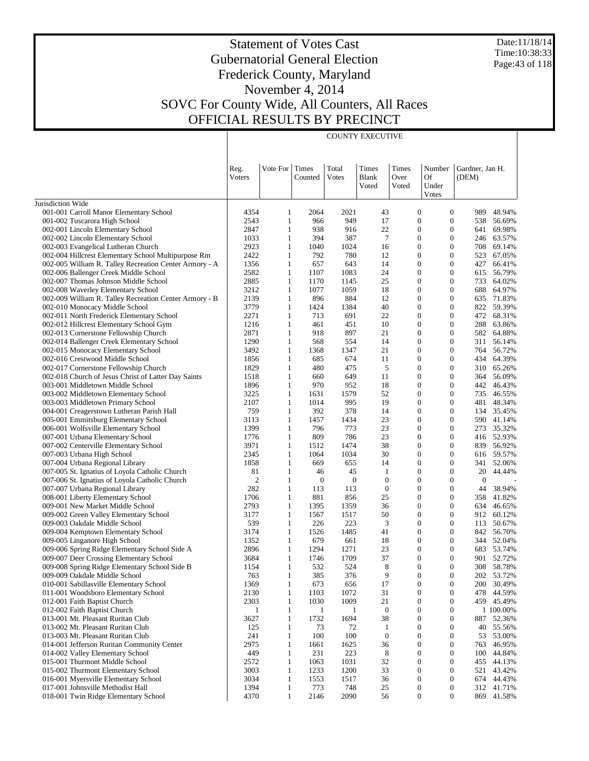Date:11/18/14 Time:10:38:33 Page:43 of 118

# Statement of Votes Cast Gubernatorial General Election Frederick County, Maryland November 4, 2014 SOVC For County Wide, All Counters, All Races OFFICIAL RESULTS BY PRECINCT

COUNTY EXECUTIVE

|                                                                             | Reg.<br>Voters | Vote For Times               | Counted      | Total<br><b>V</b> otes | Times<br>Blank<br>Voted | Times<br>Over<br>Voted               | Number<br>Of<br>Under<br>Votes       | Gardner, Jan H.<br>(DEM) |                          |
|-----------------------------------------------------------------------------|----------------|------------------------------|--------------|------------------------|-------------------------|--------------------------------------|--------------------------------------|--------------------------|--------------------------|
| Jurisdiction Wide                                                           |                |                              |              |                        |                         |                                      |                                      |                          |                          |
| 001-001 Carroll Manor Elementary School                                     | 4354           | $\mathbf{1}$                 | 2064         | 2021                   | 43                      | $\boldsymbol{0}$                     | $\boldsymbol{0}$                     | 989                      | 48.94%                   |
| 001-002 Tuscarora High School                                               | 2543           | 1                            | 966          | 949                    | 17                      | $\boldsymbol{0}$                     | $\boldsymbol{0}$                     | 538                      | 56.69%                   |
| 002-001 Lincoln Elementary School                                           | 2847           | $\mathbf{1}$                 | 938          | 916                    | 22                      | $\boldsymbol{0}$                     | $\boldsymbol{0}$                     | 641                      | 69.98%                   |
| 002-002 Lincoln Elementary School                                           | 1033           | 1                            | 394          | 387                    | $\tau$                  | $\boldsymbol{0}$                     | $\boldsymbol{0}$                     |                          | 246 63.57%               |
| 002-003 Evangelical Lutheran Church                                         | 2923           | $\mathbf{1}$                 | 1040         | 1024                   | 16                      | $\boldsymbol{0}$                     | $\boldsymbol{0}$                     | 708                      | 69.14%                   |
| 002-004 Hillcrest Elementary School Multipurpose Rm                         | 2422           | 1                            | 792          | 780                    | 12                      | $\boldsymbol{0}$                     | $\boldsymbol{0}$                     | 523                      | 67.05%                   |
| 002-005 William R. Talley Recreation Center Armory - A                      | 1356           | $\mathbf{1}$                 | 657          | 643                    | 14                      | $\boldsymbol{0}$                     | $\boldsymbol{0}$                     | 427                      | 66.41%                   |
| 002-006 Ballenger Creek Middle School                                       | 2582           | $\mathbf{1}$                 | 1107         | 1083                   | 24                      | $\boldsymbol{0}$                     | $\boldsymbol{0}$                     | 615                      | 56.79%                   |
| 002-007 Thomas Johnson Middle School                                        | 2885           | $\mathbf{1}$                 | 1170         | 1145                   | 25                      | $\boldsymbol{0}$                     | $\boldsymbol{0}$                     | 733                      | 64.02%                   |
| 002-008 Waverley Elementary School                                          | 3212           | $\mathbf{1}$                 | 1077         | 1059                   | 18                      | $\boldsymbol{0}$                     | $\boldsymbol{0}$                     | 688                      | 64.97%                   |
| 002-009 William R. Talley Recreation Center Armory - B                      | 2139<br>3779   | $\mathbf{1}$<br>$\mathbf{1}$ | 896<br>1424  | 884<br>1384            | 12<br>40                | $\boldsymbol{0}$<br>$\boldsymbol{0}$ | $\boldsymbol{0}$<br>$\boldsymbol{0}$ |                          | 635 71.83%<br>822 59.39% |
| 002-010 Monocacy Middle School<br>002-011 North Frederick Elementary School | 2271           | $\mathbf{1}$                 | 713          | 691                    | 22                      | $\boldsymbol{0}$                     | $\boldsymbol{0}$                     | 472                      | 68.31%                   |
| 002-012 Hillcrest Elementary School Gym                                     | 1216           | 1                            | 461          | 451                    | 10                      | $\boldsymbol{0}$                     | $\boldsymbol{0}$                     | 288                      | 63.86%                   |
| 002-013 Cornerstone Fellowship Church                                       | 2871           | $\mathbf{1}$                 | 918          | 897                    | 21                      | $\boldsymbol{0}$                     | $\boldsymbol{0}$                     |                          | 582 64.88%               |
| 002-014 Ballenger Creek Elementary School                                   | 1290           | 1                            | 568          | 554                    | 14                      | $\boldsymbol{0}$                     | $\boldsymbol{0}$                     | 311                      | 56.14%                   |
| 002-015 Monocacy Elementary School                                          | 3492           | $\mathbf{1}$                 | 1368         | 1347                   | 21                      | $\boldsymbol{0}$                     | $\boldsymbol{0}$                     | 764                      | 56.72%                   |
| 002-016 Crestwood Middle School                                             | 1856           | 1                            | 685          | 674                    | 11                      | $\boldsymbol{0}$                     | $\boldsymbol{0}$                     |                          | 434 64.39%               |
| 002-017 Cornerstone Fellowship Church                                       | 1829           | $\mathbf{1}$                 | 480          | 475                    | 5                       | $\boldsymbol{0}$                     | $\boldsymbol{0}$                     |                          | 310 65.26%               |
| 002-018 Church of Jesus Christ of Latter Day Saints                         | 1518           | 1                            | 660          | 649                    | 11                      | $\boldsymbol{0}$                     | $\boldsymbol{0}$                     | 364                      | 56.09%                   |
| 003-001 Middletown Middle School                                            | 1896           | $\mathbf{1}$                 | 970          | 952                    | 18                      | $\boldsymbol{0}$                     | $\boldsymbol{0}$                     | 442                      | 46.43%                   |
| 003-002 Middletown Elementary School                                        | 3225           | 1                            | 1631         | 1579                   | 52                      | $\boldsymbol{0}$                     | $\boldsymbol{0}$                     | 735                      | 46.55%                   |
| 003-003 Middletown Primary School                                           | 2107           | $\mathbf{1}$                 | 1014         | 995                    | 19                      | $\boldsymbol{0}$                     | $\boldsymbol{0}$                     | 481                      | 48.34%                   |
| 004-001 Creagerstown Lutheran Parish Hall                                   | 759            | $\mathbf{1}$                 | 392          | 378                    | 14                      | $\boldsymbol{0}$                     | $\boldsymbol{0}$                     |                          | 134 35.45%               |
| 005-001 Emmitsburg Elementary School                                        | 3113           | $\mathbf{1}$                 | 1457         | 1434                   | 23                      | $\boldsymbol{0}$                     | $\boldsymbol{0}$                     |                          | 590 41.14%               |
| 006-001 Wolfsville Elementary School                                        | 1399           | 1                            | 796          | 773                    | 23                      | $\boldsymbol{0}$                     | $\boldsymbol{0}$                     |                          | 273 35.32%               |
| 007-001 Urbana Elementary School                                            | 1776           | $\mathbf{1}$                 | 809          | 786                    | 23                      | $\boldsymbol{0}$                     | $\boldsymbol{0}$                     |                          | 416 52.93%               |
| 007-002 Centerville Elementary School                                       | 3971           | $\mathbf{1}$                 | 1512         | 1474                   | 38                      | $\boldsymbol{0}$                     | $\boldsymbol{0}$                     |                          | 839 56.92%               |
| 007-003 Urbana High School                                                  | 2345           | $\mathbf{1}$                 | 1064         | 1034                   | 30                      | $\boldsymbol{0}$                     | $\boldsymbol{0}$                     |                          | 616 59.57%               |
| 007-004 Urbana Regional Library                                             | 1858           | 1                            | 669          | 655                    | 14                      | $\boldsymbol{0}$                     | $\boldsymbol{0}$                     |                          | 341 52.06%               |
| 007-005 St. Ignatius of Loyola Catholic Church                              | 81             | $\mathbf{1}$                 | 46           | 45                     | $\mathbf{1}$            | $\boldsymbol{0}$                     | $\boldsymbol{0}$                     | 20                       | 44.44%                   |
| 007-006 St. Ignatius of Loyola Catholic Church                              | $\mathfrak{2}$ | $\mathbf{1}$                 | $\mathbf{0}$ | $\mathbf{0}$           | $\mathbf{0}$            | $\boldsymbol{0}$                     | $\boldsymbol{0}$                     | $\boldsymbol{0}$         |                          |
| 007-007 Urbana Regional Library                                             | 282            | $\mathbf{1}$                 | 113          | 113                    | $\boldsymbol{0}$        | $\boldsymbol{0}$                     | $\boldsymbol{0}$                     | 44                       | 38.94%                   |
| 008-001 Liberty Elementary School                                           | 1706           | 1                            | 881          | 856                    | 25                      | $\boldsymbol{0}$                     | $\boldsymbol{0}$                     | 358                      | 41.82%                   |
| 009-001 New Market Middle School                                            | 2793           | $\mathbf{1}$                 | 1395         | 1359                   | 36                      | $\boldsymbol{0}$                     | $\boldsymbol{0}$                     | 634                      | 46.65%                   |
| 009-002 Green Valley Elementary School                                      | 3177           | 1                            | 1567         | 1517                   | 50                      | $\boldsymbol{0}$                     | $\boldsymbol{0}$                     | 912                      | 60.12%                   |
| 009-003 Oakdale Middle School                                               | 539            | $\mathbf{1}$                 | 226          | 223                    | 3                       | $\boldsymbol{0}$                     | $\boldsymbol{0}$                     | 113                      | 50.67%                   |
| 009-004 Kemptown Elementary School                                          | 3174           | 1                            | 1526         | 1485                   | 41                      | $\boldsymbol{0}$                     | $\boldsymbol{0}$                     |                          | 842 56.70%               |
| 009-005 Linganore High School                                               | 1352           | $\mathbf{1}$                 | 679          | 661                    | 18                      | $\boldsymbol{0}$                     | $\boldsymbol{0}$                     |                          | 344 52.04%               |
| 009-006 Spring Ridge Elementary School Side A                               | 2896           | $\mathbf{1}$                 | 1294         | 1271                   | 23                      | $\boldsymbol{0}$                     | $\boldsymbol{0}$                     |                          | 683 53.74%               |
| 009-007 Deer Crossing Elementary School                                     | 3684           | $\mathbf{1}$                 | 1746         | 1709                   | 37                      | $\boldsymbol{0}$                     | $\boldsymbol{0}$                     |                          | 901 52.72%               |
| 009-008 Spring Ridge Elementary School Side B                               | 1154           | 1                            | 532          | 524                    | 8<br>9                  | $\overline{0}$                       | $\boldsymbol{0}$                     |                          | 308 58.78%               |
| 009-009 Oakdale Middle School                                               | 763            | 1                            | 385          | 376                    |                         | $\boldsymbol{0}$                     | $\boldsymbol{0}$                     |                          | 202 53.72%               |
| 010-001 Sabillasville Elementary School                                     | 1369           | 1                            | 673          | 656                    | 17                      | $\boldsymbol{0}$                     | $\boldsymbol{0}$                     |                          | 200 30.49%               |
| 011-001 Woodsboro Elementary School                                         | 2130           | $\mathbf{1}$                 | 1103         | 1072                   | 31                      | $\boldsymbol{0}$                     | $\boldsymbol{0}$                     |                          | 478 44.59%               |
| 012-001 Faith Baptist Church                                                | 2303<br>1      | 1<br>1                       | 1030<br>1    | 1009<br>$\mathbf{1}$   | 21<br>$\boldsymbol{0}$  | $\boldsymbol{0}$<br>$\boldsymbol{0}$ | $\mathbf{0}$<br>$\boldsymbol{0}$     |                          | 459 45.49%<br>1 100.00%  |
| 012-002 Faith Baptist Church<br>013-001 Mt. Pleasant Ruritan Club           | 3627           | 1                            | 1732         | 1694                   | 38                      | $\boldsymbol{0}$                     | $\boldsymbol{0}$                     |                          | 887 52.36%               |
| 013-002 Mt. Pleasant Ruritan Club                                           | 125            | $\mathbf{1}$                 | 73           | 72                     | 1                       | $\mathbf{0}$                         | $\boldsymbol{0}$                     |                          | 40 55.56%                |
| 013-003 Mt. Pleasant Ruritan Club                                           | 241            | 1                            | 100          | 100                    | $\boldsymbol{0}$        | $\mathbf{0}$                         | $\boldsymbol{0}$                     |                          | 53 53.00%                |
| 014-001 Jefferson Ruritan Community Center                                  | 2975           | $\mathbf{1}$                 | 1661         | 1625                   | 36                      | $\boldsymbol{0}$                     | $\boldsymbol{0}$                     |                          | 763 46.95%               |
| 014-002 Valley Elementary School                                            | 449            | 1                            | 231          | 223                    | 8                       | $\boldsymbol{0}$                     | $\boldsymbol{0}$                     |                          | 100 44.84%               |
| 015-001 Thurmont Middle School                                              | 2572           | $\mathbf{1}$                 | 1063         | 1031                   | 32                      | $\boldsymbol{0}$                     | $\boldsymbol{0}$                     |                          | 455 44.13%               |
| 015-002 Thurmont Elementary School                                          | 3003           | 1                            | 1233         | 1200                   | 33                      | $\mathbf{0}$                         | $\mathbf{0}$                         |                          | 521 43.42%               |
| 016-001 Myersville Elementary School                                        | 3034           | $\mathbf{1}$                 | 1553         | 1517                   | 36                      | $\boldsymbol{0}$                     | $\boldsymbol{0}$                     |                          | 674 44.43%               |
| 017-001 Johnsville Methodist Hall                                           | 1394           | $\mathbf{1}$                 | 773          | 748                    | 25                      | $\boldsymbol{0}$                     | 0                                    |                          | 312 41.71%               |
| 018-001 Twin Ridge Elementary School                                        | 4370           | $\mathbf{1}$                 | 2146         | 2090                   | 56                      | $\boldsymbol{0}$                     | $\boldsymbol{0}$                     | 869                      | 41.58%                   |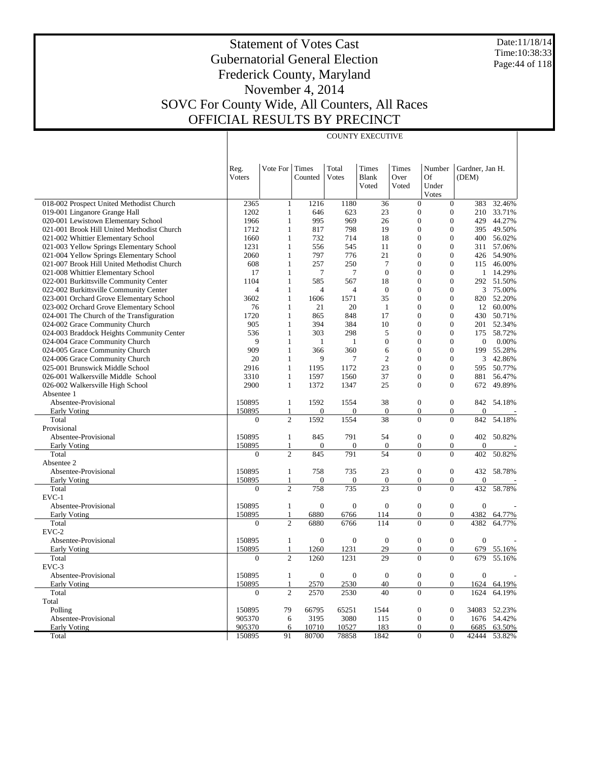Date:11/18/14 Time:10:38:33 Page:44 of 118

# Statement of Votes Cast Gubernatorial General Election Frederick County, Maryland November 4, 2014 SOVC For County Wide, All Counters, All Races OFFICIAL RESULTS BY PRECINCT

COUNTY EXECUTIVE

|                                            | Reg.<br>Voters     | Vote For                       | Times<br>Counted | Total<br>Votes   | Times<br><b>Blank</b><br>Voted | Times<br>Over<br>Voted     | Number<br>Of<br>Under<br><b>V</b> otes | Gardner, Jan H.<br>(DEM) |                  |
|--------------------------------------------|--------------------|--------------------------------|------------------|------------------|--------------------------------|----------------------------|----------------------------------------|--------------------------|------------------|
| 018-002 Prospect United Methodist Church   | 2365               | $\mathbf{1}$                   | 1216             | 1180             | 36                             | $\boldsymbol{0}$           | $\boldsymbol{0}$                       | 383                      | 32.46%           |
| 019-001 Linganore Grange Hall              | 1202               | $\mathbf{1}$                   | 646              | 623              | 23                             | $\boldsymbol{0}$           | $\boldsymbol{0}$                       | 210                      | 33.71%           |
| 020-001 Lewistown Elementary School        | 1966               | $\mathbf{1}$                   | 995              | 969              | 26                             | $\overline{0}$             | $\mathbf{0}$                           | 429                      | 44.27%           |
| 021-001 Brook Hill United Methodist Church | 1712               | $\mathbf{1}$                   | 817              | 798              | 19                             | $\overline{0}$             | $\mathbf{0}$                           | 395                      | 49.50%           |
| 021-002 Whittier Elementary School         | 1660               | $\mathbf{1}$                   | 732              | 714              | 18                             | $\overline{0}$             | $\mathbf{0}$                           | 400                      | 56.02%           |
| 021-003 Yellow Springs Elementary School   | 1231               | $\mathbf{1}$                   | 556              | 545              | 11                             | $\Omega$                   | $\Omega$                               | 311                      | 57.06%           |
| 021-004 Yellow Springs Elementary School   | 2060               | $\mathbf{1}$                   | 797              | 776              | 21                             | $\boldsymbol{0}$           | $\boldsymbol{0}$                       | 426                      | 54.90%           |
| 021-007 Brook Hill United Methodist Church | 608                | $\mathbf{1}$                   | 257              | 250              | $\overline{7}$                 | $\overline{0}$             | $\overline{0}$                         | 115                      | 46.00%           |
| 021-008 Whittier Elementary School         | 17                 | $\mathbf{1}$                   | $\tau$           | 7                | $\overline{0}$                 | $\overline{0}$             | $\mathbf{0}$                           | $\mathbf{1}$             | 14.29%           |
| 022-001 Burkittsville Community Center     | 1104               | $\mathbf{1}$                   | 585              | 567              | 18                             | $\Omega$                   | $\overline{0}$                         | 292                      | 51.50%           |
| 022-002 Burkittsville Community Center     | $\overline{4}$     | $\mathbf{1}$                   | $\overline{4}$   | $\overline{4}$   | $\mathbf{0}$                   | $\Omega$                   | $\mathbf{0}$                           | 3                        | 75.00%           |
| 023-001 Orchard Grove Elementary School    | 3602               | $\mathbf{1}$                   | 1606             | 1571             | 35                             | $\overline{0}$             | $\mathbf{0}$                           |                          | 820 52.20%       |
| 023-002 Orchard Grove Elementary School    | 76                 | $\mathbf{1}$                   | 21               | 20               | $\mathbf{1}$                   | $\Omega$                   | $\theta$                               |                          | 12 60.00%        |
| 024-001 The Church of the Transfiguration  | 1720               | 1                              | 865              | 848              | 17                             | $\overline{0}$             | $\mathbf{0}$                           | 430                      | 50.71%           |
| 024-002 Grace Community Church             | 905                | $\mathbf{1}$                   | 394              | 384              | 10                             | $\overline{0}$             | $\boldsymbol{0}$                       | 201                      | 52.34%           |
| 024-003 Braddock Heights Community Center  | 536                | $\mathbf{1}$                   | 303              | 298              | 5                              | $\Omega$                   | $\overline{0}$                         | 175                      | 58.72%           |
| 024-004 Grace Community Church             | 9                  | $\mathbf{1}$                   | $\mathbf{1}$     | $\mathbf{1}$     | $\mathbf{0}$                   | $\overline{0}$             | $\overline{0}$                         | $\mathbf{0}$             | 0.00%            |
| 024-005 Grace Community Church             | 909                | $\mathbf{1}$                   | 366              | 360              | 6                              | $\overline{0}$             | $\mathbf{0}$                           | 199                      | 55.28%           |
| 024-006 Grace Community Church             | 20                 | $\mathbf{1}$                   | 9                | 7                | $\overline{2}$                 | $\Omega$                   | $\theta$                               | 3                        | 42.86%           |
| 025-001 Brunswick Middle School            | 2916               | $\mathbf{1}$                   | 1195             | 1172             | 23                             | $\theta$                   | $\theta$                               | 595                      | 50.77%           |
| 026-001 Walkersville Middle School         | 3310               | $\mathbf{1}$                   | 1597             | 1560             | 37                             | $\boldsymbol{0}$           | $\boldsymbol{0}$                       | 881                      | 56.47%           |
| 026-002 Walkersville High School           | 2900               | $\mathbf{1}$                   | 1372             | 1347             | 25                             | $\overline{0}$             | $\mathbf{0}$                           | 672                      | 49.89%           |
| Absentee 1                                 |                    |                                |                  |                  |                                |                            |                                        |                          |                  |
| Absentee-Provisional                       | 150895             | $\mathbf{1}$                   | 1592             | 1554             | 38                             | $\overline{0}$             | $\mathbf{0}$                           | 842                      | 54.18%           |
| <b>Early Voting</b>                        | 150895             | $\mathbf{1}$                   | $\boldsymbol{0}$ | $\overline{0}$   | $\mathbf{0}$                   | $\overline{0}$             | $\mathbf{0}$                           | $\mathbf{0}$             |                  |
| Total                                      | $\Omega$           | $\overline{2}$                 | 1592             | 1554             | 38                             | $\Omega$                   | $\theta$                               | 842                      | 54.18%           |
| Provisional                                |                    |                                |                  |                  |                                |                            |                                        |                          |                  |
| Absentee-Provisional                       | 150895             | $\mathbf{1}$                   | 845              | 791              | 54                             | $\overline{0}$             | $\mathbf{0}$                           | 402                      | 50.82%           |
| <b>Early Voting</b>                        | 150895             | $\mathbf{1}$                   | $\mathbf{0}$     | $\overline{0}$   | $\mathbf{0}$                   | $\overline{0}$             | $\mathbf{0}$                           | $\mathbf{0}$             |                  |
| Total                                      | $\Omega$           | $\overline{c}$                 | 845              | 791              | 54                             | $\theta$                   | $\theta$                               | 402                      | 50.82%           |
| Absentee 2                                 |                    |                                |                  |                  |                                |                            |                                        |                          |                  |
| Absentee-Provisional                       | 150895             | $\mathbf{1}$                   | 758              | 735              | 23                             | $\boldsymbol{0}$           | $\boldsymbol{0}$                       | 432                      | 58.78%           |
| <b>Early Voting</b>                        | 150895             | $\mathbf{1}$                   | $\boldsymbol{0}$ | $\boldsymbol{0}$ | $\mathbf{0}$                   | $\boldsymbol{0}$           | $\boldsymbol{0}$                       | $\boldsymbol{0}$         |                  |
| Total                                      | $\overline{0}$     | $\overline{2}$                 | 758              | 735              | $\overline{23}$                | $\theta$                   | $\overline{0}$                         | 432                      | 58.78%           |
| $EVC-1$                                    |                    |                                |                  |                  |                                |                            |                                        |                          |                  |
| Absentee-Provisional                       | 150895             | $\mathbf{1}$                   | $\overline{0}$   | $\overline{0}$   | $\mathbf{0}$                   | $\overline{0}$             | $\overline{0}$                         | $\boldsymbol{0}$         |                  |
| <b>Early Voting</b>                        | 150895<br>$\theta$ | $\mathbf{1}$<br>$\overline{c}$ | 6880<br>6880     | 6766             | 114<br>114                     | $\overline{0}$<br>$\Omega$ | $\overline{0}$<br>$\theta$             | 4382<br>4382             | 64.77%<br>64.77% |
| Total<br>$EVC-2$                           |                    |                                |                  | 6766             |                                |                            |                                        |                          |                  |
| Absentee-Provisional                       | 150895             | $\mathbf{1}$                   | $\boldsymbol{0}$ | $\boldsymbol{0}$ | $\mathbf{0}$                   | $\boldsymbol{0}$           | $\boldsymbol{0}$                       | $\boldsymbol{0}$         |                  |
|                                            | 150895             | $\mathbf{1}$                   | 1260             | 1231             | 29                             | $\overline{0}$             | $\mathbf{0}$                           | 679                      | 55.16%           |
| <b>Early Voting</b><br>Total               | $\overline{0}$     | $\overline{2}$                 | 1260             | 1231             | 29                             | $\overline{0}$             | $\overline{0}$                         | 679                      | 55.16%           |
| $EVC-3$                                    |                    |                                |                  |                  |                                |                            |                                        |                          |                  |
| Absentee-Provisional                       | 150895             | $\mathbf{1}$                   | $\theta$         | $\theta$         | $\Omega$                       | $\overline{0}$             | $\overline{0}$                         | $\overline{0}$           |                  |
| <b>Early Voting</b>                        | 150895             | $\mathbf{1}$                   | 2570             | 2530             | 40                             | $\boldsymbol{0}$           | $\boldsymbol{0}$                       | 1624                     | 64.19%           |
| Total                                      | $\overline{0}$     | $\overline{2}$                 | 2570             | 2530             | 40                             | $\overline{0}$             | $\mathbf{0}$                           | 1624                     | 64.19%           |
| Total                                      |                    |                                |                  |                  |                                |                            |                                        |                          |                  |
| Polling                                    | 150895             | 79                             | 66795            | 65251            | 1544                           | $\overline{0}$             | $\mathbf{0}$                           | 34083                    | 52.23%           |
| Absentee-Provisional                       | 905370             | 6                              | 3195             | 3080             | 115                            | $\Omega$                   | $\mathbf{0}$                           |                          | 1676 54.42%      |
| Early Voting                               | 905370             | 6                              | 10710            | 10527            | 183                            | $\Omega$                   | $\theta$                               | 6685                     | 63.50%           |
| Total                                      | 150895             | 91                             | 80700            | 78858            | 1842                           | $\Omega$                   | $\theta$                               | 42444                    | 53.82%           |
|                                            |                    |                                |                  |                  |                                |                            |                                        |                          |                  |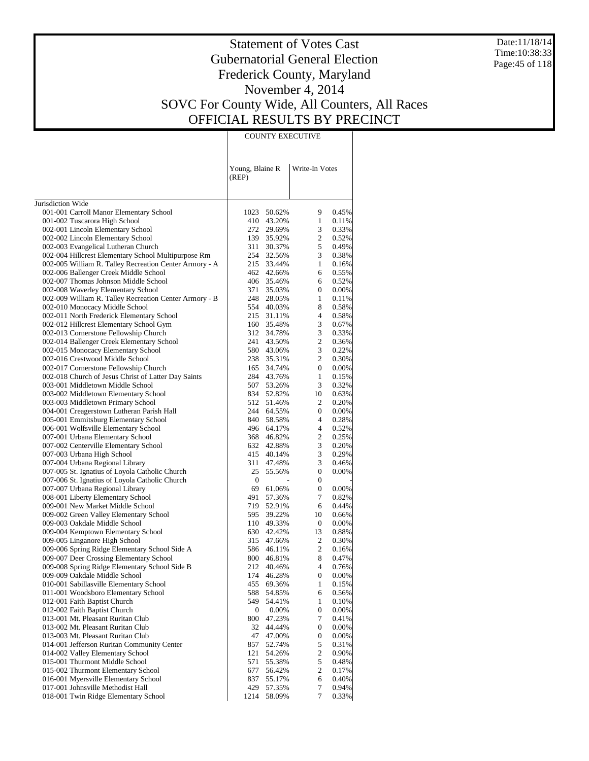Date:11/18/14 Time:10:38:33 Page:45 of 118

## Statement of Votes Cast Gubernatorial General Election Frederick County, Maryland November 4, 2014 SOVC For County Wide, All Counters, All Races OFFICIAL RESULTS BY PRECINCT

COUNTY EXECUTIVE

|                                                                                          | Young, Blaine R<br>(REP) |                          | Write-In Votes        |                |  |
|------------------------------------------------------------------------------------------|--------------------------|--------------------------|-----------------------|----------------|--|
| Jurisdiction Wide                                                                        |                          |                          |                       |                |  |
| 001-001 Carroll Manor Elementary School                                                  | 1023                     | 50.62%                   | 9                     | 0.45%          |  |
| 001-002 Tuscarora High School                                                            |                          | 410 43.20%               | 1                     | 0.11%          |  |
| 002-001 Lincoln Elementary School                                                        |                          | 272 29.69%               | 3                     | 0.33%          |  |
| 002-002 Lincoln Elementary School                                                        |                          | 139 35.92%               | 2                     | 0.52%          |  |
| 002-003 Evangelical Lutheran Church                                                      |                          | 311 30.37%               | 5                     | 0.49%          |  |
| 002-004 Hillcrest Elementary School Multipurpose Rm                                      | 254                      | 32.56%                   | 3                     | 0.38%          |  |
| 002-005 William R. Talley Recreation Center Armory - A                                   |                          | 215 33.44%               | $\mathbf{1}$          | 0.16%          |  |
| 002-006 Ballenger Creek Middle School                                                    |                          | 462 42.66%               | 6                     | 0.55%          |  |
| 002-007 Thomas Johnson Middle School                                                     |                          | 406 35.46%               | 6                     | 0.52%          |  |
| 002-008 Waverley Elementary School                                                       | 371                      | 35.03%                   | 0                     | 0.00%          |  |
| 002-009 William R. Talley Recreation Center Armory - B<br>002-010 Monocacy Middle School |                          | 248 28.05%<br>554 40.03% | $\mathbf{1}$<br>8     | 0.11%<br>0.58% |  |
| 002-011 North Frederick Elementary School                                                |                          | 215 31.11%               | 4                     | 0.58%          |  |
| 002-012 Hillcrest Elementary School Gym                                                  |                          | 160 35.48%               | 3                     | 0.67%          |  |
| 002-013 Cornerstone Fellowship Church                                                    |                          | 312 34.78%               | 3                     | 0.33%          |  |
| 002-014 Ballenger Creek Elementary School                                                | 241                      | 43.50%                   | 2                     | 0.36%          |  |
| 002-015 Monocacy Elementary School                                                       |                          | 580 43.06%               | 3                     | 0.22%          |  |
| 002-016 Crestwood Middle School                                                          |                          | 238 35.31%               | 2                     | 0.30%          |  |
| 002-017 Cornerstone Fellowship Church                                                    |                          | 165 34.74%               | $\boldsymbol{0}$      | 0.00%          |  |
| 002-018 Church of Jesus Christ of Latter Day Saints                                      |                          | 284 43.76%               | $\mathbf{1}$          | 0.15%          |  |
| 003-001 Middletown Middle School                                                         |                          | 507 53.26%               | 3                     | 0.32%          |  |
| 003-002 Middletown Elementary School                                                     |                          | 834 52.82%               | 10                    | 0.63%          |  |
| 003-003 Middletown Primary School                                                        |                          | 512 51.46%               | 2                     | 0.20%          |  |
| 004-001 Creagerstown Lutheran Parish Hall                                                |                          | 244 64.55%               | 0                     | 0.00%          |  |
| 005-001 Emmitsburg Elementary School                                                     |                          | 840 58.58%               | 4                     | 0.28%          |  |
| 006-001 Wolfsville Elementary School                                                     |                          | 496 64.17%               | 4                     | 0.52%          |  |
| 007-001 Urbana Elementary School                                                         |                          | 368 46.82%               | 2                     | 0.25%          |  |
| 007-002 Centerville Elementary School                                                    |                          | 632 42.88%               | 3                     | 0.20%          |  |
| 007-003 Urbana High School                                                               | 415                      | 40.14%                   | 3                     | 0.29%          |  |
| 007-004 Urbana Regional Library                                                          | 311                      | 47.48%                   | 3                     | 0.46%          |  |
| 007-005 St. Ignatius of Loyola Catholic Church                                           | 25                       | 55.56%                   | $\boldsymbol{0}$      | 0.00%          |  |
| 007-006 St. Ignatius of Loyola Catholic Church                                           | $\boldsymbol{0}$         |                          | $\boldsymbol{0}$      |                |  |
| 007-007 Urbana Regional Library                                                          |                          | 69 61.06%                | $\boldsymbol{0}$      | 0.00%          |  |
| 008-001 Liberty Elementary School                                                        | 491                      | 57.36%                   | 7                     | 0.82%          |  |
| 009-001 New Market Middle School                                                         |                          | 719 52.91%               | 6                     | 0.44%          |  |
| 009-002 Green Valley Elementary School                                                   |                          | 595 39.22%               | 10                    | 0.66%          |  |
| 009-003 Oakdale Middle School                                                            |                          | 110 49.33%               | $\boldsymbol{0}$      | 0.00%          |  |
| 009-004 Kemptown Elementary School                                                       |                          | 630 42.42%               | 13                    | 0.88%          |  |
| 009-005 Linganore High School                                                            |                          | 315 47.66%               | 2                     | 0.30%          |  |
| 009-006 Spring Ridge Elementary School Side A                                            |                          | 586 46.11%               | 2                     | 0.16%          |  |
| 009-007 Deer Crossing Elementary School                                                  | 212                      | 800 46.81%               | 8                     | 0.47%          |  |
| 009-008 Spring Ridge Elementary School Side B<br>009-009 Oakdale Middle School           |                          | 40.46%                   | 4                     | 0.76%          |  |
| 010-001 Sabillasville Elementary School                                                  | 455                      | 174 46.28%               | $\boldsymbol{0}$<br>1 | 0.00%<br>0.15% |  |
| 011-001 Woodsboro Elementary School                                                      | 588                      | 69.36%<br>54.85%         | 6                     | 0.56%          |  |
| 012-001 Faith Baptist Church                                                             | 549                      | 54.41%                   | 1                     | 0.10%          |  |
| 012-002 Faith Baptist Church                                                             | 0                        | 0.00%                    | 0                     | 0.00%          |  |
| 013-001 Mt. Pleasant Ruritan Club                                                        | 800                      | 47.23%                   | 7                     | 0.41%          |  |
| 013-002 Mt. Pleasant Ruritan Club                                                        | 32                       | 44.44%                   | 0                     | 0.00%          |  |
| 013-003 Mt. Pleasant Ruritan Club                                                        | 47                       | 47.00%                   | 0                     | 0.00%          |  |
| 014-001 Jefferson Ruritan Community Center                                               | 857                      | 52.74%                   | 5                     | 0.31%          |  |
| 014-002 Valley Elementary School                                                         | 121                      | 54.26%                   | $\mathbf{2}$          | 0.90%          |  |
| 015-001 Thurmont Middle School                                                           | 571                      | 55.38%                   | 5                     | 0.48%          |  |
| 015-002 Thurmont Elementary School                                                       | 677                      | 56.42%                   | 2                     | 0.17%          |  |
| 016-001 Myersville Elementary School                                                     | 837                      | 55.17%                   | 6                     | 0.40%          |  |
| 017-001 Johnsville Methodist Hall                                                        | 429                      | 57.35%                   | 7                     | 0.94%          |  |
| 018-001 Twin Ridge Elementary School                                                     | 1214                     | 58.09%                   | 7                     | 0.33%          |  |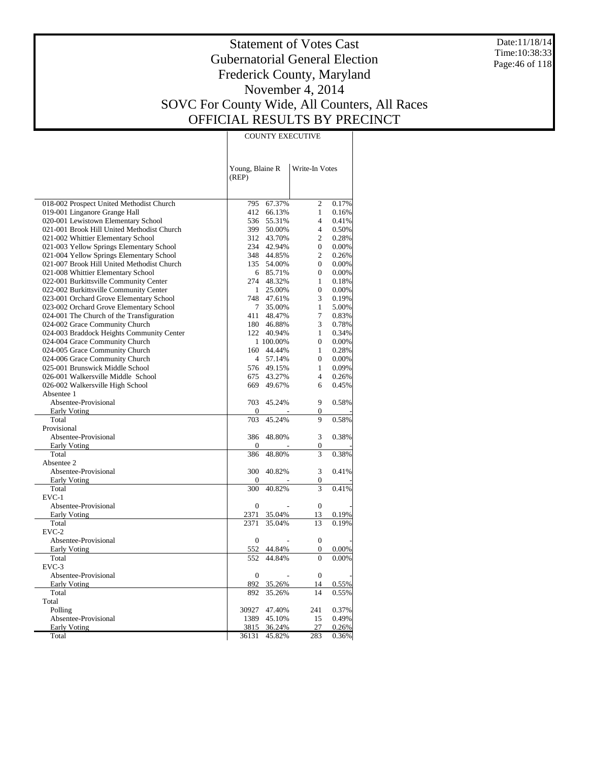Date:11/18/14 Time:10:38:33 Page:46 of 118

#### Statement of Votes Cast Gubernatorial General Election Frederick County, Maryland November 4, 2014 SOVC For County Wide, All Counters, All Races OFFICIAL RESULTS BY PRECINCT

36131 45.82% 283 0.36%

COUNTY EXECUTIVE

 018-002 Prospect United Methodist Church 019-001 Linganore Grange Hall 020-001 Lewistown Elementary School 021-001 Brook Hill United Methodist Church 021-002 Whittier Elementary School 021-003 Yellow Springs Elementary School 021-004 Yellow Springs Elementary School 021-007 Brook Hill United Methodist Church 021-008 Whittier Elementary School 022-001 Burkittsville Community Center 022-002 Burkittsville Community Center 023-001 Orchard Grove Elementary School 023-002 Orchard Grove Elementary School 024-001 The Church of the Transfiguration 024-002 Grace Community Church 024-003 Braddock Heights Community Center 024-004 Grace Community Church 024-005 Grace Community Church 024-006 Grace Community Church 025-001 Brunswick Middle School 026-001 Walkersville Middle School 026-002 Walkersville High School Young, Blaine R (REP) Write-In Votes  $\overline{795}$  67.37% 2 0.17%<br>412 66.13% 1 0.16% 412 66.13% 1 0.16%<br>536 55.31% 4 0.41% 55.31% 399 50.00% 4 0.50% 43.70% 2 0.28%<br>42.94% 0 0.00% 234 42.94% 348 44.85% 2 0.26% 54.00%  $\begin{array}{cccc} 6 & 85.71\% & 0 & 0.00\% \\ 274 & 48.32\% & 1 & 0.18\% \end{array}$ 48.32% 1<br>25.00% 0 1 25.00% 0 0.00% 748 47.61% 3 0.19% 7 35.00% 1 5.00% 411 48.47% 7 0.83% 180 46.88% 3 0.78%  $\begin{array}{cccc} 122 & 40.94\% & & 1 & 0.34\% \\ 1 & 100.00\% & & 0 & 0.00\% \end{array}$ 1 100.00% 0 0.00%<br>
50 44.44% 1 0.28% 160 44.44% 4 57.14% 0 0.00%<br>  $76 \t 49.15\%$  1 0.09% 576 49.15% 1 675 43.27% 4 0.26% 49.67% 703 45.24% 9 0.58% 0 - 0 - 703 45.24% 9 0.58%

| Absentee 1           |                |             |               |       |
|----------------------|----------------|-------------|---------------|-------|
| Absentee-Provisional | 703            | 45.24%      | 9             | 0.58% |
| Early Voting         | $\mathbf{0}$   |             | $\mathbf{0}$  |       |
| Total                | 703            | 45.24%      | 9             | 0.58% |
| Provisional          |                |             |               |       |
| Absentee-Provisional | 386            | 48.80%      | 3             | 0.38% |
| Early Voting         | $\mathbf{0}$   |             | $\mathbf{0}$  |       |
| Total                | 386            | 48.80%      | $\mathbf{3}$  | 0.38% |
| Absentee 2           |                |             |               |       |
| Absentee-Provisional | 300            | 40.82%      | 3             | 0.41% |
| Early Voting         | $\overline{0}$ |             | $\mathbf{0}$  |       |
| Total                | 300            | 40.82%      | $\mathcal{L}$ | 0.41% |
| $EVC-1$              |                |             |               |       |
| Absentee-Provisional | $\Omega$       |             | $\Omega$      |       |
| Early Voting         | 2371           | 35.04%      | 13            | 0.19% |
| Total                | 2371           | 35.04%      | 13            | 0.19% |
| $EVC-2$              |                |             |               |       |
| Absentee-Provisional | $\Omega$       |             | $\Omega$      |       |
| Early Voting         |                | 552 44.84%  | $\Omega$      | 0.00% |
| Total                | 552            | 44.84%      | $\Omega$      | 0.00% |
| $EVC-3$              |                |             |               |       |
| Absentee-Provisional | $\Omega$       |             | $\Omega$      |       |
| Early Voting         | 892            | 35.26%      | 14            | 0.55% |
| Total                | 892            | 35.26%      | 14            | 0.55% |
| Total                |                |             |               |       |
| Polling              | 30927          | 47.40%      | 241           | 0.37% |
| Absentee-Provisional | 1389           | 45.10%      | 15            | 0.49% |
| Early Voting         |                | 3815 36.24% | 27            | 0.26% |

Total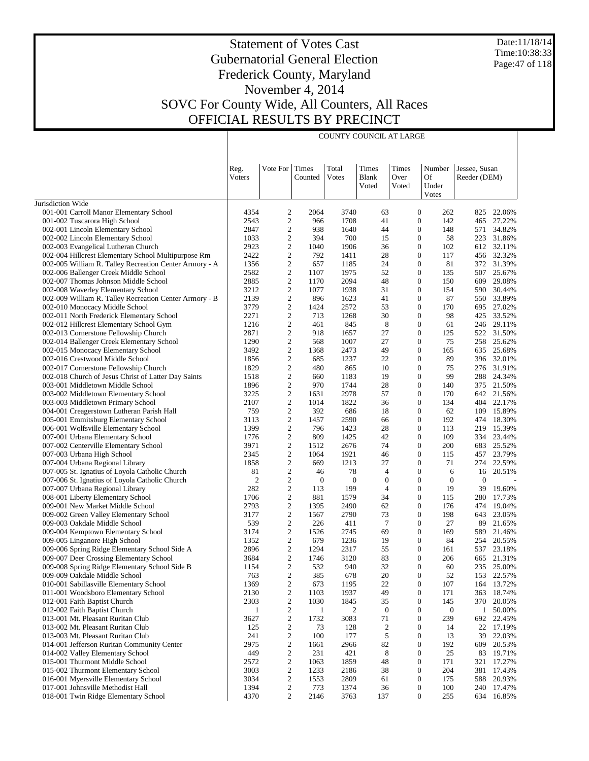Date:11/18/14 Time:10:38:33 Page:47 of 118

# Statement of Votes Cast Gubernatorial General Election Frederick County, Maryland November 4, 2014 SOVC For County Wide, All Counters, All Races OFFICIAL RESULTS BY PRECINCT

|                                                                     | Reg.<br>Voters   | Vote For Times                   | Counted      | Total<br><b>V</b> otes | Times<br><b>Blank</b><br>Voted | Times<br>Over<br>Voted               | Number<br>Of<br>Under<br>Votes | Jessee, Susan<br>Reeder (DEM) |                  |
|---------------------------------------------------------------------|------------------|----------------------------------|--------------|------------------------|--------------------------------|--------------------------------------|--------------------------------|-------------------------------|------------------|
| Jurisdiction Wide                                                   |                  |                                  |              |                        |                                |                                      |                                |                               |                  |
| 001-001 Carroll Manor Elementary School                             | 4354             | 2                                | 2064         | 3740                   | 63                             | $\boldsymbol{0}$                     | 262                            | 825                           | 22.06%           |
| 001-002 Tuscarora High School                                       | 2543             | $\overline{c}$                   | 966          | 1708                   | 41                             | $\boldsymbol{0}$                     | 142                            | 465                           | 27.22%           |
| 002-001 Lincoln Elementary School                                   | 2847             | $\mathfrak{2}$                   | 938          | 1640                   | 44                             | $\boldsymbol{0}$                     | 148                            | 571                           | 34.82%           |
| 002-002 Lincoln Elementary School                                   | 1033             | $\overline{c}$                   | 394          | 700                    | 15                             | $\boldsymbol{0}$                     | 58                             | 223                           | 31.86%           |
| 002-003 Evangelical Lutheran Church                                 | 2923             | $\sqrt{2}$                       | 1040         | 1906                   | 36                             | $\boldsymbol{0}$                     | 102                            |                               | 612 32.11%       |
| 002-004 Hillcrest Elementary School Multipurpose Rm                 | 2422             | $\overline{c}$                   | 792          | 1411                   | 28                             | $\boldsymbol{0}$                     | 117                            |                               | 456 32.32%       |
| 002-005 William R. Talley Recreation Center Armory - A              | 1356             | $\sqrt{2}$                       | 657          | 1185                   | 24                             | $\boldsymbol{0}$                     | 81                             | 372                           | 31.39%           |
| 002-006 Ballenger Creek Middle School                               | 2582             | $\overline{c}$                   | 1107         | 1975                   | 52                             | $\boldsymbol{0}$                     | 135                            |                               | 507 25.67%       |
| 002-007 Thomas Johnson Middle School                                | 2885             | $\sqrt{2}$                       | 1170         | 2094                   | 48                             | $\boldsymbol{0}$                     | 150                            | 609                           | 29.08%           |
| 002-008 Waverley Elementary School                                  | 3212             | $\overline{c}$                   | 1077         | 1938                   | 31                             | $\boldsymbol{0}$                     | 154                            |                               | 590 30.44%       |
| 002-009 William R. Talley Recreation Center Armory - B              | 2139             | $\sqrt{2}$                       | 896          | 1623                   | 41                             | $\boldsymbol{0}$                     | 87                             |                               | 550 33.89%       |
| 002-010 Monocacy Middle School                                      | 3779             | $\overline{c}$                   | 1424         | 2572                   | 53                             | $\boldsymbol{0}$                     | 170                            |                               | 695 27.02%       |
| 002-011 North Frederick Elementary School                           | 2271             | $\sqrt{2}$                       | 713          | 1268                   | 30                             | $\boldsymbol{0}$                     | 98                             | 425                           | 33.52%           |
| 002-012 Hillcrest Elementary School Gym                             | 1216             | $\overline{c}$                   | 461          | 845                    | 8                              | $\boldsymbol{0}$                     | 61                             |                               | 246 29.11%       |
| 002-013 Cornerstone Fellowship Church                               | 2871             | $\sqrt{2}$                       | 918          | 1657                   | 27                             | $\boldsymbol{0}$                     | 125                            | 522                           | 31.50%           |
| 002-014 Ballenger Creek Elementary School                           | 1290             | $\overline{c}$                   | 568          | 1007                   | 27                             | $\boldsymbol{0}$                     | 75                             |                               | 258 25.62%       |
| 002-015 Monocacy Elementary School                                  | 3492             | $\sqrt{2}$                       | 1368         | 2473                   | 49                             | $\boldsymbol{0}$                     | 165                            | 635                           | 25.68%           |
| 002-016 Crestwood Middle School                                     | 1856             | $\overline{c}$                   | 685          | 1237                   | 22                             | $\boldsymbol{0}$                     | 89                             |                               | 396 32.01%       |
| 002-017 Cornerstone Fellowship Church                               | 1829             | $\sqrt{2}$                       | 480          | 865                    | 10                             | $\boldsymbol{0}$                     | 75                             |                               | 276 31.91%       |
| 002-018 Church of Jesus Christ of Latter Day Saints                 | 1518             | $\overline{c}$                   | 660          | 1183                   | 19                             | $\boldsymbol{0}$                     | 99                             |                               | 288 24.34%       |
| 003-001 Middletown Middle School                                    | 1896             | $\sqrt{2}$                       | 970          | 1744                   | 28                             | $\boldsymbol{0}$                     | 140                            |                               | 375 21.50%       |
| 003-002 Middletown Elementary School                                | 3225             | $\overline{c}$                   | 1631         | 2978                   | 57                             | $\boldsymbol{0}$                     | 170                            |                               | 642 21.56%       |
| 003-003 Middletown Primary School                                   | 2107             | $\sqrt{2}$                       | 1014         | 1822                   | 36                             | $\boldsymbol{0}$                     | 134                            |                               | 404 22.17%       |
| 004-001 Creagerstown Lutheran Parish Hall                           | 759              | $\overline{c}$                   | 392          | 686                    | 18                             | $\boldsymbol{0}$                     | 62                             |                               | 109 15.89%       |
| 005-001 Emmitsburg Elementary School                                | 3113             | $\sqrt{2}$                       | 1457         | 2590                   | 66                             | $\boldsymbol{0}$                     | 192                            |                               | 474 18.30%       |
| 006-001 Wolfsville Elementary School                                | 1399             | $\overline{c}$                   | 796          | 1423                   | 28                             | $\boldsymbol{0}$                     | 113                            |                               | 219 15.39%       |
| 007-001 Urbana Elementary School                                    | 1776             | $\sqrt{2}$                       | 809          | 1425                   | 42                             | $\boldsymbol{0}$                     | 109                            |                               | 334 23.44%       |
| 007-002 Centerville Elementary School                               | 3971             | $\overline{c}$                   | 1512         | 2676                   | 74                             | $\boldsymbol{0}$                     | 200                            |                               | 683 25.52%       |
| 007-003 Urbana High School                                          | 2345             | $\sqrt{2}$                       | 1064         | 1921                   | 46                             | $\boldsymbol{0}$                     | 115                            | 457                           | 23.79%           |
| 007-004 Urbana Regional Library                                     | 1858             | $\overline{c}$                   | 669          | 1213                   | 27                             | $\boldsymbol{0}$                     | 71                             |                               | 274 22.59%       |
| 007-005 St. Ignatius of Loyola Catholic Church                      | 81               | $\overline{c}$                   | 46           | 78                     | $\overline{4}$                 | $\boldsymbol{0}$                     | 6                              | 16                            | 20.51%           |
| 007-006 St. Ignatius of Loyola Catholic Church                      | $\boldsymbol{2}$ | $\boldsymbol{2}$                 | $\mathbf 0$  | $\boldsymbol{0}$       | $\boldsymbol{0}$               | $\boldsymbol{0}$                     | $\boldsymbol{0}$               | $\boldsymbol{0}$              |                  |
| 007-007 Urbana Regional Library                                     | 282              | $\sqrt{2}$                       | 113          | 199                    | $\overline{4}$                 | $\boldsymbol{0}$                     | 19                             | 39                            | 19.60%           |
| 008-001 Liberty Elementary School                                   | 1706             | $\overline{c}$                   | 881          | 1579                   | 34                             | $\boldsymbol{0}$                     | 115                            |                               | 280 17.73%       |
| 009-001 New Market Middle School                                    | 2793             | $\sqrt{2}$                       | 1395         | 2490                   | 62                             | $\boldsymbol{0}$                     | 176                            | 474                           | 19.04%           |
| 009-002 Green Valley Elementary School                              | 3177             | $\overline{c}$<br>$\sqrt{2}$     | 1567         | 2790                   | 73                             | $\boldsymbol{0}$<br>$\boldsymbol{0}$ | 198<br>27                      |                               | 643 23.05%       |
| 009-003 Oakdale Middle School                                       | 539              |                                  | 226<br>1526  | 411<br>2745            | $\overline{7}$                 | $\boldsymbol{0}$                     | 169                            | 89<br>589                     | 21.65%<br>21.46% |
| 009-004 Kemptown Elementary School<br>009-005 Linganore High School | 3174<br>1352     | $\overline{c}$<br>$\overline{c}$ | 679          | 1236                   | 69<br>19                       | $\boldsymbol{0}$                     | 84                             |                               | 254 20.55%       |
| 009-006 Spring Ridge Elementary School Side A                       | 2896             | $\overline{c}$                   | 1294         | 2317                   | 55                             | $\boldsymbol{0}$                     | 161                            |                               | 537 23.18%       |
| 009-007 Deer Crossing Elementary School                             | 3684             | $\sqrt{2}$                       | 1746         | 3120                   | 83                             | $\mathbf{0}$                         | 206                            | 665                           | 21.31%           |
| 009-008 Spring Ridge Elementary School Side B                       | 1154             | $\overline{2}$                   | 532          | 940                    | 32                             | $\mathbf{0}$                         | 60                             |                               | 235 25.00%       |
| 009-009 Oakdale Middle School                                       | 763              | $\overline{c}$                   | 385          | 678                    | $20\,$                         | $\boldsymbol{0}$                     | 52                             |                               | 153 22.57%       |
| 010-001 Sabillasville Elementary School                             | 1369             | $\boldsymbol{2}$                 | 673          | 1195                   | 22                             | $\boldsymbol{0}$                     | 107                            |                               | 164 13.72%       |
| 011-001 Woodsboro Elementary School                                 | 2130             | $\overline{c}$                   | 1103         | 1937                   | 49                             | $\boldsymbol{0}$                     | 171                            | 363                           | 18.74%           |
| 012-001 Faith Baptist Church                                        | 2303             | 2                                | 1030         | 1845                   | 35                             | 0                                    | 145                            |                               | 370 20.05%       |
| 012-002 Faith Baptist Church                                        | $\mathbf{1}$     | $\overline{c}$                   | $\mathbf{1}$ | $\overline{c}$         | $\boldsymbol{0}$               | $\boldsymbol{0}$                     | $\boldsymbol{0}$               | $\mathbf{1}$                  | 50.00%           |
| 013-001 Mt. Pleasant Ruritan Club                                   | 3627             | $\overline{\mathbf{c}}$          | 1732         | 3083                   | 71                             | $\boldsymbol{0}$                     | 239                            |                               | 692 22.45%       |
| 013-002 Mt. Pleasant Ruritan Club                                   | 125              | $\overline{c}$                   | 73           | 128                    | $\overline{\mathbf{c}}$        | $\boldsymbol{0}$                     | 14                             | 22                            | 17.19%           |
| 013-003 Mt. Pleasant Ruritan Club                                   | 241              | $\overline{c}$                   | 100          | 177                    | 5                              | $\boldsymbol{0}$                     | 13                             | 39                            | 22.03%           |
| 014-001 Jefferson Ruritan Community Center                          | 2975             | $\overline{c}$                   | 1661         | 2966                   | 82                             | $\boldsymbol{0}$                     | 192                            | 609                           | 20.53%           |
| 014-002 Valley Elementary School                                    | 449              | $\overline{c}$                   | 231          | 421                    | 8                              | $\boldsymbol{0}$                     | 25                             | 83                            | 19.71%           |
| 015-001 Thurmont Middle School                                      | 2572             | $\overline{c}$                   | 1063         | 1859                   | 48                             | $\boldsymbol{0}$                     | 171                            | 321                           | 17.27%           |
| 015-002 Thurmont Elementary School                                  | 3003             | $\overline{c}$                   | 1233         | 2186                   | 38                             | $\boldsymbol{0}$                     | 204                            | 381                           | 17.43%           |
| 016-001 Myersville Elementary School                                | 3034             | $\overline{c}$                   | 1553         | 2809                   | 61                             | $\boldsymbol{0}$                     | 175                            | 588                           | 20.93%           |
| 017-001 Johnsville Methodist Hall                                   | 1394             | 2                                | 773          | 1374                   | 36                             | 0                                    | 100                            |                               | 240 17.47%       |
| 018-001 Twin Ridge Elementary School                                | 4370             | $\boldsymbol{2}$                 | 2146         | 3763                   | 137                            | $\boldsymbol{0}$                     | 255                            | 634                           | 16.85%           |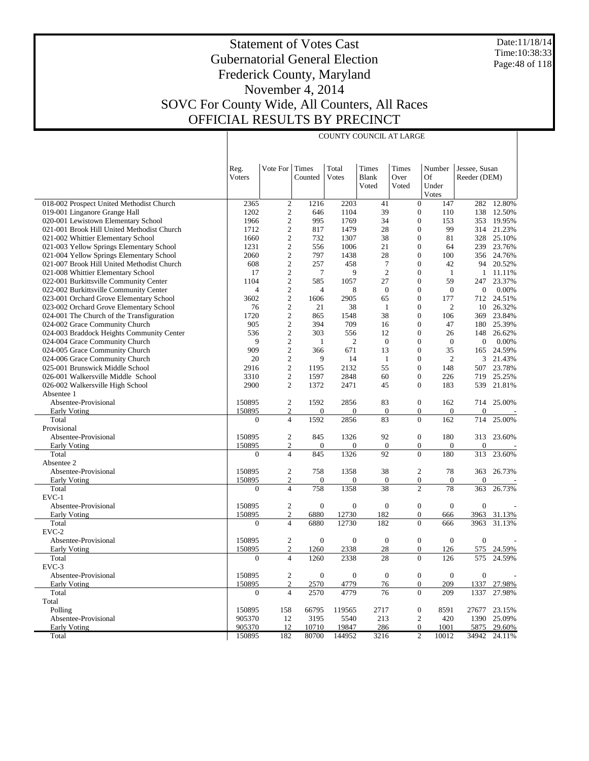Date:11/18/14 Time:10:38:33 Page:48 of 118

# Statement of Votes Cast Gubernatorial General Election Frederick County, Maryland November 4, 2014 SOVC For County Wide, All Counters, All Races OFFICIAL RESULTS BY PRECINCT

|                                            | Reg.<br>Voters   | Vote For Times | Counted          | Total<br>Votes | Times<br><b>Blank</b><br>Voted | Times<br>Over<br>Voted | Number<br>Of<br>Under<br>Votes | Jessee, Susan<br>Reeder (DEM) |            |
|--------------------------------------------|------------------|----------------|------------------|----------------|--------------------------------|------------------------|--------------------------------|-------------------------------|------------|
| 018-002 Prospect United Methodist Church   | 2365             | $\mathfrak{2}$ | 1216             | 2203           | 41                             | $\mathbf{0}$           | 147                            | 282                           | 12.80%     |
| 019-001 Linganore Grange Hall              | 1202             | $\overline{c}$ | 646              | 1104           | 39                             | $\overline{0}$         | 110                            | 138                           | 12.50%     |
| 020-001 Lewistown Elementary School        | 1966             | $\mathbf{2}$   | 995              | 1769           | 34                             | $\overline{0}$         | 153                            | 353                           | 19.95%     |
| 021-001 Brook Hill United Methodist Church | 1712             | $\overline{c}$ | 817              | 1479           | 28                             | $\overline{0}$         | 99                             |                               | 314 21.23% |
| 021-002 Whittier Elementary School         | 1660             | $\overline{c}$ | 732              | 1307           | 38                             | $\theta$               | 81                             | 328                           | 25.10%     |
| 021-003 Yellow Springs Elementary School   | 1231             | $\sqrt{2}$     | 556              | 1006           | 21                             | $\overline{0}$         | 64                             | 239                           | 23.76%     |
| 021-004 Yellow Springs Elementary School   | 2060             | $\overline{2}$ | 797              | 1438           | 28                             | $\Omega$               | 100                            |                               | 356 24.76% |
| 021-007 Brook Hill United Methodist Church | 608              | $\overline{2}$ | 257              | 458            | $\tau$                         | $\Omega$               | 42                             | 94                            | 20.52%     |
| 021-008 Whittier Elementary School         | 17               | $\sqrt{2}$     | 7                | 9              | $\overline{c}$                 | $\Omega$               | $\mathbf{1}$                   | $\mathbf{1}$                  | 11.11%     |
| 022-001 Burkittsville Community Center     | 1104             | $\overline{c}$ | 585              | 1057           | 27                             | $\overline{0}$         | 59                             |                               | 247 23.37% |
| 022-002 Burkittsville Community Center     | $\overline{4}$   | $\overline{c}$ | $\overline{4}$   | 8              | $\boldsymbol{0}$               | $\mathbf{0}$           | $\mathbf{0}$                   | $\boldsymbol{0}$              | 0.00%      |
| 023-001 Orchard Grove Elementary School    | 3602             | $\overline{2}$ | 1606             | 2905           | 65                             | $\mathbf{0}$           | 177                            | 712                           | 24.51%     |
| 023-002 Orchard Grove Elementary School    | 76               | $\overline{c}$ | 21               | 38             | $\mathbf{1}$                   | $\overline{0}$         | $\overline{c}$                 | 10                            | 26.32%     |
| 024-001 The Church of the Transfiguration  | 1720             | $\overline{c}$ | 865              | 1548           | 38                             | $\overline{0}$         | 106                            | 369                           | 23.84%     |
| 024-002 Grace Community Church             | 905              | $\overline{c}$ | 394              | 709            | 16                             | $\overline{0}$         | 47                             | 180                           | 25.39%     |
| 024-003 Braddock Heights Community Center  | 536              | $\mathbf{2}$   | 303              | 556            | 12                             | $\overline{0}$         | 26                             | 148                           | 26.62%     |
| 024-004 Grace Community Church             | 9                | $\overline{c}$ | 1                | $\overline{c}$ | $\mathbf{0}$                   | $\theta$               | $\mathbf{0}$                   | $\boldsymbol{0}$              | 0.00%      |
| 024-005 Grace Community Church             | 909              | $\overline{2}$ | 366              | 671            | 13                             | $\overline{0}$         | 35                             | 165                           | 24.59%     |
| 024-006 Grace Community Church             | 20               | $\overline{c}$ | 9                | 14             | $\mathbf{1}$                   | $\overline{0}$         | $\overline{c}$                 | 3                             | 21.43%     |
| 025-001 Brunswick Middle School            | 2916             | $\overline{2}$ | 1195             | 2132           | 55                             | $\theta$               | 148                            | 507                           | 23.78%     |
| 026-001 Walkersville Middle School         | 3310             | $\overline{c}$ | 1597             | 2848           | 60                             | $\overline{0}$         | 226                            | 719                           | 25.25%     |
| 026-002 Walkersville High School           | 2900             | $\overline{2}$ | 1372             | 2471           | 45                             | $\mathbf{0}$           | 183                            | 539                           | 21.81%     |
| Absentee 1                                 |                  |                |                  |                |                                |                        |                                |                               |            |
| Absentee-Provisional                       | 150895           | $\overline{2}$ | 1592             | 2856           | 83                             | $\overline{0}$         | 162                            | 714                           | 25.00%     |
| <b>Early Voting</b>                        | 150895           | $\overline{c}$ | $\overline{0}$   | $\Omega$       | $\mathbf{0}$                   | $\mathbf{0}$           | $\Omega$                       | $\Omega$                      |            |
| Total                                      | $\Omega$         | $\overline{4}$ | 1592             | 2856           | 83                             | $\Omega$               | 162                            | 714                           | 25.00%     |
| Provisional                                |                  |                |                  |                |                                |                        |                                |                               |            |
| Absentee-Provisional                       | 150895           | $\overline{2}$ | 845              | 1326           | 92                             | $\boldsymbol{0}$       | 180                            | 313                           | 23.60%     |
| <b>Early Voting</b>                        | 150895           | $\overline{c}$ | $\boldsymbol{0}$ | $\mathbf{0}$   | $\boldsymbol{0}$               | $\boldsymbol{0}$       | $\overline{0}$                 | $\mathbf{0}$                  |            |
| Total                                      | $\Omega$         | $\overline{4}$ | 845              | 1326           | 92                             | $\Omega$               | 180                            | 313                           | 23.60%     |
| Absentee 2                                 |                  |                |                  |                |                                |                        |                                |                               |            |
| Absentee-Provisional                       | 150895           | $\mathfrak{2}$ | 758              | 1358           | 38                             | $\mathfrak{2}$         | 78                             | 363                           | 26.73%     |
| <b>Early Voting</b>                        | 150895           | $\overline{c}$ | $\boldsymbol{0}$ | $\mathbf{0}$   | $\boldsymbol{0}$               | $\boldsymbol{0}$       | $\mathbf{0}$                   | $\mathbf{0}$                  |            |
| Total                                      | $\mathbf{0}$     | $\overline{4}$ | 758              | 1358           | 38                             | $\overline{c}$         | 78                             | 363                           | 26.73%     |
| $EVC-1$                                    |                  |                |                  |                |                                |                        |                                |                               |            |
| Absentee-Provisional                       | 150895           | $\mathbf{2}$   | $\overline{0}$   | $\mathbf{0}$   | $\boldsymbol{0}$               | $\overline{0}$         | $\overline{0}$                 | $\overline{0}$                |            |
| <b>Early Voting</b>                        | 150895           | $\mathbf{2}$   | 6880             | 12730          | 182                            | $\overline{0}$         | 666                            | 3963                          | 31.13%     |
| Total                                      | $\theta$         | $\overline{4}$ | 6880             | 12730          | 182                            | $\Omega$               | 666                            | 3963                          | 31.13%     |
| $EVC-2$                                    |                  |                |                  |                |                                |                        |                                |                               |            |
| Absentee-Provisional                       | 150895           | $\mathbf{2}$   | $\overline{0}$   | $\overline{0}$ | $\boldsymbol{0}$               | $\overline{0}$         | $\overline{0}$                 | $\overline{0}$                |            |
| <b>Early Voting</b>                        | 150895           | $\overline{c}$ | 1260             | 2338           | 28                             | $\mathbf{0}$           | 126                            | 575                           | 24.59%     |
| Total                                      | $\Omega$         | $\overline{4}$ | 1260             | 2338           | 28                             | $\Omega$               | 126                            | 575                           | 24.59%     |
| $EVC-3$                                    |                  |                |                  |                |                                |                        |                                |                               |            |
| Absentee-Provisional                       | 150895           | $\overline{2}$ | $\mathbf{0}$     | $\overline{0}$ | $\overline{0}$                 | $\overline{0}$         | $\mathbf{0}$                   | $\overline{0}$                |            |
| <b>Early Voting</b>                        | 150895           | $\overline{c}$ | 2570             | 4779           | 76                             | $\boldsymbol{0}$       | 209                            | 1337                          | 27.98%     |
| Total                                      | $\boldsymbol{0}$ | $\overline{4}$ | 2570             | 4779           | 76                             | $\Omega$               | 209                            | 1337                          | 27.98%     |
| Total                                      |                  |                |                  |                |                                |                        |                                |                               |            |
| Polling                                    | 150895           | 158            | 66795            | 119565         | 2717                           | $\boldsymbol{0}$       | 8591                           | 27677                         | 23.15%     |
| Absentee-Provisional                       | 905370           | 12             | 3195             | 5540           | 213                            | $\overline{c}$         | 420                            | 1390                          | 25.09%     |
| <b>Early Voting</b>                        | 905370           | 12             | 10710            | 19847          | 286                            | $\mathbf{0}$           | 1001                           | 5875                          | 29.60%     |
| Total                                      | 150895           | 182            | 80700            | 144952         | 3216                           | $\overline{c}$         | 10012                          | 34942                         | 24.11%     |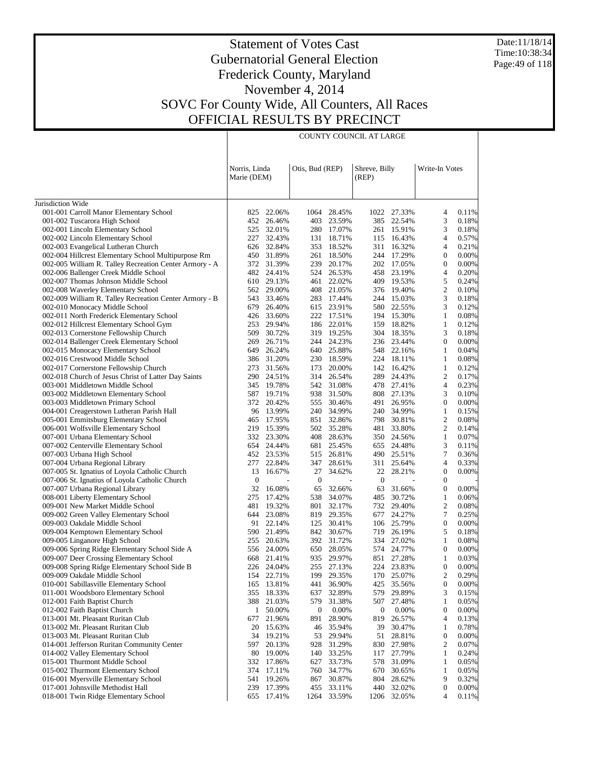Date:11/18/14 Time:10:38:34 Page:49 of 118

## Statement of Votes Cast Gubernatorial General Election Frederick County, Maryland November 4, 2014 SOVC For County Wide, All Counters, All Races OFFICIAL RESULTS BY PRECINCT

|                                                                                              | Norris, Linda<br>Marie (DEM) |                          | Otis, Bud (REP)  |                      | Shreve, Billy<br>(REP) |                          | Write-In Votes                     |                |
|----------------------------------------------------------------------------------------------|------------------------------|--------------------------|------------------|----------------------|------------------------|--------------------------|------------------------------------|----------------|
|                                                                                              |                              |                          |                  |                      |                        |                          |                                    |                |
| Jurisdiction Wide                                                                            |                              |                          |                  |                      |                        |                          |                                    |                |
| 001-001 Carroll Manor Elementary School                                                      |                              | 825 22.06%               |                  | 1064 28.45%          |                        | 1022 27.33%              | 4                                  | 0.11%          |
| 001-002 Tuscarora High School                                                                |                              | 452 26.46%               |                  | 403 23.59%           |                        | 385 22.54%               | 3                                  | 0.18%          |
| 002-001 Lincoln Elementary School                                                            |                              | 525 32.01%               |                  | 280 17.07%           |                        | 261 15.91%               | 3                                  | 0.18%          |
| 002-002 Lincoln Elementary School                                                            |                              | 227 32.43%               |                  | 131 18.71%           |                        | 115 16.43%               | 4                                  | 0.57%          |
| 002-003 Evangelical Lutheran Church                                                          |                              | 626 32.84%               |                  | 353 18.52%           |                        | 311 16.32%               | $\overline{4}$                     | 0.21%          |
| 002-004 Hillcrest Elementary School Multipurpose Rm                                          |                              | 450 31.89%               | 261              | 18.50%               |                        | 244 17.29%               | $\mathbf{0}$                       | 0.00%          |
| 002-005 William R. Talley Recreation Center Armory - A                                       |                              | 372 31.39%               | 239              | 20.17%               |                        | 202 17.05%               | $\boldsymbol{0}$                   | 0.00%          |
| 002-006 Ballenger Creek Middle School                                                        |                              | 482 24.41%               |                  | 524 26.53%           |                        | 458 23.19%               | 4                                  | 0.20%          |
| 002-007 Thomas Johnson Middle School                                                         |                              | 610 29.13%               |                  | 461 22.02%           |                        | 409 19.53%               | 5                                  | 0.24%          |
| 002-008 Waverley Elementary School                                                           |                              | 562 29.00%               |                  | 408 21.05%           |                        | 376 19.40%               | $\overline{c}$                     | 0.10%          |
| 002-009 William R. Talley Recreation Center Armory - B                                       | 543                          | 33.46%                   |                  | 283 17.44%           |                        | 244 15.03%               | 3                                  | 0.18%          |
| 002-010 Monocacy Middle School                                                               |                              | 679 26.40%               |                  | 615 23.91%           |                        | 580 22.55%               | 3                                  | 0.12%          |
| 002-011 North Frederick Elementary School                                                    |                              | 426 33.60%               |                  | 222 17.51%           |                        | 194 15.30%               | $\mathbf{1}$                       | 0.08%          |
| 002-012 Hillcrest Elementary School Gym                                                      |                              | 253 29.94%               |                  | 186 22.01%           |                        | 159 18.82%               | $\mathbf{1}$                       | 0.12%          |
| 002-013 Cornerstone Fellowship Church                                                        | 509                          | 30.72%                   |                  | 319 19.25%           |                        | 304 18.35%               | 3                                  | 0.18%          |
| 002-014 Ballenger Creek Elementary School                                                    | 269                          | 26.71%                   |                  | 244 24.23%           |                        | 236 23.44%               | $\boldsymbol{0}$                   | 0.00%          |
| 002-015 Monocacy Elementary School                                                           | 649                          | 26.24%                   |                  | 640 25.88%           |                        | 548 22.16%<br>224 18.11% | $\mathbf{1}$<br>$\mathbf{1}$       | 0.04%          |
| 002-016 Crestwood Middle School                                                              |                              | 386 31.20%<br>273 31.56% | 173              | 230 18.59%<br>20.00% |                        | 142 16.42%               | $\mathbf{1}$                       | 0.08%<br>0.12% |
| 002-017 Cornerstone Fellowship Church<br>002-018 Church of Jesus Christ of Latter Day Saints |                              | 290 24.51%               |                  | 314 26.54%           |                        | 289 24.43%               | 2                                  | 0.17%          |
| 003-001 Middletown Middle School                                                             |                              | 345 19.78%               |                  | 542 31.08%           |                        | 478 27.41%               | $\overline{4}$                     | 0.23%          |
| 003-002 Middletown Elementary School                                                         |                              | 587 19.71%               | 938              | 31.50%               |                        | 808 27.13%               | 3                                  | 0.10%          |
| 003-003 Middletown Primary School                                                            |                              | 372 20.42%               |                  | 555 30.46%           |                        | 491 26.95%               | $\boldsymbol{0}$                   | 0.00%          |
| 004-001 Creagerstown Lutheran Parish Hall                                                    | 96                           | 13.99%                   |                  | 240 34.99%           |                        | 240 34.99%               | $\mathbf{1}$                       | 0.15%          |
| 005-001 Emmitsburg Elementary School                                                         | 465                          | 17.95%                   |                  | 851 32.86%           |                        | 798 30.81%               | $\overline{c}$                     | 0.08%          |
| 006-001 Wolfsville Elementary School                                                         |                              | 219 15.39%               |                  | 502 35.28%           | 481                    | 33.80%                   | $\overline{c}$                     | 0.14%          |
| 007-001 Urbana Elementary School                                                             |                              | 332 23.30%               |                  | 408 28.63%           |                        | 350 24.56%               | $\mathbf{1}$                       | 0.07%          |
| 007-002 Centerville Elementary School                                                        |                              | 654 24.44%               | 681              | 25.45%               |                        | 655 24.48%               | 3                                  | 0.11%          |
| 007-003 Urbana High School                                                                   |                              | 452 23.53%               | 515              | 26.81%               |                        | 490 25.51%               | 7                                  | 0.36%          |
| 007-004 Urbana Regional Library                                                              |                              | 277 22.84%               | 347              | 28.61%               |                        | 311 25.64%               | 4                                  | 0.33%          |
| 007-005 St. Ignatius of Loyola Catholic Church                                               | 13                           | 16.67%                   | 27               | 34.62%               | 22                     | 28.21%                   | $\boldsymbol{0}$                   | 0.00%          |
| 007-006 St. Ignatius of Loyola Catholic Church                                               | $\boldsymbol{0}$             |                          | $\boldsymbol{0}$ |                      | $\boldsymbol{0}$       |                          | $\mathbf{0}$                       |                |
| 007-007 Urbana Regional Library                                                              | 32                           | 16.08%                   | 65               | 32.66%               | 63                     | 31.66%                   | $\boldsymbol{0}$                   | 0.00%          |
| 008-001 Liberty Elementary School                                                            | 275                          | 17.42%                   | 538              | 34.07%               | 485                    | 30.72%                   | $\mathbf{1}$                       | 0.06%          |
| 009-001 New Market Middle School                                                             | 481                          | 19.32%                   | 801              | 32.17%               |                        | 732 29.40%               | $\boldsymbol{2}$                   | 0.08%          |
| 009-002 Green Valley Elementary School                                                       |                              | 644 23.08%               |                  | 819 29.35%           | 677                    | 24.27%                   | 7                                  | 0.25%          |
| 009-003 Oakdale Middle School                                                                |                              | 91 22.14%                |                  | 125 30.41%           |                        | 106 25.79%               | $\boldsymbol{0}$                   | 0.00%          |
| 009-004 Kemptown Elementary School                                                           |                              | 590 21.49%               |                  | 842 30.67%           |                        | 719 26.19%               | 5                                  | 0.18%          |
| 009-005 Linganore High School                                                                |                              | 255 20.63%               |                  | 392 31.72%           |                        | 334 27.02%               | $\mathbf{1}$                       | 0.08%          |
| 009-006 Spring Ridge Elementary School Side A                                                |                              | 556 24.00%               |                  | 650 28.05%           |                        | 574 24.77%               | $\boldsymbol{0}$                   | 0.00%          |
| 009-007 Deer Crossing Elementary School                                                      |                              | 668 21.41%               |                  | 935 29.97%           |                        | 851 27.28%               | $\mathbf{1}$                       | 0.03%          |
| 009-008 Spring Ridge Elementary School Side B                                                |                              | 226 24.04%               |                  | 255 27.13%           |                        | 224 23.83%<br>170 25.07% | $\boldsymbol{0}$<br>$\overline{c}$ | 0.00%<br>0.29% |
| 009-009 Oakdale Middle School<br>010-001 Sabillasville Elementary School                     |                              | 154 22.71%<br>165 13.81% | 441              | 199 29.35%<br>36.90% |                        | 425 35.56%               | $\boldsymbol{0}$                   | 0.00%          |
| 011-001 Woodsboro Elementary School                                                          | 355                          | 18.33%                   | 637              | 32.89%               | 579                    | 29.89%                   | 3                                  | 0.15%          |
| 012-001 Faith Baptist Church                                                                 | 388                          | 21.03%                   | 579              | 31.38%               | 507                    | 27.48%                   | 1                                  | 0.05%          |
| 012-002 Faith Baptist Church                                                                 | 1                            | 50.00%                   | $\boldsymbol{0}$ | 0.00%                | 0                      | 0.00%                    | $\boldsymbol{0}$                   | 0.00%          |
| 013-001 Mt. Pleasant Ruritan Club                                                            | 677                          | 21.96%                   | 891              | 28.90%               | 819                    | 26.57%                   | 4                                  | 0.13%          |
| 013-002 Mt. Pleasant Ruritan Club                                                            | 20                           | 15.63%                   | 46               | 35.94%               | 39                     | 30.47%                   | 1                                  | 0.78%          |
| 013-003 Mt. Pleasant Ruritan Club                                                            |                              | 34 19.21%                | 53               | 29.94%               | 51                     | 28.81%                   | $\boldsymbol{0}$                   | 0.00%          |
| 014-001 Jefferson Ruritan Community Center                                                   | 597                          | 20.13%                   | 928              | 31.29%               | 830                    | 27.98%                   | 2                                  | 0.07%          |
| 014-002 Valley Elementary School                                                             | 80                           | 19.00%                   | 140              | 33.25%               | 117                    | 27.79%                   | 1                                  | 0.24%          |
| 015-001 Thurmont Middle School                                                               | 332                          | 17.86%                   | 627              | 33.73%               | 578                    | 31.09%                   | 1                                  | 0.05%          |
| 015-002 Thurmont Elementary School                                                           | 374                          | 17.11%                   | 760              | 34.77%               | 670                    | 30.65%                   | 1                                  | 0.05%          |
| 016-001 Myersville Elementary School                                                         | 541                          | 19.26%                   | 867              | 30.87%               | 804                    | 28.62%                   | 9                                  | 0.32%          |
| 017-001 Johnsville Methodist Hall                                                            | 239                          | 17.39%                   | 455              | 33.11%               | 440                    | 32.02%                   | $\boldsymbol{0}$                   | 0.00%          |
| 018-001 Twin Ridge Elementary School                                                         | 655                          | 17.41%                   |                  | 1264 33.59%          |                        | 1206 32.05%              | 4                                  | 0.11%          |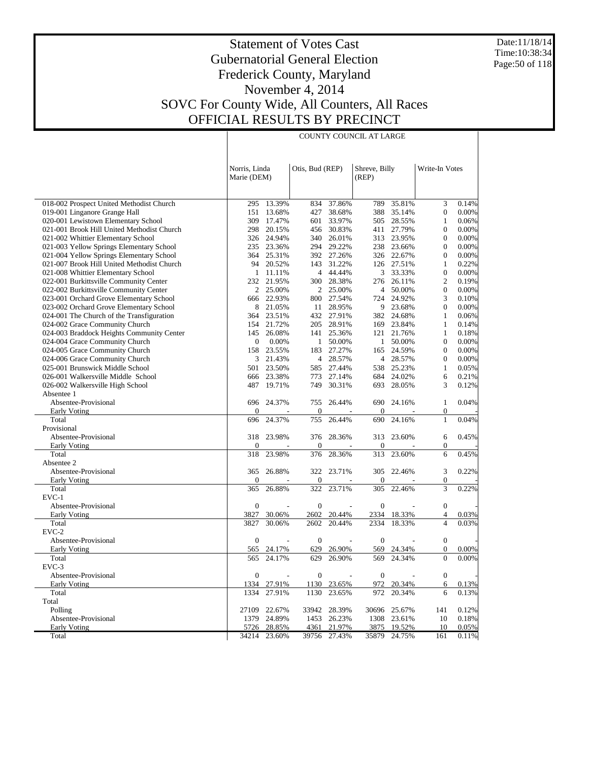Date:11/18/14 Time:10:38:34 Page:50 of 118

 $\overline{\phantom{a}}$ 

# Statement of Votes Cast Gubernatorial General Election Frederick County, Maryland November 4, 2014 SOVC For County Wide, All Counters, All Races OFFICIAL RESULTS BY PRECINCT

 $\top$ 

|                                                                              | Norris, Linda<br>Marie (DEM) |                  | Otis, Bud (REP) |                  | Shreve, Billy<br>(REP) |                      | Write-In Votes                 |                |
|------------------------------------------------------------------------------|------------------------------|------------------|-----------------|------------------|------------------------|----------------------|--------------------------------|----------------|
|                                                                              |                              |                  |                 |                  |                        |                      |                                |                |
| 018-002 Prospect United Methodist Church                                     | 295                          | 13.39%           | 834             | 37.86%           | 789                    | 35.81%               | 3                              | 0.14%          |
| 019-001 Linganore Grange Hall                                                | 151                          | 13.68%           | 427             | 38.68%           | 388                    | 35.14%               | $\overline{0}$                 | 0.00%          |
| 020-001 Lewistown Elementary School                                          | 309                          | 17.47%           | 601             | 33.97%           | 505                    | 28.55%               | 1                              | 0.06%          |
| 021-001 Brook Hill United Methodist Church                                   | 298                          | 20.15%           | 456             | 30.83%           |                        | 411 27.79%           | $\overline{0}$                 | 0.00%          |
| 021-002 Whittier Elementary School                                           | 326                          | 24.94%           | 340             | 26.01%           | 313                    | 23.95%               | $\overline{0}$                 | 0.00%          |
| 021-003 Yellow Springs Elementary School                                     | 235                          | 23.36%           | 294             | 29.22%           |                        | 238 23.66%           | $\overline{0}$                 | 0.00%          |
| 021-004 Yellow Springs Elementary School                                     | 364                          | 25.31%           | 392             | 27.26%           |                        | 326 22.67%           | $\overline{0}$                 | 0.00%          |
| 021-007 Brook Hill United Methodist Church                                   | 94                           | 20.52%           | 143             | 31.22%           |                        | 126 27.51%           | $\mathbf{1}$<br>$\overline{0}$ | 0.22%          |
| 021-008 Whittier Elementary School<br>022-001 Burkittsville Community Center | $\mathbf{1}$<br>232          | 11.11%<br>21.95% | 4<br>300        | 44.44%<br>28.38% | 3                      | 33.33%<br>276 26.11% | $\overline{2}$                 | 0.00%<br>0.19% |
| 022-002 Burkittsville Community Center                                       | $\overline{2}$               | 25.00%           | 2               | 25.00%           |                        | 4 50.00%             | $\overline{0}$                 | 0.00%          |
| 023-001 Orchard Grove Elementary School                                      | 666                          | 22.93%           | 800             | 27.54%           |                        | 724 24.92%           | 3                              | 0.10%          |
| 023-002 Orchard Grove Elementary School                                      | 8                            | 21.05%           | 11              | 28.95%           |                        | 9 23.68%             | $\overline{0}$                 | 0.00%          |
| 024-001 The Church of the Transfiguration                                    | 364                          | 23.51%           | 432             | 27.91%           |                        | 382 24.68%           | $\mathbf{1}$                   | 0.06%          |
| 024-002 Grace Community Church                                               | 154                          | 21.72%           | 205             | 28.91%           | 169                    | 23.84%               | $\mathbf{1}$                   | 0.14%          |
| 024-003 Braddock Heights Community Center                                    | 145                          | 26.08%           | 141             | 25.36%           |                        | 121 21.76%           | $\mathbf{1}$                   | 0.18%          |
| 024-004 Grace Community Church                                               | $\mathbf{0}$                 | 0.00%            | 1               | 50.00%           | 1                      | 50.00%               | $\overline{0}$                 | 0.00%          |
| 024-005 Grace Community Church                                               | 158                          | 23.55%           | 183             | 27.27%           |                        | 165 24.59%           | $\overline{0}$                 | 0.00%          |
| 024-006 Grace Community Church                                               | 3                            | 21.43%           | $\overline{4}$  | 28.57%           |                        | 4 28.57%             | $\overline{0}$                 | 0.00%          |
| 025-001 Brunswick Middle School                                              | 501                          | 23.50%           | 585             | 27.44%           |                        | 538 25.23%           | $\mathbf{1}$                   | 0.05%          |
| 026-001 Walkersville Middle School                                           | 666                          | 23.38%           | 773             | 27.14%           |                        | 684 24.02%           | 6                              | 0.21%          |
| 026-002 Walkersville High School                                             | 487                          | 19.71%           | 749             | 30.31%           | 693                    | 28.05%               | 3                              | 0.12%          |
| Absentee 1                                                                   |                              |                  |                 |                  |                        |                      |                                |                |
| Absentee-Provisional                                                         | 696                          | 24.37%           | 755             | 26.44%           | 690                    | 24.16%               | $\mathbf{1}$                   | 0.04%          |
| <b>Early Voting</b>                                                          | $\Omega$                     |                  | $\Omega$        |                  | $\boldsymbol{0}$       |                      | $\mathbf{0}$                   |                |
| Total                                                                        | 696                          | 24.37%           | 755             | 26.44%           | 690                    | 24.16%               | $\mathbf{1}$                   | 0.04%          |
| Provisional                                                                  |                              |                  |                 |                  |                        |                      |                                |                |
| Absentee-Provisional                                                         | 318                          | 23.98%           | 376             | 28.36%           | 313                    | 23.60%               | 6                              | 0.45%          |
| <b>Early Voting</b>                                                          | $\Omega$                     |                  | $\Omega$        |                  | $\mathbf{0}$           |                      | $\mathbf{0}$                   |                |
| Total                                                                        | 318                          | 23.98%           | 376             | 28.36%           | 313                    | 23.60%               | 6                              | 0.45%          |
| Absentee 2                                                                   |                              |                  |                 |                  |                        |                      |                                |                |
| Absentee-Provisional                                                         | 365                          | 26.88%           | 322             | 23.71%           | 305                    | 22.46%               | 3                              | 0.22%          |
| <b>Early Voting</b>                                                          | $\mathbf{0}$<br>365          |                  | $\theta$<br>322 |                  | $\overline{0}$<br>305  | 22.46%               | $\overline{0}$<br>3            |                |
| Total<br>$EVC-1$                                                             |                              | 26.88%           |                 | 23.71%           |                        |                      |                                | 0.22%          |
| Absentee-Provisional                                                         | $\overline{0}$               |                  | $\overline{0}$  |                  | $\overline{0}$         |                      | $\mathbf{0}$                   |                |
| <b>Early Voting</b>                                                          | 3827                         | 30.06%           | 2602            | 20.44%           | 2334                   | 18.33%               | $\overline{4}$                 | 0.03%          |
| Total                                                                        | 3827                         | 30.06%           | 2602            | 20.44%           | 2334                   | 18.33%               | $\overline{4}$                 | 0.03%          |
| $EVC-2$                                                                      |                              |                  |                 |                  |                        |                      |                                |                |
| Absentee-Provisional                                                         | $\mathbf{0}$                 | ÷.               | $\overline{0}$  | L.               | $\mathbf{0}$           |                      | $\mathbf{0}$                   |                |
| <b>Early Voting</b>                                                          | 565                          | 24.17%           | 629             | 26.90%           | 569                    | 24.34%               | $\overline{0}$                 | 0.00%          |
| Total                                                                        | 565                          | 24.17%           | 629             | 26.90%           | 569                    | 24.34%               | $\theta$                       | 0.00%          |
| $EVC-3$                                                                      |                              |                  |                 |                  |                        |                      |                                |                |
| Absentee-Provisional                                                         | $\mathbf{0}$                 |                  | $\overline{0}$  |                  | $\boldsymbol{0}$       |                      | $\boldsymbol{0}$               |                |
| <b>Early Voting</b>                                                          | 1334                         | 27.91%           | 1130            | 23.65%           | 972                    | 20.34%               | 6                              | 0.13%          |
| Total                                                                        | 1334                         | 27.91%           | 1130            | 23.65%           | 972                    | 20.34%               | 6                              | 0.13%          |
| Total                                                                        |                              |                  |                 |                  |                        |                      |                                |                |
| Polling                                                                      | 27109                        | 22.67%           | 33942           | 28.39%           |                        | 30696 25.67%         | 141                            | 0.12%          |
| Absentee-Provisional                                                         | 1379                         | 24.89%           | 1453            | 26.23%           |                        | 1308 23.61%          | 10                             | 0.18%          |
| Early Voting                                                                 | 5726                         | 28.85%           | 4361            | 21.97%           | 3875                   | 19.52%               | 10                             | 0.05%          |
| Total                                                                        | 34214                        | 23.60%           | 39756           | 27.43%           | 35879                  | 24.75%               | 161                            | 0.11%          |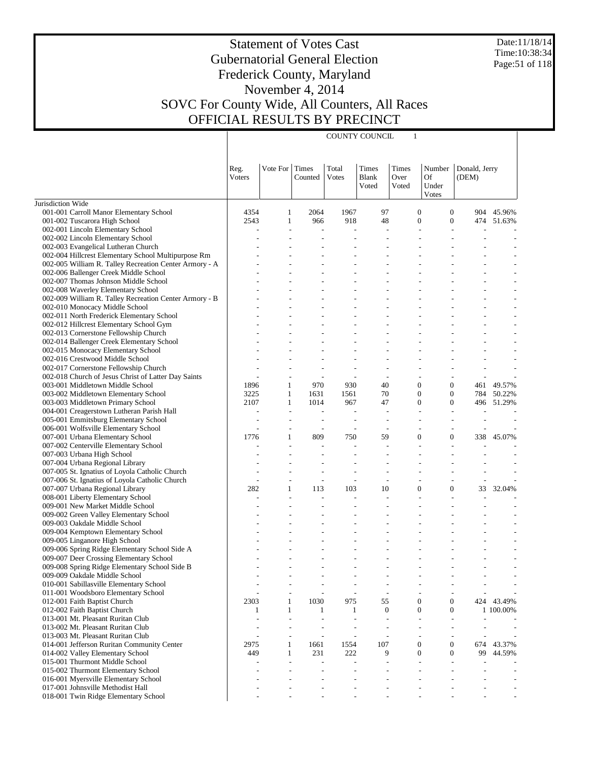Date:11/18/14 Time:10:38:34 Page:51 of 118

# Statement of Votes Cast Gubernatorial General Election Frederick County, Maryland November 4, 2014 SOVC For County Wide, All Counters, All Races OFFICIAL RESULTS BY PRECINCT

|                                                                                                 | <b>COUNTY COUNCIL</b><br>1 |                          |                |                |                          |                          |                                                      |                          |                          |
|-------------------------------------------------------------------------------------------------|----------------------------|--------------------------|----------------|----------------|--------------------------|--------------------------|------------------------------------------------------|--------------------------|--------------------------|
|                                                                                                 |                            |                          |                |                |                          |                          |                                                      |                          |                          |
|                                                                                                 |                            |                          |                |                |                          |                          |                                                      |                          |                          |
|                                                                                                 | Reg.                       | Vote For Times           |                | Total          | Times                    | Times                    | Number                                               | Donald, Jerry            |                          |
|                                                                                                 | Voters                     |                          | Counted        | <b>V</b> otes  | <b>Blank</b>             | Over                     | <b>Of</b>                                            | (DEM)                    |                          |
|                                                                                                 |                            |                          |                |                | Voted                    | Voted                    | Under                                                |                          |                          |
| Jurisdiction Wide                                                                               |                            |                          |                |                |                          |                          | Votes                                                |                          |                          |
| 001-001 Carroll Manor Elementary School                                                         | 4354                       | 1                        | 2064           | 1967           | 97                       | $\mathbf{0}$             | $\boldsymbol{0}$                                     | 904                      | 45.96%                   |
| 001-002 Tuscarora High School                                                                   | 2543                       | 1                        | 966            | 918            | 48                       | $\boldsymbol{0}$         | $\boldsymbol{0}$                                     | 474                      | 51.63%                   |
| 002-001 Lincoln Elementary School                                                               | $\overline{a}$             | $\overline{\phantom{a}}$ | $\overline{a}$ | L,             | $\overline{a}$           | L.                       |                                                      | $\overline{\phantom{a}}$ |                          |
| 002-002 Lincoln Elementary School                                                               |                            |                          |                |                |                          |                          |                                                      |                          |                          |
| 002-003 Evangelical Lutheran Church                                                             |                            |                          |                |                |                          |                          |                                                      |                          |                          |
| 002-004 Hillcrest Elementary School Multipurpose Rm                                             |                            |                          |                |                |                          |                          |                                                      |                          |                          |
| 002-005 William R. Talley Recreation Center Armory - A<br>002-006 Ballenger Creek Middle School |                            | L.                       |                | L.             |                          |                          |                                                      |                          |                          |
| 002-007 Thomas Johnson Middle School                                                            |                            | L,                       |                |                |                          |                          |                                                      |                          |                          |
| 002-008 Waverley Elementary School                                                              |                            |                          |                |                |                          |                          |                                                      |                          |                          |
| 002-009 William R. Talley Recreation Center Armory - B                                          |                            | L.                       |                | L.             |                          |                          |                                                      |                          |                          |
| 002-010 Monocacy Middle School                                                                  |                            |                          |                |                |                          |                          |                                                      |                          |                          |
| 002-011 North Frederick Elementary School                                                       |                            | L,                       |                |                |                          |                          |                                                      |                          |                          |
| 002-012 Hillcrest Elementary School Gym                                                         |                            |                          |                |                |                          |                          |                                                      |                          |                          |
| 002-013 Cornerstone Fellowship Church                                                           |                            | L,                       |                |                |                          |                          |                                                      |                          |                          |
| 002-014 Ballenger Creek Elementary School                                                       |                            |                          |                |                |                          |                          |                                                      |                          |                          |
| 002-015 Monocacy Elementary School<br>002-016 Crestwood Middle School                           |                            |                          |                |                |                          |                          |                                                      |                          |                          |
| 002-017 Cornerstone Fellowship Church                                                           |                            |                          |                | $\overline{a}$ |                          |                          |                                                      |                          |                          |
| 002-018 Church of Jesus Christ of Latter Day Saints                                             |                            |                          | ٠              | $\overline{a}$ | $\overline{\phantom{a}}$ |                          |                                                      | $\overline{\phantom{a}}$ |                          |
| 003-001 Middletown Middle School                                                                | 1896                       | 1                        | 970            | 930            | 40                       | $\mathbf{0}$             | $\overline{0}$                                       | 461                      | 49.57%                   |
| 003-002 Middletown Elementary School                                                            | 3225                       | 1                        | 1631           | 1561           | 70                       | $\mathbf{0}$             | $\boldsymbol{0}$                                     |                          | 784 50.22%               |
| 003-003 Middletown Primary School                                                               | 2107                       | $\mathbf{1}$             | 1014           | 967            | 47                       | $\mathbf{0}$             | $\boldsymbol{0}$                                     |                          | 496 51.29%               |
| 004-001 Creagerstown Lutheran Parish Hall                                                       |                            | ÷,                       |                |                | $\overline{\phantom{a}}$ |                          |                                                      |                          |                          |
| 005-001 Emmitsburg Elementary School                                                            |                            | $\overline{a}$           | ÷              | $\overline{a}$ | $\overline{\phantom{a}}$ |                          |                                                      |                          |                          |
| 006-001 Wolfsville Elementary School                                                            | L.                         | L.                       | ÷,             | $\overline{a}$ | ÷                        |                          |                                                      |                          |                          |
| 007-001 Urbana Elementary School                                                                | 1776                       | 1                        | 809            | 750            | 59                       | $\overline{0}$           | $\boldsymbol{0}$                                     | 338                      | 45.07%                   |
| 007-002 Centerville Elementary School<br>007-003 Urbana High School                             |                            |                          |                |                |                          |                          |                                                      |                          |                          |
| 007-004 Urbana Regional Library                                                                 |                            |                          |                |                |                          |                          |                                                      |                          |                          |
| 007-005 St. Ignatius of Loyola Catholic Church                                                  |                            | L.                       | ÷.             | $\overline{a}$ |                          |                          |                                                      | $\overline{\phantom{a}}$ |                          |
| 007-006 St. Ignatius of Loyola Catholic Church                                                  |                            | $\overline{a}$           | $\overline{a}$ | $\overline{a}$ | $\overline{\phantom{a}}$ |                          |                                                      | $\overline{\phantom{a}}$ |                          |
| 007-007 Urbana Regional Library                                                                 | 282                        | 1                        | 113            | 103            | 10                       | $\mathbf{0}$             | $\overline{0}$                                       | 33                       | 32.04%                   |
| 008-001 Liberty Elementary School                                                               |                            |                          |                |                | L,                       |                          |                                                      |                          |                          |
| 009-001 New Market Middle School                                                                |                            | L.                       |                | L.             |                          |                          |                                                      |                          |                          |
| 009-002 Green Valley Elementary School                                                          |                            |                          |                |                |                          |                          |                                                      |                          |                          |
| 009-003 Oakdale Middle School                                                                   |                            | L,                       |                | ÷,             |                          |                          |                                                      |                          |                          |
| 009-004 Kemptown Elementary School<br>009-005 Linganore High School                             |                            |                          |                | L.             |                          |                          |                                                      |                          | $\overline{a}$           |
| 009-006 Spring Ridge Elementary School Side A                                                   |                            |                          |                |                |                          |                          |                                                      |                          |                          |
| 009-007 Deer Crossing Elementary School                                                         |                            |                          |                |                |                          |                          |                                                      |                          |                          |
| 009-008 Spring Ridge Elementary School Side B                                                   |                            |                          |                |                |                          |                          |                                                      |                          |                          |
| 009-009 Oakdale Middle School                                                                   |                            |                          |                |                |                          |                          |                                                      |                          |                          |
| 010-001 Sabillasville Elementary School                                                         |                            |                          |                |                |                          |                          |                                                      |                          |                          |
| 011-001 Woodsboro Elementary School                                                             |                            |                          |                | $\overline{a}$ |                          |                          |                                                      |                          |                          |
| 012-001 Faith Baptist Church                                                                    | 2303                       | 1                        | 1030           | 975            | 55                       | $\boldsymbol{0}$         | $\boldsymbol{0}$                                     | 424                      | 43.49%                   |
| 012-002 Faith Baptist Church                                                                    | 1                          | 1                        | 1              | 1              | $\boldsymbol{0}$         | $\boldsymbol{0}$         | $\boldsymbol{0}$                                     |                          | 1 100.00%                |
| 013-001 Mt. Pleasant Ruritan Club<br>013-002 Mt. Pleasant Ruritan Club                          |                            | L,<br>L,                 |                | ÷,             |                          | $\overline{\phantom{a}}$ | $\overline{\phantom{a}}$<br>$\overline{\phantom{a}}$ |                          |                          |
| 013-003 Mt. Pleasant Ruritan Club                                                               | $\overline{\phantom{a}}$   |                          |                | $\overline{a}$ | $\overline{a}$           |                          |                                                      |                          |                          |
| 014-001 Jefferson Ruritan Community Center                                                      | 2975                       | 1                        | 1661           | 1554           | 107                      | $\boldsymbol{0}$         | $\boldsymbol{0}$                                     | 674                      | 43.37%                   |
| 014-002 Valley Elementary School                                                                | 449                        | 1                        | 231            | 222            | 9                        | $\boldsymbol{0}$         | $\boldsymbol{0}$                                     | 99                       | 44.59%                   |
| 015-001 Thurmont Middle School                                                                  |                            | $\overline{a}$           | L,             | $\overline{a}$ |                          | $\overline{a}$           | $\overline{a}$                                       |                          |                          |
| 015-002 Thurmont Elementary School                                                              |                            |                          |                |                |                          |                          |                                                      |                          |                          |
| 016-001 Myersville Elementary School                                                            |                            |                          |                |                |                          |                          |                                                      |                          |                          |
| 017-001 Johnsville Methodist Hall                                                               |                            |                          |                |                |                          |                          |                                                      |                          |                          |
| 018-001 Twin Ridge Elementary School                                                            |                            |                          |                |                |                          |                          |                                                      |                          | $\overline{\phantom{a}}$ |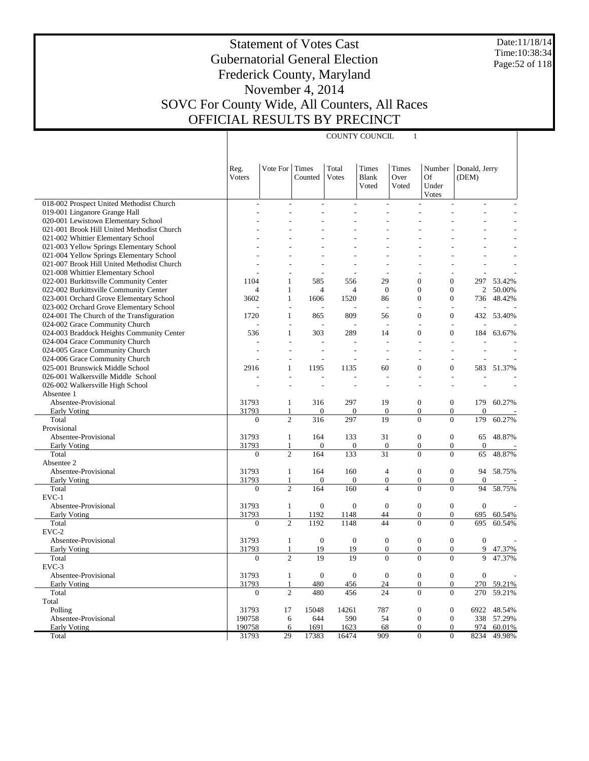Date:11/18/14 Time:10:38:34 Page:52 of 118

 $\overline{\phantom{a}}$ 

# Statement of Votes Cast Gubernatorial General Election Frederick County, Maryland November 4, 2014 SOVC For County Wide, All Counters, All Races OFFICIAL RESULTS BY PRECINCT

 $\overline{\phantom{a}}$ 

|                                                                                  | Reg.<br>Voters | Vote For                       | <b>Times</b><br>Counted | Total<br><b>Votes</b> | Times<br><b>Blank</b><br>Voted | Times<br>Over<br>Voted                       | Number<br>Of<br>Under<br>Votes | Donald, Jerry<br>(DEM) |        |
|----------------------------------------------------------------------------------|----------------|--------------------------------|-------------------------|-----------------------|--------------------------------|----------------------------------------------|--------------------------------|------------------------|--------|
| 018-002 Prospect United Methodist Church                                         |                |                                |                         |                       |                                |                                              |                                | $\overline{a}$         |        |
| 019-001 Linganore Grange Hall                                                    |                |                                |                         |                       |                                |                                              |                                | L,                     |        |
| 020-001 Lewistown Elementary School                                              |                |                                |                         |                       |                                |                                              |                                |                        |        |
| 021-001 Brook Hill United Methodist Church                                       |                |                                |                         |                       |                                |                                              |                                |                        |        |
| 021-002 Whittier Elementary School                                               |                |                                |                         |                       |                                |                                              |                                |                        |        |
| 021-003 Yellow Springs Elementary School                                         |                |                                |                         |                       |                                |                                              |                                |                        |        |
| 021-004 Yellow Springs Elementary School                                         |                |                                |                         |                       |                                |                                              |                                |                        |        |
| 021-007 Brook Hill United Methodist Church                                       |                |                                |                         |                       |                                |                                              |                                |                        |        |
| 021-008 Whittier Elementary School                                               | 1104           | ÷,<br>$\mathbf{1}$             | ٠<br>585                | $\overline{a}$<br>556 | ÷,<br>29                       | $\overline{\phantom{a}}$<br>$\boldsymbol{0}$ | J.<br>$\boldsymbol{0}$         | Ĭ.<br>297              | 53.42% |
| 022-001 Burkittsville Community Center<br>022-002 Burkittsville Community Center | 4              | 1                              | $\overline{4}$          | 4                     | $\mathbf{0}$                   | $\mathbf{0}$                                 | $\mathbf{0}$                   | $\overline{c}$         | 50.00% |
| 023-001 Orchard Grove Elementary School                                          | 3602           | $\mathbf{1}$                   | 1606                    | 1520                  | 86                             | $\overline{0}$                               | $\overline{0}$                 | 736                    | 48.42% |
| 023-002 Orchard Grove Elementary School                                          |                | L,                             | L,                      |                       | L,                             | L,                                           | l,                             |                        |        |
| 024-001 The Church of the Transfiguration                                        | 1720           | $\mathbf{1}$                   | 865                     | 809                   | 56                             | $\theta$                                     | $\Omega$                       | 432                    | 53.40% |
| 024-002 Grace Community Church                                                   |                | $\overline{a}$                 | $\overline{a}$          |                       | L.                             | L,                                           | L,                             |                        |        |
| 024-003 Braddock Heights Community Center                                        | 536            | $\mathbf{1}$                   | 303                     | 289                   | 14                             | $\overline{0}$                               | $\mathbf{0}$                   | 184                    | 63.67% |
| 024-004 Grace Community Church                                                   |                |                                |                         |                       | Ĭ.                             | $\overline{a}$                               | Ĭ.                             |                        |        |
| 024-005 Grace Community Church                                                   |                |                                |                         |                       | L,                             | L,                                           | L,                             |                        |        |
| 024-006 Grace Community Church                                                   |                | L,                             |                         | ÷,                    | Ĭ.                             | Ĭ.                                           | Ĭ.                             |                        |        |
| 025-001 Brunswick Middle School                                                  | 2916           | $\mathbf{1}$                   | 1195                    | 1135                  | 60                             | $\mathbf{0}$                                 | $\boldsymbol{0}$               | 583                    | 51.37% |
| 026-001 Walkersville Middle School                                               |                | L.                             |                         | L.                    |                                | $\overline{a}$                               | L.                             |                        |        |
| 026-002 Walkersville High School                                                 |                |                                |                         |                       |                                |                                              |                                |                        |        |
| Absentee 1                                                                       |                |                                |                         |                       |                                |                                              |                                |                        |        |
| Absentee-Provisional                                                             | 31793          | $\mathbf{1}$                   | 316                     | 297                   | 19                             | $\overline{0}$                               | $\overline{0}$                 | 179                    | 60.27% |
| Early Voting                                                                     | 31793          | 1                              | $\mathbf{0}$            | $\boldsymbol{0}$      | $\boldsymbol{0}$               | $\boldsymbol{0}$                             | $\overline{0}$                 | $\overline{0}$         |        |
| Total                                                                            | $\Omega$       | $\overline{c}$                 | 316                     | 297                   | 19                             | $\overline{0}$                               | $\Omega$                       | 179                    | 60.27% |
| Provisional                                                                      |                |                                |                         |                       |                                |                                              |                                |                        |        |
| Absentee-Provisional                                                             | 31793          | $\mathbf{1}$                   | 164                     | 133                   | 31                             | $\overline{0}$                               | $\overline{0}$                 | 65                     | 48.87% |
| <b>Early Voting</b>                                                              | 31793          | $\mathbf{1}$<br>$\overline{c}$ | $\mathbf{0}$            | $\mathbf{0}$          | $\overline{0}$<br>31           | $\overline{0}$<br>$\theta$                   | $\overline{0}$<br>$\theta$     | $\mathbf{0}$           |        |
| Total                                                                            | $\Omega$       |                                | 164                     | 133                   |                                |                                              |                                | 65                     | 48.87% |
| Absentee 2<br>Absentee-Provisional                                               | 31793          | $\mathbf{1}$                   | 164                     | 160                   | 4                              | $\boldsymbol{0}$                             | $\boldsymbol{0}$               | 94                     | 58.75% |
| <b>Early Voting</b>                                                              | 31793          | 1                              | $\overline{0}$          | $\mathbf{0}$          | $\overline{0}$                 | $\overline{0}$                               | $\overline{0}$                 | $\overline{0}$         |        |
| Total                                                                            | $\Omega$       | $\overline{2}$                 | 164                     | 160                   | $\overline{4}$                 | $\overline{0}$                               | $\overline{0}$                 | 94                     | 58.75% |
| $EVC-1$                                                                          |                |                                |                         |                       |                                |                                              |                                |                        |        |
| Absentee-Provisional                                                             | 31793          | $\mathbf{1}$                   | $\overline{0}$          | $\overline{0}$        | $\boldsymbol{0}$               | $\boldsymbol{0}$                             | $\boldsymbol{0}$               | $\mathbf{0}$           |        |
| <b>Early Voting</b>                                                              | 31793          | $\mathbf{1}$                   | 1192                    | 1148                  | 44                             | $\overline{0}$                               | $\overline{0}$                 | 695                    | 60.54% |
| Total                                                                            | $\mathbf{0}$   | $\overline{c}$                 | 1192                    | 1148                  | 44                             | $\Omega$                                     | $\Omega$                       | 695                    | 60.54% |
| $EVC-2$                                                                          |                |                                |                         |                       |                                |                                              |                                |                        |        |
| Absentee-Provisional                                                             | 31793          | $\mathbf{1}$                   | $\boldsymbol{0}$        | $\boldsymbol{0}$      | $\boldsymbol{0}$               | $\boldsymbol{0}$                             | $\boldsymbol{0}$               | $\mathbf{0}$           |        |
| <b>Early Voting</b>                                                              | 31793          | $\mathbf{1}$                   | 19                      | 19                    | $\boldsymbol{0}$               | $\boldsymbol{0}$                             | $\boldsymbol{0}$               | 9                      | 47.37% |
| Total                                                                            | $\mathbf{0}$   | $\overline{c}$                 | 19                      | 19                    | $\overline{0}$                 | $\Omega$                                     | $\overline{0}$                 | 9                      | 47.37% |
| $EVC-3$                                                                          |                |                                |                         |                       |                                |                                              |                                |                        |        |
| Absentee-Provisional                                                             | 31793          | $\mathbf{1}$                   | $\overline{0}$          | $\overline{0}$        | $\overline{0}$                 | $\overline{0}$                               | $\overline{0}$                 | $\mathbf{0}$           |        |
| <b>Early Voting</b>                                                              | 31793          | $\mathbf{1}$                   | 480                     | 456                   | 24                             | $\boldsymbol{0}$                             | $\boldsymbol{0}$               | 270                    | 59.21% |
| Total                                                                            | $\mathbf{0}$   | $\overline{c}$                 | 480                     | 456                   | 24                             | $\theta$                                     | $\Omega$                       | 270                    | 59.21% |
| Total                                                                            |                |                                |                         |                       |                                |                                              |                                |                        |        |
| Polling                                                                          | 31793          | 17                             | 15048                   | 14261                 | 787                            | $\boldsymbol{0}$                             | $\boldsymbol{0}$               | 6922                   | 48.54% |
| Absentee-Provisional                                                             | 190758         | 6                              | 644                     | 590                   | 54                             | $\overline{0}$                               | $\overline{0}$                 | 338                    | 57.29% |
| Early Voting                                                                     | 190758         | 6<br>29                        | 1691                    | 1623                  | 68<br>909                      | $\Omega$<br>$\Omega$                         | $\Omega$<br>$\Omega$           | 974                    | 60.01% |
| Total                                                                            | 31793          |                                | 17383                   | 16474                 |                                |                                              |                                | 8234                   | 49.98% |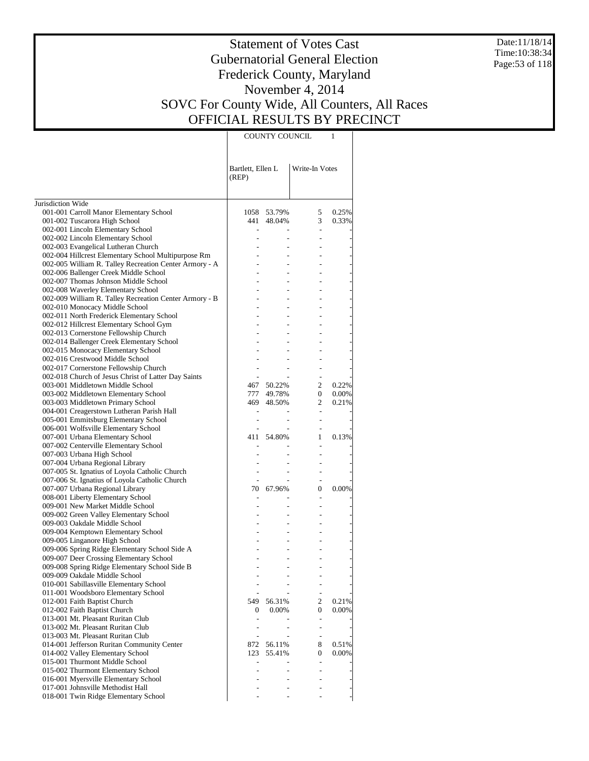Date:11/18/14 Time:10:38:34 Page:53 of 118

# Statement of Votes Cast Gubernatorial General Election Frederick County, Maryland November 4, 2014 SOVC For County Wide, All Counters, All Races OFFICIAL RESULTS BY PRECINCT

|                                                                                              | Bartlett, Ellen L<br>(REP) |             | Write-In Votes                |       |  |  |
|----------------------------------------------------------------------------------------------|----------------------------|-------------|-------------------------------|-------|--|--|
| Jurisdiction Wide                                                                            |                            |             |                               |       |  |  |
| 001-001 Carroll Manor Elementary School                                                      |                            | 1058 53.79% | 5                             | 0.25% |  |  |
| 001-002 Tuscarora High School<br>002-001 Lincoln Elementary School                           |                            | 441 48.04%  | 3                             | 0.33% |  |  |
| 002-002 Lincoln Elementary School                                                            |                            |             | $\overline{\phantom{a}}$      |       |  |  |
| 002-003 Evangelical Lutheran Church                                                          |                            |             |                               |       |  |  |
| 002-004 Hillcrest Elementary School Multipurpose Rm                                          |                            |             |                               |       |  |  |
| 002-005 William R. Talley Recreation Center Armory - A                                       |                            |             |                               |       |  |  |
| 002-006 Ballenger Creek Middle School                                                        |                            |             |                               |       |  |  |
| 002-007 Thomas Johnson Middle School                                                         |                            |             |                               |       |  |  |
| 002-008 Waverley Elementary School                                                           |                            |             |                               |       |  |  |
| 002-009 William R. Talley Recreation Center Armory - B                                       |                            |             |                               |       |  |  |
| 002-010 Monocacy Middle School                                                               |                            |             |                               |       |  |  |
| 002-011 North Frederick Elementary School                                                    |                            |             |                               |       |  |  |
| 002-012 Hillcrest Elementary School Gym                                                      |                            |             |                               |       |  |  |
| 002-013 Cornerstone Fellowship Church                                                        |                            |             |                               |       |  |  |
| 002-014 Ballenger Creek Elementary School                                                    |                            |             |                               |       |  |  |
| 002-015 Monocacy Elementary School                                                           |                            |             |                               |       |  |  |
| 002-016 Crestwood Middle School                                                              |                            |             |                               |       |  |  |
| 002-017 Cornerstone Fellowship Church<br>002-018 Church of Jesus Christ of Latter Day Saints |                            |             |                               |       |  |  |
| 003-001 Middletown Middle School                                                             |                            | 467 50.22%  | 2                             | 0.22% |  |  |
| 003-002 Middletown Elementary School                                                         |                            | 777 49.78%  | $\overline{0}$                | 0.00% |  |  |
| 003-003 Middletown Primary School                                                            |                            | 469 48.50%  | 2                             | 0.21% |  |  |
| 004-001 Creagerstown Lutheran Parish Hall                                                    |                            |             | $\blacksquare$                |       |  |  |
| 005-001 Emmitsburg Elementary School                                                         |                            |             | $\overline{\phantom{a}}$      |       |  |  |
| 006-001 Wolfsville Elementary School                                                         |                            |             |                               |       |  |  |
| 007-001 Urbana Elementary School                                                             |                            | 411 54.80%  | 1                             | 0.13% |  |  |
| 007-002 Centerville Elementary School                                                        |                            |             | $\overline{a}$                |       |  |  |
| 007-003 Urbana High School                                                                   |                            |             |                               |       |  |  |
| 007-004 Urbana Regional Library                                                              |                            |             |                               |       |  |  |
| 007-005 St. Ignatius of Loyola Catholic Church                                               |                            |             |                               |       |  |  |
| 007-006 St. Ignatius of Loyola Catholic Church                                               |                            |             |                               |       |  |  |
| 007-007 Urbana Regional Library                                                              |                            | 70 67.96%   | 0                             | 0.00% |  |  |
| 008-001 Liberty Elementary School<br>009-001 New Market Middle School                        |                            |             |                               |       |  |  |
| 009-002 Green Valley Elementary School                                                       |                            |             |                               |       |  |  |
| 009-003 Oakdale Middle School                                                                |                            |             |                               |       |  |  |
| 009-004 Kemptown Elementary School                                                           |                            |             |                               |       |  |  |
| 009-005 Linganore High School                                                                |                            |             |                               |       |  |  |
| 009-006 Spring Ridge Elementary School Side A                                                |                            |             |                               |       |  |  |
| 009-007 Deer Crossing Elementary School                                                      |                            |             |                               |       |  |  |
| 009-008 Spring Ridge Elementary School Side B                                                |                            |             |                               |       |  |  |
| 009-009 Oakdale Middle School                                                                |                            |             |                               |       |  |  |
| 010-001 Sabillasville Elementary School                                                      |                            |             | ۰                             |       |  |  |
| 011-001 Woodsboro Elementary School                                                          |                            |             | $\overline{\phantom{a}}$      |       |  |  |
| 012-001 Faith Baptist Church                                                                 | 549                        | 56.31%      | 2                             | 0.21% |  |  |
| 012-002 Faith Baptist Church                                                                 | 0                          | 0.00%       | 0                             | 0.00% |  |  |
| 013-001 Mt. Pleasant Ruritan Club                                                            |                            |             | $\overline{\phantom{0}}$      |       |  |  |
| 013-002 Mt. Pleasant Ruritan Club                                                            |                            |             | $\overline{\phantom{a}}$      |       |  |  |
| 013-003 Mt. Pleasant Ruritan Club<br>014-001 Jefferson Ruritan Community Center              | 872                        | 56.11%      | $\overline{\phantom{a}}$<br>8 | 0.51% |  |  |
| 014-002 Valley Elementary School                                                             | 123                        | 55.41%      | $\overline{0}$                | 0.00% |  |  |
| 015-001 Thurmont Middle School                                                               | $\qquad \qquad -$          |             | $\overline{\phantom{0}}$      |       |  |  |
| 015-002 Thurmont Elementary School                                                           |                            |             |                               |       |  |  |
| 016-001 Myersville Elementary School                                                         |                            |             |                               |       |  |  |
| 017-001 Johnsville Methodist Hall                                                            |                            |             |                               |       |  |  |
| 018-001 Twin Ridge Elementary School                                                         |                            |             | $\overline{a}$                |       |  |  |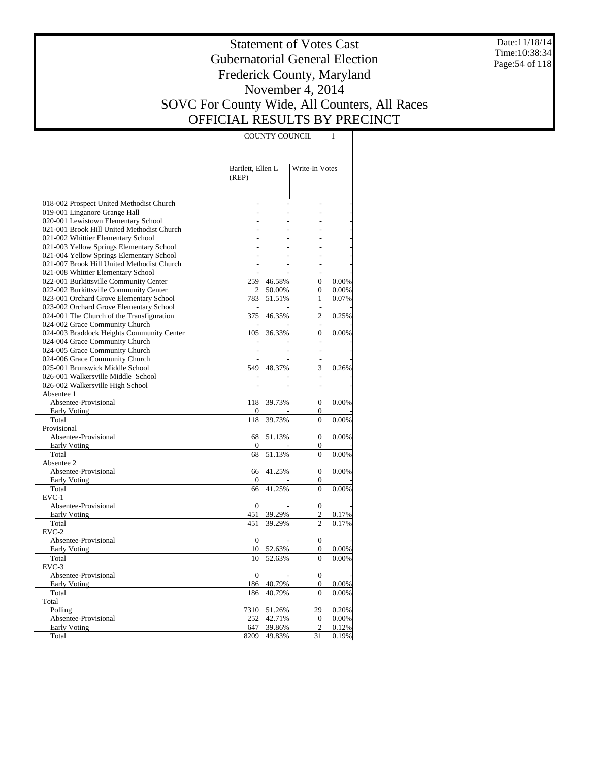Date:11/18/14 Time:10:38:34 Page:54 of 118

# Statement of Votes Cast Gubernatorial General Election Frederick County, Maryland November 4, 2014 SOVC For County Wide, All Counters, All Races OFFICIAL RESULTS BY PRECINCT

|                                            | Bartlett, Ellen L<br>(REP) |             | Write-In Votes             |                |
|--------------------------------------------|----------------------------|-------------|----------------------------|----------------|
| 018-002 Prospect United Methodist Church   |                            |             |                            |                |
| 019-001 Linganore Grange Hall              |                            |             |                            |                |
| 020-001 Lewistown Elementary School        |                            |             |                            |                |
| 021-001 Brook Hill United Methodist Church |                            |             |                            |                |
| 021-002 Whittier Elementary School         |                            |             |                            |                |
| 021-003 Yellow Springs Elementary School   |                            |             |                            |                |
| 021-004 Yellow Springs Elementary School   |                            |             |                            |                |
| 021-007 Brook Hill United Methodist Church |                            |             |                            |                |
| 021-008 Whittier Elementary School         |                            |             |                            |                |
| 022-001 Burkittsville Community Center     |                            | 259 46.58%  | $\mathbf{0}$               | 0.00%          |
| 022-002 Burkittsville Community Center     |                            | 2 50.00%    | $\mathbf{0}$               | 0.00%          |
| 023-001 Orchard Grove Elementary School    |                            | 783 51.51%  | $\mathbf{1}$               | 0.07%          |
| 023-002 Orchard Grove Elementary School    |                            |             | $\overline{a}$             |                |
| 024-001 The Church of the Transfiguration  | 375                        | 46.35%      | $\overline{c}$             | 0.25%          |
| 024-002 Grace Community Church             |                            |             |                            |                |
| 024-003 Braddock Heights Community Center  | 105                        | 36.33%      | $\boldsymbol{0}$           | 0.00%          |
| 024-004 Grace Community Church             |                            |             |                            |                |
| 024-005 Grace Community Church             |                            |             | L.                         |                |
| 024-006 Grace Community Church             |                            |             | $\overline{a}$             |                |
| 025-001 Brunswick Middle School            |                            | 549 48.37%  | 3                          | 0.26%          |
| 026-001 Walkersville Middle School         |                            |             |                            |                |
| 026-002 Walkersville High School           |                            |             |                            |                |
| Absentee 1                                 |                            |             |                            |                |
| Absentee-Provisional                       |                            | 118 39.73%  | $\mathbf{0}$               | 0.00%          |
| Early Voting                               | $\Omega$                   |             | $\mathbf{0}$               |                |
| Total                                      | 118                        | 39.73%      | $\Omega$                   | 0.00%          |
| Provisional                                |                            |             |                            |                |
| Absentee-Provisional                       | 68                         | 51.13%      | $\mathbf{0}$               | 0.00%          |
| Early Voting                               | $\mathbf{0}$               |             | 0                          |                |
| Total                                      | 68                         | 51.13%      | $\Omega$                   | 0.00%          |
| Absentee 2                                 |                            |             |                            |                |
| Absentee-Provisional                       |                            | 66 41.25%   | $\mathbf{0}$               | 0.00%          |
| Early Voting                               | $\Omega$                   | 41.25%      | $\overline{0}$<br>$\Omega$ |                |
| Total<br>$EVC-1$                           | 66                         |             |                            | 0.00%          |
| Absentee-Provisional                       | $\mathbf{0}$               |             | $\boldsymbol{0}$           |                |
|                                            | 451                        | 39.29%      | 2                          |                |
| Early Voting<br>Total                      | 451                        | 39.29%      | 2                          | 0.17%<br>0.17% |
| $EVC-2$                                    |                            |             |                            |                |
| Absentee-Provisional                       | $\overline{0}$             |             | $\overline{0}$             |                |
| Early Voting                               | 10                         | 52.63%      | $\overline{0}$             | 0.00%          |
| Total                                      | 10                         | 52.63%      | $\Omega$                   | 0.00%          |
| $EVC-3$                                    |                            |             |                            |                |
| Absentee-Provisional                       | $\mathbf{0}$               |             | $\boldsymbol{0}$           |                |
| <b>Early Voting</b>                        | 186                        | 40.79%      | $\overline{0}$             | $0.00\%$       |
| Total                                      | 186                        | 40.79%      | $\Omega$                   | 0.00%          |
| Total                                      |                            |             |                            |                |
| Polling                                    |                            | 7310 51.26% | 29                         | 0.20%          |
| Absentee-Provisional                       |                            | 252 42.71%  | $\Omega$                   | $0.00\%$       |
| Early Voting                               | 647                        | 39.86%      | $\overline{c}$             | 0.12%          |
| Total                                      | 8209                       | 49.83%      | 31                         | 0.19%          |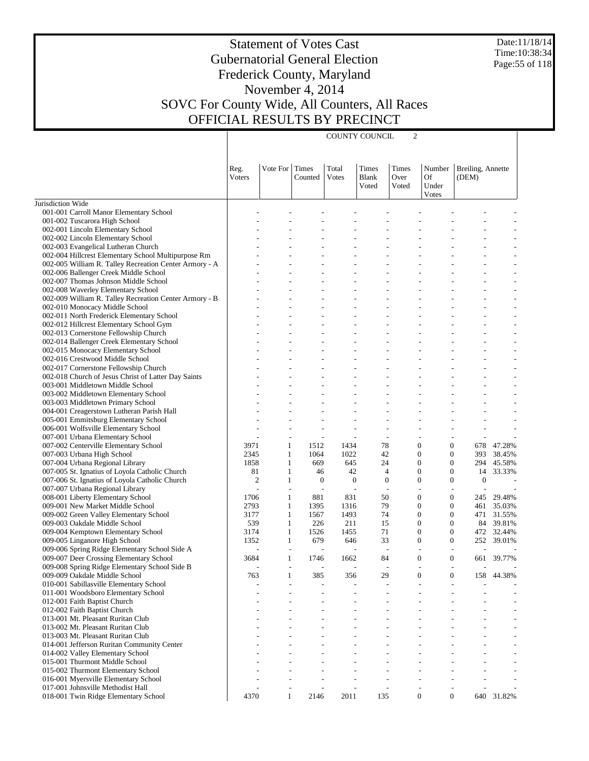Date:11/18/14 Time:10:38:34 Page:55 of 118

## Statement of Votes Cast Gubernatorial General Election Frederick County, Maryland November 4, 2014 SOVC For County Wide, All Counters, All Races OFFICIAL RESULTS BY PRECINCT COUNTY COUNCIL 2

 $\overline{\phantom{a}}$ 

|                                                                     | Reg.<br>Voters           | Vote For                     | Times<br>Counted | Total<br>Votes | Times<br><b>Blank</b><br>Voted | Times<br>Over<br>Voted   | Number<br>Of<br>Under<br>Votes                   | Breiling, Annette<br>(DEM) |                      |
|---------------------------------------------------------------------|--------------------------|------------------------------|------------------|----------------|--------------------------------|--------------------------|--------------------------------------------------|----------------------------|----------------------|
| Jurisdiction Wide                                                   |                          |                              |                  |                |                                |                          |                                                  |                            |                      |
| 001-001 Carroll Manor Elementary School                             |                          |                              |                  |                |                                |                          |                                                  |                            |                      |
| 001-002 Tuscarora High School                                       |                          | L.                           |                  | $\overline{a}$ |                                |                          |                                                  |                            |                      |
| 002-001 Lincoln Elementary School                                   |                          |                              |                  |                |                                |                          |                                                  |                            |                      |
| 002-002 Lincoln Elementary School                                   |                          |                              |                  |                | $\overline{a}$                 |                          |                                                  |                            |                      |
| 002-003 Evangelical Lutheran Church                                 |                          |                              |                  |                |                                |                          |                                                  |                            |                      |
| 002-004 Hillcrest Elementary School Multipurpose Rm                 |                          | ÷.                           |                  |                | $\overline{a}$                 | ÷                        | $\sim$                                           | ÷                          |                      |
| 002-005 William R. Talley Recreation Center Armory - A              |                          |                              |                  |                |                                |                          |                                                  |                            |                      |
| 002-006 Ballenger Creek Middle School                               |                          | L,                           |                  |                | $\overline{a}$                 |                          |                                                  | $\overline{a}$             |                      |
| 002-007 Thomas Johnson Middle School                                |                          |                              |                  |                |                                |                          |                                                  |                            |                      |
| 002-008 Waverley Elementary School                                  |                          | L.                           |                  |                | $\overline{a}$                 |                          |                                                  | $\overline{a}$             |                      |
| 002-009 William R. Talley Recreation Center Armory - B              |                          |                              |                  |                |                                |                          |                                                  |                            |                      |
| 002-010 Monocacy Middle School                                      |                          | L.                           |                  |                | $\overline{a}$                 | ÷                        | $\overline{a}$                                   | $\overline{a}$             |                      |
| 002-011 North Frederick Elementary School                           |                          |                              |                  |                |                                |                          |                                                  |                            |                      |
| 002-012 Hillcrest Elementary School Gym                             |                          |                              |                  |                | $\overline{a}$                 |                          |                                                  |                            |                      |
| 002-013 Cornerstone Fellowship Church                               |                          |                              |                  |                |                                |                          |                                                  |                            |                      |
| 002-014 Ballenger Creek Elementary School                           |                          | $\overline{a}$               |                  | $\overline{a}$ | $\overline{a}$                 | ÷                        | $\overline{a}$                                   | ÷<br>$\overline{a}$        |                      |
| 002-015 Monocacy Elementary School                                  |                          |                              |                  |                |                                |                          |                                                  |                            |                      |
| 002-016 Crestwood Middle School                                     |                          |                              |                  |                | $\overline{a}$                 |                          |                                                  | $\overline{a}$             |                      |
| 002-017 Cornerstone Fellowship Church                               |                          |                              |                  |                |                                |                          |                                                  |                            |                      |
| 002-018 Church of Jesus Christ of Latter Day Saints                 |                          | L.                           |                  |                | $\overline{a}$                 | ÷                        |                                                  | $\overline{a}$             |                      |
| 003-001 Middletown Middle School                                    |                          |                              |                  |                |                                |                          |                                                  |                            |                      |
| 003-002 Middletown Elementary School                                |                          | L.                           |                  |                | $\overline{a}$                 |                          | $\overline{a}$                                   | $\overline{a}$             |                      |
| 003-003 Middletown Primary School                                   |                          |                              |                  |                |                                |                          |                                                  |                            |                      |
| 004-001 Creagerstown Lutheran Parish Hall                           |                          |                              |                  |                | $\overline{a}$                 |                          |                                                  |                            |                      |
| 005-001 Emmitsburg Elementary School                                |                          |                              |                  |                |                                |                          |                                                  |                            |                      |
| 006-001 Wolfsville Elementary School                                |                          | $\overline{a}$               |                  | $\overline{a}$ | $\overline{a}$                 | $\overline{a}$           | $\overline{a}$                                   | $\sim$                     |                      |
| 007-001 Urbana Elementary School                                    | $\overline{a}$           | $\overline{a}$               |                  | $\overline{a}$ | $\overline{a}$                 | $\tilde{\phantom{a}}$    | $\overline{a}$                                   | $\overline{a}$             |                      |
| 007-002 Centerville Elementary School                               | 3971                     | $\mathbf{1}$                 | 1512             | 1434           |                                | 78                       | $\mathbf{0}$<br>$\mathbf{0}$                     | 678                        | 47.28%               |
| 007-003 Urbana High School                                          | 2345                     | 1                            | 1064             | 1022           |                                | 42                       | $\boldsymbol{0}$<br>$\mathbf{0}$                 | 393                        | 38.45%               |
| 007-004 Urbana Regional Library                                     | 1858                     | 1                            | 669              | 645            |                                | 24                       | $\mathbf{0}$<br>$\mathbf{0}$                     | 294                        | 45.58%               |
| 007-005 St. Ignatius of Loyola Catholic Church                      | 81                       | 1                            | 46               |                | 42                             | 4                        | $\boldsymbol{0}$<br>$\mathbf{0}$<br>$\mathbf{0}$ | 14                         | 33.33%               |
| 007-006 St. Ignatius of Loyola Catholic Church                      | $\mathfrak{2}$           | $\mathbf{1}$                 | $\theta$         |                | $\mathbf{0}$                   | $\boldsymbol{0}$         | $\mathbf{0}$                                     | $\boldsymbol{0}$           |                      |
| 007-007 Urbana Regional Library                                     | $\overline{\phantom{a}}$ | ÷,                           |                  | $\overline{a}$ | ÷,                             | $\overline{\phantom{a}}$ | L,<br>$\mathbf{0}$<br>$\mathbf{0}$               | $\overline{\phantom{a}}$   |                      |
| 008-001 Liberty Elementary School                                   | 1706                     | $\mathbf{1}$                 | 881              | 831            |                                | 50                       | $\boldsymbol{0}$<br>$\mathbf{0}$                 |                            | 245 29.48%           |
| 009-001 New Market Middle School                                    | 2793                     | 1                            | 1395             | 1316           |                                | 79                       | $\mathbf{0}$<br>$\mathbf{0}$                     | 461                        | 35.03%               |
| 009-002 Green Valley Elementary School                              | 3177                     | $\mathbf{1}$                 | 1567             | 1493           |                                | 74                       | $\boldsymbol{0}$<br>$\mathbf{0}$                 |                            | 471 31.55%           |
| 009-003 Oakdale Middle School                                       | 539<br>3174              | $\mathbf{1}$<br>$\mathbf{1}$ | 226<br>1526      | 211<br>1455    |                                | 15<br>71                 | $\mathbf{0}$<br>$\mathbf{0}$                     | 84                         | 39.81%<br>472 32.44% |
| 009-004 Kemptown Elementary School<br>009-005 Linganore High School | 1352                     | 1                            | 679              | 646            |                                | 33                       | $\mathbf{0}$<br>$\mathbf{0}$                     |                            | 252 39.01%           |
| 009-006 Spring Ridge Elementary School Side A                       | $\overline{a}$           | $\overline{a}$               |                  | $\overline{a}$ | J.                             | $\overline{\phantom{a}}$ |                                                  | $\overline{\phantom{a}}$   |                      |
| 009-007 Deer Crossing Elementary School                             | 3684                     | 1                            | 1746             | 1662           |                                | 84                       | $\boldsymbol{0}$<br>$\boldsymbol{0}$             |                            | 661 39.77%           |
| 009-008 Spring Ridge Elementary School Side B                       |                          | $\overline{\phantom{a}}$     |                  | $\overline{a}$ | $\overline{a}$                 |                          | $\overline{a}$                                   | $\overline{\phantom{a}}$   |                      |
| 009-009 Oakdale Middle School                                       | 763                      | 1                            | 385              | 356            | 29                             |                          | $\boldsymbol{0}$<br>$\boldsymbol{0}$             | 158                        | 44.38%               |
| 010-001 Sabillasville Elementary School                             |                          |                              |                  |                |                                |                          |                                                  |                            |                      |
| 011-001 Woodsboro Elementary School                                 |                          |                              |                  |                |                                |                          |                                                  |                            |                      |
| 012-001 Faith Baptist Church                                        |                          |                              |                  |                | ÷                              |                          |                                                  |                            |                      |
| 012-002 Faith Baptist Church                                        |                          |                              |                  |                |                                |                          |                                                  |                            |                      |
| 013-001 Mt. Pleasant Ruritan Club                                   |                          |                              |                  |                |                                |                          |                                                  |                            |                      |
| 013-002 Mt. Pleasant Ruritan Club                                   |                          |                              |                  |                |                                |                          |                                                  |                            |                      |
| 013-003 Mt. Pleasant Ruritan Club                                   |                          |                              |                  |                |                                |                          |                                                  |                            |                      |
| 014-001 Jefferson Ruritan Community Center                          |                          |                              |                  |                |                                |                          |                                                  |                            |                      |
| 014-002 Valley Elementary School                                    |                          |                              |                  |                |                                |                          |                                                  |                            |                      |
| 015-001 Thurmont Middle School                                      |                          |                              |                  |                |                                |                          |                                                  |                            |                      |
| 015-002 Thurmont Elementary School                                  |                          |                              |                  |                |                                |                          |                                                  |                            |                      |
| 016-001 Myersville Elementary School                                |                          |                              |                  |                |                                |                          |                                                  |                            |                      |
| 017-001 Johnsville Methodist Hall                                   |                          | J.                           |                  |                | ÷                              |                          | ÷,                                               | ÷                          |                      |
| 018-001 Twin Ridge Elementary School                                | 4370                     | 1                            | 2146             | 2011           | 135                            |                          | $\mathbf{0}$<br>$\mathbf{0}$                     |                            | 640 31.82%           |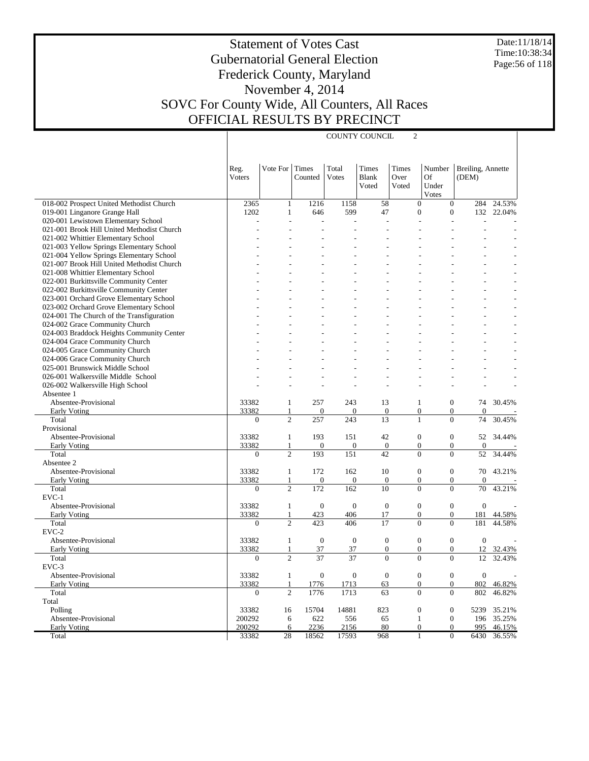Date:11/18/14 Time:10:38:34 Page:56 of 118

# Statement of Votes Cast Gubernatorial General Election Frederick County, Maryland November 4, 2014 SOVC For County Wide, All Counters, All Races OFFICIAL RESULTS BY PRECINCT

|                                            | Reg.<br><b>Voters</b> | Vote For       | Times<br>Counted | Total<br><b>V</b> otes | Times<br><b>Blank</b><br>Voted | Times<br>Over<br>Voted | Number<br>Of<br>Under<br><b>V</b> otes | Breiling, Annette<br>(DEM) |            |
|--------------------------------------------|-----------------------|----------------|------------------|------------------------|--------------------------------|------------------------|----------------------------------------|----------------------------|------------|
| 018-002 Prospect United Methodist Church   | 2365                  | 1              | 1216             | 1158                   | 58                             | $\mathbf{0}$           | $\mathbf{0}$                           | 284                        | 24.53%     |
| 019-001 Linganore Grange Hall              | 1202                  | $\mathbf{1}$   | 646              | 599                    | 47                             | $\overline{0}$         | $\mathbf{0}$                           | 132                        | 22.04%     |
| 020-001 Lewistown Elementary School        |                       | L.             |                  |                        |                                |                        |                                        | L,                         |            |
| 021-001 Brook Hill United Methodist Church |                       |                |                  |                        |                                |                        |                                        |                            |            |
| 021-002 Whittier Elementary School         |                       |                |                  |                        |                                |                        |                                        |                            |            |
| 021-003 Yellow Springs Elementary School   |                       |                |                  |                        |                                |                        |                                        |                            |            |
| 021-004 Yellow Springs Elementary School   |                       |                |                  |                        |                                |                        |                                        |                            |            |
| 021-007 Brook Hill United Methodist Church |                       |                |                  |                        |                                |                        |                                        |                            |            |
| 021-008 Whittier Elementary School         |                       |                |                  |                        |                                |                        |                                        |                            |            |
| 022-001 Burkittsville Community Center     |                       |                |                  |                        |                                |                        |                                        |                            |            |
| 022-002 Burkittsville Community Center     |                       |                |                  |                        |                                |                        |                                        |                            |            |
| 023-001 Orchard Grove Elementary School    |                       |                |                  |                        |                                |                        |                                        |                            |            |
| 023-002 Orchard Grove Elementary School    |                       |                |                  |                        |                                |                        |                                        |                            |            |
| 024-001 The Church of the Transfiguration  |                       |                |                  |                        |                                |                        |                                        |                            |            |
| 024-002 Grace Community Church             |                       |                |                  |                        |                                |                        |                                        |                            |            |
| 024-003 Braddock Heights Community Center  |                       |                |                  |                        |                                |                        |                                        |                            |            |
| 024-004 Grace Community Church             |                       |                |                  |                        |                                |                        |                                        |                            |            |
| 024-005 Grace Community Church             |                       |                |                  |                        |                                |                        |                                        |                            |            |
| 024-006 Grace Community Church             |                       |                |                  |                        |                                |                        |                                        |                            |            |
| 025-001 Brunswick Middle School            |                       |                |                  |                        |                                |                        |                                        |                            |            |
| 026-001 Walkersville Middle School         |                       |                |                  |                        |                                |                        |                                        |                            |            |
| 026-002 Walkersville High School           |                       |                |                  |                        |                                |                        |                                        |                            |            |
| Absentee 1                                 |                       |                |                  |                        |                                |                        |                                        |                            |            |
| Absentee-Provisional                       | 33382                 | $\mathbf{1}$   | 257              | 243                    | 13                             | $\mathbf{1}$           | $\boldsymbol{0}$                       | 74                         | 30.45%     |
| Early Voting                               | 33382                 | $\mathbf{1}$   | $\boldsymbol{0}$ | $\boldsymbol{0}$       | $\boldsymbol{0}$               | $\boldsymbol{0}$       | $\boldsymbol{0}$                       | $\boldsymbol{0}$           |            |
| Total                                      | $\mathbf{0}$          | $\overline{c}$ | 257              | 243                    | 13                             | $\mathbf{1}$           | $\overline{0}$                         | 74                         | 30.45%     |
| Provisional                                |                       |                |                  |                        |                                |                        |                                        |                            |            |
| Absentee-Provisional                       | 33382                 | $\mathbf{1}$   | 193              | 151                    | 42                             | $\boldsymbol{0}$       | $\mathbf{0}$                           | 52                         | 34.44%     |
| Early Voting                               | 33382                 | $\mathbf{1}$   | $\boldsymbol{0}$ | $\overline{0}$         | $\boldsymbol{0}$               | $\mathbf{0}$           | $\mathbf{0}$                           | $\overline{0}$             |            |
| Total                                      | $\mathbf{0}$          | $\overline{2}$ | 193              | 151                    | 42                             | $\Omega$               | $\mathbf{0}$                           | 52                         | 34.44%     |
| Absentee 2                                 |                       |                |                  |                        |                                |                        |                                        |                            |            |
| Absentee-Provisional                       | 33382                 | $\mathbf{1}$   | 172              | 162                    | 10                             | $\boldsymbol{0}$       | $\mathbf{0}$                           | 70                         | 43.21%     |
| Early Voting                               | 33382                 | $\mathbf{1}$   | $\boldsymbol{0}$ | $\boldsymbol{0}$       | $\mathbf{0}$                   | $\mathbf{0}$           | $\mathbf{0}$                           | $\overline{0}$             |            |
| Total                                      | $\mathbf{0}$          | $\overline{c}$ | 172              | 162                    | 10                             | $\overline{0}$         | $\overline{0}$                         | 70                         | 43.21%     |
| $EVC-1$                                    |                       |                |                  |                        |                                |                        |                                        |                            |            |
| Absentee-Provisional                       | 33382                 | $\mathbf{1}$   | $\boldsymbol{0}$ | $\boldsymbol{0}$       | $\boldsymbol{0}$               | $\boldsymbol{0}$       | $\boldsymbol{0}$                       | $\boldsymbol{0}$           |            |
| <b>Early Voting</b>                        | 33382                 | $\mathbf{1}$   | 423              | 406                    | 17                             | $\mathbf{0}$           | $\mathbf{0}$                           | 181                        | 44.58%     |
| Total                                      | $\mathbf{0}$          | $\overline{c}$ | 423              | 406                    | 17                             | $\Omega$               | $\overline{0}$                         | 181                        | 44.58%     |
| $EVC-2$                                    |                       |                |                  |                        |                                |                        |                                        |                            |            |
| Absentee-Provisional                       | 33382                 | $\mathbf{1}$   | $\boldsymbol{0}$ | $\boldsymbol{0}$       | $\boldsymbol{0}$               | $\boldsymbol{0}$       | $\boldsymbol{0}$                       | $\overline{0}$             |            |
| <b>Early Voting</b>                        | 33382                 | $\mathbf{1}$   | 37               | 37                     | $\boldsymbol{0}$               | $\overline{0}$         | $\overline{0}$                         | 12                         | 32.43%     |
| Total                                      | $\mathbf{0}$          | $\overline{c}$ | 37               | 37                     | $\overline{0}$                 | $\Omega$               | $\overline{0}$                         | 12                         | 32.43%     |
| $EVC-3$                                    |                       |                |                  |                        |                                |                        |                                        |                            |            |
| Absentee-Provisional                       | 33382                 | $\mathbf{1}$   | $\mathbf{0}$     | $\overline{0}$         | $\mathbf{0}$                   | $\boldsymbol{0}$       | $\mathbf{0}$                           | $\boldsymbol{0}$           |            |
| <b>Early Voting</b>                        | 33382                 | $\mathbf{1}$   | 1776             | 1713                   | 63                             | $\mathbf{0}$           | $\mathbf{0}$                           | 802                        | 46.82%     |
| Total                                      | $\mathbf{0}$          | $\overline{c}$ | 1776             | 1713                   | 63                             | $\Omega$               | $\overline{0}$                         | 802                        | 46.82%     |
| Total                                      |                       |                |                  |                        |                                |                        |                                        |                            |            |
| Polling                                    | 33382                 | 16             | 15704            | 14881                  | 823                            | $\mathbf{0}$           | $\mathbf{0}$                           | 5239                       | 35.21%     |
| Absentee-Provisional                       | 200292                | 6              | 622              | 556                    | 65                             | $\mathbf{1}$           | $\mathbf{0}$                           |                            | 196 35.25% |
| <b>Early Voting</b>                        | 200292                | 6              | 2236             | 2156                   | 80                             | $\Omega$               | $\Omega$                               | 995                        | 46.15%     |
| Total                                      | 33382                 | 28             | 18562            | 17593                  | 968                            | 1                      | $\Omega$                               | 6430                       | 36.55%     |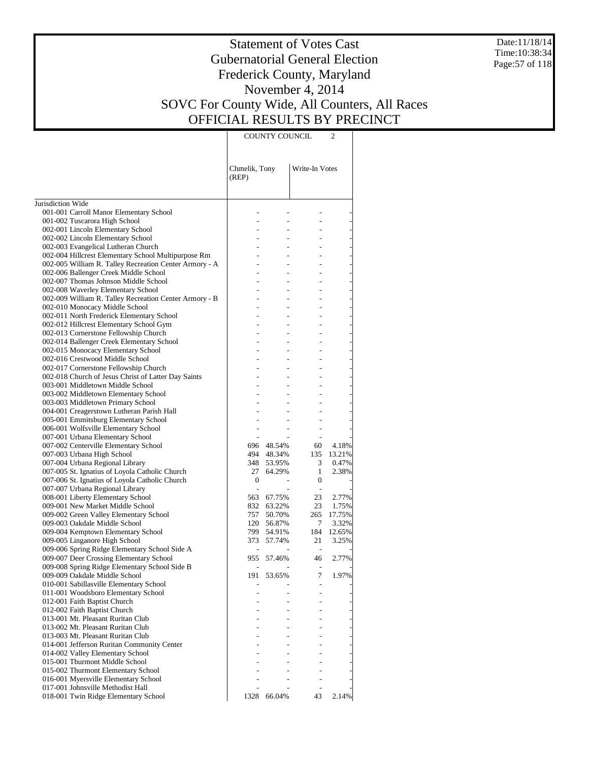Date:11/18/14 Time:10:38:34 Page:57 of 118

# Statement of Votes Cast Gubernatorial General Election Frederick County, Maryland November 4, 2014 SOVC For County Wide, All Counters, All Races OFFICIAL RESULTS BY PRECINCT

|                                                                                                  | Chmelik, Tony<br>(REP)   |            | Write-In Votes                             |        |
|--------------------------------------------------------------------------------------------------|--------------------------|------------|--------------------------------------------|--------|
|                                                                                                  |                          |            |                                            |        |
| Jurisdiction Wide                                                                                |                          |            |                                            |        |
| 001-001 Carroll Manor Elementary School<br>001-002 Tuscarora High School                         |                          |            |                                            |        |
| 002-001 Lincoln Elementary School                                                                |                          |            |                                            |        |
| 002-002 Lincoln Elementary School                                                                |                          |            | L,                                         |        |
| 002-003 Evangelical Lutheran Church                                                              |                          |            | $\overline{a}$                             |        |
| 002-004 Hillcrest Elementary School Multipurpose Rm                                              |                          |            | $\overline{a}$                             |        |
| 002-005 William R. Talley Recreation Center Armory - A                                           |                          |            | $\overline{a}$                             |        |
| 002-006 Ballenger Creek Middle School                                                            |                          |            | $\overline{a}$                             |        |
| 002-007 Thomas Johnson Middle School                                                             |                          |            | $\overline{a}$                             |        |
| 002-008 Waverley Elementary School                                                               |                          |            | $\overline{a}$                             |        |
| 002-009 William R. Talley Recreation Center Armory - B                                           |                          |            | $\overline{a}$                             |        |
| 002-010 Monocacy Middle School                                                                   |                          |            | $\overline{a}$                             |        |
| 002-011 North Frederick Elementary School                                                        |                          |            | $\overline{a}$                             |        |
| 002-012 Hillcrest Elementary School Gym                                                          |                          |            | $\overline{a}$                             |        |
| 002-013 Cornerstone Fellowship Church<br>002-014 Ballenger Creek Elementary School               |                          |            | $\overline{a}$<br>$\overline{a}$           |        |
| 002-015 Monocacy Elementary School                                                               |                          |            | $\overline{a}$                             |        |
| 002-016 Crestwood Middle School                                                                  |                          |            | $\overline{a}$                             |        |
| 002-017 Cornerstone Fellowship Church                                                            |                          |            | $\overline{a}$                             |        |
| 002-018 Church of Jesus Christ of Latter Day Saints                                              |                          |            | $\overline{a}$                             |        |
| 003-001 Middletown Middle School                                                                 |                          |            | $\overline{a}$                             |        |
| 003-002 Middletown Elementary School                                                             |                          |            | $\overline{a}$                             |        |
| 003-003 Middletown Primary School                                                                |                          |            |                                            |        |
| 004-001 Creagerstown Lutheran Parish Hall                                                        |                          |            | $\overline{a}$                             |        |
| 005-001 Emmitsburg Elementary School                                                             |                          |            |                                            |        |
| 006-001 Wolfsville Elementary School                                                             |                          |            | $\overline{a}$                             |        |
| 007-001 Urbana Elementary School                                                                 | ٠                        |            | $\overline{\phantom{a}}$                   |        |
| 007-002 Centerville Elementary School                                                            |                          | 696 48.54% | 60                                         | 4.18%  |
| 007-003 Urbana High School                                                                       |                          | 494 48.34% | 135                                        | 13.21% |
| 007-004 Urbana Regional Library                                                                  |                          | 348 53.95% | 3                                          | 0.47%  |
| 007-005 St. Ignatius of Loyola Catholic Church<br>007-006 St. Ignatius of Loyola Catholic Church | $\overline{0}$           | 27 64.29%  | $\mathbf{1}$<br>$\mathbf{0}$               | 2.38%  |
| 007-007 Urbana Regional Library                                                                  | $\overline{\phantom{a}}$ |            | $\overline{\phantom{a}}$                   |        |
| 008-001 Liberty Elementary School                                                                |                          | 563 67.75% | 23                                         | 2.77%  |
| 009-001 New Market Middle School                                                                 |                          | 832 63.22% | 23                                         | 1.75%  |
| 009-002 Green Valley Elementary School                                                           |                          | 757 50.70% | 265                                        | 17.75% |
| 009-003 Oakdale Middle School                                                                    |                          | 120 56.87% | 7                                          | 3.32%  |
| 009-004 Kemptown Elementary School                                                               |                          | 799 54.91% | 184                                        | 12.65% |
| 009-005 Linganore High School                                                                    |                          | 373 57.74% | 21                                         | 3.25%  |
| 009-006 Spring Ridge Elementary School Side A                                                    |                          |            | $\sim$                                     |        |
| 009-007 Deer Crossing Elementary School                                                          |                          | 955 57.46% | 46                                         | 2.77%  |
| 009-008 Spring Ridge Elementary School Side B                                                    |                          |            | $\overline{\phantom{a}}$                   |        |
| 009-009 Oakdale Middle School                                                                    | 191                      | 53.65%     | 7                                          | 1.97%  |
| 010-001 Sabillasville Elementary School                                                          |                          |            |                                            |        |
| 011-001 Woodsboro Elementary School                                                              |                          |            |                                            |        |
| 012-001 Faith Baptist Church                                                                     |                          |            |                                            |        |
| 012-002 Faith Baptist Church<br>013-001 Mt. Pleasant Ruritan Club                                |                          |            | $\overline{\phantom{0}}$                   |        |
| 013-002 Mt. Pleasant Ruritan Club                                                                |                          |            | $\overline{a}$<br>$\overline{\phantom{0}}$ |        |
| 013-003 Mt. Pleasant Ruritan Club                                                                |                          |            | $\overline{a}$                             |        |
| 014-001 Jefferson Ruritan Community Center                                                       |                          |            | $\overline{\phantom{0}}$                   |        |
| 014-002 Valley Elementary School                                                                 |                          |            | $\overline{a}$                             |        |
| 015-001 Thurmont Middle School                                                                   |                          |            | $\overline{a}$                             |        |
| 015-002 Thurmont Elementary School                                                               |                          |            | $\overline{a}$                             |        |
| 016-001 Myersville Elementary School                                                             |                          |            | $\overline{a}$                             |        |
| 017-001 Johnsville Methodist Hall                                                                |                          |            | $\overline{a}$                             |        |
| 018-001 Twin Ridge Elementary School                                                             | 1328                     | 66.04%     | 43                                         | 2.14%  |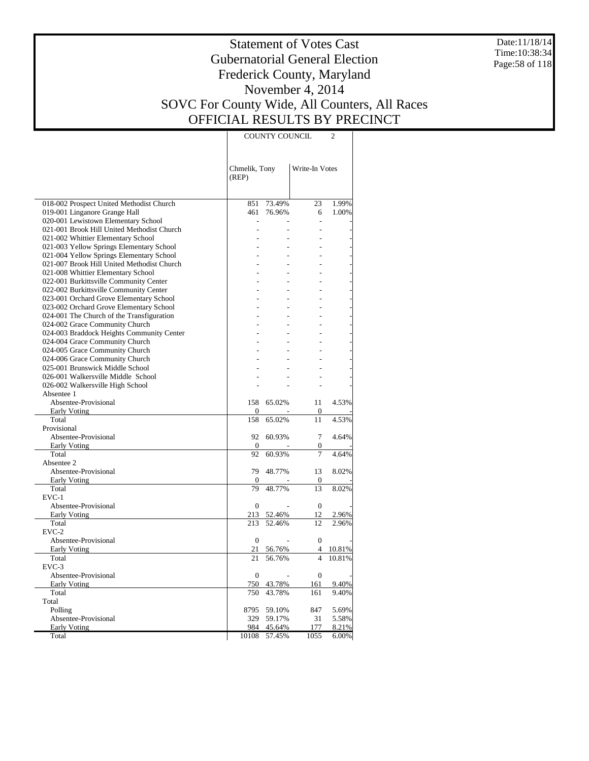Date:11/18/14 Time:10:38:34 Page:58 of 118

# Statement of Votes Cast Gubernatorial General Election Frederick County, Maryland November 4, 2014 SOVC For County Wide, All Counters, All Races OFFICIAL RESULTS BY PRECINCT

|                                                                           | Chmelik, Tony<br>(REP) |                  | Write-In Votes |                |  |
|---------------------------------------------------------------------------|------------------------|------------------|----------------|----------------|--|
| 018-002 Prospect United Methodist Church<br>019-001 Linganore Grange Hall | 851<br>461             | 73.49%<br>76.96% | 23<br>6        | 1.99%<br>1.00% |  |
| 020-001 Lewistown Elementary School                                       |                        |                  |                |                |  |
| 021-001 Brook Hill United Methodist Church                                |                        |                  |                |                |  |
| 021-002 Whittier Elementary School                                        |                        |                  |                |                |  |
| 021-003 Yellow Springs Elementary School                                  |                        |                  |                |                |  |
| 021-004 Yellow Springs Elementary School                                  |                        |                  |                |                |  |
| 021-007 Brook Hill United Methodist Church                                |                        |                  |                |                |  |
| 021-008 Whittier Elementary School                                        |                        |                  |                |                |  |
| 022-001 Burkittsville Community Center                                    |                        |                  |                |                |  |
| 022-002 Burkittsville Community Center                                    |                        |                  |                |                |  |
| 023-001 Orchard Grove Elementary School                                   |                        |                  |                |                |  |
| 023-002 Orchard Grove Elementary School                                   |                        |                  |                |                |  |
| 024-001 The Church of the Transfiguration                                 |                        |                  |                |                |  |
| 024-002 Grace Community Church                                            |                        |                  |                |                |  |
| 024-003 Braddock Heights Community Center                                 |                        |                  |                |                |  |
| 024-004 Grace Community Church                                            |                        |                  |                |                |  |
| 024-005 Grace Community Church                                            |                        |                  |                |                |  |
| 024-006 Grace Community Church                                            |                        |                  |                |                |  |
| 025-001 Brunswick Middle School                                           |                        |                  |                |                |  |
| 026-001 Walkersville Middle School                                        |                        |                  |                |                |  |
| 026-002 Walkersville High School                                          |                        |                  |                |                |  |
| Absentee 1<br>Absentee-Provisional                                        | 158                    | 65.02%           | 11             | 4.53%          |  |
| Early Voting                                                              | $\Omega$               |                  | $\mathbf{0}$   |                |  |
| Total                                                                     | 158                    | 65.02%           | 11             | 4.53%          |  |
| Provisional                                                               |                        |                  |                |                |  |
| Absentee-Provisional                                                      | 92                     | 60.93%           | 7              | 4.64%          |  |
| Early Voting                                                              | $\mathbf{0}$           |                  | 0              |                |  |
| Total                                                                     | 92                     | 60.93%           | 7              | 4.64%          |  |
| Absentee 2                                                                |                        |                  |                |                |  |
| Absentee-Provisional                                                      | 79                     | 48.77%           | 13             | 8.02%          |  |
| Early Voting                                                              | $\Omega$               |                  | $\Omega$       |                |  |
| Total                                                                     | 79                     | 48.77%           | 13             | 8.02%          |  |
| $EVC-1$                                                                   |                        |                  |                |                |  |
| Absentee-Provisional                                                      | $\mathbf{0}$           |                  | $\mathbf{0}$   |                |  |
| Early Voting                                                              | 213                    | 52.46%           | 12             | 2.96%          |  |
| Total                                                                     | 213                    | 52.46%           | 12             | 2.96%          |  |
| $EVC-2$                                                                   |                        |                  |                |                |  |
| Absentee-Provisional                                                      | $\Omega$               |                  | $\mathbf{0}$   |                |  |
| Early Voting                                                              | 21                     | 56.76%           | $\overline{4}$ | 10.81%         |  |
| Total                                                                     | 21                     | 56.76%           | $\overline{4}$ | 10.81%         |  |
| $EVC-3$                                                                   |                        |                  |                |                |  |
| Absentee-Provisional                                                      | $\Omega$               |                  | $\mathbf{0}$   |                |  |
| Early Voting                                                              | 750                    | 43.78%           | 161            | 9.40%          |  |
| Total                                                                     | 750                    | 43.78%           | 161            | 9.40%          |  |
| Total                                                                     |                        |                  |                |                |  |
| Polling                                                                   | 8795                   | 59.10%           | 847            | 5.69%          |  |
| Absentee-Provisional                                                      | 329                    | 59.17%           | 31             | 5.58%          |  |
| <b>Early Voting</b>                                                       | 984                    | 45.64%           | 177            | 8.21%          |  |
| Total                                                                     | 10108                  | 57.45%           | 1055           | 6.00%          |  |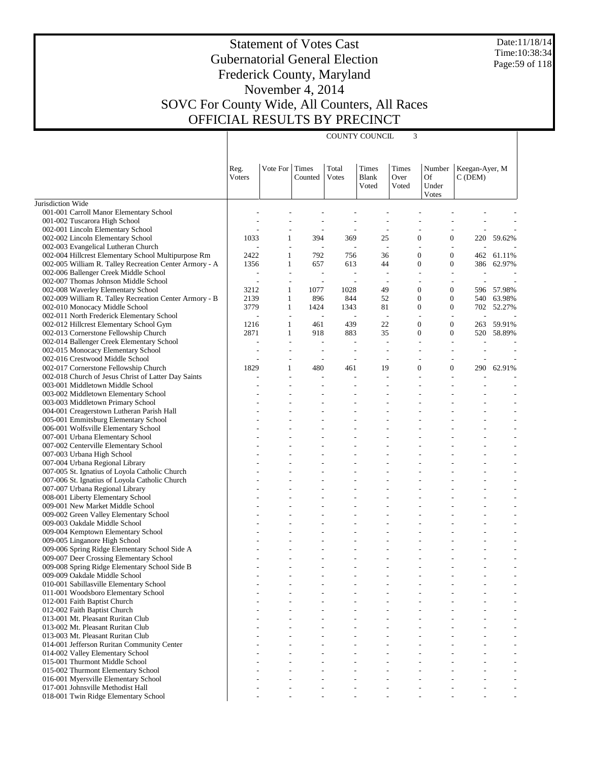Date:11/18/14 Time:10:38:34 Page:59 of 118

## Statement of Votes Cast Gubernatorial General Election Frederick County, Maryland November 4, 2014 SOVC For County Wide, All Counters, All Races OFFICIAL RESULTS BY PRECINCT COUNTY COUNCIL 3

|                                                        | Reg.<br>Voters | Vote For Times               | Counted                                   | Total<br><b>V</b> otes   | Times<br>Blank<br>Voted  | Times<br>Over<br>Voted | Number<br>Of<br>Under<br>Votes       | Keegan-Ayer, M<br>$C$ (DEM)    |            |
|--------------------------------------------------------|----------------|------------------------------|-------------------------------------------|--------------------------|--------------------------|------------------------|--------------------------------------|--------------------------------|------------|
| Jurisdiction Wide                                      |                |                              |                                           |                          |                          |                        |                                      |                                |            |
| 001-001 Carroll Manor Elementary School                |                |                              |                                           |                          |                          |                        |                                      |                                |            |
| 001-002 Tuscarora High School                          |                | $\overline{a}$               | $\overline{a}$                            | $\overline{a}$           |                          |                        |                                      |                                |            |
| 002-001 Lincoln Elementary School                      |                | L,                           | $\overline{a}$                            | $\overline{\phantom{a}}$ | $\overline{a}$           |                        |                                      |                                |            |
| 002-002 Lincoln Elementary School                      | 1033           | 1                            | 394                                       | 369                      | 25                       |                        | $\overline{0}$<br>$\boldsymbol{0}$   | 220                            | 59.62%     |
| 002-003 Evangelical Lutheran Church                    |                | $\overline{a}$               | $\overline{a}$                            | $\overline{a}$           | $\overline{\phantom{a}}$ |                        |                                      | $\overline{a}$                 |            |
| 002-004 Hillcrest Elementary School Multipurpose Rm    | 2422           | 1                            | 792                                       | 756                      | 36                       |                        | $\overline{0}$<br>$\boldsymbol{0}$   | 462                            | 61.11%     |
| 002-005 William R. Talley Recreation Center Armory - A | 1356           | $\mathbf{1}$                 | 657                                       | 613                      | 44                       |                        | $\mathbf{0}$<br>$\boldsymbol{0}$     |                                | 386 62.97% |
| 002-006 Ballenger Creek Middle School                  | $\overline{a}$ |                              | $\frac{1}{2}$<br>$\overline{\phantom{a}}$ | $\overline{a}$           | $\overline{\phantom{a}}$ |                        | $\overline{a}$                       |                                |            |
| 002-007 Thomas Johnson Middle School                   | ÷              | $\overline{a}$               | $\overline{a}$                            | ÷.                       | $\overline{a}$           |                        | $\overline{a}$                       |                                |            |
| 002-008 Waverley Elementary School                     | 3212           | 1                            | 1077                                      | 1028                     | 49                       |                        | $\overline{0}$<br>$\boldsymbol{0}$   |                                | 596 57.98% |
| 002-009 William R. Talley Recreation Center Armory - B | 2139           | $\mathbf{1}$                 | 896                                       | 844                      | 52                       |                        | $\overline{0}$<br>$\boldsymbol{0}$   | 540                            | 63.98%     |
| 002-010 Monocacy Middle School                         | 3779           | $\mathbf{1}$                 | 1424                                      | 1343                     | 81                       |                        | $\boldsymbol{0}$<br>$\boldsymbol{0}$ |                                | 702 52.27% |
| 002-011 North Frederick Elementary School              |                | $\overline{\phantom{a}}$     | $\overline{\phantom{a}}$                  |                          | $\overline{\phantom{a}}$ |                        | $\overline{a}$                       | $\overline{\phantom{a}}$<br>÷, |            |
| 002-012 Hillcrest Elementary School Gym                | 1216           | 1                            | 461                                       | 439                      | 22                       |                        | $\overline{0}$<br>$\boldsymbol{0}$   | 263                            | 59.91%     |
| 002-013 Cornerstone Fellowship Church                  | 2871           | $\mathbf{1}$                 | 918                                       | 883                      | 35                       |                        | $\mathbf{0}$<br>$\mathbf{0}$         |                                | 520 58.89% |
| 002-014 Ballenger Creek Elementary School              |                | $\overline{a}$               | $\overline{a}$                            | $\overline{\phantom{a}}$ | $\overline{a}$           |                        | $\overline{a}$                       | Ĭ.                             |            |
| 002-015 Monocacy Elementary School                     |                |                              |                                           | ÷,                       |                          |                        |                                      |                                |            |
| 002-016 Crestwood Middle School                        |                | $\overline{a}$               | $\overline{a}$                            | $\overline{\phantom{a}}$ | $\overline{\phantom{a}}$ |                        | $\overline{a}$                       |                                |            |
| 002-017 Cornerstone Fellowship Church                  | 1829           | 1                            | 480                                       | 461                      | 19                       |                        | $\overline{0}$<br>$\mathbf{0}$       |                                | 290 62.91% |
| 002-018 Church of Jesus Christ of Latter Day Saints    |                | $\overline{a}$               | Ĭ.                                        | ÷,                       | $\overline{\phantom{a}}$ |                        |                                      |                                |            |
| 003-001 Middletown Middle School                       |                |                              |                                           |                          |                          |                        |                                      |                                |            |
| 003-002 Middletown Elementary School                   |                | $\overline{a}$               |                                           |                          |                          |                        |                                      |                                |            |
| 003-003 Middletown Primary School                      |                |                              |                                           |                          |                          |                        |                                      |                                |            |
| 004-001 Creagerstown Lutheran Parish Hall              |                | L,                           |                                           | $\overline{a}$           |                          |                        |                                      |                                |            |
| 005-001 Emmitsburg Elementary School                   |                |                              |                                           |                          |                          |                        |                                      |                                |            |
| 006-001 Wolfsville Elementary School                   |                |                              |                                           | $\overline{a}$           |                          |                        |                                      |                                |            |
| 007-001 Urbana Elementary School                       |                |                              |                                           |                          |                          |                        |                                      |                                |            |
| 007-002 Centerville Elementary School                  |                | L,                           |                                           | $\overline{a}$           |                          |                        |                                      | $\overline{\phantom{a}}$       |            |
| 007-003 Urbana High School                             |                |                              |                                           |                          |                          |                        |                                      |                                |            |
| 007-004 Urbana Regional Library                        |                | L,                           |                                           | $\overline{a}$           |                          |                        |                                      |                                |            |
| 007-005 St. Ignatius of Loyola Catholic Church         |                |                              |                                           |                          |                          |                        |                                      |                                |            |
| 007-006 St. Ignatius of Loyola Catholic Church         |                | $\overline{a}$               |                                           | $\overline{a}$           |                          |                        |                                      |                                |            |
| 007-007 Urbana Regional Library                        |                |                              |                                           |                          |                          |                        |                                      |                                |            |
| 008-001 Liberty Elementary School                      |                | L,                           |                                           | $\overline{a}$           |                          |                        |                                      | L.                             |            |
| 009-001 New Market Middle School                       |                |                              |                                           |                          |                          |                        |                                      |                                |            |
| 009-002 Green Valley Elementary School                 |                | $\overline{a}$               |                                           | $\overline{a}$           |                          |                        |                                      |                                |            |
| 009-003 Oakdale Middle School                          |                |                              |                                           |                          |                          |                        |                                      |                                |            |
| 009-004 Kemptown Elementary School                     |                | L,                           | $\overline{a}$                            | $\overline{a}$           | $\overline{\phantom{a}}$ |                        |                                      |                                |            |
| 009-005 Linganore High School                          |                |                              |                                           | $\overline{a}$           |                          |                        |                                      |                                |            |
| 009-006 Spring Ridge Elementary School Side A          |                | L,                           |                                           | $\overline{a}$           |                          |                        |                                      |                                |            |
| 009-007 Deer Crossing Elementary School                |                |                              |                                           |                          |                          |                        |                                      |                                |            |
| 009-008 Spring Ridge Elementary School Side B          |                |                              |                                           |                          |                          |                        |                                      | $\overline{a}$                 |            |
| 009-009 Oakdale Middle School                          |                |                              |                                           |                          |                          |                        |                                      |                                |            |
| 010-001 Sabillasville Elementary School                |                | $\qquad \qquad \blacksquare$ |                                           | $\overline{a}$           |                          |                        |                                      |                                |            |
| 011-001 Woodsboro Elementary School                    |                |                              |                                           |                          |                          |                        |                                      |                                |            |
| 012-001 Faith Baptist Church                           |                |                              |                                           |                          |                          |                        |                                      |                                |            |
| 012-002 Faith Baptist Church                           |                |                              |                                           |                          |                          |                        |                                      |                                |            |
| 013-001 Mt. Pleasant Ruritan Club                      |                |                              |                                           | $\overline{a}$           |                          |                        |                                      |                                |            |
| 013-002 Mt. Pleasant Ruritan Club                      |                |                              |                                           |                          |                          |                        |                                      |                                |            |
| 013-003 Mt. Pleasant Ruritan Club                      |                |                              |                                           |                          |                          |                        |                                      |                                |            |
| 014-001 Jefferson Ruritan Community Center             |                |                              |                                           |                          |                          |                        |                                      |                                |            |
| 014-002 Valley Elementary School                       |                |                              |                                           |                          |                          |                        |                                      |                                |            |
| 015-001 Thurmont Middle School                         |                |                              |                                           |                          |                          |                        |                                      |                                |            |
| 015-002 Thurmont Elementary School                     |                |                              |                                           |                          |                          |                        |                                      |                                |            |
| 016-001 Myersville Elementary School                   |                |                              |                                           |                          |                          |                        |                                      |                                |            |
| 017-001 Johnsville Methodist Hall                      |                |                              |                                           |                          |                          |                        |                                      |                                |            |
| 018-001 Twin Ridge Elementary School                   |                |                              |                                           |                          |                          |                        |                                      |                                |            |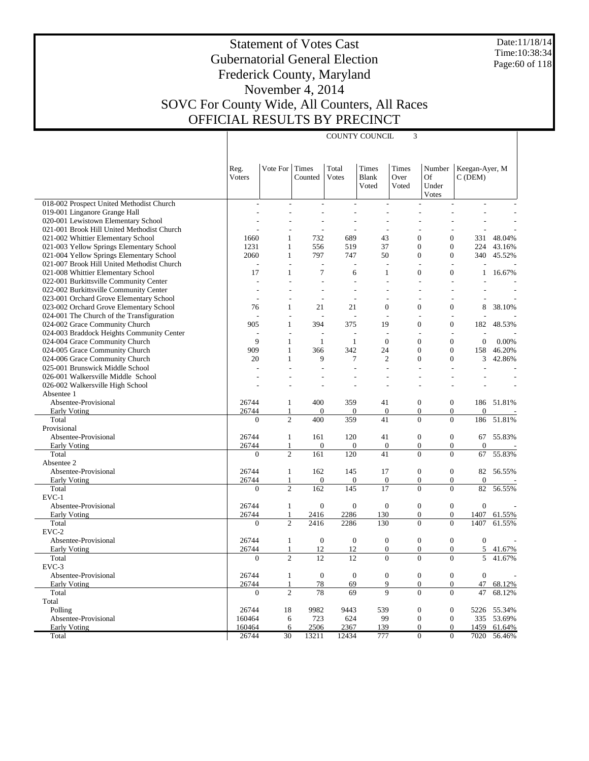Date:11/18/14 Time:10:38:34 Page:60 of 118

# Statement of Votes Cast Gubernatorial General Election Frederick County, Maryland November 4, 2014 SOVC For County Wide, All Counters, All Races OFFICIAL RESULTS BY PRECINCT

|                                                                  | Reg.<br>Voters  | Vote For           | Times<br>Counted | Total<br><b>V</b> otes | Times<br><b>Blank</b><br>Voted | Times<br>Over<br>Voted | Number<br>Of<br>Under<br>Votes | Keegan-Ayer, M<br>$C$ (DEM) |                    |
|------------------------------------------------------------------|-----------------|--------------------|------------------|------------------------|--------------------------------|------------------------|--------------------------------|-----------------------------|--------------------|
| 018-002 Prospect United Methodist Church                         |                 |                    |                  |                        |                                |                        |                                |                             |                    |
| 019-001 Linganore Grange Hall                                    |                 |                    |                  |                        |                                |                        |                                |                             |                    |
| 020-001 Lewistown Elementary School                              |                 |                    |                  |                        |                                |                        |                                |                             |                    |
| 021-001 Brook Hill United Methodist Church                       |                 |                    |                  | ÷,                     | $\overline{a}$                 | ÷                      |                                | $\overline{a}$              |                    |
| 021-002 Whittier Elementary School                               | 1660            | $\mathbf{1}$       | 732              | 689                    | 43                             | $\theta$               | $\overline{0}$                 | 331                         | 48.04%             |
| 021-003 Yellow Springs Elementary School                         | 1231            | $\mathbf{1}$       | 556              | 519                    | 37                             | $\theta$               | $\mathbf{0}$                   | 224                         | 43.16%             |
| 021-004 Yellow Springs Elementary School                         | 2060            | $\mathbf{1}$       | 797              | 747                    | 50                             | $\theta$               | $\theta$                       | 340                         | 45.52%             |
| 021-007 Brook Hill United Methodist Church                       | $\overline{a}$  |                    | ÷                |                        | ÷                              | L.                     |                                |                             |                    |
| 021-008 Whittier Elementary School                               | 17              | $\mathbf{1}$       | $\overline{7}$   | 6                      | $\mathbf{1}$                   | $\mathbf{0}$           | $\overline{0}$                 | 1                           | 16.67%             |
| 022-001 Burkittsville Community Center                           |                 |                    |                  |                        |                                |                        |                                |                             |                    |
| 022-002 Burkittsville Community Center                           |                 |                    |                  |                        |                                |                        |                                |                             |                    |
| 023-001 Orchard Grove Elementary School                          |                 |                    |                  | ÷,                     | ÷,                             | ÷,                     |                                |                             |                    |
| 023-002 Orchard Grove Elementary School                          | 76              | $\mathbf{1}$       | 21               | 21                     | $\boldsymbol{0}$               | $\overline{0}$         | 0                              | 8                           | 38.10%             |
| 024-001 The Church of the Transfiguration                        |                 |                    |                  |                        |                                |                        |                                |                             |                    |
| 024-002 Grace Community Church                                   | 905             | $\mathbf{1}$       | 394              | 375                    | 19                             | $\mathbf{0}$           | $\overline{0}$                 | 182                         | 48.53%             |
| 024-003 Braddock Heights Community Center                        | 9               | L,<br>$\mathbf{1}$ | L.               | J.                     | J.                             | L.<br>$\mathbf{0}$     | $\overline{0}$                 | J.<br>$\mathbf{0}$          |                    |
| 024-004 Grace Community Church                                   | 909             | $\mathbf{1}$       | $\mathbf{1}$     | $\mathbf{1}$<br>342    | $\mathbf{0}$<br>24             | $\mathbf{0}$           | $\mathbf{0}$                   | 158                         | $0.00\%$<br>46.20% |
| 024-005 Grace Community Church<br>024-006 Grace Community Church | 20              | $\mathbf{1}$       | 366<br>9         | 7                      | $\overline{2}$                 | $\mathbf{0}$           | $\overline{0}$                 | 3                           | 42.86%             |
| 025-001 Brunswick Middle School                                  |                 |                    |                  |                        |                                |                        |                                |                             |                    |
| 026-001 Walkersville Middle School                               |                 |                    |                  |                        |                                |                        |                                |                             |                    |
| 026-002 Walkersville High School                                 |                 |                    |                  |                        |                                | ä,                     |                                |                             |                    |
| Absentee 1                                                       |                 |                    |                  |                        |                                |                        |                                |                             |                    |
| Absentee-Provisional                                             | 26744           | $\mathbf{1}$       | 400              | 359                    | 41                             | $\overline{0}$         | $\overline{0}$                 | 186                         | 51.81%             |
| <b>Early Voting</b>                                              | 26744           | $\mathbf{1}$       | $\overline{0}$   | $\mathbf{0}$           | $\mathbf{0}$                   | $\boldsymbol{0}$       | $\boldsymbol{0}$               | $\overline{0}$              |                    |
| Total                                                            | $\mathbf{0}$    | $\overline{c}$     | 400              | 359                    | 41                             | $\Omega$               | $\theta$                       | 186                         | 51.81%             |
| Provisional                                                      |                 |                    |                  |                        |                                |                        |                                |                             |                    |
| Absentee-Provisional                                             | 26744           | $\mathbf{1}$       | 161              | 120                    | 41                             | $\overline{0}$         | $\mathbf{0}$                   | 67                          | 55.83%             |
| <b>Early Voting</b>                                              | 26744           | $\mathbf{1}$       | $\theta$         | $\theta$               | $\mathbf{0}$                   | $\mathbf{0}$           | $\mathbf{0}$                   | $\theta$                    |                    |
| Total                                                            | $\Omega$        | $\overline{c}$     | 161              | 120                    | 41                             | $\theta$               | $\theta$                       | 67                          | 55.83%             |
| Absentee 2                                                       |                 |                    |                  |                        |                                |                        |                                |                             |                    |
| Absentee-Provisional                                             | 26744           | $\mathbf{1}$       | 162              | 145                    | 17                             | $\overline{0}$         | $\overline{0}$                 | 82                          | 56.55%             |
| <b>Early Voting</b>                                              | 26744           | $\mathbf{1}$       | $\overline{0}$   | $\mathbf{0}$           | $\boldsymbol{0}$               | $\boldsymbol{0}$       | $\mathbf{0}$                   | $\mathbf{0}$                |                    |
| Total                                                            | $\overline{0}$  | $\overline{2}$     | 162              | 145                    | 17                             | $\Omega$               | $\overline{0}$                 | 82                          | 56.55%             |
| $EVC-1$                                                          |                 |                    |                  |                        |                                |                        |                                |                             |                    |
| Absentee-Provisional                                             | 26744           | $\mathbf{1}$       | $\boldsymbol{0}$ | $\mathbf{0}$           | $\mathbf{0}$                   | $\boldsymbol{0}$       | $\boldsymbol{0}$               | $\mathbf{0}$                |                    |
| <b>Early Voting</b>                                              | 26744           | $\mathbf{1}$       | 2416             | 2286                   | 130                            | $\boldsymbol{0}$       | $\boldsymbol{0}$               | 1407                        | 61.55%             |
| Total                                                            | $\theta$        | $\overline{2}$     | 2416             | 2286                   | 130                            | $\Omega$               | $\theta$                       | 1407                        | 61.55%             |
| $EVC-2$                                                          |                 |                    |                  |                        |                                |                        |                                |                             |                    |
| Absentee-Provisional                                             | 26744           | $1\,$              | $\overline{0}$   | $\overline{0}$         | $\mathbf{0}$                   | $\overline{0}$         | $\boldsymbol{0}$               | $\overline{0}$              |                    |
| <b>Early Voting</b>                                              | 26744           | $\mathbf{1}$       | 12               | 12                     | $\boldsymbol{0}$               | $\boldsymbol{0}$       | $\boldsymbol{0}$               | 5                           | 41.67%             |
| Total                                                            | $\mathbf{0}$    | $\overline{2}$     | 12               | 12                     | $\mathbf{0}$                   | $\Omega$               | $\mathbf{0}$                   | 5                           | 41.67%             |
| $EVC-3$                                                          |                 |                    |                  |                        |                                |                        |                                |                             |                    |
| Absentee-Provisional                                             | 26744           | $\mathbf{1}$       | $\mathbf{0}$     | $\mathbf{0}$           | $\mathbf{0}$                   | $\overline{0}$         | $\boldsymbol{0}$               | $\overline{0}$              |                    |
| <b>Early Voting</b>                                              | 26744           | $\mathbf{1}$       | 78               | 69                     | 9                              | $\boldsymbol{0}$       | $\boldsymbol{0}$               | 47                          | 68.12%             |
| Total                                                            | $\overline{0}$  | $\overline{c}$     | 78               | 69                     | 9                              | $\theta$               | $\mathbf{0}$                   | 47                          | 68.12%             |
| Total                                                            |                 |                    |                  |                        |                                | $\overline{0}$         | $\mathbf{0}$                   |                             |                    |
| Polling<br>Absentee-Provisional                                  | 26744<br>160464 | 18<br>6            | 9982<br>723      | 9443<br>624            | 539<br>99                      | $\mathbf{0}$           | $\mathbf{0}$                   | 5226<br>335                 | 55.34%<br>53.69%   |
| <b>Early Voting</b>                                              | 160464          | 6                  | 2506             | 2367                   | 139                            | $\Omega$               | $\Omega$                       | 1459                        | 61.64%             |
| Total                                                            | 26744           | 30                 | 13211            | 12434                  | 777                            | $\Omega$               | $\Omega$                       | 7020                        | 56.46%             |
|                                                                  |                 |                    |                  |                        |                                |                        |                                |                             |                    |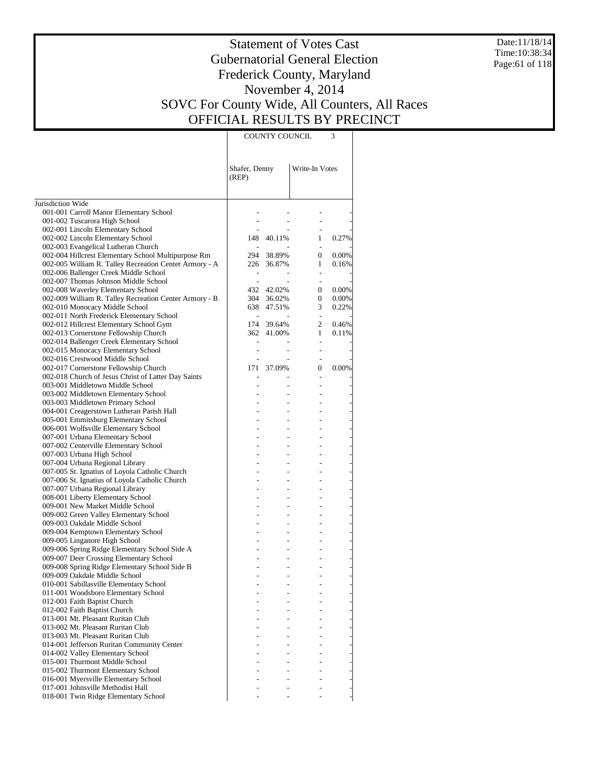Date:11/18/14 Time:10:38:34 Page:61 of 118

# Statement of Votes Cast Gubernatorial General Election Frederick County, Maryland November 4, 2014 SOVC For County Wide, All Counters, All Races OFFICIAL RESULTS BY PRECINCT

|                                                                               | Shafer, Denny            |            | Write-In Votes           |       |
|-------------------------------------------------------------------------------|--------------------------|------------|--------------------------|-------|
|                                                                               | (REP)                    |            |                          |       |
|                                                                               |                          |            |                          |       |
| Jurisdiction Wide                                                             |                          |            |                          |       |
| 001-001 Carroll Manor Elementary School                                       |                          |            |                          |       |
| 001-002 Tuscarora High School                                                 |                          |            |                          |       |
| 002-001 Lincoln Elementary School                                             |                          |            | $\overline{a}$           |       |
| 002-002 Lincoln Elementary School                                             |                          | 148 40.11% | 1                        | 0.27% |
| 002-003 Evangelical Lutheran Church                                           | $\overline{a}$           |            | $\overline{\phantom{a}}$ |       |
| 002-004 Hillcrest Elementary School Multipurpose Rm                           |                          | 294 38.89% | $\mathbf{0}$             | 0.00% |
| 002-005 William R. Talley Recreation Center Armory - A                        |                          | 226 36.87% | $\mathbf{1}$<br>$\sim$   | 0.16% |
| 002-006 Ballenger Creek Middle School<br>002-007 Thomas Johnson Middle School | $\overline{\phantom{a}}$ |            | $\sim$                   |       |
| 002-008 Waverley Elementary School                                            |                          | 432 42.02% | $\overline{0}$           | 0.00% |
| 002-009 William R. Talley Recreation Center Armory - B                        |                          | 304 36.02% | 0                        | 0.00% |
| 002-010 Monocacy Middle School                                                |                          | 638 47.51% | 3                        | 0.22% |
| 002-011 North Frederick Elementary School                                     | $\sim$                   |            | $\overline{\phantom{a}}$ |       |
| 002-012 Hillcrest Elementary School Gym                                       |                          | 174 39.64% | 2                        | 0.46% |
| 002-013 Cornerstone Fellowship Church                                         |                          | 362 41.00% | 1                        | 0.11% |
| 002-014 Ballenger Creek Elementary School                                     |                          |            | $\sim$                   |       |
| 002-015 Monocacy Elementary School                                            |                          |            | $\overline{a}$           |       |
| 002-016 Crestwood Middle School                                               |                          |            | ÷                        |       |
| 002-017 Cornerstone Fellowship Church                                         |                          | 171 37.09% | $\mathbf{0}$             | 0.00% |
| 002-018 Church of Jesus Christ of Latter Day Saints                           |                          |            | ÷,                       |       |
| 003-001 Middletown Middle School                                              |                          |            | L.                       |       |
| 003-002 Middletown Elementary School                                          |                          |            |                          |       |
| 003-003 Middletown Primary School                                             |                          |            | $\overline{a}$           |       |
| 004-001 Creagerstown Lutheran Parish Hall                                     |                          |            |                          |       |
| 005-001 Emmitsburg Elementary School                                          |                          |            | L.                       |       |
| 006-001 Wolfsville Elementary School                                          |                          |            |                          |       |
| 007-001 Urbana Elementary School                                              |                          |            | L.                       |       |
| 007-002 Centerville Elementary School                                         |                          |            |                          |       |
| 007-003 Urbana High School                                                    |                          |            | L.                       |       |
| 007-004 Urbana Regional Library                                               |                          |            |                          |       |
| 007-005 St. Ignatius of Loyola Catholic Church                                |                          |            | L.                       |       |
| 007-006 St. Ignatius of Loyola Catholic Church                                |                          |            |                          |       |
| 007-007 Urbana Regional Library                                               |                          |            | L.                       |       |
| 008-001 Liberty Elementary School                                             |                          |            | L.                       |       |
| 009-001 New Market Middle School<br>009-002 Green Valley Elementary School    |                          |            |                          |       |
| 009-003 Oakdale Middle School                                                 |                          |            | L.                       |       |
| 009-004 Kemptown Elementary School                                            |                          |            |                          |       |
| 009-005 Linganore High School                                                 |                          |            |                          |       |
| 009-006 Spring Ridge Elementary School Side A                                 |                          |            |                          |       |
| 009-007 Deer Crossing Elementary School                                       |                          |            |                          |       |
| 009-008 Spring Ridge Elementary School Side B                                 |                          |            |                          |       |
| 009-009 Oakdale Middle School                                                 |                          |            |                          |       |
| 010-001 Sabillasville Elementary School                                       |                          |            |                          |       |
| 011-001 Woodsboro Elementary School                                           |                          |            |                          |       |
| 012-001 Faith Baptist Church                                                  |                          |            |                          |       |
| 012-002 Faith Baptist Church                                                  |                          |            | ÷.                       |       |
| 013-001 Mt. Pleasant Ruritan Club                                             |                          |            |                          |       |
| 013-002 Mt. Pleasant Ruritan Club                                             |                          |            | ÷.                       |       |
| 013-003 Mt. Pleasant Ruritan Club                                             |                          |            |                          |       |
| 014-001 Jefferson Ruritan Community Center                                    |                          |            | ÷.                       |       |
| 014-002 Valley Elementary School                                              |                          |            |                          |       |
| 015-001 Thurmont Middle School                                                |                          |            | L.                       |       |
| 015-002 Thurmont Elementary School                                            |                          |            |                          |       |
| 016-001 Myersville Elementary School                                          |                          |            | L.                       |       |
| 017-001 Johnsville Methodist Hall                                             |                          |            |                          |       |
| 018-001 Twin Ridge Elementary School                                          |                          |            | ÷                        |       |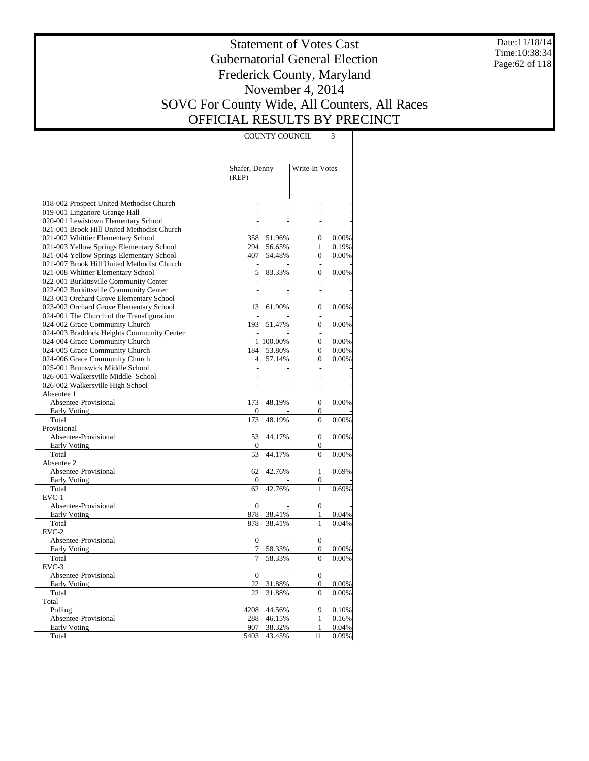Date:11/18/14 Time:10:38:34 Page:62 of 118

# Statement of Votes Cast Gubernatorial General Election Frederick County, Maryland November 4, 2014 SOVC For County Wide, All Counters, All Races OFFICIAL RESULTS BY PRECINCT

| 018-002 Prospect United Methodist Church<br>019-001 Linganore Grange Hall<br>020-001 Lewistown Elementary School<br>021-001 Brook Hill United Methodist Church<br>$\overline{a}$<br>021-002 Whittier Elementary School<br>358 51.96%<br>$\overline{0}$<br>0.00%<br>0.19%<br>021-003 Yellow Springs Elementary School<br>294<br>56.65%<br>1<br>021-004 Yellow Springs Elementary School<br>407 54.48%<br>0<br>0.00%<br>021-007 Brook Hill United Methodist Church<br>021-008 Whittier Elementary School<br>5<br>0.00%<br>83.33%<br>$\Omega$<br>022-001 Burkittsville Community Center<br>022-002 Burkittsville Community Center<br>L,<br>023-001 Orchard Grove Elementary School<br>023-002 Orchard Grove Elementary School<br>13<br>61.90%<br>$\boldsymbol{0}$<br>0.00%<br>024-001 The Church of the Transfiguration<br>024-002 Grace Community Church<br>0.00%<br>193<br>51.47%<br>$\overline{0}$<br>024-003 Braddock Heights Community Center<br>÷,<br>024-004 Grace Community Church<br>1 100.00%<br>$\Omega$<br>0.00%<br>024-005 Grace Community Church<br>0.00%<br>184 53.80%<br>$\mathbf{0}$<br>024-006 Grace Community Church<br>57.14%<br>$\boldsymbol{0}$<br>0.00%<br>4<br>025-001 Brunswick Middle School<br>026-001 Walkersville Middle School<br>026-002 Walkersville High School<br>Absentee 1<br>Absentee-Provisional<br>173 48.19%<br>$\Omega$<br>0.00%<br>Early Voting<br>$\Omega$<br>$\boldsymbol{0}$<br>Total<br>173<br>48.19%<br>$\Omega$<br>0.00%<br>Provisional<br>Absentee-Provisional<br>53<br>44.17%<br>$\boldsymbol{0}$<br>0.00%<br>Early Voting<br>$\boldsymbol{0}$<br>0<br>Total<br>53<br>44.17%<br>$\overline{0}$<br>0.00%<br>Absentee 2<br>Absentee-Provisional<br>62 42.76%<br>0.69%<br>1<br>Early Voting<br>0<br>$\Omega$<br>42.76%<br>$\mathbf{1}$<br>0.69%<br>Total<br>62<br>$EVC-1$<br>Absentee-Provisional<br>$\mathbf{0}$<br>$\mathbf{0}$<br>878 38.41%<br>$\mathbf{1}$<br>Early Voting<br>0.04%<br>Total<br>878<br>$\mathbf{1}$<br>38.41%<br>0.04%<br>$EVC-2$<br>Absentee-Provisional<br>$\boldsymbol{0}$<br>$\boldsymbol{0}$<br>7<br>Early Voting<br>58.33%<br>$\overline{0}$<br>0.00%<br>Total<br>7<br>$\overline{0}$<br>0.00%<br>58.33%<br>$EVC-3$<br>Absentee-Provisional<br>$\boldsymbol{0}$<br>$\boldsymbol{0}$<br>Early Voting<br>22<br>31.88%<br>$\Omega$<br>0.00%<br>Total<br>$\theta$<br>0.00%<br>22<br>31.88%<br>Total<br>9<br>0.10%<br>Polling<br>4208<br>44.56%<br>Absentee-Provisional<br>288<br>46.15%<br>$\mathbf{1}$<br>0.16%<br>Early Voting<br>907<br>38.32%<br>0.04%<br>1 |       | Shafer, Denny<br>(REP) |        | Write-In Votes |       |  |
|------------------------------------------------------------------------------------------------------------------------------------------------------------------------------------------------------------------------------------------------------------------------------------------------------------------------------------------------------------------------------------------------------------------------------------------------------------------------------------------------------------------------------------------------------------------------------------------------------------------------------------------------------------------------------------------------------------------------------------------------------------------------------------------------------------------------------------------------------------------------------------------------------------------------------------------------------------------------------------------------------------------------------------------------------------------------------------------------------------------------------------------------------------------------------------------------------------------------------------------------------------------------------------------------------------------------------------------------------------------------------------------------------------------------------------------------------------------------------------------------------------------------------------------------------------------------------------------------------------------------------------------------------------------------------------------------------------------------------------------------------------------------------------------------------------------------------------------------------------------------------------------------------------------------------------------------------------------------------------------------------------------------------------------------------------------------------------------------------------------------------------------------------------------------------------------------------------------------------------------------------------------------------------------------------------------------------------------------------------------------------------------------------------------------------------------------------------------------------------------------------------------------------------|-------|------------------------|--------|----------------|-------|--|
|                                                                                                                                                                                                                                                                                                                                                                                                                                                                                                                                                                                                                                                                                                                                                                                                                                                                                                                                                                                                                                                                                                                                                                                                                                                                                                                                                                                                                                                                                                                                                                                                                                                                                                                                                                                                                                                                                                                                                                                                                                                                                                                                                                                                                                                                                                                                                                                                                                                                                                                                    |       |                        |        |                |       |  |
|                                                                                                                                                                                                                                                                                                                                                                                                                                                                                                                                                                                                                                                                                                                                                                                                                                                                                                                                                                                                                                                                                                                                                                                                                                                                                                                                                                                                                                                                                                                                                                                                                                                                                                                                                                                                                                                                                                                                                                                                                                                                                                                                                                                                                                                                                                                                                                                                                                                                                                                                    |       |                        |        |                |       |  |
|                                                                                                                                                                                                                                                                                                                                                                                                                                                                                                                                                                                                                                                                                                                                                                                                                                                                                                                                                                                                                                                                                                                                                                                                                                                                                                                                                                                                                                                                                                                                                                                                                                                                                                                                                                                                                                                                                                                                                                                                                                                                                                                                                                                                                                                                                                                                                                                                                                                                                                                                    |       |                        |        |                |       |  |
|                                                                                                                                                                                                                                                                                                                                                                                                                                                                                                                                                                                                                                                                                                                                                                                                                                                                                                                                                                                                                                                                                                                                                                                                                                                                                                                                                                                                                                                                                                                                                                                                                                                                                                                                                                                                                                                                                                                                                                                                                                                                                                                                                                                                                                                                                                                                                                                                                                                                                                                                    |       |                        |        |                |       |  |
|                                                                                                                                                                                                                                                                                                                                                                                                                                                                                                                                                                                                                                                                                                                                                                                                                                                                                                                                                                                                                                                                                                                                                                                                                                                                                                                                                                                                                                                                                                                                                                                                                                                                                                                                                                                                                                                                                                                                                                                                                                                                                                                                                                                                                                                                                                                                                                                                                                                                                                                                    |       |                        |        |                |       |  |
|                                                                                                                                                                                                                                                                                                                                                                                                                                                                                                                                                                                                                                                                                                                                                                                                                                                                                                                                                                                                                                                                                                                                                                                                                                                                                                                                                                                                                                                                                                                                                                                                                                                                                                                                                                                                                                                                                                                                                                                                                                                                                                                                                                                                                                                                                                                                                                                                                                                                                                                                    |       |                        |        |                |       |  |
|                                                                                                                                                                                                                                                                                                                                                                                                                                                                                                                                                                                                                                                                                                                                                                                                                                                                                                                                                                                                                                                                                                                                                                                                                                                                                                                                                                                                                                                                                                                                                                                                                                                                                                                                                                                                                                                                                                                                                                                                                                                                                                                                                                                                                                                                                                                                                                                                                                                                                                                                    |       |                        |        |                |       |  |
|                                                                                                                                                                                                                                                                                                                                                                                                                                                                                                                                                                                                                                                                                                                                                                                                                                                                                                                                                                                                                                                                                                                                                                                                                                                                                                                                                                                                                                                                                                                                                                                                                                                                                                                                                                                                                                                                                                                                                                                                                                                                                                                                                                                                                                                                                                                                                                                                                                                                                                                                    |       |                        |        |                |       |  |
|                                                                                                                                                                                                                                                                                                                                                                                                                                                                                                                                                                                                                                                                                                                                                                                                                                                                                                                                                                                                                                                                                                                                                                                                                                                                                                                                                                                                                                                                                                                                                                                                                                                                                                                                                                                                                                                                                                                                                                                                                                                                                                                                                                                                                                                                                                                                                                                                                                                                                                                                    |       |                        |        |                |       |  |
|                                                                                                                                                                                                                                                                                                                                                                                                                                                                                                                                                                                                                                                                                                                                                                                                                                                                                                                                                                                                                                                                                                                                                                                                                                                                                                                                                                                                                                                                                                                                                                                                                                                                                                                                                                                                                                                                                                                                                                                                                                                                                                                                                                                                                                                                                                                                                                                                                                                                                                                                    |       |                        |        |                |       |  |
|                                                                                                                                                                                                                                                                                                                                                                                                                                                                                                                                                                                                                                                                                                                                                                                                                                                                                                                                                                                                                                                                                                                                                                                                                                                                                                                                                                                                                                                                                                                                                                                                                                                                                                                                                                                                                                                                                                                                                                                                                                                                                                                                                                                                                                                                                                                                                                                                                                                                                                                                    |       |                        |        |                |       |  |
|                                                                                                                                                                                                                                                                                                                                                                                                                                                                                                                                                                                                                                                                                                                                                                                                                                                                                                                                                                                                                                                                                                                                                                                                                                                                                                                                                                                                                                                                                                                                                                                                                                                                                                                                                                                                                                                                                                                                                                                                                                                                                                                                                                                                                                                                                                                                                                                                                                                                                                                                    |       |                        |        |                |       |  |
|                                                                                                                                                                                                                                                                                                                                                                                                                                                                                                                                                                                                                                                                                                                                                                                                                                                                                                                                                                                                                                                                                                                                                                                                                                                                                                                                                                                                                                                                                                                                                                                                                                                                                                                                                                                                                                                                                                                                                                                                                                                                                                                                                                                                                                                                                                                                                                                                                                                                                                                                    |       |                        |        |                |       |  |
|                                                                                                                                                                                                                                                                                                                                                                                                                                                                                                                                                                                                                                                                                                                                                                                                                                                                                                                                                                                                                                                                                                                                                                                                                                                                                                                                                                                                                                                                                                                                                                                                                                                                                                                                                                                                                                                                                                                                                                                                                                                                                                                                                                                                                                                                                                                                                                                                                                                                                                                                    |       |                        |        |                |       |  |
|                                                                                                                                                                                                                                                                                                                                                                                                                                                                                                                                                                                                                                                                                                                                                                                                                                                                                                                                                                                                                                                                                                                                                                                                                                                                                                                                                                                                                                                                                                                                                                                                                                                                                                                                                                                                                                                                                                                                                                                                                                                                                                                                                                                                                                                                                                                                                                                                                                                                                                                                    |       |                        |        |                |       |  |
|                                                                                                                                                                                                                                                                                                                                                                                                                                                                                                                                                                                                                                                                                                                                                                                                                                                                                                                                                                                                                                                                                                                                                                                                                                                                                                                                                                                                                                                                                                                                                                                                                                                                                                                                                                                                                                                                                                                                                                                                                                                                                                                                                                                                                                                                                                                                                                                                                                                                                                                                    |       |                        |        |                |       |  |
|                                                                                                                                                                                                                                                                                                                                                                                                                                                                                                                                                                                                                                                                                                                                                                                                                                                                                                                                                                                                                                                                                                                                                                                                                                                                                                                                                                                                                                                                                                                                                                                                                                                                                                                                                                                                                                                                                                                                                                                                                                                                                                                                                                                                                                                                                                                                                                                                                                                                                                                                    |       |                        |        |                |       |  |
|                                                                                                                                                                                                                                                                                                                                                                                                                                                                                                                                                                                                                                                                                                                                                                                                                                                                                                                                                                                                                                                                                                                                                                                                                                                                                                                                                                                                                                                                                                                                                                                                                                                                                                                                                                                                                                                                                                                                                                                                                                                                                                                                                                                                                                                                                                                                                                                                                                                                                                                                    |       |                        |        |                |       |  |
|                                                                                                                                                                                                                                                                                                                                                                                                                                                                                                                                                                                                                                                                                                                                                                                                                                                                                                                                                                                                                                                                                                                                                                                                                                                                                                                                                                                                                                                                                                                                                                                                                                                                                                                                                                                                                                                                                                                                                                                                                                                                                                                                                                                                                                                                                                                                                                                                                                                                                                                                    |       |                        |        |                |       |  |
|                                                                                                                                                                                                                                                                                                                                                                                                                                                                                                                                                                                                                                                                                                                                                                                                                                                                                                                                                                                                                                                                                                                                                                                                                                                                                                                                                                                                                                                                                                                                                                                                                                                                                                                                                                                                                                                                                                                                                                                                                                                                                                                                                                                                                                                                                                                                                                                                                                                                                                                                    |       |                        |        |                |       |  |
|                                                                                                                                                                                                                                                                                                                                                                                                                                                                                                                                                                                                                                                                                                                                                                                                                                                                                                                                                                                                                                                                                                                                                                                                                                                                                                                                                                                                                                                                                                                                                                                                                                                                                                                                                                                                                                                                                                                                                                                                                                                                                                                                                                                                                                                                                                                                                                                                                                                                                                                                    |       |                        |        |                |       |  |
|                                                                                                                                                                                                                                                                                                                                                                                                                                                                                                                                                                                                                                                                                                                                                                                                                                                                                                                                                                                                                                                                                                                                                                                                                                                                                                                                                                                                                                                                                                                                                                                                                                                                                                                                                                                                                                                                                                                                                                                                                                                                                                                                                                                                                                                                                                                                                                                                                                                                                                                                    |       |                        |        |                |       |  |
|                                                                                                                                                                                                                                                                                                                                                                                                                                                                                                                                                                                                                                                                                                                                                                                                                                                                                                                                                                                                                                                                                                                                                                                                                                                                                                                                                                                                                                                                                                                                                                                                                                                                                                                                                                                                                                                                                                                                                                                                                                                                                                                                                                                                                                                                                                                                                                                                                                                                                                                                    |       |                        |        |                |       |  |
|                                                                                                                                                                                                                                                                                                                                                                                                                                                                                                                                                                                                                                                                                                                                                                                                                                                                                                                                                                                                                                                                                                                                                                                                                                                                                                                                                                                                                                                                                                                                                                                                                                                                                                                                                                                                                                                                                                                                                                                                                                                                                                                                                                                                                                                                                                                                                                                                                                                                                                                                    |       |                        |        |                |       |  |
|                                                                                                                                                                                                                                                                                                                                                                                                                                                                                                                                                                                                                                                                                                                                                                                                                                                                                                                                                                                                                                                                                                                                                                                                                                                                                                                                                                                                                                                                                                                                                                                                                                                                                                                                                                                                                                                                                                                                                                                                                                                                                                                                                                                                                                                                                                                                                                                                                                                                                                                                    |       |                        |        |                |       |  |
|                                                                                                                                                                                                                                                                                                                                                                                                                                                                                                                                                                                                                                                                                                                                                                                                                                                                                                                                                                                                                                                                                                                                                                                                                                                                                                                                                                                                                                                                                                                                                                                                                                                                                                                                                                                                                                                                                                                                                                                                                                                                                                                                                                                                                                                                                                                                                                                                                                                                                                                                    |       |                        |        |                |       |  |
|                                                                                                                                                                                                                                                                                                                                                                                                                                                                                                                                                                                                                                                                                                                                                                                                                                                                                                                                                                                                                                                                                                                                                                                                                                                                                                                                                                                                                                                                                                                                                                                                                                                                                                                                                                                                                                                                                                                                                                                                                                                                                                                                                                                                                                                                                                                                                                                                                                                                                                                                    |       |                        |        |                |       |  |
|                                                                                                                                                                                                                                                                                                                                                                                                                                                                                                                                                                                                                                                                                                                                                                                                                                                                                                                                                                                                                                                                                                                                                                                                                                                                                                                                                                                                                                                                                                                                                                                                                                                                                                                                                                                                                                                                                                                                                                                                                                                                                                                                                                                                                                                                                                                                                                                                                                                                                                                                    |       |                        |        |                |       |  |
|                                                                                                                                                                                                                                                                                                                                                                                                                                                                                                                                                                                                                                                                                                                                                                                                                                                                                                                                                                                                                                                                                                                                                                                                                                                                                                                                                                                                                                                                                                                                                                                                                                                                                                                                                                                                                                                                                                                                                                                                                                                                                                                                                                                                                                                                                                                                                                                                                                                                                                                                    |       |                        |        |                |       |  |
|                                                                                                                                                                                                                                                                                                                                                                                                                                                                                                                                                                                                                                                                                                                                                                                                                                                                                                                                                                                                                                                                                                                                                                                                                                                                                                                                                                                                                                                                                                                                                                                                                                                                                                                                                                                                                                                                                                                                                                                                                                                                                                                                                                                                                                                                                                                                                                                                                                                                                                                                    |       |                        |        |                |       |  |
|                                                                                                                                                                                                                                                                                                                                                                                                                                                                                                                                                                                                                                                                                                                                                                                                                                                                                                                                                                                                                                                                                                                                                                                                                                                                                                                                                                                                                                                                                                                                                                                                                                                                                                                                                                                                                                                                                                                                                                                                                                                                                                                                                                                                                                                                                                                                                                                                                                                                                                                                    |       |                        |        |                |       |  |
|                                                                                                                                                                                                                                                                                                                                                                                                                                                                                                                                                                                                                                                                                                                                                                                                                                                                                                                                                                                                                                                                                                                                                                                                                                                                                                                                                                                                                                                                                                                                                                                                                                                                                                                                                                                                                                                                                                                                                                                                                                                                                                                                                                                                                                                                                                                                                                                                                                                                                                                                    |       |                        |        |                |       |  |
|                                                                                                                                                                                                                                                                                                                                                                                                                                                                                                                                                                                                                                                                                                                                                                                                                                                                                                                                                                                                                                                                                                                                                                                                                                                                                                                                                                                                                                                                                                                                                                                                                                                                                                                                                                                                                                                                                                                                                                                                                                                                                                                                                                                                                                                                                                                                                                                                                                                                                                                                    |       |                        |        |                |       |  |
|                                                                                                                                                                                                                                                                                                                                                                                                                                                                                                                                                                                                                                                                                                                                                                                                                                                                                                                                                                                                                                                                                                                                                                                                                                                                                                                                                                                                                                                                                                                                                                                                                                                                                                                                                                                                                                                                                                                                                                                                                                                                                                                                                                                                                                                                                                                                                                                                                                                                                                                                    |       |                        |        |                |       |  |
|                                                                                                                                                                                                                                                                                                                                                                                                                                                                                                                                                                                                                                                                                                                                                                                                                                                                                                                                                                                                                                                                                                                                                                                                                                                                                                                                                                                                                                                                                                                                                                                                                                                                                                                                                                                                                                                                                                                                                                                                                                                                                                                                                                                                                                                                                                                                                                                                                                                                                                                                    |       |                        |        |                |       |  |
|                                                                                                                                                                                                                                                                                                                                                                                                                                                                                                                                                                                                                                                                                                                                                                                                                                                                                                                                                                                                                                                                                                                                                                                                                                                                                                                                                                                                                                                                                                                                                                                                                                                                                                                                                                                                                                                                                                                                                                                                                                                                                                                                                                                                                                                                                                                                                                                                                                                                                                                                    |       |                        |        |                |       |  |
|                                                                                                                                                                                                                                                                                                                                                                                                                                                                                                                                                                                                                                                                                                                                                                                                                                                                                                                                                                                                                                                                                                                                                                                                                                                                                                                                                                                                                                                                                                                                                                                                                                                                                                                                                                                                                                                                                                                                                                                                                                                                                                                                                                                                                                                                                                                                                                                                                                                                                                                                    |       |                        |        |                |       |  |
|                                                                                                                                                                                                                                                                                                                                                                                                                                                                                                                                                                                                                                                                                                                                                                                                                                                                                                                                                                                                                                                                                                                                                                                                                                                                                                                                                                                                                                                                                                                                                                                                                                                                                                                                                                                                                                                                                                                                                                                                                                                                                                                                                                                                                                                                                                                                                                                                                                                                                                                                    |       |                        |        |                |       |  |
|                                                                                                                                                                                                                                                                                                                                                                                                                                                                                                                                                                                                                                                                                                                                                                                                                                                                                                                                                                                                                                                                                                                                                                                                                                                                                                                                                                                                                                                                                                                                                                                                                                                                                                                                                                                                                                                                                                                                                                                                                                                                                                                                                                                                                                                                                                                                                                                                                                                                                                                                    |       |                        |        |                |       |  |
|                                                                                                                                                                                                                                                                                                                                                                                                                                                                                                                                                                                                                                                                                                                                                                                                                                                                                                                                                                                                                                                                                                                                                                                                                                                                                                                                                                                                                                                                                                                                                                                                                                                                                                                                                                                                                                                                                                                                                                                                                                                                                                                                                                                                                                                                                                                                                                                                                                                                                                                                    |       |                        |        |                |       |  |
|                                                                                                                                                                                                                                                                                                                                                                                                                                                                                                                                                                                                                                                                                                                                                                                                                                                                                                                                                                                                                                                                                                                                                                                                                                                                                                                                                                                                                                                                                                                                                                                                                                                                                                                                                                                                                                                                                                                                                                                                                                                                                                                                                                                                                                                                                                                                                                                                                                                                                                                                    |       |                        |        |                |       |  |
|                                                                                                                                                                                                                                                                                                                                                                                                                                                                                                                                                                                                                                                                                                                                                                                                                                                                                                                                                                                                                                                                                                                                                                                                                                                                                                                                                                                                                                                                                                                                                                                                                                                                                                                                                                                                                                                                                                                                                                                                                                                                                                                                                                                                                                                                                                                                                                                                                                                                                                                                    |       |                        |        |                |       |  |
|                                                                                                                                                                                                                                                                                                                                                                                                                                                                                                                                                                                                                                                                                                                                                                                                                                                                                                                                                                                                                                                                                                                                                                                                                                                                                                                                                                                                                                                                                                                                                                                                                                                                                                                                                                                                                                                                                                                                                                                                                                                                                                                                                                                                                                                                                                                                                                                                                                                                                                                                    |       |                        |        |                |       |  |
|                                                                                                                                                                                                                                                                                                                                                                                                                                                                                                                                                                                                                                                                                                                                                                                                                                                                                                                                                                                                                                                                                                                                                                                                                                                                                                                                                                                                                                                                                                                                                                                                                                                                                                                                                                                                                                                                                                                                                                                                                                                                                                                                                                                                                                                                                                                                                                                                                                                                                                                                    |       |                        |        |                |       |  |
|                                                                                                                                                                                                                                                                                                                                                                                                                                                                                                                                                                                                                                                                                                                                                                                                                                                                                                                                                                                                                                                                                                                                                                                                                                                                                                                                                                                                                                                                                                                                                                                                                                                                                                                                                                                                                                                                                                                                                                                                                                                                                                                                                                                                                                                                                                                                                                                                                                                                                                                                    |       |                        |        |                |       |  |
|                                                                                                                                                                                                                                                                                                                                                                                                                                                                                                                                                                                                                                                                                                                                                                                                                                                                                                                                                                                                                                                                                                                                                                                                                                                                                                                                                                                                                                                                                                                                                                                                                                                                                                                                                                                                                                                                                                                                                                                                                                                                                                                                                                                                                                                                                                                                                                                                                                                                                                                                    |       |                        |        |                |       |  |
|                                                                                                                                                                                                                                                                                                                                                                                                                                                                                                                                                                                                                                                                                                                                                                                                                                                                                                                                                                                                                                                                                                                                                                                                                                                                                                                                                                                                                                                                                                                                                                                                                                                                                                                                                                                                                                                                                                                                                                                                                                                                                                                                                                                                                                                                                                                                                                                                                                                                                                                                    |       |                        |        |                |       |  |
|                                                                                                                                                                                                                                                                                                                                                                                                                                                                                                                                                                                                                                                                                                                                                                                                                                                                                                                                                                                                                                                                                                                                                                                                                                                                                                                                                                                                                                                                                                                                                                                                                                                                                                                                                                                                                                                                                                                                                                                                                                                                                                                                                                                                                                                                                                                                                                                                                                                                                                                                    |       |                        |        |                |       |  |
|                                                                                                                                                                                                                                                                                                                                                                                                                                                                                                                                                                                                                                                                                                                                                                                                                                                                                                                                                                                                                                                                                                                                                                                                                                                                                                                                                                                                                                                                                                                                                                                                                                                                                                                                                                                                                                                                                                                                                                                                                                                                                                                                                                                                                                                                                                                                                                                                                                                                                                                                    |       |                        |        |                |       |  |
|                                                                                                                                                                                                                                                                                                                                                                                                                                                                                                                                                                                                                                                                                                                                                                                                                                                                                                                                                                                                                                                                                                                                                                                                                                                                                                                                                                                                                                                                                                                                                                                                                                                                                                                                                                                                                                                                                                                                                                                                                                                                                                                                                                                                                                                                                                                                                                                                                                                                                                                                    | Total | 5403                   | 43.45% | 11             | 0.09% |  |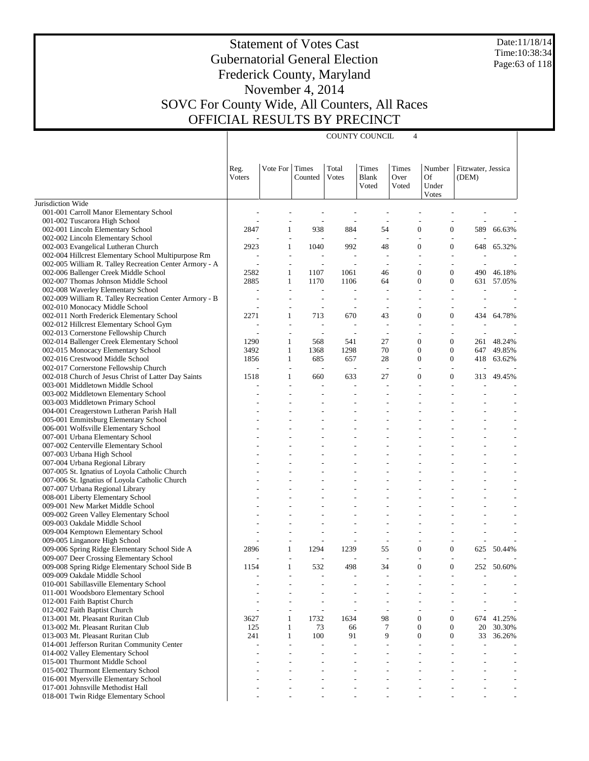Date:11/18/14 Time:10:38:34 Page:63 of 118

# Statement of Votes Cast Gubernatorial General Election Frederick County, Maryland November 4, 2014 SOVC For County Wide, All Counters, All Races OFFICIAL RESULTS BY PRECINCT

|                                                                                                               | Reg.<br>Voters | Vote For                         | Times<br>Counted         | Total<br>Votes           | Times<br><b>Blank</b><br>Voted | Times<br>Over<br>Voted | Number<br>Of<br>Under<br>Votes                                       | Fitzwater, Jessica<br>(DEM) |            |
|---------------------------------------------------------------------------------------------------------------|----------------|----------------------------------|--------------------------|--------------------------|--------------------------------|------------------------|----------------------------------------------------------------------|-----------------------------|------------|
| Jurisdiction Wide                                                                                             |                |                                  |                          |                          |                                |                        |                                                                      |                             |            |
| 001-001 Carroll Manor Elementary School                                                                       |                |                                  |                          |                          |                                |                        |                                                                      |                             |            |
| 001-002 Tuscarora High School                                                                                 |                |                                  |                          | $\overline{a}$           | $\overline{a}$                 |                        |                                                                      |                             |            |
| 002-001 Lincoln Elementary School                                                                             | 2847           | $\mathbf{1}$                     | 938                      | 884                      | 54                             |                        | $\boldsymbol{0}$<br>$\boldsymbol{0}$                                 | 589                         | 66.63%     |
| 002-002 Lincoln Elementary School                                                                             |                | $\overline{a}$                   | ÷,                       | J.                       | $\overline{a}$                 |                        | $\overline{a}$<br>$\overline{a}$                                     |                             | 65.32%     |
| 002-003 Evangelical Lutheran Church                                                                           | 2923           | 1                                | 1040                     | 992                      | 48                             |                        | $\mathbf{0}$<br>$\boldsymbol{0}$                                     | 648                         |            |
| 002-004 Hillcrest Elementary School Multipurpose Rm<br>002-005 William R. Talley Recreation Center Armory - A | L.             | $\overline{a}$<br>$\overline{a}$ | $\sim$                   | Ĭ.<br>$\overline{a}$     | $\overline{a}$                 |                        | $\overline{a}$<br>$\overline{a}$<br>$\overline{a}$<br>$\overline{a}$ |                             |            |
| 002-006 Ballenger Creek Middle School                                                                         | 2582           | $\mathbf{1}$                     | 1107                     | 1061                     | 46                             |                        | $\mathbf{0}$<br>$\boldsymbol{0}$                                     | 490                         | 46.18%     |
| 002-007 Thomas Johnson Middle School                                                                          | 2885           | $\mathbf{1}$                     | 1170                     | 1106                     | 64                             |                        | $\boldsymbol{0}$<br>$\boldsymbol{0}$                                 | 631                         | 57.05%     |
| 002-008 Waverley Elementary School                                                                            |                | $\overline{a}$                   | L,                       |                          | ÷,                             |                        | L,<br>$\overline{a}$                                                 |                             |            |
| 002-009 William R. Talley Recreation Center Armory - B                                                        | L,             |                                  |                          | $\overline{a}$           | $\overline{a}$                 |                        | L,                                                                   |                             |            |
| 002-010 Monocacy Middle School                                                                                |                | $\overline{a}$                   | $\overline{a}$           | $\overline{a}$           | $\overline{a}$                 |                        | $\overline{a}$<br>$\overline{a}$                                     |                             |            |
| 002-011 North Frederick Elementary School                                                                     | 2271           | 1                                | 713                      | 670                      | 43                             |                        | $\boldsymbol{0}$<br>0                                                | 434                         | 64.78%     |
| 002-012 Hillcrest Elementary School Gym                                                                       |                | $\overline{a}$                   | $\overline{\phantom{a}}$ | $\overline{a}$           | $\overline{a}$                 |                        | $\overline{a}$<br>$\overline{a}$                                     |                             |            |
| 002-013 Cornerstone Fellowship Church                                                                         | $\overline{a}$ | $\overline{a}$                   | $\overline{\phantom{a}}$ | $\overline{\phantom{a}}$ | $\overline{\phantom{a}}$       |                        | $\overline{a}$<br>$\overline{a}$                                     |                             |            |
| 002-014 Ballenger Creek Elementary School                                                                     | 1290           | $\mathbf{1}$                     | 568                      | 541                      | 27                             |                        | $\boldsymbol{0}$<br>0                                                | 261                         | 48.24%     |
| 002-015 Monocacy Elementary School                                                                            | 3492           | $\mathbf{1}$                     | 1368                     | 1298                     | 70                             |                        | $\boldsymbol{0}$<br>$\boldsymbol{0}$                                 | 647                         | 49.85%     |
| 002-016 Crestwood Middle School                                                                               | 1856           | $\mathbf{1}$                     | 685                      | 657                      | 28                             |                        | $\mathbf{0}$<br>$\boldsymbol{0}$                                     | 418                         | 63.62%     |
| 002-017 Cornerstone Fellowship Church                                                                         | $\overline{a}$ | $\overline{a}$                   | $\overline{\phantom{a}}$ | $\overline{\phantom{a}}$ | $\overline{\phantom{a}}$       |                        | $\overline{a}$                                                       | $\overline{a}$              |            |
| 002-018 Church of Jesus Christ of Latter Day Saints                                                           | 1518           | $\mathbf{1}$                     | 660                      | 633                      | 27                             |                        | $\mathbf{0}$<br>$\boldsymbol{0}$                                     | 313                         | 49.45%     |
| 003-001 Middletown Middle School                                                                              |                | L,                               | ÷,                       | L,                       | ÷,                             |                        |                                                                      |                             |            |
| 003-002 Middletown Elementary School                                                                          |                | $\overline{a}$                   |                          | $\overline{a}$           |                                |                        | $\overline{a}$                                                       |                             |            |
| 003-003 Middletown Primary School                                                                             |                |                                  |                          |                          |                                |                        |                                                                      |                             |            |
| 004-001 Creagerstown Lutheran Parish Hall                                                                     |                | L,                               |                          | L,                       |                                |                        |                                                                      |                             |            |
| 005-001 Emmitsburg Elementary School                                                                          |                |                                  |                          |                          |                                |                        |                                                                      |                             |            |
| 006-001 Wolfsville Elementary School                                                                          |                | $\overline{a}$                   |                          | $\overline{a}$           |                                |                        |                                                                      | $\overline{a}$              |            |
| 007-001 Urbana Elementary School                                                                              |                |                                  |                          |                          |                                |                        |                                                                      |                             |            |
| 007-002 Centerville Elementary School                                                                         |                |                                  |                          | $\overline{a}$           |                                |                        |                                                                      | $\overline{a}$              |            |
| 007-003 Urbana High School                                                                                    |                |                                  |                          |                          |                                |                        |                                                                      |                             |            |
| 007-004 Urbana Regional Library                                                                               |                | ÷.                               |                          | L.                       |                                |                        | ÷.                                                                   | L,                          |            |
| 007-005 St. Ignatius of Loyola Catholic Church                                                                |                |                                  |                          |                          |                                |                        |                                                                      |                             |            |
| 007-006 St. Ignatius of Loyola Catholic Church                                                                |                |                                  |                          | $\overline{a}$           |                                |                        |                                                                      | $\overline{a}$              |            |
| 007-007 Urbana Regional Library                                                                               |                |                                  |                          |                          |                                |                        |                                                                      |                             |            |
| 008-001 Liberty Elementary School                                                                             |                | L,                               |                          | L,                       |                                |                        | L,                                                                   | L,                          |            |
| 009-001 New Market Middle School                                                                              |                |                                  |                          |                          |                                |                        |                                                                      |                             |            |
| 009-002 Green Valley Elementary School                                                                        |                | $\overline{a}$                   |                          | $\overline{a}$           |                                |                        | $\overline{a}$                                                       |                             |            |
| 009-003 Oakdale Middle School                                                                                 |                |                                  |                          |                          |                                |                        |                                                                      |                             |            |
| 009-004 Kemptown Elementary School                                                                            |                | $\overline{a}$                   | $\overline{a}$           | $\overline{a}$           | $\overline{a}$                 |                        | $\overline{a}$                                                       | $\overline{a}$              |            |
| 009-005 Linganore High School                                                                                 |                | $\overline{a}$                   | $\overline{a}$           | $\overline{a}$           | $\overline{a}$                 |                        | $\overline{a}$                                                       |                             |            |
| 009-006 Spring Ridge Elementary School Side A                                                                 | 2896           | $\mathbf{1}$                     | 1294                     | 1239                     | 55                             |                        | $\boldsymbol{0}$<br>$\boldsymbol{0}$                                 | 625                         | 50.44%     |
| 009-007 Deer Crossing Elementary School                                                                       |                | $\overline{a}$                   | $\overline{a}$           |                          | $\overline{a}$                 |                        | $\overline{a}$                                                       |                             |            |
| 009-008 Spring Ridge Elementary School Side B                                                                 | 1154           | $\mathbf{1}$                     | 532                      | 498                      | 34                             |                        | $\mathbf{0}$<br>$\mathbf{0}$                                         |                             | 252 50.60% |
| 009-009 Oakdale Middle School                                                                                 |                |                                  |                          |                          |                                |                        |                                                                      |                             |            |
| 010-001 Sabillasville Elementary School                                                                       |                |                                  |                          |                          |                                |                        |                                                                      |                             |            |
| 011-001 Woodsboro Elementary School                                                                           |                |                                  |                          |                          |                                |                        |                                                                      |                             |            |
| 012-001 Faith Baptist Church                                                                                  |                |                                  |                          |                          |                                |                        |                                                                      |                             |            |
| 012-002 Faith Baptist Church                                                                                  |                | L,                               | L                        | ÷,                       |                                |                        |                                                                      |                             |            |
| 013-001 Mt. Pleasant Ruritan Club                                                                             | 3627           | $\mathbf{1}$                     | 1732                     | 1634                     | 98                             |                        | $\boldsymbol{0}$<br>$\boldsymbol{0}$                                 | 674                         | 41.25%     |
| 013-002 Mt. Pleasant Ruritan Club                                                                             | 125            | $\mathbf{1}$                     | 73                       | 66                       | 7                              |                        | 0<br>0                                                               | 20                          | 30.30%     |
| 013-003 Mt. Pleasant Ruritan Club                                                                             | 241            | 1                                | 100                      | 91                       | 9                              |                        | 0<br>0                                                               | 33                          | 36.26%     |
| 014-001 Jefferson Ruritan Community Center                                                                    |                | L,                               |                          |                          |                                |                        |                                                                      |                             |            |
| 014-002 Valley Elementary School                                                                              |                |                                  |                          |                          |                                |                        |                                                                      |                             |            |
| 015-001 Thurmont Middle School                                                                                |                |                                  |                          |                          |                                |                        |                                                                      |                             |            |
| 015-002 Thurmont Elementary School                                                                            |                |                                  |                          |                          |                                |                        |                                                                      |                             |            |
| 016-001 Myersville Elementary School                                                                          |                |                                  |                          |                          |                                |                        |                                                                      |                             |            |
| 017-001 Johnsville Methodist Hall                                                                             |                |                                  |                          |                          |                                |                        |                                                                      |                             |            |
| 018-001 Twin Ridge Elementary School                                                                          |                |                                  |                          |                          |                                |                        |                                                                      |                             |            |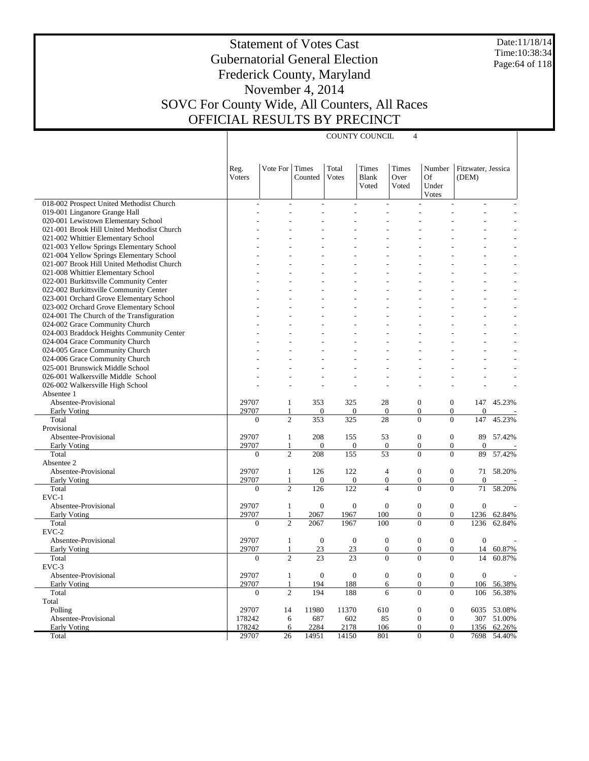Date:11/18/14 Time:10:38:34 Page:64 of 118

 $\overline{\phantom{a}}$ 

## Statement of Votes Cast Gubernatorial General Election Frederick County, Maryland November 4, 2014 SOVC For County Wide, All Counters, All Races OFFICIAL RESULTS BY PRECINCT COUNTY COUNCIL 4

 $\top$ 

|                                                                                   | Reg.<br>Voters  | Vote For                         | <b>Times</b><br>Counted | Total<br><b>Votes</b> | Times<br><b>Blank</b><br>Voted | Times<br>Over<br>Voted | Number<br>Of<br>Under<br>Votes | Fitzwater, Jessica<br>(DEM)          |                  |
|-----------------------------------------------------------------------------------|-----------------|----------------------------------|-------------------------|-----------------------|--------------------------------|------------------------|--------------------------------|--------------------------------------|------------------|
| 018-002 Prospect United Methodist Church                                          |                 | $\overline{a}$<br>$\overline{a}$ |                         |                       |                                |                        |                                |                                      |                  |
| 019-001 Linganore Grange Hall                                                     |                 |                                  |                         |                       |                                |                        |                                |                                      |                  |
| 020-001 Lewistown Elementary School                                               |                 |                                  |                         |                       |                                |                        |                                |                                      |                  |
| 021-001 Brook Hill United Methodist Church                                        |                 |                                  |                         |                       |                                |                        |                                |                                      |                  |
| 021-002 Whittier Elementary School                                                |                 |                                  |                         |                       |                                |                        |                                |                                      |                  |
| 021-003 Yellow Springs Elementary School                                          |                 |                                  |                         |                       |                                |                        |                                |                                      |                  |
| 021-004 Yellow Springs Elementary School                                          |                 |                                  |                         |                       |                                |                        |                                |                                      |                  |
| 021-007 Brook Hill United Methodist Church                                        |                 |                                  |                         |                       |                                |                        |                                |                                      |                  |
| 021-008 Whittier Elementary School                                                |                 |                                  |                         |                       |                                |                        |                                |                                      |                  |
| 022-001 Burkittsville Community Center                                            |                 |                                  |                         |                       |                                |                        |                                |                                      |                  |
| 022-002 Burkittsville Community Center<br>023-001 Orchard Grove Elementary School |                 |                                  |                         |                       |                                |                        |                                |                                      |                  |
| 023-002 Orchard Grove Elementary School                                           |                 |                                  |                         |                       |                                |                        |                                |                                      |                  |
| 024-001 The Church of the Transfiguration                                         |                 |                                  |                         |                       |                                |                        |                                |                                      |                  |
| 024-002 Grace Community Church                                                    |                 |                                  |                         |                       |                                |                        |                                |                                      |                  |
| 024-003 Braddock Heights Community Center                                         |                 |                                  |                         |                       |                                |                        |                                |                                      |                  |
| 024-004 Grace Community Church                                                    |                 |                                  |                         |                       |                                |                        |                                |                                      |                  |
| 024-005 Grace Community Church                                                    |                 |                                  |                         |                       |                                |                        |                                |                                      |                  |
| 024-006 Grace Community Church                                                    |                 |                                  |                         |                       |                                |                        |                                |                                      |                  |
| 025-001 Brunswick Middle School                                                   |                 |                                  |                         |                       |                                |                        |                                |                                      |                  |
| 026-001 Walkersville Middle School                                                |                 |                                  |                         |                       |                                |                        |                                |                                      |                  |
| 026-002 Walkersville High School                                                  |                 |                                  |                         |                       |                                |                        |                                |                                      |                  |
| Absentee 1                                                                        |                 |                                  |                         |                       |                                |                        |                                |                                      |                  |
| Absentee-Provisional                                                              | 29707           | $\mathbf{1}$                     | 353                     | 325                   | 28                             |                        | $\mathbf{0}$                   | $\overline{0}$<br>147                | 45.23%           |
| <b>Early Voting</b>                                                               | 29707           | $\mathbf{1}$                     | $\boldsymbol{0}$        |                       | $\boldsymbol{0}$               | $\boldsymbol{0}$       | $\boldsymbol{0}$               | $\boldsymbol{0}$<br>$\boldsymbol{0}$ |                  |
| Total                                                                             | $\mathbf{0}$    | $\overline{\mathcal{L}}$         | 353                     | 325                   | 28                             |                        | $\mathbf{0}$                   | $\overline{0}$<br>147                | 45.23%           |
| Provisional                                                                       |                 |                                  |                         |                       |                                |                        |                                |                                      |                  |
| Absentee-Provisional                                                              | 29707           | $\mathbf{1}$                     | 208                     | 155                   | 53                             |                        | $\mathbf{0}$                   | $\overline{0}$<br>89                 | 57.42%           |
| <b>Early Voting</b>                                                               | 29707           | $\mathbf{1}$<br>$\overline{2}$   | $\mathbf{0}$            |                       | $\mathbf{0}$                   | $\mathbf{0}$           | $\boldsymbol{0}$<br>$\Omega$   | $\boldsymbol{0}$<br>$\mathbf{0}$     |                  |
| Total                                                                             |                 | $\Omega$                         | 208                     | 155                   | 53                             |                        |                                | $\theta$<br>89                       | 57.42%           |
| Absentee 2<br>Absentee-Provisional                                                | 29707           | $\mathbf{1}$                     | 126                     | 122                   |                                | $\overline{4}$         | $\boldsymbol{0}$               | $\boldsymbol{0}$<br>71               | 58.20%           |
| <b>Early Voting</b>                                                               | 29707           | $\mathbf{1}$                     | $\mathbf{0}$            |                       | $\mathbf{0}$                   | $\boldsymbol{0}$       | $\boldsymbol{0}$               | $\boldsymbol{0}$<br>$\overline{0}$   |                  |
| Total                                                                             |                 | $\overline{2}$<br>$\mathbf{0}$   | 126                     | 122                   |                                | $\overline{4}$         | $\mathbf{0}$                   | $\overline{0}$<br>71                 | 58.20%           |
| $EVC-1$                                                                           |                 |                                  |                         |                       |                                |                        |                                |                                      |                  |
| Absentee-Provisional                                                              | 29707           | $\mathbf{1}$                     | $\overline{0}$          |                       | $\mathbf{0}$                   | $\mathbf{0}$           | $\mathbf{0}$                   | $\overline{0}$<br>$\overline{0}$     |                  |
| <b>Early Voting</b>                                                               | 29707           | $\mathbf{1}$                     | 2067                    | 1967                  | 100                            |                        | $\boldsymbol{0}$               | $\boldsymbol{0}$<br>1236             | 62.84%           |
| Total                                                                             |                 | $\overline{c}$<br>$\mathbf{0}$   | 2067                    | 1967                  | 100                            |                        | $\overline{0}$                 | $\overline{0}$<br>1236               | 62.84%           |
| $EVC-2$                                                                           |                 |                                  |                         |                       |                                |                        |                                |                                      |                  |
| Absentee-Provisional                                                              | 29707           | $\mathbf{1}$                     | $\mathbf{0}$            |                       | $\boldsymbol{0}$               | $\boldsymbol{0}$       | $\boldsymbol{0}$               | $\boldsymbol{0}$<br>$\overline{0}$   |                  |
| <b>Early Voting</b>                                                               | 29707           | $\mathbf{1}$                     | 23                      | 23                    |                                | $\boldsymbol{0}$       | $\mathbf{0}$                   | $\overline{0}$<br>14                 | 60.87%           |
| Total                                                                             |                 | $\overline{c}$<br>$\theta$       | 23                      | 23                    |                                | $\theta$               | $\theta$                       | $\Omega$<br>14                       | 60.87%           |
| $EVC-3$                                                                           |                 |                                  |                         |                       |                                |                        |                                |                                      |                  |
| Absentee-Provisional                                                              | 29707           | $\mathbf{1}$                     | $\mathbf{0}$            |                       | $\boldsymbol{0}$               | $\boldsymbol{0}$       | $\boldsymbol{0}$               | $\boldsymbol{0}$<br>$\boldsymbol{0}$ |                  |
| <b>Early Voting</b>                                                               | 29707           | $\mathbf{1}$                     | 194                     | 188                   |                                | 6                      | $\mathbf{0}$                   | $\boldsymbol{0}$<br>106              | 56.38%           |
| Total                                                                             | $\mathbf{0}$    | $\overline{c}$                   | 194                     | 188                   |                                | 6                      | $\Omega$                       | $\mathbf{0}$<br>106                  | 56.38%           |
| Total                                                                             |                 |                                  |                         |                       |                                |                        |                                |                                      |                  |
| Polling                                                                           | 29707           | 14                               | 11980                   | 11370                 | 610                            |                        | $\boldsymbol{0}$               | $\boldsymbol{0}$<br>6035             | 53.08%           |
| Absentee-Provisional                                                              | 178242          | 6                                | 687                     | 602                   | 85                             |                        | $\mathbf{0}$<br>$\Omega$       | $\boldsymbol{0}$<br>307<br>$\Omega$  | 51.00%           |
| <b>Early Voting</b><br>Total                                                      | 178242<br>29707 | 6<br>26                          | 2284<br>14951           | 2178<br>14150         | 106<br>801                     |                        | $\Omega$                       | 1356<br>$\theta$<br>7698             | 62.26%<br>54.40% |
|                                                                                   |                 |                                  |                         |                       |                                |                        |                                |                                      |                  |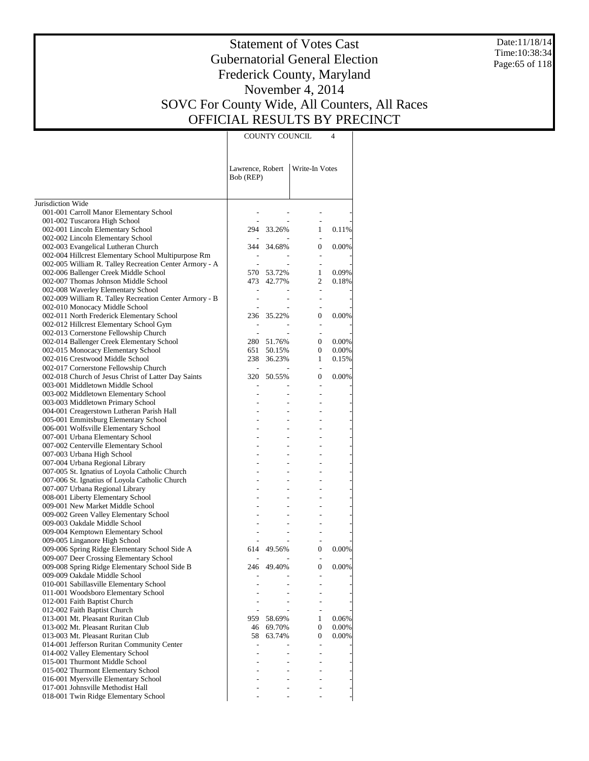Date:11/18/14 Time:10:38:34 Page:65 of 118

# Statement of Votes Cast Gubernatorial General Election Frederick County, Maryland November 4, 2014 SOVC For County Wide, All Counters, All Races OFFICIAL RESULTS BY PRECINCT

|                                                                                          | Lawrence, Robert<br>Bob (REP) |            | Write-In Votes           |          |  |
|------------------------------------------------------------------------------------------|-------------------------------|------------|--------------------------|----------|--|
| Jurisdiction Wide                                                                        |                               |            |                          |          |  |
| 001-001 Carroll Manor Elementary School                                                  |                               |            |                          |          |  |
| 001-002 Tuscarora High School                                                            |                               |            | $\overline{a}$           |          |  |
| 002-001 Lincoln Elementary School                                                        |                               | 294 33.26% | 1                        | 0.11%    |  |
| 002-002 Lincoln Elementary School                                                        |                               |            | L,                       |          |  |
| 002-003 Evangelical Lutheran Church                                                      | 344                           | 34.68%     | 0                        | $0.00\%$ |  |
| 002-004 Hillcrest Elementary School Multipurpose Rm                                      |                               |            | $\overline{a}$           |          |  |
| 002-005 William R. Talley Recreation Center Armory - A                                   |                               |            | ÷,                       |          |  |
| 002-006 Ballenger Creek Middle School                                                    |                               | 570 53.72% | 1                        | 0.09%    |  |
| 002-007 Thomas Johnson Middle School                                                     |                               | 473 42.77% | 2                        | 0.18%    |  |
| 002-008 Waverley Elementary School                                                       |                               |            | $\overline{a}$           |          |  |
| 002-009 William R. Talley Recreation Center Armory - B<br>002-010 Monocacy Middle School |                               |            | $\overline{a}$<br>L,     |          |  |
| 002-011 North Frederick Elementary School                                                |                               | 236 35.22% | $\mathbf{0}$             | $0.00\%$ |  |
| 002-012 Hillcrest Elementary School Gym                                                  |                               |            | ٠                        |          |  |
| 002-013 Cornerstone Fellowship Church                                                    |                               |            | $\overline{a}$           |          |  |
| 002-014 Ballenger Creek Elementary School                                                |                               | 280 51.76% | $\mathbf{0}$             | $0.00\%$ |  |
| 002-015 Monocacy Elementary School                                                       |                               | 651 50.15% | $\mathbf{0}$             | $0.00\%$ |  |
| 002-016 Crestwood Middle School                                                          |                               | 238 36.23% | 1                        | 0.15%    |  |
| 002-017 Cornerstone Fellowship Church                                                    | $\sim 100$                    |            | $\overline{\phantom{a}}$ |          |  |
| 002-018 Church of Jesus Christ of Latter Day Saints                                      |                               | 320 50.55% | $\mathbf{0}$             | $0.00\%$ |  |
| 003-001 Middletown Middle School                                                         |                               |            | L,                       |          |  |
| 003-002 Middletown Elementary School                                                     |                               |            | $\overline{a}$           |          |  |
| 003-003 Middletown Primary School                                                        |                               |            | L,                       |          |  |
| 004-001 Creagerstown Lutheran Parish Hall                                                |                               |            |                          |          |  |
| 005-001 Emmitsburg Elementary School                                                     |                               |            |                          |          |  |
| 006-001 Wolfsville Elementary School                                                     |                               |            |                          |          |  |
| 007-001 Urbana Elementary School                                                         |                               |            |                          |          |  |
| 007-002 Centerville Elementary School                                                    |                               |            |                          |          |  |
| 007-003 Urbana High School<br>007-004 Urbana Regional Library                            |                               |            |                          |          |  |
| 007-005 St. Ignatius of Loyola Catholic Church                                           |                               |            |                          |          |  |
| 007-006 St. Ignatius of Loyola Catholic Church                                           |                               |            |                          |          |  |
| 007-007 Urbana Regional Library                                                          |                               |            |                          |          |  |
| 008-001 Liberty Elementary School                                                        |                               |            |                          |          |  |
| 009-001 New Market Middle School                                                         |                               |            |                          |          |  |
| 009-002 Green Valley Elementary School                                                   |                               |            |                          |          |  |
| 009-003 Oakdale Middle School                                                            |                               |            |                          |          |  |
| 009-004 Kemptown Elementary School                                                       |                               |            |                          |          |  |
| 009-005 Linganore High School                                                            |                               |            | ÷,                       |          |  |
| 009-006 Spring Ridge Elementary School Side A                                            |                               | 614 49.56% | 0                        | $0.00\%$ |  |
| 009-007 Deer Crossing Elementary School                                                  |                               |            |                          |          |  |
| 009-008 Spring Ridge Elementary School Side B                                            |                               | 246 49.40% | 0                        | $0.00\%$ |  |
| 009-009 Oakdale Middle School<br>010-001 Sabillasville Elementary School                 |                               |            |                          |          |  |
| 011-001 Woodsboro Elementary School                                                      |                               |            |                          |          |  |
| 012-001 Faith Baptist Church                                                             |                               |            |                          |          |  |
| 012-002 Faith Baptist Church                                                             |                               |            | ٠                        |          |  |
| 013-001 Mt. Pleasant Ruritan Club                                                        | 959                           | 58.69%     | 1                        | 0.06%    |  |
| 013-002 Mt. Pleasant Ruritan Club                                                        | 46                            | 69.70%     | 0                        | 0.00%    |  |
| 013-003 Mt. Pleasant Ruritan Club                                                        | 58                            | 63.74%     | $\mathbf{0}$             | $0.00\%$ |  |
| 014-001 Jefferson Ruritan Community Center                                               |                               |            | ÷,                       |          |  |
| 014-002 Valley Elementary School                                                         |                               |            | L,                       |          |  |
| 015-001 Thurmont Middle School                                                           |                               |            | L,                       |          |  |
| 015-002 Thurmont Elementary School                                                       |                               |            | L.                       |          |  |
| 016-001 Myersville Elementary School                                                     |                               |            | L.                       |          |  |
| 017-001 Johnsville Methodist Hall                                                        |                               |            |                          |          |  |
| 018-001 Twin Ridge Elementary School                                                     |                               |            |                          |          |  |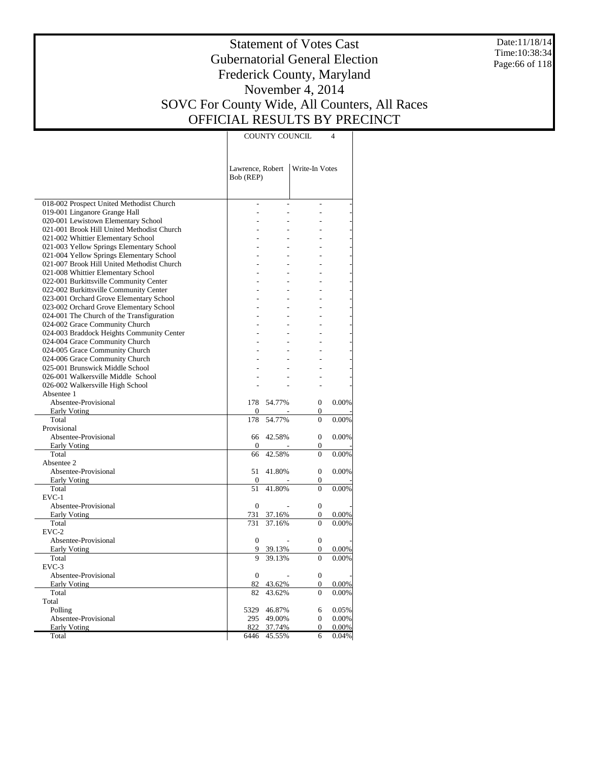Date:11/18/14 Time:10:38:34 Page:66 of 118

# Statement of Votes Cast Gubernatorial General Election Frederick County, Maryland November 4, 2014 SOVC For County Wide, All Counters, All Races OFFICIAL RESULTS BY PRECINCT

|                                            | Lawrence, Robert<br>Bob (REP) |             | Write-In Votes           |       |
|--------------------------------------------|-------------------------------|-------------|--------------------------|-------|
| 018-002 Prospect United Methodist Church   |                               |             |                          |       |
| 019-001 Linganore Grange Hall              |                               |             |                          |       |
| 020-001 Lewistown Elementary School        |                               |             |                          |       |
| 021-001 Brook Hill United Methodist Church |                               |             |                          |       |
| 021-002 Whittier Elementary School         |                               |             |                          |       |
| 021-003 Yellow Springs Elementary School   |                               |             |                          |       |
| 021-004 Yellow Springs Elementary School   |                               |             |                          |       |
| 021-007 Brook Hill United Methodist Church |                               |             |                          |       |
| 021-008 Whittier Elementary School         |                               |             |                          |       |
| 022-001 Burkittsville Community Center     |                               |             |                          |       |
| 022-002 Burkittsville Community Center     |                               |             |                          |       |
| 023-001 Orchard Grove Elementary School    |                               |             |                          |       |
| 023-002 Orchard Grove Elementary School    |                               |             |                          |       |
| 024-001 The Church of the Transfiguration  |                               |             |                          |       |
| 024-002 Grace Community Church             |                               |             |                          |       |
| 024-003 Braddock Heights Community Center  |                               |             |                          |       |
| 024-004 Grace Community Church             |                               |             |                          |       |
| 024-005 Grace Community Church             |                               |             |                          |       |
| 024-006 Grace Community Church             |                               |             |                          |       |
| 025-001 Brunswick Middle School            |                               |             |                          |       |
| 026-001 Walkersville Middle School         |                               |             |                          |       |
| 026-002 Walkersville High School           |                               |             |                          |       |
| Absentee 1                                 |                               |             |                          |       |
| Absentee-Provisional                       | 178                           | 54.77%      | $\mathbf{0}$             | 0.00% |
| Early Voting<br>Total                      | $\mathbf{0}$<br>178           | 54.77%      | $\mathbf{0}$<br>$\Omega$ |       |
| Provisional                                |                               |             |                          | 0.00% |
| Absentee-Provisional                       |                               | 66 42.58%   | $\boldsymbol{0}$         | 0.00% |
| Early Voting                               | $\Omega$                      |             | $\mathbf{0}$             |       |
| Total                                      | 66                            | 42.58%      | $\theta$                 | 0.00% |
| Absentee 2                                 |                               |             |                          |       |
| Absentee-Provisional                       | 51                            | 41.80%      | $\mathbf{0}$             | 0.00% |
| Early Voting                               | $\mathbf{0}$                  |             | $\overline{0}$           |       |
| Total                                      | 51                            | 41.80%      | $\Omega$                 | 0.00% |
| $EVC-1$                                    |                               |             |                          |       |
| Absentee-Provisional                       | $\mathbf{0}$                  |             | $\mathbf{0}$             |       |
| Early Voting                               | 731                           | 37.16%      | $\mathbf{0}$             | 0.00% |
| Total                                      | 731                           | 37.16%      | $\theta$                 | 0.00% |
| $EVC-2$                                    |                               |             |                          |       |
| Absentee-Provisional                       | $\mathbf{0}$                  |             | $\mathbf{0}$             |       |
| Early Voting                               | 9                             | 39.13%      | $\Omega$                 | 0.00% |
| Total                                      | 9                             | 39.13%      | $\Omega$                 | 0.00% |
| $EVC-3$                                    |                               |             |                          |       |
| Absentee-Provisional                       | $\Omega$                      |             | $\mathbf{0}$             |       |
| Early Voting                               | 82                            | 43.62%      | $\boldsymbol{0}$         | 0.00% |
| Total                                      | 82                            | 43.62%      | $\overline{0}$           | 0.00% |
| Total                                      |                               |             |                          |       |
| Polling                                    |                               | 5329 46.87% | 6                        | 0.05% |
| Absentee-Provisional                       | 295                           | 49.00%      | $\mathbf{0}$             | 0.00% |
| <b>Early Voting</b>                        | 822                           | 37.74%      | $\mathbf{0}$             | 0.00% |
| Total                                      | 6446                          | 45.55%      | 6                        | 0.04% |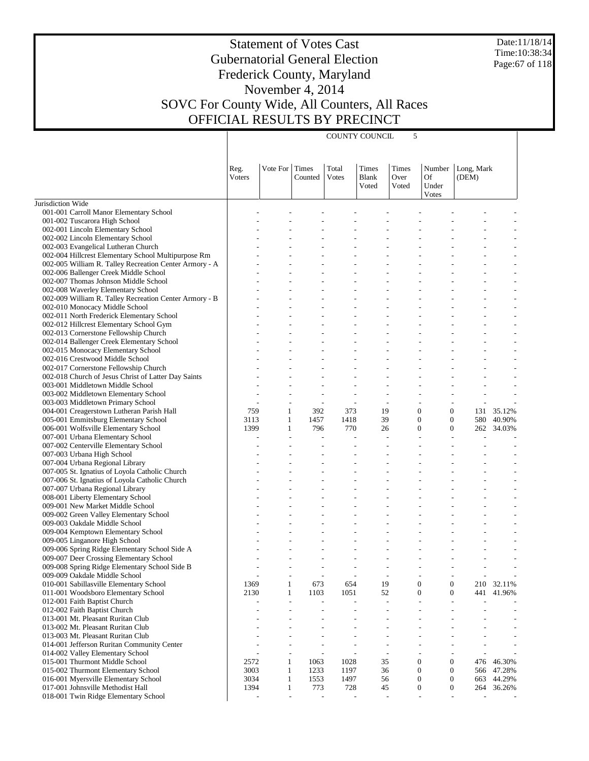Date:11/18/14 Time:10:38:34 Page:67 of 118

 $\overline{\phantom{a}}$ 

## Statement of Votes Cast Gubernatorial General Election Frederick County, Maryland November 4, 2014 SOVC For County Wide, All Counters, All Races OFFICIAL RESULTS BY PRECINCT COUNTY COUNCIL 5

Τ

|                                                                                                               | Reg.<br><b>Voters</b> | Vote For                         | Times<br>Counted         | Total<br><b>V</b> otes   | <b>Times</b><br><b>Blank</b><br>Voted | Times<br>Over<br>Voted | Number<br>Of<br>Under<br>Votes                       | Long, Mark<br>(DEM) |                          |
|---------------------------------------------------------------------------------------------------------------|-----------------------|----------------------------------|--------------------------|--------------------------|---------------------------------------|------------------------|------------------------------------------------------|---------------------|--------------------------|
| Jurisdiction Wide                                                                                             |                       |                                  |                          |                          |                                       |                        |                                                      |                     |                          |
| 001-001 Carroll Manor Elementary School                                                                       |                       |                                  |                          |                          |                                       |                        |                                                      |                     |                          |
| 001-002 Tuscarora High School                                                                                 |                       |                                  |                          |                          |                                       |                        |                                                      |                     |                          |
| 002-001 Lincoln Elementary School                                                                             |                       |                                  |                          |                          |                                       |                        | $\overline{a}$                                       |                     |                          |
| 002-002 Lincoln Elementary School                                                                             |                       |                                  |                          |                          |                                       |                        |                                                      |                     |                          |
| 002-003 Evangelical Lutheran Church                                                                           |                       |                                  |                          |                          |                                       |                        |                                                      |                     |                          |
| 002-004 Hillcrest Elementary School Multipurpose Rm<br>002-005 William R. Talley Recreation Center Armory - A |                       |                                  |                          |                          |                                       |                        |                                                      |                     |                          |
| 002-006 Ballenger Creek Middle School                                                                         |                       |                                  |                          |                          |                                       |                        |                                                      |                     |                          |
| 002-007 Thomas Johnson Middle School                                                                          |                       |                                  |                          |                          |                                       |                        | $\overline{a}$                                       | ÷,                  |                          |
| 002-008 Waverley Elementary School                                                                            |                       |                                  |                          |                          |                                       |                        |                                                      |                     |                          |
| 002-009 William R. Talley Recreation Center Armory - B                                                        |                       |                                  |                          |                          |                                       |                        |                                                      |                     |                          |
| 002-010 Monocacy Middle School                                                                                |                       |                                  |                          |                          |                                       |                        |                                                      |                     |                          |
| 002-011 North Frederick Elementary School                                                                     |                       |                                  |                          |                          |                                       |                        |                                                      |                     |                          |
| 002-012 Hillcrest Elementary School Gym                                                                       |                       |                                  |                          |                          |                                       |                        |                                                      |                     |                          |
| 002-013 Cornerstone Fellowship Church                                                                         |                       |                                  |                          |                          |                                       |                        | $\overline{a}$                                       |                     |                          |
| 002-014 Ballenger Creek Elementary School                                                                     |                       |                                  |                          |                          |                                       |                        |                                                      |                     |                          |
| 002-015 Monocacy Elementary School                                                                            |                       |                                  |                          |                          |                                       |                        |                                                      |                     |                          |
| 002-016 Crestwood Middle School                                                                               |                       |                                  |                          |                          |                                       |                        |                                                      |                     |                          |
| 002-017 Cornerstone Fellowship Church                                                                         |                       |                                  |                          |                          |                                       |                        |                                                      |                     |                          |
| 002-018 Church of Jesus Christ of Latter Day Saints<br>003-001 Middletown Middle School                       |                       |                                  |                          |                          |                                       |                        |                                                      | L,                  |                          |
| 003-002 Middletown Elementary School                                                                          |                       |                                  |                          |                          |                                       |                        | $\overline{a}$                                       |                     |                          |
| 003-003 Middletown Primary School                                                                             |                       | $\overline{\phantom{a}}$         | $\overline{\phantom{a}}$ | $\overline{\phantom{a}}$ | $\overline{\phantom{a}}$              |                        | $\sim$                                               | $\overline{a}$      |                          |
| 004-001 Creagerstown Lutheran Parish Hall                                                                     | 759                   | $\mathbf{1}$                     | 392                      | 373                      | 19                                    |                        | $\Omega$<br>$\theta$                                 | 131                 | 35.12%                   |
| 005-001 Emmitsburg Elementary School                                                                          | 3113                  | $\mathbf{1}$                     | 1457                     | 1418                     | 39                                    |                        | $\Omega$<br>$\theta$                                 | 580                 | 40.90%                   |
| 006-001 Wolfsville Elementary School                                                                          | 1399                  | $\mathbf{1}$                     | 796                      | 770                      | 26                                    |                        | $\Omega$<br>$\theta$                                 | 262                 | 34.03%                   |
| 007-001 Urbana Elementary School                                                                              |                       |                                  |                          |                          | L,                                    |                        |                                                      | $\overline{a}$      |                          |
| 007-002 Centerville Elementary School                                                                         |                       |                                  |                          |                          |                                       |                        |                                                      |                     |                          |
| 007-003 Urbana High School                                                                                    |                       |                                  |                          |                          |                                       |                        |                                                      |                     |                          |
| 007-004 Urbana Regional Library                                                                               |                       |                                  |                          |                          |                                       |                        |                                                      |                     |                          |
| 007-005 St. Ignatius of Loyola Catholic Church                                                                |                       |                                  |                          |                          |                                       |                        | $\overline{a}$                                       |                     |                          |
| 007-006 St. Ignatius of Loyola Catholic Church                                                                |                       |                                  |                          |                          |                                       |                        |                                                      |                     |                          |
| 007-007 Urbana Regional Library<br>008-001 Liberty Elementary School                                          |                       |                                  |                          |                          |                                       |                        |                                                      |                     |                          |
| 009-001 New Market Middle School                                                                              |                       |                                  |                          |                          |                                       |                        |                                                      |                     |                          |
| 009-002 Green Valley Elementary School                                                                        |                       |                                  |                          |                          |                                       |                        |                                                      |                     |                          |
| 009-003 Oakdale Middle School                                                                                 |                       |                                  |                          |                          |                                       |                        | $\overline{a}$                                       | ÷,                  |                          |
| 009-004 Kemptown Elementary School                                                                            |                       |                                  |                          |                          |                                       |                        |                                                      |                     |                          |
| 009-005 Linganore High School                                                                                 |                       |                                  |                          |                          |                                       |                        |                                                      |                     |                          |
| 009-006 Spring Ridge Elementary School Side A                                                                 |                       |                                  |                          |                          |                                       |                        |                                                      |                     |                          |
| 009-007 Deer Crossing Elementary School                                                                       |                       |                                  |                          | $\overline{a}$           | $\overline{\phantom{a}}$              |                        | $\overline{a}$<br>Ĭ.                                 | $\overline{a}$      |                          |
| 009-008 Spring Ridge Elementary School Side B                                                                 |                       |                                  |                          |                          |                                       |                        |                                                      |                     |                          |
| 009-009 Oakdale Middle School                                                                                 | $\overline{a}$        | $\overline{\phantom{a}}$         | $\overline{a}$           | $\overline{\phantom{a}}$ | $\overline{\phantom{a}}$              |                        | $\overline{\phantom{a}}$<br>$\overline{\phantom{a}}$ | $\frac{1}{2}$       |                          |
| 010-001 Sabillasville Elementary School                                                                       | 1369                  | $\mathbf{1}$                     | 673                      | 654                      | 19                                    |                        | $\boldsymbol{0}$<br>$\mathbf{0}$                     | 210                 | 32.11%                   |
| 011-001 Woodsboro Elementary School                                                                           | 2130                  | $\mathbf{1}$                     | 1103                     | 1051                     | 52                                    |                        | $\overline{0}$<br>0                                  | 441                 | 41.96%                   |
| 012-001 Faith Baptist Church<br>012-002 Faith Baptist Church                                                  |                       | $\overline{a}$<br>$\overline{a}$ |                          | $\overline{a}$           | L,                                    |                        | $\overline{a}$<br>÷,<br>$\overline{a}$               |                     |                          |
| 013-001 Mt. Pleasant Ruritan Club                                                                             |                       |                                  |                          |                          |                                       |                        | $\overline{\phantom{a}}$<br>$\overline{a}$           |                     |                          |
| 013-002 Mt. Pleasant Ruritan Club                                                                             |                       |                                  |                          | $\overline{\phantom{a}}$ | $\overline{a}$                        |                        | $\overline{a}$                                       | $\overline{a}$      | $\overline{\phantom{a}}$ |
| 013-003 Mt. Pleasant Ruritan Club                                                                             |                       |                                  |                          |                          |                                       |                        | L,                                                   |                     |                          |
| 014-001 Jefferson Ruritan Community Center                                                                    |                       |                                  |                          |                          | $\overline{a}$                        |                        | $\overline{a}$                                       |                     |                          |
| 014-002 Valley Elementary School                                                                              |                       | $\overline{a}$                   |                          | $\overline{a}$           | $\overline{a}$                        |                        | $\overline{a}$                                       | $\overline{a}$      |                          |
| 015-001 Thurmont Middle School                                                                                | 2572                  | $\mathbf{1}$                     | 1063                     | 1028                     | 35                                    |                        | $\overline{0}$<br>$\overline{0}$                     | 476                 | 46.30%                   |
| 015-002 Thurmont Elementary School                                                                            | 3003                  | $\mathbf{1}$                     | 1233                     | 1197                     | 36                                    |                        | $\overline{0}$<br>$\overline{0}$                     | 566                 | 47.28%                   |
| 016-001 Myersville Elementary School                                                                          | 3034                  | $\mathbf{1}$                     | 1553                     | 1497                     | 56                                    |                        | $\boldsymbol{0}$<br>0                                | 663                 | 44.29%                   |
| 017-001 Johnsville Methodist Hall                                                                             | 1394                  | $\mathbf{1}$                     | 773                      | 728                      | 45                                    |                        | $\boldsymbol{0}$<br>$\boldsymbol{0}$                 | 264                 | 36.26%                   |
| 018-001 Twin Ridge Elementary School                                                                          |                       | $\overline{\phantom{a}}$         | $\overline{a}$           | $\overline{a}$           | $\overline{\phantom{a}}$              |                        |                                                      | ÷,                  |                          |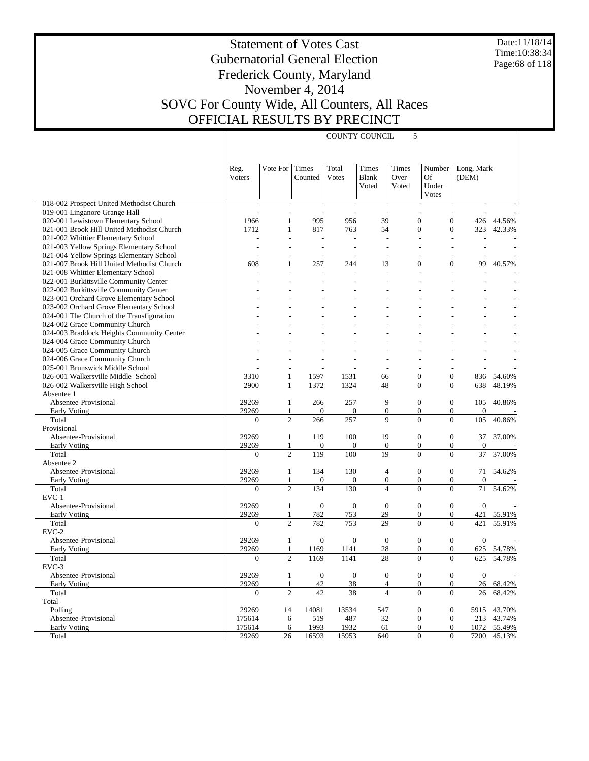Date:11/18/14 Time:10:38:34 Page:68 of 118

 $\overline{\phantom{a}}$ 

# Statement of Votes Cast Gubernatorial General Election Frederick County, Maryland November 4, 2014 SOVC For County Wide, All Counters, All Races OFFICIAL RESULTS BY PRECINCT

 $\top$ 

|                                                                  | Reg.<br>Voters | Vote For                 | Times<br>Counted | Total<br>Votes           | Times<br><b>Blank</b><br>Voted | Times<br>Over<br>Voted | Number<br>Of<br>Under<br>Votes | Long, Mark<br>(DEM) |        |
|------------------------------------------------------------------|----------------|--------------------------|------------------|--------------------------|--------------------------------|------------------------|--------------------------------|---------------------|--------|
| 018-002 Prospect United Methodist Church                         | ÷.             | ÷.                       | $\overline{a}$   | $\overline{\phantom{a}}$ | ÷,                             |                        |                                | $\overline{a}$      |        |
| 019-001 Linganore Grange Hall                                    |                | ÷,                       | $\overline{a}$   | $\overline{a}$           | $\overline{a}$                 | $\overline{a}$         | ÷                              | ÷                   |        |
| 020-001 Lewistown Elementary School                              | 1966           | $\mathbf{1}$             | 995              | 956                      | 39                             | $\boldsymbol{0}$       | $\boldsymbol{0}$               | 426                 | 44.56% |
| 021-001 Brook Hill United Methodist Church                       | 1712           | $\mathbf{1}$             | 817              | 763                      | 54                             | $\boldsymbol{0}$       | $\mathbf{0}$                   | 323                 | 42.33% |
| 021-002 Whittier Elementary School                               |                |                          |                  | ÷,                       |                                |                        |                                |                     |        |
| 021-003 Yellow Springs Elementary School                         |                |                          |                  |                          |                                |                        |                                |                     |        |
| 021-004 Yellow Springs Elementary School                         |                | ÷                        | $\overline{a}$   | $\overline{a}$           | $\overline{a}$                 | $\overline{a}$         |                                |                     |        |
| 021-007 Brook Hill United Methodist Church                       | 608            | 1                        | 257              | 244                      | 13                             | $\boldsymbol{0}$       | $\boldsymbol{0}$               | 99                  | 40.57% |
| 021-008 Whittier Elementary School                               |                | L.                       | ÷.               | J.                       |                                |                        |                                |                     |        |
| 022-001 Burkittsville Community Center                           |                |                          |                  |                          |                                |                        |                                |                     |        |
| 022-002 Burkittsville Community Center                           |                |                          |                  |                          |                                |                        |                                |                     |        |
| 023-001 Orchard Grove Elementary School                          |                |                          |                  |                          |                                |                        |                                |                     |        |
| 023-002 Orchard Grove Elementary School                          |                |                          |                  |                          |                                |                        |                                |                     |        |
| 024-001 The Church of the Transfiguration                        |                |                          |                  |                          |                                |                        |                                |                     |        |
| 024-002 Grace Community Church                                   |                |                          |                  |                          |                                |                        |                                |                     |        |
| 024-003 Braddock Heights Community Center                        |                |                          |                  |                          |                                |                        |                                |                     |        |
| 024-004 Grace Community Church<br>024-005 Grace Community Church |                |                          |                  |                          |                                |                        |                                |                     |        |
| 024-006 Grace Community Church                                   |                |                          |                  |                          |                                |                        |                                |                     |        |
| 025-001 Brunswick Middle School                                  |                | ÷.                       |                  |                          |                                |                        |                                |                     |        |
| 026-001 Walkersville Middle School                               | 3310           | $\mathbf{1}$             | 1597             | 1531                     | 66                             | $\mathbf{0}$           | $\mathbf{0}$                   | 836                 | 54.60% |
| 026-002 Walkersville High School                                 | 2900           | $\mathbf{1}$             | 1372             | 1324                     | 48                             | $\theta$               | $\Omega$                       | 638                 | 48.19% |
| Absentee 1                                                       |                |                          |                  |                          |                                |                        |                                |                     |        |
| Absentee-Provisional                                             | 29269          | $\mathbf{1}$             | 266              | 257                      | 9                              | $\mathbf{0}$           | $\mathbf{0}$                   | 105                 | 40.86% |
| <b>Early Voting</b>                                              | 29269          | $\mathbf{1}$             | $\overline{0}$   | $\overline{0}$           | $\boldsymbol{0}$               | $\mathbf{0}$           | $\mathbf{0}$                   | $\overline{0}$      |        |
| Total                                                            | $\theta$       | $\overline{c}$           | 266              | 257                      | 9                              | $\Omega$               | $\Omega$                       | 105                 | 40.86% |
| Provisional                                                      |                |                          |                  |                          |                                |                        |                                |                     |        |
| Absentee-Provisional                                             | 29269          | $\mathbf{1}$             | 119              | 100                      | 19                             | $\overline{0}$         | $\overline{0}$                 | 37                  | 37.00% |
| <b>Early Voting</b>                                              | 29269          | $\mathbf{1}$             | $\mathbf{0}$     | $\overline{0}$           | $\mathbf{0}$                   | $\overline{0}$         | $\overline{0}$                 | $\Omega$            |        |
| Total                                                            | $\mathbf{0}$   | $\overline{\mathcal{L}}$ | 119              | 100                      | 19                             | $\Omega$               | $\overline{0}$                 | 37                  | 37.00% |
| Absentee 2                                                       |                |                          |                  |                          |                                |                        |                                |                     |        |
| Absentee-Provisional                                             | 29269          | $\mathbf{1}$             | 134              | 130                      | $\overline{4}$                 | $\overline{0}$         | $\overline{0}$                 | 71                  | 54.62% |
| <b>Early Voting</b>                                              | 29269          | $\mathbf{1}$             | $\mathbf{0}$     | $\overline{0}$           | $\boldsymbol{0}$               | $\overline{0}$         | $\overline{0}$                 | $\overline{0}$      |        |
| Total                                                            | $\mathbf{0}$   | $\overline{2}$           | 134              | 130                      | $\overline{4}$                 | $\theta$               | $\Omega$                       | 71                  | 54.62% |
| $EVC-1$                                                          |                |                          |                  |                          |                                |                        |                                |                     |        |
| Absentee-Provisional                                             | 29269          | $\mathbf{1}$             | $\overline{0}$   | $\mathbf{0}$             | $\mathbf{0}$                   | $\mathbf{0}$           | $\mathbf{0}$                   | $\overline{0}$      |        |
| <b>Early Voting</b>                                              | 29269          | $\mathbf{1}$             | 782              | 753                      | 29                             | $\boldsymbol{0}$       | $\boldsymbol{0}$               | 421                 | 55.91% |
| Total                                                            | $\mathbf{0}$   | $\overline{c}$           | 782              | 753                      | 29                             | $\Omega$               | $\overline{0}$                 | 421                 | 55.91% |
| $EVC-2$                                                          |                |                          |                  |                          |                                |                        |                                |                     |        |
| Absentee-Provisional                                             | 29269          | $\mathbf{1}$             | $\mathbf{0}$     | $\overline{0}$           | $\mathbf{0}$                   | $\mathbf{0}$           | $\mathbf{0}$                   | $\overline{0}$      |        |
| <b>Early Voting</b>                                              | 29269          | $\mathbf{1}$             | 1169             | 1141                     | 28                             | $\boldsymbol{0}$       | $\boldsymbol{0}$               | 625                 | 54.78% |
| Total                                                            | $\mathbf{0}$   | $\overline{c}$           | 1169             | 1141                     | 28                             | $\overline{0}$         | $\overline{0}$                 | 625                 | 54.78% |
| $EVC-3$                                                          |                |                          |                  |                          |                                |                        |                                |                     |        |
| Absentee-Provisional                                             | 29269          | $\mathbf{1}$             | $\theta$         | $\theta$                 | $\mathbf{0}$                   | $\overline{0}$         | $\mathbf{0}$                   | $\overline{0}$      |        |
| <b>Early Voting</b>                                              | 29269          | $\mathbf{1}$             | 42               | 38                       | $\overline{4}$                 | $\boldsymbol{0}$       | $\boldsymbol{0}$               | 26                  | 68.42% |
| Total                                                            | $\mathbf{0}$   | $\overline{2}$           | 42               | 38                       | $\overline{4}$                 | $\Omega$               | $\Omega$                       | 26                  | 68.42% |
| Total                                                            |                |                          |                  |                          |                                |                        |                                |                     |        |
| Polling                                                          | 29269          | 14                       | 14081            | 13534                    | 547                            | $\mathbf{0}$           | $\mathbf{0}$                   | 5915                | 43.70% |
| Absentee-Provisional                                             | 175614         | 6                        | 519              | 487                      | 32                             | $\mathbf{0}$           | $\boldsymbol{0}$               | 213                 | 43.74% |
| Early Voting                                                     | 175614         | 6                        | 1993             | 1932                     | 61                             | $\Omega$               | $\Omega$                       | 1072                | 55.49% |
| Total                                                            | 29269          | 26                       | 16593            | 15953                    | 640                            | $\Omega$               | $\Omega$                       | 7200                | 45.13% |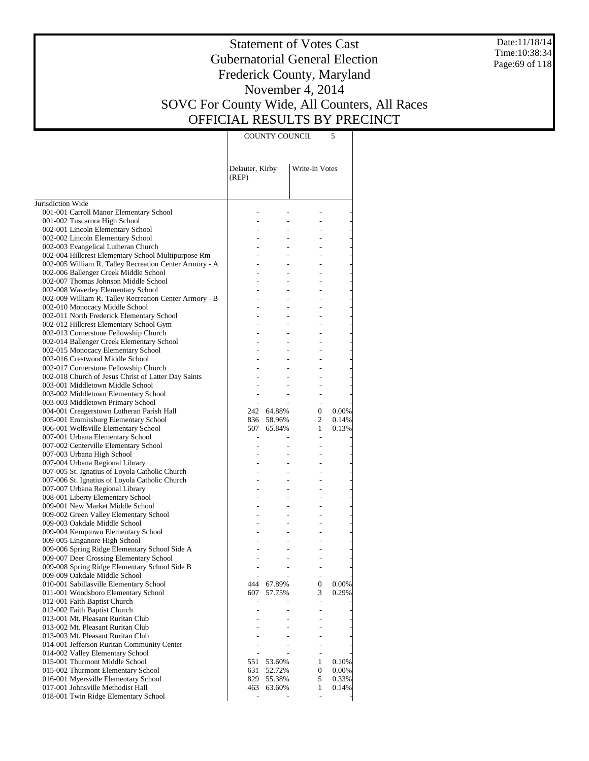Date:11/18/14 Time:10:38:34 Page:69 of 118

# Statement of Votes Cast Gubernatorial General Election Frederick County, Maryland November 4, 2014 SOVC For County Wide, All Counters, All Races OFFICIAL RESULTS BY PRECINCT

|                                                                                | Delauter, Kirby<br>(REP)  |                            | Write-In Votes              |                |  |
|--------------------------------------------------------------------------------|---------------------------|----------------------------|-----------------------------|----------------|--|
|                                                                                |                           |                            |                             |                |  |
| Jurisdiction Wide                                                              |                           |                            |                             |                |  |
| 001-001 Carroll Manor Elementary School                                        |                           |                            |                             |                |  |
| 001-002 Tuscarora High School                                                  |                           | $\overline{a}$             |                             |                |  |
| 002-001 Lincoln Elementary School                                              |                           |                            |                             |                |  |
| 002-002 Lincoln Elementary School                                              |                           |                            |                             |                |  |
| 002-003 Evangelical Lutheran Church                                            | $\sim$                    |                            | $\sim$                      |                |  |
| 002-004 Hillcrest Elementary School Multipurpose Rm                            |                           |                            |                             |                |  |
| 002-005 William R. Talley Recreation Center Armory - A                         | a i                       |                            | $\mathcal{L}^{\text{max}}$  |                |  |
| 002-006 Ballenger Creek Middle School<br>002-007 Thomas Johnson Middle School  | a i                       | $\sim$                     | $\sim$                      |                |  |
| 002-008 Waverley Elementary School                                             |                           | $\sim$                     |                             |                |  |
| 002-009 William R. Talley Recreation Center Armory - B                         | a i                       |                            | $\mathcal{L}^{\text{max}}$  |                |  |
| 002-010 Monocacy Middle School                                                 |                           | $\sim$                     |                             |                |  |
| 002-011 North Frederick Elementary School                                      |                           |                            | $\sim$                      |                |  |
| 002-012 Hillcrest Elementary School Gym                                        |                           | $\sim$                     |                             |                |  |
| 002-013 Cornerstone Fellowship Church                                          | $\mathbf{L}^{\text{max}}$ |                            | $\sim$                      |                |  |
| 002-014 Ballenger Creek Elementary School                                      |                           | $\sim$                     |                             |                |  |
| 002-015 Monocacy Elementary School                                             |                           |                            | $\sim$                      |                |  |
| 002-016 Crestwood Middle School                                                |                           | $\sim$                     |                             |                |  |
| 002-017 Cornerstone Fellowship Church                                          |                           |                            | $\mathbf{L}^{\text{max}}$   |                |  |
| 002-018 Church of Jesus Christ of Latter Day Saints                            |                           |                            |                             |                |  |
| 003-001 Middletown Middle School                                               |                           |                            |                             |                |  |
| 003-002 Middletown Elementary School                                           |                           |                            | $\sim$                      |                |  |
| 003-003 Middletown Primary School                                              |                           |                            | $\mathcal{L}_{\mathcal{A}}$ |                |  |
| 004-001 Creagerstown Lutheran Parish Hall                                      |                           | 242 64.88%                 | $\overline{0}$<br>2         | 0.00%<br>0.14% |  |
| 005-001 Emmitsburg Elementary School<br>006-001 Wolfsville Elementary School   |                           | $836$ 58.96%<br>507 65.84% | $\mathbf{1}$                | 0.13%          |  |
| 007-001 Urbana Elementary School                                               | $\sim 100$                |                            | $\overline{\phantom{a}}$    |                |  |
| 007-002 Centerville Elementary School                                          |                           |                            |                             |                |  |
| 007-003 Urbana High School                                                     |                           |                            |                             |                |  |
| 007-004 Urbana Regional Library                                                |                           |                            |                             |                |  |
| 007-005 St. Ignatius of Loyola Catholic Church                                 |                           |                            | $\sim$                      |                |  |
| 007-006 St. Ignatius of Loyola Catholic Church                                 |                           | $\sim$                     |                             |                |  |
| 007-007 Urbana Regional Library                                                |                           |                            | $\sim$                      |                |  |
| 008-001 Liberty Elementary School                                              |                           | $\sim$                     |                             |                |  |
| 009-001 New Market Middle School                                               |                           |                            | $\sim$                      |                |  |
| 009-002 Green Valley Elementary School                                         |                           |                            | $\overline{a}$              |                |  |
| 009-003 Oakdale Middle School                                                  |                           |                            |                             |                |  |
| 009-004 Kemptown Elementary School                                             |                           |                            |                             |                |  |
| 009-005 Linganore High School<br>009-006 Spring Ridge Elementary School Side A |                           |                            |                             |                |  |
| 009-007 Deer Crossing Elementary School                                        |                           |                            |                             |                |  |
| 009-008 Spring Ridge Elementary School Side B                                  |                           |                            |                             |                |  |
| 009-009 Oakdale Middle School                                                  |                           |                            |                             |                |  |
| 010-001 Sabillasville Elementary School                                        | 444                       | 67.89%                     | 0                           | $0.00\%$       |  |
| 011-001 Woodsboro Elementary School                                            | 607                       | 57.75%                     | 3                           | 0.29%          |  |
| 012-001 Faith Baptist Church                                                   |                           |                            | $\overline{\phantom{a}}$    |                |  |
| 012-002 Faith Baptist Church                                                   |                           |                            | ٠                           |                |  |
| 013-001 Mt. Pleasant Ruritan Club                                              |                           |                            | ÷,                          |                |  |
| 013-002 Mt. Pleasant Ruritan Club                                              |                           |                            | ÷,                          |                |  |
| 013-003 Mt. Pleasant Ruritan Club                                              |                           |                            | ÷,                          |                |  |
| 014-001 Jefferson Ruritan Community Center                                     |                           |                            | ÷,                          |                |  |
| 014-002 Valley Elementary School                                               |                           |                            | $\overline{\phantom{a}}$    |                |  |
| 015-001 Thurmont Middle School                                                 | 551                       | 53.60%                     | 1                           | 0.10%          |  |
| 015-002 Thurmont Elementary School                                             | 631                       | 52.72%                     | 0                           | $0.00\%$       |  |
| 016-001 Myersville Elementary School                                           | 829                       | 55.38%                     | 5                           | 0.33%          |  |
| 017-001 Johnsville Methodist Hall                                              |                           | 463 63.60%                 | $\mathbf{1}$                | 0.14%          |  |
| 018-001 Twin Ridge Elementary School                                           | $\frac{1}{2}$             |                            | $\overline{\phantom{a}}$    |                |  |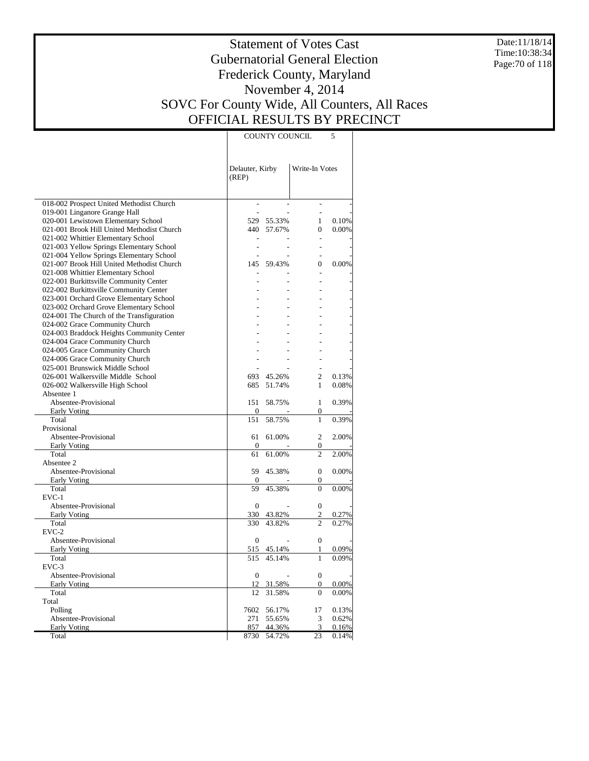Date:11/18/14 Time:10:38:34 Page:70 of 118

# Statement of Votes Cast Gubernatorial General Election Frederick County, Maryland November 4, 2014 SOVC For County Wide, All Counters, All Races OFFICIAL RESULTS BY PRECINCT

| <b>COUNTY COUNCIL</b> |  |
|-----------------------|--|

|                                            | Delauter, Kirby<br>(REP) |            | Write-In Votes   |       |
|--------------------------------------------|--------------------------|------------|------------------|-------|
| 018-002 Prospect United Methodist Church   |                          |            |                  |       |
| 019-001 Linganore Grange Hall              |                          |            |                  |       |
| 020-001 Lewistown Elementary School        |                          | 529 55.33% | $\mathbf{1}$     | 0.10% |
| 021-001 Brook Hill United Methodist Church |                          | 440 57.67% | 0                | 0.00% |
| 021-002 Whittier Elementary School         |                          |            |                  |       |
| 021-003 Yellow Springs Elementary School   |                          |            |                  |       |
| 021-004 Yellow Springs Elementary School   |                          |            | $\overline{a}$   |       |
| 021-007 Brook Hill United Methodist Church | 145                      | 59.43%     | $\overline{0}$   | 0.00% |
| 021-008 Whittier Elementary School         |                          |            |                  |       |
| 022-001 Burkittsville Community Center     |                          |            |                  |       |
| 022-002 Burkittsville Community Center     |                          |            |                  |       |
| 023-001 Orchard Grove Elementary School    |                          |            |                  |       |
| 023-002 Orchard Grove Elementary School    |                          |            |                  |       |
| 024-001 The Church of the Transfiguration  |                          |            |                  |       |
| 024-002 Grace Community Church             |                          |            |                  |       |
| 024-003 Braddock Heights Community Center  |                          |            |                  |       |
| 024-004 Grace Community Church             |                          |            |                  |       |
| 024-005 Grace Community Church             |                          |            |                  |       |
| 024-006 Grace Community Church             |                          |            |                  |       |
| 025-001 Brunswick Middle School            |                          |            |                  |       |
| 026-001 Walkersville Middle School         |                          | 693 45.26% | $\mathfrak{D}$   | 0.13% |
| 026-002 Walkersville High School           | 685                      | 51.74%     | $\mathbf{1}$     | 0.08% |
| Absentee 1                                 |                          |            |                  |       |
| Absentee-Provisional                       | 151                      | 58.75%     | 1                | 0.39% |
| Early Voting                               | $\mathbf{0}$             |            | $\mathbf{0}$     |       |
| Total                                      | 151                      | 58.75%     | $\mathbf{1}$     | 0.39% |
| Provisional                                |                          |            |                  |       |
| Absentee-Provisional                       | 61                       | 61.00%     | 2                | 2.00% |
| Early Voting                               | $\mathbf{0}$             |            | 0                |       |
| Total                                      | 61                       | 61.00%     | $\overline{c}$   | 2.00% |
| Absentee 2                                 |                          |            |                  |       |
| Absentee-Provisional                       | 59                       | 45.38%     | $\mathbf{0}$     | 0.00% |
| Early Voting                               | $\overline{0}$           |            | $\overline{0}$   |       |
| Total                                      | 59                       | 45.38%     | $\theta$         | 0.00% |
| $EVC-1$                                    |                          |            |                  |       |
| Absentee-Provisional                       | $\mathbf{0}$             |            | $\boldsymbol{0}$ |       |
| Early Voting                               |                          | 330 43.82% | 2                | 0.27% |
| Total                                      | 330                      | 43.82%     | 2                | 0.27% |
| $EVC-2$                                    |                          |            |                  |       |
| Absentee-Provisional                       | $\mathbf{0}$             |            | $\mathbf{0}$     |       |
| Early Voting                               | 515                      | 45.14%     | $\mathbf{1}$     | 0.09% |
| Total                                      | 515                      | 45.14%     | $\mathbf{1}$     | 0.09% |
| $EVC-3$                                    |                          |            |                  |       |
| Absentee-Provisional                       | $\mathbf{0}$             |            | $\overline{0}$   |       |
| Early Voting                               | 12                       | 31.58%     | $\overline{0}$   | 0.00% |
| Total                                      | 12.                      | 31.58%     | $\Omega$         | 0.00% |
| Total                                      |                          |            |                  |       |
| Polling                                    | 7602                     | 56.17%     | 17               | 0.13% |
| Absentee-Provisional                       | 271                      | 55.65%     | 3                | 0.62% |
| Early Voting                               | 857                      | 44.36%     | 3                | 0.16% |
| Total                                      | 8730                     | 54.72%     | 23               | 0.14% |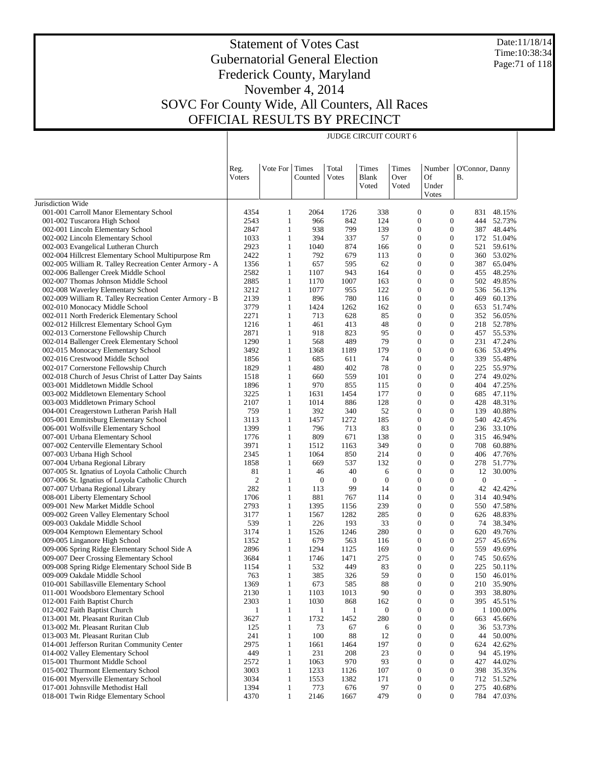Date:11/18/14 Time:10:38:34 Page:71 of 118

 $\overline{\phantom{a}}$ 

# Statement of Votes Cast Gubernatorial General Election Frederick County, Maryland November 4, 2014 SOVC For County Wide, All Counters, All Races OFFICIAL RESULTS BY PRECINCT

 $\top$ 

JUDGE CIRCUIT COURT 6

|                                                                                                 | Reg.<br><b>V</b> oters | Vote For Times               | Counted      | Total<br>Votes | Times<br>Blank<br>Voted | Times<br>Over<br>Voted | Number<br>Of<br>Under<br>Votes                                               | O'Connor, Danny<br><b>B.</b> |                          |
|-------------------------------------------------------------------------------------------------|------------------------|------------------------------|--------------|----------------|-------------------------|------------------------|------------------------------------------------------------------------------|------------------------------|--------------------------|
| Jurisdiction Wide                                                                               |                        |                              |              |                |                         |                        |                                                                              |                              |                          |
| 001-001 Carroll Manor Elementary School                                                         | 4354                   | $\mathbf{1}$                 | 2064         | 1726           | 338                     |                        | $\boldsymbol{0}$<br>$\mathbf{0}$                                             |                              | 831 48.15%               |
| 001-002 Tuscarora High School                                                                   | 2543                   | $\mathbf{1}$                 | 966          | 842            | 124                     |                        | $\mathbf{0}$<br>$\overline{0}$                                               |                              | 444 52.73%               |
| 002-001 Lincoln Elementary School                                                               | 2847                   | $\mathbf{1}$                 | 938          | 799            | 139                     |                        | $\mathbf{0}$<br>$\mathbf{0}$                                                 |                              | 387 48.44%               |
| 002-002 Lincoln Elementary School                                                               | 1033                   | $\mathbf{1}$                 | 394          | 337            | 57                      |                        | $\mathbf{0}$<br>$\mathbf{0}$                                                 |                              | 172 51.04%               |
| 002-003 Evangelical Lutheran Church                                                             | 2923                   | $\mathbf{1}$                 | 1040         | 874            | 166                     |                        | $\mathbf{0}$<br>$\mathbf{0}$                                                 |                              | 521 59.61%               |
| 002-004 Hillcrest Elementary School Multipurpose Rm                                             | 2422                   | $\mathbf{1}$                 | 792          | 679            | 113                     |                        | $\mathbf{0}$<br>$\mathbf{0}$<br>$\mathbf{0}$<br>$\mathbf{0}$                 |                              | 360 53.02%               |
| 002-005 William R. Talley Recreation Center Armory - A<br>002-006 Ballenger Creek Middle School | 1356<br>2582           | $\mathbf{1}$<br>$\mathbf{1}$ | 657<br>1107  | 595<br>943     | 62<br>164               |                        | $\boldsymbol{0}$<br>$\mathbf{0}$                                             | 455                          | 387 65.04%<br>48.25%     |
| 002-007 Thomas Johnson Middle School                                                            | 2885                   | $\mathbf{1}$                 | 1170         | 1007           | 163                     |                        | $\mathbf{0}$<br>$\mathbf{0}$                                                 |                              | 502 49.85%               |
| 002-008 Waverley Elementary School                                                              | 3212                   | $\mathbf{1}$                 | 1077         | 955            | 122                     |                        | $\mathbf{0}$<br>$\mathbf{0}$                                                 |                              | 536 56.13%               |
| 002-009 William R. Talley Recreation Center Armory - B                                          | 2139                   | $\mathbf{1}$                 | 896          | 780            | 116                     |                        | $\mathbf{0}$<br>$\mathbf{0}$                                                 | 469                          | 60.13%                   |
| 002-010 Monocacy Middle School                                                                  | 3779                   | $\mathbf{1}$                 | 1424         | 1262           | 162                     |                        | $\mathbf{0}$<br>$\mathbf{0}$                                                 |                              | 653 51.74%               |
| 002-011 North Frederick Elementary School                                                       | 2271                   | $\mathbf{1}$                 | 713          | 628            | 85                      |                        | $\mathbf{0}$<br>$\mathbf{0}$                                                 |                              | 352 56.05%               |
| 002-012 Hillcrest Elementary School Gym                                                         | 1216                   | $\mathbf{1}$                 | 461          | 413            | 48                      |                        | $\mathbf{0}$<br>$\mathbf{0}$                                                 |                              | 218 52.78%               |
| 002-013 Cornerstone Fellowship Church                                                           | 2871                   | $\mathbf{1}$                 | 918          | 823            | 95                      |                        | $\mathbf{0}$<br>$\mathbf{0}$                                                 |                              | 457 55.53%               |
| 002-014 Ballenger Creek Elementary School                                                       | 1290                   | $\mathbf{1}$                 | 568          | 489            | 79                      |                        | $\mathbf{0}$<br>$\mathbf{0}$                                                 |                              | 231 47.24%               |
| 002-015 Monocacy Elementary School                                                              | 3492                   | $\mathbf{1}$                 | 1368         | 1189           | 179                     |                        | $\mathbf{0}$<br>$\mathbf{0}$                                                 |                              | 636 53.49%               |
| 002-016 Crestwood Middle School                                                                 | 1856                   | $\mathbf{1}$                 | 685          | 611            | 74                      |                        | $\mathbf{0}$<br>$\mathbf{0}$                                                 |                              | 339 55.48%               |
| 002-017 Cornerstone Fellowship Church                                                           | 1829                   | $\mathbf{1}$                 | 480          | 402            | 78                      |                        | $\mathbf{0}$<br>$\mathbf{0}$                                                 |                              | 225 55.97%               |
| 002-018 Church of Jesus Christ of Latter Day Saints                                             | 1518                   | $\mathbf{1}$                 | 660          | 559            | 101                     |                        | $\mathbf{0}$<br>$\mathbf{0}$                                                 |                              | 274 49.02%               |
| 003-001 Middletown Middle School                                                                | 1896                   | $\mathbf{1}$                 | 970          | 855            | 115                     |                        | $\mathbf{0}$<br>$\mathbf{0}$                                                 |                              | 404 47.25%               |
| 003-002 Middletown Elementary School                                                            | 3225                   | $\mathbf{1}$                 | 1631         | 1454           | 177                     |                        | $\mathbf{0}$<br>$\mathbf{0}$                                                 |                              | 685 47.11%               |
| 003-003 Middletown Primary School                                                               | 2107                   | $\mathbf{1}$                 | 1014         | 886            | 128                     |                        | $\mathbf{0}$<br>$\mathbf{0}$                                                 | 428                          | 48.31%                   |
| 004-001 Creagerstown Lutheran Parish Hall                                                       | 759                    | $\mathbf{1}$                 | 392          | 340            | 52                      |                        | $\mathbf{0}$<br>$\mathbf{0}$                                                 | 139                          | 40.88%                   |
| 005-001 Emmitsburg Elementary School                                                            | 3113                   | $\mathbf{1}$                 | 1457         | 1272           | 185                     |                        | $\mathbf{0}$<br>$\mathbf{0}$                                                 |                              | 540 42.45%               |
| 006-001 Wolfsville Elementary School                                                            | 1399                   | $\mathbf{1}$<br>$\mathbf{1}$ | 796<br>809   | 713            | 83<br>138               |                        | $\mathbf{0}$<br>$\mathbf{0}$<br>$\mathbf{0}$<br>$\mathbf{0}$                 |                              | 236 33.10%<br>315 46.94% |
| 007-001 Urbana Elementary School<br>007-002 Centerville Elementary School                       | 1776<br>3971           | $\mathbf{1}$                 | 1512         | 671<br>1163    | 349                     |                        | $\mathbf{0}$<br>$\mathbf{0}$                                                 |                              | 708 60.88%               |
| 007-003 Urbana High School                                                                      | 2345                   | $\mathbf{1}$                 | 1064         | 850            | 214                     |                        | $\mathbf{0}$<br>$\mathbf{0}$                                                 |                              | 406 47.76%               |
| 007-004 Urbana Regional Library                                                                 | 1858                   | $\mathbf{1}$                 | 669          | 537            | 132                     |                        | $\mathbf{0}$<br>$\mathbf{0}$                                                 |                              | 278 51.77%               |
| 007-005 St. Ignatius of Loyola Catholic Church                                                  | 81                     | $\mathbf{1}$                 | 46           | 40             | 6                       |                        | $\mathbf{0}$<br>$\mathbf{0}$                                                 | 12                           | 30.00%                   |
| 007-006 St. Ignatius of Loyola Catholic Church                                                  | $\boldsymbol{2}$       | $\mathbf{1}$                 | $\mathbf{0}$ | $\mathbf{0}$   | $\boldsymbol{0}$        |                        | $\mathbf{0}$<br>$\mathbf{0}$                                                 | $\boldsymbol{0}$             |                          |
| 007-007 Urbana Regional Library                                                                 | 282                    | $\mathbf{1}$                 | 113          | 99             | 14                      |                        | $\mathbf{0}$<br>$\mathbf{0}$                                                 |                              | 42 42.42%                |
| 008-001 Liberty Elementary School                                                               | 1706                   | $\mathbf{1}$                 | 881          | 767            | 114                     |                        | $\mathbf{0}$<br>$\mathbf{0}$                                                 |                              | 314 40.94%               |
| 009-001 New Market Middle School                                                                | 2793                   | $\mathbf{1}$                 | 1395         | 1156           | 239                     |                        | $\mathbf{0}$<br>$\mathbf{0}$                                                 |                              | 550 47.58%               |
| 009-002 Green Valley Elementary School                                                          | 3177                   | $\mathbf{1}$                 | 1567         | 1282           | 285                     |                        | $\mathbf{0}$<br>$\mathbf{0}$                                                 |                              | 626 48.83%               |
| 009-003 Oakdale Middle School                                                                   | 539                    | $\mathbf{1}$                 | 226          | 193            | 33                      |                        | $\mathbf{0}$<br>$\mathbf{0}$                                                 |                              | 74 38.34%                |
| 009-004 Kemptown Elementary School                                                              | 3174                   | $\mathbf{1}$                 | 1526         | 1246           | 280                     |                        | $\mathbf{0}$<br>$\mathbf{0}$                                                 |                              | 620 49.76%               |
| 009-005 Linganore High School                                                                   | 1352                   | $\mathbf{1}$                 | 679          | 563            | 116                     |                        | $\mathbf{0}$<br>$\boldsymbol{0}$                                             | 257                          | 45.65%                   |
| 009-006 Spring Ridge Elementary School Side A                                                   | 2896                   | $\mathbf{1}$                 | 1294         | 1125           | 169                     | $\overline{0}$         | $\mathbf{0}$                                                                 | 559                          | 49.69%                   |
| 009-007 Deer Crossing Elementary School                                                         | 3684                   | $\mathbf{1}$                 | 1746         | 1471           | 275                     |                        | $\mathbf{0}$<br>$\mathbf{0}$                                                 | 745                          | 50.65%                   |
| 009-008 Spring Ridge Elementary School Side B                                                   | 1154                   | $\mathbf{1}$                 | 532          | 449            | 83                      |                        | $\theta$<br>$\Omega$                                                         |                              | 225 50.11%               |
| 009-009 Oakdale Middle School<br>010-001 Sabillasville Elementary School                        | 763<br>1369            | 1<br>$\mathbf{1}$            | 385<br>673   | 326<br>585     | 59<br>88                |                        | $\boldsymbol{0}$<br>$\boldsymbol{0}$<br>$\boldsymbol{0}$<br>$\boldsymbol{0}$ |                              | 150 46.01%<br>210 35.90% |
| 011-001 Woodsboro Elementary School                                                             | 2130                   | $\mathbf{1}$                 | 1103         | 1013           | 90                      |                        | $\boldsymbol{0}$<br>$\boldsymbol{0}$                                         |                              | 393 38.80%               |
| 012-001 Faith Baptist Church                                                                    | 2303                   | $\mathbf{1}$                 | 1030         | 868            | 162                     |                        | $\boldsymbol{0}$<br>$\boldsymbol{0}$                                         |                              | 395 45.51%               |
| 012-002 Faith Baptist Church                                                                    | $\mathbf{1}$           | $\mathbf{1}$                 | $\mathbf{1}$ | 1              | $\boldsymbol{0}$        |                        | $\boldsymbol{0}$<br>$\boldsymbol{0}$                                         |                              | 1 100.00%                |
| 013-001 Mt. Pleasant Ruritan Club                                                               | 3627                   | $\mathbf{1}$                 | 1732         | 1452           | 280                     |                        | $\boldsymbol{0}$<br>$\boldsymbol{0}$                                         | 663                          | 45.66%                   |
| 013-002 Mt. Pleasant Ruritan Club                                                               | 125                    | $\mathbf{1}$                 | 73           | 67             | 6                       |                        | $\boldsymbol{0}$<br>$\boldsymbol{0}$                                         |                              | 36 53.73%                |
| 013-003 Mt. Pleasant Ruritan Club                                                               | 241                    | $\mathbf{1}$                 | 100          | 88             | 12                      |                        | $\boldsymbol{0}$<br>$\boldsymbol{0}$                                         |                              | 44 50.00%                |
| 014-001 Jefferson Ruritan Community Center                                                      | 2975                   | $\mathbf{1}$                 | 1661         | 1464           | 197                     |                        | $\boldsymbol{0}$<br>$\boldsymbol{0}$                                         |                              | 624 42.62%               |
| 014-002 Valley Elementary School                                                                | 449                    | $\mathbf{1}$                 | 231          | 208            | 23                      |                        | $\boldsymbol{0}$<br>$\boldsymbol{0}$                                         |                              | 94 45.19%                |
| 015-001 Thurmont Middle School                                                                  | 2572                   | $\mathbf{1}$                 | 1063         | 970            | 93                      |                        | $\boldsymbol{0}$<br>$\boldsymbol{0}$                                         | 427                          | 44.02%                   |
| 015-002 Thurmont Elementary School                                                              | 3003                   | $\mathbf{1}$                 | 1233         | 1126           | 107                     |                        | $\boldsymbol{0}$<br>$\boldsymbol{0}$                                         |                              | 398 35.35%               |
| 016-001 Myersville Elementary School                                                            | 3034                   | $\mathbf{1}$                 | 1553         | 1382           | 171                     |                        | $\boldsymbol{0}$<br>$\boldsymbol{0}$                                         |                              | 712 51.52%               |
| 017-001 Johnsville Methodist Hall                                                               | 1394                   | $\mathbf{1}$                 | 773          | 676            | 97                      |                        | $\boldsymbol{0}$<br>$\boldsymbol{0}$                                         | 275                          | 40.68%                   |
| 018-001 Twin Ridge Elementary School                                                            | 4370                   | $\mathbf{1}$                 | 2146         | 1667           | 479                     |                        | $\boldsymbol{0}$<br>$\boldsymbol{0}$                                         |                              | 784 47.03%               |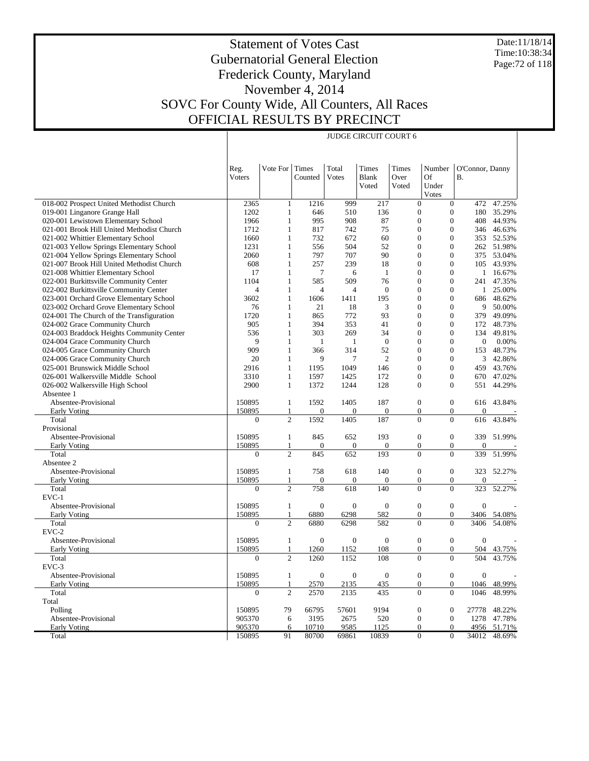Date:11/18/14 Time:10:38:34 Page:72 of 118

# Statement of Votes Cast Gubernatorial General Election Frederick County, Maryland November 4, 2014 SOVC For County Wide, All Counters, All Races OFFICIAL RESULTS BY PRECINCT

 $\overline{\phantom{a}}$ 

JUDGE CIRCUIT COURT 6

|                                            | Reg.<br>Voters | Vote For                       | Times<br>Counted | Total<br><b>Votes</b> | Times<br><b>Blank</b><br>Voted | <b>Times</b><br>Over<br>Voted | Number<br>Of<br>Under<br><b>V</b> otes | O'Connor, Danny<br>Β. |            |
|--------------------------------------------|----------------|--------------------------------|------------------|-----------------------|--------------------------------|-------------------------------|----------------------------------------|-----------------------|------------|
| 018-002 Prospect United Methodist Church   | 2365           | $\mathbf{1}$                   | 1216             | 999                   | 217                            | $\mathbf{0}$                  | $\mathbf{0}$                           | 472                   | 47.25%     |
| 019-001 Linganore Grange Hall              | 1202           | $\mathbf{1}$                   | 646              | 510                   | 136                            | $\overline{0}$                | $\overline{0}$                         | 180                   | 35.29%     |
| 020-001 Lewistown Elementary School        | 1966           | $\mathbf{1}$                   | 995              | 908                   | 87                             | $\overline{0}$                | $\mathbf{0}$                           | 408                   | 44.93%     |
| 021-001 Brook Hill United Methodist Church | 1712           | $\mathbf{1}$                   | 817              | 742                   | 75                             | $\theta$                      | $\Omega$                               | 346                   | 46.63%     |
| 021-002 Whittier Elementary School         | 1660           | $\mathbf{1}$                   | 732              | 672                   | 60                             | $\overline{0}$                | $\Omega$                               |                       | 353 52.53% |
| 021-003 Yellow Springs Elementary School   | 1231           | $\mathbf{1}$                   | 556              | 504                   | 52                             | $\overline{0}$                | $\overline{0}$                         |                       | 262 51.98% |
| 021-004 Yellow Springs Elementary School   | 2060           | $\mathbf{1}$                   | 797              | 707                   | 90                             | $\mathbf{0}$                  | $\mathbf{0}$                           |                       | 375 53.04% |
| 021-007 Brook Hill United Methodist Church | 608            | $\mathbf{1}$                   | 257              | 239                   | 18                             | $\overline{0}$                | $\mathbf{0}$                           | 105                   | 43.93%     |
| 021-008 Whittier Elementary School         | 17             | $\mathbf{1}$                   | $\tau$           | 6                     | 1                              | $\theta$                      | $\theta$                               | $\mathbf{1}$          | 16.67%     |
| 022-001 Burkittsville Community Center     | 1104           | $\mathbf{1}$                   | 585              | 509                   | 76                             | $\mathbf{0}$                  | $\mathbf{0}$                           | 241                   | 47.35%     |
| 022-002 Burkittsville Community Center     | $\overline{4}$ | $\mathbf{1}$                   | $\overline{4}$   | $\overline{4}$        | $\boldsymbol{0}$               | $\theta$                      | $\Omega$                               |                       | 1 25.00%   |
| 023-001 Orchard Grove Elementary School    | 3602           | $\mathbf{1}$                   | 1606             | 1411                  | 195                            | $\overline{0}$                | $\mathbf{0}$                           | 686                   | 48.62%     |
| 023-002 Orchard Grove Elementary School    | 76             | $\mathbf{1}$                   | 21               | 18                    | 3                              | $\overline{0}$                | $\overline{0}$                         | 9                     | 50.00%     |
| 024-001 The Church of the Transfiguration  | 1720           | 1                              | 865              | 772                   | 93                             | $\theta$                      | $\mathbf{0}$                           | 379                   | 49.09%     |
| 024-002 Grace Community Church             | 905            | $\mathbf{1}$                   | 394              | 353                   | 41                             | $\mathbf{0}$                  | $\mathbf{0}$                           | 172                   | 48.73%     |
| 024-003 Braddock Heights Community Center  | 536            | $\mathbf{1}$                   | 303              | 269                   | 34                             | $\theta$                      | $\theta$                               | 134                   | 49.81%     |
| 024-004 Grace Community Church             | 9              | $\mathbf{1}$                   | $\mathbf{1}$     | $\mathbf{1}$          | $\boldsymbol{0}$               | $\theta$                      | $\theta$                               | $\mathbf{0}$          | 0.00%      |
| 024-005 Grace Community Church             | 909            | 1                              | 366              | 314                   | 52                             | $\overline{0}$                | $\mathbf{0}$                           | 153                   | 48.73%     |
| 024-006 Grace Community Church             | 20             | $\mathbf{1}$                   | 9                | 7                     | $\overline{2}$                 | $\theta$                      | $\theta$                               | 3                     | 42.86%     |
| 025-001 Brunswick Middle School            | 2916           | $\mathbf{1}$                   | 1195             | 1049                  | 146                            | $\mathbf{0}$                  | $\mathbf{0}$                           | 459                   | 43.76%     |
| 026-001 Walkersville Middle School         | 3310           | $\mathbf{1}$                   | 1597             | 1425                  | 172                            | $\overline{0}$                | $\mathbf{0}$                           | 670                   | 47.02%     |
| 026-002 Walkersville High School           | 2900           | $\mathbf{1}$                   | 1372             | 1244                  | 128                            | $\theta$                      | $\mathbf{0}$                           | 551                   | 44.29%     |
| Absentee 1                                 |                |                                |                  |                       |                                |                               |                                        |                       |            |
| Absentee-Provisional                       | 150895         | $\mathbf{1}$                   | 1592             | 1405                  | 187                            | $\boldsymbol{0}$              | $\overline{0}$                         | 616                   | 43.84%     |
| Early Voting                               | 150895         | $\mathbf{1}$                   | $\boldsymbol{0}$ | $\mathbf{0}$          | $\mathbf{0}$                   | $\boldsymbol{0}$              | $\mathbf{0}$                           | $\overline{0}$        |            |
| Total                                      | $\mathbf{0}$   | $\overline{2}$                 | 1592             | 1405                  | 187                            | $\Omega$                      | $\theta$                               | 616                   | 43.84%     |
| Provisional                                |                |                                |                  |                       |                                |                               |                                        |                       |            |
| Absentee-Provisional                       | 150895         | $\mathbf{1}$                   | 845              | 652                   | 193                            | $\boldsymbol{0}$              | $\boldsymbol{0}$                       | 339                   | 51.99%     |
| Early Voting                               | 150895         | $\mathbf{1}$<br>$\overline{c}$ | $\boldsymbol{0}$ | $\boldsymbol{0}$      | $\overline{0}$                 | $\boldsymbol{0}$<br>$\theta$  | $\boldsymbol{0}$<br>$\Omega$           | $\mathbf{0}$          |            |
| Total<br>Absentee 2                        | $\mathbf{0}$   |                                | 845              | 652                   | 193                            |                               |                                        | 339                   | 51.99%     |
| Absentee-Provisional                       | 150895         | $\mathbf{1}$                   | 758              | 618                   | 140                            | $\mathbf{0}$                  | $\mathbf{0}$                           | 323                   | 52.27%     |
| <b>Early Voting</b>                        | 150895         | $\mathbf{1}$                   | $\mathbf{0}$     | $\theta$              | $\mathbf{0}$                   | $\overline{0}$                | $\mathbf{0}$                           | $\overline{0}$        |            |
| Total                                      | $\Omega$       | $\overline{2}$                 | 758              | 618                   | 140                            | $\theta$                      | $\theta$                               | 323                   | 52.27%     |
| $EVC-1$                                    |                |                                |                  |                       |                                |                               |                                        |                       |            |
| Absentee-Provisional                       | 150895         | $\mathbf{1}$                   | $\overline{0}$   | $\overline{0}$        | $\overline{0}$                 | $\overline{0}$                | $\mathbf{0}$                           | $\boldsymbol{0}$      |            |
| <b>Early Voting</b>                        | 150895         | $\mathbf{1}$                   | 6880             | 6298                  | 582                            | $\overline{0}$                | $\mathbf{0}$                           | 3406                  | 54.08%     |
| Total                                      | $\Omega$       | $\overline{c}$                 | 6880             | 6298                  | 582                            | $\Omega$                      | $\theta$                               | 3406                  | 54.08%     |
| $EVC-2$                                    |                |                                |                  |                       |                                |                               |                                        |                       |            |
| Absentee-Provisional                       | 150895         | $\mathbf{1}$                   | $\mathbf{0}$     | $\mathbf{0}$          | $\mathbf{0}$                   | $\boldsymbol{0}$              | $\boldsymbol{0}$                       | $\boldsymbol{0}$      |            |
| Early Voting                               | 150895         | $\mathbf{1}$                   | 1260             | 1152                  | 108                            | $\boldsymbol{0}$              | $\boldsymbol{0}$                       | 504                   | 43.75%     |
| Total                                      | $\mathbf{0}$   | $\overline{c}$                 | 1260             | 1152                  | 108                            | $\overline{0}$                | $\mathbf{0}$                           | 504                   | 43.75%     |
| $EVC-3$                                    |                |                                |                  |                       |                                |                               |                                        |                       |            |
| Absentee-Provisional                       | 150895         | $\mathbf{1}$                   | $\theta$         | $\mathbf{0}$          | $\theta$                       | $\overline{0}$                | $\mathbf{0}$                           | $\overline{0}$        |            |
| <b>Early Voting</b>                        | 150895         | $\mathbf{1}$                   | 2570             | 2135                  | 435                            | $\boldsymbol{0}$              | $\boldsymbol{0}$                       | 1046                  | 48.99%     |
| Total                                      | $\overline{0}$ | $\overline{2}$                 | 2570             | 2135                  | 435                            | $\overline{0}$                | $\overline{0}$                         | 1046                  | 48.99%     |
| Total                                      |                |                                |                  |                       |                                |                               |                                        |                       |            |
| Polling                                    | 150895         | 79                             | 66795            | 57601                 | 9194                           | $\overline{0}$                | $\boldsymbol{0}$                       | 27778                 | 48.22%     |
| Absentee-Provisional                       | 905370         | 6                              | 3195             | 2675                  | 520                            | $\Omega$                      | $\mathbf{0}$                           | 1278                  | 47.78%     |
| Early Voting                               | 905370         | 6                              | 10710            | 9585                  | 1125                           | $\Omega$                      | $\Omega$                               | 4956                  | 51.71%     |
| Total                                      | 150895         | 91                             | 80700            | 69861                 | 10839                          | $\Omega$                      | $\Omega$                               | 34012                 | 48.69%     |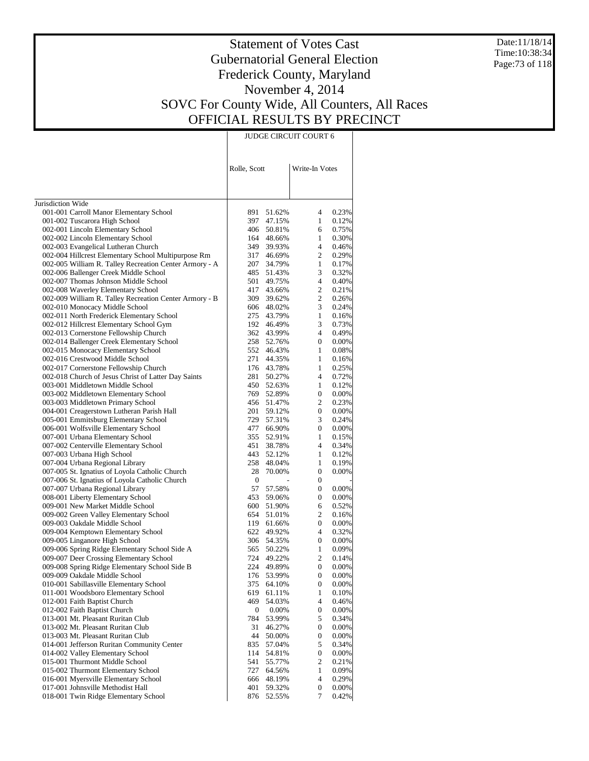Date:11/18/14 Time:10:38:34 Page:73 of 118

#### Statement of Votes Cast Gubernatorial General Election Frederick County, Maryland November 4, 2014 SOVC For County Wide, All Counters, All Races OFFICIAL RESULTS BY PRECINCT

JUDGE CIRCUIT COURT 6

|                                                                                   | Rolle, Scott     |                  | Write-In Votes        |                |
|-----------------------------------------------------------------------------------|------------------|------------------|-----------------------|----------------|
|                                                                                   |                  |                  |                       |                |
| Jurisdiction Wide                                                                 |                  |                  |                       |                |
| 001-001 Carroll Manor Elementary School<br>001-002 Tuscarora High School          | 891<br>397       | 51.62%<br>47.15% | 4<br>1                | 0.23%<br>0.12% |
| 002-001 Lincoln Elementary School                                                 |                  | 406 50.81%       | 6                     | 0.75%          |
| 002-002 Lincoln Elementary School                                                 |                  | 164 48.66%       | 1                     | 0.30%          |
| 002-003 Evangelical Lutheran Church                                               | 349              | 39.93%           | 4                     | 0.46%          |
| 002-004 Hillcrest Elementary School Multipurpose Rm                               | 317              | 46.69%           | 2                     | 0.29%          |
| 002-005 William R. Talley Recreation Center Armory - A                            | 207              | 34.79%           | 1                     | 0.17%          |
| 002-006 Ballenger Creek Middle School                                             | 485              | 51.43%           | 3                     | 0.32%          |
| 002-007 Thomas Johnson Middle School                                              | 501              | 49.75%           | 4                     | 0.40%          |
| 002-008 Waverley Elementary School                                                | 417              | 43.66%           | 2                     | 0.21%          |
| 002-009 William R. Talley Recreation Center Armory - B                            | 309              | 39.62%           | 2                     | 0.26%          |
| 002-010 Monocacy Middle School                                                    | 606              | 48.02%           | 3                     | 0.24%          |
| 002-011 North Frederick Elementary School                                         | 275              | 43.79%           | $\mathbf{1}$          | 0.16%          |
| 002-012 Hillcrest Elementary School Gym                                           |                  | 192 46.49%       | 3                     | 0.73%          |
| 002-013 Cornerstone Fellowship Church                                             |                  | 362 43.99%       | 4                     | 0.49%          |
| 002-014 Ballenger Creek Elementary School                                         |                  | 258 52.76%       | 0                     | 0.00%          |
| 002-015 Monocacy Elementary School                                                |                  | 552 46.43%       | 1                     | 0.08%          |
| 002-016 Crestwood Middle School                                                   |                  | 271 44.35%       | 1                     | 0.16%          |
| 002-017 Cornerstone Fellowship Church                                             |                  | 176 43.78%       | 1                     | 0.25%          |
| 002-018 Church of Jesus Christ of Latter Day Saints                               | 281              | 50.27%           | 4                     | 0.72%          |
| 003-001 Middletown Middle School                                                  |                  | 450 52.63%       | 1                     | 0.12%          |
| 003-002 Middletown Elementary School                                              |                  | 769 52.89%       | 0                     | 0.00%          |
| 003-003 Middletown Primary School                                                 |                  | 456 51.47%       | 2                     | 0.23%<br>0.00% |
| 004-001 Creagerstown Lutheran Parish Hall<br>005-001 Emmitsburg Elementary School | 201<br>729       | 59.12%<br>57.31% | $\boldsymbol{0}$<br>3 | 0.24%          |
| 006-001 Wolfsville Elementary School                                              | 477              | 66.90%           | 0                     | 0.00%          |
| 007-001 Urbana Elementary School                                                  |                  | 355 52.91%       | 1                     | 0.15%          |
| 007-002 Centerville Elementary School                                             | 451              | 38.78%           | 4                     | 0.34%          |
| 007-003 Urbana High School                                                        |                  | 443 52.12%       | 1                     | 0.12%          |
| 007-004 Urbana Regional Library                                                   |                  | 258 48.04%       | 1                     | 0.19%          |
| 007-005 St. Ignatius of Loyola Catholic Church                                    | 28               | 70.00%           | 0                     | 0.00%          |
| 007-006 St. Ignatius of Loyola Catholic Church                                    | 0                |                  | 0                     |                |
| 007-007 Urbana Regional Library                                                   | 57               | 57.58%           | 0                     | 0.00%          |
| 008-001 Liberty Elementary School                                                 |                  | 453 59.06%       | 0                     | 0.00%          |
| 009-001 New Market Middle School                                                  |                  | 600 51.90%       | 6                     | 0.52%          |
| 009-002 Green Valley Elementary School                                            |                  | 654 51.01%       | 2                     | 0.16%          |
| 009-003 Oakdale Middle School                                                     |                  | 119 61.66%       | 0                     | 0.00%          |
| 009-004 Kemptown Elementary School                                                |                  | 622 49.92%       | 4                     | 0.32%          |
| 009-005 Linganore High School                                                     |                  | 306 54.35%       | 0                     | 0.00%          |
| 009-006 Spring Ridge Elementary School Side A                                     |                  | 565 50.22%       | 1                     | 0.09%          |
| 009-007 Deer Crossing Elementary School                                           | 724              | 49.22%           | 2                     | 0.14%          |
| 009-008 Spring Ridge Elementary School Side B                                     | 224              | 49.89%           | 0                     | 0.00%          |
| 009-009 Oakdale Middle School                                                     | 176              | 53.99%           | 0                     | 0.00%          |
| 010-001 Sabillasville Elementary School<br>011-001 Woodsboro Elementary School    | 375<br>619       | 64.10%<br>61.11% | 0<br>1                | 0.00%<br>0.10% |
| 012-001 Faith Baptist Church                                                      | 469              | 54.03%           | 4                     | 0.46%          |
| 012-002 Faith Baptist Church                                                      | $\boldsymbol{0}$ | 0.00%            | 0                     | 0.00%          |
| 013-001 Mt. Pleasant Ruritan Club                                                 | 784              | 53.99%           | 5                     | 0.34%          |
| 013-002 Mt. Pleasant Ruritan Club                                                 | 31               | 46.27%           | 0                     | 0.00%          |
| 013-003 Mt. Pleasant Ruritan Club                                                 | 44               | 50.00%           | 0                     | 0.00%          |
| 014-001 Jefferson Ruritan Community Center                                        | 835              | 57.04%           | 5                     | 0.34%          |
| 014-002 Valley Elementary School                                                  | 114              | 54.81%           | 0                     | 0.00%          |
| 015-001 Thurmont Middle School                                                    | 541              | 55.77%           | 2                     | 0.21%          |
| 015-002 Thurmont Elementary School                                                | 727              | 64.56%           | 1                     | 0.09%          |
| 016-001 Myersville Elementary School                                              | 666              | 48.19%           | 4                     | 0.29%          |
| 017-001 Johnsville Methodist Hall                                                 | 401              | 59.32%           | 0                     | 0.00%          |
| 018-001 Twin Ridge Elementary School                                              | 876              | 52.55%           | 7                     | 0.42%          |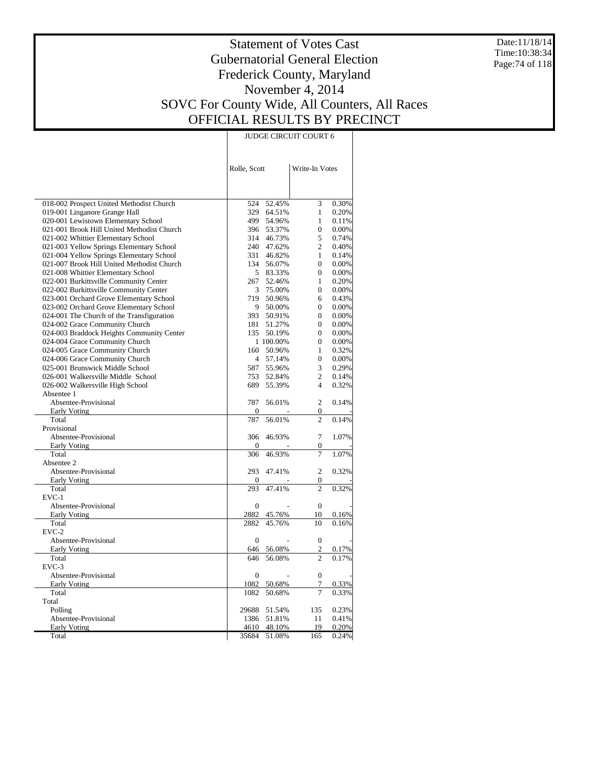Date:11/18/14 Time:10:38:34 Page:74 of 118

# Statement of Votes Cast Gubernatorial General Election Frederick County, Maryland November 4, 2014 SOVC For County Wide, All Counters, All Races OFFICIAL RESULTS BY PRECINCT

JUDGE CIRCUIT COURT 6

|                                            | Rolle, Scott |            | Write-In Votes   |       |
|--------------------------------------------|--------------|------------|------------------|-------|
|                                            |              |            |                  |       |
|                                            |              |            |                  |       |
| 018-002 Prospect United Methodist Church   | 524          | 52.45%     | 3                | 0.30% |
| 019-001 Linganore Grange Hall              | 329          | 64.51%     | $\mathbf{1}$     | 0.20% |
| 020-001 Lewistown Elementary School        | 499          | 54.96%     | $\mathbf{1}$     | 0.11% |
| 021-001 Brook Hill United Methodist Church | 396          | 53.37%     | $\boldsymbol{0}$ | 0.00% |
| 021-002 Whittier Elementary School         | 314          | 46.73%     | 5                | 0.74% |
| 021-003 Yellow Springs Elementary School   | 240          | 47.62%     | $\overline{2}$   | 0.40% |
| 021-004 Yellow Springs Elementary School   | 331          | 46.82%     | 1                | 0.14% |
| 021-007 Brook Hill United Methodist Church | 134          | 56.07%     | $\overline{0}$   | 0.00% |
| 021-008 Whittier Elementary School         | 5            | 83.33%     | $\boldsymbol{0}$ | 0.00% |
| 022-001 Burkittsville Community Center     | 267          | 52.46%     | 1                | 0.20% |
| 022-002 Burkittsville Community Center     | 3            | 75.00%     | $\Omega$         | 0.00% |
| 023-001 Orchard Grove Elementary School    | 719          | 50.96%     | 6                | 0.43% |
| 023-002 Orchard Grove Elementary School    | 9            | 50.00%     | $\overline{0}$   | 0.00% |
| 024-001 The Church of the Transfiguration  | 393          | 50.91%     | $\Omega$         | 0.00% |
| 024-002 Grace Community Church             | 181          | 51.27%     | $\overline{0}$   | 0.00% |
| 024-003 Braddock Heights Community Center  |              | 135 50.19% | $\boldsymbol{0}$ | 0.00% |
| 024-004 Grace Community Church             |              | 1 100.00%  | $\Omega$         | 0.00% |
| 024-005 Grace Community Church             | 160          | 50.96%     | $\mathbf{1}$     | 0.32% |
| 024-006 Grace Community Church             |              | 4 57.14%   | $\overline{0}$   | 0.00% |
| 025-001 Brunswick Middle School            | 587          | 55.96%     | 3                | 0.29% |
| 026-001 Walkersville Middle School         | 753          | 52.84%     | $\overline{c}$   | 0.14% |
| 026-002 Walkersville High School           | 689          | 55.39%     | 4                | 0.32% |
| Absentee 1                                 |              |            |                  |       |
| Absentee-Provisional                       | 787          | 56.01%     | $\overline{c}$   | 0.14% |
| Early Voting                               | $\mathbf{0}$ |            | 0                |       |
| Total                                      | 787          | 56.01%     | $\overline{c}$   | 0.14% |
| Provisional                                |              |            |                  |       |
| Absentee-Provisional                       | 306          | 46.93%     | 7                | 1.07% |
| Early Voting                               | $\mathbf{0}$ |            | $\boldsymbol{0}$ |       |
| Total                                      | 306          | 46.93%     | 7                | 1.07% |
| Absentee 2                                 |              |            |                  |       |
| Absentee-Provisional                       | 293          | 47.41%     | 2                | 0.32% |
| Early Voting                               | $\Omega$     |            | $\overline{0}$   |       |
| Total                                      | 293          | 47.41%     | $\overline{c}$   | 0.32% |
| $EVC-1$                                    |              |            |                  |       |
| Absentee-Provisional                       | $\mathbf{0}$ |            | $\boldsymbol{0}$ |       |
| Early Voting                               | 2882         | 45.76%     | 10               | 0.16% |
| Total                                      | 2882         | 45.76%     | 10               | 0.16% |
| $EVC-2$                                    |              |            |                  |       |
| Absentee-Provisional                       | $\mathbf{0}$ |            | $\mathbf{0}$     |       |
| Early Voting                               | 646          | 56.08%     | $\overline{c}$   | 0.17% |
| Total                                      | 646          | 56.08%     | $\overline{c}$   | 0.17% |
| $EVC-3$                                    |              |            |                  |       |
| Absentee-Provisional                       | $\Omega$     |            | $\overline{0}$   |       |
| Early Voting                               | 1082         | 50.68%     | 7                | 0.33% |
| Total                                      | 1082         | 50.68%     | 7                | 0.33% |
| Total                                      |              |            |                  |       |
| Polling                                    | 29688        | 51.54%     | 135              | 0.23% |
| Absentee-Provisional                       | 1386         | 51.81%     | 11               | 0.41% |
| <b>Early Voting</b>                        | 4610         | 48.10%     | 19               | 0.20% |
| Total                                      | 35684        | 51.08%     | 165              | 0.24% |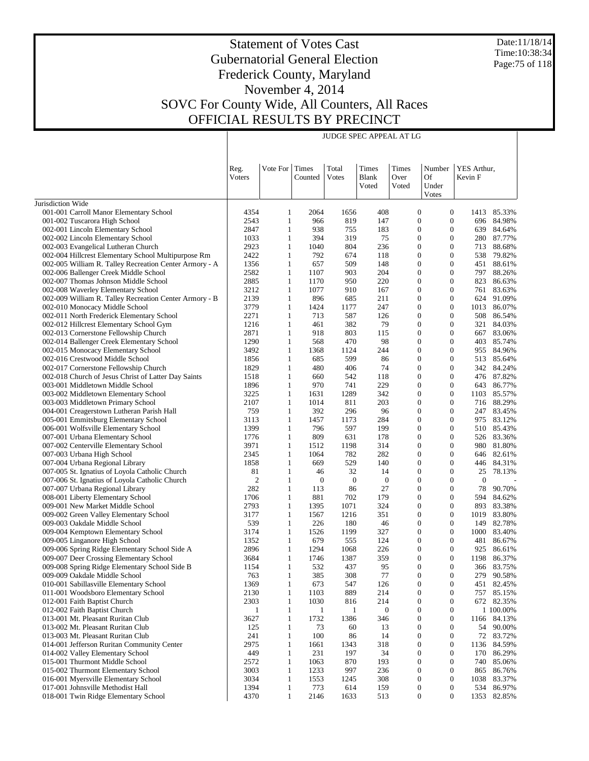Date:11/18/14 Time:10:38:34 Page:75 of 118

# Statement of Votes Cast Gubernatorial General Election Frederick County, Maryland November 4, 2014 SOVC For County Wide, All Counters, All Races OFFICIAL RESULTS BY PRECINCT

JUDGE SPEC APPEAL AT LG

| Vote For Times<br>YES Arthur,<br>Total<br>Times<br>Times<br>Number<br>Reg.<br>Of<br><b>V</b> oters<br>Counted<br>Votes<br><b>Blank</b><br>Over<br>Kevin F<br>Voted<br>Voted<br>Under<br>Votes<br>Jurisdiction Wide<br>$\boldsymbol{0}$<br>$\boldsymbol{0}$<br>001-001 Carroll Manor Elementary School<br>4354<br>$\mathbf{1}$<br>2064<br>408<br>1413 85.33%<br>1656<br>$\mathbf{1}$<br>$\mathbf{0}$<br>$\boldsymbol{0}$<br>001-002 Tuscarora High School<br>2543<br>966<br>819<br>147<br>696 84.98%<br>$\boldsymbol{0}$<br>002-001 Lincoln Elementary School<br>2847<br>$\mathbf{1}$<br>938<br>755<br>183<br>$\mathbf{0}$<br>639 84.64%<br>$\mathbf{0}$<br>002-002 Lincoln Elementary School<br>1033<br>$\mathbf{1}$<br>394<br>319<br>75<br>$\boldsymbol{0}$<br>280 87.77%<br>$\mathbf{1}$<br>$\mathbf{0}$<br>713 88.68%<br>002-003 Evangelical Lutheran Church<br>2923<br>1040<br>804<br>236<br>$\boldsymbol{0}$<br>$\mathbf{1}$<br>$\mathbf{0}$<br>002-004 Hillcrest Elementary School Multipurpose Rm<br>2422<br>792<br>674<br>118<br>$\boldsymbol{0}$<br>538 79.82%<br>$\mathbf{1}$<br>$\boldsymbol{0}$<br>451 88.61%<br>002-005 William R. Talley Recreation Center Armory - A<br>1356<br>657<br>509<br>148<br>$\boldsymbol{0}$<br>$\mathbf{1}$<br>204<br>$\mathbf{0}$<br>797 88.26%<br>002-006 Ballenger Creek Middle School<br>2582<br>1107<br>903<br>$\boldsymbol{0}$<br>$\mathbf{1}$<br>$\mathbf{0}$<br>002-007 Thomas Johnson Middle School<br>2885<br>1170<br>950<br>220<br>$\boldsymbol{0}$<br>823 86.63%<br>$\mathbf{1}$<br>$\mathbf{0}$<br>002-008 Waverley Elementary School<br>3212<br>1077<br>910<br>167<br>$\boldsymbol{0}$<br>761 83.63%<br>$\mathbf{1}$<br>$\boldsymbol{0}$<br>002-009 William R. Talley Recreation Center Armory - B<br>2139<br>896<br>685<br>211<br>$\boldsymbol{0}$<br>624<br>91.09%<br>$\mathbf{1}$<br>$\mathbf{0}$<br>002-010 Monocacy Middle School<br>3779<br>1424<br>1177<br>247<br>$\overline{0}$<br>1013 86.07%<br>$\mathbf{1}$<br>$\mathbf{0}$<br>002-011 North Frederick Elementary School<br>2271<br>713<br>587<br>126<br>$\mathbf{0}$<br>508 86.54%<br>$\mathbf{1}$<br>$\mathbf{0}$<br>002-012 Hillcrest Elementary School Gym<br>1216<br>461<br>382<br>79<br>$\mathbf{0}$<br>321 84.03%<br>$\mathbf{1}$<br>$\boldsymbol{0}$<br>002-013 Cornerstone Fellowship Church<br>2871<br>918<br>803<br>115<br>$\mathbf{0}$<br>667 83.06%<br>$\mathbf{1}$<br>$\mathbf{0}$<br>002-014 Ballenger Creek Elementary School<br>1290<br>568<br>470<br>98<br>$\boldsymbol{0}$<br>403 85.74%<br>002-015 Monocacy Elementary School<br>$\mathbf{1}$<br>$\mathbf{0}$<br>3492<br>1368<br>1124<br>$\mathbf{0}$<br>955 84.96%<br>244<br>002-016 Crestwood Middle School<br>$\mathbf{1}$<br>$\mathbf{0}$<br>685<br>599<br>$\mathbf{0}$<br>513 85.64%<br>1856<br>86<br>$\mathbf{1}$<br>$\mathbf{0}$<br>002-017 Cornerstone Fellowship Church<br>1829<br>480<br>406<br>74<br>$\mathbf{0}$<br>342 84.24%<br>$\mathbf{0}$<br>002-018 Church of Jesus Christ of Latter Day Saints<br>$\mathbf{1}$<br>542<br>118<br>$\boldsymbol{0}$<br>476 87.82%<br>1518<br>660<br>$\mathbf{1}$<br>$\mathbf{0}$<br>003-001 Middletown Middle School<br>1896<br>970<br>741<br>229<br>$\boldsymbol{0}$<br>643 86.77%<br>$\mathbf{1}$<br>$\mathbf{0}$<br>$\mathbf{0}$<br>3225<br>1289<br>342<br>1103 85.57%<br>003-002 Middletown Elementary School<br>1631<br>$\mathbf{1}$<br>$\boldsymbol{0}$<br>$\mathbf{0}$<br>716 88.29%<br>003-003 Middletown Primary School<br>2107<br>1014<br>811<br>203<br>$\mathbf{1}$<br>$\mathbf{0}$<br>004-001 Creagerstown Lutheran Parish Hall<br>759<br>392<br>296<br>$\boldsymbol{0}$<br>247 83.45%<br>96<br>$\mathbf{1}$<br>$\mathbf{0}$<br>005-001 Emmitsburg Elementary School<br>3113<br>1457<br>1173<br>284<br>$\mathbf{0}$<br>975 83.12%<br>$\mathbf{1}$<br>$\mathbf{0}$<br>006-001 Wolfsville Elementary School<br>1399<br>796<br>597<br>199<br>$\boldsymbol{0}$<br>510 85.43%<br>$\mathbf{1}$<br>178<br>$\boldsymbol{0}$<br>007-001 Urbana Elementary School<br>1776<br>809<br>631<br>$\boldsymbol{0}$<br>526 83.36%<br>$\mathbf{1}$<br>$\mathbf{0}$<br>007-002 Centerville Elementary School<br>3971<br>1512<br>1198<br>314<br>$\boldsymbol{0}$<br>980 81.80%<br>$\mathbf{1}$<br>782<br>$\boldsymbol{0}$<br>007-003 Urbana High School<br>2345<br>1064<br>282<br>$\mathbf{0}$<br>646 82.61%<br>$\mathbf{1}$<br>529<br>$\overline{0}$<br>007-004 Urbana Regional Library<br>1858<br>669<br>140<br>$\mathbf{0}$<br>446 84.31%<br>$\mathbf{0}$<br>007-005 St. Ignatius of Loyola Catholic Church<br>81<br>$\mathbf{1}$<br>32<br>14<br>$\boldsymbol{0}$<br>25<br>78.13%<br>46<br>007-006 St. Ignatius of Loyola Catholic Church<br>$\boldsymbol{2}$<br>$\boldsymbol{0}$<br>$\mathbf{0}$<br>$\mathbf{1}$<br>$\boldsymbol{0}$<br>$\boldsymbol{0}$<br>$\mathbf{0}$<br>$\mathbf{0}$<br>$\mathbf{1}$<br>27<br>$\mathbf{0}$<br>007-007 Urbana Regional Library<br>282<br>86<br>$\boldsymbol{0}$<br>78<br>90.70%<br>113<br>$\mathbf{1}$<br>$\mathbf{0}$<br>008-001 Liberty Elementary School<br>1706<br>881<br>702<br>179<br>$\boldsymbol{0}$<br>594 84.62%<br>$\mathbf{1}$<br>$\mathbf{0}$<br>009-001 New Market Middle School<br>2793<br>1395<br>1071<br>324<br>$\boldsymbol{0}$<br>893 83.38%<br>$\mathbf{1}$<br>$\mathbf{0}$<br>009-002 Green Valley Elementary School<br>3177<br>1567<br>1216<br>351<br>0<br>1019 83.80%<br>$\mathbf{1}$<br>$\boldsymbol{0}$<br>009-003 Oakdale Middle School<br>539<br>226<br>180<br>$\boldsymbol{0}$<br>149<br>82.78%<br>46<br>$\mathbf{1}$<br>327<br>$\boldsymbol{0}$<br>009-004 Kemptown Elementary School<br>3174<br>1526<br>1199<br>$\mathbf{0}$<br>1000 83.40%<br>$\mathbf{1}$<br>$\boldsymbol{0}$<br>009-005 Linganore High School<br>1352<br>679<br>555<br>124<br>$\boldsymbol{0}$<br>481 86.67%<br>009-006 Spring Ridge Elementary School Side A<br>$\mathbf{1}$<br>2896<br>1294<br>1068<br>226<br>$\overline{0}$<br>$\mathbf{0}$<br>925 86.61%<br>$\mathbf{1}$<br>$\mathbf{0}$<br>009-007 Deer Crossing Elementary School<br>3684<br>1746<br>1387<br>359<br>$\mathbf{0}$<br>1198 86.37%<br>009-008 Spring Ridge Elementary School Side B<br>$\mathbf{1}$<br>532<br>$\mathbf{0}$<br>1154<br>437<br>95<br>$\mathbf{0}$<br>366 83.75%<br>009-009 Oakdale Middle School<br>763<br>$\mathbf{1}$<br>385<br>308<br>77<br>$\boldsymbol{0}$<br>$\boldsymbol{0}$<br>279 90.58%<br>010-001 Sabillasville Elementary School<br>$\mathbf{1}$<br>$\boldsymbol{0}$<br>$\boldsymbol{0}$<br>1369<br>673<br>547<br>126<br>451 82.45%<br>011-001 Woodsboro Elementary School<br>2130<br>$\mathbf{1}$<br>1103<br>889<br>214<br>$\boldsymbol{0}$<br>$\boldsymbol{0}$<br>757 85.15%<br>012-001 Faith Baptist Church<br>2303<br>$\mathbf{1}$<br>1030<br>214<br>0<br>$\boldsymbol{0}$<br>672 82.35%<br>816<br>012-002 Faith Baptist Church<br>$\mathbf{1}$<br>$\mathbf{1}$<br>$\mathbf{1}$<br>$\boldsymbol{0}$<br>$\mathbf{0}$<br>$\boldsymbol{0}$<br>1 100.00%<br>1<br>013-001 Mt. Pleasant Ruritan Club<br>3627<br>$\mathbf{1}$<br>1732<br>1386<br>0<br>$\boldsymbol{0}$<br>1166 84.13%<br>346<br>013-002 Mt. Pleasant Ruritan Club<br>125<br>$\mathbf{1}$<br>73<br>$\mathbf{0}$<br>$\boldsymbol{0}$<br>54 90.00%<br>60<br>13<br>013-003 Mt. Pleasant Ruritan Club<br>241<br>$\mathbf{1}$<br>100<br>0<br>$\boldsymbol{0}$<br>72 83.72%<br>86<br>14<br>014-001 Jefferson Ruritan Community Center<br>2975<br>$\mathbf{1}$<br>318<br>$\mathbf{0}$<br>$\boldsymbol{0}$<br>1136 84.59%<br>1661<br>1343<br>014-002 Valley Elementary School<br>449<br>$\mathbf{1}$<br>231<br>197<br>0<br>$\boldsymbol{0}$<br>170 86.29%<br>34<br>015-001 Thurmont Middle School<br>2572<br>$\mathbf{1}$<br>1063<br>870<br>193<br>$\boldsymbol{0}$<br>$\boldsymbol{0}$<br>740 85.06%<br>015-002 Thurmont Elementary School<br>3003<br>$\mathbf{1}$<br>1233<br>0<br>$\boldsymbol{0}$<br>865 86.76%<br>997<br>236<br>016-001 Myersville Elementary School<br>3034<br>$\mathbf{1}$<br>1553<br>$\boldsymbol{0}$<br>$\boldsymbol{0}$<br>1038 83.37%<br>1245<br>308<br>017-001 Johnsville Methodist Hall<br>1394<br>773<br>$\boldsymbol{0}$<br>534 86.97%<br>$\mathbf{1}$<br>614<br>159<br>$\boldsymbol{0}$ |  |  |  |  |  |
|----------------------------------------------------------------------------------------------------------------------------------------------------------------------------------------------------------------------------------------------------------------------------------------------------------------------------------------------------------------------------------------------------------------------------------------------------------------------------------------------------------------------------------------------------------------------------------------------------------------------------------------------------------------------------------------------------------------------------------------------------------------------------------------------------------------------------------------------------------------------------------------------------------------------------------------------------------------------------------------------------------------------------------------------------------------------------------------------------------------------------------------------------------------------------------------------------------------------------------------------------------------------------------------------------------------------------------------------------------------------------------------------------------------------------------------------------------------------------------------------------------------------------------------------------------------------------------------------------------------------------------------------------------------------------------------------------------------------------------------------------------------------------------------------------------------------------------------------------------------------------------------------------------------------------------------------------------------------------------------------------------------------------------------------------------------------------------------------------------------------------------------------------------------------------------------------------------------------------------------------------------------------------------------------------------------------------------------------------------------------------------------------------------------------------------------------------------------------------------------------------------------------------------------------------------------------------------------------------------------------------------------------------------------------------------------------------------------------------------------------------------------------------------------------------------------------------------------------------------------------------------------------------------------------------------------------------------------------------------------------------------------------------------------------------------------------------------------------------------------------------------------------------------------------------------------------------------------------------------------------------------------------------------------------------------------------------------------------------------------------------------------------------------------------------------------------------------------------------------------------------------------------------------------------------------------------------------------------------------------------------------------------------------------------------------------------------------------------------------------------------------------------------------------------------------------------------------------------------------------------------------------------------------------------------------------------------------------------------------------------------------------------------------------------------------------------------------------------------------------------------------------------------------------------------------------------------------------------------------------------------------------------------------------------------------------------------------------------------------------------------------------------------------------------------------------------------------------------------------------------------------------------------------------------------------------------------------------------------------------------------------------------------------------------------------------------------------------------------------------------------------------------------------------------------------------------------------------------------------------------------------------------------------------------------------------------------------------------------------------------------------------------------------------------------------------------------------------------------------------------------------------------------------------------------------------------------------------------------------------------------------------------------------------------------------------------------------------------------------------------------------------------------------------------------------------------------------------------------------------------------------------------------------------------------------------------------------------------------------------------------------------------------------------------------------------------------------------------------------------------------------------------------------------------------------------------------------------------------------------------------------------------------------------------------------------------------------------------------------------------------------------------------------------------------------------------------------------------------------------------------------------------------------------------------------------------------------------------------------------------------------------------------------------------------------------------------------------------------------------------------------------------------------------------------------------------------------------------------------------------------------------------------------------------------------------------------------------------------------------------------------------------------------------------------------------------------------------------------------------------------------------------------------------------------------------------------------------------------------------------------------------------------------------------------------------------------------------------------------------------------------------------------------------------------------------------------------------------------------------------------------------------------------------------------------------------------------------------------------------------------------------------------------------------------------------------------------------------------------------------------------------------------------------------------------------------------------------------------------------------------------------------------------------------------------------------------------------------------------------------------------------------------------------------------------------------------------------------------------------------------------------------------------------------------------------------------------------------------------------------------------------------------------------------------------------------------------------------------------------------------------------------------------------------------------------------------------------------------------------------------------------------|--|--|--|--|--|
|                                                                                                                                                                                                                                                                                                                                                                                                                                                                                                                                                                                                                                                                                                                                                                                                                                                                                                                                                                                                                                                                                                                                                                                                                                                                                                                                                                                                                                                                                                                                                                                                                                                                                                                                                                                                                                                                                                                                                                                                                                                                                                                                                                                                                                                                                                                                                                                                                                                                                                                                                                                                                                                                                                                                                                                                                                                                                                                                                                                                                                                                                                                                                                                                                                                                                                                                                                                                                                                                                                                                                                                                                                                                                                                                                                                                                                                                                                                                                                                                                                                                                                                                                                                                                                                                                                                                                                                                                                                                                                                                                                                                                                                                                                                                                                                                                                                                                                                                                                                                                                                                                                                                                                                                                                                                                                                                                                                                                                                                                                                                                                                                                                                                                                                                                                                                                                                                                                                                                                                                                                                                                                                                                                                                                                                                                                                                                                                                                                                                                                                                                                                                                                                                                                                                                                                                                                                                                                                                                                                                                                                                                                                                                                                                                                                                                                                                                                                                                                                                                                                                                                                                                                                                                                                                                                                                                                                                                                                                                                                                                                                                                                                                              |  |  |  |  |  |
|                                                                                                                                                                                                                                                                                                                                                                                                                                                                                                                                                                                                                                                                                                                                                                                                                                                                                                                                                                                                                                                                                                                                                                                                                                                                                                                                                                                                                                                                                                                                                                                                                                                                                                                                                                                                                                                                                                                                                                                                                                                                                                                                                                                                                                                                                                                                                                                                                                                                                                                                                                                                                                                                                                                                                                                                                                                                                                                                                                                                                                                                                                                                                                                                                                                                                                                                                                                                                                                                                                                                                                                                                                                                                                                                                                                                                                                                                                                                                                                                                                                                                                                                                                                                                                                                                                                                                                                                                                                                                                                                                                                                                                                                                                                                                                                                                                                                                                                                                                                                                                                                                                                                                                                                                                                                                                                                                                                                                                                                                                                                                                                                                                                                                                                                                                                                                                                                                                                                                                                                                                                                                                                                                                                                                                                                                                                                                                                                                                                                                                                                                                                                                                                                                                                                                                                                                                                                                                                                                                                                                                                                                                                                                                                                                                                                                                                                                                                                                                                                                                                                                                                                                                                                                                                                                                                                                                                                                                                                                                                                                                                                                                                                              |  |  |  |  |  |
|                                                                                                                                                                                                                                                                                                                                                                                                                                                                                                                                                                                                                                                                                                                                                                                                                                                                                                                                                                                                                                                                                                                                                                                                                                                                                                                                                                                                                                                                                                                                                                                                                                                                                                                                                                                                                                                                                                                                                                                                                                                                                                                                                                                                                                                                                                                                                                                                                                                                                                                                                                                                                                                                                                                                                                                                                                                                                                                                                                                                                                                                                                                                                                                                                                                                                                                                                                                                                                                                                                                                                                                                                                                                                                                                                                                                                                                                                                                                                                                                                                                                                                                                                                                                                                                                                                                                                                                                                                                                                                                                                                                                                                                                                                                                                                                                                                                                                                                                                                                                                                                                                                                                                                                                                                                                                                                                                                                                                                                                                                                                                                                                                                                                                                                                                                                                                                                                                                                                                                                                                                                                                                                                                                                                                                                                                                                                                                                                                                                                                                                                                                                                                                                                                                                                                                                                                                                                                                                                                                                                                                                                                                                                                                                                                                                                                                                                                                                                                                                                                                                                                                                                                                                                                                                                                                                                                                                                                                                                                                                                                                                                                                                                              |  |  |  |  |  |
|                                                                                                                                                                                                                                                                                                                                                                                                                                                                                                                                                                                                                                                                                                                                                                                                                                                                                                                                                                                                                                                                                                                                                                                                                                                                                                                                                                                                                                                                                                                                                                                                                                                                                                                                                                                                                                                                                                                                                                                                                                                                                                                                                                                                                                                                                                                                                                                                                                                                                                                                                                                                                                                                                                                                                                                                                                                                                                                                                                                                                                                                                                                                                                                                                                                                                                                                                                                                                                                                                                                                                                                                                                                                                                                                                                                                                                                                                                                                                                                                                                                                                                                                                                                                                                                                                                                                                                                                                                                                                                                                                                                                                                                                                                                                                                                                                                                                                                                                                                                                                                                                                                                                                                                                                                                                                                                                                                                                                                                                                                                                                                                                                                                                                                                                                                                                                                                                                                                                                                                                                                                                                                                                                                                                                                                                                                                                                                                                                                                                                                                                                                                                                                                                                                                                                                                                                                                                                                                                                                                                                                                                                                                                                                                                                                                                                                                                                                                                                                                                                                                                                                                                                                                                                                                                                                                                                                                                                                                                                                                                                                                                                                                                              |  |  |  |  |  |
|                                                                                                                                                                                                                                                                                                                                                                                                                                                                                                                                                                                                                                                                                                                                                                                                                                                                                                                                                                                                                                                                                                                                                                                                                                                                                                                                                                                                                                                                                                                                                                                                                                                                                                                                                                                                                                                                                                                                                                                                                                                                                                                                                                                                                                                                                                                                                                                                                                                                                                                                                                                                                                                                                                                                                                                                                                                                                                                                                                                                                                                                                                                                                                                                                                                                                                                                                                                                                                                                                                                                                                                                                                                                                                                                                                                                                                                                                                                                                                                                                                                                                                                                                                                                                                                                                                                                                                                                                                                                                                                                                                                                                                                                                                                                                                                                                                                                                                                                                                                                                                                                                                                                                                                                                                                                                                                                                                                                                                                                                                                                                                                                                                                                                                                                                                                                                                                                                                                                                                                                                                                                                                                                                                                                                                                                                                                                                                                                                                                                                                                                                                                                                                                                                                                                                                                                                                                                                                                                                                                                                                                                                                                                                                                                                                                                                                                                                                                                                                                                                                                                                                                                                                                                                                                                                                                                                                                                                                                                                                                                                                                                                                                                              |  |  |  |  |  |
|                                                                                                                                                                                                                                                                                                                                                                                                                                                                                                                                                                                                                                                                                                                                                                                                                                                                                                                                                                                                                                                                                                                                                                                                                                                                                                                                                                                                                                                                                                                                                                                                                                                                                                                                                                                                                                                                                                                                                                                                                                                                                                                                                                                                                                                                                                                                                                                                                                                                                                                                                                                                                                                                                                                                                                                                                                                                                                                                                                                                                                                                                                                                                                                                                                                                                                                                                                                                                                                                                                                                                                                                                                                                                                                                                                                                                                                                                                                                                                                                                                                                                                                                                                                                                                                                                                                                                                                                                                                                                                                                                                                                                                                                                                                                                                                                                                                                                                                                                                                                                                                                                                                                                                                                                                                                                                                                                                                                                                                                                                                                                                                                                                                                                                                                                                                                                                                                                                                                                                                                                                                                                                                                                                                                                                                                                                                                                                                                                                                                                                                                                                                                                                                                                                                                                                                                                                                                                                                                                                                                                                                                                                                                                                                                                                                                                                                                                                                                                                                                                                                                                                                                                                                                                                                                                                                                                                                                                                                                                                                                                                                                                                                                              |  |  |  |  |  |
|                                                                                                                                                                                                                                                                                                                                                                                                                                                                                                                                                                                                                                                                                                                                                                                                                                                                                                                                                                                                                                                                                                                                                                                                                                                                                                                                                                                                                                                                                                                                                                                                                                                                                                                                                                                                                                                                                                                                                                                                                                                                                                                                                                                                                                                                                                                                                                                                                                                                                                                                                                                                                                                                                                                                                                                                                                                                                                                                                                                                                                                                                                                                                                                                                                                                                                                                                                                                                                                                                                                                                                                                                                                                                                                                                                                                                                                                                                                                                                                                                                                                                                                                                                                                                                                                                                                                                                                                                                                                                                                                                                                                                                                                                                                                                                                                                                                                                                                                                                                                                                                                                                                                                                                                                                                                                                                                                                                                                                                                                                                                                                                                                                                                                                                                                                                                                                                                                                                                                                                                                                                                                                                                                                                                                                                                                                                                                                                                                                                                                                                                                                                                                                                                                                                                                                                                                                                                                                                                                                                                                                                                                                                                                                                                                                                                                                                                                                                                                                                                                                                                                                                                                                                                                                                                                                                                                                                                                                                                                                                                                                                                                                                                              |  |  |  |  |  |
|                                                                                                                                                                                                                                                                                                                                                                                                                                                                                                                                                                                                                                                                                                                                                                                                                                                                                                                                                                                                                                                                                                                                                                                                                                                                                                                                                                                                                                                                                                                                                                                                                                                                                                                                                                                                                                                                                                                                                                                                                                                                                                                                                                                                                                                                                                                                                                                                                                                                                                                                                                                                                                                                                                                                                                                                                                                                                                                                                                                                                                                                                                                                                                                                                                                                                                                                                                                                                                                                                                                                                                                                                                                                                                                                                                                                                                                                                                                                                                                                                                                                                                                                                                                                                                                                                                                                                                                                                                                                                                                                                                                                                                                                                                                                                                                                                                                                                                                                                                                                                                                                                                                                                                                                                                                                                                                                                                                                                                                                                                                                                                                                                                                                                                                                                                                                                                                                                                                                                                                                                                                                                                                                                                                                                                                                                                                                                                                                                                                                                                                                                                                                                                                                                                                                                                                                                                                                                                                                                                                                                                                                                                                                                                                                                                                                                                                                                                                                                                                                                                                                                                                                                                                                                                                                                                                                                                                                                                                                                                                                                                                                                                                                              |  |  |  |  |  |
|                                                                                                                                                                                                                                                                                                                                                                                                                                                                                                                                                                                                                                                                                                                                                                                                                                                                                                                                                                                                                                                                                                                                                                                                                                                                                                                                                                                                                                                                                                                                                                                                                                                                                                                                                                                                                                                                                                                                                                                                                                                                                                                                                                                                                                                                                                                                                                                                                                                                                                                                                                                                                                                                                                                                                                                                                                                                                                                                                                                                                                                                                                                                                                                                                                                                                                                                                                                                                                                                                                                                                                                                                                                                                                                                                                                                                                                                                                                                                                                                                                                                                                                                                                                                                                                                                                                                                                                                                                                                                                                                                                                                                                                                                                                                                                                                                                                                                                                                                                                                                                                                                                                                                                                                                                                                                                                                                                                                                                                                                                                                                                                                                                                                                                                                                                                                                                                                                                                                                                                                                                                                                                                                                                                                                                                                                                                                                                                                                                                                                                                                                                                                                                                                                                                                                                                                                                                                                                                                                                                                                                                                                                                                                                                                                                                                                                                                                                                                                                                                                                                                                                                                                                                                                                                                                                                                                                                                                                                                                                                                                                                                                                                                              |  |  |  |  |  |
|                                                                                                                                                                                                                                                                                                                                                                                                                                                                                                                                                                                                                                                                                                                                                                                                                                                                                                                                                                                                                                                                                                                                                                                                                                                                                                                                                                                                                                                                                                                                                                                                                                                                                                                                                                                                                                                                                                                                                                                                                                                                                                                                                                                                                                                                                                                                                                                                                                                                                                                                                                                                                                                                                                                                                                                                                                                                                                                                                                                                                                                                                                                                                                                                                                                                                                                                                                                                                                                                                                                                                                                                                                                                                                                                                                                                                                                                                                                                                                                                                                                                                                                                                                                                                                                                                                                                                                                                                                                                                                                                                                                                                                                                                                                                                                                                                                                                                                                                                                                                                                                                                                                                                                                                                                                                                                                                                                                                                                                                                                                                                                                                                                                                                                                                                                                                                                                                                                                                                                                                                                                                                                                                                                                                                                                                                                                                                                                                                                                                                                                                                                                                                                                                                                                                                                                                                                                                                                                                                                                                                                                                                                                                                                                                                                                                                                                                                                                                                                                                                                                                                                                                                                                                                                                                                                                                                                                                                                                                                                                                                                                                                                                                              |  |  |  |  |  |
|                                                                                                                                                                                                                                                                                                                                                                                                                                                                                                                                                                                                                                                                                                                                                                                                                                                                                                                                                                                                                                                                                                                                                                                                                                                                                                                                                                                                                                                                                                                                                                                                                                                                                                                                                                                                                                                                                                                                                                                                                                                                                                                                                                                                                                                                                                                                                                                                                                                                                                                                                                                                                                                                                                                                                                                                                                                                                                                                                                                                                                                                                                                                                                                                                                                                                                                                                                                                                                                                                                                                                                                                                                                                                                                                                                                                                                                                                                                                                                                                                                                                                                                                                                                                                                                                                                                                                                                                                                                                                                                                                                                                                                                                                                                                                                                                                                                                                                                                                                                                                                                                                                                                                                                                                                                                                                                                                                                                                                                                                                                                                                                                                                                                                                                                                                                                                                                                                                                                                                                                                                                                                                                                                                                                                                                                                                                                                                                                                                                                                                                                                                                                                                                                                                                                                                                                                                                                                                                                                                                                                                                                                                                                                                                                                                                                                                                                                                                                                                                                                                                                                                                                                                                                                                                                                                                                                                                                                                                                                                                                                                                                                                                                              |  |  |  |  |  |
|                                                                                                                                                                                                                                                                                                                                                                                                                                                                                                                                                                                                                                                                                                                                                                                                                                                                                                                                                                                                                                                                                                                                                                                                                                                                                                                                                                                                                                                                                                                                                                                                                                                                                                                                                                                                                                                                                                                                                                                                                                                                                                                                                                                                                                                                                                                                                                                                                                                                                                                                                                                                                                                                                                                                                                                                                                                                                                                                                                                                                                                                                                                                                                                                                                                                                                                                                                                                                                                                                                                                                                                                                                                                                                                                                                                                                                                                                                                                                                                                                                                                                                                                                                                                                                                                                                                                                                                                                                                                                                                                                                                                                                                                                                                                                                                                                                                                                                                                                                                                                                                                                                                                                                                                                                                                                                                                                                                                                                                                                                                                                                                                                                                                                                                                                                                                                                                                                                                                                                                                                                                                                                                                                                                                                                                                                                                                                                                                                                                                                                                                                                                                                                                                                                                                                                                                                                                                                                                                                                                                                                                                                                                                                                                                                                                                                                                                                                                                                                                                                                                                                                                                                                                                                                                                                                                                                                                                                                                                                                                                                                                                                                                                              |  |  |  |  |  |
|                                                                                                                                                                                                                                                                                                                                                                                                                                                                                                                                                                                                                                                                                                                                                                                                                                                                                                                                                                                                                                                                                                                                                                                                                                                                                                                                                                                                                                                                                                                                                                                                                                                                                                                                                                                                                                                                                                                                                                                                                                                                                                                                                                                                                                                                                                                                                                                                                                                                                                                                                                                                                                                                                                                                                                                                                                                                                                                                                                                                                                                                                                                                                                                                                                                                                                                                                                                                                                                                                                                                                                                                                                                                                                                                                                                                                                                                                                                                                                                                                                                                                                                                                                                                                                                                                                                                                                                                                                                                                                                                                                                                                                                                                                                                                                                                                                                                                                                                                                                                                                                                                                                                                                                                                                                                                                                                                                                                                                                                                                                                                                                                                                                                                                                                                                                                                                                                                                                                                                                                                                                                                                                                                                                                                                                                                                                                                                                                                                                                                                                                                                                                                                                                                                                                                                                                                                                                                                                                                                                                                                                                                                                                                                                                                                                                                                                                                                                                                                                                                                                                                                                                                                                                                                                                                                                                                                                                                                                                                                                                                                                                                                                                              |  |  |  |  |  |
|                                                                                                                                                                                                                                                                                                                                                                                                                                                                                                                                                                                                                                                                                                                                                                                                                                                                                                                                                                                                                                                                                                                                                                                                                                                                                                                                                                                                                                                                                                                                                                                                                                                                                                                                                                                                                                                                                                                                                                                                                                                                                                                                                                                                                                                                                                                                                                                                                                                                                                                                                                                                                                                                                                                                                                                                                                                                                                                                                                                                                                                                                                                                                                                                                                                                                                                                                                                                                                                                                                                                                                                                                                                                                                                                                                                                                                                                                                                                                                                                                                                                                                                                                                                                                                                                                                                                                                                                                                                                                                                                                                                                                                                                                                                                                                                                                                                                                                                                                                                                                                                                                                                                                                                                                                                                                                                                                                                                                                                                                                                                                                                                                                                                                                                                                                                                                                                                                                                                                                                                                                                                                                                                                                                                                                                                                                                                                                                                                                                                                                                                                                                                                                                                                                                                                                                                                                                                                                                                                                                                                                                                                                                                                                                                                                                                                                                                                                                                                                                                                                                                                                                                                                                                                                                                                                                                                                                                                                                                                                                                                                                                                                                                              |  |  |  |  |  |
|                                                                                                                                                                                                                                                                                                                                                                                                                                                                                                                                                                                                                                                                                                                                                                                                                                                                                                                                                                                                                                                                                                                                                                                                                                                                                                                                                                                                                                                                                                                                                                                                                                                                                                                                                                                                                                                                                                                                                                                                                                                                                                                                                                                                                                                                                                                                                                                                                                                                                                                                                                                                                                                                                                                                                                                                                                                                                                                                                                                                                                                                                                                                                                                                                                                                                                                                                                                                                                                                                                                                                                                                                                                                                                                                                                                                                                                                                                                                                                                                                                                                                                                                                                                                                                                                                                                                                                                                                                                                                                                                                                                                                                                                                                                                                                                                                                                                                                                                                                                                                                                                                                                                                                                                                                                                                                                                                                                                                                                                                                                                                                                                                                                                                                                                                                                                                                                                                                                                                                                                                                                                                                                                                                                                                                                                                                                                                                                                                                                                                                                                                                                                                                                                                                                                                                                                                                                                                                                                                                                                                                                                                                                                                                                                                                                                                                                                                                                                                                                                                                                                                                                                                                                                                                                                                                                                                                                                                                                                                                                                                                                                                                                                              |  |  |  |  |  |
|                                                                                                                                                                                                                                                                                                                                                                                                                                                                                                                                                                                                                                                                                                                                                                                                                                                                                                                                                                                                                                                                                                                                                                                                                                                                                                                                                                                                                                                                                                                                                                                                                                                                                                                                                                                                                                                                                                                                                                                                                                                                                                                                                                                                                                                                                                                                                                                                                                                                                                                                                                                                                                                                                                                                                                                                                                                                                                                                                                                                                                                                                                                                                                                                                                                                                                                                                                                                                                                                                                                                                                                                                                                                                                                                                                                                                                                                                                                                                                                                                                                                                                                                                                                                                                                                                                                                                                                                                                                                                                                                                                                                                                                                                                                                                                                                                                                                                                                                                                                                                                                                                                                                                                                                                                                                                                                                                                                                                                                                                                                                                                                                                                                                                                                                                                                                                                                                                                                                                                                                                                                                                                                                                                                                                                                                                                                                                                                                                                                                                                                                                                                                                                                                                                                                                                                                                                                                                                                                                                                                                                                                                                                                                                                                                                                                                                                                                                                                                                                                                                                                                                                                                                                                                                                                                                                                                                                                                                                                                                                                                                                                                                                                              |  |  |  |  |  |
|                                                                                                                                                                                                                                                                                                                                                                                                                                                                                                                                                                                                                                                                                                                                                                                                                                                                                                                                                                                                                                                                                                                                                                                                                                                                                                                                                                                                                                                                                                                                                                                                                                                                                                                                                                                                                                                                                                                                                                                                                                                                                                                                                                                                                                                                                                                                                                                                                                                                                                                                                                                                                                                                                                                                                                                                                                                                                                                                                                                                                                                                                                                                                                                                                                                                                                                                                                                                                                                                                                                                                                                                                                                                                                                                                                                                                                                                                                                                                                                                                                                                                                                                                                                                                                                                                                                                                                                                                                                                                                                                                                                                                                                                                                                                                                                                                                                                                                                                                                                                                                                                                                                                                                                                                                                                                                                                                                                                                                                                                                                                                                                                                                                                                                                                                                                                                                                                                                                                                                                                                                                                                                                                                                                                                                                                                                                                                                                                                                                                                                                                                                                                                                                                                                                                                                                                                                                                                                                                                                                                                                                                                                                                                                                                                                                                                                                                                                                                                                                                                                                                                                                                                                                                                                                                                                                                                                                                                                                                                                                                                                                                                                                                              |  |  |  |  |  |
|                                                                                                                                                                                                                                                                                                                                                                                                                                                                                                                                                                                                                                                                                                                                                                                                                                                                                                                                                                                                                                                                                                                                                                                                                                                                                                                                                                                                                                                                                                                                                                                                                                                                                                                                                                                                                                                                                                                                                                                                                                                                                                                                                                                                                                                                                                                                                                                                                                                                                                                                                                                                                                                                                                                                                                                                                                                                                                                                                                                                                                                                                                                                                                                                                                                                                                                                                                                                                                                                                                                                                                                                                                                                                                                                                                                                                                                                                                                                                                                                                                                                                                                                                                                                                                                                                                                                                                                                                                                                                                                                                                                                                                                                                                                                                                                                                                                                                                                                                                                                                                                                                                                                                                                                                                                                                                                                                                                                                                                                                                                                                                                                                                                                                                                                                                                                                                                                                                                                                                                                                                                                                                                                                                                                                                                                                                                                                                                                                                                                                                                                                                                                                                                                                                                                                                                                                                                                                                                                                                                                                                                                                                                                                                                                                                                                                                                                                                                                                                                                                                                                                                                                                                                                                                                                                                                                                                                                                                                                                                                                                                                                                                                                              |  |  |  |  |  |
|                                                                                                                                                                                                                                                                                                                                                                                                                                                                                                                                                                                                                                                                                                                                                                                                                                                                                                                                                                                                                                                                                                                                                                                                                                                                                                                                                                                                                                                                                                                                                                                                                                                                                                                                                                                                                                                                                                                                                                                                                                                                                                                                                                                                                                                                                                                                                                                                                                                                                                                                                                                                                                                                                                                                                                                                                                                                                                                                                                                                                                                                                                                                                                                                                                                                                                                                                                                                                                                                                                                                                                                                                                                                                                                                                                                                                                                                                                                                                                                                                                                                                                                                                                                                                                                                                                                                                                                                                                                                                                                                                                                                                                                                                                                                                                                                                                                                                                                                                                                                                                                                                                                                                                                                                                                                                                                                                                                                                                                                                                                                                                                                                                                                                                                                                                                                                                                                                                                                                                                                                                                                                                                                                                                                                                                                                                                                                                                                                                                                                                                                                                                                                                                                                                                                                                                                                                                                                                                                                                                                                                                                                                                                                                                                                                                                                                                                                                                                                                                                                                                                                                                                                                                                                                                                                                                                                                                                                                                                                                                                                                                                                                                                              |  |  |  |  |  |
|                                                                                                                                                                                                                                                                                                                                                                                                                                                                                                                                                                                                                                                                                                                                                                                                                                                                                                                                                                                                                                                                                                                                                                                                                                                                                                                                                                                                                                                                                                                                                                                                                                                                                                                                                                                                                                                                                                                                                                                                                                                                                                                                                                                                                                                                                                                                                                                                                                                                                                                                                                                                                                                                                                                                                                                                                                                                                                                                                                                                                                                                                                                                                                                                                                                                                                                                                                                                                                                                                                                                                                                                                                                                                                                                                                                                                                                                                                                                                                                                                                                                                                                                                                                                                                                                                                                                                                                                                                                                                                                                                                                                                                                                                                                                                                                                                                                                                                                                                                                                                                                                                                                                                                                                                                                                                                                                                                                                                                                                                                                                                                                                                                                                                                                                                                                                                                                                                                                                                                                                                                                                                                                                                                                                                                                                                                                                                                                                                                                                                                                                                                                                                                                                                                                                                                                                                                                                                                                                                                                                                                                                                                                                                                                                                                                                                                                                                                                                                                                                                                                                                                                                                                                                                                                                                                                                                                                                                                                                                                                                                                                                                                                                              |  |  |  |  |  |
|                                                                                                                                                                                                                                                                                                                                                                                                                                                                                                                                                                                                                                                                                                                                                                                                                                                                                                                                                                                                                                                                                                                                                                                                                                                                                                                                                                                                                                                                                                                                                                                                                                                                                                                                                                                                                                                                                                                                                                                                                                                                                                                                                                                                                                                                                                                                                                                                                                                                                                                                                                                                                                                                                                                                                                                                                                                                                                                                                                                                                                                                                                                                                                                                                                                                                                                                                                                                                                                                                                                                                                                                                                                                                                                                                                                                                                                                                                                                                                                                                                                                                                                                                                                                                                                                                                                                                                                                                                                                                                                                                                                                                                                                                                                                                                                                                                                                                                                                                                                                                                                                                                                                                                                                                                                                                                                                                                                                                                                                                                                                                                                                                                                                                                                                                                                                                                                                                                                                                                                                                                                                                                                                                                                                                                                                                                                                                                                                                                                                                                                                                                                                                                                                                                                                                                                                                                                                                                                                                                                                                                                                                                                                                                                                                                                                                                                                                                                                                                                                                                                                                                                                                                                                                                                                                                                                                                                                                                                                                                                                                                                                                                                                              |  |  |  |  |  |
|                                                                                                                                                                                                                                                                                                                                                                                                                                                                                                                                                                                                                                                                                                                                                                                                                                                                                                                                                                                                                                                                                                                                                                                                                                                                                                                                                                                                                                                                                                                                                                                                                                                                                                                                                                                                                                                                                                                                                                                                                                                                                                                                                                                                                                                                                                                                                                                                                                                                                                                                                                                                                                                                                                                                                                                                                                                                                                                                                                                                                                                                                                                                                                                                                                                                                                                                                                                                                                                                                                                                                                                                                                                                                                                                                                                                                                                                                                                                                                                                                                                                                                                                                                                                                                                                                                                                                                                                                                                                                                                                                                                                                                                                                                                                                                                                                                                                                                                                                                                                                                                                                                                                                                                                                                                                                                                                                                                                                                                                                                                                                                                                                                                                                                                                                                                                                                                                                                                                                                                                                                                                                                                                                                                                                                                                                                                                                                                                                                                                                                                                                                                                                                                                                                                                                                                                                                                                                                                                                                                                                                                                                                                                                                                                                                                                                                                                                                                                                                                                                                                                                                                                                                                                                                                                                                                                                                                                                                                                                                                                                                                                                                                                              |  |  |  |  |  |
|                                                                                                                                                                                                                                                                                                                                                                                                                                                                                                                                                                                                                                                                                                                                                                                                                                                                                                                                                                                                                                                                                                                                                                                                                                                                                                                                                                                                                                                                                                                                                                                                                                                                                                                                                                                                                                                                                                                                                                                                                                                                                                                                                                                                                                                                                                                                                                                                                                                                                                                                                                                                                                                                                                                                                                                                                                                                                                                                                                                                                                                                                                                                                                                                                                                                                                                                                                                                                                                                                                                                                                                                                                                                                                                                                                                                                                                                                                                                                                                                                                                                                                                                                                                                                                                                                                                                                                                                                                                                                                                                                                                                                                                                                                                                                                                                                                                                                                                                                                                                                                                                                                                                                                                                                                                                                                                                                                                                                                                                                                                                                                                                                                                                                                                                                                                                                                                                                                                                                                                                                                                                                                                                                                                                                                                                                                                                                                                                                                                                                                                                                                                                                                                                                                                                                                                                                                                                                                                                                                                                                                                                                                                                                                                                                                                                                                                                                                                                                                                                                                                                                                                                                                                                                                                                                                                                                                                                                                                                                                                                                                                                                                                                              |  |  |  |  |  |
|                                                                                                                                                                                                                                                                                                                                                                                                                                                                                                                                                                                                                                                                                                                                                                                                                                                                                                                                                                                                                                                                                                                                                                                                                                                                                                                                                                                                                                                                                                                                                                                                                                                                                                                                                                                                                                                                                                                                                                                                                                                                                                                                                                                                                                                                                                                                                                                                                                                                                                                                                                                                                                                                                                                                                                                                                                                                                                                                                                                                                                                                                                                                                                                                                                                                                                                                                                                                                                                                                                                                                                                                                                                                                                                                                                                                                                                                                                                                                                                                                                                                                                                                                                                                                                                                                                                                                                                                                                                                                                                                                                                                                                                                                                                                                                                                                                                                                                                                                                                                                                                                                                                                                                                                                                                                                                                                                                                                                                                                                                                                                                                                                                                                                                                                                                                                                                                                                                                                                                                                                                                                                                                                                                                                                                                                                                                                                                                                                                                                                                                                                                                                                                                                                                                                                                                                                                                                                                                                                                                                                                                                                                                                                                                                                                                                                                                                                                                                                                                                                                                                                                                                                                                                                                                                                                                                                                                                                                                                                                                                                                                                                                                                              |  |  |  |  |  |
|                                                                                                                                                                                                                                                                                                                                                                                                                                                                                                                                                                                                                                                                                                                                                                                                                                                                                                                                                                                                                                                                                                                                                                                                                                                                                                                                                                                                                                                                                                                                                                                                                                                                                                                                                                                                                                                                                                                                                                                                                                                                                                                                                                                                                                                                                                                                                                                                                                                                                                                                                                                                                                                                                                                                                                                                                                                                                                                                                                                                                                                                                                                                                                                                                                                                                                                                                                                                                                                                                                                                                                                                                                                                                                                                                                                                                                                                                                                                                                                                                                                                                                                                                                                                                                                                                                                                                                                                                                                                                                                                                                                                                                                                                                                                                                                                                                                                                                                                                                                                                                                                                                                                                                                                                                                                                                                                                                                                                                                                                                                                                                                                                                                                                                                                                                                                                                                                                                                                                                                                                                                                                                                                                                                                                                                                                                                                                                                                                                                                                                                                                                                                                                                                                                                                                                                                                                                                                                                                                                                                                                                                                                                                                                                                                                                                                                                                                                                                                                                                                                                                                                                                                                                                                                                                                                                                                                                                                                                                                                                                                                                                                                                                              |  |  |  |  |  |
|                                                                                                                                                                                                                                                                                                                                                                                                                                                                                                                                                                                                                                                                                                                                                                                                                                                                                                                                                                                                                                                                                                                                                                                                                                                                                                                                                                                                                                                                                                                                                                                                                                                                                                                                                                                                                                                                                                                                                                                                                                                                                                                                                                                                                                                                                                                                                                                                                                                                                                                                                                                                                                                                                                                                                                                                                                                                                                                                                                                                                                                                                                                                                                                                                                                                                                                                                                                                                                                                                                                                                                                                                                                                                                                                                                                                                                                                                                                                                                                                                                                                                                                                                                                                                                                                                                                                                                                                                                                                                                                                                                                                                                                                                                                                                                                                                                                                                                                                                                                                                                                                                                                                                                                                                                                                                                                                                                                                                                                                                                                                                                                                                                                                                                                                                                                                                                                                                                                                                                                                                                                                                                                                                                                                                                                                                                                                                                                                                                                                                                                                                                                                                                                                                                                                                                                                                                                                                                                                                                                                                                                                                                                                                                                                                                                                                                                                                                                                                                                                                                                                                                                                                                                                                                                                                                                                                                                                                                                                                                                                                                                                                                                                              |  |  |  |  |  |
|                                                                                                                                                                                                                                                                                                                                                                                                                                                                                                                                                                                                                                                                                                                                                                                                                                                                                                                                                                                                                                                                                                                                                                                                                                                                                                                                                                                                                                                                                                                                                                                                                                                                                                                                                                                                                                                                                                                                                                                                                                                                                                                                                                                                                                                                                                                                                                                                                                                                                                                                                                                                                                                                                                                                                                                                                                                                                                                                                                                                                                                                                                                                                                                                                                                                                                                                                                                                                                                                                                                                                                                                                                                                                                                                                                                                                                                                                                                                                                                                                                                                                                                                                                                                                                                                                                                                                                                                                                                                                                                                                                                                                                                                                                                                                                                                                                                                                                                                                                                                                                                                                                                                                                                                                                                                                                                                                                                                                                                                                                                                                                                                                                                                                                                                                                                                                                                                                                                                                                                                                                                                                                                                                                                                                                                                                                                                                                                                                                                                                                                                                                                                                                                                                                                                                                                                                                                                                                                                                                                                                                                                                                                                                                                                                                                                                                                                                                                                                                                                                                                                                                                                                                                                                                                                                                                                                                                                                                                                                                                                                                                                                                                                              |  |  |  |  |  |
|                                                                                                                                                                                                                                                                                                                                                                                                                                                                                                                                                                                                                                                                                                                                                                                                                                                                                                                                                                                                                                                                                                                                                                                                                                                                                                                                                                                                                                                                                                                                                                                                                                                                                                                                                                                                                                                                                                                                                                                                                                                                                                                                                                                                                                                                                                                                                                                                                                                                                                                                                                                                                                                                                                                                                                                                                                                                                                                                                                                                                                                                                                                                                                                                                                                                                                                                                                                                                                                                                                                                                                                                                                                                                                                                                                                                                                                                                                                                                                                                                                                                                                                                                                                                                                                                                                                                                                                                                                                                                                                                                                                                                                                                                                                                                                                                                                                                                                                                                                                                                                                                                                                                                                                                                                                                                                                                                                                                                                                                                                                                                                                                                                                                                                                                                                                                                                                                                                                                                                                                                                                                                                                                                                                                                                                                                                                                                                                                                                                                                                                                                                                                                                                                                                                                                                                                                                                                                                                                                                                                                                                                                                                                                                                                                                                                                                                                                                                                                                                                                                                                                                                                                                                                                                                                                                                                                                                                                                                                                                                                                                                                                                                                              |  |  |  |  |  |
|                                                                                                                                                                                                                                                                                                                                                                                                                                                                                                                                                                                                                                                                                                                                                                                                                                                                                                                                                                                                                                                                                                                                                                                                                                                                                                                                                                                                                                                                                                                                                                                                                                                                                                                                                                                                                                                                                                                                                                                                                                                                                                                                                                                                                                                                                                                                                                                                                                                                                                                                                                                                                                                                                                                                                                                                                                                                                                                                                                                                                                                                                                                                                                                                                                                                                                                                                                                                                                                                                                                                                                                                                                                                                                                                                                                                                                                                                                                                                                                                                                                                                                                                                                                                                                                                                                                                                                                                                                                                                                                                                                                                                                                                                                                                                                                                                                                                                                                                                                                                                                                                                                                                                                                                                                                                                                                                                                                                                                                                                                                                                                                                                                                                                                                                                                                                                                                                                                                                                                                                                                                                                                                                                                                                                                                                                                                                                                                                                                                                                                                                                                                                                                                                                                                                                                                                                                                                                                                                                                                                                                                                                                                                                                                                                                                                                                                                                                                                                                                                                                                                                                                                                                                                                                                                                                                                                                                                                                                                                                                                                                                                                                                                              |  |  |  |  |  |
|                                                                                                                                                                                                                                                                                                                                                                                                                                                                                                                                                                                                                                                                                                                                                                                                                                                                                                                                                                                                                                                                                                                                                                                                                                                                                                                                                                                                                                                                                                                                                                                                                                                                                                                                                                                                                                                                                                                                                                                                                                                                                                                                                                                                                                                                                                                                                                                                                                                                                                                                                                                                                                                                                                                                                                                                                                                                                                                                                                                                                                                                                                                                                                                                                                                                                                                                                                                                                                                                                                                                                                                                                                                                                                                                                                                                                                                                                                                                                                                                                                                                                                                                                                                                                                                                                                                                                                                                                                                                                                                                                                                                                                                                                                                                                                                                                                                                                                                                                                                                                                                                                                                                                                                                                                                                                                                                                                                                                                                                                                                                                                                                                                                                                                                                                                                                                                                                                                                                                                                                                                                                                                                                                                                                                                                                                                                                                                                                                                                                                                                                                                                                                                                                                                                                                                                                                                                                                                                                                                                                                                                                                                                                                                                                                                                                                                                                                                                                                                                                                                                                                                                                                                                                                                                                                                                                                                                                                                                                                                                                                                                                                                                                              |  |  |  |  |  |
|                                                                                                                                                                                                                                                                                                                                                                                                                                                                                                                                                                                                                                                                                                                                                                                                                                                                                                                                                                                                                                                                                                                                                                                                                                                                                                                                                                                                                                                                                                                                                                                                                                                                                                                                                                                                                                                                                                                                                                                                                                                                                                                                                                                                                                                                                                                                                                                                                                                                                                                                                                                                                                                                                                                                                                                                                                                                                                                                                                                                                                                                                                                                                                                                                                                                                                                                                                                                                                                                                                                                                                                                                                                                                                                                                                                                                                                                                                                                                                                                                                                                                                                                                                                                                                                                                                                                                                                                                                                                                                                                                                                                                                                                                                                                                                                                                                                                                                                                                                                                                                                                                                                                                                                                                                                                                                                                                                                                                                                                                                                                                                                                                                                                                                                                                                                                                                                                                                                                                                                                                                                                                                                                                                                                                                                                                                                                                                                                                                                                                                                                                                                                                                                                                                                                                                                                                                                                                                                                                                                                                                                                                                                                                                                                                                                                                                                                                                                                                                                                                                                                                                                                                                                                                                                                                                                                                                                                                                                                                                                                                                                                                                                                              |  |  |  |  |  |
|                                                                                                                                                                                                                                                                                                                                                                                                                                                                                                                                                                                                                                                                                                                                                                                                                                                                                                                                                                                                                                                                                                                                                                                                                                                                                                                                                                                                                                                                                                                                                                                                                                                                                                                                                                                                                                                                                                                                                                                                                                                                                                                                                                                                                                                                                                                                                                                                                                                                                                                                                                                                                                                                                                                                                                                                                                                                                                                                                                                                                                                                                                                                                                                                                                                                                                                                                                                                                                                                                                                                                                                                                                                                                                                                                                                                                                                                                                                                                                                                                                                                                                                                                                                                                                                                                                                                                                                                                                                                                                                                                                                                                                                                                                                                                                                                                                                                                                                                                                                                                                                                                                                                                                                                                                                                                                                                                                                                                                                                                                                                                                                                                                                                                                                                                                                                                                                                                                                                                                                                                                                                                                                                                                                                                                                                                                                                                                                                                                                                                                                                                                                                                                                                                                                                                                                                                                                                                                                                                                                                                                                                                                                                                                                                                                                                                                                                                                                                                                                                                                                                                                                                                                                                                                                                                                                                                                                                                                                                                                                                                                                                                                                                              |  |  |  |  |  |
|                                                                                                                                                                                                                                                                                                                                                                                                                                                                                                                                                                                                                                                                                                                                                                                                                                                                                                                                                                                                                                                                                                                                                                                                                                                                                                                                                                                                                                                                                                                                                                                                                                                                                                                                                                                                                                                                                                                                                                                                                                                                                                                                                                                                                                                                                                                                                                                                                                                                                                                                                                                                                                                                                                                                                                                                                                                                                                                                                                                                                                                                                                                                                                                                                                                                                                                                                                                                                                                                                                                                                                                                                                                                                                                                                                                                                                                                                                                                                                                                                                                                                                                                                                                                                                                                                                                                                                                                                                                                                                                                                                                                                                                                                                                                                                                                                                                                                                                                                                                                                                                                                                                                                                                                                                                                                                                                                                                                                                                                                                                                                                                                                                                                                                                                                                                                                                                                                                                                                                                                                                                                                                                                                                                                                                                                                                                                                                                                                                                                                                                                                                                                                                                                                                                                                                                                                                                                                                                                                                                                                                                                                                                                                                                                                                                                                                                                                                                                                                                                                                                                                                                                                                                                                                                                                                                                                                                                                                                                                                                                                                                                                                                                              |  |  |  |  |  |
|                                                                                                                                                                                                                                                                                                                                                                                                                                                                                                                                                                                                                                                                                                                                                                                                                                                                                                                                                                                                                                                                                                                                                                                                                                                                                                                                                                                                                                                                                                                                                                                                                                                                                                                                                                                                                                                                                                                                                                                                                                                                                                                                                                                                                                                                                                                                                                                                                                                                                                                                                                                                                                                                                                                                                                                                                                                                                                                                                                                                                                                                                                                                                                                                                                                                                                                                                                                                                                                                                                                                                                                                                                                                                                                                                                                                                                                                                                                                                                                                                                                                                                                                                                                                                                                                                                                                                                                                                                                                                                                                                                                                                                                                                                                                                                                                                                                                                                                                                                                                                                                                                                                                                                                                                                                                                                                                                                                                                                                                                                                                                                                                                                                                                                                                                                                                                                                                                                                                                                                                                                                                                                                                                                                                                                                                                                                                                                                                                                                                                                                                                                                                                                                                                                                                                                                                                                                                                                                                                                                                                                                                                                                                                                                                                                                                                                                                                                                                                                                                                                                                                                                                                                                                                                                                                                                                                                                                                                                                                                                                                                                                                                                                              |  |  |  |  |  |
|                                                                                                                                                                                                                                                                                                                                                                                                                                                                                                                                                                                                                                                                                                                                                                                                                                                                                                                                                                                                                                                                                                                                                                                                                                                                                                                                                                                                                                                                                                                                                                                                                                                                                                                                                                                                                                                                                                                                                                                                                                                                                                                                                                                                                                                                                                                                                                                                                                                                                                                                                                                                                                                                                                                                                                                                                                                                                                                                                                                                                                                                                                                                                                                                                                                                                                                                                                                                                                                                                                                                                                                                                                                                                                                                                                                                                                                                                                                                                                                                                                                                                                                                                                                                                                                                                                                                                                                                                                                                                                                                                                                                                                                                                                                                                                                                                                                                                                                                                                                                                                                                                                                                                                                                                                                                                                                                                                                                                                                                                                                                                                                                                                                                                                                                                                                                                                                                                                                                                                                                                                                                                                                                                                                                                                                                                                                                                                                                                                                                                                                                                                                                                                                                                                                                                                                                                                                                                                                                                                                                                                                                                                                                                                                                                                                                                                                                                                                                                                                                                                                                                                                                                                                                                                                                                                                                                                                                                                                                                                                                                                                                                                                                              |  |  |  |  |  |
|                                                                                                                                                                                                                                                                                                                                                                                                                                                                                                                                                                                                                                                                                                                                                                                                                                                                                                                                                                                                                                                                                                                                                                                                                                                                                                                                                                                                                                                                                                                                                                                                                                                                                                                                                                                                                                                                                                                                                                                                                                                                                                                                                                                                                                                                                                                                                                                                                                                                                                                                                                                                                                                                                                                                                                                                                                                                                                                                                                                                                                                                                                                                                                                                                                                                                                                                                                                                                                                                                                                                                                                                                                                                                                                                                                                                                                                                                                                                                                                                                                                                                                                                                                                                                                                                                                                                                                                                                                                                                                                                                                                                                                                                                                                                                                                                                                                                                                                                                                                                                                                                                                                                                                                                                                                                                                                                                                                                                                                                                                                                                                                                                                                                                                                                                                                                                                                                                                                                                                                                                                                                                                                                                                                                                                                                                                                                                                                                                                                                                                                                                                                                                                                                                                                                                                                                                                                                                                                                                                                                                                                                                                                                                                                                                                                                                                                                                                                                                                                                                                                                                                                                                                                                                                                                                                                                                                                                                                                                                                                                                                                                                                                                              |  |  |  |  |  |
|                                                                                                                                                                                                                                                                                                                                                                                                                                                                                                                                                                                                                                                                                                                                                                                                                                                                                                                                                                                                                                                                                                                                                                                                                                                                                                                                                                                                                                                                                                                                                                                                                                                                                                                                                                                                                                                                                                                                                                                                                                                                                                                                                                                                                                                                                                                                                                                                                                                                                                                                                                                                                                                                                                                                                                                                                                                                                                                                                                                                                                                                                                                                                                                                                                                                                                                                                                                                                                                                                                                                                                                                                                                                                                                                                                                                                                                                                                                                                                                                                                                                                                                                                                                                                                                                                                                                                                                                                                                                                                                                                                                                                                                                                                                                                                                                                                                                                                                                                                                                                                                                                                                                                                                                                                                                                                                                                                                                                                                                                                                                                                                                                                                                                                                                                                                                                                                                                                                                                                                                                                                                                                                                                                                                                                                                                                                                                                                                                                                                                                                                                                                                                                                                                                                                                                                                                                                                                                                                                                                                                                                                                                                                                                                                                                                                                                                                                                                                                                                                                                                                                                                                                                                                                                                                                                                                                                                                                                                                                                                                                                                                                                                                              |  |  |  |  |  |
|                                                                                                                                                                                                                                                                                                                                                                                                                                                                                                                                                                                                                                                                                                                                                                                                                                                                                                                                                                                                                                                                                                                                                                                                                                                                                                                                                                                                                                                                                                                                                                                                                                                                                                                                                                                                                                                                                                                                                                                                                                                                                                                                                                                                                                                                                                                                                                                                                                                                                                                                                                                                                                                                                                                                                                                                                                                                                                                                                                                                                                                                                                                                                                                                                                                                                                                                                                                                                                                                                                                                                                                                                                                                                                                                                                                                                                                                                                                                                                                                                                                                                                                                                                                                                                                                                                                                                                                                                                                                                                                                                                                                                                                                                                                                                                                                                                                                                                                                                                                                                                                                                                                                                                                                                                                                                                                                                                                                                                                                                                                                                                                                                                                                                                                                                                                                                                                                                                                                                                                                                                                                                                                                                                                                                                                                                                                                                                                                                                                                                                                                                                                                                                                                                                                                                                                                                                                                                                                                                                                                                                                                                                                                                                                                                                                                                                                                                                                                                                                                                                                                                                                                                                                                                                                                                                                                                                                                                                                                                                                                                                                                                                                                              |  |  |  |  |  |
|                                                                                                                                                                                                                                                                                                                                                                                                                                                                                                                                                                                                                                                                                                                                                                                                                                                                                                                                                                                                                                                                                                                                                                                                                                                                                                                                                                                                                                                                                                                                                                                                                                                                                                                                                                                                                                                                                                                                                                                                                                                                                                                                                                                                                                                                                                                                                                                                                                                                                                                                                                                                                                                                                                                                                                                                                                                                                                                                                                                                                                                                                                                                                                                                                                                                                                                                                                                                                                                                                                                                                                                                                                                                                                                                                                                                                                                                                                                                                                                                                                                                                                                                                                                                                                                                                                                                                                                                                                                                                                                                                                                                                                                                                                                                                                                                                                                                                                                                                                                                                                                                                                                                                                                                                                                                                                                                                                                                                                                                                                                                                                                                                                                                                                                                                                                                                                                                                                                                                                                                                                                                                                                                                                                                                                                                                                                                                                                                                                                                                                                                                                                                                                                                                                                                                                                                                                                                                                                                                                                                                                                                                                                                                                                                                                                                                                                                                                                                                                                                                                                                                                                                                                                                                                                                                                                                                                                                                                                                                                                                                                                                                                                                              |  |  |  |  |  |
|                                                                                                                                                                                                                                                                                                                                                                                                                                                                                                                                                                                                                                                                                                                                                                                                                                                                                                                                                                                                                                                                                                                                                                                                                                                                                                                                                                                                                                                                                                                                                                                                                                                                                                                                                                                                                                                                                                                                                                                                                                                                                                                                                                                                                                                                                                                                                                                                                                                                                                                                                                                                                                                                                                                                                                                                                                                                                                                                                                                                                                                                                                                                                                                                                                                                                                                                                                                                                                                                                                                                                                                                                                                                                                                                                                                                                                                                                                                                                                                                                                                                                                                                                                                                                                                                                                                                                                                                                                                                                                                                                                                                                                                                                                                                                                                                                                                                                                                                                                                                                                                                                                                                                                                                                                                                                                                                                                                                                                                                                                                                                                                                                                                                                                                                                                                                                                                                                                                                                                                                                                                                                                                                                                                                                                                                                                                                                                                                                                                                                                                                                                                                                                                                                                                                                                                                                                                                                                                                                                                                                                                                                                                                                                                                                                                                                                                                                                                                                                                                                                                                                                                                                                                                                                                                                                                                                                                                                                                                                                                                                                                                                                                                              |  |  |  |  |  |
|                                                                                                                                                                                                                                                                                                                                                                                                                                                                                                                                                                                                                                                                                                                                                                                                                                                                                                                                                                                                                                                                                                                                                                                                                                                                                                                                                                                                                                                                                                                                                                                                                                                                                                                                                                                                                                                                                                                                                                                                                                                                                                                                                                                                                                                                                                                                                                                                                                                                                                                                                                                                                                                                                                                                                                                                                                                                                                                                                                                                                                                                                                                                                                                                                                                                                                                                                                                                                                                                                                                                                                                                                                                                                                                                                                                                                                                                                                                                                                                                                                                                                                                                                                                                                                                                                                                                                                                                                                                                                                                                                                                                                                                                                                                                                                                                                                                                                                                                                                                                                                                                                                                                                                                                                                                                                                                                                                                                                                                                                                                                                                                                                                                                                                                                                                                                                                                                                                                                                                                                                                                                                                                                                                                                                                                                                                                                                                                                                                                                                                                                                                                                                                                                                                                                                                                                                                                                                                                                                                                                                                                                                                                                                                                                                                                                                                                                                                                                                                                                                                                                                                                                                                                                                                                                                                                                                                                                                                                                                                                                                                                                                                                                              |  |  |  |  |  |
|                                                                                                                                                                                                                                                                                                                                                                                                                                                                                                                                                                                                                                                                                                                                                                                                                                                                                                                                                                                                                                                                                                                                                                                                                                                                                                                                                                                                                                                                                                                                                                                                                                                                                                                                                                                                                                                                                                                                                                                                                                                                                                                                                                                                                                                                                                                                                                                                                                                                                                                                                                                                                                                                                                                                                                                                                                                                                                                                                                                                                                                                                                                                                                                                                                                                                                                                                                                                                                                                                                                                                                                                                                                                                                                                                                                                                                                                                                                                                                                                                                                                                                                                                                                                                                                                                                                                                                                                                                                                                                                                                                                                                                                                                                                                                                                                                                                                                                                                                                                                                                                                                                                                                                                                                                                                                                                                                                                                                                                                                                                                                                                                                                                                                                                                                                                                                                                                                                                                                                                                                                                                                                                                                                                                                                                                                                                                                                                                                                                                                                                                                                                                                                                                                                                                                                                                                                                                                                                                                                                                                                                                                                                                                                                                                                                                                                                                                                                                                                                                                                                                                                                                                                                                                                                                                                                                                                                                                                                                                                                                                                                                                                                                              |  |  |  |  |  |
|                                                                                                                                                                                                                                                                                                                                                                                                                                                                                                                                                                                                                                                                                                                                                                                                                                                                                                                                                                                                                                                                                                                                                                                                                                                                                                                                                                                                                                                                                                                                                                                                                                                                                                                                                                                                                                                                                                                                                                                                                                                                                                                                                                                                                                                                                                                                                                                                                                                                                                                                                                                                                                                                                                                                                                                                                                                                                                                                                                                                                                                                                                                                                                                                                                                                                                                                                                                                                                                                                                                                                                                                                                                                                                                                                                                                                                                                                                                                                                                                                                                                                                                                                                                                                                                                                                                                                                                                                                                                                                                                                                                                                                                                                                                                                                                                                                                                                                                                                                                                                                                                                                                                                                                                                                                                                                                                                                                                                                                                                                                                                                                                                                                                                                                                                                                                                                                                                                                                                                                                                                                                                                                                                                                                                                                                                                                                                                                                                                                                                                                                                                                                                                                                                                                                                                                                                                                                                                                                                                                                                                                                                                                                                                                                                                                                                                                                                                                                                                                                                                                                                                                                                                                                                                                                                                                                                                                                                                                                                                                                                                                                                                                                              |  |  |  |  |  |
|                                                                                                                                                                                                                                                                                                                                                                                                                                                                                                                                                                                                                                                                                                                                                                                                                                                                                                                                                                                                                                                                                                                                                                                                                                                                                                                                                                                                                                                                                                                                                                                                                                                                                                                                                                                                                                                                                                                                                                                                                                                                                                                                                                                                                                                                                                                                                                                                                                                                                                                                                                                                                                                                                                                                                                                                                                                                                                                                                                                                                                                                                                                                                                                                                                                                                                                                                                                                                                                                                                                                                                                                                                                                                                                                                                                                                                                                                                                                                                                                                                                                                                                                                                                                                                                                                                                                                                                                                                                                                                                                                                                                                                                                                                                                                                                                                                                                                                                                                                                                                                                                                                                                                                                                                                                                                                                                                                                                                                                                                                                                                                                                                                                                                                                                                                                                                                                                                                                                                                                                                                                                                                                                                                                                                                                                                                                                                                                                                                                                                                                                                                                                                                                                                                                                                                                                                                                                                                                                                                                                                                                                                                                                                                                                                                                                                                                                                                                                                                                                                                                                                                                                                                                                                                                                                                                                                                                                                                                                                                                                                                                                                                                                              |  |  |  |  |  |
|                                                                                                                                                                                                                                                                                                                                                                                                                                                                                                                                                                                                                                                                                                                                                                                                                                                                                                                                                                                                                                                                                                                                                                                                                                                                                                                                                                                                                                                                                                                                                                                                                                                                                                                                                                                                                                                                                                                                                                                                                                                                                                                                                                                                                                                                                                                                                                                                                                                                                                                                                                                                                                                                                                                                                                                                                                                                                                                                                                                                                                                                                                                                                                                                                                                                                                                                                                                                                                                                                                                                                                                                                                                                                                                                                                                                                                                                                                                                                                                                                                                                                                                                                                                                                                                                                                                                                                                                                                                                                                                                                                                                                                                                                                                                                                                                                                                                                                                                                                                                                                                                                                                                                                                                                                                                                                                                                                                                                                                                                                                                                                                                                                                                                                                                                                                                                                                                                                                                                                                                                                                                                                                                                                                                                                                                                                                                                                                                                                                                                                                                                                                                                                                                                                                                                                                                                                                                                                                                                                                                                                                                                                                                                                                                                                                                                                                                                                                                                                                                                                                                                                                                                                                                                                                                                                                                                                                                                                                                                                                                                                                                                                                                              |  |  |  |  |  |
|                                                                                                                                                                                                                                                                                                                                                                                                                                                                                                                                                                                                                                                                                                                                                                                                                                                                                                                                                                                                                                                                                                                                                                                                                                                                                                                                                                                                                                                                                                                                                                                                                                                                                                                                                                                                                                                                                                                                                                                                                                                                                                                                                                                                                                                                                                                                                                                                                                                                                                                                                                                                                                                                                                                                                                                                                                                                                                                                                                                                                                                                                                                                                                                                                                                                                                                                                                                                                                                                                                                                                                                                                                                                                                                                                                                                                                                                                                                                                                                                                                                                                                                                                                                                                                                                                                                                                                                                                                                                                                                                                                                                                                                                                                                                                                                                                                                                                                                                                                                                                                                                                                                                                                                                                                                                                                                                                                                                                                                                                                                                                                                                                                                                                                                                                                                                                                                                                                                                                                                                                                                                                                                                                                                                                                                                                                                                                                                                                                                                                                                                                                                                                                                                                                                                                                                                                                                                                                                                                                                                                                                                                                                                                                                                                                                                                                                                                                                                                                                                                                                                                                                                                                                                                                                                                                                                                                                                                                                                                                                                                                                                                                                                              |  |  |  |  |  |
|                                                                                                                                                                                                                                                                                                                                                                                                                                                                                                                                                                                                                                                                                                                                                                                                                                                                                                                                                                                                                                                                                                                                                                                                                                                                                                                                                                                                                                                                                                                                                                                                                                                                                                                                                                                                                                                                                                                                                                                                                                                                                                                                                                                                                                                                                                                                                                                                                                                                                                                                                                                                                                                                                                                                                                                                                                                                                                                                                                                                                                                                                                                                                                                                                                                                                                                                                                                                                                                                                                                                                                                                                                                                                                                                                                                                                                                                                                                                                                                                                                                                                                                                                                                                                                                                                                                                                                                                                                                                                                                                                                                                                                                                                                                                                                                                                                                                                                                                                                                                                                                                                                                                                                                                                                                                                                                                                                                                                                                                                                                                                                                                                                                                                                                                                                                                                                                                                                                                                                                                                                                                                                                                                                                                                                                                                                                                                                                                                                                                                                                                                                                                                                                                                                                                                                                                                                                                                                                                                                                                                                                                                                                                                                                                                                                                                                                                                                                                                                                                                                                                                                                                                                                                                                                                                                                                                                                                                                                                                                                                                                                                                                                                              |  |  |  |  |  |
|                                                                                                                                                                                                                                                                                                                                                                                                                                                                                                                                                                                                                                                                                                                                                                                                                                                                                                                                                                                                                                                                                                                                                                                                                                                                                                                                                                                                                                                                                                                                                                                                                                                                                                                                                                                                                                                                                                                                                                                                                                                                                                                                                                                                                                                                                                                                                                                                                                                                                                                                                                                                                                                                                                                                                                                                                                                                                                                                                                                                                                                                                                                                                                                                                                                                                                                                                                                                                                                                                                                                                                                                                                                                                                                                                                                                                                                                                                                                                                                                                                                                                                                                                                                                                                                                                                                                                                                                                                                                                                                                                                                                                                                                                                                                                                                                                                                                                                                                                                                                                                                                                                                                                                                                                                                                                                                                                                                                                                                                                                                                                                                                                                                                                                                                                                                                                                                                                                                                                                                                                                                                                                                                                                                                                                                                                                                                                                                                                                                                                                                                                                                                                                                                                                                                                                                                                                                                                                                                                                                                                                                                                                                                                                                                                                                                                                                                                                                                                                                                                                                                                                                                                                                                                                                                                                                                                                                                                                                                                                                                                                                                                                                                              |  |  |  |  |  |
|                                                                                                                                                                                                                                                                                                                                                                                                                                                                                                                                                                                                                                                                                                                                                                                                                                                                                                                                                                                                                                                                                                                                                                                                                                                                                                                                                                                                                                                                                                                                                                                                                                                                                                                                                                                                                                                                                                                                                                                                                                                                                                                                                                                                                                                                                                                                                                                                                                                                                                                                                                                                                                                                                                                                                                                                                                                                                                                                                                                                                                                                                                                                                                                                                                                                                                                                                                                                                                                                                                                                                                                                                                                                                                                                                                                                                                                                                                                                                                                                                                                                                                                                                                                                                                                                                                                                                                                                                                                                                                                                                                                                                                                                                                                                                                                                                                                                                                                                                                                                                                                                                                                                                                                                                                                                                                                                                                                                                                                                                                                                                                                                                                                                                                                                                                                                                                                                                                                                                                                                                                                                                                                                                                                                                                                                                                                                                                                                                                                                                                                                                                                                                                                                                                                                                                                                                                                                                                                                                                                                                                                                                                                                                                                                                                                                                                                                                                                                                                                                                                                                                                                                                                                                                                                                                                                                                                                                                                                                                                                                                                                                                                                                              |  |  |  |  |  |
|                                                                                                                                                                                                                                                                                                                                                                                                                                                                                                                                                                                                                                                                                                                                                                                                                                                                                                                                                                                                                                                                                                                                                                                                                                                                                                                                                                                                                                                                                                                                                                                                                                                                                                                                                                                                                                                                                                                                                                                                                                                                                                                                                                                                                                                                                                                                                                                                                                                                                                                                                                                                                                                                                                                                                                                                                                                                                                                                                                                                                                                                                                                                                                                                                                                                                                                                                                                                                                                                                                                                                                                                                                                                                                                                                                                                                                                                                                                                                                                                                                                                                                                                                                                                                                                                                                                                                                                                                                                                                                                                                                                                                                                                                                                                                                                                                                                                                                                                                                                                                                                                                                                                                                                                                                                                                                                                                                                                                                                                                                                                                                                                                                                                                                                                                                                                                                                                                                                                                                                                                                                                                                                                                                                                                                                                                                                                                                                                                                                                                                                                                                                                                                                                                                                                                                                                                                                                                                                                                                                                                                                                                                                                                                                                                                                                                                                                                                                                                                                                                                                                                                                                                                                                                                                                                                                                                                                                                                                                                                                                                                                                                                                                              |  |  |  |  |  |
|                                                                                                                                                                                                                                                                                                                                                                                                                                                                                                                                                                                                                                                                                                                                                                                                                                                                                                                                                                                                                                                                                                                                                                                                                                                                                                                                                                                                                                                                                                                                                                                                                                                                                                                                                                                                                                                                                                                                                                                                                                                                                                                                                                                                                                                                                                                                                                                                                                                                                                                                                                                                                                                                                                                                                                                                                                                                                                                                                                                                                                                                                                                                                                                                                                                                                                                                                                                                                                                                                                                                                                                                                                                                                                                                                                                                                                                                                                                                                                                                                                                                                                                                                                                                                                                                                                                                                                                                                                                                                                                                                                                                                                                                                                                                                                                                                                                                                                                                                                                                                                                                                                                                                                                                                                                                                                                                                                                                                                                                                                                                                                                                                                                                                                                                                                                                                                                                                                                                                                                                                                                                                                                                                                                                                                                                                                                                                                                                                                                                                                                                                                                                                                                                                                                                                                                                                                                                                                                                                                                                                                                                                                                                                                                                                                                                                                                                                                                                                                                                                                                                                                                                                                                                                                                                                                                                                                                                                                                                                                                                                                                                                                                                              |  |  |  |  |  |
|                                                                                                                                                                                                                                                                                                                                                                                                                                                                                                                                                                                                                                                                                                                                                                                                                                                                                                                                                                                                                                                                                                                                                                                                                                                                                                                                                                                                                                                                                                                                                                                                                                                                                                                                                                                                                                                                                                                                                                                                                                                                                                                                                                                                                                                                                                                                                                                                                                                                                                                                                                                                                                                                                                                                                                                                                                                                                                                                                                                                                                                                                                                                                                                                                                                                                                                                                                                                                                                                                                                                                                                                                                                                                                                                                                                                                                                                                                                                                                                                                                                                                                                                                                                                                                                                                                                                                                                                                                                                                                                                                                                                                                                                                                                                                                                                                                                                                                                                                                                                                                                                                                                                                                                                                                                                                                                                                                                                                                                                                                                                                                                                                                                                                                                                                                                                                                                                                                                                                                                                                                                                                                                                                                                                                                                                                                                                                                                                                                                                                                                                                                                                                                                                                                                                                                                                                                                                                                                                                                                                                                                                                                                                                                                                                                                                                                                                                                                                                                                                                                                                                                                                                                                                                                                                                                                                                                                                                                                                                                                                                                                                                                                                              |  |  |  |  |  |
|                                                                                                                                                                                                                                                                                                                                                                                                                                                                                                                                                                                                                                                                                                                                                                                                                                                                                                                                                                                                                                                                                                                                                                                                                                                                                                                                                                                                                                                                                                                                                                                                                                                                                                                                                                                                                                                                                                                                                                                                                                                                                                                                                                                                                                                                                                                                                                                                                                                                                                                                                                                                                                                                                                                                                                                                                                                                                                                                                                                                                                                                                                                                                                                                                                                                                                                                                                                                                                                                                                                                                                                                                                                                                                                                                                                                                                                                                                                                                                                                                                                                                                                                                                                                                                                                                                                                                                                                                                                                                                                                                                                                                                                                                                                                                                                                                                                                                                                                                                                                                                                                                                                                                                                                                                                                                                                                                                                                                                                                                                                                                                                                                                                                                                                                                                                                                                                                                                                                                                                                                                                                                                                                                                                                                                                                                                                                                                                                                                                                                                                                                                                                                                                                                                                                                                                                                                                                                                                                                                                                                                                                                                                                                                                                                                                                                                                                                                                                                                                                                                                                                                                                                                                                                                                                                                                                                                                                                                                                                                                                                                                                                                                                              |  |  |  |  |  |
|                                                                                                                                                                                                                                                                                                                                                                                                                                                                                                                                                                                                                                                                                                                                                                                                                                                                                                                                                                                                                                                                                                                                                                                                                                                                                                                                                                                                                                                                                                                                                                                                                                                                                                                                                                                                                                                                                                                                                                                                                                                                                                                                                                                                                                                                                                                                                                                                                                                                                                                                                                                                                                                                                                                                                                                                                                                                                                                                                                                                                                                                                                                                                                                                                                                                                                                                                                                                                                                                                                                                                                                                                                                                                                                                                                                                                                                                                                                                                                                                                                                                                                                                                                                                                                                                                                                                                                                                                                                                                                                                                                                                                                                                                                                                                                                                                                                                                                                                                                                                                                                                                                                                                                                                                                                                                                                                                                                                                                                                                                                                                                                                                                                                                                                                                                                                                                                                                                                                                                                                                                                                                                                                                                                                                                                                                                                                                                                                                                                                                                                                                                                                                                                                                                                                                                                                                                                                                                                                                                                                                                                                                                                                                                                                                                                                                                                                                                                                                                                                                                                                                                                                                                                                                                                                                                                                                                                                                                                                                                                                                                                                                                                                              |  |  |  |  |  |
|                                                                                                                                                                                                                                                                                                                                                                                                                                                                                                                                                                                                                                                                                                                                                                                                                                                                                                                                                                                                                                                                                                                                                                                                                                                                                                                                                                                                                                                                                                                                                                                                                                                                                                                                                                                                                                                                                                                                                                                                                                                                                                                                                                                                                                                                                                                                                                                                                                                                                                                                                                                                                                                                                                                                                                                                                                                                                                                                                                                                                                                                                                                                                                                                                                                                                                                                                                                                                                                                                                                                                                                                                                                                                                                                                                                                                                                                                                                                                                                                                                                                                                                                                                                                                                                                                                                                                                                                                                                                                                                                                                                                                                                                                                                                                                                                                                                                                                                                                                                                                                                                                                                                                                                                                                                                                                                                                                                                                                                                                                                                                                                                                                                                                                                                                                                                                                                                                                                                                                                                                                                                                                                                                                                                                                                                                                                                                                                                                                                                                                                                                                                                                                                                                                                                                                                                                                                                                                                                                                                                                                                                                                                                                                                                                                                                                                                                                                                                                                                                                                                                                                                                                                                                                                                                                                                                                                                                                                                                                                                                                                                                                                                                              |  |  |  |  |  |
|                                                                                                                                                                                                                                                                                                                                                                                                                                                                                                                                                                                                                                                                                                                                                                                                                                                                                                                                                                                                                                                                                                                                                                                                                                                                                                                                                                                                                                                                                                                                                                                                                                                                                                                                                                                                                                                                                                                                                                                                                                                                                                                                                                                                                                                                                                                                                                                                                                                                                                                                                                                                                                                                                                                                                                                                                                                                                                                                                                                                                                                                                                                                                                                                                                                                                                                                                                                                                                                                                                                                                                                                                                                                                                                                                                                                                                                                                                                                                                                                                                                                                                                                                                                                                                                                                                                                                                                                                                                                                                                                                                                                                                                                                                                                                                                                                                                                                                                                                                                                                                                                                                                                                                                                                                                                                                                                                                                                                                                                                                                                                                                                                                                                                                                                                                                                                                                                                                                                                                                                                                                                                                                                                                                                                                                                                                                                                                                                                                                                                                                                                                                                                                                                                                                                                                                                                                                                                                                                                                                                                                                                                                                                                                                                                                                                                                                                                                                                                                                                                                                                                                                                                                                                                                                                                                                                                                                                                                                                                                                                                                                                                                                                              |  |  |  |  |  |
| 4370<br>018-001 Twin Ridge Elementary School<br>$\mathbf{1}$<br>2146<br>513<br>$\boldsymbol{0}$<br>$\boldsymbol{0}$<br>1353<br>82.85%<br>1633                                                                                                                                                                                                                                                                                                                                                                                                                                                                                                                                                                                                                                                                                                                                                                                                                                                                                                                                                                                                                                                                                                                                                                                                                                                                                                                                                                                                                                                                                                                                                                                                                                                                                                                                                                                                                                                                                                                                                                                                                                                                                                                                                                                                                                                                                                                                                                                                                                                                                                                                                                                                                                                                                                                                                                                                                                                                                                                                                                                                                                                                                                                                                                                                                                                                                                                                                                                                                                                                                                                                                                                                                                                                                                                                                                                                                                                                                                                                                                                                                                                                                                                                                                                                                                                                                                                                                                                                                                                                                                                                                                                                                                                                                                                                                                                                                                                                                                                                                                                                                                                                                                                                                                                                                                                                                                                                                                                                                                                                                                                                                                                                                                                                                                                                                                                                                                                                                                                                                                                                                                                                                                                                                                                                                                                                                                                                                                                                                                                                                                                                                                                                                                                                                                                                                                                                                                                                                                                                                                                                                                                                                                                                                                                                                                                                                                                                                                                                                                                                                                                                                                                                                                                                                                                                                                                                                                                                                                                                                                                                |  |  |  |  |  |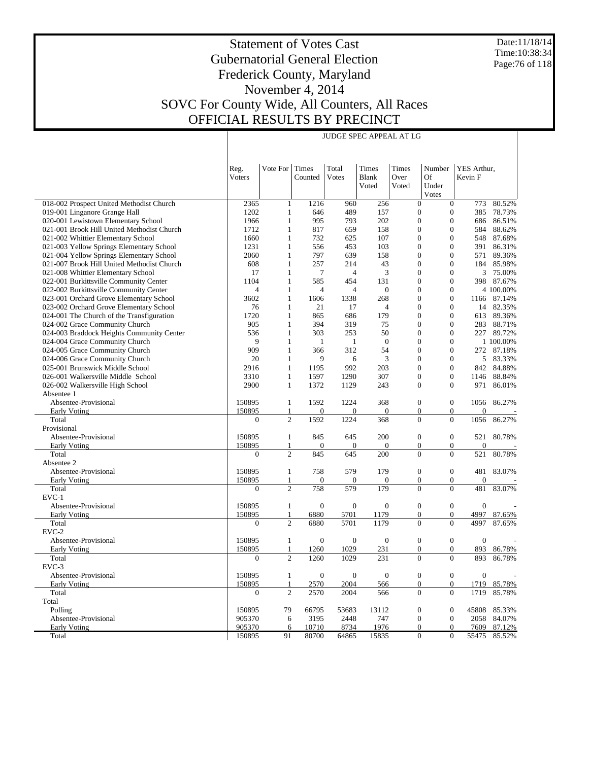Date:11/18/14 Time:10:38:34 Page:76 of 118

# Statement of Votes Cast Gubernatorial General Election Frederick County, Maryland November 4, 2014 SOVC For County Wide, All Counters, All Races OFFICIAL RESULTS BY PRECINCT

| Vote For<br>Times<br>Total<br>Times<br>Times<br>Number<br>YES Arthur.<br>Reg.<br>Voters<br>Votes<br><b>Blank</b><br>Over<br>Kevin F<br>Counted<br>Of<br>Voted<br>Voted<br>Under<br>Votes<br>018-002 Prospect United Methodist Church<br>773<br>2365<br>$\mathbf{1}$<br>1216<br>960<br>256<br>$\boldsymbol{0}$<br>$\mathbf{0}$<br>80.52%<br>019-001 Linganore Grange Hall<br>1202<br>$\mathbf{1}$<br>489<br>157<br>$\boldsymbol{0}$<br>$\boldsymbol{0}$<br>385<br>78.73%<br>646<br>020-001 Lewistown Elementary School<br>995<br>1966<br>$\mathbf{1}$<br>793<br>202<br>$\mathbf{0}$<br>$\mathbf{0}$<br>686<br>86.51%<br>021-001 Brook Hill United Methodist Church<br>$\mathbf{1}$<br>659<br>158<br>$\mathbf{0}$<br>$\mathbf{0}$<br>1712<br>817<br>584<br>88.62%<br>021-002 Whittier Elementary School<br>732<br>107<br>$\boldsymbol{0}$<br>$\theta$<br>1660<br>$\mathbf{1}$<br>625<br>548<br>87.68%<br>021-003 Yellow Springs Elementary School<br>$\mathbf{1}$<br>$\mathbf{0}$<br>$\mathbf{0}$<br>1231<br>556<br>453<br>103<br>391<br>86.31%<br>021-004 Yellow Springs Elementary School<br>$\mathbf{1}$<br>797<br>639<br>$\boldsymbol{0}$<br>$\boldsymbol{0}$<br>89.36%<br>2060<br>158<br>571<br>021-007 Brook Hill United Methodist Church<br>608<br>$\mathbf{1}$<br>257<br>214<br>43<br>$\mathbf{0}$<br>$\mathbf{0}$<br>85.98%<br>184<br>$\mathbf{0}$<br>$\mathbf{0}$<br>021-008 Whittier Elementary School<br>17<br>$\mathbf{1}$<br>$\tau$<br>$\overline{4}$<br>3<br>3<br>75.00%<br>022-001 Burkittsville Community Center<br>1104<br>$\mathbf{1}$<br>454<br>$\mathbf{0}$<br>$\mathbf{0}$<br>87.67%<br>585<br>131<br>398<br>022-002 Burkittsville Community Center<br>$\overline{4}$<br>$\mathbf{1}$<br>$\overline{4}$<br>$\overline{4}$<br>$\boldsymbol{0}$<br>$\mathbf{0}$<br>$\mathbf{0}$<br>4 100.00%<br>023-001 Orchard Grove Elementary School<br>$\mathbf{1}$<br>1338<br>$\mathbf{0}$<br>3602<br>1606<br>268<br>$\mathbf{0}$<br>1166 87.14%<br>023-002 Orchard Grove Elementary School<br>$\mathbf{1}$<br>$\overline{4}$<br>$\mathbf{0}$<br>$\mathbf{0}$<br>76<br>21<br>17<br>14<br>82.35%<br>024-001 The Church of the Transfiguration<br>$\mathbf{1}$<br>686<br>$\theta$<br>$\theta$<br>1720<br>865<br>179<br>89.36%<br>613<br>024-002 Grace Community Church<br>394<br>319<br>$\mathbf{0}$<br>905<br>$\mathbf{1}$<br>75<br>$\mathbf{0}$<br>283<br>88.71%<br>024-003 Braddock Heights Community Center<br>$\mathbf{1}$<br>303<br>253<br>50<br>$\boldsymbol{0}$<br>$\boldsymbol{0}$<br>227 89.72%<br>536<br>024-004 Grace Community Church<br>9<br>$\mathbf{1}$<br>$\mathbf{1}$<br>$\mathbf{1}$<br>$\boldsymbol{0}$<br>$\mathbf{0}$<br>$\mathbf{0}$<br>1 100.00%<br>909<br>54<br>024-005 Grace Community Church<br>$\mathbf{1}$<br>366<br>312<br>$\mathbf{0}$<br>$\mathbf{0}$<br>272<br>87.18%<br>$\theta$<br>024-006 Grace Community Church<br>$\mathbf{1}$<br>9<br>3<br>$\Omega$<br>83.33%<br>20<br>6<br>5<br>025-001 Brunswick Middle School<br>2916<br>$\mathbf{1}$<br>1195<br>992<br>203<br>$\mathbf{0}$<br>$\mathbf{0}$<br>842 84.88%<br>1290<br>307<br>026-001 Walkersville Middle School<br>3310<br>$\mathbf{1}$<br>1597<br>$\mathbf{0}$<br>$\mathbf{0}$<br>1146<br>88.84%<br>$1\,$<br>$\boldsymbol{0}$<br>$\boldsymbol{0}$<br>971<br>86.01%<br>026-002 Walkersville High School<br>2900<br>1372<br>1129<br>243<br>Absentee 1<br>$\mathbf{1}$<br>$\boldsymbol{0}$<br>$\overline{0}$<br>Absentee-Provisional<br>1224<br>150895<br>1592<br>368<br>1056<br>86.27%<br>150895<br>$\boldsymbol{0}$<br>$\overline{0}$<br>$\boldsymbol{0}$<br>$\boldsymbol{0}$<br><b>Early Voting</b><br>$\mathbf{1}$<br>$\boldsymbol{0}$<br>$\mathbf{0}$<br>$\overline{2}$<br>1592<br>1224<br>$\mathbf{0}$<br>86.27%<br>Total<br>$\overline{0}$<br>368<br>$\mathbf{0}$<br>1056<br>Provisional<br>$\boldsymbol{0}$<br>$\boldsymbol{0}$<br>Absentee-Provisional<br>150895<br>$\mathbf{1}$<br>845<br>645<br>200<br>521<br>80.78%<br>$\mathbf{0}$<br>$\mathbf{0}$<br>150895<br>$\mathbf{1}$<br>$\mathbf{0}$<br>$\overline{0}$<br>$\overline{0}$<br>$\Omega$<br><b>Early Voting</b><br>$\overline{c}$<br>845<br>645<br>200<br>$\theta$<br>$\theta$<br>80.78%<br>Total<br>$\Omega$<br>521<br>Absentee 2<br>$\boldsymbol{0}$<br>150895<br>$1\,$<br>758<br>579<br>179<br>$\boldsymbol{0}$<br>Absentee-Provisional<br>481<br>83.07%<br>150895<br>$\mathbf{1}$<br>$\boldsymbol{0}$<br>$\boldsymbol{0}$<br>$\boldsymbol{0}$<br><b>Early Voting</b><br>$\boldsymbol{0}$<br>$\mathbf{0}$<br>$\boldsymbol{0}$<br>$\overline{2}$<br>758<br>579<br>179<br>Total<br>$\overline{0}$<br>$\mathbf{0}$<br>$\boldsymbol{0}$<br>481<br>83.07%<br>$EVC-1$<br>$\mathbf{1}$<br>$\overline{0}$<br>$\mathbf{0}$<br>$\overline{0}$<br>$\overline{0}$<br>$\overline{0}$<br>$\mathbf{0}$<br>Absentee-Provisional<br>150895<br>5701<br>1179<br>$\mathbf{0}$<br>$\mathbf{0}$<br>4997<br>Early Voting<br>150895<br>$\mathbf{1}$<br>6880<br>87.65%<br>$\overline{c}$<br>6880<br>5701<br>1179<br>$\theta$<br>$\theta$<br>4997<br>87.65%<br>Total<br>$\theta$<br>$EVC-2$<br>$\mathbf{1}$<br>Absentee-Provisional<br>150895<br>$\boldsymbol{0}$<br>$\mathbf{0}$<br>$\mathbf{0}$<br>$\boldsymbol{0}$<br>$\boldsymbol{0}$<br>$\boldsymbol{0}$<br>150895<br>1260<br>1029<br>231<br>$\boldsymbol{0}$<br>$\boldsymbol{0}$<br>893<br><b>Early Voting</b><br>$\mathbf{1}$<br>86.78%<br>$\overline{2}$<br>$\overline{0}$<br>1029<br>$\theta$<br>893<br>Total<br>$\Omega$<br>1260<br>231<br>86.78%<br>$EVC-3$<br>$\mathbf{0}$<br>$\overline{0}$<br>$\overline{0}$<br>$\boldsymbol{0}$<br>$\boldsymbol{0}$<br>$\mathbf{0}$<br>Absentee-Provisional<br>150895<br>$\mathbf{1}$<br>2004<br>$\mathbf{0}$<br>$\mathbf{0}$<br><b>Early Voting</b><br>150895<br>$\mathbf{1}$<br>2570<br>566<br>1719<br>85.78%<br>$\overline{c}$<br>2570<br>Total<br>2004<br>566<br>$\Omega$<br>$\Omega$<br>1719<br>85.78%<br>$\mathbf{0}$<br>Total<br>$\boldsymbol{0}$<br>$\boldsymbol{0}$<br>Polling<br>150895<br>79<br>66795<br>53683<br>13112<br>45808<br>85.33%<br>Absentee-Provisional<br>6<br>3195<br>2448<br>$\boldsymbol{0}$<br>$\boldsymbol{0}$<br>2058<br>84.07%<br>905370<br>747<br>905370<br>6<br>10710<br>8734<br>1976<br>$\mathbf{0}$<br>$\mathbf{0}$<br>7609<br>87.12%<br><b>Early Voting</b><br>91<br>80700<br>15835<br>55475<br>150895<br>64865<br>$\mathbf{0}$<br>$\mathbf{0}$<br>85.52%<br>Total |  |  |  |  |  |
|--------------------------------------------------------------------------------------------------------------------------------------------------------------------------------------------------------------------------------------------------------------------------------------------------------------------------------------------------------------------------------------------------------------------------------------------------------------------------------------------------------------------------------------------------------------------------------------------------------------------------------------------------------------------------------------------------------------------------------------------------------------------------------------------------------------------------------------------------------------------------------------------------------------------------------------------------------------------------------------------------------------------------------------------------------------------------------------------------------------------------------------------------------------------------------------------------------------------------------------------------------------------------------------------------------------------------------------------------------------------------------------------------------------------------------------------------------------------------------------------------------------------------------------------------------------------------------------------------------------------------------------------------------------------------------------------------------------------------------------------------------------------------------------------------------------------------------------------------------------------------------------------------------------------------------------------------------------------------------------------------------------------------------------------------------------------------------------------------------------------------------------------------------------------------------------------------------------------------------------------------------------------------------------------------------------------------------------------------------------------------------------------------------------------------------------------------------------------------------------------------------------------------------------------------------------------------------------------------------------------------------------------------------------------------------------------------------------------------------------------------------------------------------------------------------------------------------------------------------------------------------------------------------------------------------------------------------------------------------------------------------------------------------------------------------------------------------------------------------------------------------------------------------------------------------------------------------------------------------------------------------------------------------------------------------------------------------------------------------------------------------------------------------------------------------------------------------------------------------------------------------------------------------------------------------------------------------------------------------------------------------------------------------------------------------------------------------------------------------------------------------------------------------------------------------------------------------------------------------------------------------------------------------------------------------------------------------------------------------------------------------------------------------------------------------------------------------------------------------------------------------------------------------------------------------------------------------------------------------------------------------------------------------------------------------------------------------------------------------------------------------------------------------------------------------------------------------------------------------------------------------------------------------------------------------------------------------------------------------------------------------------------------------------------------------------------------------------------------------------------------------------------------------------------------------------------------------------------------------------------------------------------------------------------------------------------------------------------------------------------------------------------------------------------------------------------------------------------------------------------------------------------------------------------------------------------------------------------------------------------------------------------------------------------------------------------------------------------------------------------------------------------------------------------------------------------------------------------------------------------------------------------------------------------------------------------------------------------------------------------------------------------------------------------------------------------------------------------------------------------------------------------------------------------------------------------------------------------------------------------------------------------------------------------------------------------------------------------------------------------------------------------------------------------------------------------------------------------------------------------------------------------------------------------------------------------------------------------------------------------------------------------------------------------------------------------------------------------|--|--|--|--|--|
|                                                                                                                                                                                                                                                                                                                                                                                                                                                                                                                                                                                                                                                                                                                                                                                                                                                                                                                                                                                                                                                                                                                                                                                                                                                                                                                                                                                                                                                                                                                                                                                                                                                                                                                                                                                                                                                                                                                                                                                                                                                                                                                                                                                                                                                                                                                                                                                                                                                                                                                                                                                                                                                                                                                                                                                                                                                                                                                                                                                                                                                                                                                                                                                                                                                                                                                                                                                                                                                                                                                                                                                                                                                                                                                                                                                                                                                                                                                                                                                                                                                                                                                                                                                                                                                                                                                                                                                                                                                                                                                                                                                                                                                                                                                                                                                                                                                                                                                                                                                                                                                                                                                                                                                                                                                                                                                                                                                                                                                                                                                                                                                                                                                                                                                                                                                                                                                                                                                                                                                                                                                                                                                                                                                                                                                                                                                                            |  |  |  |  |  |
|                                                                                                                                                                                                                                                                                                                                                                                                                                                                                                                                                                                                                                                                                                                                                                                                                                                                                                                                                                                                                                                                                                                                                                                                                                                                                                                                                                                                                                                                                                                                                                                                                                                                                                                                                                                                                                                                                                                                                                                                                                                                                                                                                                                                                                                                                                                                                                                                                                                                                                                                                                                                                                                                                                                                                                                                                                                                                                                                                                                                                                                                                                                                                                                                                                                                                                                                                                                                                                                                                                                                                                                                                                                                                                                                                                                                                                                                                                                                                                                                                                                                                                                                                                                                                                                                                                                                                                                                                                                                                                                                                                                                                                                                                                                                                                                                                                                                                                                                                                                                                                                                                                                                                                                                                                                                                                                                                                                                                                                                                                                                                                                                                                                                                                                                                                                                                                                                                                                                                                                                                                                                                                                                                                                                                                                                                                                                            |  |  |  |  |  |
|                                                                                                                                                                                                                                                                                                                                                                                                                                                                                                                                                                                                                                                                                                                                                                                                                                                                                                                                                                                                                                                                                                                                                                                                                                                                                                                                                                                                                                                                                                                                                                                                                                                                                                                                                                                                                                                                                                                                                                                                                                                                                                                                                                                                                                                                                                                                                                                                                                                                                                                                                                                                                                                                                                                                                                                                                                                                                                                                                                                                                                                                                                                                                                                                                                                                                                                                                                                                                                                                                                                                                                                                                                                                                                                                                                                                                                                                                                                                                                                                                                                                                                                                                                                                                                                                                                                                                                                                                                                                                                                                                                                                                                                                                                                                                                                                                                                                                                                                                                                                                                                                                                                                                                                                                                                                                                                                                                                                                                                                                                                                                                                                                                                                                                                                                                                                                                                                                                                                                                                                                                                                                                                                                                                                                                                                                                                                            |  |  |  |  |  |
|                                                                                                                                                                                                                                                                                                                                                                                                                                                                                                                                                                                                                                                                                                                                                                                                                                                                                                                                                                                                                                                                                                                                                                                                                                                                                                                                                                                                                                                                                                                                                                                                                                                                                                                                                                                                                                                                                                                                                                                                                                                                                                                                                                                                                                                                                                                                                                                                                                                                                                                                                                                                                                                                                                                                                                                                                                                                                                                                                                                                                                                                                                                                                                                                                                                                                                                                                                                                                                                                                                                                                                                                                                                                                                                                                                                                                                                                                                                                                                                                                                                                                                                                                                                                                                                                                                                                                                                                                                                                                                                                                                                                                                                                                                                                                                                                                                                                                                                                                                                                                                                                                                                                                                                                                                                                                                                                                                                                                                                                                                                                                                                                                                                                                                                                                                                                                                                                                                                                                                                                                                                                                                                                                                                                                                                                                                                                            |  |  |  |  |  |
|                                                                                                                                                                                                                                                                                                                                                                                                                                                                                                                                                                                                                                                                                                                                                                                                                                                                                                                                                                                                                                                                                                                                                                                                                                                                                                                                                                                                                                                                                                                                                                                                                                                                                                                                                                                                                                                                                                                                                                                                                                                                                                                                                                                                                                                                                                                                                                                                                                                                                                                                                                                                                                                                                                                                                                                                                                                                                                                                                                                                                                                                                                                                                                                                                                                                                                                                                                                                                                                                                                                                                                                                                                                                                                                                                                                                                                                                                                                                                                                                                                                                                                                                                                                                                                                                                                                                                                                                                                                                                                                                                                                                                                                                                                                                                                                                                                                                                                                                                                                                                                                                                                                                                                                                                                                                                                                                                                                                                                                                                                                                                                                                                                                                                                                                                                                                                                                                                                                                                                                                                                                                                                                                                                                                                                                                                                                                            |  |  |  |  |  |
|                                                                                                                                                                                                                                                                                                                                                                                                                                                                                                                                                                                                                                                                                                                                                                                                                                                                                                                                                                                                                                                                                                                                                                                                                                                                                                                                                                                                                                                                                                                                                                                                                                                                                                                                                                                                                                                                                                                                                                                                                                                                                                                                                                                                                                                                                                                                                                                                                                                                                                                                                                                                                                                                                                                                                                                                                                                                                                                                                                                                                                                                                                                                                                                                                                                                                                                                                                                                                                                                                                                                                                                                                                                                                                                                                                                                                                                                                                                                                                                                                                                                                                                                                                                                                                                                                                                                                                                                                                                                                                                                                                                                                                                                                                                                                                                                                                                                                                                                                                                                                                                                                                                                                                                                                                                                                                                                                                                                                                                                                                                                                                                                                                                                                                                                                                                                                                                                                                                                                                                                                                                                                                                                                                                                                                                                                                                                            |  |  |  |  |  |
|                                                                                                                                                                                                                                                                                                                                                                                                                                                                                                                                                                                                                                                                                                                                                                                                                                                                                                                                                                                                                                                                                                                                                                                                                                                                                                                                                                                                                                                                                                                                                                                                                                                                                                                                                                                                                                                                                                                                                                                                                                                                                                                                                                                                                                                                                                                                                                                                                                                                                                                                                                                                                                                                                                                                                                                                                                                                                                                                                                                                                                                                                                                                                                                                                                                                                                                                                                                                                                                                                                                                                                                                                                                                                                                                                                                                                                                                                                                                                                                                                                                                                                                                                                                                                                                                                                                                                                                                                                                                                                                                                                                                                                                                                                                                                                                                                                                                                                                                                                                                                                                                                                                                                                                                                                                                                                                                                                                                                                                                                                                                                                                                                                                                                                                                                                                                                                                                                                                                                                                                                                                                                                                                                                                                                                                                                                                                            |  |  |  |  |  |
|                                                                                                                                                                                                                                                                                                                                                                                                                                                                                                                                                                                                                                                                                                                                                                                                                                                                                                                                                                                                                                                                                                                                                                                                                                                                                                                                                                                                                                                                                                                                                                                                                                                                                                                                                                                                                                                                                                                                                                                                                                                                                                                                                                                                                                                                                                                                                                                                                                                                                                                                                                                                                                                                                                                                                                                                                                                                                                                                                                                                                                                                                                                                                                                                                                                                                                                                                                                                                                                                                                                                                                                                                                                                                                                                                                                                                                                                                                                                                                                                                                                                                                                                                                                                                                                                                                                                                                                                                                                                                                                                                                                                                                                                                                                                                                                                                                                                                                                                                                                                                                                                                                                                                                                                                                                                                                                                                                                                                                                                                                                                                                                                                                                                                                                                                                                                                                                                                                                                                                                                                                                                                                                                                                                                                                                                                                                                            |  |  |  |  |  |
|                                                                                                                                                                                                                                                                                                                                                                                                                                                                                                                                                                                                                                                                                                                                                                                                                                                                                                                                                                                                                                                                                                                                                                                                                                                                                                                                                                                                                                                                                                                                                                                                                                                                                                                                                                                                                                                                                                                                                                                                                                                                                                                                                                                                                                                                                                                                                                                                                                                                                                                                                                                                                                                                                                                                                                                                                                                                                                                                                                                                                                                                                                                                                                                                                                                                                                                                                                                                                                                                                                                                                                                                                                                                                                                                                                                                                                                                                                                                                                                                                                                                                                                                                                                                                                                                                                                                                                                                                                                                                                                                                                                                                                                                                                                                                                                                                                                                                                                                                                                                                                                                                                                                                                                                                                                                                                                                                                                                                                                                                                                                                                                                                                                                                                                                                                                                                                                                                                                                                                                                                                                                                                                                                                                                                                                                                                                                            |  |  |  |  |  |
|                                                                                                                                                                                                                                                                                                                                                                                                                                                                                                                                                                                                                                                                                                                                                                                                                                                                                                                                                                                                                                                                                                                                                                                                                                                                                                                                                                                                                                                                                                                                                                                                                                                                                                                                                                                                                                                                                                                                                                                                                                                                                                                                                                                                                                                                                                                                                                                                                                                                                                                                                                                                                                                                                                                                                                                                                                                                                                                                                                                                                                                                                                                                                                                                                                                                                                                                                                                                                                                                                                                                                                                                                                                                                                                                                                                                                                                                                                                                                                                                                                                                                                                                                                                                                                                                                                                                                                                                                                                                                                                                                                                                                                                                                                                                                                                                                                                                                                                                                                                                                                                                                                                                                                                                                                                                                                                                                                                                                                                                                                                                                                                                                                                                                                                                                                                                                                                                                                                                                                                                                                                                                                                                                                                                                                                                                                                                            |  |  |  |  |  |
|                                                                                                                                                                                                                                                                                                                                                                                                                                                                                                                                                                                                                                                                                                                                                                                                                                                                                                                                                                                                                                                                                                                                                                                                                                                                                                                                                                                                                                                                                                                                                                                                                                                                                                                                                                                                                                                                                                                                                                                                                                                                                                                                                                                                                                                                                                                                                                                                                                                                                                                                                                                                                                                                                                                                                                                                                                                                                                                                                                                                                                                                                                                                                                                                                                                                                                                                                                                                                                                                                                                                                                                                                                                                                                                                                                                                                                                                                                                                                                                                                                                                                                                                                                                                                                                                                                                                                                                                                                                                                                                                                                                                                                                                                                                                                                                                                                                                                                                                                                                                                                                                                                                                                                                                                                                                                                                                                                                                                                                                                                                                                                                                                                                                                                                                                                                                                                                                                                                                                                                                                                                                                                                                                                                                                                                                                                                                            |  |  |  |  |  |
|                                                                                                                                                                                                                                                                                                                                                                                                                                                                                                                                                                                                                                                                                                                                                                                                                                                                                                                                                                                                                                                                                                                                                                                                                                                                                                                                                                                                                                                                                                                                                                                                                                                                                                                                                                                                                                                                                                                                                                                                                                                                                                                                                                                                                                                                                                                                                                                                                                                                                                                                                                                                                                                                                                                                                                                                                                                                                                                                                                                                                                                                                                                                                                                                                                                                                                                                                                                                                                                                                                                                                                                                                                                                                                                                                                                                                                                                                                                                                                                                                                                                                                                                                                                                                                                                                                                                                                                                                                                                                                                                                                                                                                                                                                                                                                                                                                                                                                                                                                                                                                                                                                                                                                                                                                                                                                                                                                                                                                                                                                                                                                                                                                                                                                                                                                                                                                                                                                                                                                                                                                                                                                                                                                                                                                                                                                                                            |  |  |  |  |  |
|                                                                                                                                                                                                                                                                                                                                                                                                                                                                                                                                                                                                                                                                                                                                                                                                                                                                                                                                                                                                                                                                                                                                                                                                                                                                                                                                                                                                                                                                                                                                                                                                                                                                                                                                                                                                                                                                                                                                                                                                                                                                                                                                                                                                                                                                                                                                                                                                                                                                                                                                                                                                                                                                                                                                                                                                                                                                                                                                                                                                                                                                                                                                                                                                                                                                                                                                                                                                                                                                                                                                                                                                                                                                                                                                                                                                                                                                                                                                                                                                                                                                                                                                                                                                                                                                                                                                                                                                                                                                                                                                                                                                                                                                                                                                                                                                                                                                                                                                                                                                                                                                                                                                                                                                                                                                                                                                                                                                                                                                                                                                                                                                                                                                                                                                                                                                                                                                                                                                                                                                                                                                                                                                                                                                                                                                                                                                            |  |  |  |  |  |
|                                                                                                                                                                                                                                                                                                                                                                                                                                                                                                                                                                                                                                                                                                                                                                                                                                                                                                                                                                                                                                                                                                                                                                                                                                                                                                                                                                                                                                                                                                                                                                                                                                                                                                                                                                                                                                                                                                                                                                                                                                                                                                                                                                                                                                                                                                                                                                                                                                                                                                                                                                                                                                                                                                                                                                                                                                                                                                                                                                                                                                                                                                                                                                                                                                                                                                                                                                                                                                                                                                                                                                                                                                                                                                                                                                                                                                                                                                                                                                                                                                                                                                                                                                                                                                                                                                                                                                                                                                                                                                                                                                                                                                                                                                                                                                                                                                                                                                                                                                                                                                                                                                                                                                                                                                                                                                                                                                                                                                                                                                                                                                                                                                                                                                                                                                                                                                                                                                                                                                                                                                                                                                                                                                                                                                                                                                                                            |  |  |  |  |  |
|                                                                                                                                                                                                                                                                                                                                                                                                                                                                                                                                                                                                                                                                                                                                                                                                                                                                                                                                                                                                                                                                                                                                                                                                                                                                                                                                                                                                                                                                                                                                                                                                                                                                                                                                                                                                                                                                                                                                                                                                                                                                                                                                                                                                                                                                                                                                                                                                                                                                                                                                                                                                                                                                                                                                                                                                                                                                                                                                                                                                                                                                                                                                                                                                                                                                                                                                                                                                                                                                                                                                                                                                                                                                                                                                                                                                                                                                                                                                                                                                                                                                                                                                                                                                                                                                                                                                                                                                                                                                                                                                                                                                                                                                                                                                                                                                                                                                                                                                                                                                                                                                                                                                                                                                                                                                                                                                                                                                                                                                                                                                                                                                                                                                                                                                                                                                                                                                                                                                                                                                                                                                                                                                                                                                                                                                                                                                            |  |  |  |  |  |
|                                                                                                                                                                                                                                                                                                                                                                                                                                                                                                                                                                                                                                                                                                                                                                                                                                                                                                                                                                                                                                                                                                                                                                                                                                                                                                                                                                                                                                                                                                                                                                                                                                                                                                                                                                                                                                                                                                                                                                                                                                                                                                                                                                                                                                                                                                                                                                                                                                                                                                                                                                                                                                                                                                                                                                                                                                                                                                                                                                                                                                                                                                                                                                                                                                                                                                                                                                                                                                                                                                                                                                                                                                                                                                                                                                                                                                                                                                                                                                                                                                                                                                                                                                                                                                                                                                                                                                                                                                                                                                                                                                                                                                                                                                                                                                                                                                                                                                                                                                                                                                                                                                                                                                                                                                                                                                                                                                                                                                                                                                                                                                                                                                                                                                                                                                                                                                                                                                                                                                                                                                                                                                                                                                                                                                                                                                                                            |  |  |  |  |  |
|                                                                                                                                                                                                                                                                                                                                                                                                                                                                                                                                                                                                                                                                                                                                                                                                                                                                                                                                                                                                                                                                                                                                                                                                                                                                                                                                                                                                                                                                                                                                                                                                                                                                                                                                                                                                                                                                                                                                                                                                                                                                                                                                                                                                                                                                                                                                                                                                                                                                                                                                                                                                                                                                                                                                                                                                                                                                                                                                                                                                                                                                                                                                                                                                                                                                                                                                                                                                                                                                                                                                                                                                                                                                                                                                                                                                                                                                                                                                                                                                                                                                                                                                                                                                                                                                                                                                                                                                                                                                                                                                                                                                                                                                                                                                                                                                                                                                                                                                                                                                                                                                                                                                                                                                                                                                                                                                                                                                                                                                                                                                                                                                                                                                                                                                                                                                                                                                                                                                                                                                                                                                                                                                                                                                                                                                                                                                            |  |  |  |  |  |
|                                                                                                                                                                                                                                                                                                                                                                                                                                                                                                                                                                                                                                                                                                                                                                                                                                                                                                                                                                                                                                                                                                                                                                                                                                                                                                                                                                                                                                                                                                                                                                                                                                                                                                                                                                                                                                                                                                                                                                                                                                                                                                                                                                                                                                                                                                                                                                                                                                                                                                                                                                                                                                                                                                                                                                                                                                                                                                                                                                                                                                                                                                                                                                                                                                                                                                                                                                                                                                                                                                                                                                                                                                                                                                                                                                                                                                                                                                                                                                                                                                                                                                                                                                                                                                                                                                                                                                                                                                                                                                                                                                                                                                                                                                                                                                                                                                                                                                                                                                                                                                                                                                                                                                                                                                                                                                                                                                                                                                                                                                                                                                                                                                                                                                                                                                                                                                                                                                                                                                                                                                                                                                                                                                                                                                                                                                                                            |  |  |  |  |  |
|                                                                                                                                                                                                                                                                                                                                                                                                                                                                                                                                                                                                                                                                                                                                                                                                                                                                                                                                                                                                                                                                                                                                                                                                                                                                                                                                                                                                                                                                                                                                                                                                                                                                                                                                                                                                                                                                                                                                                                                                                                                                                                                                                                                                                                                                                                                                                                                                                                                                                                                                                                                                                                                                                                                                                                                                                                                                                                                                                                                                                                                                                                                                                                                                                                                                                                                                                                                                                                                                                                                                                                                                                                                                                                                                                                                                                                                                                                                                                                                                                                                                                                                                                                                                                                                                                                                                                                                                                                                                                                                                                                                                                                                                                                                                                                                                                                                                                                                                                                                                                                                                                                                                                                                                                                                                                                                                                                                                                                                                                                                                                                                                                                                                                                                                                                                                                                                                                                                                                                                                                                                                                                                                                                                                                                                                                                                                            |  |  |  |  |  |
|                                                                                                                                                                                                                                                                                                                                                                                                                                                                                                                                                                                                                                                                                                                                                                                                                                                                                                                                                                                                                                                                                                                                                                                                                                                                                                                                                                                                                                                                                                                                                                                                                                                                                                                                                                                                                                                                                                                                                                                                                                                                                                                                                                                                                                                                                                                                                                                                                                                                                                                                                                                                                                                                                                                                                                                                                                                                                                                                                                                                                                                                                                                                                                                                                                                                                                                                                                                                                                                                                                                                                                                                                                                                                                                                                                                                                                                                                                                                                                                                                                                                                                                                                                                                                                                                                                                                                                                                                                                                                                                                                                                                                                                                                                                                                                                                                                                                                                                                                                                                                                                                                                                                                                                                                                                                                                                                                                                                                                                                                                                                                                                                                                                                                                                                                                                                                                                                                                                                                                                                                                                                                                                                                                                                                                                                                                                                            |  |  |  |  |  |
|                                                                                                                                                                                                                                                                                                                                                                                                                                                                                                                                                                                                                                                                                                                                                                                                                                                                                                                                                                                                                                                                                                                                                                                                                                                                                                                                                                                                                                                                                                                                                                                                                                                                                                                                                                                                                                                                                                                                                                                                                                                                                                                                                                                                                                                                                                                                                                                                                                                                                                                                                                                                                                                                                                                                                                                                                                                                                                                                                                                                                                                                                                                                                                                                                                                                                                                                                                                                                                                                                                                                                                                                                                                                                                                                                                                                                                                                                                                                                                                                                                                                                                                                                                                                                                                                                                                                                                                                                                                                                                                                                                                                                                                                                                                                                                                                                                                                                                                                                                                                                                                                                                                                                                                                                                                                                                                                                                                                                                                                                                                                                                                                                                                                                                                                                                                                                                                                                                                                                                                                                                                                                                                                                                                                                                                                                                                                            |  |  |  |  |  |
|                                                                                                                                                                                                                                                                                                                                                                                                                                                                                                                                                                                                                                                                                                                                                                                                                                                                                                                                                                                                                                                                                                                                                                                                                                                                                                                                                                                                                                                                                                                                                                                                                                                                                                                                                                                                                                                                                                                                                                                                                                                                                                                                                                                                                                                                                                                                                                                                                                                                                                                                                                                                                                                                                                                                                                                                                                                                                                                                                                                                                                                                                                                                                                                                                                                                                                                                                                                                                                                                                                                                                                                                                                                                                                                                                                                                                                                                                                                                                                                                                                                                                                                                                                                                                                                                                                                                                                                                                                                                                                                                                                                                                                                                                                                                                                                                                                                                                                                                                                                                                                                                                                                                                                                                                                                                                                                                                                                                                                                                                                                                                                                                                                                                                                                                                                                                                                                                                                                                                                                                                                                                                                                                                                                                                                                                                                                                            |  |  |  |  |  |
|                                                                                                                                                                                                                                                                                                                                                                                                                                                                                                                                                                                                                                                                                                                                                                                                                                                                                                                                                                                                                                                                                                                                                                                                                                                                                                                                                                                                                                                                                                                                                                                                                                                                                                                                                                                                                                                                                                                                                                                                                                                                                                                                                                                                                                                                                                                                                                                                                                                                                                                                                                                                                                                                                                                                                                                                                                                                                                                                                                                                                                                                                                                                                                                                                                                                                                                                                                                                                                                                                                                                                                                                                                                                                                                                                                                                                                                                                                                                                                                                                                                                                                                                                                                                                                                                                                                                                                                                                                                                                                                                                                                                                                                                                                                                                                                                                                                                                                                                                                                                                                                                                                                                                                                                                                                                                                                                                                                                                                                                                                                                                                                                                                                                                                                                                                                                                                                                                                                                                                                                                                                                                                                                                                                                                                                                                                                                            |  |  |  |  |  |
|                                                                                                                                                                                                                                                                                                                                                                                                                                                                                                                                                                                                                                                                                                                                                                                                                                                                                                                                                                                                                                                                                                                                                                                                                                                                                                                                                                                                                                                                                                                                                                                                                                                                                                                                                                                                                                                                                                                                                                                                                                                                                                                                                                                                                                                                                                                                                                                                                                                                                                                                                                                                                                                                                                                                                                                                                                                                                                                                                                                                                                                                                                                                                                                                                                                                                                                                                                                                                                                                                                                                                                                                                                                                                                                                                                                                                                                                                                                                                                                                                                                                                                                                                                                                                                                                                                                                                                                                                                                                                                                                                                                                                                                                                                                                                                                                                                                                                                                                                                                                                                                                                                                                                                                                                                                                                                                                                                                                                                                                                                                                                                                                                                                                                                                                                                                                                                                                                                                                                                                                                                                                                                                                                                                                                                                                                                                                            |  |  |  |  |  |
|                                                                                                                                                                                                                                                                                                                                                                                                                                                                                                                                                                                                                                                                                                                                                                                                                                                                                                                                                                                                                                                                                                                                                                                                                                                                                                                                                                                                                                                                                                                                                                                                                                                                                                                                                                                                                                                                                                                                                                                                                                                                                                                                                                                                                                                                                                                                                                                                                                                                                                                                                                                                                                                                                                                                                                                                                                                                                                                                                                                                                                                                                                                                                                                                                                                                                                                                                                                                                                                                                                                                                                                                                                                                                                                                                                                                                                                                                                                                                                                                                                                                                                                                                                                                                                                                                                                                                                                                                                                                                                                                                                                                                                                                                                                                                                                                                                                                                                                                                                                                                                                                                                                                                                                                                                                                                                                                                                                                                                                                                                                                                                                                                                                                                                                                                                                                                                                                                                                                                                                                                                                                                                                                                                                                                                                                                                                                            |  |  |  |  |  |
|                                                                                                                                                                                                                                                                                                                                                                                                                                                                                                                                                                                                                                                                                                                                                                                                                                                                                                                                                                                                                                                                                                                                                                                                                                                                                                                                                                                                                                                                                                                                                                                                                                                                                                                                                                                                                                                                                                                                                                                                                                                                                                                                                                                                                                                                                                                                                                                                                                                                                                                                                                                                                                                                                                                                                                                                                                                                                                                                                                                                                                                                                                                                                                                                                                                                                                                                                                                                                                                                                                                                                                                                                                                                                                                                                                                                                                                                                                                                                                                                                                                                                                                                                                                                                                                                                                                                                                                                                                                                                                                                                                                                                                                                                                                                                                                                                                                                                                                                                                                                                                                                                                                                                                                                                                                                                                                                                                                                                                                                                                                                                                                                                                                                                                                                                                                                                                                                                                                                                                                                                                                                                                                                                                                                                                                                                                                                            |  |  |  |  |  |
|                                                                                                                                                                                                                                                                                                                                                                                                                                                                                                                                                                                                                                                                                                                                                                                                                                                                                                                                                                                                                                                                                                                                                                                                                                                                                                                                                                                                                                                                                                                                                                                                                                                                                                                                                                                                                                                                                                                                                                                                                                                                                                                                                                                                                                                                                                                                                                                                                                                                                                                                                                                                                                                                                                                                                                                                                                                                                                                                                                                                                                                                                                                                                                                                                                                                                                                                                                                                                                                                                                                                                                                                                                                                                                                                                                                                                                                                                                                                                                                                                                                                                                                                                                                                                                                                                                                                                                                                                                                                                                                                                                                                                                                                                                                                                                                                                                                                                                                                                                                                                                                                                                                                                                                                                                                                                                                                                                                                                                                                                                                                                                                                                                                                                                                                                                                                                                                                                                                                                                                                                                                                                                                                                                                                                                                                                                                                            |  |  |  |  |  |
|                                                                                                                                                                                                                                                                                                                                                                                                                                                                                                                                                                                                                                                                                                                                                                                                                                                                                                                                                                                                                                                                                                                                                                                                                                                                                                                                                                                                                                                                                                                                                                                                                                                                                                                                                                                                                                                                                                                                                                                                                                                                                                                                                                                                                                                                                                                                                                                                                                                                                                                                                                                                                                                                                                                                                                                                                                                                                                                                                                                                                                                                                                                                                                                                                                                                                                                                                                                                                                                                                                                                                                                                                                                                                                                                                                                                                                                                                                                                                                                                                                                                                                                                                                                                                                                                                                                                                                                                                                                                                                                                                                                                                                                                                                                                                                                                                                                                                                                                                                                                                                                                                                                                                                                                                                                                                                                                                                                                                                                                                                                                                                                                                                                                                                                                                                                                                                                                                                                                                                                                                                                                                                                                                                                                                                                                                                                                            |  |  |  |  |  |
|                                                                                                                                                                                                                                                                                                                                                                                                                                                                                                                                                                                                                                                                                                                                                                                                                                                                                                                                                                                                                                                                                                                                                                                                                                                                                                                                                                                                                                                                                                                                                                                                                                                                                                                                                                                                                                                                                                                                                                                                                                                                                                                                                                                                                                                                                                                                                                                                                                                                                                                                                                                                                                                                                                                                                                                                                                                                                                                                                                                                                                                                                                                                                                                                                                                                                                                                                                                                                                                                                                                                                                                                                                                                                                                                                                                                                                                                                                                                                                                                                                                                                                                                                                                                                                                                                                                                                                                                                                                                                                                                                                                                                                                                                                                                                                                                                                                                                                                                                                                                                                                                                                                                                                                                                                                                                                                                                                                                                                                                                                                                                                                                                                                                                                                                                                                                                                                                                                                                                                                                                                                                                                                                                                                                                                                                                                                                            |  |  |  |  |  |
|                                                                                                                                                                                                                                                                                                                                                                                                                                                                                                                                                                                                                                                                                                                                                                                                                                                                                                                                                                                                                                                                                                                                                                                                                                                                                                                                                                                                                                                                                                                                                                                                                                                                                                                                                                                                                                                                                                                                                                                                                                                                                                                                                                                                                                                                                                                                                                                                                                                                                                                                                                                                                                                                                                                                                                                                                                                                                                                                                                                                                                                                                                                                                                                                                                                                                                                                                                                                                                                                                                                                                                                                                                                                                                                                                                                                                                                                                                                                                                                                                                                                                                                                                                                                                                                                                                                                                                                                                                                                                                                                                                                                                                                                                                                                                                                                                                                                                                                                                                                                                                                                                                                                                                                                                                                                                                                                                                                                                                                                                                                                                                                                                                                                                                                                                                                                                                                                                                                                                                                                                                                                                                                                                                                                                                                                                                                                            |  |  |  |  |  |
|                                                                                                                                                                                                                                                                                                                                                                                                                                                                                                                                                                                                                                                                                                                                                                                                                                                                                                                                                                                                                                                                                                                                                                                                                                                                                                                                                                                                                                                                                                                                                                                                                                                                                                                                                                                                                                                                                                                                                                                                                                                                                                                                                                                                                                                                                                                                                                                                                                                                                                                                                                                                                                                                                                                                                                                                                                                                                                                                                                                                                                                                                                                                                                                                                                                                                                                                                                                                                                                                                                                                                                                                                                                                                                                                                                                                                                                                                                                                                                                                                                                                                                                                                                                                                                                                                                                                                                                                                                                                                                                                                                                                                                                                                                                                                                                                                                                                                                                                                                                                                                                                                                                                                                                                                                                                                                                                                                                                                                                                                                                                                                                                                                                                                                                                                                                                                                                                                                                                                                                                                                                                                                                                                                                                                                                                                                                                            |  |  |  |  |  |
|                                                                                                                                                                                                                                                                                                                                                                                                                                                                                                                                                                                                                                                                                                                                                                                                                                                                                                                                                                                                                                                                                                                                                                                                                                                                                                                                                                                                                                                                                                                                                                                                                                                                                                                                                                                                                                                                                                                                                                                                                                                                                                                                                                                                                                                                                                                                                                                                                                                                                                                                                                                                                                                                                                                                                                                                                                                                                                                                                                                                                                                                                                                                                                                                                                                                                                                                                                                                                                                                                                                                                                                                                                                                                                                                                                                                                                                                                                                                                                                                                                                                                                                                                                                                                                                                                                                                                                                                                                                                                                                                                                                                                                                                                                                                                                                                                                                                                                                                                                                                                                                                                                                                                                                                                                                                                                                                                                                                                                                                                                                                                                                                                                                                                                                                                                                                                                                                                                                                                                                                                                                                                                                                                                                                                                                                                                                                            |  |  |  |  |  |
|                                                                                                                                                                                                                                                                                                                                                                                                                                                                                                                                                                                                                                                                                                                                                                                                                                                                                                                                                                                                                                                                                                                                                                                                                                                                                                                                                                                                                                                                                                                                                                                                                                                                                                                                                                                                                                                                                                                                                                                                                                                                                                                                                                                                                                                                                                                                                                                                                                                                                                                                                                                                                                                                                                                                                                                                                                                                                                                                                                                                                                                                                                                                                                                                                                                                                                                                                                                                                                                                                                                                                                                                                                                                                                                                                                                                                                                                                                                                                                                                                                                                                                                                                                                                                                                                                                                                                                                                                                                                                                                                                                                                                                                                                                                                                                                                                                                                                                                                                                                                                                                                                                                                                                                                                                                                                                                                                                                                                                                                                                                                                                                                                                                                                                                                                                                                                                                                                                                                                                                                                                                                                                                                                                                                                                                                                                                                            |  |  |  |  |  |
|                                                                                                                                                                                                                                                                                                                                                                                                                                                                                                                                                                                                                                                                                                                                                                                                                                                                                                                                                                                                                                                                                                                                                                                                                                                                                                                                                                                                                                                                                                                                                                                                                                                                                                                                                                                                                                                                                                                                                                                                                                                                                                                                                                                                                                                                                                                                                                                                                                                                                                                                                                                                                                                                                                                                                                                                                                                                                                                                                                                                                                                                                                                                                                                                                                                                                                                                                                                                                                                                                                                                                                                                                                                                                                                                                                                                                                                                                                                                                                                                                                                                                                                                                                                                                                                                                                                                                                                                                                                                                                                                                                                                                                                                                                                                                                                                                                                                                                                                                                                                                                                                                                                                                                                                                                                                                                                                                                                                                                                                                                                                                                                                                                                                                                                                                                                                                                                                                                                                                                                                                                                                                                                                                                                                                                                                                                                                            |  |  |  |  |  |
|                                                                                                                                                                                                                                                                                                                                                                                                                                                                                                                                                                                                                                                                                                                                                                                                                                                                                                                                                                                                                                                                                                                                                                                                                                                                                                                                                                                                                                                                                                                                                                                                                                                                                                                                                                                                                                                                                                                                                                                                                                                                                                                                                                                                                                                                                                                                                                                                                                                                                                                                                                                                                                                                                                                                                                                                                                                                                                                                                                                                                                                                                                                                                                                                                                                                                                                                                                                                                                                                                                                                                                                                                                                                                                                                                                                                                                                                                                                                                                                                                                                                                                                                                                                                                                                                                                                                                                                                                                                                                                                                                                                                                                                                                                                                                                                                                                                                                                                                                                                                                                                                                                                                                                                                                                                                                                                                                                                                                                                                                                                                                                                                                                                                                                                                                                                                                                                                                                                                                                                                                                                                                                                                                                                                                                                                                                                                            |  |  |  |  |  |
|                                                                                                                                                                                                                                                                                                                                                                                                                                                                                                                                                                                                                                                                                                                                                                                                                                                                                                                                                                                                                                                                                                                                                                                                                                                                                                                                                                                                                                                                                                                                                                                                                                                                                                                                                                                                                                                                                                                                                                                                                                                                                                                                                                                                                                                                                                                                                                                                                                                                                                                                                                                                                                                                                                                                                                                                                                                                                                                                                                                                                                                                                                                                                                                                                                                                                                                                                                                                                                                                                                                                                                                                                                                                                                                                                                                                                                                                                                                                                                                                                                                                                                                                                                                                                                                                                                                                                                                                                                                                                                                                                                                                                                                                                                                                                                                                                                                                                                                                                                                                                                                                                                                                                                                                                                                                                                                                                                                                                                                                                                                                                                                                                                                                                                                                                                                                                                                                                                                                                                                                                                                                                                                                                                                                                                                                                                                                            |  |  |  |  |  |
|                                                                                                                                                                                                                                                                                                                                                                                                                                                                                                                                                                                                                                                                                                                                                                                                                                                                                                                                                                                                                                                                                                                                                                                                                                                                                                                                                                                                                                                                                                                                                                                                                                                                                                                                                                                                                                                                                                                                                                                                                                                                                                                                                                                                                                                                                                                                                                                                                                                                                                                                                                                                                                                                                                                                                                                                                                                                                                                                                                                                                                                                                                                                                                                                                                                                                                                                                                                                                                                                                                                                                                                                                                                                                                                                                                                                                                                                                                                                                                                                                                                                                                                                                                                                                                                                                                                                                                                                                                                                                                                                                                                                                                                                                                                                                                                                                                                                                                                                                                                                                                                                                                                                                                                                                                                                                                                                                                                                                                                                                                                                                                                                                                                                                                                                                                                                                                                                                                                                                                                                                                                                                                                                                                                                                                                                                                                                            |  |  |  |  |  |
|                                                                                                                                                                                                                                                                                                                                                                                                                                                                                                                                                                                                                                                                                                                                                                                                                                                                                                                                                                                                                                                                                                                                                                                                                                                                                                                                                                                                                                                                                                                                                                                                                                                                                                                                                                                                                                                                                                                                                                                                                                                                                                                                                                                                                                                                                                                                                                                                                                                                                                                                                                                                                                                                                                                                                                                                                                                                                                                                                                                                                                                                                                                                                                                                                                                                                                                                                                                                                                                                                                                                                                                                                                                                                                                                                                                                                                                                                                                                                                                                                                                                                                                                                                                                                                                                                                                                                                                                                                                                                                                                                                                                                                                                                                                                                                                                                                                                                                                                                                                                                                                                                                                                                                                                                                                                                                                                                                                                                                                                                                                                                                                                                                                                                                                                                                                                                                                                                                                                                                                                                                                                                                                                                                                                                                                                                                                                            |  |  |  |  |  |
|                                                                                                                                                                                                                                                                                                                                                                                                                                                                                                                                                                                                                                                                                                                                                                                                                                                                                                                                                                                                                                                                                                                                                                                                                                                                                                                                                                                                                                                                                                                                                                                                                                                                                                                                                                                                                                                                                                                                                                                                                                                                                                                                                                                                                                                                                                                                                                                                                                                                                                                                                                                                                                                                                                                                                                                                                                                                                                                                                                                                                                                                                                                                                                                                                                                                                                                                                                                                                                                                                                                                                                                                                                                                                                                                                                                                                                                                                                                                                                                                                                                                                                                                                                                                                                                                                                                                                                                                                                                                                                                                                                                                                                                                                                                                                                                                                                                                                                                                                                                                                                                                                                                                                                                                                                                                                                                                                                                                                                                                                                                                                                                                                                                                                                                                                                                                                                                                                                                                                                                                                                                                                                                                                                                                                                                                                                                                            |  |  |  |  |  |
|                                                                                                                                                                                                                                                                                                                                                                                                                                                                                                                                                                                                                                                                                                                                                                                                                                                                                                                                                                                                                                                                                                                                                                                                                                                                                                                                                                                                                                                                                                                                                                                                                                                                                                                                                                                                                                                                                                                                                                                                                                                                                                                                                                                                                                                                                                                                                                                                                                                                                                                                                                                                                                                                                                                                                                                                                                                                                                                                                                                                                                                                                                                                                                                                                                                                                                                                                                                                                                                                                                                                                                                                                                                                                                                                                                                                                                                                                                                                                                                                                                                                                                                                                                                                                                                                                                                                                                                                                                                                                                                                                                                                                                                                                                                                                                                                                                                                                                                                                                                                                                                                                                                                                                                                                                                                                                                                                                                                                                                                                                                                                                                                                                                                                                                                                                                                                                                                                                                                                                                                                                                                                                                                                                                                                                                                                                                                            |  |  |  |  |  |
|                                                                                                                                                                                                                                                                                                                                                                                                                                                                                                                                                                                                                                                                                                                                                                                                                                                                                                                                                                                                                                                                                                                                                                                                                                                                                                                                                                                                                                                                                                                                                                                                                                                                                                                                                                                                                                                                                                                                                                                                                                                                                                                                                                                                                                                                                                                                                                                                                                                                                                                                                                                                                                                                                                                                                                                                                                                                                                                                                                                                                                                                                                                                                                                                                                                                                                                                                                                                                                                                                                                                                                                                                                                                                                                                                                                                                                                                                                                                                                                                                                                                                                                                                                                                                                                                                                                                                                                                                                                                                                                                                                                                                                                                                                                                                                                                                                                                                                                                                                                                                                                                                                                                                                                                                                                                                                                                                                                                                                                                                                                                                                                                                                                                                                                                                                                                                                                                                                                                                                                                                                                                                                                                                                                                                                                                                                                                            |  |  |  |  |  |
|                                                                                                                                                                                                                                                                                                                                                                                                                                                                                                                                                                                                                                                                                                                                                                                                                                                                                                                                                                                                                                                                                                                                                                                                                                                                                                                                                                                                                                                                                                                                                                                                                                                                                                                                                                                                                                                                                                                                                                                                                                                                                                                                                                                                                                                                                                                                                                                                                                                                                                                                                                                                                                                                                                                                                                                                                                                                                                                                                                                                                                                                                                                                                                                                                                                                                                                                                                                                                                                                                                                                                                                                                                                                                                                                                                                                                                                                                                                                                                                                                                                                                                                                                                                                                                                                                                                                                                                                                                                                                                                                                                                                                                                                                                                                                                                                                                                                                                                                                                                                                                                                                                                                                                                                                                                                                                                                                                                                                                                                                                                                                                                                                                                                                                                                                                                                                                                                                                                                                                                                                                                                                                                                                                                                                                                                                                                                            |  |  |  |  |  |
|                                                                                                                                                                                                                                                                                                                                                                                                                                                                                                                                                                                                                                                                                                                                                                                                                                                                                                                                                                                                                                                                                                                                                                                                                                                                                                                                                                                                                                                                                                                                                                                                                                                                                                                                                                                                                                                                                                                                                                                                                                                                                                                                                                                                                                                                                                                                                                                                                                                                                                                                                                                                                                                                                                                                                                                                                                                                                                                                                                                                                                                                                                                                                                                                                                                                                                                                                                                                                                                                                                                                                                                                                                                                                                                                                                                                                                                                                                                                                                                                                                                                                                                                                                                                                                                                                                                                                                                                                                                                                                                                                                                                                                                                                                                                                                                                                                                                                                                                                                                                                                                                                                                                                                                                                                                                                                                                                                                                                                                                                                                                                                                                                                                                                                                                                                                                                                                                                                                                                                                                                                                                                                                                                                                                                                                                                                                                            |  |  |  |  |  |
|                                                                                                                                                                                                                                                                                                                                                                                                                                                                                                                                                                                                                                                                                                                                                                                                                                                                                                                                                                                                                                                                                                                                                                                                                                                                                                                                                                                                                                                                                                                                                                                                                                                                                                                                                                                                                                                                                                                                                                                                                                                                                                                                                                                                                                                                                                                                                                                                                                                                                                                                                                                                                                                                                                                                                                                                                                                                                                                                                                                                                                                                                                                                                                                                                                                                                                                                                                                                                                                                                                                                                                                                                                                                                                                                                                                                                                                                                                                                                                                                                                                                                                                                                                                                                                                                                                                                                                                                                                                                                                                                                                                                                                                                                                                                                                                                                                                                                                                                                                                                                                                                                                                                                                                                                                                                                                                                                                                                                                                                                                                                                                                                                                                                                                                                                                                                                                                                                                                                                                                                                                                                                                                                                                                                                                                                                                                                            |  |  |  |  |  |
|                                                                                                                                                                                                                                                                                                                                                                                                                                                                                                                                                                                                                                                                                                                                                                                                                                                                                                                                                                                                                                                                                                                                                                                                                                                                                                                                                                                                                                                                                                                                                                                                                                                                                                                                                                                                                                                                                                                                                                                                                                                                                                                                                                                                                                                                                                                                                                                                                                                                                                                                                                                                                                                                                                                                                                                                                                                                                                                                                                                                                                                                                                                                                                                                                                                                                                                                                                                                                                                                                                                                                                                                                                                                                                                                                                                                                                                                                                                                                                                                                                                                                                                                                                                                                                                                                                                                                                                                                                                                                                                                                                                                                                                                                                                                                                                                                                                                                                                                                                                                                                                                                                                                                                                                                                                                                                                                                                                                                                                                                                                                                                                                                                                                                                                                                                                                                                                                                                                                                                                                                                                                                                                                                                                                                                                                                                                                            |  |  |  |  |  |
|                                                                                                                                                                                                                                                                                                                                                                                                                                                                                                                                                                                                                                                                                                                                                                                                                                                                                                                                                                                                                                                                                                                                                                                                                                                                                                                                                                                                                                                                                                                                                                                                                                                                                                                                                                                                                                                                                                                                                                                                                                                                                                                                                                                                                                                                                                                                                                                                                                                                                                                                                                                                                                                                                                                                                                                                                                                                                                                                                                                                                                                                                                                                                                                                                                                                                                                                                                                                                                                                                                                                                                                                                                                                                                                                                                                                                                                                                                                                                                                                                                                                                                                                                                                                                                                                                                                                                                                                                                                                                                                                                                                                                                                                                                                                                                                                                                                                                                                                                                                                                                                                                                                                                                                                                                                                                                                                                                                                                                                                                                                                                                                                                                                                                                                                                                                                                                                                                                                                                                                                                                                                                                                                                                                                                                                                                                                                            |  |  |  |  |  |
|                                                                                                                                                                                                                                                                                                                                                                                                                                                                                                                                                                                                                                                                                                                                                                                                                                                                                                                                                                                                                                                                                                                                                                                                                                                                                                                                                                                                                                                                                                                                                                                                                                                                                                                                                                                                                                                                                                                                                                                                                                                                                                                                                                                                                                                                                                                                                                                                                                                                                                                                                                                                                                                                                                                                                                                                                                                                                                                                                                                                                                                                                                                                                                                                                                                                                                                                                                                                                                                                                                                                                                                                                                                                                                                                                                                                                                                                                                                                                                                                                                                                                                                                                                                                                                                                                                                                                                                                                                                                                                                                                                                                                                                                                                                                                                                                                                                                                                                                                                                                                                                                                                                                                                                                                                                                                                                                                                                                                                                                                                                                                                                                                                                                                                                                                                                                                                                                                                                                                                                                                                                                                                                                                                                                                                                                                                                                            |  |  |  |  |  |
|                                                                                                                                                                                                                                                                                                                                                                                                                                                                                                                                                                                                                                                                                                                                                                                                                                                                                                                                                                                                                                                                                                                                                                                                                                                                                                                                                                                                                                                                                                                                                                                                                                                                                                                                                                                                                                                                                                                                                                                                                                                                                                                                                                                                                                                                                                                                                                                                                                                                                                                                                                                                                                                                                                                                                                                                                                                                                                                                                                                                                                                                                                                                                                                                                                                                                                                                                                                                                                                                                                                                                                                                                                                                                                                                                                                                                                                                                                                                                                                                                                                                                                                                                                                                                                                                                                                                                                                                                                                                                                                                                                                                                                                                                                                                                                                                                                                                                                                                                                                                                                                                                                                                                                                                                                                                                                                                                                                                                                                                                                                                                                                                                                                                                                                                                                                                                                                                                                                                                                                                                                                                                                                                                                                                                                                                                                                                            |  |  |  |  |  |
|                                                                                                                                                                                                                                                                                                                                                                                                                                                                                                                                                                                                                                                                                                                                                                                                                                                                                                                                                                                                                                                                                                                                                                                                                                                                                                                                                                                                                                                                                                                                                                                                                                                                                                                                                                                                                                                                                                                                                                                                                                                                                                                                                                                                                                                                                                                                                                                                                                                                                                                                                                                                                                                                                                                                                                                                                                                                                                                                                                                                                                                                                                                                                                                                                                                                                                                                                                                                                                                                                                                                                                                                                                                                                                                                                                                                                                                                                                                                                                                                                                                                                                                                                                                                                                                                                                                                                                                                                                                                                                                                                                                                                                                                                                                                                                                                                                                                                                                                                                                                                                                                                                                                                                                                                                                                                                                                                                                                                                                                                                                                                                                                                                                                                                                                                                                                                                                                                                                                                                                                                                                                                                                                                                                                                                                                                                                                            |  |  |  |  |  |
|                                                                                                                                                                                                                                                                                                                                                                                                                                                                                                                                                                                                                                                                                                                                                                                                                                                                                                                                                                                                                                                                                                                                                                                                                                                                                                                                                                                                                                                                                                                                                                                                                                                                                                                                                                                                                                                                                                                                                                                                                                                                                                                                                                                                                                                                                                                                                                                                                                                                                                                                                                                                                                                                                                                                                                                                                                                                                                                                                                                                                                                                                                                                                                                                                                                                                                                                                                                                                                                                                                                                                                                                                                                                                                                                                                                                                                                                                                                                                                                                                                                                                                                                                                                                                                                                                                                                                                                                                                                                                                                                                                                                                                                                                                                                                                                                                                                                                                                                                                                                                                                                                                                                                                                                                                                                                                                                                                                                                                                                                                                                                                                                                                                                                                                                                                                                                                                                                                                                                                                                                                                                                                                                                                                                                                                                                                                                            |  |  |  |  |  |
|                                                                                                                                                                                                                                                                                                                                                                                                                                                                                                                                                                                                                                                                                                                                                                                                                                                                                                                                                                                                                                                                                                                                                                                                                                                                                                                                                                                                                                                                                                                                                                                                                                                                                                                                                                                                                                                                                                                                                                                                                                                                                                                                                                                                                                                                                                                                                                                                                                                                                                                                                                                                                                                                                                                                                                                                                                                                                                                                                                                                                                                                                                                                                                                                                                                                                                                                                                                                                                                                                                                                                                                                                                                                                                                                                                                                                                                                                                                                                                                                                                                                                                                                                                                                                                                                                                                                                                                                                                                                                                                                                                                                                                                                                                                                                                                                                                                                                                                                                                                                                                                                                                                                                                                                                                                                                                                                                                                                                                                                                                                                                                                                                                                                                                                                                                                                                                                                                                                                                                                                                                                                                                                                                                                                                                                                                                                                            |  |  |  |  |  |

JUDGE SPEC APPEAL AT LG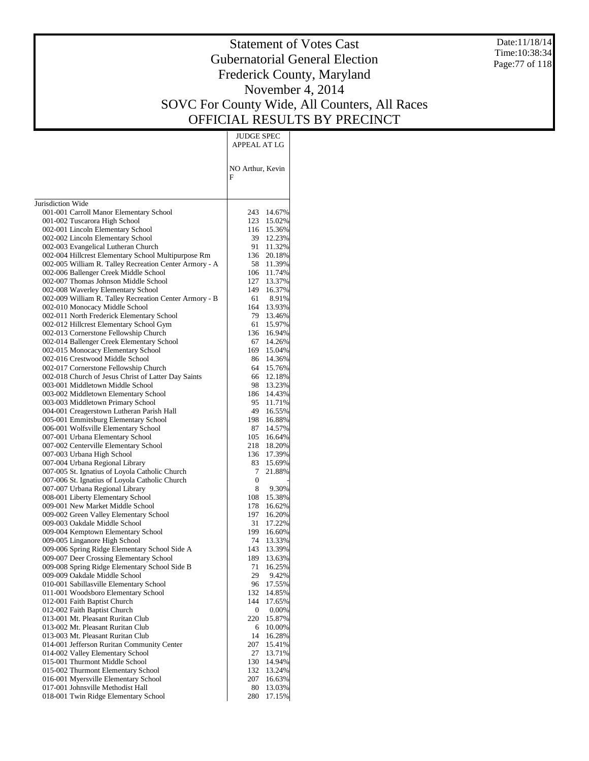Date:11/18/14 Time:10:38:34 Page:77 of 118

# Statement of Votes Cast Gubernatorial General Election Frederick County, Maryland November 4, 2014 SOVC For County Wide, All Counters, All Races OFFICIAL RESULTS BY PRECINCT

| JUDGE SPEC |

|                                                                                    | APPEAL AT LG      |                  |
|------------------------------------------------------------------------------------|-------------------|------------------|
|                                                                                    |                   |                  |
|                                                                                    | NO Arthur, Kevin  |                  |
|                                                                                    | F                 |                  |
|                                                                                    |                   |                  |
| Jurisdiction Wide<br>001-001 Carroll Manor Elementary School                       | 243               | 14.67%           |
| 001-002 Tuscarora High School                                                      | 123               | 15.02%           |
| 002-001 Lincoln Elementary School                                                  | 116               | 15.36%           |
| 002-002 Lincoln Elementary School                                                  | 39                | 12.23%           |
| 002-003 Evangelical Lutheran Church                                                | 91                | 11.32%           |
| 002-004 Hillcrest Elementary School Multipurpose Rm                                | 136               | 20.18%           |
| 002-005 William R. Talley Recreation Center Armory - A                             | 58                | 11.39%           |
| 002-006 Ballenger Creek Middle School                                              | 106               | 11.74%           |
| 002-007 Thomas Johnson Middle School                                               | 127               | 13.37%           |
| 002-008 Waverley Elementary School                                                 | 149               | 16.37%           |
| 002-009 William R. Talley Recreation Center Armory - B                             | 61                | 8.91%            |
| 002-010 Monocacy Middle School                                                     | 164               | 13.93%           |
| 002-011 North Frederick Elementary School                                          | 79                | 13.46%           |
| 002-012 Hillcrest Elementary School Gym                                            | 61<br>136         | 15.97%           |
| 002-013 Cornerstone Fellowship Church<br>002-014 Ballenger Creek Elementary School | 67                | 16.94%<br>14.26% |
| 002-015 Monocacy Elementary School                                                 | 169               | 15.04%           |
| 002-016 Crestwood Middle School                                                    | 86                | 14.36%           |
| 002-017 Cornerstone Fellowship Church                                              | 64                | 15.76%           |
| 002-018 Church of Jesus Christ of Latter Day Saints                                | 66                | 12.18%           |
| 003-001 Middletown Middle School                                                   | 98                | 13.23%           |
| 003-002 Middletown Elementary School                                               | 186               | 14.43%           |
| 003-003 Middletown Primary School                                                  | 95                | 11.71%           |
| 004-001 Creagerstown Lutheran Parish Hall                                          | 49                | 16.55%           |
| 005-001 Emmitsburg Elementary School                                               | 198               | 16.88%           |
| 006-001 Wolfsville Elementary School                                               | 87                | 14.57%           |
| 007-001 Urbana Elementary School                                                   | 105               | 16.64%           |
| 007-002 Centerville Elementary School                                              | 218               | 18.20%           |
| 007-003 Urbana High School                                                         | 136               | 17.39%           |
| 007-004 Urbana Regional Library                                                    | 83                | 15.69%           |
| 007-005 St. Ignatius of Loyola Catholic Church                                     | 7<br>$\mathbf{0}$ | 21.88%           |
| 007-006 St. Ignatius of Loyola Catholic Church<br>007-007 Urbana Regional Library  | 8                 | 9.30%            |
| 008-001 Liberty Elementary School                                                  | 108               | 15.38%           |
| 009-001 New Market Middle School                                                   | 178               | 16.62%           |
| 009-002 Green Valley Elementary School                                             | 197               | 16.20%           |
| 009-003 Oakdale Middle School                                                      | 31                | 17.22%           |
| 009-004 Kemptown Elementary School                                                 | 199               | 16.60%           |
| 009-005 Linganore High School                                                      | 74                | 13.33%           |
| 009-006 Spring Ridge Elementary School Side A                                      | 143               | 13.39%           |
| 009-007 Deer Crossing Elementary School                                            | 189               | 13.63%           |
| 009-008 Spring Ridge Elementary School Side B                                      | 71                | 16.25%           |
| 009-009 Oakdale Middle School                                                      | 29                | 9.42%            |
| 010-001 Sabillasville Elementary School                                            | 96                | 17.55%           |
| 011-001 Woodsboro Elementary School                                                | 132               | 14.85%           |
| 012-001 Faith Baptist Church                                                       | 144               | 17.65%           |
| 012-002 Faith Baptist Church<br>013-001 Mt. Pleasant Ruritan Club                  | 0<br>220          | $0.00\%$         |
| 013-002 Mt. Pleasant Ruritan Club                                                  | 6                 | 15.87%<br>10.00% |
| 013-003 Mt. Pleasant Ruritan Club                                                  | 14                | 16.28%           |
| 014-001 Jefferson Ruritan Community Center                                         | 207               | 15.41%           |
| 014-002 Valley Elementary School                                                   | 27                | 13.71%           |
| 015-001 Thurmont Middle School                                                     | 130               | 14.94%           |
| 015-002 Thurmont Elementary School                                                 | 132               | 13.24%           |
| 016-001 Myersville Elementary School                                               | 207               | 16.63%           |
| 017-001 Johnsville Methodist Hall                                                  | 80                | 13.03%           |
| 018-001 Twin Ridge Elementary School                                               | 280               | 17.15%           |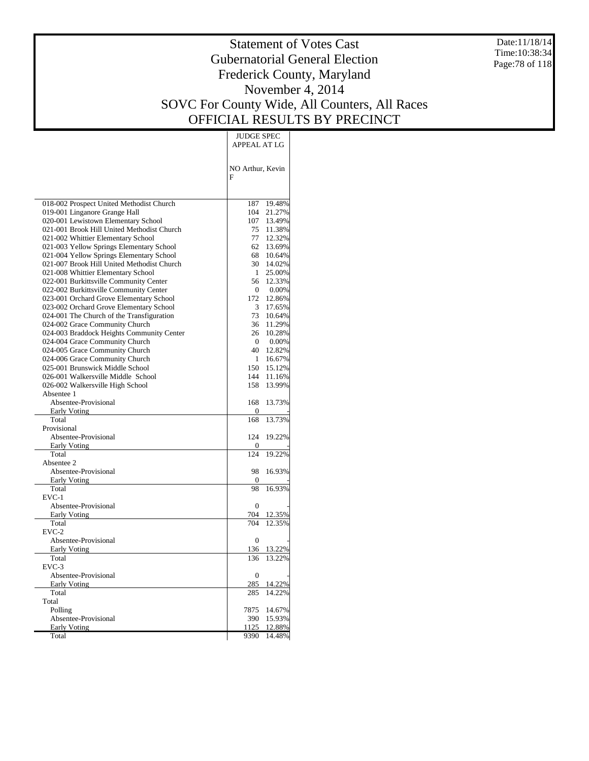Date:11/18/14 Time:10:38:34 Page:78 of 118

## Statement of Votes Cast Gubernatorial General Election Frederick County, Maryland November 4, 2014 SOVC For County Wide, All Counters, All Races OFFICIAL RESULTS BY PRECINCT

|                                            | <b>JUDGE SPEC</b>          |  |  |  |  |
|--------------------------------------------|----------------------------|--|--|--|--|
|                                            | APPEAL AT LG               |  |  |  |  |
|                                            |                            |  |  |  |  |
|                                            |                            |  |  |  |  |
|                                            | NO Arthur, Kevin           |  |  |  |  |
|                                            | F                          |  |  |  |  |
|                                            |                            |  |  |  |  |
|                                            |                            |  |  |  |  |
| 018-002 Prospect United Methodist Church   | 187<br>19.48%              |  |  |  |  |
| 019-001 Linganore Grange Hall              | 21.27%<br>104              |  |  |  |  |
| 020-001 Lewistown Elementary School        | 107<br>13.49%              |  |  |  |  |
| 021-001 Brook Hill United Methodist Church | 75<br>11.38%               |  |  |  |  |
| 021-002 Whittier Elementary School         | 77<br>12.32%               |  |  |  |  |
| 021-003 Yellow Springs Elementary School   | 62<br>13.69%               |  |  |  |  |
| 021-004 Yellow Springs Elementary School   | 68                         |  |  |  |  |
|                                            | 10.64%                     |  |  |  |  |
| 021-007 Brook Hill United Methodist Church | 30<br>14.02%               |  |  |  |  |
| 021-008 Whittier Elementary School         | $\mathbf{1}$<br>25.00%     |  |  |  |  |
| 022-001 Burkittsville Community Center     | 56<br>12.33%               |  |  |  |  |
| 022-002 Burkittsville Community Center     | $0.00\%$<br>$\overline{0}$ |  |  |  |  |
| 023-001 Orchard Grove Elementary School    | 172<br>12.86%              |  |  |  |  |
| 023-002 Orchard Grove Elementary School    | 3<br>17.65%                |  |  |  |  |
| 024-001 The Church of the Transfiguration  | 73<br>10.64%               |  |  |  |  |
| 024-002 Grace Community Church             | 36<br>11.29%               |  |  |  |  |
| 024-003 Braddock Heights Community Center  | 26<br>10.28%               |  |  |  |  |
| 024-004 Grace Community Church             | $\overline{0}$<br>$0.00\%$ |  |  |  |  |
| 024-005 Grace Community Church             | 40<br>12.82%               |  |  |  |  |
| 024-006 Grace Community Church             | 16.67%<br>$\mathbf{1}$     |  |  |  |  |
| 025-001 Brunswick Middle School            | 150<br>15.12%              |  |  |  |  |
|                                            |                            |  |  |  |  |
| 026-001 Walkersville Middle School         | 144<br>11.16%              |  |  |  |  |
| 026-002 Walkersville High School           | 158<br>13.99%              |  |  |  |  |
| Absentee 1                                 |                            |  |  |  |  |
| Absentee-Provisional                       | 168<br>13.73%              |  |  |  |  |
| Early Voting                               | $\mathbf{0}$               |  |  |  |  |
| Total                                      | 168<br>13.73%              |  |  |  |  |
| Provisional                                |                            |  |  |  |  |
| Absentee-Provisional                       | 124<br>19.22%              |  |  |  |  |
| Early Voting                               | $\boldsymbol{0}$           |  |  |  |  |
| Total                                      | 124<br>19.22%              |  |  |  |  |
| Absentee 2                                 |                            |  |  |  |  |
| Absentee-Provisional                       | 98<br>16.93%               |  |  |  |  |
| Early Voting                               | $\mathbf 0$                |  |  |  |  |
| Total                                      | 98<br>16.93%               |  |  |  |  |
| $EVC-1$                                    |                            |  |  |  |  |
| Absentee-Provisional                       | $\mathbf{0}$               |  |  |  |  |
|                                            |                            |  |  |  |  |
| Early Voting<br>Total                      | 704 12.35%                 |  |  |  |  |
|                                            | 704<br>12.35%              |  |  |  |  |
| $EVC-2$                                    |                            |  |  |  |  |
| Absentee-Provisional                       | $\mathbf{0}$               |  |  |  |  |
| <b>Early Voting</b>                        | 136 13.22%                 |  |  |  |  |
| Total                                      | 136 13.22%                 |  |  |  |  |
| $EVC-3$                                    |                            |  |  |  |  |
| Absentee-Provisional                       | $\boldsymbol{0}$           |  |  |  |  |
| <b>Early Voting</b>                        | 285<br>14.22%              |  |  |  |  |
| Total                                      | 285<br>14.22%              |  |  |  |  |
| Total                                      |                            |  |  |  |  |
| Polling                                    | 14.67%<br>7875             |  |  |  |  |
| Absentee-Provisional                       | 390<br>15.93%              |  |  |  |  |
| Early Voting                               | 1125<br>12.88%             |  |  |  |  |
| Total                                      | 14.48%<br>9390             |  |  |  |  |
|                                            |                            |  |  |  |  |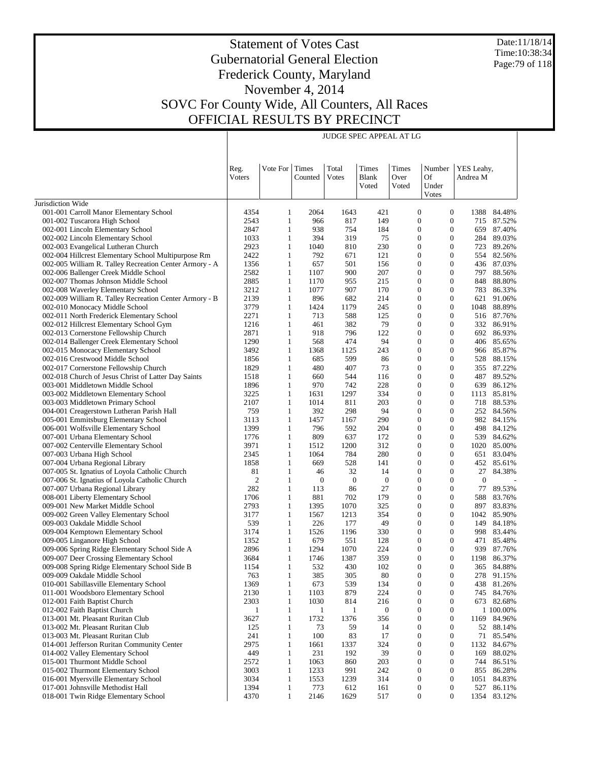Date:11/18/14 Time:10:38:34 Page:79 of 118

# Statement of Votes Cast Gubernatorial General Election Frederick County, Maryland November 4, 2014 SOVC For County Wide, All Counters, All Races OFFICIAL RESULTS BY PRECINCT

Τ

JUDGE SPEC APPEAL AT LG

|                                                                                          | Reg.<br><b>V</b> oters | Vote For                     | Times<br>Counted | Total<br>Votes   | Times<br><b>Blank</b><br>Voted | Times<br>Over<br>Voted               | Number<br>Of<br>Under<br>Votes       | YES Leahy,<br>Andrea M |                      |
|------------------------------------------------------------------------------------------|------------------------|------------------------------|------------------|------------------|--------------------------------|--------------------------------------|--------------------------------------|------------------------|----------------------|
| Jurisdiction Wide                                                                        |                        |                              |                  |                  |                                |                                      |                                      |                        |                      |
| 001-001 Carroll Manor Elementary School                                                  | 4354                   | 1                            | 2064             | 1643             | 421                            | $\boldsymbol{0}$                     | $\boldsymbol{0}$                     |                        | 1388 84.48%          |
| 001-002 Tuscarora High School                                                            | 2543                   | $\mathbf{1}$                 | 966              | 817              | 149                            | $\boldsymbol{0}$                     | $\boldsymbol{0}$                     |                        | 715 87.52%           |
| 002-001 Lincoln Elementary School                                                        | 2847                   | 1                            | 938              | 754              | 184                            | $\boldsymbol{0}$                     | $\boldsymbol{0}$                     | 659                    | 87.40%               |
| 002-002 Lincoln Elementary School                                                        | 1033                   | $\mathbf{1}$                 | 394              | 319              | 75                             | $\boldsymbol{0}$                     | $\boldsymbol{0}$                     | 284                    | 89.03%               |
| 002-003 Evangelical Lutheran Church                                                      | 2923                   | $\mathbf{1}$                 | 1040             | 810              | 230                            | $\boldsymbol{0}$                     | $\boldsymbol{0}$                     |                        | 723 89.26%           |
| 002-004 Hillcrest Elementary School Multipurpose Rm                                      | 2422                   | $\mathbf{1}$                 | 792              | 671              | 121                            | $\boldsymbol{0}$                     | $\boldsymbol{0}$                     | 554                    | 82.56%               |
| 002-005 William R. Talley Recreation Center Armory - A                                   | 1356                   | $\mathbf{1}$                 | 657              | 501              | 156                            | $\boldsymbol{0}$                     | $\boldsymbol{0}$                     |                        | 436 87.03%           |
| 002-006 Ballenger Creek Middle School                                                    | 2582                   | $\mathbf{1}$                 | 1107             | 900              | 207                            | $\boldsymbol{0}$                     | $\boldsymbol{0}$                     | 797                    | 88.56%               |
| 002-007 Thomas Johnson Middle School                                                     | 2885                   | $\mathbf{1}$                 | 1170             | 955              | 215                            | $\boldsymbol{0}$                     | $\boldsymbol{0}$                     | 848                    | 88.80%               |
| 002-008 Waverley Elementary School                                                       | 3212                   | $\mathbf{1}$                 | 1077             | 907              | 170                            | $\boldsymbol{0}$                     | $\boldsymbol{0}$                     | 783                    | 86.33%               |
| 002-009 William R. Talley Recreation Center Armory - B                                   | 2139                   | $\mathbf{1}$                 | 896              | 682              | 214                            | $\boldsymbol{0}$                     | $\boldsymbol{0}$                     |                        | 621 91.06%           |
| 002-010 Monocacy Middle School                                                           | 3779                   | $\mathbf{1}$                 | 1424             | 1179             | 245                            | $\boldsymbol{0}$                     | $\boldsymbol{0}$                     | 1048                   | 88.89%               |
| 002-011 North Frederick Elementary School                                                | 2271<br>1216           | $\mathbf{1}$<br>$\mathbf{1}$ | 713<br>461       | 588<br>382       | 125<br>79                      | $\boldsymbol{0}$<br>$\boldsymbol{0}$ | $\boldsymbol{0}$<br>$\boldsymbol{0}$ | 332                    | 516 87.76%<br>86.91% |
| 002-012 Hillcrest Elementary School Gym<br>002-013 Cornerstone Fellowship Church         | 2871                   | $\mathbf{1}$                 | 918              | 796              | 122                            | $\boldsymbol{0}$                     | $\boldsymbol{0}$                     | 692                    | 86.93%               |
| 002-014 Ballenger Creek Elementary School                                                | 1290                   | $\mathbf{1}$                 | 568              | 474              | 94                             | $\boldsymbol{0}$                     | $\boldsymbol{0}$                     |                        | 406 85.65%           |
| 002-015 Monocacy Elementary School                                                       | 3492                   | $\mathbf{1}$                 | 1368             | 1125             | 243                            | $\boldsymbol{0}$                     | $\boldsymbol{0}$                     |                        | 966 85.87%           |
| 002-016 Crestwood Middle School                                                          | 1856                   | $\mathbf{1}$                 | 685              | 599              | 86                             | $\boldsymbol{0}$                     | $\boldsymbol{0}$                     | 528                    | 88.15%               |
| 002-017 Cornerstone Fellowship Church                                                    | 1829                   | $\mathbf{1}$                 | 480              | 407              | 73                             | $\boldsymbol{0}$                     | $\boldsymbol{0}$                     |                        | 355 87.22%           |
| 002-018 Church of Jesus Christ of Latter Day Saints                                      | 1518                   | $\mathbf{1}$                 | 660              | 544              | 116                            | $\boldsymbol{0}$                     | $\boldsymbol{0}$                     | 487                    | 89.52%               |
| 003-001 Middletown Middle School                                                         | 1896                   | $\mathbf{1}$                 | 970              | 742              | 228                            | $\boldsymbol{0}$                     | $\boldsymbol{0}$                     | 639                    | 86.12%               |
| 003-002 Middletown Elementary School                                                     | 3225                   | $\mathbf{1}$                 | 1631             | 1297             | 334                            | $\boldsymbol{0}$                     | $\boldsymbol{0}$                     | 1113                   | 85.81%               |
| 003-003 Middletown Primary School                                                        | 2107                   | $\mathbf{1}$                 | 1014             | 811              | 203                            | $\boldsymbol{0}$                     | $\boldsymbol{0}$                     | 718                    | 88.53%               |
| 004-001 Creagerstown Lutheran Parish Hall                                                | 759                    | $\mathbf{1}$                 | 392              | 298              | 94                             | $\boldsymbol{0}$                     | $\boldsymbol{0}$                     | 252                    | 84.56%               |
| 005-001 Emmitsburg Elementary School                                                     | 3113                   | $\mathbf{1}$                 | 1457             | 1167             | 290                            | $\boldsymbol{0}$                     | $\boldsymbol{0}$                     |                        | 982 84.15%           |
| 006-001 Wolfsville Elementary School                                                     | 1399                   | $\mathbf{1}$                 | 796              | 592              | 204                            | $\boldsymbol{0}$                     | $\boldsymbol{0}$                     |                        | 498 84.12%           |
| 007-001 Urbana Elementary School                                                         | 1776                   | $\mathbf{1}$                 | 809              | 637              | 172                            | $\boldsymbol{0}$                     | $\boldsymbol{0}$                     |                        | 539 84.62%           |
| 007-002 Centerville Elementary School                                                    | 3971                   | $\mathbf{1}$                 | 1512             | 1200             | 312                            | $\boldsymbol{0}$                     | $\boldsymbol{0}$                     | 1020                   | 85.00%               |
| 007-003 Urbana High School                                                               | 2345                   | $\mathbf{1}$                 | 1064             | 784              | 280                            | $\boldsymbol{0}$                     | $\boldsymbol{0}$                     | 651                    | 83.04%               |
| 007-004 Urbana Regional Library                                                          | 1858                   | $\mathbf{1}$                 | 669              | 528              | 141                            | $\boldsymbol{0}$                     | $\boldsymbol{0}$                     | 452                    | 85.61%               |
| 007-005 St. Ignatius of Loyola Catholic Church                                           | 81                     | $\mathbf{1}$                 | 46               | 32               | 14                             | $\boldsymbol{0}$                     | $\boldsymbol{0}$                     | 27                     | 84.38%               |
| 007-006 St. Ignatius of Loyola Catholic Church                                           | $\overline{2}$         | $\mathbf{1}$                 | $\mathbf{0}$     | $\boldsymbol{0}$ | $\boldsymbol{0}$               | $\boldsymbol{0}$                     | $\boldsymbol{0}$                     | $\mathbf{0}$           |                      |
| 007-007 Urbana Regional Library                                                          | 282                    | $\mathbf{1}$                 | 113              | 86               | 27                             | $\boldsymbol{0}$                     | $\boldsymbol{0}$                     | 77                     | 89.53%               |
| 008-001 Liberty Elementary School                                                        | 1706                   | $\mathbf{1}$                 | 881              | 702              | 179                            | $\boldsymbol{0}$                     | $\boldsymbol{0}$                     | 588                    | 83.76%               |
| 009-001 New Market Middle School                                                         | 2793                   | $\mathbf{1}$                 | 1395             | 1070             | 325                            | $\boldsymbol{0}$                     | $\boldsymbol{0}$                     | 897                    | 83.83%               |
| 009-002 Green Valley Elementary School                                                   | 3177                   | $\mathbf{1}$                 | 1567             | 1213             | 354                            | $\boldsymbol{0}$                     | $\boldsymbol{0}$                     | 1042                   | 85.90%               |
| 009-003 Oakdale Middle School                                                            | 539                    | $\mathbf{1}$                 | 226              | 177              | 49                             | $\boldsymbol{0}$                     | $\boldsymbol{0}$                     | 149                    | 84.18%               |
| 009-004 Kemptown Elementary School                                                       | 3174                   | $\mathbf{1}$                 | 1526             | 1196             | 330                            | $\boldsymbol{0}$                     | $\boldsymbol{0}$                     |                        | 998 83.44%           |
| 009-005 Linganore High School                                                            | 1352                   | $\mathbf{1}$                 | 679              | 551              | 128                            | $\boldsymbol{0}$                     | $\boldsymbol{0}$                     |                        | 471 85.48%           |
| 009-006 Spring Ridge Elementary School Side A                                            | 2896<br>3684           | $\mathbf{1}$<br>$\mathbf{1}$ | 1294<br>1746     | 1070<br>1387     | 224<br>359                     | $\boldsymbol{0}$<br>$\boldsymbol{0}$ | $\boldsymbol{0}$<br>$\boldsymbol{0}$ | 939                    | 87.76%<br>86.37%     |
| 009-007 Deer Crossing Elementary School<br>009-008 Spring Ridge Elementary School Side B | 1154                   | 1                            | 532              | 430              | 102                            | $\overline{0}$                       | $\mathbf{0}$                         | 1198                   | 365 84.88%           |
| 009-009 Oakdale Middle School                                                            |                        |                              |                  |                  |                                | $\boldsymbol{0}$                     | $\boldsymbol{0}$                     | 278                    | 91.15%               |
| 010-001 Sabillasville Elementary School                                                  | 763<br>1369            | 1<br>$\mathbf{1}$            | 385<br>673       | 305<br>539       | 80<br>134                      | $\boldsymbol{0}$                     | $\boldsymbol{0}$                     |                        | 438 81.26%           |
| 011-001 Woodsboro Elementary School                                                      | 2130                   | 1                            | 1103             | 879              | 224                            | $\boldsymbol{0}$                     | $\boldsymbol{0}$                     |                        | 745 84.76%           |
| 012-001 Faith Baptist Church                                                             | 2303                   | $\mathbf{1}$                 | 1030             | 814              | 216                            | $\boldsymbol{0}$                     | $\boldsymbol{0}$                     |                        | 673 82.68%           |
| 012-002 Faith Baptist Church                                                             | 1                      | 1                            | 1                | 1                | $\boldsymbol{0}$               | $\boldsymbol{0}$                     | $\boldsymbol{0}$                     |                        | 1 100.00%            |
| 013-001 Mt. Pleasant Ruritan Club                                                        | 3627                   | $\mathbf{1}$                 | 1732             | 1376             | 356                            | $\boldsymbol{0}$                     | $\boldsymbol{0}$                     |                        | 1169 84.96%          |
| 013-002 Mt. Pleasant Ruritan Club                                                        | 125                    | $\mathbf{1}$                 | 73               | 59               | 14                             | $\boldsymbol{0}$                     | $\boldsymbol{0}$                     |                        | 52 88.14%            |
| 013-003 Mt. Pleasant Ruritan Club                                                        | 241                    | $\mathbf{1}$                 | 100              | 83               | 17                             | $\boldsymbol{0}$                     | $\boldsymbol{0}$                     |                        | 71 85.54%            |
| 014-001 Jefferson Ruritan Community Center                                               | 2975                   | $\mathbf{1}$                 | 1661             | 1337             | 324                            | $\boldsymbol{0}$                     | $\boldsymbol{0}$                     |                        | 1132 84.67%          |
| 014-002 Valley Elementary School                                                         | 449                    | $\mathbf{1}$                 | 231              | 192              | 39                             | $\boldsymbol{0}$                     | $\boldsymbol{0}$                     | 169                    | 88.02%               |
| 015-001 Thurmont Middle School                                                           | 2572                   | $\mathbf{1}$                 | 1063             | 860              | 203                            | $\boldsymbol{0}$                     | $\boldsymbol{0}$                     |                        | 744 86.51%           |
| 015-002 Thurmont Elementary School                                                       | 3003                   | $\mathbf{1}$                 | 1233             | 991              | 242                            | $\boldsymbol{0}$                     | $\boldsymbol{0}$                     |                        | 855 86.28%           |
| 016-001 Myersville Elementary School                                                     | 3034                   | $\mathbf{1}$                 | 1553             | 1239             | 314                            | $\boldsymbol{0}$                     | $\boldsymbol{0}$                     |                        | 1051 84.83%          |
| 017-001 Johnsville Methodist Hall                                                        | 1394                   | $\mathbf{1}$                 | 773              | 612              | 161                            | $\boldsymbol{0}$                     | $\boldsymbol{0}$                     | 527                    | 86.11%               |
| 018-001 Twin Ridge Elementary School                                                     | 4370                   | 1                            | 2146             | 1629             | 517                            | $\boldsymbol{0}$                     | $\boldsymbol{0}$                     |                        | 1354 83.12%          |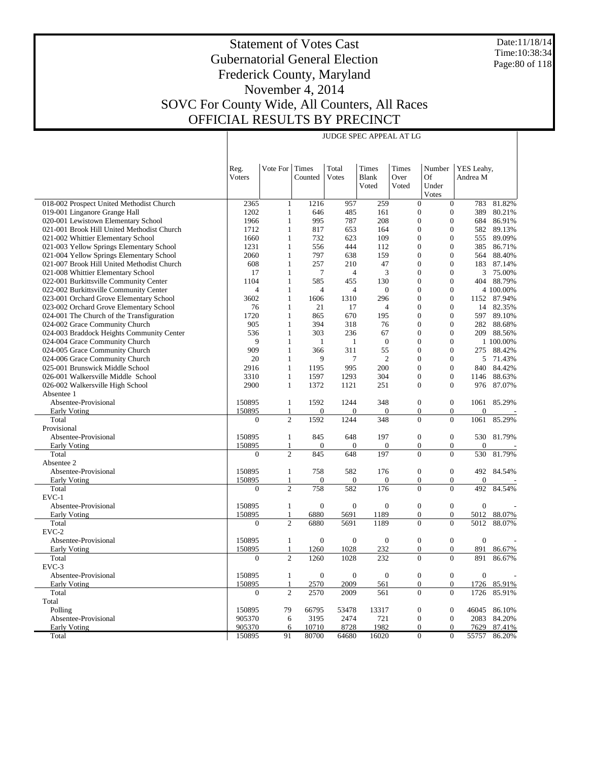Date:11/18/14 Time:10:38:34 Page:80 of 118

# Statement of Votes Cast Gubernatorial General Election Frederick County, Maryland November 4, 2014 SOVC For County Wide, All Counters, All Races OFFICIAL RESULTS BY PRECINCT

JUDGE SPEC APPEAL AT LG

|                                            | Reg.<br>Voters   | Vote For                       | Times<br>Counted       | Total<br><b>Votes</b> | Times<br><b>Blank</b><br>Voted | Times<br>Over<br>Voted           | Number<br>Of<br>Under<br>Votes | YES Leahy,<br>Andrea M   |                  |
|--------------------------------------------|------------------|--------------------------------|------------------------|-----------------------|--------------------------------|----------------------------------|--------------------------------|--------------------------|------------------|
| 018-002 Prospect United Methodist Church   | 2365             | $\mathbf{1}$                   | 1216                   | 957                   | 259                            | $\mathbf{0}$                     | $\mathbf{0}$                   | 783                      | 81.82%           |
| 019-001 Linganore Grange Hall              | 1202             | $\mathbf{1}$                   | 646                    | 485                   | 161                            | $\overline{0}$                   | $\mathbf{0}$                   | 389                      | 80.21%           |
| 020-001 Lewistown Elementary School        | 1966             | $\mathbf{1}$                   | 995                    | 787                   | 208                            | $\theta$                         | $\Omega$                       | 684                      | 86.91%           |
| 021-001 Brook Hill United Methodist Church | 1712             | $\mathbf{1}$                   | 817                    | 653                   | 164                            | $\theta$                         | $\Omega$                       |                          | 582 89.13%       |
| 021-002 Whittier Elementary School         | 1660             | $\mathbf{1}$                   | 732                    | 623                   | 109                            | $\overline{0}$                   | $\mathbf{0}$                   | 555                      | 89.09%           |
| 021-003 Yellow Springs Elementary School   | 1231             | $\mathbf{1}$                   | 556                    | 444                   | 112                            | $\mathbf{0}$                     | $\mathbf{0}$                   | 385                      | 86.71%           |
| 021-004 Yellow Springs Elementary School   | 2060             | $\mathbf{1}$                   | 797                    | 638                   | 159                            | $\overline{0}$                   | $\mathbf{0}$                   | 564                      | 88.40%           |
| 021-007 Brook Hill United Methodist Church | 608              | 1                              | 257                    | 210                   | 47                             | $\mathbf{0}$                     | $\mathbf{0}$                   | 183                      | 87.14%           |
| 021-008 Whittier Elementary School         | 17               | $\mathbf{1}$                   | 7                      | $\overline{4}$        | 3                              | $\overline{0}$                   | $\mathbf{0}$                   | 3                        | 75.00%           |
| 022-001 Burkittsville Community Center     | 1104             | $\mathbf{1}$                   | 585                    | 455                   | 130                            | $\overline{0}$                   | $\mathbf{0}$                   | 404                      | 88.79%           |
| 022-002 Burkittsville Community Center     | $\overline{4}$   | 1                              | $\overline{4}$         | $\overline{4}$        | $\mathbf{0}$                   | $\overline{0}$                   | $\mathbf{0}$                   |                          | 4 100.00%        |
| 023-001 Orchard Grove Elementary School    | 3602             | $\mathbf{1}$                   | 1606                   | 1310                  | 296                            | $\overline{0}$                   | $\Omega$                       |                          | 1152 87.94%      |
| 023-002 Orchard Grove Elementary School    | 76               | $\mathbf{1}$                   | 21                     | 17                    | $\overline{4}$                 | $\Omega$                         | $\theta$                       |                          | 14 82.35%        |
| 024-001 The Church of the Transfiguration  | 1720             | $\mathbf{1}$                   | 865                    | 670                   | 195                            | $\overline{0}$                   | $\mathbf{0}$                   | 597                      | 89.10%           |
| 024-002 Grace Community Church             | 905              | $\mathbf{1}$                   | 394                    | 318                   | 76                             | $\overline{0}$                   | $\mathbf{0}$                   | 282                      | 88.68%           |
| 024-003 Braddock Heights Community Center  | 536              | $\mathbf{1}$                   | 303                    | 236                   | 67                             | $\theta$                         | $\theta$                       | 209                      | 88.56%           |
| 024-004 Grace Community Church             | 9                | $\mathbf{1}$                   | 1                      | 1                     | $\Omega$                       | $\theta$                         | $\theta$                       |                          | 1 100,00%        |
| 024-005 Grace Community Church             | 909              | $\mathbf{1}$                   | 366                    | 311                   | 55                             | $\theta$                         | $\Omega$                       | 275                      | 88.42%           |
| 024-006 Grace Community Church             | 20               | $\mathbf{1}$                   | 9                      | 7                     | $\overline{2}$                 | $\overline{0}$                   | $\overline{0}$                 | 5                        | 71.43%           |
| 025-001 Brunswick Middle School            | 2916             | $\mathbf{1}$                   | 1195                   | 995                   | 200                            | $\overline{0}$                   | $\mathbf{0}$                   | 840                      | 84.42%           |
| 026-001 Walkersville Middle School         | 3310             | 1                              | 1597                   | 1293                  | 304                            | $\mathbf{0}$                     | $\mathbf{0}$                   | 1146                     | 88.63%           |
| 026-002 Walkersville High School           | 2900             | $\mathbf{1}$                   | 1372                   | 1121                  | 251                            | $\mathbf{0}$                     | $\mathbf{0}$                   | 976                      | 87.07%           |
| Absentee 1                                 |                  |                                |                        |                       |                                |                                  |                                |                          |                  |
| Absentee-Provisional                       | 150895           | $\mathbf{1}$                   | 1592                   | 1244                  | 348                            | $\mathbf{0}$                     | $\mathbf{0}$                   | 1061                     | 85.29%           |
| <b>Early Voting</b>                        | 150895           | $\mathbf{1}$                   | $\mathbf{0}$           | $\mathbf{0}$          | $\mathbf{0}$                   | $\mathbf{0}$                     | $\boldsymbol{0}$               | $\mathbf{0}$             |                  |
| Total                                      | $\mathbf{0}$     | $\overline{2}$                 | 1592                   | 1244                  | 348                            | $\Omega$                         | $\Omega$                       | 1061                     | 85.29%           |
| Provisional                                |                  |                                |                        |                       |                                |                                  |                                |                          |                  |
| Absentee-Provisional                       | 150895           | $\mathbf{1}$                   | 845                    | 648                   | 197                            | $\mathbf{0}$                     | $\mathbf{0}$                   | 530                      | 81.79%           |
| <b>Early Voting</b>                        | 150895           | $\mathbf{1}$                   | $\mathbf{0}$           | $\mathbf{0}$          | $\mathbf{0}$                   | $\mathbf{0}$                     | $\mathbf{0}$                   | $\theta$                 |                  |
| Total                                      | $\theta$         | $\mathfrak{D}$                 | 845                    | 648                   | 197                            | $\Omega$                         | $\theta$                       | 530                      | 81.79%           |
| Absentee 2                                 |                  |                                |                        |                       |                                |                                  |                                |                          |                  |
| Absentee-Provisional                       | 150895           | $\mathbf{1}$                   | 758                    | 582                   | 176                            | $\boldsymbol{0}$                 | $\boldsymbol{0}$               | 492                      | 84.54%           |
| <b>Early Voting</b>                        | 150895           | $\mathbf{1}$<br>$\overline{2}$ | $\boldsymbol{0}$       | $\boldsymbol{0}$      | $\mathbf{0}$                   | $\boldsymbol{0}$<br>$\theta$     | $\boldsymbol{0}$               | $\boldsymbol{0}$         |                  |
| Total                                      | $\mathbf{0}$     |                                | 758                    | 582                   | 176                            |                                  | $\overline{0}$                 | 492                      | 84.54%           |
| $EVC-1$                                    |                  |                                |                        |                       |                                |                                  |                                |                          |                  |
| Absentee-Provisional                       | 150895<br>150895 | $\mathbf{1}$                   | $\overline{0}$<br>6880 | $\mathbf{0}$<br>5691  | $\mathbf{0}$<br>1189           | $\boldsymbol{0}$<br>$\mathbf{0}$ | $\mathbf{0}$<br>$\mathbf{0}$   | $\boldsymbol{0}$<br>5012 |                  |
| <b>Early Voting</b><br>Total               | $\mathbf{0}$     | $\mathbf{1}$<br>$\overline{2}$ | 6880                   | 5691                  | 1189                           | $\Omega$                         | $\Omega$                       | 5012                     | 88.07%<br>88.07% |
| $EVC-2$                                    |                  |                                |                        |                       |                                |                                  |                                |                          |                  |
| Absentee-Provisional                       | 150895           | $\mathbf{1}$                   | $\overline{0}$         | $\overline{0}$        | $\overline{0}$                 | $\mathbf{0}$                     | $\mathbf{0}$                   | $\overline{0}$           |                  |
| <b>Early Voting</b>                        | 150895           | $\mathbf{1}$                   | 1260                   | 1028                  | 232                            | $\overline{0}$                   | $\overline{0}$                 | 891                      | 86.67%           |
| Total                                      | $\theta$         | $\overline{2}$                 | 1260                   | 1028                  | 232                            | $\Omega$                         | $\theta$                       | 891                      | 86.67%           |
| $EVC-3$                                    |                  |                                |                        |                       |                                |                                  |                                |                          |                  |
| Absentee-Provisional                       | 150895           | $\mathbf{1}$                   | $\mathbf{0}$           | $\mathbf{0}$          | $\overline{0}$                 | $\mathbf{0}$                     | $\mathbf{0}$                   | $\overline{0}$           |                  |
| Early Voting                               | 150895           | $\mathbf{1}$                   | 2570                   | 2009                  | 561                            | $\mathbf{0}$                     | $\mathbf{0}$                   | 1726                     | 85.91%           |
| Total                                      | $\boldsymbol{0}$ | $\overline{c}$                 | 2570                   | 2009                  | 561                            | $\theta$                         | $\theta$                       | 1726                     | 85.91%           |
| Total                                      |                  |                                |                        |                       |                                |                                  |                                |                          |                  |
| Polling                                    | 150895           | 79                             | 66795                  | 53478                 | 13317                          | $\mathbf{0}$                     | $\mathbf{0}$                   | 46045                    | 86.10%           |
| Absentee-Provisional                       | 905370           | 6                              | 3195                   | 2474                  | 721                            | $\mathbf{0}$                     | $\boldsymbol{0}$               | 2083                     | 84.20%           |
| <b>Early Voting</b>                        | 905370           | 6                              | 10710                  | 8728                  | 1982                           | $\mathbf{0}$                     | $\mathbf{0}$                   | 7629                     | 87.41%           |
| Total                                      | 150895           | 91                             | 80700                  | 64680                 | 16020                          | $\Omega$                         | $\mathbf{0}$                   | 55757                    | 86.20%           |
|                                            |                  |                                |                        |                       |                                |                                  |                                |                          |                  |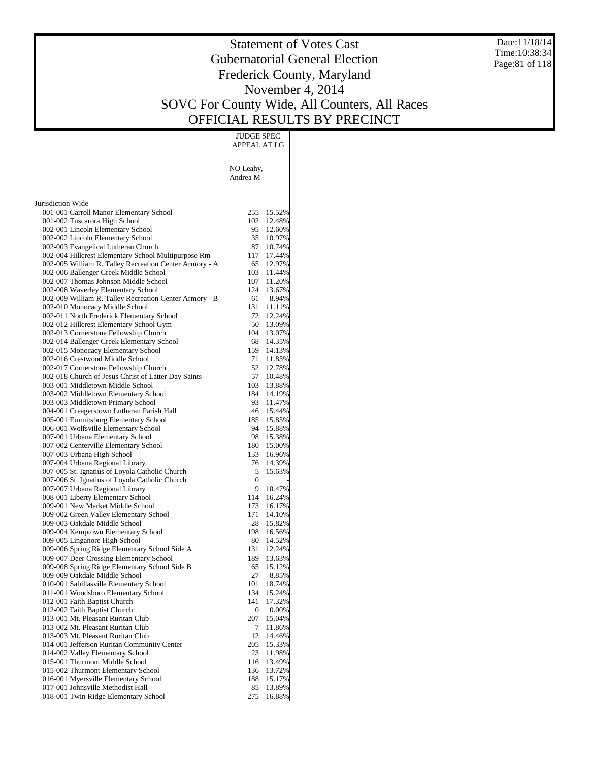Date:11/18/14 Time:10:38:34 Page:81 of 118

## Statement of Votes Cast Gubernatorial General Election Frederick County, Maryland November 4, 2014 SOVC For County Wide, All Counters, All Races OFFICIAL RESULTS BY PRECINCT

|                                                                                                  | JUDGE SPEC<br>APPEAL AT LG    |  |
|--------------------------------------------------------------------------------------------------|-------------------------------|--|
|                                                                                                  |                               |  |
|                                                                                                  |                               |  |
|                                                                                                  | NO Leahy,                     |  |
|                                                                                                  | Andrea M                      |  |
|                                                                                                  |                               |  |
|                                                                                                  |                               |  |
| Jurisdiction Wide                                                                                |                               |  |
| 001-001 Carroll Manor Elementary School                                                          | 255<br>15.52%                 |  |
| 001-002 Tuscarora High School                                                                    | 102<br>12.48%                 |  |
| 002-001 Lincoln Elementary School                                                                | 95<br>12.60%                  |  |
| 002-002 Lincoln Elementary School                                                                | 35<br>10.97%                  |  |
| 002-003 Evangelical Lutheran Church                                                              | 87<br>10.74%                  |  |
| 002-004 Hillcrest Elementary School Multipurpose Rm                                              | 117<br>17.44%                 |  |
| 002-005 William R. Talley Recreation Center Armory - A                                           | 65<br>12.97%                  |  |
| 002-006 Ballenger Creek Middle School                                                            | 103<br>11.44%                 |  |
| 002-007 Thomas Johnson Middle School                                                             | 107<br>11.20%                 |  |
| 002-008 Waverley Elementary School                                                               | 124<br>13.67%                 |  |
| 002-009 William R. Talley Recreation Center Armory - B<br>002-010 Monocacy Middle School         | 61<br>8.94%                   |  |
| 002-011 North Frederick Elementary School                                                        | 131<br>11.11%<br>72<br>12.24% |  |
| 002-012 Hillcrest Elementary School Gym                                                          | 50<br>13.09%                  |  |
| 002-013 Cornerstone Fellowship Church                                                            | 104<br>13.07%                 |  |
| 002-014 Ballenger Creek Elementary School                                                        | 68<br>14.35%                  |  |
| 002-015 Monocacy Elementary School                                                               | 159<br>14.13%                 |  |
| 002-016 Crestwood Middle School                                                                  | 71<br>11.85%                  |  |
| 002-017 Cornerstone Fellowship Church                                                            | 52<br>12.78%                  |  |
| 002-018 Church of Jesus Christ of Latter Day Saints                                              | 57<br>10.48%                  |  |
| 003-001 Middletown Middle School                                                                 | 103<br>13.88%                 |  |
| 003-002 Middletown Elementary School                                                             | 184<br>14.19%                 |  |
| 003-003 Middletown Primary School                                                                | 93<br>11.47%                  |  |
| 004-001 Creagerstown Lutheran Parish Hall                                                        | 46<br>15.44%                  |  |
| 005-001 Emmitsburg Elementary School                                                             | 185<br>15.85%                 |  |
| 006-001 Wolfsville Elementary School                                                             | 94<br>15.88%                  |  |
| 007-001 Urbana Elementary School                                                                 | 98<br>15.38%                  |  |
| 007-002 Centerville Elementary School                                                            | 180<br>15.00%                 |  |
| 007-003 Urbana High School                                                                       | 133<br>16.96%                 |  |
| 007-004 Urbana Regional Library                                                                  | 76<br>14.39%                  |  |
| 007-005 St. Ignatius of Loyola Catholic Church<br>007-006 St. Ignatius of Loyola Catholic Church | 5<br>15.63%<br>0              |  |
| 007-007 Urbana Regional Library                                                                  | 9<br>10.47%                   |  |
| 008-001 Liberty Elementary School                                                                | 114<br>16.24%                 |  |
| 009-001 New Market Middle School                                                                 | 173<br>16.17%                 |  |
| 009-002 Green Valley Elementary School                                                           | 171<br>14.10%                 |  |
| 009-003 Oakdale Middle School                                                                    | 28<br>15.82%                  |  |
| 009-004 Kemptown Elementary School                                                               | 198<br>16.56%                 |  |
| 009-005 Linganore High School                                                                    | 80<br>14.52%                  |  |
| 009-006 Spring Ridge Elementary School Side A                                                    | 131<br>12.24%                 |  |
| 009-007 Deer Crossing Elementary School                                                          | 189<br>13.63%                 |  |
| 009-008 Spring Ridge Elementary School Side B                                                    | 65<br>15.12%                  |  |
| 009-009 Oakdale Middle School                                                                    | 27<br>8.85%                   |  |
| 010-001 Sabillasville Elementary School                                                          | 101<br>18.74%                 |  |
| 011-001 Woodsboro Elementary School                                                              | 134<br>15.24%                 |  |
| 012-001 Faith Baptist Church                                                                     | 141<br>17.32%                 |  |
| 012-002 Faith Baptist Church                                                                     | 0<br>0.00%                    |  |
| 013-001 Mt. Pleasant Ruritan Club                                                                | 207<br>15.04%                 |  |
| 013-002 Mt. Pleasant Ruritan Club<br>013-003 Mt. Pleasant Ruritan Club                           | 7<br>11.86%<br>12             |  |
| 014-001 Jefferson Ruritan Community Center                                                       | 14.46%<br>205<br>15.33%       |  |
| 014-002 Valley Elementary School                                                                 | 23<br>11.98%                  |  |
| 015-001 Thurmont Middle School                                                                   | 116<br>13.49%                 |  |
| 015-002 Thurmont Elementary School                                                               | 136<br>13.72%                 |  |
| 016-001 Myersville Elementary School                                                             | 188<br>15.17%                 |  |
| 017-001 Johnsville Methodist Hall                                                                | 85<br>13.89%                  |  |
| 018-001 Twin Ridge Elementary School                                                             | 275<br>16.88%                 |  |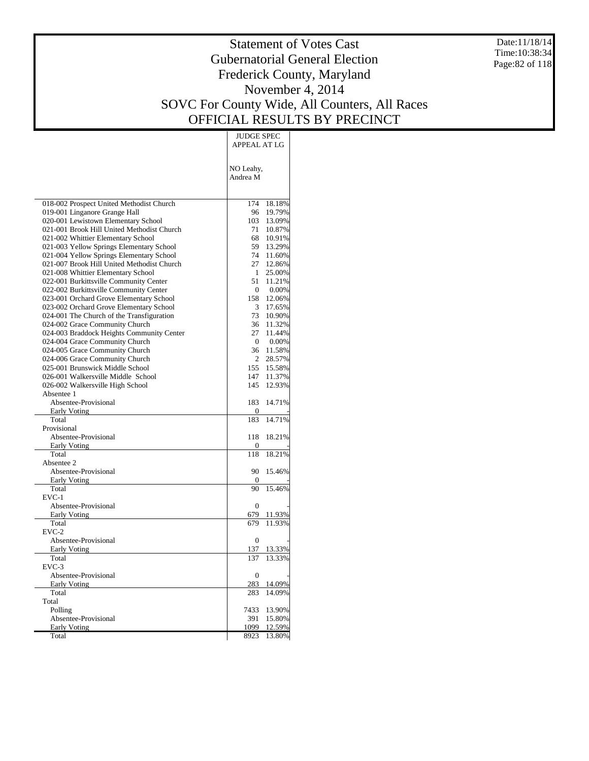Date:11/18/14 Time:10:38:34 Page:82 of 118

## Statement of Votes Cast Gubernatorial General Election Frederick County, Maryland November 4, 2014 SOVC For County Wide, All Counters, All Races OFFICIAL RESULTS BY PRECINCT

|                                            | <b>JUDGE SPEC</b> |            |
|--------------------------------------------|-------------------|------------|
|                                            | APPEAL AT LG      |            |
|                                            |                   |            |
|                                            |                   |            |
|                                            | NO Leahy,         |            |
|                                            | Andrea M          |            |
|                                            |                   |            |
|                                            |                   |            |
| 018-002 Prospect United Methodist Church   | 174               | 18.18%     |
|                                            |                   |            |
| 019-001 Linganore Grange Hall              |                   | 96 19.79%  |
| 020-001 Lewistown Elementary School        | 103               | 13.09%     |
| 021-001 Brook Hill United Methodist Church | 71                | 10.87%     |
| 021-002 Whittier Elementary School         | 68                | 10.91%     |
| 021-003 Yellow Springs Elementary School   | 59                | 13.29%     |
| 021-004 Yellow Springs Elementary School   | 74                | 11.60%     |
| 021-007 Brook Hill United Methodist Church | 27                | 12.86%     |
| 021-008 Whittier Elementary School         | 1                 | 25.00%     |
| 022-001 Burkittsville Community Center     | 51                | 11.21%     |
| 022-002 Burkittsville Community Center     | $\overline{0}$    | $0.00\%$   |
| 023-001 Orchard Grove Elementary School    | 158               | 12.06%     |
| 023-002 Orchard Grove Elementary School    | 3                 | 17.65%     |
| 024-001 The Church of the Transfiguration  | 73                | 10.90%     |
| 024-002 Grace Community Church             | 36                | 11.32%     |
| 024-003 Braddock Heights Community Center  | 27                | 11.44%     |
| 024-004 Grace Community Church             | $\overline{0}$    | $0.00\%$   |
| 024-005 Grace Community Church             |                   | 36 11.58%  |
| 024-006 Grace Community Church             | 2                 | 28.57%     |
| 025-001 Brunswick Middle School            | 155               | 15.58%     |
| 026-001 Walkersville Middle School         | 147               | 11.37%     |
| 026-002 Walkersville High School           | 145               | 12.93%     |
| Absentee 1                                 |                   |            |
| Absentee-Provisional                       | 183               | 14.71%     |
| Early Voting                               | 0                 |            |
| Total                                      | 183               | 14.71%     |
| Provisional                                |                   |            |
| Absentee-Provisional                       | 118               | 18.21%     |
| Early Voting                               | $\mathbf{0}$      |            |
| Total                                      | 118               | 18.21%     |
| Absentee 2                                 |                   |            |
| Absentee-Provisional                       | 90                | 15.46%     |
|                                            |                   |            |
| Early Voting<br>Total                      | 0                 |            |
|                                            | 90                | 15.46%     |
| $EVC-1$                                    |                   |            |
| Absentee-Provisional                       | $\mathbf{0}$      |            |
| Early Voting                               | 679               | 11.93%     |
| Total                                      | 679               | 11.93%     |
| $EVC-2$                                    |                   |            |
| Absentee-Provisional                       | $\mathbf{0}$      |            |
| Early Voting                               |                   | 137 13.33% |
| Total                                      |                   | 137 13.33% |
| EVC-3                                      |                   |            |
| Absentee-Provisional                       | 0                 |            |
| <b>Early Voting</b>                        | 283               | 14.09%     |
| Total                                      | 283               | 14.09%     |
| Total                                      |                   |            |
| Polling                                    | 7433              | 13.90%     |
| Absentee-Provisional                       | 391               | 15.80%     |
| <b>Early Voting</b>                        | 1099              | 12.59%     |
| Total                                      | 8923              | 13.80%     |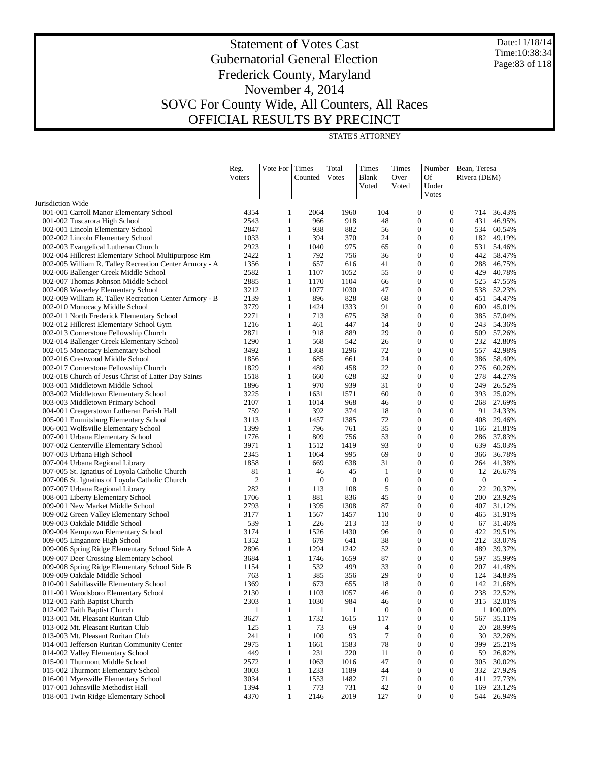Date:11/18/14 Time:10:38:34 Page:83 of 118

# Statement of Votes Cast Gubernatorial General Election Frederick County, Maryland November 4, 2014 SOVC For County Wide, All Counters, All Races OFFICIAL RESULTS BY PRECINCT

|                                                                                          | Reg.<br>Voters   | Vote For Times               | Counted      | Total<br>Votes   | Times<br><b>Blank</b><br>Voted | Times<br>Over<br>Voted               | Number<br>Of<br>Under<br>Votes   | Bean, Teresa<br>Rivera (DEM) |                          |
|------------------------------------------------------------------------------------------|------------------|------------------------------|--------------|------------------|--------------------------------|--------------------------------------|----------------------------------|------------------------------|--------------------------|
| Jurisdiction Wide                                                                        |                  |                              |              |                  |                                |                                      |                                  |                              |                          |
| 001-001 Carroll Manor Elementary School                                                  | 4354             | $\mathbf{1}$                 | 2064         | 1960             | 104                            | $\boldsymbol{0}$                     | $\mathbf{0}$                     | 714                          | 36.43%                   |
| 001-002 Tuscarora High School                                                            | 2543             | $\mathbf{1}$                 | 966          | 918              | 48                             | $\boldsymbol{0}$                     | $\boldsymbol{0}$                 | 431                          | 46.95%                   |
| 002-001 Lincoln Elementary School                                                        | 2847             | $\mathbf{1}$                 | 938          | 882              | 56                             | $\boldsymbol{0}$                     | $\mathbf{0}$                     |                              | 534 60.54%               |
| 002-002 Lincoln Elementary School                                                        | 1033             | $\mathbf{1}$                 | 394          | 370              | 24                             | $\boldsymbol{0}$                     | $\boldsymbol{0}$                 |                              | 182 49.19%               |
| 002-003 Evangelical Lutheran Church                                                      | 2923             | $\mathbf{1}$                 | 1040         | 975              | 65                             | $\boldsymbol{0}$                     | $\overline{0}$                   |                              | 531 54.46%               |
| 002-004 Hillcrest Elementary School Multipurpose Rm                                      | 2422             | $\mathbf{1}$                 | 792          | 756              | 36                             | $\boldsymbol{0}$                     | $\mathbf{0}$                     |                              | 442 58.47%               |
| 002-005 William R. Talley Recreation Center Armory - A                                   | 1356             | $\mathbf{1}$                 | 657          | 616              | 41                             | $\boldsymbol{0}$                     | $\overline{0}$                   | 288                          | 46.75%                   |
| 002-006 Ballenger Creek Middle School                                                    | 2582             | $\mathbf{1}$                 | 1107         | 1052             | 55                             | $\boldsymbol{0}$                     | $\boldsymbol{0}$                 |                              | 429 40.78%               |
| 002-007 Thomas Johnson Middle School                                                     | 2885             | $\mathbf{1}$                 | 1170         | 1104             | 66                             | $\boldsymbol{0}$                     | $\overline{0}$                   |                              | 525 47.55%               |
| 002-008 Waverley Elementary School                                                       | 3212             | $\mathbf{1}$                 | 1077         | 1030             | 47                             | $\boldsymbol{0}$                     | $\boldsymbol{0}$                 |                              | 538 52.23%               |
| 002-009 William R. Talley Recreation Center Armory - B                                   | 2139             | $\mathbf{1}$                 | 896          | 828              | 68                             | $\boldsymbol{0}$                     | $\mathbf{0}$                     |                              | 451 54.47%               |
| 002-010 Monocacy Middle School                                                           | 3779             | $\mathbf{1}$<br>$\mathbf{1}$ | 1424         | 1333             | 91                             | $\boldsymbol{0}$<br>$\boldsymbol{0}$ | $\boldsymbol{0}$<br>$\mathbf{0}$ |                              | 600 45.01%               |
| 002-011 North Frederick Elementary School<br>002-012 Hillcrest Elementary School Gym     | 2271             | $\mathbf{1}$                 | 713<br>461   | 675<br>447       | 38<br>14                       | $\boldsymbol{0}$                     | $\boldsymbol{0}$                 |                              | 385 57.04%<br>243 54.36% |
| 002-013 Cornerstone Fellowship Church                                                    | 1216<br>2871     | $\mathbf{1}$                 | 918          | 889              | 29                             | $\boldsymbol{0}$                     | $\mathbf{0}$                     |                              | 509 57.26%               |
| 002-014 Ballenger Creek Elementary School                                                | 1290             | $\mathbf{1}$                 | 568          | 542              | 26                             | $\boldsymbol{0}$                     | $\boldsymbol{0}$                 |                              | 232 42.80%               |
| 002-015 Monocacy Elementary School                                                       | 3492             | $\mathbf{1}$                 | 1368         | 1296             | 72                             | $\boldsymbol{0}$                     | $\overline{0}$                   |                              | 557 42.98%               |
| 002-016 Crestwood Middle School                                                          | 1856             | $\mathbf{1}$                 | 685          | 661              | 24                             | $\boldsymbol{0}$                     | $\boldsymbol{0}$                 |                              | 386 58.40%               |
| 002-017 Cornerstone Fellowship Church                                                    | 1829             | $\mathbf{1}$                 | 480          | 458              | 22                             | $\boldsymbol{0}$                     | $\overline{0}$                   |                              | 276 60.26%               |
| 002-018 Church of Jesus Christ of Latter Day Saints                                      | 1518             | $\mathbf{1}$                 | 660          | 628              | 32                             | $\boldsymbol{0}$                     | $\boldsymbol{0}$                 | 278                          | 44.27%                   |
| 003-001 Middletown Middle School                                                         | 1896             | $\mathbf{1}$                 | 970          | 939              | 31                             | $\boldsymbol{0}$                     | $\overline{0}$                   | 249                          | 26.52%                   |
| 003-002 Middletown Elementary School                                                     | 3225             | $\mathbf{1}$                 | 1631         | 1571             | 60                             | $\boldsymbol{0}$                     | $\overline{0}$                   |                              | 393 25.02%               |
| 003-003 Middletown Primary School                                                        | 2107             | $\mathbf{1}$                 | 1014         | 968              | 46                             | $\boldsymbol{0}$                     | $\overline{0}$                   |                              | 268 27.69%               |
| 004-001 Creagerstown Lutheran Parish Hall                                                | 759              | $\mathbf{1}$                 | 392          | 374              | 18                             | $\boldsymbol{0}$                     | $\overline{0}$                   |                              | 91 24.33%                |
| 005-001 Emmitsburg Elementary School                                                     | 3113             | $\mathbf{1}$                 | 1457         | 1385             | 72                             | $\boldsymbol{0}$                     | $\overline{0}$                   |                              | 408 29.46%               |
| 006-001 Wolfsville Elementary School                                                     | 1399             | $\mathbf{1}$                 | 796          | 761              | 35                             | $\boldsymbol{0}$                     | $\boldsymbol{0}$                 |                              | 166 21.81%               |
| 007-001 Urbana Elementary School                                                         | 1776             | $\mathbf{1}$                 | 809          | 756              | 53                             | $\boldsymbol{0}$                     | $\overline{0}$                   |                              | 286 37.83%               |
| 007-002 Centerville Elementary School                                                    | 3971             | $\mathbf{1}$                 | 1512         | 1419             | 93                             | $\boldsymbol{0}$                     | $\boldsymbol{0}$                 |                              | 639 45.03%               |
| 007-003 Urbana High School                                                               | 2345             | $\mathbf{1}$                 | 1064         | 995              | 69                             | $\boldsymbol{0}$                     | $\mathbf{0}$                     |                              | 366 36.78%               |
| 007-004 Urbana Regional Library                                                          | 1858             | $\mathbf{1}$                 | 669          | 638              | 31                             | $\boldsymbol{0}$                     | $\overline{0}$                   | 264                          | 41.38%                   |
| 007-005 St. Ignatius of Loyola Catholic Church                                           | 81               | $\mathbf{1}$                 | 46           | 45               | $\mathbf{1}$                   | $\boldsymbol{0}$                     | $\boldsymbol{0}$                 | 12                           | 26.67%                   |
| 007-006 St. Ignatius of Loyola Catholic Church                                           | $\boldsymbol{2}$ | $\mathbf{1}$                 | $\theta$     | $\boldsymbol{0}$ | $\boldsymbol{0}$               | $\boldsymbol{0}$                     | $\boldsymbol{0}$                 | $\mathbf{0}$                 |                          |
| 007-007 Urbana Regional Library                                                          | 282              | $\mathbf{1}$                 | 113          | 108              | 5                              | $\boldsymbol{0}$                     | $\boldsymbol{0}$                 | 22                           | 20.37%                   |
| 008-001 Liberty Elementary School                                                        | 1706             | $\mathbf{1}$                 | 881          | 836              | 45                             | $\boldsymbol{0}$                     | $\boldsymbol{0}$                 |                              | 200 23.92%               |
| 009-001 New Market Middle School                                                         | 2793             | $\mathbf{1}$                 | 1395         | 1308             | 87                             | $\boldsymbol{0}$                     | $\overline{0}$                   |                              | 407 31.12%               |
| 009-002 Green Valley Elementary School                                                   | 3177             | $\mathbf{1}$                 | 1567         | 1457             | 110                            | $\boldsymbol{0}$                     | $\boldsymbol{0}$                 |                              | 465 31.91%               |
| 009-003 Oakdale Middle School                                                            | 539              | $\mathbf{1}$                 | 226          | 213              | 13                             | $\boldsymbol{0}$                     | $\mathbf{0}$                     | 67                           | 31.46%                   |
| 009-004 Kemptown Elementary School                                                       | 3174             | $\mathbf{1}$                 | 1526         | 1430             | 96                             | $\boldsymbol{0}$                     | $\boldsymbol{0}$                 | 422                          | 29.51%                   |
| 009-005 Linganore High School                                                            | 1352             | $\mathbf{1}$                 | 679          | 641              | 38                             | $\boldsymbol{0}$                     | $\boldsymbol{0}$                 |                              | 212 33.07%               |
| 009-006 Spring Ridge Elementary School Side A<br>009-007 Deer Crossing Elementary School | 2896<br>3684     | $\mathbf{1}$<br>$\mathbf{1}$ | 1294<br>1746 | 1242             | 52<br>87                       | $\boldsymbol{0}$<br>$\boldsymbol{0}$ | $\boldsymbol{0}$<br>$\mathbf{0}$ | 489                          | 39.37%<br>597 35.99%     |
| 009-008 Spring Ridge Elementary School Side B                                            | 1154             | $\mathbf{1}$                 | 532          | 1659<br>499      | 33                             | $\mathbf{0}$                         | $\mathbf{0}$                     |                              | 207 41.48%               |
| 009-009 Oakdale Middle School                                                            | 763              | $\mathbf{1}$                 | 385          | 356              | 29                             | $\boldsymbol{0}$                     | $\boldsymbol{0}$                 |                              | 124 34.83%               |
| 010-001 Sabillasville Elementary School                                                  | 1369             | $\mathbf{1}$                 | 673          | 655              | 18                             | $\boldsymbol{0}$                     | $\boldsymbol{0}$                 |                              | 142 21.68%               |
| 011-001 Woodsboro Elementary School                                                      | 2130             | $\mathbf{1}$                 | 1103         | 1057             | 46                             | $\boldsymbol{0}$                     | $\boldsymbol{0}$                 |                              | 238 22.52%               |
| 012-001 Faith Baptist Church                                                             | 2303             | $\mathbf{1}$                 | 1030         | 984              | 46                             | $\boldsymbol{0}$                     | $\boldsymbol{0}$                 |                              | 315 32.01%               |
| 012-002 Faith Baptist Church                                                             | 1                | $\mathbf{1}$                 | $\mathbf{1}$ | 1                | $\boldsymbol{0}$               | $\boldsymbol{0}$                     | $\boldsymbol{0}$                 |                              | 1 100.00%                |
| 013-001 Mt. Pleasant Ruritan Club                                                        | 3627             | $\mathbf{1}$                 | 1732         | 1615             | 117                            | $\boldsymbol{0}$                     | $\boldsymbol{0}$                 |                              | 567 35.11%               |
| 013-002 Mt. Pleasant Ruritan Club                                                        | 125              | $\mathbf{1}$                 | 73           | 69               | $\overline{4}$                 | $\boldsymbol{0}$                     | $\boldsymbol{0}$                 | 20                           | 28.99%                   |
| 013-003 Mt. Pleasant Ruritan Club                                                        | 241              | $\mathbf{1}$                 | 100          | 93               | 7                              | $\boldsymbol{0}$                     | $\boldsymbol{0}$                 |                              | 30 32.26%                |
| 014-001 Jefferson Ruritan Community Center                                               | 2975             | $\mathbf{1}$                 | 1661         | 1583             | 78                             | $\boldsymbol{0}$                     | $\boldsymbol{0}$                 |                              | 399 25.21%               |
| 014-002 Valley Elementary School                                                         | 449              | $\mathbf{1}$                 | 231          | 220              | 11                             | $\boldsymbol{0}$                     | $\boldsymbol{0}$                 |                              | 59 26.82%                |
| 015-001 Thurmont Middle School                                                           | 2572             | $\mathbf{1}$                 | 1063         | 1016             | 47                             | $\boldsymbol{0}$                     | $\boldsymbol{0}$                 | 305                          | 30.02%                   |
| 015-002 Thurmont Elementary School                                                       | 3003             | $\mathbf{1}$                 | 1233         | 1189             | 44                             | $\boldsymbol{0}$                     | $\boldsymbol{0}$                 |                              | 332 27.92%               |
| 016-001 Myersville Elementary School                                                     | 3034             | $\mathbf{1}$                 | 1553         | 1482             | 71                             | $\boldsymbol{0}$                     | $\boldsymbol{0}$                 | 411                          | 27.73%                   |
| 017-001 Johnsville Methodist Hall                                                        | 1394             | $\mathbf{1}$                 | 773          | 731              | 42                             | 0                                    | 0                                | 169                          | 23.12%                   |
| 018-001 Twin Ridge Elementary School                                                     | 4370             | $\mathbf{1}$                 | 2146         | 2019             | 127                            | $\boldsymbol{0}$                     | $\boldsymbol{0}$                 | 544                          | 26.94%                   |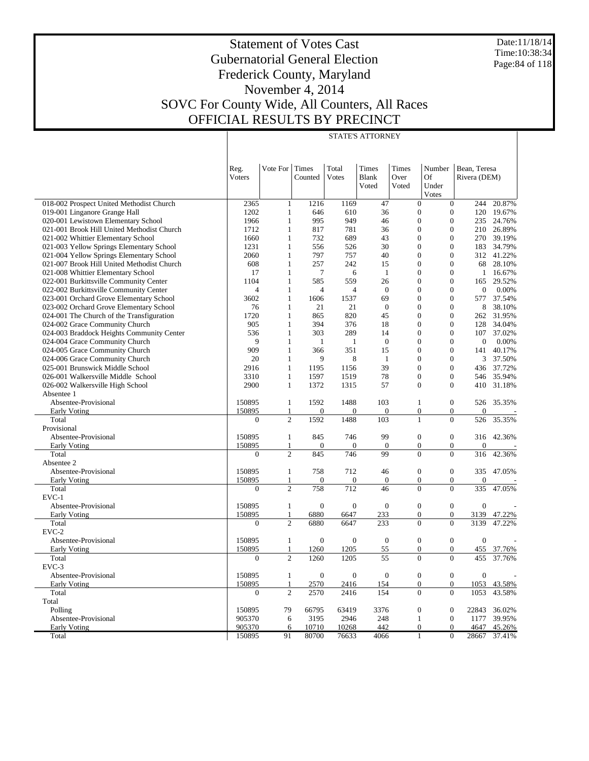Date:11/18/14 Time:10:38:34 Page:84 of 118

 $\overline{\phantom{a}}$ 

# Statement of Votes Cast Gubernatorial General Election Frederick County, Maryland November 4, 2014 SOVC For County Wide, All Counters, All Races OFFICIAL RESULTS BY PRECINCT

 $\top$ 

|                                            | Reg.<br>Voters     | Vote For Times      | Counted                 | Total<br><b>V</b> otes | Times<br><b>Blank</b><br>Voted | Times<br>Over<br>Voted       | Number<br>Of<br>Under<br><b>V</b> otes | Bean, Teresa<br>Rivera (DEM) |            |
|--------------------------------------------|--------------------|---------------------|-------------------------|------------------------|--------------------------------|------------------------------|----------------------------------------|------------------------------|------------|
| 018-002 Prospect United Methodist Church   | 2365               | $\mathbf{1}$        | 1216                    | 1169                   | 47                             | $\mathbf{0}$                 | $\overline{0}$                         | 244                          | 20.87%     |
| 019-001 Linganore Grange Hall              | 1202               | $\mathbf{1}$        | 646                     | 610                    | 36                             | $\mathbf{0}$                 | $\mathbf{0}$                           | 120                          | 19.67%     |
| 020-001 Lewistown Elementary School        | 1966               | $\mathbf{1}$        | 995                     | 949                    | 46                             | $\boldsymbol{0}$             | $\mathbf{0}$                           | 235                          | 24.76%     |
| 021-001 Brook Hill United Methodist Church | 1712               | $\mathbf{1}$        | 817                     | 781                    | 36                             | $\overline{0}$               | $\mathbf{0}$                           |                              | 210 26.89% |
| 021-002 Whittier Elementary School         | 1660               | $\mathbf{1}$        | 732                     | 689                    | 43                             | $\overline{0}$               | $\mathbf{0}$                           |                              | 270 39.19% |
| 021-003 Yellow Springs Elementary School   | 1231               | $\mathbf{1}$        | 556                     | 526                    | 30                             | $\mathbf{0}$                 | $\mathbf{0}$                           | 183                          | 34.79%     |
| 021-004 Yellow Springs Elementary School   | 2060               | $\mathbf{1}$        | 797                     | 757                    | 40                             | $\mathbf{0}$                 | $\mathbf{0}$                           |                              | 312 41.22% |
| 021-007 Brook Hill United Methodist Church | 608                | $\mathbf{1}$        | 257                     | 242                    | 15                             | $\Omega$                     | $\Omega$                               | 68                           | 28.10%     |
| 021-008 Whittier Elementary School         | 17                 | $\mathbf{1}$        | 7                       | 6                      | 1                              | $\mathbf{0}$                 | $\mathbf{0}$                           | 1                            | 16.67%     |
| 022-001 Burkittsville Community Center     | 1104               | 1                   | 585                     | 559                    | 26                             | $\mathbf{0}$                 | $\mathbf{0}$                           | 165                          | 29.52%     |
| 022-002 Burkittsville Community Center     | $\overline{4}$     | $\mathbf{1}$        | $\overline{4}$          | $\overline{4}$         | $\boldsymbol{0}$               | $\mathbf{0}$                 | $\mathbf{0}$                           | 0                            | $0.00\%$   |
| 023-001 Orchard Grove Elementary School    | 3602               | $\mathbf{1}$        | 1606                    | 1537                   | 69                             | $\mathbf{0}$                 | $\mathbf{0}$                           | 577                          | 37.54%     |
| 023-002 Orchard Grove Elementary School    | 76                 | $\mathbf{1}$        | 21                      | 21                     | $\mathbf{0}$                   | $\mathbf{0}$                 | $\mathbf{0}$                           | 8                            | 38.10%     |
| 024-001 The Church of the Transfiguration  | 1720               | $\mathbf{1}$        | 865                     | 820                    | 45                             | $\Omega$                     | $\Omega$                               |                              | 262 31.95% |
| 024-002 Grace Community Church             | 905                | $\mathbf{1}$        | 394                     | 376                    | 18                             | $\overline{0}$               | $\mathbf{0}$                           | 128                          | 34.04%     |
| 024-003 Braddock Heights Community Center  | 536                | $\mathbf{1}$        | 303                     | 289                    | 14                             | $\mathbf{0}$                 | $\mathbf{0}$                           |                              | 107 37.02% |
| 024-004 Grace Community Church             | 9                  | $\mathbf{1}$        | 1                       | $\mathbf{1}$           | $\mathbf{0}$                   | $\mathbf{0}$                 | $\mathbf{0}$                           | $\overline{0}$               | $0.00\%$   |
| 024-005 Grace Community Church             | 909                | $\mathbf{1}$        | 366                     | 351                    | 15                             | $\mathbf{0}$                 | $\mathbf{0}$                           | 141                          | 40.17%     |
| 024-006 Grace Community Church             | 20                 | $\mathbf{1}$        | 9                       | 8                      | $\mathbf{1}$                   | $\Omega$                     | $\theta$                               | 3                            | 37.50%     |
| 025-001 Brunswick Middle School            | 2916               | 1                   | 1195                    | 1156                   | 39                             | $\overline{0}$               | $\mathbf{0}$                           |                              | 436 37.72% |
| 026-001 Walkersville Middle School         | 3310               | $\mathbf{1}$        | 1597                    | 1519                   | 78                             | $\boldsymbol{0}$             | $\boldsymbol{0}$                       |                              | 546 35.94% |
| 026-002 Walkersville High School           | 2900               | $\mathbf{1}$        | 1372                    | 1315                   | 57                             | $\mathbf{0}$                 | $\mathbf{0}$                           | 410                          | 31.18%     |
| Absentee 1                                 |                    |                     |                         |                        |                                |                              |                                        |                              |            |
| Absentee-Provisional                       | 150895             | $\mathbf{1}$        | 1592                    | 1488                   | 103                            | $\mathbf{1}$                 | $\mathbf{0}$                           | 526                          | 35.35%     |
| <b>Early Voting</b>                        | 150895             | $\mathbf{1}$        | $\boldsymbol{0}$        | $\Omega$               | $\Omega$                       | $\boldsymbol{0}$             | $\boldsymbol{0}$                       | $\theta$                     |            |
| Total                                      | $\mathbf{0}$       | $\overline{2}$      | 1592                    | 1488                   | 103                            | $\mathbf{1}$                 | $\overline{0}$                         | 526                          | 35.35%     |
| Provisional                                |                    |                     |                         |                        |                                |                              |                                        |                              |            |
| Absentee-Provisional                       | 150895             | $\mathbf{1}$        | 845                     | 746                    | 99                             | $\overline{0}$               | $\mathbf{0}$                           | 316                          | 42.36%     |
| Early Voting                               | 150895<br>$\Omega$ | 1<br>$\overline{2}$ | $\overline{0}$<br>845   | $\mathbf{0}$<br>746    | $\overline{0}$<br>99           | $\boldsymbol{0}$<br>$\Omega$ | $\mathbf{0}$<br>$\theta$               | $\mathbf{0}$                 |            |
| Total                                      |                    |                     |                         |                        |                                |                              |                                        | 316                          | 42.36%     |
| Absentee 2                                 | 150895             | $\mathbf{1}$        |                         |                        |                                | $\boldsymbol{0}$             | $\mathbf{0}$                           |                              | 47.05%     |
| Absentee-Provisional                       | 150895             | $\mathbf{1}$        | 758<br>$\boldsymbol{0}$ | 712<br>$\mathbf{0}$    | 46<br>$\boldsymbol{0}$         | $\boldsymbol{0}$             | $\boldsymbol{0}$                       | 335<br>$\overline{0}$        |            |
| Early Voting<br>Total                      | $\overline{0}$     | $\overline{2}$      | 758                     | 712                    | 46                             | $\mathbf{0}$                 | $\mathbf{0}$                           | 335                          | 47.05%     |
| $EVC-1$                                    |                    |                     |                         |                        |                                |                              |                                        |                              |            |
| Absentee-Provisional                       | 150895             | $\mathbf{1}$        | $\overline{0}$          | $\overline{0}$         | $\overline{0}$                 | $\mathbf{0}$                 | $\mathbf{0}$                           | $\overline{0}$               |            |
| <b>Early Voting</b>                        | 150895             | $\mathbf{1}$        | 6880                    | 6647                   | 233                            | $\boldsymbol{0}$             | $\boldsymbol{0}$                       | 3139                         | 47.22%     |
| Total                                      | $\overline{0}$     | $\overline{2}$      | 6880                    | 6647                   | 233                            | $\overline{0}$               | $\overline{0}$                         | 3139                         | 47.22%     |
| $EVC-2$                                    |                    |                     |                         |                        |                                |                              |                                        |                              |            |
| Absentee-Provisional                       | 150895             | $\mathbf{1}$        | $\overline{0}$          | $\overline{0}$         | $\mathbf{0}$                   | $\mathbf{0}$                 | $\boldsymbol{0}$                       | $\overline{0}$               |            |
| <b>Early Voting</b>                        | 150895             | $\mathbf{1}$        | 1260                    | 1205                   | 55                             | $\mathbf{0}$                 | $\mathbf{0}$                           | 455                          | 37.76%     |
| Total                                      | $\theta$           | $\overline{2}$      | 1260                    | 1205                   | 55                             | $\Omega$                     | $\Omega$                               | 455                          | 37.76%     |
| $EVC-3$                                    |                    |                     |                         |                        |                                |                              |                                        |                              |            |
| Absentee-Provisional                       | 150895             | $\mathbf{1}$        | $\overline{0}$          | $\overline{0}$         | $\overline{0}$                 | $\boldsymbol{0}$             | $\mathbf{0}$                           | $\overline{0}$               |            |
| <b>Early Voting</b>                        | 150895             | 1                   | 2570                    | 2416                   | 154                            | $\mathbf{0}$                 | $\mathbf{0}$                           | 1053                         | 43.58%     |
| Total                                      | $\overline{0}$     | $\overline{c}$      | 2570                    | 2416                   | 154                            | $\Omega$                     | $\mathbf{0}$                           | 1053                         | 43.58%     |
| Total                                      |                    |                     |                         |                        |                                |                              |                                        |                              |            |
| Polling                                    | 150895             | 79                  | 66795                   | 63419                  | 3376                           | $\boldsymbol{0}$             | $\boldsymbol{0}$                       | 22843                        | 36.02%     |
| Absentee-Provisional                       | 905370             | 6                   | 3195                    | 2946                   | 248                            | $\mathbf{1}$                 | $\boldsymbol{0}$                       | 1177                         | 39.95%     |
| Early Voting                               | 905370             | 6                   | 10710                   | 10268                  | 442                            | $\Omega$                     | $\Omega$                               | 4647                         | 45.26%     |
| Total                                      | 150895             | 91                  | 80700                   | 76633                  | 4066                           | $\mathbf{1}$                 | $\Omega$                               | 28667                        | 37.41%     |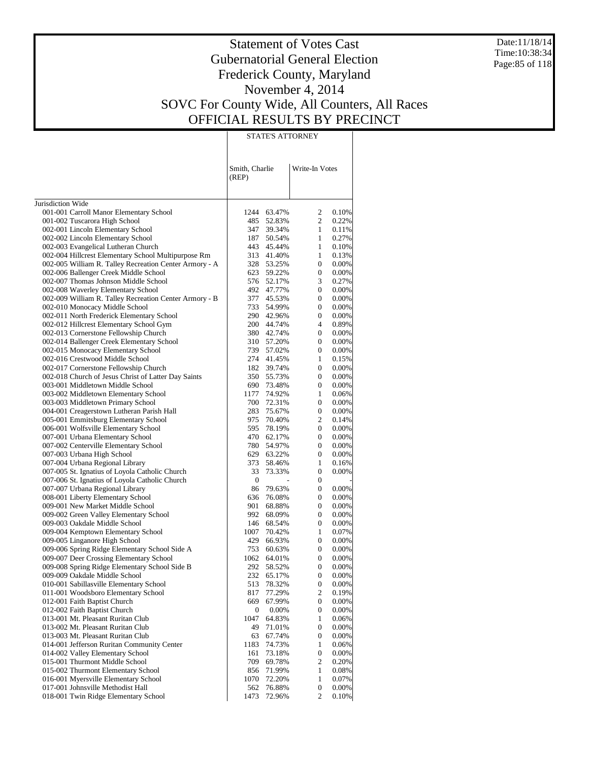Date:11/18/14 Time:10:38:34 Page:85 of 118

# Statement of Votes Cast Gubernatorial General Election Frederick County, Maryland November 4, 2014 SOVC For County Wide, All Counters, All Races OFFICIAL RESULTS BY PRECINCT

| 001-001 Carroll Manor Elementary School<br>2<br>1244<br>63.47%<br>0.10%<br>2<br>001-002 Tuscarora High School<br>485<br>52.83%<br>0.22%<br>002-001 Lincoln Elementary School<br>347<br>39.34%<br>1<br>0.11%<br>002-002 Lincoln Elementary School<br>187<br>50.54%<br>1<br>0.27%<br>002-003 Evangelical Lutheran Church<br>443<br>45.44%<br>1<br>0.10%<br>002-004 Hillcrest Elementary School Multipurpose Rm<br>313<br>41.40%<br>1<br>0.13%<br>002-005 William R. Talley Recreation Center Armory - A<br>328<br>53.25%<br>0<br>0.00%<br>002-006 Ballenger Creek Middle School<br>623<br>59.22%<br>0<br>0.00%<br>002-007 Thomas Johnson Middle School<br>576<br>3<br>52.17%<br>0.27%<br>492 47.77%<br>002-008 Waverley Elementary School<br>0<br>0.00%<br>377<br>002-009 William R. Talley Recreation Center Armory - B<br>45.53%<br>0<br>0.00%<br>002-010 Monocacy Middle School<br>733<br>54.99%<br>0<br>0.00%<br>290 42.96%<br>002-011 North Frederick Elementary School<br>0<br>0.00%<br>002-012 Hillcrest Elementary School Gym<br>200 44.74%<br>4<br>0.89%<br>002-013 Cornerstone Fellowship Church<br>380 42.74%<br>0<br>0.00%<br>002-014 Ballenger Creek Elementary School<br>310<br>57.20%<br>0<br>0.00%<br>739<br>002-015 Monocacy Elementary School<br>57.02%<br>0<br>0.00%<br>002-016 Crestwood Middle School<br>274 41.45%<br>1<br>0.15%<br>002-017 Cornerstone Fellowship Church<br>182<br>39.74%<br>0<br>0.00%<br>002-018 Church of Jesus Christ of Latter Day Saints<br>350<br>55.73%<br>0<br>0.00%<br>003-001 Middletown Middle School<br>690<br>73.48%<br>0<br>0.00%<br>003-002 Middletown Elementary School<br>1177 74.92%<br>1<br>0.06%<br>003-003 Middletown Primary School<br>700<br>72.31%<br>0<br>0.00%<br>004-001 Creagerstown Lutheran Parish Hall<br>283<br>75.67%<br>0<br>0.00%<br>975<br>2<br>005-001 Emmitsburg Elementary School<br>70.40%<br>0.14%<br>595<br>006-001 Wolfsville Elementary School<br>78.19%<br>0<br>0.00%<br>470<br>007-001 Urbana Elementary School<br>62.17%<br>0<br>0.00%<br>007-002 Centerville Elementary School<br>780<br>54.97%<br>0<br>0.00%<br>007-003 Urbana High School<br>629<br>63.22%<br>0<br>0.00%<br>373<br>007-004 Urbana Regional Library<br>58.46%<br>1<br>0.16%<br>007-005 St. Ignatius of Loyola Catholic Church<br>33<br>73.33%<br>0<br>0.00%<br>007-006 St. Ignatius of Loyola Catholic Church<br>$\mathbf 0$<br>0<br>007-007 Urbana Regional Library<br>86<br>79.63%<br>0<br>0.00%<br>008-001 Liberty Elementary School<br>636<br>76.08%<br>0<br>0.00%<br>009-001 New Market Middle School<br>901<br>68.88%<br>0<br>0.00%<br>992<br>009-002 Green Valley Elementary School<br>68.09%<br>0<br>0.00%<br>009-003 Oakdale Middle School<br>146<br>68.54%<br>0<br>0.00%<br>009-004 Kemptown Elementary School<br>1007<br>70.42%<br>1<br>0.07%<br>009-005 Linganore High School<br>429<br>66.93%<br>0<br>0.00%<br>009-006 Spring Ridge Elementary School Side A<br>753<br>60.63%<br>0<br>0.00%<br>009-007 Deer Crossing Elementary School<br>1062<br>64.01%<br>0<br>0.00%<br>009-008 Spring Ridge Elementary School Side B<br>292<br>58.52%<br>0<br>$0.00\%$<br>232<br>009-009 Oakdale Middle School<br>65.17%<br>$\mathbf{0}$<br>$0.00\%$<br>$\boldsymbol{0}$<br>010-001 Sabillasville Elementary School<br>513<br>0.00%<br>78.32%<br>$\mathfrak{2}$<br>011-001 Woodsboro Elementary School<br>0.19%<br>817<br>77.29%<br>012-001 Faith Baptist Church<br>$\boldsymbol{0}$<br>669<br>67.99%<br>0.00%<br>012-002 Faith Baptist Church<br>$\boldsymbol{0}$<br>0<br>0.00%<br>0.00%<br>013-001 Mt. Pleasant Ruritan Club<br>$\mathbf{1}$<br>1047<br>64.83%<br>0.06%<br>013-002 Mt. Pleasant Ruritan Club<br>$\boldsymbol{0}$<br>49<br>71.01%<br>0.00%<br>013-003 Mt. Pleasant Ruritan Club<br>$\boldsymbol{0}$<br>63<br>67.74%<br>0.00%<br>014-001 Jefferson Ruritan Community Center<br>$\mathbf{1}$<br>1183<br>74.73%<br>0.06%<br>014-002 Valley Elementary School<br>$\boldsymbol{0}$<br>161<br>73.18%<br>0.00%<br>$\mathfrak{2}$<br>015-001 Thurmont Middle School<br>709<br>0.20%<br>69.78%<br>015-002 Thurmont Elementary School<br>$\mathbf{1}$<br>856<br>71.99%<br>0.08%<br>016-001 Myersville Elementary School<br>1070<br>$\mathbf{1}$<br>72.20%<br>0.07%<br>017-001 Johnsville Methodist Hall<br>76.88%<br>$\boldsymbol{0}$<br>562<br>0.00% |                                      | Smith, Charlie<br>(REP) |        | Write-In Votes |       |  |  |
|---------------------------------------------------------------------------------------------------------------------------------------------------------------------------------------------------------------------------------------------------------------------------------------------------------------------------------------------------------------------------------------------------------------------------------------------------------------------------------------------------------------------------------------------------------------------------------------------------------------------------------------------------------------------------------------------------------------------------------------------------------------------------------------------------------------------------------------------------------------------------------------------------------------------------------------------------------------------------------------------------------------------------------------------------------------------------------------------------------------------------------------------------------------------------------------------------------------------------------------------------------------------------------------------------------------------------------------------------------------------------------------------------------------------------------------------------------------------------------------------------------------------------------------------------------------------------------------------------------------------------------------------------------------------------------------------------------------------------------------------------------------------------------------------------------------------------------------------------------------------------------------------------------------------------------------------------------------------------------------------------------------------------------------------------------------------------------------------------------------------------------------------------------------------------------------------------------------------------------------------------------------------------------------------------------------------------------------------------------------------------------------------------------------------------------------------------------------------------------------------------------------------------------------------------------------------------------------------------------------------------------------------------------------------------------------------------------------------------------------------------------------------------------------------------------------------------------------------------------------------------------------------------------------------------------------------------------------------------------------------------------------------------------------------------------------------------------------------------------------------------------------------------------------------------------------------------------------------------------------------------------------------------------------------------------------------------------------------------------------------------------------------------------------------------------------------------------------------------------------------------------------------------------------------------------------------------------------------------------------------------------------------------------------------------------------------------------------------------------------------------------------------------------------------------------------------------------------------------------------------------------------------------------------------------------------------------------------------------------------------------------------------------------------------------------------------------------------------------------------------------------------------------------------------------------------------------------------------------------------------------------------------------------------------------------------------|--------------------------------------|-------------------------|--------|----------------|-------|--|--|
|                                                                                                                                                                                                                                                                                                                                                                                                                                                                                                                                                                                                                                                                                                                                                                                                                                                                                                                                                                                                                                                                                                                                                                                                                                                                                                                                                                                                                                                                                                                                                                                                                                                                                                                                                                                                                                                                                                                                                                                                                                                                                                                                                                                                                                                                                                                                                                                                                                                                                                                                                                                                                                                                                                                                                                                                                                                                                                                                                                                                                                                                                                                                                                                                                                                                                                                                                                                                                                                                                                                                                                                                                                                                                                                                                                                                                                                                                                                                                                                                                                                                                                                                                                                                                                                                                                                     | Jurisdiction Wide                    |                         |        |                |       |  |  |
|                                                                                                                                                                                                                                                                                                                                                                                                                                                                                                                                                                                                                                                                                                                                                                                                                                                                                                                                                                                                                                                                                                                                                                                                                                                                                                                                                                                                                                                                                                                                                                                                                                                                                                                                                                                                                                                                                                                                                                                                                                                                                                                                                                                                                                                                                                                                                                                                                                                                                                                                                                                                                                                                                                                                                                                                                                                                                                                                                                                                                                                                                                                                                                                                                                                                                                                                                                                                                                                                                                                                                                                                                                                                                                                                                                                                                                                                                                                                                                                                                                                                                                                                                                                                                                                                                                                     |                                      |                         |        |                |       |  |  |
|                                                                                                                                                                                                                                                                                                                                                                                                                                                                                                                                                                                                                                                                                                                                                                                                                                                                                                                                                                                                                                                                                                                                                                                                                                                                                                                                                                                                                                                                                                                                                                                                                                                                                                                                                                                                                                                                                                                                                                                                                                                                                                                                                                                                                                                                                                                                                                                                                                                                                                                                                                                                                                                                                                                                                                                                                                                                                                                                                                                                                                                                                                                                                                                                                                                                                                                                                                                                                                                                                                                                                                                                                                                                                                                                                                                                                                                                                                                                                                                                                                                                                                                                                                                                                                                                                                                     |                                      |                         |        |                |       |  |  |
|                                                                                                                                                                                                                                                                                                                                                                                                                                                                                                                                                                                                                                                                                                                                                                                                                                                                                                                                                                                                                                                                                                                                                                                                                                                                                                                                                                                                                                                                                                                                                                                                                                                                                                                                                                                                                                                                                                                                                                                                                                                                                                                                                                                                                                                                                                                                                                                                                                                                                                                                                                                                                                                                                                                                                                                                                                                                                                                                                                                                                                                                                                                                                                                                                                                                                                                                                                                                                                                                                                                                                                                                                                                                                                                                                                                                                                                                                                                                                                                                                                                                                                                                                                                                                                                                                                                     |                                      |                         |        |                |       |  |  |
|                                                                                                                                                                                                                                                                                                                                                                                                                                                                                                                                                                                                                                                                                                                                                                                                                                                                                                                                                                                                                                                                                                                                                                                                                                                                                                                                                                                                                                                                                                                                                                                                                                                                                                                                                                                                                                                                                                                                                                                                                                                                                                                                                                                                                                                                                                                                                                                                                                                                                                                                                                                                                                                                                                                                                                                                                                                                                                                                                                                                                                                                                                                                                                                                                                                                                                                                                                                                                                                                                                                                                                                                                                                                                                                                                                                                                                                                                                                                                                                                                                                                                                                                                                                                                                                                                                                     |                                      |                         |        |                |       |  |  |
|                                                                                                                                                                                                                                                                                                                                                                                                                                                                                                                                                                                                                                                                                                                                                                                                                                                                                                                                                                                                                                                                                                                                                                                                                                                                                                                                                                                                                                                                                                                                                                                                                                                                                                                                                                                                                                                                                                                                                                                                                                                                                                                                                                                                                                                                                                                                                                                                                                                                                                                                                                                                                                                                                                                                                                                                                                                                                                                                                                                                                                                                                                                                                                                                                                                                                                                                                                                                                                                                                                                                                                                                                                                                                                                                                                                                                                                                                                                                                                                                                                                                                                                                                                                                                                                                                                                     |                                      |                         |        |                |       |  |  |
|                                                                                                                                                                                                                                                                                                                                                                                                                                                                                                                                                                                                                                                                                                                                                                                                                                                                                                                                                                                                                                                                                                                                                                                                                                                                                                                                                                                                                                                                                                                                                                                                                                                                                                                                                                                                                                                                                                                                                                                                                                                                                                                                                                                                                                                                                                                                                                                                                                                                                                                                                                                                                                                                                                                                                                                                                                                                                                                                                                                                                                                                                                                                                                                                                                                                                                                                                                                                                                                                                                                                                                                                                                                                                                                                                                                                                                                                                                                                                                                                                                                                                                                                                                                                                                                                                                                     |                                      |                         |        |                |       |  |  |
|                                                                                                                                                                                                                                                                                                                                                                                                                                                                                                                                                                                                                                                                                                                                                                                                                                                                                                                                                                                                                                                                                                                                                                                                                                                                                                                                                                                                                                                                                                                                                                                                                                                                                                                                                                                                                                                                                                                                                                                                                                                                                                                                                                                                                                                                                                                                                                                                                                                                                                                                                                                                                                                                                                                                                                                                                                                                                                                                                                                                                                                                                                                                                                                                                                                                                                                                                                                                                                                                                                                                                                                                                                                                                                                                                                                                                                                                                                                                                                                                                                                                                                                                                                                                                                                                                                                     |                                      |                         |        |                |       |  |  |
|                                                                                                                                                                                                                                                                                                                                                                                                                                                                                                                                                                                                                                                                                                                                                                                                                                                                                                                                                                                                                                                                                                                                                                                                                                                                                                                                                                                                                                                                                                                                                                                                                                                                                                                                                                                                                                                                                                                                                                                                                                                                                                                                                                                                                                                                                                                                                                                                                                                                                                                                                                                                                                                                                                                                                                                                                                                                                                                                                                                                                                                                                                                                                                                                                                                                                                                                                                                                                                                                                                                                                                                                                                                                                                                                                                                                                                                                                                                                                                                                                                                                                                                                                                                                                                                                                                                     |                                      |                         |        |                |       |  |  |
|                                                                                                                                                                                                                                                                                                                                                                                                                                                                                                                                                                                                                                                                                                                                                                                                                                                                                                                                                                                                                                                                                                                                                                                                                                                                                                                                                                                                                                                                                                                                                                                                                                                                                                                                                                                                                                                                                                                                                                                                                                                                                                                                                                                                                                                                                                                                                                                                                                                                                                                                                                                                                                                                                                                                                                                                                                                                                                                                                                                                                                                                                                                                                                                                                                                                                                                                                                                                                                                                                                                                                                                                                                                                                                                                                                                                                                                                                                                                                                                                                                                                                                                                                                                                                                                                                                                     |                                      |                         |        |                |       |  |  |
|                                                                                                                                                                                                                                                                                                                                                                                                                                                                                                                                                                                                                                                                                                                                                                                                                                                                                                                                                                                                                                                                                                                                                                                                                                                                                                                                                                                                                                                                                                                                                                                                                                                                                                                                                                                                                                                                                                                                                                                                                                                                                                                                                                                                                                                                                                                                                                                                                                                                                                                                                                                                                                                                                                                                                                                                                                                                                                                                                                                                                                                                                                                                                                                                                                                                                                                                                                                                                                                                                                                                                                                                                                                                                                                                                                                                                                                                                                                                                                                                                                                                                                                                                                                                                                                                                                                     |                                      |                         |        |                |       |  |  |
|                                                                                                                                                                                                                                                                                                                                                                                                                                                                                                                                                                                                                                                                                                                                                                                                                                                                                                                                                                                                                                                                                                                                                                                                                                                                                                                                                                                                                                                                                                                                                                                                                                                                                                                                                                                                                                                                                                                                                                                                                                                                                                                                                                                                                                                                                                                                                                                                                                                                                                                                                                                                                                                                                                                                                                                                                                                                                                                                                                                                                                                                                                                                                                                                                                                                                                                                                                                                                                                                                                                                                                                                                                                                                                                                                                                                                                                                                                                                                                                                                                                                                                                                                                                                                                                                                                                     |                                      |                         |        |                |       |  |  |
|                                                                                                                                                                                                                                                                                                                                                                                                                                                                                                                                                                                                                                                                                                                                                                                                                                                                                                                                                                                                                                                                                                                                                                                                                                                                                                                                                                                                                                                                                                                                                                                                                                                                                                                                                                                                                                                                                                                                                                                                                                                                                                                                                                                                                                                                                                                                                                                                                                                                                                                                                                                                                                                                                                                                                                                                                                                                                                                                                                                                                                                                                                                                                                                                                                                                                                                                                                                                                                                                                                                                                                                                                                                                                                                                                                                                                                                                                                                                                                                                                                                                                                                                                                                                                                                                                                                     |                                      |                         |        |                |       |  |  |
|                                                                                                                                                                                                                                                                                                                                                                                                                                                                                                                                                                                                                                                                                                                                                                                                                                                                                                                                                                                                                                                                                                                                                                                                                                                                                                                                                                                                                                                                                                                                                                                                                                                                                                                                                                                                                                                                                                                                                                                                                                                                                                                                                                                                                                                                                                                                                                                                                                                                                                                                                                                                                                                                                                                                                                                                                                                                                                                                                                                                                                                                                                                                                                                                                                                                                                                                                                                                                                                                                                                                                                                                                                                                                                                                                                                                                                                                                                                                                                                                                                                                                                                                                                                                                                                                                                                     |                                      |                         |        |                |       |  |  |
|                                                                                                                                                                                                                                                                                                                                                                                                                                                                                                                                                                                                                                                                                                                                                                                                                                                                                                                                                                                                                                                                                                                                                                                                                                                                                                                                                                                                                                                                                                                                                                                                                                                                                                                                                                                                                                                                                                                                                                                                                                                                                                                                                                                                                                                                                                                                                                                                                                                                                                                                                                                                                                                                                                                                                                                                                                                                                                                                                                                                                                                                                                                                                                                                                                                                                                                                                                                                                                                                                                                                                                                                                                                                                                                                                                                                                                                                                                                                                                                                                                                                                                                                                                                                                                                                                                                     |                                      |                         |        |                |       |  |  |
|                                                                                                                                                                                                                                                                                                                                                                                                                                                                                                                                                                                                                                                                                                                                                                                                                                                                                                                                                                                                                                                                                                                                                                                                                                                                                                                                                                                                                                                                                                                                                                                                                                                                                                                                                                                                                                                                                                                                                                                                                                                                                                                                                                                                                                                                                                                                                                                                                                                                                                                                                                                                                                                                                                                                                                                                                                                                                                                                                                                                                                                                                                                                                                                                                                                                                                                                                                                                                                                                                                                                                                                                                                                                                                                                                                                                                                                                                                                                                                                                                                                                                                                                                                                                                                                                                                                     |                                      |                         |        |                |       |  |  |
|                                                                                                                                                                                                                                                                                                                                                                                                                                                                                                                                                                                                                                                                                                                                                                                                                                                                                                                                                                                                                                                                                                                                                                                                                                                                                                                                                                                                                                                                                                                                                                                                                                                                                                                                                                                                                                                                                                                                                                                                                                                                                                                                                                                                                                                                                                                                                                                                                                                                                                                                                                                                                                                                                                                                                                                                                                                                                                                                                                                                                                                                                                                                                                                                                                                                                                                                                                                                                                                                                                                                                                                                                                                                                                                                                                                                                                                                                                                                                                                                                                                                                                                                                                                                                                                                                                                     |                                      |                         |        |                |       |  |  |
|                                                                                                                                                                                                                                                                                                                                                                                                                                                                                                                                                                                                                                                                                                                                                                                                                                                                                                                                                                                                                                                                                                                                                                                                                                                                                                                                                                                                                                                                                                                                                                                                                                                                                                                                                                                                                                                                                                                                                                                                                                                                                                                                                                                                                                                                                                                                                                                                                                                                                                                                                                                                                                                                                                                                                                                                                                                                                                                                                                                                                                                                                                                                                                                                                                                                                                                                                                                                                                                                                                                                                                                                                                                                                                                                                                                                                                                                                                                                                                                                                                                                                                                                                                                                                                                                                                                     |                                      |                         |        |                |       |  |  |
|                                                                                                                                                                                                                                                                                                                                                                                                                                                                                                                                                                                                                                                                                                                                                                                                                                                                                                                                                                                                                                                                                                                                                                                                                                                                                                                                                                                                                                                                                                                                                                                                                                                                                                                                                                                                                                                                                                                                                                                                                                                                                                                                                                                                                                                                                                                                                                                                                                                                                                                                                                                                                                                                                                                                                                                                                                                                                                                                                                                                                                                                                                                                                                                                                                                                                                                                                                                                                                                                                                                                                                                                                                                                                                                                                                                                                                                                                                                                                                                                                                                                                                                                                                                                                                                                                                                     |                                      |                         |        |                |       |  |  |
|                                                                                                                                                                                                                                                                                                                                                                                                                                                                                                                                                                                                                                                                                                                                                                                                                                                                                                                                                                                                                                                                                                                                                                                                                                                                                                                                                                                                                                                                                                                                                                                                                                                                                                                                                                                                                                                                                                                                                                                                                                                                                                                                                                                                                                                                                                                                                                                                                                                                                                                                                                                                                                                                                                                                                                                                                                                                                                                                                                                                                                                                                                                                                                                                                                                                                                                                                                                                                                                                                                                                                                                                                                                                                                                                                                                                                                                                                                                                                                                                                                                                                                                                                                                                                                                                                                                     |                                      |                         |        |                |       |  |  |
|                                                                                                                                                                                                                                                                                                                                                                                                                                                                                                                                                                                                                                                                                                                                                                                                                                                                                                                                                                                                                                                                                                                                                                                                                                                                                                                                                                                                                                                                                                                                                                                                                                                                                                                                                                                                                                                                                                                                                                                                                                                                                                                                                                                                                                                                                                                                                                                                                                                                                                                                                                                                                                                                                                                                                                                                                                                                                                                                                                                                                                                                                                                                                                                                                                                                                                                                                                                                                                                                                                                                                                                                                                                                                                                                                                                                                                                                                                                                                                                                                                                                                                                                                                                                                                                                                                                     |                                      |                         |        |                |       |  |  |
|                                                                                                                                                                                                                                                                                                                                                                                                                                                                                                                                                                                                                                                                                                                                                                                                                                                                                                                                                                                                                                                                                                                                                                                                                                                                                                                                                                                                                                                                                                                                                                                                                                                                                                                                                                                                                                                                                                                                                                                                                                                                                                                                                                                                                                                                                                                                                                                                                                                                                                                                                                                                                                                                                                                                                                                                                                                                                                                                                                                                                                                                                                                                                                                                                                                                                                                                                                                                                                                                                                                                                                                                                                                                                                                                                                                                                                                                                                                                                                                                                                                                                                                                                                                                                                                                                                                     |                                      |                         |        |                |       |  |  |
|                                                                                                                                                                                                                                                                                                                                                                                                                                                                                                                                                                                                                                                                                                                                                                                                                                                                                                                                                                                                                                                                                                                                                                                                                                                                                                                                                                                                                                                                                                                                                                                                                                                                                                                                                                                                                                                                                                                                                                                                                                                                                                                                                                                                                                                                                                                                                                                                                                                                                                                                                                                                                                                                                                                                                                                                                                                                                                                                                                                                                                                                                                                                                                                                                                                                                                                                                                                                                                                                                                                                                                                                                                                                                                                                                                                                                                                                                                                                                                                                                                                                                                                                                                                                                                                                                                                     |                                      |                         |        |                |       |  |  |
|                                                                                                                                                                                                                                                                                                                                                                                                                                                                                                                                                                                                                                                                                                                                                                                                                                                                                                                                                                                                                                                                                                                                                                                                                                                                                                                                                                                                                                                                                                                                                                                                                                                                                                                                                                                                                                                                                                                                                                                                                                                                                                                                                                                                                                                                                                                                                                                                                                                                                                                                                                                                                                                                                                                                                                                                                                                                                                                                                                                                                                                                                                                                                                                                                                                                                                                                                                                                                                                                                                                                                                                                                                                                                                                                                                                                                                                                                                                                                                                                                                                                                                                                                                                                                                                                                                                     |                                      |                         |        |                |       |  |  |
|                                                                                                                                                                                                                                                                                                                                                                                                                                                                                                                                                                                                                                                                                                                                                                                                                                                                                                                                                                                                                                                                                                                                                                                                                                                                                                                                                                                                                                                                                                                                                                                                                                                                                                                                                                                                                                                                                                                                                                                                                                                                                                                                                                                                                                                                                                                                                                                                                                                                                                                                                                                                                                                                                                                                                                                                                                                                                                                                                                                                                                                                                                                                                                                                                                                                                                                                                                                                                                                                                                                                                                                                                                                                                                                                                                                                                                                                                                                                                                                                                                                                                                                                                                                                                                                                                                                     |                                      |                         |        |                |       |  |  |
|                                                                                                                                                                                                                                                                                                                                                                                                                                                                                                                                                                                                                                                                                                                                                                                                                                                                                                                                                                                                                                                                                                                                                                                                                                                                                                                                                                                                                                                                                                                                                                                                                                                                                                                                                                                                                                                                                                                                                                                                                                                                                                                                                                                                                                                                                                                                                                                                                                                                                                                                                                                                                                                                                                                                                                                                                                                                                                                                                                                                                                                                                                                                                                                                                                                                                                                                                                                                                                                                                                                                                                                                                                                                                                                                                                                                                                                                                                                                                                                                                                                                                                                                                                                                                                                                                                                     |                                      |                         |        |                |       |  |  |
|                                                                                                                                                                                                                                                                                                                                                                                                                                                                                                                                                                                                                                                                                                                                                                                                                                                                                                                                                                                                                                                                                                                                                                                                                                                                                                                                                                                                                                                                                                                                                                                                                                                                                                                                                                                                                                                                                                                                                                                                                                                                                                                                                                                                                                                                                                                                                                                                                                                                                                                                                                                                                                                                                                                                                                                                                                                                                                                                                                                                                                                                                                                                                                                                                                                                                                                                                                                                                                                                                                                                                                                                                                                                                                                                                                                                                                                                                                                                                                                                                                                                                                                                                                                                                                                                                                                     |                                      |                         |        |                |       |  |  |
|                                                                                                                                                                                                                                                                                                                                                                                                                                                                                                                                                                                                                                                                                                                                                                                                                                                                                                                                                                                                                                                                                                                                                                                                                                                                                                                                                                                                                                                                                                                                                                                                                                                                                                                                                                                                                                                                                                                                                                                                                                                                                                                                                                                                                                                                                                                                                                                                                                                                                                                                                                                                                                                                                                                                                                                                                                                                                                                                                                                                                                                                                                                                                                                                                                                                                                                                                                                                                                                                                                                                                                                                                                                                                                                                                                                                                                                                                                                                                                                                                                                                                                                                                                                                                                                                                                                     |                                      |                         |        |                |       |  |  |
|                                                                                                                                                                                                                                                                                                                                                                                                                                                                                                                                                                                                                                                                                                                                                                                                                                                                                                                                                                                                                                                                                                                                                                                                                                                                                                                                                                                                                                                                                                                                                                                                                                                                                                                                                                                                                                                                                                                                                                                                                                                                                                                                                                                                                                                                                                                                                                                                                                                                                                                                                                                                                                                                                                                                                                                                                                                                                                                                                                                                                                                                                                                                                                                                                                                                                                                                                                                                                                                                                                                                                                                                                                                                                                                                                                                                                                                                                                                                                                                                                                                                                                                                                                                                                                                                                                                     |                                      |                         |        |                |       |  |  |
|                                                                                                                                                                                                                                                                                                                                                                                                                                                                                                                                                                                                                                                                                                                                                                                                                                                                                                                                                                                                                                                                                                                                                                                                                                                                                                                                                                                                                                                                                                                                                                                                                                                                                                                                                                                                                                                                                                                                                                                                                                                                                                                                                                                                                                                                                                                                                                                                                                                                                                                                                                                                                                                                                                                                                                                                                                                                                                                                                                                                                                                                                                                                                                                                                                                                                                                                                                                                                                                                                                                                                                                                                                                                                                                                                                                                                                                                                                                                                                                                                                                                                                                                                                                                                                                                                                                     |                                      |                         |        |                |       |  |  |
|                                                                                                                                                                                                                                                                                                                                                                                                                                                                                                                                                                                                                                                                                                                                                                                                                                                                                                                                                                                                                                                                                                                                                                                                                                                                                                                                                                                                                                                                                                                                                                                                                                                                                                                                                                                                                                                                                                                                                                                                                                                                                                                                                                                                                                                                                                                                                                                                                                                                                                                                                                                                                                                                                                                                                                                                                                                                                                                                                                                                                                                                                                                                                                                                                                                                                                                                                                                                                                                                                                                                                                                                                                                                                                                                                                                                                                                                                                                                                                                                                                                                                                                                                                                                                                                                                                                     |                                      |                         |        |                |       |  |  |
|                                                                                                                                                                                                                                                                                                                                                                                                                                                                                                                                                                                                                                                                                                                                                                                                                                                                                                                                                                                                                                                                                                                                                                                                                                                                                                                                                                                                                                                                                                                                                                                                                                                                                                                                                                                                                                                                                                                                                                                                                                                                                                                                                                                                                                                                                                                                                                                                                                                                                                                                                                                                                                                                                                                                                                                                                                                                                                                                                                                                                                                                                                                                                                                                                                                                                                                                                                                                                                                                                                                                                                                                                                                                                                                                                                                                                                                                                                                                                                                                                                                                                                                                                                                                                                                                                                                     |                                      |                         |        |                |       |  |  |
|                                                                                                                                                                                                                                                                                                                                                                                                                                                                                                                                                                                                                                                                                                                                                                                                                                                                                                                                                                                                                                                                                                                                                                                                                                                                                                                                                                                                                                                                                                                                                                                                                                                                                                                                                                                                                                                                                                                                                                                                                                                                                                                                                                                                                                                                                                                                                                                                                                                                                                                                                                                                                                                                                                                                                                                                                                                                                                                                                                                                                                                                                                                                                                                                                                                                                                                                                                                                                                                                                                                                                                                                                                                                                                                                                                                                                                                                                                                                                                                                                                                                                                                                                                                                                                                                                                                     |                                      |                         |        |                |       |  |  |
|                                                                                                                                                                                                                                                                                                                                                                                                                                                                                                                                                                                                                                                                                                                                                                                                                                                                                                                                                                                                                                                                                                                                                                                                                                                                                                                                                                                                                                                                                                                                                                                                                                                                                                                                                                                                                                                                                                                                                                                                                                                                                                                                                                                                                                                                                                                                                                                                                                                                                                                                                                                                                                                                                                                                                                                                                                                                                                                                                                                                                                                                                                                                                                                                                                                                                                                                                                                                                                                                                                                                                                                                                                                                                                                                                                                                                                                                                                                                                                                                                                                                                                                                                                                                                                                                                                                     |                                      |                         |        |                |       |  |  |
|                                                                                                                                                                                                                                                                                                                                                                                                                                                                                                                                                                                                                                                                                                                                                                                                                                                                                                                                                                                                                                                                                                                                                                                                                                                                                                                                                                                                                                                                                                                                                                                                                                                                                                                                                                                                                                                                                                                                                                                                                                                                                                                                                                                                                                                                                                                                                                                                                                                                                                                                                                                                                                                                                                                                                                                                                                                                                                                                                                                                                                                                                                                                                                                                                                                                                                                                                                                                                                                                                                                                                                                                                                                                                                                                                                                                                                                                                                                                                                                                                                                                                                                                                                                                                                                                                                                     |                                      |                         |        |                |       |  |  |
|                                                                                                                                                                                                                                                                                                                                                                                                                                                                                                                                                                                                                                                                                                                                                                                                                                                                                                                                                                                                                                                                                                                                                                                                                                                                                                                                                                                                                                                                                                                                                                                                                                                                                                                                                                                                                                                                                                                                                                                                                                                                                                                                                                                                                                                                                                                                                                                                                                                                                                                                                                                                                                                                                                                                                                                                                                                                                                                                                                                                                                                                                                                                                                                                                                                                                                                                                                                                                                                                                                                                                                                                                                                                                                                                                                                                                                                                                                                                                                                                                                                                                                                                                                                                                                                                                                                     |                                      |                         |        |                |       |  |  |
|                                                                                                                                                                                                                                                                                                                                                                                                                                                                                                                                                                                                                                                                                                                                                                                                                                                                                                                                                                                                                                                                                                                                                                                                                                                                                                                                                                                                                                                                                                                                                                                                                                                                                                                                                                                                                                                                                                                                                                                                                                                                                                                                                                                                                                                                                                                                                                                                                                                                                                                                                                                                                                                                                                                                                                                                                                                                                                                                                                                                                                                                                                                                                                                                                                                                                                                                                                                                                                                                                                                                                                                                                                                                                                                                                                                                                                                                                                                                                                                                                                                                                                                                                                                                                                                                                                                     |                                      |                         |        |                |       |  |  |
|                                                                                                                                                                                                                                                                                                                                                                                                                                                                                                                                                                                                                                                                                                                                                                                                                                                                                                                                                                                                                                                                                                                                                                                                                                                                                                                                                                                                                                                                                                                                                                                                                                                                                                                                                                                                                                                                                                                                                                                                                                                                                                                                                                                                                                                                                                                                                                                                                                                                                                                                                                                                                                                                                                                                                                                                                                                                                                                                                                                                                                                                                                                                                                                                                                                                                                                                                                                                                                                                                                                                                                                                                                                                                                                                                                                                                                                                                                                                                                                                                                                                                                                                                                                                                                                                                                                     |                                      |                         |        |                |       |  |  |
|                                                                                                                                                                                                                                                                                                                                                                                                                                                                                                                                                                                                                                                                                                                                                                                                                                                                                                                                                                                                                                                                                                                                                                                                                                                                                                                                                                                                                                                                                                                                                                                                                                                                                                                                                                                                                                                                                                                                                                                                                                                                                                                                                                                                                                                                                                                                                                                                                                                                                                                                                                                                                                                                                                                                                                                                                                                                                                                                                                                                                                                                                                                                                                                                                                                                                                                                                                                                                                                                                                                                                                                                                                                                                                                                                                                                                                                                                                                                                                                                                                                                                                                                                                                                                                                                                                                     |                                      |                         |        |                |       |  |  |
|                                                                                                                                                                                                                                                                                                                                                                                                                                                                                                                                                                                                                                                                                                                                                                                                                                                                                                                                                                                                                                                                                                                                                                                                                                                                                                                                                                                                                                                                                                                                                                                                                                                                                                                                                                                                                                                                                                                                                                                                                                                                                                                                                                                                                                                                                                                                                                                                                                                                                                                                                                                                                                                                                                                                                                                                                                                                                                                                                                                                                                                                                                                                                                                                                                                                                                                                                                                                                                                                                                                                                                                                                                                                                                                                                                                                                                                                                                                                                                                                                                                                                                                                                                                                                                                                                                                     |                                      |                         |        |                |       |  |  |
|                                                                                                                                                                                                                                                                                                                                                                                                                                                                                                                                                                                                                                                                                                                                                                                                                                                                                                                                                                                                                                                                                                                                                                                                                                                                                                                                                                                                                                                                                                                                                                                                                                                                                                                                                                                                                                                                                                                                                                                                                                                                                                                                                                                                                                                                                                                                                                                                                                                                                                                                                                                                                                                                                                                                                                                                                                                                                                                                                                                                                                                                                                                                                                                                                                                                                                                                                                                                                                                                                                                                                                                                                                                                                                                                                                                                                                                                                                                                                                                                                                                                                                                                                                                                                                                                                                                     |                                      |                         |        |                |       |  |  |
|                                                                                                                                                                                                                                                                                                                                                                                                                                                                                                                                                                                                                                                                                                                                                                                                                                                                                                                                                                                                                                                                                                                                                                                                                                                                                                                                                                                                                                                                                                                                                                                                                                                                                                                                                                                                                                                                                                                                                                                                                                                                                                                                                                                                                                                                                                                                                                                                                                                                                                                                                                                                                                                                                                                                                                                                                                                                                                                                                                                                                                                                                                                                                                                                                                                                                                                                                                                                                                                                                                                                                                                                                                                                                                                                                                                                                                                                                                                                                                                                                                                                                                                                                                                                                                                                                                                     |                                      |                         |        |                |       |  |  |
|                                                                                                                                                                                                                                                                                                                                                                                                                                                                                                                                                                                                                                                                                                                                                                                                                                                                                                                                                                                                                                                                                                                                                                                                                                                                                                                                                                                                                                                                                                                                                                                                                                                                                                                                                                                                                                                                                                                                                                                                                                                                                                                                                                                                                                                                                                                                                                                                                                                                                                                                                                                                                                                                                                                                                                                                                                                                                                                                                                                                                                                                                                                                                                                                                                                                                                                                                                                                                                                                                                                                                                                                                                                                                                                                                                                                                                                                                                                                                                                                                                                                                                                                                                                                                                                                                                                     |                                      |                         |        |                |       |  |  |
|                                                                                                                                                                                                                                                                                                                                                                                                                                                                                                                                                                                                                                                                                                                                                                                                                                                                                                                                                                                                                                                                                                                                                                                                                                                                                                                                                                                                                                                                                                                                                                                                                                                                                                                                                                                                                                                                                                                                                                                                                                                                                                                                                                                                                                                                                                                                                                                                                                                                                                                                                                                                                                                                                                                                                                                                                                                                                                                                                                                                                                                                                                                                                                                                                                                                                                                                                                                                                                                                                                                                                                                                                                                                                                                                                                                                                                                                                                                                                                                                                                                                                                                                                                                                                                                                                                                     |                                      |                         |        |                |       |  |  |
|                                                                                                                                                                                                                                                                                                                                                                                                                                                                                                                                                                                                                                                                                                                                                                                                                                                                                                                                                                                                                                                                                                                                                                                                                                                                                                                                                                                                                                                                                                                                                                                                                                                                                                                                                                                                                                                                                                                                                                                                                                                                                                                                                                                                                                                                                                                                                                                                                                                                                                                                                                                                                                                                                                                                                                                                                                                                                                                                                                                                                                                                                                                                                                                                                                                                                                                                                                                                                                                                                                                                                                                                                                                                                                                                                                                                                                                                                                                                                                                                                                                                                                                                                                                                                                                                                                                     |                                      |                         |        |                |       |  |  |
|                                                                                                                                                                                                                                                                                                                                                                                                                                                                                                                                                                                                                                                                                                                                                                                                                                                                                                                                                                                                                                                                                                                                                                                                                                                                                                                                                                                                                                                                                                                                                                                                                                                                                                                                                                                                                                                                                                                                                                                                                                                                                                                                                                                                                                                                                                                                                                                                                                                                                                                                                                                                                                                                                                                                                                                                                                                                                                                                                                                                                                                                                                                                                                                                                                                                                                                                                                                                                                                                                                                                                                                                                                                                                                                                                                                                                                                                                                                                                                                                                                                                                                                                                                                                                                                                                                                     |                                      |                         |        |                |       |  |  |
|                                                                                                                                                                                                                                                                                                                                                                                                                                                                                                                                                                                                                                                                                                                                                                                                                                                                                                                                                                                                                                                                                                                                                                                                                                                                                                                                                                                                                                                                                                                                                                                                                                                                                                                                                                                                                                                                                                                                                                                                                                                                                                                                                                                                                                                                                                                                                                                                                                                                                                                                                                                                                                                                                                                                                                                                                                                                                                                                                                                                                                                                                                                                                                                                                                                                                                                                                                                                                                                                                                                                                                                                                                                                                                                                                                                                                                                                                                                                                                                                                                                                                                                                                                                                                                                                                                                     |                                      |                         |        |                |       |  |  |
|                                                                                                                                                                                                                                                                                                                                                                                                                                                                                                                                                                                                                                                                                                                                                                                                                                                                                                                                                                                                                                                                                                                                                                                                                                                                                                                                                                                                                                                                                                                                                                                                                                                                                                                                                                                                                                                                                                                                                                                                                                                                                                                                                                                                                                                                                                                                                                                                                                                                                                                                                                                                                                                                                                                                                                                                                                                                                                                                                                                                                                                                                                                                                                                                                                                                                                                                                                                                                                                                                                                                                                                                                                                                                                                                                                                                                                                                                                                                                                                                                                                                                                                                                                                                                                                                                                                     |                                      |                         |        |                |       |  |  |
|                                                                                                                                                                                                                                                                                                                                                                                                                                                                                                                                                                                                                                                                                                                                                                                                                                                                                                                                                                                                                                                                                                                                                                                                                                                                                                                                                                                                                                                                                                                                                                                                                                                                                                                                                                                                                                                                                                                                                                                                                                                                                                                                                                                                                                                                                                                                                                                                                                                                                                                                                                                                                                                                                                                                                                                                                                                                                                                                                                                                                                                                                                                                                                                                                                                                                                                                                                                                                                                                                                                                                                                                                                                                                                                                                                                                                                                                                                                                                                                                                                                                                                                                                                                                                                                                                                                     |                                      |                         |        |                |       |  |  |
|                                                                                                                                                                                                                                                                                                                                                                                                                                                                                                                                                                                                                                                                                                                                                                                                                                                                                                                                                                                                                                                                                                                                                                                                                                                                                                                                                                                                                                                                                                                                                                                                                                                                                                                                                                                                                                                                                                                                                                                                                                                                                                                                                                                                                                                                                                                                                                                                                                                                                                                                                                                                                                                                                                                                                                                                                                                                                                                                                                                                                                                                                                                                                                                                                                                                                                                                                                                                                                                                                                                                                                                                                                                                                                                                                                                                                                                                                                                                                                                                                                                                                                                                                                                                                                                                                                                     |                                      |                         |        |                |       |  |  |
|                                                                                                                                                                                                                                                                                                                                                                                                                                                                                                                                                                                                                                                                                                                                                                                                                                                                                                                                                                                                                                                                                                                                                                                                                                                                                                                                                                                                                                                                                                                                                                                                                                                                                                                                                                                                                                                                                                                                                                                                                                                                                                                                                                                                                                                                                                                                                                                                                                                                                                                                                                                                                                                                                                                                                                                                                                                                                                                                                                                                                                                                                                                                                                                                                                                                                                                                                                                                                                                                                                                                                                                                                                                                                                                                                                                                                                                                                                                                                                                                                                                                                                                                                                                                                                                                                                                     |                                      |                         |        |                |       |  |  |
|                                                                                                                                                                                                                                                                                                                                                                                                                                                                                                                                                                                                                                                                                                                                                                                                                                                                                                                                                                                                                                                                                                                                                                                                                                                                                                                                                                                                                                                                                                                                                                                                                                                                                                                                                                                                                                                                                                                                                                                                                                                                                                                                                                                                                                                                                                                                                                                                                                                                                                                                                                                                                                                                                                                                                                                                                                                                                                                                                                                                                                                                                                                                                                                                                                                                                                                                                                                                                                                                                                                                                                                                                                                                                                                                                                                                                                                                                                                                                                                                                                                                                                                                                                                                                                                                                                                     |                                      |                         |        |                |       |  |  |
|                                                                                                                                                                                                                                                                                                                                                                                                                                                                                                                                                                                                                                                                                                                                                                                                                                                                                                                                                                                                                                                                                                                                                                                                                                                                                                                                                                                                                                                                                                                                                                                                                                                                                                                                                                                                                                                                                                                                                                                                                                                                                                                                                                                                                                                                                                                                                                                                                                                                                                                                                                                                                                                                                                                                                                                                                                                                                                                                                                                                                                                                                                                                                                                                                                                                                                                                                                                                                                                                                                                                                                                                                                                                                                                                                                                                                                                                                                                                                                                                                                                                                                                                                                                                                                                                                                                     |                                      |                         |        |                |       |  |  |
|                                                                                                                                                                                                                                                                                                                                                                                                                                                                                                                                                                                                                                                                                                                                                                                                                                                                                                                                                                                                                                                                                                                                                                                                                                                                                                                                                                                                                                                                                                                                                                                                                                                                                                                                                                                                                                                                                                                                                                                                                                                                                                                                                                                                                                                                                                                                                                                                                                                                                                                                                                                                                                                                                                                                                                                                                                                                                                                                                                                                                                                                                                                                                                                                                                                                                                                                                                                                                                                                                                                                                                                                                                                                                                                                                                                                                                                                                                                                                                                                                                                                                                                                                                                                                                                                                                                     | 018-001 Twin Ridge Elementary School | 1473                    | 72.96% | 2              | 0.10% |  |  |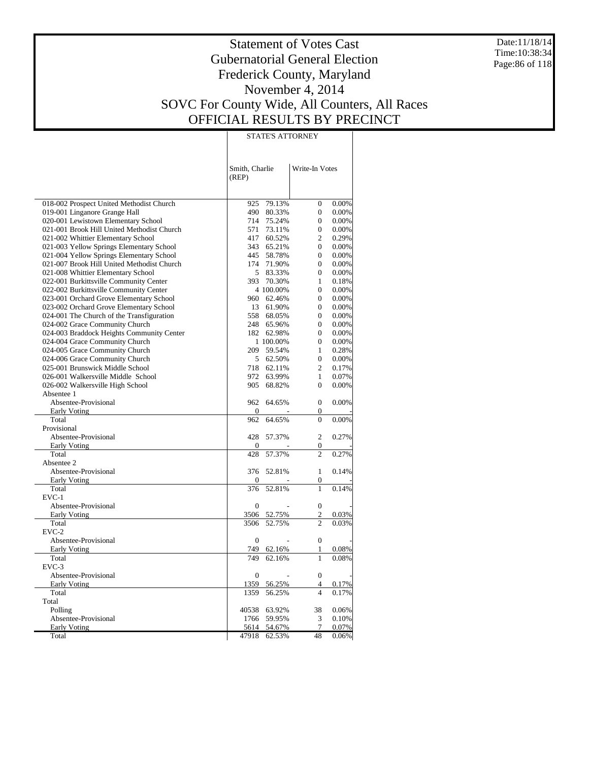Date:11/18/14 Time:10:38:34 Page:86 of 118

# Statement of Votes Cast Gubernatorial General Election Frederick County, Maryland November 4, 2014 SOVC For County Wide, All Counters, All Races OFFICIAL RESULTS BY PRECINCT

 $\overline{\phantom{a}}$ 

| Smith, Charlie<br>Write-In Votes<br>(REP)<br>925<br>018-002 Prospect United Methodist Church<br>79.13%<br>$\Omega$<br>0.00%<br>019-001 Linganore Grange Hall<br>490 80.33%<br>$\overline{0}$<br>0.00%<br>020-001 Lewistown Elementary School<br>714 75.24%<br>$\Omega$<br>0.00%<br>021-001 Brook Hill United Methodist Church<br>$\mathbf{0}$<br>571<br>73.11%<br>0.00%<br>021-002 Whittier Elementary School<br>$\overline{c}$<br>417 60.52%<br>0.29%<br>021-003 Yellow Springs Elementary School<br>$\theta$<br>343 65.21%<br>0.00%<br>021-004 Yellow Springs Elementary School<br>445<br>58.78%<br>$\Omega$<br>0.00%<br>021-007 Brook Hill United Methodist Church<br>174 71.90%<br>$\theta$<br>0.00%<br>021-008 Whittier Elementary School<br>5 83.33%<br>$\mathbf{0}$<br>0.00%<br>022-001 Burkittsville Community Center<br>393 70.30%<br>$\mathbf{1}$<br>0.18%<br>022-002 Burkittsville Community Center<br>$\mathbf{0}$<br>4 100.00%<br>0.00%<br>023-001 Orchard Grove Elementary School<br>960 62.46%<br>$\Omega$<br>0.00%<br>023-002 Orchard Grove Elementary School<br>$\theta$<br>13 61.90%<br>0.00%<br>024-001 The Church of the Transfiguration<br>$\overline{0}$<br>558 68.05%<br>0.00%<br>024-002 Grace Community Church<br>$\Omega$<br>248 65.96%<br>0.00%<br>024-003 Braddock Heights Community Center<br>$\theta$<br>182 62.98%<br>$0.00\%$<br>024-004 Grace Community Church<br>$\mathbf{0}$<br>1 100.00%<br>$0.00\%$<br>024-005 Grace Community Church<br>209 59.54%<br>$\mathbf{1}$<br>0.28%<br>024-006 Grace Community Church<br>5 62.50%<br>$\mathbf{0}$<br>0.00%<br>025-001 Brunswick Middle School<br>718 62.11%<br>$\overline{c}$<br>0.17%<br>972 63.99%<br>026-001 Walkersville Middle School<br>$\mathbf{1}$<br>0.07%<br>905 68.82%<br>$\theta$<br>026-002 Walkersville High School<br>0.00%<br>Absentee 1<br>$\theta$<br>Absentee-Provisional<br>962 64.65%<br>$0.00\%$<br>Early Voting<br>$\boldsymbol{0}$<br>$\mathbf{0}$<br>Total<br>962 64.65%<br>$\theta$<br>0.00%<br>Provisional<br>Absentee-Provisional<br>428 57.37%<br>$\overline{2}$<br>0.27%<br>Early Voting<br>$\mathbf{0}$<br>$\Omega$<br>$\overline{c}$<br>Total<br>428 57.37%<br>0.27%<br>Absentee 2<br>Absentee-Provisional<br>376 52.81%<br>1<br>0.14%<br>Early Voting<br>$\mathbf{0}$<br>$\mathbf{0}$<br>52.81%<br>Total<br>376<br>1<br>0.14%<br>$EVC-1$<br>$\overline{0}$<br>$\mathbf{0}$<br>Absentee-Provisional<br>$\overline{c}$<br>3506 52.75%<br>Early Voting<br>0.03%<br>$\overline{c}$<br>Total<br>3506<br>52.75%<br>0.03%<br>$EVC-2$<br>$\overline{0}$<br>Absentee-Provisional<br>$\mathbf{0}$<br>Early Voting<br>749<br>62.16%<br>1<br>0.08%<br>Total<br>749<br>62.16%<br>$\mathbf{1}$<br>0.08%<br>$EVC-3$<br>$\mathbf{0}$<br>Absentee-Provisional<br>$\mathbf{0}$<br>1359<br>56.25%<br>$\overline{4}$<br>Early Voting<br>0.17%<br>Total<br>1359 56.25%<br>$\overline{4}$<br>0.17%<br>Total<br>Polling<br>40538 63.92%<br>38<br>0.06%<br>Absentee-Provisional<br>1766 59.95%<br>3<br>0.10%<br>7<br>Early Voting<br>5614<br>54.67%<br>0.07% |       |       |        |    |       |
|-----------------------------------------------------------------------------------------------------------------------------------------------------------------------------------------------------------------------------------------------------------------------------------------------------------------------------------------------------------------------------------------------------------------------------------------------------------------------------------------------------------------------------------------------------------------------------------------------------------------------------------------------------------------------------------------------------------------------------------------------------------------------------------------------------------------------------------------------------------------------------------------------------------------------------------------------------------------------------------------------------------------------------------------------------------------------------------------------------------------------------------------------------------------------------------------------------------------------------------------------------------------------------------------------------------------------------------------------------------------------------------------------------------------------------------------------------------------------------------------------------------------------------------------------------------------------------------------------------------------------------------------------------------------------------------------------------------------------------------------------------------------------------------------------------------------------------------------------------------------------------------------------------------------------------------------------------------------------------------------------------------------------------------------------------------------------------------------------------------------------------------------------------------------------------------------------------------------------------------------------------------------------------------------------------------------------------------------------------------------------------------------------------------------------------------------------------------------------------------------------------------------------------------------------------------------------------------------------------------------------------------------------------------------------------------------------------------------------------------------------------------------------------------------------------------------------------------------------------------------------------------------------------------------------------------------------------------------------------------------------------------------------------------------------------|-------|-------|--------|----|-------|
|                                                                                                                                                                                                                                                                                                                                                                                                                                                                                                                                                                                                                                                                                                                                                                                                                                                                                                                                                                                                                                                                                                                                                                                                                                                                                                                                                                                                                                                                                                                                                                                                                                                                                                                                                                                                                                                                                                                                                                                                                                                                                                                                                                                                                                                                                                                                                                                                                                                                                                                                                                                                                                                                                                                                                                                                                                                                                                                                                                                                                                                     |       |       |        |    |       |
|                                                                                                                                                                                                                                                                                                                                                                                                                                                                                                                                                                                                                                                                                                                                                                                                                                                                                                                                                                                                                                                                                                                                                                                                                                                                                                                                                                                                                                                                                                                                                                                                                                                                                                                                                                                                                                                                                                                                                                                                                                                                                                                                                                                                                                                                                                                                                                                                                                                                                                                                                                                                                                                                                                                                                                                                                                                                                                                                                                                                                                                     |       |       |        |    |       |
|                                                                                                                                                                                                                                                                                                                                                                                                                                                                                                                                                                                                                                                                                                                                                                                                                                                                                                                                                                                                                                                                                                                                                                                                                                                                                                                                                                                                                                                                                                                                                                                                                                                                                                                                                                                                                                                                                                                                                                                                                                                                                                                                                                                                                                                                                                                                                                                                                                                                                                                                                                                                                                                                                                                                                                                                                                                                                                                                                                                                                                                     |       |       |        |    |       |
|                                                                                                                                                                                                                                                                                                                                                                                                                                                                                                                                                                                                                                                                                                                                                                                                                                                                                                                                                                                                                                                                                                                                                                                                                                                                                                                                                                                                                                                                                                                                                                                                                                                                                                                                                                                                                                                                                                                                                                                                                                                                                                                                                                                                                                                                                                                                                                                                                                                                                                                                                                                                                                                                                                                                                                                                                                                                                                                                                                                                                                                     |       |       |        |    |       |
|                                                                                                                                                                                                                                                                                                                                                                                                                                                                                                                                                                                                                                                                                                                                                                                                                                                                                                                                                                                                                                                                                                                                                                                                                                                                                                                                                                                                                                                                                                                                                                                                                                                                                                                                                                                                                                                                                                                                                                                                                                                                                                                                                                                                                                                                                                                                                                                                                                                                                                                                                                                                                                                                                                                                                                                                                                                                                                                                                                                                                                                     |       |       |        |    |       |
|                                                                                                                                                                                                                                                                                                                                                                                                                                                                                                                                                                                                                                                                                                                                                                                                                                                                                                                                                                                                                                                                                                                                                                                                                                                                                                                                                                                                                                                                                                                                                                                                                                                                                                                                                                                                                                                                                                                                                                                                                                                                                                                                                                                                                                                                                                                                                                                                                                                                                                                                                                                                                                                                                                                                                                                                                                                                                                                                                                                                                                                     |       |       |        |    |       |
|                                                                                                                                                                                                                                                                                                                                                                                                                                                                                                                                                                                                                                                                                                                                                                                                                                                                                                                                                                                                                                                                                                                                                                                                                                                                                                                                                                                                                                                                                                                                                                                                                                                                                                                                                                                                                                                                                                                                                                                                                                                                                                                                                                                                                                                                                                                                                                                                                                                                                                                                                                                                                                                                                                                                                                                                                                                                                                                                                                                                                                                     |       |       |        |    |       |
|                                                                                                                                                                                                                                                                                                                                                                                                                                                                                                                                                                                                                                                                                                                                                                                                                                                                                                                                                                                                                                                                                                                                                                                                                                                                                                                                                                                                                                                                                                                                                                                                                                                                                                                                                                                                                                                                                                                                                                                                                                                                                                                                                                                                                                                                                                                                                                                                                                                                                                                                                                                                                                                                                                                                                                                                                                                                                                                                                                                                                                                     |       |       |        |    |       |
|                                                                                                                                                                                                                                                                                                                                                                                                                                                                                                                                                                                                                                                                                                                                                                                                                                                                                                                                                                                                                                                                                                                                                                                                                                                                                                                                                                                                                                                                                                                                                                                                                                                                                                                                                                                                                                                                                                                                                                                                                                                                                                                                                                                                                                                                                                                                                                                                                                                                                                                                                                                                                                                                                                                                                                                                                                                                                                                                                                                                                                                     |       |       |        |    |       |
|                                                                                                                                                                                                                                                                                                                                                                                                                                                                                                                                                                                                                                                                                                                                                                                                                                                                                                                                                                                                                                                                                                                                                                                                                                                                                                                                                                                                                                                                                                                                                                                                                                                                                                                                                                                                                                                                                                                                                                                                                                                                                                                                                                                                                                                                                                                                                                                                                                                                                                                                                                                                                                                                                                                                                                                                                                                                                                                                                                                                                                                     |       |       |        |    |       |
|                                                                                                                                                                                                                                                                                                                                                                                                                                                                                                                                                                                                                                                                                                                                                                                                                                                                                                                                                                                                                                                                                                                                                                                                                                                                                                                                                                                                                                                                                                                                                                                                                                                                                                                                                                                                                                                                                                                                                                                                                                                                                                                                                                                                                                                                                                                                                                                                                                                                                                                                                                                                                                                                                                                                                                                                                                                                                                                                                                                                                                                     |       |       |        |    |       |
|                                                                                                                                                                                                                                                                                                                                                                                                                                                                                                                                                                                                                                                                                                                                                                                                                                                                                                                                                                                                                                                                                                                                                                                                                                                                                                                                                                                                                                                                                                                                                                                                                                                                                                                                                                                                                                                                                                                                                                                                                                                                                                                                                                                                                                                                                                                                                                                                                                                                                                                                                                                                                                                                                                                                                                                                                                                                                                                                                                                                                                                     |       |       |        |    |       |
|                                                                                                                                                                                                                                                                                                                                                                                                                                                                                                                                                                                                                                                                                                                                                                                                                                                                                                                                                                                                                                                                                                                                                                                                                                                                                                                                                                                                                                                                                                                                                                                                                                                                                                                                                                                                                                                                                                                                                                                                                                                                                                                                                                                                                                                                                                                                                                                                                                                                                                                                                                                                                                                                                                                                                                                                                                                                                                                                                                                                                                                     |       |       |        |    |       |
|                                                                                                                                                                                                                                                                                                                                                                                                                                                                                                                                                                                                                                                                                                                                                                                                                                                                                                                                                                                                                                                                                                                                                                                                                                                                                                                                                                                                                                                                                                                                                                                                                                                                                                                                                                                                                                                                                                                                                                                                                                                                                                                                                                                                                                                                                                                                                                                                                                                                                                                                                                                                                                                                                                                                                                                                                                                                                                                                                                                                                                                     |       |       |        |    |       |
|                                                                                                                                                                                                                                                                                                                                                                                                                                                                                                                                                                                                                                                                                                                                                                                                                                                                                                                                                                                                                                                                                                                                                                                                                                                                                                                                                                                                                                                                                                                                                                                                                                                                                                                                                                                                                                                                                                                                                                                                                                                                                                                                                                                                                                                                                                                                                                                                                                                                                                                                                                                                                                                                                                                                                                                                                                                                                                                                                                                                                                                     |       |       |        |    |       |
|                                                                                                                                                                                                                                                                                                                                                                                                                                                                                                                                                                                                                                                                                                                                                                                                                                                                                                                                                                                                                                                                                                                                                                                                                                                                                                                                                                                                                                                                                                                                                                                                                                                                                                                                                                                                                                                                                                                                                                                                                                                                                                                                                                                                                                                                                                                                                                                                                                                                                                                                                                                                                                                                                                                                                                                                                                                                                                                                                                                                                                                     |       |       |        |    |       |
|                                                                                                                                                                                                                                                                                                                                                                                                                                                                                                                                                                                                                                                                                                                                                                                                                                                                                                                                                                                                                                                                                                                                                                                                                                                                                                                                                                                                                                                                                                                                                                                                                                                                                                                                                                                                                                                                                                                                                                                                                                                                                                                                                                                                                                                                                                                                                                                                                                                                                                                                                                                                                                                                                                                                                                                                                                                                                                                                                                                                                                                     |       |       |        |    |       |
|                                                                                                                                                                                                                                                                                                                                                                                                                                                                                                                                                                                                                                                                                                                                                                                                                                                                                                                                                                                                                                                                                                                                                                                                                                                                                                                                                                                                                                                                                                                                                                                                                                                                                                                                                                                                                                                                                                                                                                                                                                                                                                                                                                                                                                                                                                                                                                                                                                                                                                                                                                                                                                                                                                                                                                                                                                                                                                                                                                                                                                                     |       |       |        |    |       |
|                                                                                                                                                                                                                                                                                                                                                                                                                                                                                                                                                                                                                                                                                                                                                                                                                                                                                                                                                                                                                                                                                                                                                                                                                                                                                                                                                                                                                                                                                                                                                                                                                                                                                                                                                                                                                                                                                                                                                                                                                                                                                                                                                                                                                                                                                                                                                                                                                                                                                                                                                                                                                                                                                                                                                                                                                                                                                                                                                                                                                                                     |       |       |        |    |       |
|                                                                                                                                                                                                                                                                                                                                                                                                                                                                                                                                                                                                                                                                                                                                                                                                                                                                                                                                                                                                                                                                                                                                                                                                                                                                                                                                                                                                                                                                                                                                                                                                                                                                                                                                                                                                                                                                                                                                                                                                                                                                                                                                                                                                                                                                                                                                                                                                                                                                                                                                                                                                                                                                                                                                                                                                                                                                                                                                                                                                                                                     |       |       |        |    |       |
|                                                                                                                                                                                                                                                                                                                                                                                                                                                                                                                                                                                                                                                                                                                                                                                                                                                                                                                                                                                                                                                                                                                                                                                                                                                                                                                                                                                                                                                                                                                                                                                                                                                                                                                                                                                                                                                                                                                                                                                                                                                                                                                                                                                                                                                                                                                                                                                                                                                                                                                                                                                                                                                                                                                                                                                                                                                                                                                                                                                                                                                     |       |       |        |    |       |
|                                                                                                                                                                                                                                                                                                                                                                                                                                                                                                                                                                                                                                                                                                                                                                                                                                                                                                                                                                                                                                                                                                                                                                                                                                                                                                                                                                                                                                                                                                                                                                                                                                                                                                                                                                                                                                                                                                                                                                                                                                                                                                                                                                                                                                                                                                                                                                                                                                                                                                                                                                                                                                                                                                                                                                                                                                                                                                                                                                                                                                                     |       |       |        |    |       |
|                                                                                                                                                                                                                                                                                                                                                                                                                                                                                                                                                                                                                                                                                                                                                                                                                                                                                                                                                                                                                                                                                                                                                                                                                                                                                                                                                                                                                                                                                                                                                                                                                                                                                                                                                                                                                                                                                                                                                                                                                                                                                                                                                                                                                                                                                                                                                                                                                                                                                                                                                                                                                                                                                                                                                                                                                                                                                                                                                                                                                                                     |       |       |        |    |       |
|                                                                                                                                                                                                                                                                                                                                                                                                                                                                                                                                                                                                                                                                                                                                                                                                                                                                                                                                                                                                                                                                                                                                                                                                                                                                                                                                                                                                                                                                                                                                                                                                                                                                                                                                                                                                                                                                                                                                                                                                                                                                                                                                                                                                                                                                                                                                                                                                                                                                                                                                                                                                                                                                                                                                                                                                                                                                                                                                                                                                                                                     |       |       |        |    |       |
|                                                                                                                                                                                                                                                                                                                                                                                                                                                                                                                                                                                                                                                                                                                                                                                                                                                                                                                                                                                                                                                                                                                                                                                                                                                                                                                                                                                                                                                                                                                                                                                                                                                                                                                                                                                                                                                                                                                                                                                                                                                                                                                                                                                                                                                                                                                                                                                                                                                                                                                                                                                                                                                                                                                                                                                                                                                                                                                                                                                                                                                     |       |       |        |    |       |
|                                                                                                                                                                                                                                                                                                                                                                                                                                                                                                                                                                                                                                                                                                                                                                                                                                                                                                                                                                                                                                                                                                                                                                                                                                                                                                                                                                                                                                                                                                                                                                                                                                                                                                                                                                                                                                                                                                                                                                                                                                                                                                                                                                                                                                                                                                                                                                                                                                                                                                                                                                                                                                                                                                                                                                                                                                                                                                                                                                                                                                                     |       |       |        |    |       |
|                                                                                                                                                                                                                                                                                                                                                                                                                                                                                                                                                                                                                                                                                                                                                                                                                                                                                                                                                                                                                                                                                                                                                                                                                                                                                                                                                                                                                                                                                                                                                                                                                                                                                                                                                                                                                                                                                                                                                                                                                                                                                                                                                                                                                                                                                                                                                                                                                                                                                                                                                                                                                                                                                                                                                                                                                                                                                                                                                                                                                                                     |       |       |        |    |       |
|                                                                                                                                                                                                                                                                                                                                                                                                                                                                                                                                                                                                                                                                                                                                                                                                                                                                                                                                                                                                                                                                                                                                                                                                                                                                                                                                                                                                                                                                                                                                                                                                                                                                                                                                                                                                                                                                                                                                                                                                                                                                                                                                                                                                                                                                                                                                                                                                                                                                                                                                                                                                                                                                                                                                                                                                                                                                                                                                                                                                                                                     |       |       |        |    |       |
|                                                                                                                                                                                                                                                                                                                                                                                                                                                                                                                                                                                                                                                                                                                                                                                                                                                                                                                                                                                                                                                                                                                                                                                                                                                                                                                                                                                                                                                                                                                                                                                                                                                                                                                                                                                                                                                                                                                                                                                                                                                                                                                                                                                                                                                                                                                                                                                                                                                                                                                                                                                                                                                                                                                                                                                                                                                                                                                                                                                                                                                     |       |       |        |    |       |
|                                                                                                                                                                                                                                                                                                                                                                                                                                                                                                                                                                                                                                                                                                                                                                                                                                                                                                                                                                                                                                                                                                                                                                                                                                                                                                                                                                                                                                                                                                                                                                                                                                                                                                                                                                                                                                                                                                                                                                                                                                                                                                                                                                                                                                                                                                                                                                                                                                                                                                                                                                                                                                                                                                                                                                                                                                                                                                                                                                                                                                                     |       |       |        |    |       |
|                                                                                                                                                                                                                                                                                                                                                                                                                                                                                                                                                                                                                                                                                                                                                                                                                                                                                                                                                                                                                                                                                                                                                                                                                                                                                                                                                                                                                                                                                                                                                                                                                                                                                                                                                                                                                                                                                                                                                                                                                                                                                                                                                                                                                                                                                                                                                                                                                                                                                                                                                                                                                                                                                                                                                                                                                                                                                                                                                                                                                                                     |       |       |        |    |       |
|                                                                                                                                                                                                                                                                                                                                                                                                                                                                                                                                                                                                                                                                                                                                                                                                                                                                                                                                                                                                                                                                                                                                                                                                                                                                                                                                                                                                                                                                                                                                                                                                                                                                                                                                                                                                                                                                                                                                                                                                                                                                                                                                                                                                                                                                                                                                                                                                                                                                                                                                                                                                                                                                                                                                                                                                                                                                                                                                                                                                                                                     |       |       |        |    |       |
|                                                                                                                                                                                                                                                                                                                                                                                                                                                                                                                                                                                                                                                                                                                                                                                                                                                                                                                                                                                                                                                                                                                                                                                                                                                                                                                                                                                                                                                                                                                                                                                                                                                                                                                                                                                                                                                                                                                                                                                                                                                                                                                                                                                                                                                                                                                                                                                                                                                                                                                                                                                                                                                                                                                                                                                                                                                                                                                                                                                                                                                     |       |       |        |    |       |
|                                                                                                                                                                                                                                                                                                                                                                                                                                                                                                                                                                                                                                                                                                                                                                                                                                                                                                                                                                                                                                                                                                                                                                                                                                                                                                                                                                                                                                                                                                                                                                                                                                                                                                                                                                                                                                                                                                                                                                                                                                                                                                                                                                                                                                                                                                                                                                                                                                                                                                                                                                                                                                                                                                                                                                                                                                                                                                                                                                                                                                                     |       |       |        |    |       |
|                                                                                                                                                                                                                                                                                                                                                                                                                                                                                                                                                                                                                                                                                                                                                                                                                                                                                                                                                                                                                                                                                                                                                                                                                                                                                                                                                                                                                                                                                                                                                                                                                                                                                                                                                                                                                                                                                                                                                                                                                                                                                                                                                                                                                                                                                                                                                                                                                                                                                                                                                                                                                                                                                                                                                                                                                                                                                                                                                                                                                                                     |       |       |        |    |       |
|                                                                                                                                                                                                                                                                                                                                                                                                                                                                                                                                                                                                                                                                                                                                                                                                                                                                                                                                                                                                                                                                                                                                                                                                                                                                                                                                                                                                                                                                                                                                                                                                                                                                                                                                                                                                                                                                                                                                                                                                                                                                                                                                                                                                                                                                                                                                                                                                                                                                                                                                                                                                                                                                                                                                                                                                                                                                                                                                                                                                                                                     |       |       |        |    |       |
|                                                                                                                                                                                                                                                                                                                                                                                                                                                                                                                                                                                                                                                                                                                                                                                                                                                                                                                                                                                                                                                                                                                                                                                                                                                                                                                                                                                                                                                                                                                                                                                                                                                                                                                                                                                                                                                                                                                                                                                                                                                                                                                                                                                                                                                                                                                                                                                                                                                                                                                                                                                                                                                                                                                                                                                                                                                                                                                                                                                                                                                     |       |       |        |    |       |
|                                                                                                                                                                                                                                                                                                                                                                                                                                                                                                                                                                                                                                                                                                                                                                                                                                                                                                                                                                                                                                                                                                                                                                                                                                                                                                                                                                                                                                                                                                                                                                                                                                                                                                                                                                                                                                                                                                                                                                                                                                                                                                                                                                                                                                                                                                                                                                                                                                                                                                                                                                                                                                                                                                                                                                                                                                                                                                                                                                                                                                                     |       |       |        |    |       |
|                                                                                                                                                                                                                                                                                                                                                                                                                                                                                                                                                                                                                                                                                                                                                                                                                                                                                                                                                                                                                                                                                                                                                                                                                                                                                                                                                                                                                                                                                                                                                                                                                                                                                                                                                                                                                                                                                                                                                                                                                                                                                                                                                                                                                                                                                                                                                                                                                                                                                                                                                                                                                                                                                                                                                                                                                                                                                                                                                                                                                                                     |       |       |        |    |       |
|                                                                                                                                                                                                                                                                                                                                                                                                                                                                                                                                                                                                                                                                                                                                                                                                                                                                                                                                                                                                                                                                                                                                                                                                                                                                                                                                                                                                                                                                                                                                                                                                                                                                                                                                                                                                                                                                                                                                                                                                                                                                                                                                                                                                                                                                                                                                                                                                                                                                                                                                                                                                                                                                                                                                                                                                                                                                                                                                                                                                                                                     |       |       |        |    |       |
|                                                                                                                                                                                                                                                                                                                                                                                                                                                                                                                                                                                                                                                                                                                                                                                                                                                                                                                                                                                                                                                                                                                                                                                                                                                                                                                                                                                                                                                                                                                                                                                                                                                                                                                                                                                                                                                                                                                                                                                                                                                                                                                                                                                                                                                                                                                                                                                                                                                                                                                                                                                                                                                                                                                                                                                                                                                                                                                                                                                                                                                     |       |       |        |    |       |
|                                                                                                                                                                                                                                                                                                                                                                                                                                                                                                                                                                                                                                                                                                                                                                                                                                                                                                                                                                                                                                                                                                                                                                                                                                                                                                                                                                                                                                                                                                                                                                                                                                                                                                                                                                                                                                                                                                                                                                                                                                                                                                                                                                                                                                                                                                                                                                                                                                                                                                                                                                                                                                                                                                                                                                                                                                                                                                                                                                                                                                                     |       |       |        |    |       |
|                                                                                                                                                                                                                                                                                                                                                                                                                                                                                                                                                                                                                                                                                                                                                                                                                                                                                                                                                                                                                                                                                                                                                                                                                                                                                                                                                                                                                                                                                                                                                                                                                                                                                                                                                                                                                                                                                                                                                                                                                                                                                                                                                                                                                                                                                                                                                                                                                                                                                                                                                                                                                                                                                                                                                                                                                                                                                                                                                                                                                                                     |       |       |        |    |       |
|                                                                                                                                                                                                                                                                                                                                                                                                                                                                                                                                                                                                                                                                                                                                                                                                                                                                                                                                                                                                                                                                                                                                                                                                                                                                                                                                                                                                                                                                                                                                                                                                                                                                                                                                                                                                                                                                                                                                                                                                                                                                                                                                                                                                                                                                                                                                                                                                                                                                                                                                                                                                                                                                                                                                                                                                                                                                                                                                                                                                                                                     |       |       |        |    |       |
|                                                                                                                                                                                                                                                                                                                                                                                                                                                                                                                                                                                                                                                                                                                                                                                                                                                                                                                                                                                                                                                                                                                                                                                                                                                                                                                                                                                                                                                                                                                                                                                                                                                                                                                                                                                                                                                                                                                                                                                                                                                                                                                                                                                                                                                                                                                                                                                                                                                                                                                                                                                                                                                                                                                                                                                                                                                                                                                                                                                                                                                     |       |       |        |    |       |
|                                                                                                                                                                                                                                                                                                                                                                                                                                                                                                                                                                                                                                                                                                                                                                                                                                                                                                                                                                                                                                                                                                                                                                                                                                                                                                                                                                                                                                                                                                                                                                                                                                                                                                                                                                                                                                                                                                                                                                                                                                                                                                                                                                                                                                                                                                                                                                                                                                                                                                                                                                                                                                                                                                                                                                                                                                                                                                                                                                                                                                                     |       |       |        |    |       |
|                                                                                                                                                                                                                                                                                                                                                                                                                                                                                                                                                                                                                                                                                                                                                                                                                                                                                                                                                                                                                                                                                                                                                                                                                                                                                                                                                                                                                                                                                                                                                                                                                                                                                                                                                                                                                                                                                                                                                                                                                                                                                                                                                                                                                                                                                                                                                                                                                                                                                                                                                                                                                                                                                                                                                                                                                                                                                                                                                                                                                                                     |       |       |        |    |       |
|                                                                                                                                                                                                                                                                                                                                                                                                                                                                                                                                                                                                                                                                                                                                                                                                                                                                                                                                                                                                                                                                                                                                                                                                                                                                                                                                                                                                                                                                                                                                                                                                                                                                                                                                                                                                                                                                                                                                                                                                                                                                                                                                                                                                                                                                                                                                                                                                                                                                                                                                                                                                                                                                                                                                                                                                                                                                                                                                                                                                                                                     |       |       |        |    |       |
|                                                                                                                                                                                                                                                                                                                                                                                                                                                                                                                                                                                                                                                                                                                                                                                                                                                                                                                                                                                                                                                                                                                                                                                                                                                                                                                                                                                                                                                                                                                                                                                                                                                                                                                                                                                                                                                                                                                                                                                                                                                                                                                                                                                                                                                                                                                                                                                                                                                                                                                                                                                                                                                                                                                                                                                                                                                                                                                                                                                                                                                     |       |       |        |    |       |
|                                                                                                                                                                                                                                                                                                                                                                                                                                                                                                                                                                                                                                                                                                                                                                                                                                                                                                                                                                                                                                                                                                                                                                                                                                                                                                                                                                                                                                                                                                                                                                                                                                                                                                                                                                                                                                                                                                                                                                                                                                                                                                                                                                                                                                                                                                                                                                                                                                                                                                                                                                                                                                                                                                                                                                                                                                                                                                                                                                                                                                                     |       |       |        |    |       |
|                                                                                                                                                                                                                                                                                                                                                                                                                                                                                                                                                                                                                                                                                                                                                                                                                                                                                                                                                                                                                                                                                                                                                                                                                                                                                                                                                                                                                                                                                                                                                                                                                                                                                                                                                                                                                                                                                                                                                                                                                                                                                                                                                                                                                                                                                                                                                                                                                                                                                                                                                                                                                                                                                                                                                                                                                                                                                                                                                                                                                                                     |       |       |        |    |       |
|                                                                                                                                                                                                                                                                                                                                                                                                                                                                                                                                                                                                                                                                                                                                                                                                                                                                                                                                                                                                                                                                                                                                                                                                                                                                                                                                                                                                                                                                                                                                                                                                                                                                                                                                                                                                                                                                                                                                                                                                                                                                                                                                                                                                                                                                                                                                                                                                                                                                                                                                                                                                                                                                                                                                                                                                                                                                                                                                                                                                                                                     |       |       |        |    |       |
|                                                                                                                                                                                                                                                                                                                                                                                                                                                                                                                                                                                                                                                                                                                                                                                                                                                                                                                                                                                                                                                                                                                                                                                                                                                                                                                                                                                                                                                                                                                                                                                                                                                                                                                                                                                                                                                                                                                                                                                                                                                                                                                                                                                                                                                                                                                                                                                                                                                                                                                                                                                                                                                                                                                                                                                                                                                                                                                                                                                                                                                     | Total | 47918 | 62.53% | 48 | 0.06% |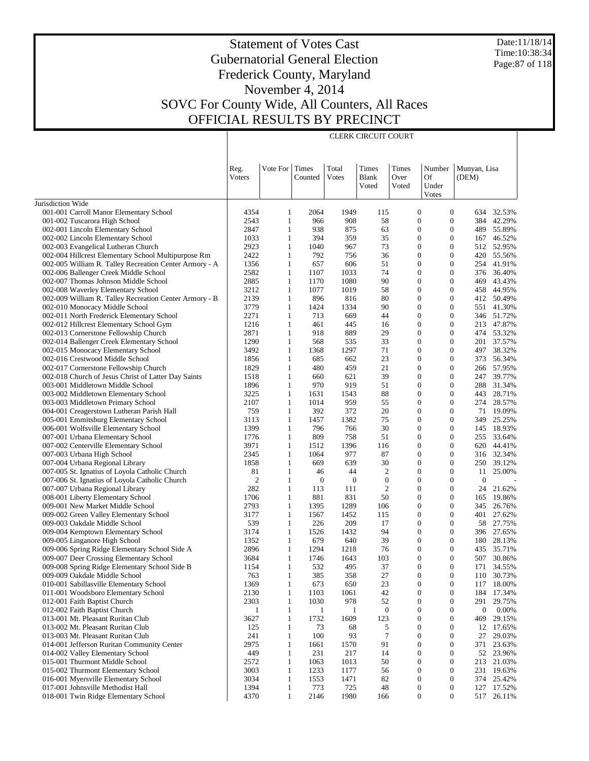Date:11/18/14 Time:10:38:34 Page:87 of 118

# Statement of Votes Cast Gubernatorial General Election Frederick County, Maryland November 4, 2014 SOVC For County Wide, All Counters, All Races OFFICIAL RESULTS BY PRECINCT

CLERK CIRCUIT COURT

|                                                                                   | Reg.<br>Voters   | Vote For                     | Times<br>Counted | Total<br>Votes   | Times<br><b>Blank</b><br>Voted | Times<br>Over<br>Voted               | Number<br>Of<br>Under<br>Votes       | Munyan, Lisa<br>(DEM) |                      |
|-----------------------------------------------------------------------------------|------------------|------------------------------|------------------|------------------|--------------------------------|--------------------------------------|--------------------------------------|-----------------------|----------------------|
| Jurisdiction Wide                                                                 |                  |                              |                  |                  |                                |                                      |                                      |                       |                      |
| 001-001 Carroll Manor Elementary School                                           | 4354             | $\mathbf{1}$                 | 2064             | 1949             | 115                            | $\boldsymbol{0}$                     | $\boldsymbol{0}$                     | 634                   | 32.53%               |
| 001-002 Tuscarora High School                                                     | 2543             | $\mathbf{1}$                 | 966              | 908              | 58                             | $\boldsymbol{0}$                     | $\boldsymbol{0}$                     | 384                   | 42.29%               |
| 002-001 Lincoln Elementary School                                                 | 2847             | $\mathbf{1}$                 | 938              | 875              | 63                             | $\boldsymbol{0}$                     | $\boldsymbol{0}$                     |                       | 489 55.89%           |
| 002-002 Lincoln Elementary School                                                 | 1033             | $\mathbf{1}$                 | 394              | 359              | 35                             | $\boldsymbol{0}$                     | $\boldsymbol{0}$                     |                       | 167 46.52%           |
| 002-003 Evangelical Lutheran Church                                               | 2923             | $\mathbf{1}$                 | 1040             | 967              | 73                             | $\boldsymbol{0}$                     | $\boldsymbol{0}$                     |                       | 512 52.95%           |
| 002-004 Hillcrest Elementary School Multipurpose Rm                               | 2422             | $\mathbf{1}$                 | 792              | 756              | 36                             | $\boldsymbol{0}$                     | $\boldsymbol{0}$                     |                       | 420 55.56%           |
| 002-005 William R. Talley Recreation Center Armory - A                            | 1356             | $\mathbf{1}$                 | 657              | 606              | 51                             | $\boldsymbol{0}$                     | $\boldsymbol{0}$                     |                       | 254 41.91%           |
| 002-006 Ballenger Creek Middle School                                             | 2582             | $\mathbf{1}$                 | 1107             | 1033             | 74                             | $\boldsymbol{0}$                     | $\boldsymbol{0}$                     |                       | 376 36.40%           |
| 002-007 Thomas Johnson Middle School                                              | 2885             | $\mathbf{1}$                 | 1170             | 1080             | 90                             | $\boldsymbol{0}$                     | $\boldsymbol{0}$                     | 469                   | 43.43%               |
| 002-008 Waverley Elementary School                                                | 3212             | $\mathbf{1}$                 | 1077             | 1019             | 58                             | $\boldsymbol{0}$                     | $\boldsymbol{0}$                     |                       | 458 44.95%           |
| 002-009 William R. Talley Recreation Center Armory - B                            | 2139             | $\mathbf{1}$                 | 896              | 816              | 80                             | $\boldsymbol{0}$                     | $\boldsymbol{0}$                     |                       | 412 50.49%           |
| 002-010 Monocacy Middle School                                                    | 3779             | $\mathbf{1}$                 | 1424             | 1334             | 90                             | $\boldsymbol{0}$                     | $\boldsymbol{0}$                     |                       | 551 41.30%           |
| 002-011 North Frederick Elementary School                                         | 2271             | $\mathbf{1}$                 | 713              | 669              | 44                             | $\boldsymbol{0}$                     | $\boldsymbol{0}$                     |                       | 346 51.72%           |
| 002-012 Hillcrest Elementary School Gym                                           | 1216             | $\mathbf{1}$                 | 461              | 445              | 16                             | $\boldsymbol{0}$                     | $\boldsymbol{0}$                     |                       | 213 47.87%           |
| 002-013 Cornerstone Fellowship Church                                             | 2871             | $\mathbf{1}$                 | 918              | 889              | 29                             | $\boldsymbol{0}$                     | $\boldsymbol{0}$                     |                       | 474 53.32%           |
| 002-014 Ballenger Creek Elementary School                                         | 1290             | $\mathbf{1}$                 | 568              | 535              | 33                             | $\boldsymbol{0}$                     | $\boldsymbol{0}$                     | 201                   | 37.57%               |
| 002-015 Monocacy Elementary School                                                | 3492             | $\mathbf{1}$                 | 1368             | 1297             | 71                             | $\boldsymbol{0}$                     | $\boldsymbol{0}$                     | 497                   | 38.32%               |
| 002-016 Crestwood Middle School                                                   | 1856             | $\mathbf{1}$                 | 685              | 662              | 23                             | $\boldsymbol{0}$                     | $\boldsymbol{0}$                     |                       | 373 56.34%           |
| 002-017 Cornerstone Fellowship Church                                             | 1829             | $\mathbf{1}$                 | 480              | 459              | 21                             | $\boldsymbol{0}$                     | $\boldsymbol{0}$                     |                       | 266 57.95%           |
| 002-018 Church of Jesus Christ of Latter Day Saints                               | 1518             | $\mathbf{1}$                 | 660              | 621              | 39                             | $\boldsymbol{0}$                     | $\boldsymbol{0}$                     |                       | 247 39.77%           |
| 003-001 Middletown Middle School                                                  | 1896             | $\mathbf{1}$                 | 970              | 919              | 51                             | $\boldsymbol{0}$                     | $\boldsymbol{0}$                     | 288                   | 31.34%               |
| 003-002 Middletown Elementary School                                              | 3225             | $\mathbf{1}$                 | 1631             | 1543             | 88                             | $\boldsymbol{0}$                     | $\boldsymbol{0}$                     |                       | 443 28.71%           |
| 003-003 Middletown Primary School                                                 | 2107             | $\mathbf{1}$                 | 1014             | 959              | 55                             | $\boldsymbol{0}$                     | $\boldsymbol{0}$                     |                       | 274 28.57%           |
| 004-001 Creagerstown Lutheran Parish Hall                                         | 759              | $\mathbf{1}$                 | 392              | 372              | 20                             | $\boldsymbol{0}$                     | $\boldsymbol{0}$                     |                       | 71 19.09%            |
| 005-001 Emmitsburg Elementary School                                              | 3113             | $\mathbf{1}$                 | 1457             | 1382             | 75                             | $\boldsymbol{0}$                     | $\boldsymbol{0}$                     | 349                   | 25.25%               |
| 006-001 Wolfsville Elementary School                                              | 1399             | $\mathbf{1}$                 | 796              | 766              | 30<br>51                       | $\boldsymbol{0}$<br>$\boldsymbol{0}$ | $\boldsymbol{0}$<br>$\boldsymbol{0}$ |                       | 145 18.93%           |
| 007-001 Urbana Elementary School                                                  | 1776             | $\mathbf{1}$<br>$\mathbf{1}$ | 809<br>1512      | 758<br>1396      |                                | $\boldsymbol{0}$                     | $\boldsymbol{0}$                     | 255                   | 33.64%<br>620 44.41% |
| 007-002 Centerville Elementary School                                             | 3971<br>2345     | $\mathbf{1}$                 | 1064             | 977              | 116<br>87                      | $\boldsymbol{0}$                     | $\boldsymbol{0}$                     |                       | 316 32.34%           |
| 007-003 Urbana High School                                                        | 1858             | $\mathbf{1}$                 | 669              | 639              | 30                             | $\boldsymbol{0}$                     | $\boldsymbol{0}$                     |                       | 250 39.12%           |
| 007-004 Urbana Regional Library<br>007-005 St. Ignatius of Loyola Catholic Church | 81               | 1                            | 46               | 44               | $\overline{c}$                 | $\boldsymbol{0}$                     | $\boldsymbol{0}$                     | 11                    | 25.00%               |
| 007-006 St. Ignatius of Loyola Catholic Church                                    | $\boldsymbol{2}$ | $\mathbf{1}$                 | $\boldsymbol{0}$ | $\boldsymbol{0}$ | $\boldsymbol{0}$               | $\boldsymbol{0}$                     | $\boldsymbol{0}$                     | $\boldsymbol{0}$      |                      |
| 007-007 Urbana Regional Library                                                   | 282              | $\mathbf{1}$                 | 113              | 111              | $\boldsymbol{2}$               | $\boldsymbol{0}$                     | $\boldsymbol{0}$                     | 24                    | 21.62%               |
| 008-001 Liberty Elementary School                                                 | 1706             | $\mathbf{1}$                 | 881              | 831              | 50                             | $\boldsymbol{0}$                     | $\boldsymbol{0}$                     | 165                   | 19.86%               |
| 009-001 New Market Middle School                                                  | 2793             | $\mathbf{1}$                 | 1395             | 1289             | 106                            | $\boldsymbol{0}$                     | $\boldsymbol{0}$                     |                       | 345 26.76%           |
| 009-002 Green Valley Elementary School                                            | 3177             | $\mathbf{1}$                 | 1567             | 1452             | 115                            | $\boldsymbol{0}$                     | $\boldsymbol{0}$                     |                       | 401 27.62%           |
| 009-003 Oakdale Middle School                                                     | 539              | $\mathbf{1}$                 | 226              | 209              | 17                             | $\boldsymbol{0}$                     | $\boldsymbol{0}$                     |                       | 58 27.75%            |
| 009-004 Kemptown Elementary School                                                | 3174             | $\mathbf{1}$                 | 1526             | 1432             | 94                             | $\boldsymbol{0}$                     | $\boldsymbol{0}$                     |                       | 396 27.65%           |
| 009-005 Linganore High School                                                     | 1352             | $\mathbf{1}$                 | 679              | 640              | 39                             | $\boldsymbol{0}$                     | $\boldsymbol{0}$                     |                       | 180 28.13%           |
| 009-006 Spring Ridge Elementary School Side A                                     | 2896             | $\mathbf{1}$                 | 1294             | 1218             | 76                             | $\boldsymbol{0}$                     | $\boldsymbol{0}$                     |                       | 435 35.71%           |
| 009-007 Deer Crossing Elementary School                                           | 3684             | $\mathbf{1}$                 | 1746             | 1643             | 103                            | $\boldsymbol{0}$                     | $\boldsymbol{0}$                     | 507                   | 30.86%               |
| 009-008 Spring Ridge Elementary School Side B                                     | 1154             | $\mathbf{1}$                 | 532              | 495              | 37                             | $\mathbf{0}$                         | $\mathbf{0}$                         |                       | 171 34.55%           |
| 009-009 Oakdale Middle School                                                     | 763              | $\mathbf{1}$                 | 385              | 358              | $27\,$                         | $\boldsymbol{0}$                     | $\boldsymbol{0}$                     | 110                   | 30.73%               |
| 010-001 Sabillasville Elementary School                                           | 1369             | 1                            | 673              | 650              | 23                             | $\boldsymbol{0}$                     | $\boldsymbol{0}$                     |                       | 117 18.00%           |
| 011-001 Woodsboro Elementary School                                               | 2130             | 1                            | 1103             | 1061             | 42                             | $\boldsymbol{0}$                     | $\boldsymbol{0}$                     | 184                   | 17.34%               |
| 012-001 Faith Baptist Church                                                      | 2303             | 1                            | 1030             | 978              | 52                             | $\boldsymbol{0}$                     | $\boldsymbol{0}$                     | 291                   | 29.75%               |
| 012-002 Faith Baptist Church                                                      | 1                | 1                            | 1                | 1                | $\boldsymbol{0}$               | $\boldsymbol{0}$                     | $\boldsymbol{0}$                     | $\boldsymbol{0}$      | 0.00%                |
| 013-001 Mt. Pleasant Ruritan Club                                                 | 3627             | $\mathbf{1}$                 | 1732             | 1609             | 123                            | $\boldsymbol{0}$                     | $\boldsymbol{0}$                     |                       | 469 29.15%           |
| 013-002 Mt. Pleasant Ruritan Club                                                 | 125              | $\mathbf{1}$                 | 73               | 68               | 5                              | $\boldsymbol{0}$                     | $\boldsymbol{0}$                     |                       | 12 17.65%            |
| 013-003 Mt. Pleasant Ruritan Club                                                 | 241              | $\mathbf{1}$                 | 100              | 93               | 7                              | $\boldsymbol{0}$                     | $\boldsymbol{0}$                     | 27                    | 29.03%               |
| 014-001 Jefferson Ruritan Community Center                                        | 2975             | $\mathbf{1}$                 | 1661             | 1570             | 91                             | $\boldsymbol{0}$                     | $\boldsymbol{0}$                     | 371                   | 23.63%               |
| 014-002 Valley Elementary School                                                  | 449              | $\mathbf{1}$                 | 231              | 217              | 14                             | $\boldsymbol{0}$                     | 0                                    |                       | 52 23.96%            |
| 015-001 Thurmont Middle School                                                    | 2572             | $\mathbf{1}$                 | 1063             | 1013             | 50                             | $\boldsymbol{0}$                     | $\boldsymbol{0}$                     |                       | 213 21.03%           |
| 015-002 Thurmont Elementary School                                                | 3003             | $\mathbf{1}$                 | 1233             | 1177             | 56                             | $\boldsymbol{0}$                     | 0                                    |                       | 231 19.63%           |
| 016-001 Myersville Elementary School                                              | 3034             | $\mathbf{1}$                 | 1553             | 1471             | 82                             | $\boldsymbol{0}$                     | 0                                    | 374                   | 25.42%               |
| 017-001 Johnsville Methodist Hall                                                 | 1394             | 1                            | 773              | 725              | 48                             | 0                                    | 0                                    | 127                   | 17.52%               |
| 018-001 Twin Ridge Elementary School                                              | 4370             | 1                            | 2146             | 1980             | 166                            | $\boldsymbol{0}$                     | $\boldsymbol{0}$                     | 517                   | 26.11%               |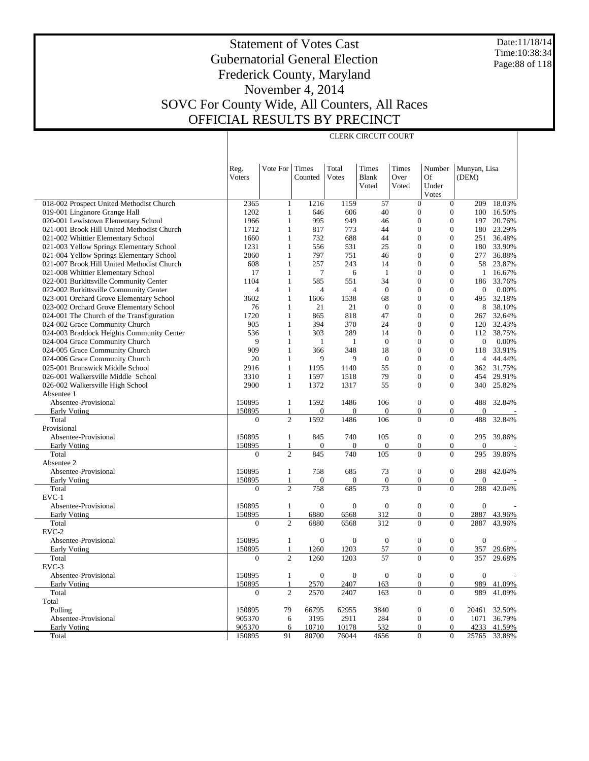Date:11/18/14 Time:10:38:34 Page:88 of 118

# Statement of Votes Cast Gubernatorial General Election Frederick County, Maryland November 4, 2014 SOVC For County Wide, All Counters, All Races OFFICIAL RESULTS BY PRECINCT

CLERK CIRCUIT COURT

| Vote For<br>Total<br>Times<br>Times<br>Number<br>Munyan, Lisa<br>Reg.<br>Times<br>Voters<br>Counted<br><b>Votes</b><br><b>Blank</b><br>Over<br>Of<br>(DEM)<br>Voted<br>Voted<br>Under<br>Votes<br>018-002 Prospect United Methodist Church<br>2365<br>$\mathbf{1}$<br>1216<br>1159<br>$\overline{0}$<br>$\mathbf{0}$<br>18.03%<br>57<br>209<br>$\overline{0}$<br>019-001 Linganore Grange Hall<br>1202<br>$\mathbf{1}$<br>646<br>606<br>40<br>$\mathbf{0}$<br>100<br>16.50%<br>995<br>949<br>020-001 Lewistown Elementary School<br>1966<br>$\mathbf{1}$<br>$\theta$<br>$\Omega$<br>197<br>20.76%<br>46<br>021-001 Brook Hill United Methodist Church<br>1712<br>$\mathbf{1}$<br>817<br>773<br>44<br>$\boldsymbol{0}$<br>$\boldsymbol{0}$<br>180<br>23.29%<br>732<br>688<br>44<br>$\theta$<br>$\theta$<br>021-002 Whittier Elementary School<br>1660<br>$\mathbf{1}$<br>251<br>36.48%<br>021-003 Yellow Springs Elementary School<br>$\mathbf{1}$<br>556<br>531<br>25<br>$\mathbf{0}$<br>$\mathbf{0}$<br>1231<br>180<br>33.90%<br>021-004 Yellow Springs Elementary School<br>797<br>$\mathbf{0}$<br>2060<br>$\mathbf{1}$<br>751<br>46<br>$\mathbf{0}$<br>277<br>36.88%<br>021-007 Brook Hill United Methodist Church<br>257<br>243<br>$\mathbf{0}$<br>608<br>$\mathbf{1}$<br>14<br>$\mathbf{0}$<br>58<br>23.87%<br>17<br>$\mathbf{1}$<br>7<br>6<br>$\mathbf{1}$<br>$\mathbf{0}$<br>$\mathbf{0}$<br>021-008 Whittier Elementary School<br>16.67%<br>1<br>022-001 Burkittsville Community Center<br>$\mathbf{1}$<br>585<br>551<br>$\mathbf{0}$<br>$\mathbf{0}$<br>33.76%<br>1104<br>34<br>186<br>022-002 Burkittsville Community Center<br>$\overline{4}$<br>$\theta$<br>$\theta$<br>0.00%<br>$\overline{4}$<br>1<br>$\overline{4}$<br>$\Omega$<br>$\mathbf{0}$<br>023-001 Orchard Grove Elementary School<br>3602<br>$\mathbf{1}$<br>1606<br>1538<br>68<br>$\mathbf{0}$<br>$\mathbf{0}$<br>495<br>32.18%<br>023-002 Orchard Grove Elementary School<br>$\mathbf{1}$<br>21<br>21<br>$\theta$<br>$\mathbf{0}$<br>$\mathbf{0}$<br>8<br>38.10%<br>76<br>$\overline{0}$<br>024-001 The Church of the Transfiguration<br>1720<br>$\mathbf{1}$<br>818<br>47<br>$\mathbf{0}$<br>32.64%<br>865<br>267<br>370<br>024-002 Grace Community Church<br>905<br>394<br>24<br>$\mathbf{0}$<br>$\mathbf{0}$<br>1<br>120<br>32.43%<br>024-003 Braddock Heights Community Center<br>536<br>$\mathbf{1}$<br>303<br>289<br>14<br>$\theta$<br>$\Omega$<br>112 38.75%<br>024-004 Grace Community Church<br>9<br>$\mathbf{1}$<br>$\mathbf{1}$<br>$\mathbf{1}$<br>$\theta$<br>$\mathbf{0}$<br>$\mathbf{0}$<br>$\overline{0}$<br>0.00%<br>909<br>$\mathbf{0}$<br>024-005 Grace Community Church<br>$\mathbf{1}$<br>366<br>348<br>18<br>$\mathbf{0}$<br>33.91%<br>118<br>$\theta$<br>024-006 Grace Community Church<br>$\mathbf{1}$<br>9<br>$\theta$<br>$\Omega$<br>44.44%<br>20<br>9<br>$\overline{4}$<br>025-001 Brunswick Middle School<br>2916<br>$\mathbf{1}$<br>1195<br>1140<br>55<br>$\Omega$<br>$\Omega$<br>362 31.75%<br>1597<br>79<br>29.91%<br>026-001 Walkersville Middle School<br>3310<br>$\mathbf{1}$<br>1518<br>$\mathbf{0}$<br>$\mathbf{0}$<br>454<br>$\mathbf{1}$<br>$\boldsymbol{0}$<br>$\boldsymbol{0}$<br>25.82%<br>026-002 Walkersville High School<br>2900<br>1372<br>1317<br>55<br>340<br>Absentee 1<br>$\boldsymbol{0}$<br>$\overline{0}$<br>$\mathbf{1}$<br>Absentee-Provisional<br>150895<br>1592<br>1486<br>106<br>488<br>32.84%<br>150895<br>$\boldsymbol{0}$<br>$\boldsymbol{0}$<br>Early Voting<br>$\mathbf{1}$<br>$\boldsymbol{0}$<br>$\mathbf{0}$<br>$\overline{0}$<br>$\mathbf{0}$<br>$\overline{2}$<br>1592<br>32.84%<br>Total<br>$\mathbf{0}$<br>1486<br>106<br>$\mathbf{0}$<br>$\overline{0}$<br>488<br>Provisional<br>$\boldsymbol{0}$<br>$\mathbf{1}$<br>845<br>740<br>105<br>$\boldsymbol{0}$<br>Absentee-Provisional<br>150895<br>295<br>39.86%<br>150895<br>$\mathbf{1}$<br>$\boldsymbol{0}$<br>$\boldsymbol{0}$<br>$\overline{0}$<br><b>Early Voting</b><br>$\overline{0}$<br>$\mathbf{0}$<br>$\overline{0}$<br>$\overline{c}$<br>845<br>740<br>105<br>Total<br>$\Omega$<br>$\Omega$<br>$\Omega$<br>295<br>39.86%<br>Absentee 2<br>$\mathbf{0}$<br>$\boldsymbol{0}$<br>150895<br>$\mathbf{1}$<br>685<br>73<br>42.04%<br>Absentee-Provisional<br>758<br>288<br>150895<br>$\mathbf{1}$<br>$\overline{0}$<br>$\mathbf{0}$<br>$\mathbf{0}$<br>$\mathbf{0}$<br>$\mathbf{0}$<br>Early Voting<br>$\overline{0}$<br>$\overline{2}$<br>758<br>685<br>73<br>$\mathbf{0}$<br>$\mathbf{0}$<br>288<br>42.04%<br>Total<br>$\overline{0}$<br>$EVC-1$<br>$\overline{0}$<br>$\overline{0}$<br>$\overline{0}$<br>$\mathbf{0}$<br>$\overline{0}$<br>$\mathbf{0}$<br>150895<br>$\mathbf{1}$<br>Absentee-Provisional<br>6568<br>312<br>2887<br>Early Voting<br>150895<br>$\mathbf{1}$<br>6880<br>$\mathbf{0}$<br>$\overline{0}$<br>43.96%<br>$\overline{2}$<br>312<br>$\theta$<br>$\theta$<br>2887<br>43.96%<br>Total<br>$\overline{0}$<br>6880<br>6568<br>$EVC-2$ |
|--------------------------------------------------------------------------------------------------------------------------------------------------------------------------------------------------------------------------------------------------------------------------------------------------------------------------------------------------------------------------------------------------------------------------------------------------------------------------------------------------------------------------------------------------------------------------------------------------------------------------------------------------------------------------------------------------------------------------------------------------------------------------------------------------------------------------------------------------------------------------------------------------------------------------------------------------------------------------------------------------------------------------------------------------------------------------------------------------------------------------------------------------------------------------------------------------------------------------------------------------------------------------------------------------------------------------------------------------------------------------------------------------------------------------------------------------------------------------------------------------------------------------------------------------------------------------------------------------------------------------------------------------------------------------------------------------------------------------------------------------------------------------------------------------------------------------------------------------------------------------------------------------------------------------------------------------------------------------------------------------------------------------------------------------------------------------------------------------------------------------------------------------------------------------------------------------------------------------------------------------------------------------------------------------------------------------------------------------------------------------------------------------------------------------------------------------------------------------------------------------------------------------------------------------------------------------------------------------------------------------------------------------------------------------------------------------------------------------------------------------------------------------------------------------------------------------------------------------------------------------------------------------------------------------------------------------------------------------------------------------------------------------------------------------------------------------------------------------------------------------------------------------------------------------------------------------------------------------------------------------------------------------------------------------------------------------------------------------------------------------------------------------------------------------------------------------------------------------------------------------------------------------------------------------------------------------------------------------------------------------------------------------------------------------------------------------------------------------------------------------------------------------------------------------------------------------------------------------------------------------------------------------------------------------------------------------------------------------------------------------------------------------------------------------------------------------------------------------------------------------------------------------------------------------------------------------------------------------------------------------------------------------------------------------------------------------------------------------------------------------------------------------------------------------------------------------------------------------------------------------------------------------------------------------------------------------------------------------------------------------------------------------------------------------------------------------------------------------------------------------------------------------------------------------------------------------------------------------------------------------------------------------------------------------------------------------------------|
|                                                                                                                                                                                                                                                                                                                                                                                                                                                                                                                                                                                                                                                                                                                                                                                                                                                                                                                                                                                                                                                                                                                                                                                                                                                                                                                                                                                                                                                                                                                                                                                                                                                                                                                                                                                                                                                                                                                                                                                                                                                                                                                                                                                                                                                                                                                                                                                                                                                                                                                                                                                                                                                                                                                                                                                                                                                                                                                                                                                                                                                                                                                                                                                                                                                                                                                                                                                                                                                                                                                                                                                                                                                                                                                                                                                                                                                                                                                                                                                                                                                                                                                                                                                                                                                                                                                                                                                                                                                                                                                                                                                                                                                                                                                                                                                                                                                                                                                                                              |
|                                                                                                                                                                                                                                                                                                                                                                                                                                                                                                                                                                                                                                                                                                                                                                                                                                                                                                                                                                                                                                                                                                                                                                                                                                                                                                                                                                                                                                                                                                                                                                                                                                                                                                                                                                                                                                                                                                                                                                                                                                                                                                                                                                                                                                                                                                                                                                                                                                                                                                                                                                                                                                                                                                                                                                                                                                                                                                                                                                                                                                                                                                                                                                                                                                                                                                                                                                                                                                                                                                                                                                                                                                                                                                                                                                                                                                                                                                                                                                                                                                                                                                                                                                                                                                                                                                                                                                                                                                                                                                                                                                                                                                                                                                                                                                                                                                                                                                                                                              |
|                                                                                                                                                                                                                                                                                                                                                                                                                                                                                                                                                                                                                                                                                                                                                                                                                                                                                                                                                                                                                                                                                                                                                                                                                                                                                                                                                                                                                                                                                                                                                                                                                                                                                                                                                                                                                                                                                                                                                                                                                                                                                                                                                                                                                                                                                                                                                                                                                                                                                                                                                                                                                                                                                                                                                                                                                                                                                                                                                                                                                                                                                                                                                                                                                                                                                                                                                                                                                                                                                                                                                                                                                                                                                                                                                                                                                                                                                                                                                                                                                                                                                                                                                                                                                                                                                                                                                                                                                                                                                                                                                                                                                                                                                                                                                                                                                                                                                                                                                              |
|                                                                                                                                                                                                                                                                                                                                                                                                                                                                                                                                                                                                                                                                                                                                                                                                                                                                                                                                                                                                                                                                                                                                                                                                                                                                                                                                                                                                                                                                                                                                                                                                                                                                                                                                                                                                                                                                                                                                                                                                                                                                                                                                                                                                                                                                                                                                                                                                                                                                                                                                                                                                                                                                                                                                                                                                                                                                                                                                                                                                                                                                                                                                                                                                                                                                                                                                                                                                                                                                                                                                                                                                                                                                                                                                                                                                                                                                                                                                                                                                                                                                                                                                                                                                                                                                                                                                                                                                                                                                                                                                                                                                                                                                                                                                                                                                                                                                                                                                                              |
|                                                                                                                                                                                                                                                                                                                                                                                                                                                                                                                                                                                                                                                                                                                                                                                                                                                                                                                                                                                                                                                                                                                                                                                                                                                                                                                                                                                                                                                                                                                                                                                                                                                                                                                                                                                                                                                                                                                                                                                                                                                                                                                                                                                                                                                                                                                                                                                                                                                                                                                                                                                                                                                                                                                                                                                                                                                                                                                                                                                                                                                                                                                                                                                                                                                                                                                                                                                                                                                                                                                                                                                                                                                                                                                                                                                                                                                                                                                                                                                                                                                                                                                                                                                                                                                                                                                                                                                                                                                                                                                                                                                                                                                                                                                                                                                                                                                                                                                                                              |
|                                                                                                                                                                                                                                                                                                                                                                                                                                                                                                                                                                                                                                                                                                                                                                                                                                                                                                                                                                                                                                                                                                                                                                                                                                                                                                                                                                                                                                                                                                                                                                                                                                                                                                                                                                                                                                                                                                                                                                                                                                                                                                                                                                                                                                                                                                                                                                                                                                                                                                                                                                                                                                                                                                                                                                                                                                                                                                                                                                                                                                                                                                                                                                                                                                                                                                                                                                                                                                                                                                                                                                                                                                                                                                                                                                                                                                                                                                                                                                                                                                                                                                                                                                                                                                                                                                                                                                                                                                                                                                                                                                                                                                                                                                                                                                                                                                                                                                                                                              |
|                                                                                                                                                                                                                                                                                                                                                                                                                                                                                                                                                                                                                                                                                                                                                                                                                                                                                                                                                                                                                                                                                                                                                                                                                                                                                                                                                                                                                                                                                                                                                                                                                                                                                                                                                                                                                                                                                                                                                                                                                                                                                                                                                                                                                                                                                                                                                                                                                                                                                                                                                                                                                                                                                                                                                                                                                                                                                                                                                                                                                                                                                                                                                                                                                                                                                                                                                                                                                                                                                                                                                                                                                                                                                                                                                                                                                                                                                                                                                                                                                                                                                                                                                                                                                                                                                                                                                                                                                                                                                                                                                                                                                                                                                                                                                                                                                                                                                                                                                              |
|                                                                                                                                                                                                                                                                                                                                                                                                                                                                                                                                                                                                                                                                                                                                                                                                                                                                                                                                                                                                                                                                                                                                                                                                                                                                                                                                                                                                                                                                                                                                                                                                                                                                                                                                                                                                                                                                                                                                                                                                                                                                                                                                                                                                                                                                                                                                                                                                                                                                                                                                                                                                                                                                                                                                                                                                                                                                                                                                                                                                                                                                                                                                                                                                                                                                                                                                                                                                                                                                                                                                                                                                                                                                                                                                                                                                                                                                                                                                                                                                                                                                                                                                                                                                                                                                                                                                                                                                                                                                                                                                                                                                                                                                                                                                                                                                                                                                                                                                                              |
|                                                                                                                                                                                                                                                                                                                                                                                                                                                                                                                                                                                                                                                                                                                                                                                                                                                                                                                                                                                                                                                                                                                                                                                                                                                                                                                                                                                                                                                                                                                                                                                                                                                                                                                                                                                                                                                                                                                                                                                                                                                                                                                                                                                                                                                                                                                                                                                                                                                                                                                                                                                                                                                                                                                                                                                                                                                                                                                                                                                                                                                                                                                                                                                                                                                                                                                                                                                                                                                                                                                                                                                                                                                                                                                                                                                                                                                                                                                                                                                                                                                                                                                                                                                                                                                                                                                                                                                                                                                                                                                                                                                                                                                                                                                                                                                                                                                                                                                                                              |
|                                                                                                                                                                                                                                                                                                                                                                                                                                                                                                                                                                                                                                                                                                                                                                                                                                                                                                                                                                                                                                                                                                                                                                                                                                                                                                                                                                                                                                                                                                                                                                                                                                                                                                                                                                                                                                                                                                                                                                                                                                                                                                                                                                                                                                                                                                                                                                                                                                                                                                                                                                                                                                                                                                                                                                                                                                                                                                                                                                                                                                                                                                                                                                                                                                                                                                                                                                                                                                                                                                                                                                                                                                                                                                                                                                                                                                                                                                                                                                                                                                                                                                                                                                                                                                                                                                                                                                                                                                                                                                                                                                                                                                                                                                                                                                                                                                                                                                                                                              |
|                                                                                                                                                                                                                                                                                                                                                                                                                                                                                                                                                                                                                                                                                                                                                                                                                                                                                                                                                                                                                                                                                                                                                                                                                                                                                                                                                                                                                                                                                                                                                                                                                                                                                                                                                                                                                                                                                                                                                                                                                                                                                                                                                                                                                                                                                                                                                                                                                                                                                                                                                                                                                                                                                                                                                                                                                                                                                                                                                                                                                                                                                                                                                                                                                                                                                                                                                                                                                                                                                                                                                                                                                                                                                                                                                                                                                                                                                                                                                                                                                                                                                                                                                                                                                                                                                                                                                                                                                                                                                                                                                                                                                                                                                                                                                                                                                                                                                                                                                              |
|                                                                                                                                                                                                                                                                                                                                                                                                                                                                                                                                                                                                                                                                                                                                                                                                                                                                                                                                                                                                                                                                                                                                                                                                                                                                                                                                                                                                                                                                                                                                                                                                                                                                                                                                                                                                                                                                                                                                                                                                                                                                                                                                                                                                                                                                                                                                                                                                                                                                                                                                                                                                                                                                                                                                                                                                                                                                                                                                                                                                                                                                                                                                                                                                                                                                                                                                                                                                                                                                                                                                                                                                                                                                                                                                                                                                                                                                                                                                                                                                                                                                                                                                                                                                                                                                                                                                                                                                                                                                                                                                                                                                                                                                                                                                                                                                                                                                                                                                                              |
|                                                                                                                                                                                                                                                                                                                                                                                                                                                                                                                                                                                                                                                                                                                                                                                                                                                                                                                                                                                                                                                                                                                                                                                                                                                                                                                                                                                                                                                                                                                                                                                                                                                                                                                                                                                                                                                                                                                                                                                                                                                                                                                                                                                                                                                                                                                                                                                                                                                                                                                                                                                                                                                                                                                                                                                                                                                                                                                                                                                                                                                                                                                                                                                                                                                                                                                                                                                                                                                                                                                                                                                                                                                                                                                                                                                                                                                                                                                                                                                                                                                                                                                                                                                                                                                                                                                                                                                                                                                                                                                                                                                                                                                                                                                                                                                                                                                                                                                                                              |
|                                                                                                                                                                                                                                                                                                                                                                                                                                                                                                                                                                                                                                                                                                                                                                                                                                                                                                                                                                                                                                                                                                                                                                                                                                                                                                                                                                                                                                                                                                                                                                                                                                                                                                                                                                                                                                                                                                                                                                                                                                                                                                                                                                                                                                                                                                                                                                                                                                                                                                                                                                                                                                                                                                                                                                                                                                                                                                                                                                                                                                                                                                                                                                                                                                                                                                                                                                                                                                                                                                                                                                                                                                                                                                                                                                                                                                                                                                                                                                                                                                                                                                                                                                                                                                                                                                                                                                                                                                                                                                                                                                                                                                                                                                                                                                                                                                                                                                                                                              |
|                                                                                                                                                                                                                                                                                                                                                                                                                                                                                                                                                                                                                                                                                                                                                                                                                                                                                                                                                                                                                                                                                                                                                                                                                                                                                                                                                                                                                                                                                                                                                                                                                                                                                                                                                                                                                                                                                                                                                                                                                                                                                                                                                                                                                                                                                                                                                                                                                                                                                                                                                                                                                                                                                                                                                                                                                                                                                                                                                                                                                                                                                                                                                                                                                                                                                                                                                                                                                                                                                                                                                                                                                                                                                                                                                                                                                                                                                                                                                                                                                                                                                                                                                                                                                                                                                                                                                                                                                                                                                                                                                                                                                                                                                                                                                                                                                                                                                                                                                              |
|                                                                                                                                                                                                                                                                                                                                                                                                                                                                                                                                                                                                                                                                                                                                                                                                                                                                                                                                                                                                                                                                                                                                                                                                                                                                                                                                                                                                                                                                                                                                                                                                                                                                                                                                                                                                                                                                                                                                                                                                                                                                                                                                                                                                                                                                                                                                                                                                                                                                                                                                                                                                                                                                                                                                                                                                                                                                                                                                                                                                                                                                                                                                                                                                                                                                                                                                                                                                                                                                                                                                                                                                                                                                                                                                                                                                                                                                                                                                                                                                                                                                                                                                                                                                                                                                                                                                                                                                                                                                                                                                                                                                                                                                                                                                                                                                                                                                                                                                                              |
|                                                                                                                                                                                                                                                                                                                                                                                                                                                                                                                                                                                                                                                                                                                                                                                                                                                                                                                                                                                                                                                                                                                                                                                                                                                                                                                                                                                                                                                                                                                                                                                                                                                                                                                                                                                                                                                                                                                                                                                                                                                                                                                                                                                                                                                                                                                                                                                                                                                                                                                                                                                                                                                                                                                                                                                                                                                                                                                                                                                                                                                                                                                                                                                                                                                                                                                                                                                                                                                                                                                                                                                                                                                                                                                                                                                                                                                                                                                                                                                                                                                                                                                                                                                                                                                                                                                                                                                                                                                                                                                                                                                                                                                                                                                                                                                                                                                                                                                                                              |
|                                                                                                                                                                                                                                                                                                                                                                                                                                                                                                                                                                                                                                                                                                                                                                                                                                                                                                                                                                                                                                                                                                                                                                                                                                                                                                                                                                                                                                                                                                                                                                                                                                                                                                                                                                                                                                                                                                                                                                                                                                                                                                                                                                                                                                                                                                                                                                                                                                                                                                                                                                                                                                                                                                                                                                                                                                                                                                                                                                                                                                                                                                                                                                                                                                                                                                                                                                                                                                                                                                                                                                                                                                                                                                                                                                                                                                                                                                                                                                                                                                                                                                                                                                                                                                                                                                                                                                                                                                                                                                                                                                                                                                                                                                                                                                                                                                                                                                                                                              |
|                                                                                                                                                                                                                                                                                                                                                                                                                                                                                                                                                                                                                                                                                                                                                                                                                                                                                                                                                                                                                                                                                                                                                                                                                                                                                                                                                                                                                                                                                                                                                                                                                                                                                                                                                                                                                                                                                                                                                                                                                                                                                                                                                                                                                                                                                                                                                                                                                                                                                                                                                                                                                                                                                                                                                                                                                                                                                                                                                                                                                                                                                                                                                                                                                                                                                                                                                                                                                                                                                                                                                                                                                                                                                                                                                                                                                                                                                                                                                                                                                                                                                                                                                                                                                                                                                                                                                                                                                                                                                                                                                                                                                                                                                                                                                                                                                                                                                                                                                              |
|                                                                                                                                                                                                                                                                                                                                                                                                                                                                                                                                                                                                                                                                                                                                                                                                                                                                                                                                                                                                                                                                                                                                                                                                                                                                                                                                                                                                                                                                                                                                                                                                                                                                                                                                                                                                                                                                                                                                                                                                                                                                                                                                                                                                                                                                                                                                                                                                                                                                                                                                                                                                                                                                                                                                                                                                                                                                                                                                                                                                                                                                                                                                                                                                                                                                                                                                                                                                                                                                                                                                                                                                                                                                                                                                                                                                                                                                                                                                                                                                                                                                                                                                                                                                                                                                                                                                                                                                                                                                                                                                                                                                                                                                                                                                                                                                                                                                                                                                                              |
|                                                                                                                                                                                                                                                                                                                                                                                                                                                                                                                                                                                                                                                                                                                                                                                                                                                                                                                                                                                                                                                                                                                                                                                                                                                                                                                                                                                                                                                                                                                                                                                                                                                                                                                                                                                                                                                                                                                                                                                                                                                                                                                                                                                                                                                                                                                                                                                                                                                                                                                                                                                                                                                                                                                                                                                                                                                                                                                                                                                                                                                                                                                                                                                                                                                                                                                                                                                                                                                                                                                                                                                                                                                                                                                                                                                                                                                                                                                                                                                                                                                                                                                                                                                                                                                                                                                                                                                                                                                                                                                                                                                                                                                                                                                                                                                                                                                                                                                                                              |
|                                                                                                                                                                                                                                                                                                                                                                                                                                                                                                                                                                                                                                                                                                                                                                                                                                                                                                                                                                                                                                                                                                                                                                                                                                                                                                                                                                                                                                                                                                                                                                                                                                                                                                                                                                                                                                                                                                                                                                                                                                                                                                                                                                                                                                                                                                                                                                                                                                                                                                                                                                                                                                                                                                                                                                                                                                                                                                                                                                                                                                                                                                                                                                                                                                                                                                                                                                                                                                                                                                                                                                                                                                                                                                                                                                                                                                                                                                                                                                                                                                                                                                                                                                                                                                                                                                                                                                                                                                                                                                                                                                                                                                                                                                                                                                                                                                                                                                                                                              |
|                                                                                                                                                                                                                                                                                                                                                                                                                                                                                                                                                                                                                                                                                                                                                                                                                                                                                                                                                                                                                                                                                                                                                                                                                                                                                                                                                                                                                                                                                                                                                                                                                                                                                                                                                                                                                                                                                                                                                                                                                                                                                                                                                                                                                                                                                                                                                                                                                                                                                                                                                                                                                                                                                                                                                                                                                                                                                                                                                                                                                                                                                                                                                                                                                                                                                                                                                                                                                                                                                                                                                                                                                                                                                                                                                                                                                                                                                                                                                                                                                                                                                                                                                                                                                                                                                                                                                                                                                                                                                                                                                                                                                                                                                                                                                                                                                                                                                                                                                              |
|                                                                                                                                                                                                                                                                                                                                                                                                                                                                                                                                                                                                                                                                                                                                                                                                                                                                                                                                                                                                                                                                                                                                                                                                                                                                                                                                                                                                                                                                                                                                                                                                                                                                                                                                                                                                                                                                                                                                                                                                                                                                                                                                                                                                                                                                                                                                                                                                                                                                                                                                                                                                                                                                                                                                                                                                                                                                                                                                                                                                                                                                                                                                                                                                                                                                                                                                                                                                                                                                                                                                                                                                                                                                                                                                                                                                                                                                                                                                                                                                                                                                                                                                                                                                                                                                                                                                                                                                                                                                                                                                                                                                                                                                                                                                                                                                                                                                                                                                                              |
|                                                                                                                                                                                                                                                                                                                                                                                                                                                                                                                                                                                                                                                                                                                                                                                                                                                                                                                                                                                                                                                                                                                                                                                                                                                                                                                                                                                                                                                                                                                                                                                                                                                                                                                                                                                                                                                                                                                                                                                                                                                                                                                                                                                                                                                                                                                                                                                                                                                                                                                                                                                                                                                                                                                                                                                                                                                                                                                                                                                                                                                                                                                                                                                                                                                                                                                                                                                                                                                                                                                                                                                                                                                                                                                                                                                                                                                                                                                                                                                                                                                                                                                                                                                                                                                                                                                                                                                                                                                                                                                                                                                                                                                                                                                                                                                                                                                                                                                                                              |
|                                                                                                                                                                                                                                                                                                                                                                                                                                                                                                                                                                                                                                                                                                                                                                                                                                                                                                                                                                                                                                                                                                                                                                                                                                                                                                                                                                                                                                                                                                                                                                                                                                                                                                                                                                                                                                                                                                                                                                                                                                                                                                                                                                                                                                                                                                                                                                                                                                                                                                                                                                                                                                                                                                                                                                                                                                                                                                                                                                                                                                                                                                                                                                                                                                                                                                                                                                                                                                                                                                                                                                                                                                                                                                                                                                                                                                                                                                                                                                                                                                                                                                                                                                                                                                                                                                                                                                                                                                                                                                                                                                                                                                                                                                                                                                                                                                                                                                                                                              |
|                                                                                                                                                                                                                                                                                                                                                                                                                                                                                                                                                                                                                                                                                                                                                                                                                                                                                                                                                                                                                                                                                                                                                                                                                                                                                                                                                                                                                                                                                                                                                                                                                                                                                                                                                                                                                                                                                                                                                                                                                                                                                                                                                                                                                                                                                                                                                                                                                                                                                                                                                                                                                                                                                                                                                                                                                                                                                                                                                                                                                                                                                                                                                                                                                                                                                                                                                                                                                                                                                                                                                                                                                                                                                                                                                                                                                                                                                                                                                                                                                                                                                                                                                                                                                                                                                                                                                                                                                                                                                                                                                                                                                                                                                                                                                                                                                                                                                                                                                              |
|                                                                                                                                                                                                                                                                                                                                                                                                                                                                                                                                                                                                                                                                                                                                                                                                                                                                                                                                                                                                                                                                                                                                                                                                                                                                                                                                                                                                                                                                                                                                                                                                                                                                                                                                                                                                                                                                                                                                                                                                                                                                                                                                                                                                                                                                                                                                                                                                                                                                                                                                                                                                                                                                                                                                                                                                                                                                                                                                                                                                                                                                                                                                                                                                                                                                                                                                                                                                                                                                                                                                                                                                                                                                                                                                                                                                                                                                                                                                                                                                                                                                                                                                                                                                                                                                                                                                                                                                                                                                                                                                                                                                                                                                                                                                                                                                                                                                                                                                                              |
|                                                                                                                                                                                                                                                                                                                                                                                                                                                                                                                                                                                                                                                                                                                                                                                                                                                                                                                                                                                                                                                                                                                                                                                                                                                                                                                                                                                                                                                                                                                                                                                                                                                                                                                                                                                                                                                                                                                                                                                                                                                                                                                                                                                                                                                                                                                                                                                                                                                                                                                                                                                                                                                                                                                                                                                                                                                                                                                                                                                                                                                                                                                                                                                                                                                                                                                                                                                                                                                                                                                                                                                                                                                                                                                                                                                                                                                                                                                                                                                                                                                                                                                                                                                                                                                                                                                                                                                                                                                                                                                                                                                                                                                                                                                                                                                                                                                                                                                                                              |
|                                                                                                                                                                                                                                                                                                                                                                                                                                                                                                                                                                                                                                                                                                                                                                                                                                                                                                                                                                                                                                                                                                                                                                                                                                                                                                                                                                                                                                                                                                                                                                                                                                                                                                                                                                                                                                                                                                                                                                                                                                                                                                                                                                                                                                                                                                                                                                                                                                                                                                                                                                                                                                                                                                                                                                                                                                                                                                                                                                                                                                                                                                                                                                                                                                                                                                                                                                                                                                                                                                                                                                                                                                                                                                                                                                                                                                                                                                                                                                                                                                                                                                                                                                                                                                                                                                                                                                                                                                                                                                                                                                                                                                                                                                                                                                                                                                                                                                                                                              |
|                                                                                                                                                                                                                                                                                                                                                                                                                                                                                                                                                                                                                                                                                                                                                                                                                                                                                                                                                                                                                                                                                                                                                                                                                                                                                                                                                                                                                                                                                                                                                                                                                                                                                                                                                                                                                                                                                                                                                                                                                                                                                                                                                                                                                                                                                                                                                                                                                                                                                                                                                                                                                                                                                                                                                                                                                                                                                                                                                                                                                                                                                                                                                                                                                                                                                                                                                                                                                                                                                                                                                                                                                                                                                                                                                                                                                                                                                                                                                                                                                                                                                                                                                                                                                                                                                                                                                                                                                                                                                                                                                                                                                                                                                                                                                                                                                                                                                                                                                              |
|                                                                                                                                                                                                                                                                                                                                                                                                                                                                                                                                                                                                                                                                                                                                                                                                                                                                                                                                                                                                                                                                                                                                                                                                                                                                                                                                                                                                                                                                                                                                                                                                                                                                                                                                                                                                                                                                                                                                                                                                                                                                                                                                                                                                                                                                                                                                                                                                                                                                                                                                                                                                                                                                                                                                                                                                                                                                                                                                                                                                                                                                                                                                                                                                                                                                                                                                                                                                                                                                                                                                                                                                                                                                                                                                                                                                                                                                                                                                                                                                                                                                                                                                                                                                                                                                                                                                                                                                                                                                                                                                                                                                                                                                                                                                                                                                                                                                                                                                                              |
|                                                                                                                                                                                                                                                                                                                                                                                                                                                                                                                                                                                                                                                                                                                                                                                                                                                                                                                                                                                                                                                                                                                                                                                                                                                                                                                                                                                                                                                                                                                                                                                                                                                                                                                                                                                                                                                                                                                                                                                                                                                                                                                                                                                                                                                                                                                                                                                                                                                                                                                                                                                                                                                                                                                                                                                                                                                                                                                                                                                                                                                                                                                                                                                                                                                                                                                                                                                                                                                                                                                                                                                                                                                                                                                                                                                                                                                                                                                                                                                                                                                                                                                                                                                                                                                                                                                                                                                                                                                                                                                                                                                                                                                                                                                                                                                                                                                                                                                                                              |
|                                                                                                                                                                                                                                                                                                                                                                                                                                                                                                                                                                                                                                                                                                                                                                                                                                                                                                                                                                                                                                                                                                                                                                                                                                                                                                                                                                                                                                                                                                                                                                                                                                                                                                                                                                                                                                                                                                                                                                                                                                                                                                                                                                                                                                                                                                                                                                                                                                                                                                                                                                                                                                                                                                                                                                                                                                                                                                                                                                                                                                                                                                                                                                                                                                                                                                                                                                                                                                                                                                                                                                                                                                                                                                                                                                                                                                                                                                                                                                                                                                                                                                                                                                                                                                                                                                                                                                                                                                                                                                                                                                                                                                                                                                                                                                                                                                                                                                                                                              |
|                                                                                                                                                                                                                                                                                                                                                                                                                                                                                                                                                                                                                                                                                                                                                                                                                                                                                                                                                                                                                                                                                                                                                                                                                                                                                                                                                                                                                                                                                                                                                                                                                                                                                                                                                                                                                                                                                                                                                                                                                                                                                                                                                                                                                                                                                                                                                                                                                                                                                                                                                                                                                                                                                                                                                                                                                                                                                                                                                                                                                                                                                                                                                                                                                                                                                                                                                                                                                                                                                                                                                                                                                                                                                                                                                                                                                                                                                                                                                                                                                                                                                                                                                                                                                                                                                                                                                                                                                                                                                                                                                                                                                                                                                                                                                                                                                                                                                                                                                              |
|                                                                                                                                                                                                                                                                                                                                                                                                                                                                                                                                                                                                                                                                                                                                                                                                                                                                                                                                                                                                                                                                                                                                                                                                                                                                                                                                                                                                                                                                                                                                                                                                                                                                                                                                                                                                                                                                                                                                                                                                                                                                                                                                                                                                                                                                                                                                                                                                                                                                                                                                                                                                                                                                                                                                                                                                                                                                                                                                                                                                                                                                                                                                                                                                                                                                                                                                                                                                                                                                                                                                                                                                                                                                                                                                                                                                                                                                                                                                                                                                                                                                                                                                                                                                                                                                                                                                                                                                                                                                                                                                                                                                                                                                                                                                                                                                                                                                                                                                                              |
|                                                                                                                                                                                                                                                                                                                                                                                                                                                                                                                                                                                                                                                                                                                                                                                                                                                                                                                                                                                                                                                                                                                                                                                                                                                                                                                                                                                                                                                                                                                                                                                                                                                                                                                                                                                                                                                                                                                                                                                                                                                                                                                                                                                                                                                                                                                                                                                                                                                                                                                                                                                                                                                                                                                                                                                                                                                                                                                                                                                                                                                                                                                                                                                                                                                                                                                                                                                                                                                                                                                                                                                                                                                                                                                                                                                                                                                                                                                                                                                                                                                                                                                                                                                                                                                                                                                                                                                                                                                                                                                                                                                                                                                                                                                                                                                                                                                                                                                                                              |
|                                                                                                                                                                                                                                                                                                                                                                                                                                                                                                                                                                                                                                                                                                                                                                                                                                                                                                                                                                                                                                                                                                                                                                                                                                                                                                                                                                                                                                                                                                                                                                                                                                                                                                                                                                                                                                                                                                                                                                                                                                                                                                                                                                                                                                                                                                                                                                                                                                                                                                                                                                                                                                                                                                                                                                                                                                                                                                                                                                                                                                                                                                                                                                                                                                                                                                                                                                                                                                                                                                                                                                                                                                                                                                                                                                                                                                                                                                                                                                                                                                                                                                                                                                                                                                                                                                                                                                                                                                                                                                                                                                                                                                                                                                                                                                                                                                                                                                                                                              |
|                                                                                                                                                                                                                                                                                                                                                                                                                                                                                                                                                                                                                                                                                                                                                                                                                                                                                                                                                                                                                                                                                                                                                                                                                                                                                                                                                                                                                                                                                                                                                                                                                                                                                                                                                                                                                                                                                                                                                                                                                                                                                                                                                                                                                                                                                                                                                                                                                                                                                                                                                                                                                                                                                                                                                                                                                                                                                                                                                                                                                                                                                                                                                                                                                                                                                                                                                                                                                                                                                                                                                                                                                                                                                                                                                                                                                                                                                                                                                                                                                                                                                                                                                                                                                                                                                                                                                                                                                                                                                                                                                                                                                                                                                                                                                                                                                                                                                                                                                              |
| $\boldsymbol{0}$<br>$\boldsymbol{0}$<br>$\boldsymbol{0}$<br>$\mathbf{1}$<br>$\theta$<br>$\boldsymbol{0}$<br>$\boldsymbol{0}$<br>Absentee-Provisional<br>150895                                                                                                                                                                                                                                                                                                                                                                                                                                                                                                                                                                                                                                                                                                                                                                                                                                                                                                                                                                                                                                                                                                                                                                                                                                                                                                                                                                                                                                                                                                                                                                                                                                                                                                                                                                                                                                                                                                                                                                                                                                                                                                                                                                                                                                                                                                                                                                                                                                                                                                                                                                                                                                                                                                                                                                                                                                                                                                                                                                                                                                                                                                                                                                                                                                                                                                                                                                                                                                                                                                                                                                                                                                                                                                                                                                                                                                                                                                                                                                                                                                                                                                                                                                                                                                                                                                                                                                                                                                                                                                                                                                                                                                                                                                                                                                                               |
| 57<br>1260<br>1203<br>$\boldsymbol{0}$<br>$\boldsymbol{0}$<br>357<br>150895                                                                                                                                                                                                                                                                                                                                                                                                                                                                                                                                                                                                                                                                                                                                                                                                                                                                                                                                                                                                                                                                                                                                                                                                                                                                                                                                                                                                                                                                                                                                                                                                                                                                                                                                                                                                                                                                                                                                                                                                                                                                                                                                                                                                                                                                                                                                                                                                                                                                                                                                                                                                                                                                                                                                                                                                                                                                                                                                                                                                                                                                                                                                                                                                                                                                                                                                                                                                                                                                                                                                                                                                                                                                                                                                                                                                                                                                                                                                                                                                                                                                                                                                                                                                                                                                                                                                                                                                                                                                                                                                                                                                                                                                                                                                                                                                                                                                                  |
| Early Voting<br>$\mathbf{1}$<br>29.68%<br>$\overline{2}$<br>1260<br>1203<br>57<br>$\mathbf{0}$<br>$\mathbf{0}$<br>357<br>29.68%<br>Total<br>$\mathbf{0}$                                                                                                                                                                                                                                                                                                                                                                                                                                                                                                                                                                                                                                                                                                                                                                                                                                                                                                                                                                                                                                                                                                                                                                                                                                                                                                                                                                                                                                                                                                                                                                                                                                                                                                                                                                                                                                                                                                                                                                                                                                                                                                                                                                                                                                                                                                                                                                                                                                                                                                                                                                                                                                                                                                                                                                                                                                                                                                                                                                                                                                                                                                                                                                                                                                                                                                                                                                                                                                                                                                                                                                                                                                                                                                                                                                                                                                                                                                                                                                                                                                                                                                                                                                                                                                                                                                                                                                                                                                                                                                                                                                                                                                                                                                                                                                                                     |
| $EVC-3$                                                                                                                                                                                                                                                                                                                                                                                                                                                                                                                                                                                                                                                                                                                                                                                                                                                                                                                                                                                                                                                                                                                                                                                                                                                                                                                                                                                                                                                                                                                                                                                                                                                                                                                                                                                                                                                                                                                                                                                                                                                                                                                                                                                                                                                                                                                                                                                                                                                                                                                                                                                                                                                                                                                                                                                                                                                                                                                                                                                                                                                                                                                                                                                                                                                                                                                                                                                                                                                                                                                                                                                                                                                                                                                                                                                                                                                                                                                                                                                                                                                                                                                                                                                                                                                                                                                                                                                                                                                                                                                                                                                                                                                                                                                                                                                                                                                                                                                                                      |
| $\overline{0}$<br>$\overline{0}$<br>$\overline{0}$<br>$\boldsymbol{0}$<br>150895<br>$\mathbf{1}$<br>$\mathbf{0}$<br>$\mathbf{0}$<br>Absentee-Provisional                                                                                                                                                                                                                                                                                                                                                                                                                                                                                                                                                                                                                                                                                                                                                                                                                                                                                                                                                                                                                                                                                                                                                                                                                                                                                                                                                                                                                                                                                                                                                                                                                                                                                                                                                                                                                                                                                                                                                                                                                                                                                                                                                                                                                                                                                                                                                                                                                                                                                                                                                                                                                                                                                                                                                                                                                                                                                                                                                                                                                                                                                                                                                                                                                                                                                                                                                                                                                                                                                                                                                                                                                                                                                                                                                                                                                                                                                                                                                                                                                                                                                                                                                                                                                                                                                                                                                                                                                                                                                                                                                                                                                                                                                                                                                                                                     |
| $\mathbf{0}$<br>150895<br>2570<br>2407<br>163<br>$\boldsymbol{0}$<br>989<br>Early Voting<br>$\mathbf{1}$<br>41.09%                                                                                                                                                                                                                                                                                                                                                                                                                                                                                                                                                                                                                                                                                                                                                                                                                                                                                                                                                                                                                                                                                                                                                                                                                                                                                                                                                                                                                                                                                                                                                                                                                                                                                                                                                                                                                                                                                                                                                                                                                                                                                                                                                                                                                                                                                                                                                                                                                                                                                                                                                                                                                                                                                                                                                                                                                                                                                                                                                                                                                                                                                                                                                                                                                                                                                                                                                                                                                                                                                                                                                                                                                                                                                                                                                                                                                                                                                                                                                                                                                                                                                                                                                                                                                                                                                                                                                                                                                                                                                                                                                                                                                                                                                                                                                                                                                                           |
| Total<br>$\overline{2}$<br>2570<br>2407<br>163<br>$\mathbf{0}$<br>$\mathbf{0}$<br>989<br>41.09%<br>$\mathbf{0}$                                                                                                                                                                                                                                                                                                                                                                                                                                                                                                                                                                                                                                                                                                                                                                                                                                                                                                                                                                                                                                                                                                                                                                                                                                                                                                                                                                                                                                                                                                                                                                                                                                                                                                                                                                                                                                                                                                                                                                                                                                                                                                                                                                                                                                                                                                                                                                                                                                                                                                                                                                                                                                                                                                                                                                                                                                                                                                                                                                                                                                                                                                                                                                                                                                                                                                                                                                                                                                                                                                                                                                                                                                                                                                                                                                                                                                                                                                                                                                                                                                                                                                                                                                                                                                                                                                                                                                                                                                                                                                                                                                                                                                                                                                                                                                                                                                              |
| Total                                                                                                                                                                                                                                                                                                                                                                                                                                                                                                                                                                                                                                                                                                                                                                                                                                                                                                                                                                                                                                                                                                                                                                                                                                                                                                                                                                                                                                                                                                                                                                                                                                                                                                                                                                                                                                                                                                                                                                                                                                                                                                                                                                                                                                                                                                                                                                                                                                                                                                                                                                                                                                                                                                                                                                                                                                                                                                                                                                                                                                                                                                                                                                                                                                                                                                                                                                                                                                                                                                                                                                                                                                                                                                                                                                                                                                                                                                                                                                                                                                                                                                                                                                                                                                                                                                                                                                                                                                                                                                                                                                                                                                                                                                                                                                                                                                                                                                                                                        |
| $\mathbf{0}$<br>79<br>62955<br>3840<br>$\boldsymbol{0}$<br>32.50%<br>Polling<br>150895<br>66795<br>20461                                                                                                                                                                                                                                                                                                                                                                                                                                                                                                                                                                                                                                                                                                                                                                                                                                                                                                                                                                                                                                                                                                                                                                                                                                                                                                                                                                                                                                                                                                                                                                                                                                                                                                                                                                                                                                                                                                                                                                                                                                                                                                                                                                                                                                                                                                                                                                                                                                                                                                                                                                                                                                                                                                                                                                                                                                                                                                                                                                                                                                                                                                                                                                                                                                                                                                                                                                                                                                                                                                                                                                                                                                                                                                                                                                                                                                                                                                                                                                                                                                                                                                                                                                                                                                                                                                                                                                                                                                                                                                                                                                                                                                                                                                                                                                                                                                                     |
| 905370<br>6<br>3195<br>2911<br>284<br>$\mathbf{0}$<br>$\mathbf{0}$<br>36.79%<br>Absentee-Provisional<br>1071                                                                                                                                                                                                                                                                                                                                                                                                                                                                                                                                                                                                                                                                                                                                                                                                                                                                                                                                                                                                                                                                                                                                                                                                                                                                                                                                                                                                                                                                                                                                                                                                                                                                                                                                                                                                                                                                                                                                                                                                                                                                                                                                                                                                                                                                                                                                                                                                                                                                                                                                                                                                                                                                                                                                                                                                                                                                                                                                                                                                                                                                                                                                                                                                                                                                                                                                                                                                                                                                                                                                                                                                                                                                                                                                                                                                                                                                                                                                                                                                                                                                                                                                                                                                                                                                                                                                                                                                                                                                                                                                                                                                                                                                                                                                                                                                                                                 |
| 905370<br>10710<br>10178<br>532<br>$\Omega$<br>$\Omega$<br>4233<br>41.59%<br><b>Early Voting</b><br>6                                                                                                                                                                                                                                                                                                                                                                                                                                                                                                                                                                                                                                                                                                                                                                                                                                                                                                                                                                                                                                                                                                                                                                                                                                                                                                                                                                                                                                                                                                                                                                                                                                                                                                                                                                                                                                                                                                                                                                                                                                                                                                                                                                                                                                                                                                                                                                                                                                                                                                                                                                                                                                                                                                                                                                                                                                                                                                                                                                                                                                                                                                                                                                                                                                                                                                                                                                                                                                                                                                                                                                                                                                                                                                                                                                                                                                                                                                                                                                                                                                                                                                                                                                                                                                                                                                                                                                                                                                                                                                                                                                                                                                                                                                                                                                                                                                                        |
| 91<br>80700<br>76044<br>$\Omega$<br>$\theta$<br>Total<br>150895<br>4656<br>25765<br>33.88%                                                                                                                                                                                                                                                                                                                                                                                                                                                                                                                                                                                                                                                                                                                                                                                                                                                                                                                                                                                                                                                                                                                                                                                                                                                                                                                                                                                                                                                                                                                                                                                                                                                                                                                                                                                                                                                                                                                                                                                                                                                                                                                                                                                                                                                                                                                                                                                                                                                                                                                                                                                                                                                                                                                                                                                                                                                                                                                                                                                                                                                                                                                                                                                                                                                                                                                                                                                                                                                                                                                                                                                                                                                                                                                                                                                                                                                                                                                                                                                                                                                                                                                                                                                                                                                                                                                                                                                                                                                                                                                                                                                                                                                                                                                                                                                                                                                                   |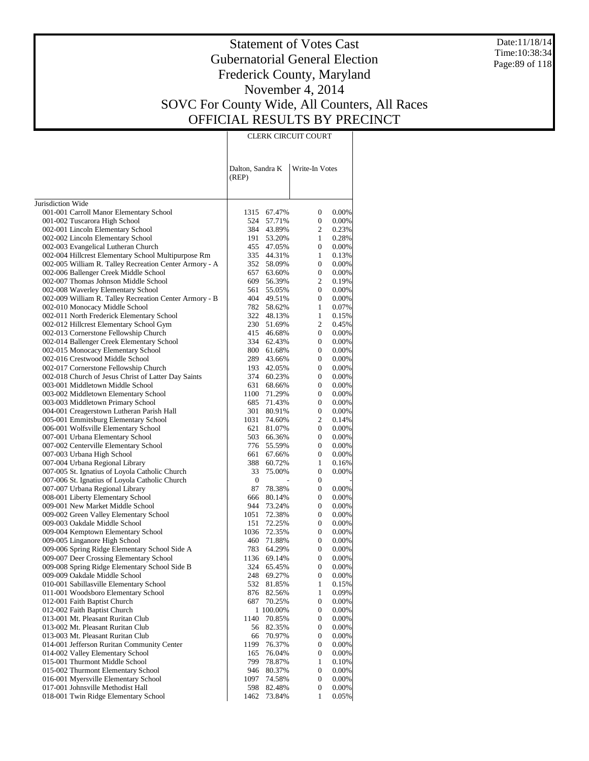Date:11/18/14 Time:10:38:34 Page:89 of 118

#### Statement of Votes Cast Gubernatorial General Election Frederick County, Maryland November 4, 2014 SOVC For County Wide, All Counters, All Races OFFICIAL RESULTS BY PRECINCT

CLERK CIRCUIT COURT

|                                                                                                 | Dalton, Sandra K<br>(REP) |                  | Write-In Votes   |                |  |
|-------------------------------------------------------------------------------------------------|---------------------------|------------------|------------------|----------------|--|
| Jurisdiction Wide                                                                               |                           |                  |                  |                |  |
| 001-001 Carroll Manor Elementary School                                                         |                           | 1315 67.47%      | 0                | 0.00%          |  |
| 001-002 Tuscarora High School                                                                   | 524                       | 57.71%           | 0                | 0.00%          |  |
| 002-001 Lincoln Elementary School                                                               |                           | 384 43.89%       | 2                | 0.23%          |  |
| 002-002 Lincoln Elementary School                                                               | 191                       | 53.20%           | 1                | 0.28%          |  |
| 002-003 Evangelical Lutheran Church                                                             |                           | 455 47.05%       | 0                | 0.00%          |  |
| 002-004 Hillcrest Elementary School Multipurpose Rm                                             | 335                       | 44.31%           | 1                | 0.13%          |  |
| 002-005 William R. Talley Recreation Center Armory - A<br>002-006 Ballenger Creek Middle School | 352<br>657                | 58.09%           | 0<br>0           | 0.00%          |  |
| 002-007 Thomas Johnson Middle School                                                            | 609                       | 63.60%<br>56.39% | 2                | 0.00%<br>0.19% |  |
| 002-008 Waverley Elementary School                                                              | 561                       | 55.05%           | 0                | 0.00%          |  |
|                                                                                                 |                           | 404 49.51%       | 0                | 0.00%          |  |
| 002-009 William R. Talley Recreation Center Armory - B<br>002-010 Monocacy Middle School        | 782                       | 58.62%           | 1                | 0.07%          |  |
| 002-011 North Frederick Elementary School                                                       |                           | 322 48.13%       | 1                | 0.15%          |  |
| 002-012 Hillcrest Elementary School Gym                                                         |                           | 230 51.69%       | 2                | 0.45%          |  |
| 002-013 Cornerstone Fellowship Church                                                           | 415                       | 46.68%           | 0                | 0.00%          |  |
| 002-014 Ballenger Creek Elementary School                                                       |                           | 334 62.43%       | 0                | 0.00%          |  |
| 002-015 Monocacy Elementary School                                                              |                           | 800 61.68%       | 0                | 0.00%          |  |
| 002-016 Crestwood Middle School                                                                 | 289                       | 43.66%           | 0                | 0.00%          |  |
| 002-017 Cornerstone Fellowship Church                                                           | 193                       | 42.05%           | 0                | 0.00%          |  |
| 002-018 Church of Jesus Christ of Latter Day Saints                                             |                           | 374 60.23%       | 0                | 0.00%          |  |
| 003-001 Middletown Middle School                                                                | 631                       | 68.66%           | 0                | 0.00%          |  |
| 003-002 Middletown Elementary School                                                            | 1100                      | 71.29%           | 0                | 0.00%          |  |
| 003-003 Middletown Primary School                                                               |                           | 685 71.43%       | 0                | 0.00%          |  |
| 004-001 Creagerstown Lutheran Parish Hall                                                       | 301                       | 80.91%           | 0                | 0.00%          |  |
| 005-001 Emmitsburg Elementary School                                                            |                           | 1031 74.60%      | 2                | 0.14%          |  |
| 006-001 Wolfsville Elementary School                                                            | 621                       | 81.07%           | 0                | 0.00%          |  |
| 007-001 Urbana Elementary School                                                                |                           | 503 66.36%       | 0                | 0.00%          |  |
| 007-002 Centerville Elementary School                                                           | 776                       | 55.59%           | 0                | 0.00%          |  |
| 007-003 Urbana High School                                                                      | 661                       | 67.66%           | 0                | 0.00%          |  |
| 007-004 Urbana Regional Library                                                                 | 388                       | 60.72%           | 1                | 0.16%          |  |
| 007-005 St. Ignatius of Loyola Catholic Church                                                  | 33                        | 75.00%           | 0                | 0.00%          |  |
| 007-006 St. Ignatius of Loyola Catholic Church                                                  | 0                         |                  | 0                |                |  |
| 007-007 Urbana Regional Library                                                                 | 87                        | 78.38%           | 0                | 0.00%          |  |
| 008-001 Liberty Elementary School                                                               | 666                       | 80.14%           | 0                | 0.00%          |  |
| 009-001 New Market Middle School                                                                |                           | 944 73.24%       | 0                | 0.00%          |  |
| 009-002 Green Valley Elementary School                                                          | 1051                      | 72.38%           | 0                | 0.00%          |  |
| 009-003 Oakdale Middle School                                                                   | 151                       | 72.25%           | 0                | 0.00%          |  |
| 009-004 Kemptown Elementary School                                                              | 1036                      | 72.35%           | 0                | 0.00%          |  |
| 009-005 Linganore High School                                                                   |                           | 460 71.88%       | 0                | 0.00%          |  |
| 009-006 Spring Ridge Elementary School Side A                                                   |                           | 783 64.29%       | 0                | 0.00%          |  |
| 009-007 Deer Crossing Elementary School                                                         |                           | 1136 69.14%      | 0                | 0.00%          |  |
| 009-008 Spring Ridge Elementary School Side B                                                   | 324                       | 65.45%           | 0                | 0.00%          |  |
| 009-009 Oakdale Middle School                                                                   |                           | 248 69.27%       | 0                | 0.00%          |  |
| 010-001 Sabillasville Elementary School                                                         | 532                       | 81.85%           | 1                | 0.15%          |  |
| 011-001 Woodsboro Elementary School                                                             | 876                       | 82.56%           | 1                | 0.09%          |  |
| 012-001 Faith Baptist Church                                                                    | 687                       | 70.25%           | $\boldsymbol{0}$ | 0.00%          |  |
| 012-002 Faith Baptist Church                                                                    |                           | 1 100.00%        | $\boldsymbol{0}$ | 0.00%          |  |
| 013-001 Mt. Pleasant Ruritan Club                                                               | 1140                      | 70.85%           | $\boldsymbol{0}$ | 0.00%          |  |
| 013-002 Mt. Pleasant Ruritan Club                                                               | 56                        | 82.35%           | $\boldsymbol{0}$ | 0.00%          |  |
| 013-003 Mt. Pleasant Ruritan Club                                                               | 66                        | 70.97%           | $\boldsymbol{0}$ | 0.00%          |  |
| 014-001 Jefferson Ruritan Community Center                                                      | 1199                      | 76.37%           | $\boldsymbol{0}$ | 0.00%          |  |
| 014-002 Valley Elementary School                                                                | 165                       | 76.04%           | $\boldsymbol{0}$ | 0.00%          |  |
| 015-001 Thurmont Middle School                                                                  | 799                       | 78.87%           | 1                | 0.10%          |  |
| 015-002 Thurmont Elementary School                                                              | 946                       | 80.37%           | $\boldsymbol{0}$ | 0.00%          |  |
| 016-001 Myersville Elementary School                                                            | 1097                      | 74.58%           | $\boldsymbol{0}$ | 0.00%          |  |
| 017-001 Johnsville Methodist Hall                                                               | 598                       | 82.48%           | $\boldsymbol{0}$ | 0.00%          |  |
| 018-001 Twin Ridge Elementary School                                                            | 1462                      | 73.84%           | 1                | 0.05%          |  |
|                                                                                                 |                           |                  |                  |                |  |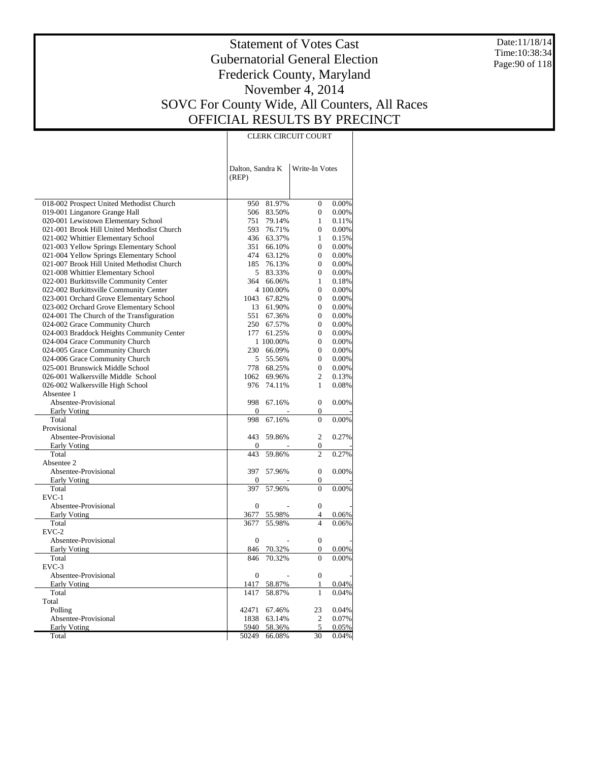Date:11/18/14 Time:10:38:34 Page:90 of 118

#### Statement of Votes Cast Gubernatorial General Election Frederick County, Maryland November 4, 2014 SOVC For County Wide, All Counters, All Races OFFICIAL RESULTS BY PRECINCT

CLERK CIRCUIT COURT

Τ

Τ

|                                            | Dalton, Sandra K<br>Write-In Votes |             |                                |          |  |
|--------------------------------------------|------------------------------------|-------------|--------------------------------|----------|--|
|                                            | (REP)                              |             |                                |          |  |
|                                            |                                    |             |                                |          |  |
| 018-002 Prospect United Methodist Church   | 950                                | 81.97%      | $\theta$                       | 0.00%    |  |
| 019-001 Linganore Grange Hall              |                                    | 506 83.50%  | $\mathbf{0}$                   | 0.00%    |  |
| 020-001 Lewistown Elementary School        | 751                                | 79.14%      | 1                              | 0.11%    |  |
| 021-001 Brook Hill United Methodist Church |                                    | 593 76.71%  | $\theta$                       | 0.00%    |  |
| 021-002 Whittier Elementary School         | 436                                | 63.37%      | $\mathbf{1}$                   | 0.15%    |  |
| 021-003 Yellow Springs Elementary School   | 351                                | 66.10%      | $\overline{0}$                 | 0.00%    |  |
| 021-004 Yellow Springs Elementary School   | 474                                | 63.12%      | $\overline{0}$                 | 0.00%    |  |
| 021-007 Brook Hill United Methodist Church | 185                                | 76.13%      | $\theta$                       | 0.00%    |  |
| 021-008 Whittier Elementary School         |                                    | 5 83.33%    | $\overline{0}$                 | 0.00%    |  |
| 022-001 Burkittsville Community Center     |                                    | 364 66.06%  | 1                              | 0.18%    |  |
| 022-002 Burkittsville Community Center     |                                    | 4 100.00%   | $\overline{0}$                 | 0.00%    |  |
| 023-001 Orchard Grove Elementary School    |                                    | 1043 67.82% | $\theta$                       | 0.00%    |  |
| 023-002 Orchard Grove Elementary School    |                                    | 13 61.90%   | $\overline{0}$                 | $0.00\%$ |  |
| 024-001 The Church of the Transfiguration  | 551                                | 67.36%      | $\theta$                       | 0.00%    |  |
| 024-002 Grace Community Church             |                                    | 250 67.57%  | $\theta$                       | 0.00%    |  |
| 024-003 Braddock Heights Community Center  |                                    | 177 61.25%  | $\overline{0}$                 | 0.00%    |  |
| 024-004 Grace Community Church             |                                    | 1 100.00%   | $\overline{0}$                 | 0.00%    |  |
| 024-005 Grace Community Church             |                                    | 230 66.09%  | $\overline{0}$                 | $0.00\%$ |  |
| 024-006 Grace Community Church             |                                    | 5 55.56%    | $\theta$                       | $0.00\%$ |  |
| 025-001 Brunswick Middle School            |                                    | 778 68.25%  | $\mathbf{0}$                   | 0.00%    |  |
| 026-001 Walkersville Middle School         | 976                                | 1062 69.96% | $\overline{c}$<br>$\mathbf{1}$ | 0.13%    |  |
| 026-002 Walkersville High School           |                                    | 74.11%      |                                | 0.08%    |  |
| Absentee 1<br>Absentee-Provisional         |                                    | 998 67.16%  | $\mathbf{0}$                   | 0.00%    |  |
| Early Voting                               | $\Omega$                           |             | $\boldsymbol{0}$               |          |  |
| Total                                      | 998                                | 67.16%      | $\Omega$                       | 0.00%    |  |
| Provisional                                |                                    |             |                                |          |  |
| Absentee-Provisional                       | 443                                | 59.86%      | $\overline{c}$                 | 0.27%    |  |
| Early Voting                               | $\Omega$                           |             | $\boldsymbol{0}$               |          |  |
| Total                                      | 443                                | 59.86%      | $\overline{\mathcal{L}}$       | 0.27%    |  |
| Absentee 2                                 |                                    |             |                                |          |  |
| Absentee-Provisional                       | 397                                | 57.96%      | $\mathbf{0}$                   | 0.00%    |  |
| Early Voting                               | $\Omega$                           |             | $\overline{0}$                 |          |  |
| Total                                      | 397                                | 57.96%      | $\mathbf{0}$                   | 0.00%    |  |
| $EVC-1$                                    |                                    |             |                                |          |  |
| Absentee-Provisional                       | $\mathbf{0}$                       |             | $\Omega$                       |          |  |
| <b>Early Voting</b>                        | 3677                               | 55.98%      | 4                              | 0.06%    |  |
| Total                                      | 3677                               | 55.98%      | $\overline{4}$                 | 0.06%    |  |
| $EVC-2$                                    |                                    |             |                                |          |  |
| Absentee-Provisional                       | $\overline{0}$                     |             | $\mathbf{0}$                   |          |  |
| Early Voting                               | 846                                | 70.32%      | 0                              | $0.00\%$ |  |
| Total                                      | 846                                | 70.32%      | $\theta$                       | 0.00%    |  |
| $EVC-3$                                    |                                    |             |                                |          |  |
| Absentee-Provisional                       | $\boldsymbol{0}$                   |             | $\boldsymbol{0}$               |          |  |
| Early Voting                               | 1417                               | 58.87%      | $\mathbf{1}$                   | 0.04%    |  |
| Total                                      | 1417                               | 58.87%      | 1                              | 0.04%    |  |
| Total                                      |                                    |             |                                |          |  |
| Polling                                    | 42471                              | 67.46%      | 23                             | 0.04%    |  |
| Absentee-Provisional                       | 5940                               | 1838 63.14% | $\overline{c}$<br>5            | 0.07%    |  |
| Early Voting                               | 50249                              | 58.36%      | 30                             | 0.05%    |  |
| Total                                      |                                    | 66.08%      |                                | 0.04%    |  |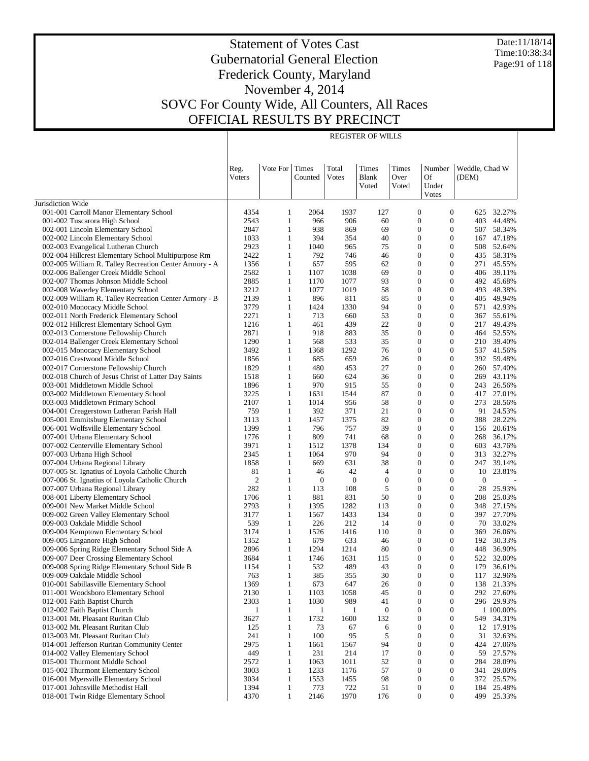Date:11/18/14 Time:10:38:34 Page:91 of 118

# Statement of Votes Cast Gubernatorial General Election Frederick County, Maryland November 4, 2014 SOVC For County Wide, All Counters, All Races OFFICIAL RESULTS BY PRECINCT

 $\overline{\phantom{a}}$ 

|                                                                                         | Reg.<br><b>V</b> oters | Vote For $ $                 | <b>Times</b><br>Counted | Total<br>Votes | Times<br>Blank<br>Voted | Times<br>Over<br>Voted               | Number<br>Of<br>Under<br>Votes       | Weddle, Chad W<br>(DEM) |                          |
|-----------------------------------------------------------------------------------------|------------------------|------------------------------|-------------------------|----------------|-------------------------|--------------------------------------|--------------------------------------|-------------------------|--------------------------|
| Jurisdiction Wide                                                                       |                        |                              |                         |                |                         |                                      |                                      |                         |                          |
| 001-001 Carroll Manor Elementary School                                                 | 4354                   | 1                            | 2064                    | 1937           | 127                     | $\boldsymbol{0}$                     | $\boldsymbol{0}$                     | 625                     | 32.27%                   |
| 001-002 Tuscarora High School                                                           | 2543                   | $\mathbf{1}$                 | 966                     | 906            | 60                      | $\boldsymbol{0}$                     | $\overline{0}$                       | 403                     | 44.48%                   |
| 002-001 Lincoln Elementary School                                                       | 2847                   | $\mathbf{1}$                 | 938                     | 869            | 69                      | $\boldsymbol{0}$                     | $\overline{0}$                       |                         | 507 58.34%               |
| 002-002 Lincoln Elementary School                                                       | 1033                   | $\mathbf{1}$                 | 394                     | 354            | 40                      | $\boldsymbol{0}$                     | $\boldsymbol{0}$                     | 167                     | 47.18%                   |
| 002-003 Evangelical Lutheran Church                                                     | 2923                   | $\mathbf{1}$                 | 1040                    | 965            | 75                      | $\boldsymbol{0}$                     | $\theta$                             |                         | 508 52.64%               |
| 002-004 Hillcrest Elementary School Multipurpose Rm                                     | 2422                   | $\mathbf{1}$                 | 792                     | 746            | 46                      | $\overline{0}$                       | $\mathbf{0}$                         |                         | 435 58.31%               |
| 002-005 William R. Talley Recreation Center Armory - A                                  | 1356                   | $\mathbf{1}$                 | 657                     | 595            | 62                      | $\boldsymbol{0}$                     | $\theta$                             |                         | 271 45.55%               |
| 002-006 Ballenger Creek Middle School                                                   | 2582                   | $\mathbf{1}$                 | 1107                    | 1038           | 69                      | $\boldsymbol{0}$                     | $\boldsymbol{0}$                     |                         | 406 39.11%               |
| 002-007 Thomas Johnson Middle School                                                    | 2885                   | $\mathbf{1}$                 | 1170                    | 1077           | 93                      | $\boldsymbol{0}$                     | $\theta$                             |                         | 492 45.68%               |
| 002-008 Waverley Elementary School                                                      | 3212                   | $\mathbf{1}$                 | 1077                    | 1019           | 58                      | $\overline{0}$                       | $\mathbf{0}$                         | 493                     | 48.38%                   |
| 002-009 William R. Talley Recreation Center Armory - B                                  | 2139                   | $\mathbf{1}$                 | 896                     | 811            | 85                      | $\boldsymbol{0}$                     | $\theta$                             |                         | 405 49.94%               |
| 002-010 Monocacy Middle School                                                          | 3779                   | $\mathbf{1}$                 | 1424                    | 1330           | 94                      | $\boldsymbol{0}$                     | $\boldsymbol{0}$                     |                         | 571 42.93%               |
| 002-011 North Frederick Elementary School                                               | 2271                   | $\mathbf{1}$                 | 713                     | 660            | 53                      | $\boldsymbol{0}$                     | $\theta$                             |                         | 367 55.61%               |
| 002-012 Hillcrest Elementary School Gym                                                 | 1216                   | $\mathbf{1}$                 | 461                     | 439            | 22                      | $\mathbf{0}$                         | $\mathbf{0}$                         | 217                     | 49.43%                   |
| 002-013 Cornerstone Fellowship Church                                                   | 2871                   | $\mathbf{1}$                 | 918                     | 883            | 35                      | $\boldsymbol{0}$                     | $\theta$                             |                         | 464 52.55%               |
| 002-014 Ballenger Creek Elementary School                                               | 1290                   | $\mathbf{1}$                 | 568                     | 533            | 35                      | $\boldsymbol{0}$                     | $\boldsymbol{0}$                     |                         | 210 39.40%               |
| 002-015 Monocacy Elementary School                                                      | 3492                   | $\mathbf{1}$                 | 1368                    | 1292           | 76                      | $\boldsymbol{0}$                     | $\theta$                             |                         | 537 41.56%               |
| 002-016 Crestwood Middle School                                                         | 1856                   | $\mathbf{1}$<br>$\mathbf{1}$ | 685<br>480              | 659<br>453     | 26                      | $\mathbf{0}$<br>$\boldsymbol{0}$     | $\mathbf{0}$<br>$\boldsymbol{0}$     |                         | 392 59.48%               |
| 002-017 Cornerstone Fellowship Church                                                   | 1829<br>1518           | $\mathbf{1}$                 | 660                     | 624            | 27<br>36                | $\boldsymbol{0}$                     | $\boldsymbol{0}$                     |                         | 260 57.40%<br>269 43.11% |
| 002-018 Church of Jesus Christ of Latter Day Saints<br>003-001 Middletown Middle School | 1896                   | $\mathbf{1}$                 | 970                     | 915            | 55                      | $\boldsymbol{0}$                     | $\theta$                             |                         | 243 26.56%               |
| 003-002 Middletown Elementary School                                                    | 3225                   | $\mathbf{1}$                 | 1631                    | 1544           | 87                      | $\mathbf{0}$                         | $\mathbf{0}$                         |                         | 417 27.01%               |
| 003-003 Middletown Primary School                                                       | 2107                   | $\mathbf{1}$                 | 1014                    | 956            | 58                      | $\boldsymbol{0}$                     | $\boldsymbol{0}$                     | 273                     | 28.56%                   |
| 004-001 Creagerstown Lutheran Parish Hall                                               | 759                    | $\mathbf{1}$                 | 392                     | 371            | 21                      | $\overline{0}$                       | $\boldsymbol{0}$                     |                         | 91 24.53%                |
| 005-001 Emmitsburg Elementary School                                                    | 3113                   | $\mathbf{1}$                 | 1457                    | 1375           | 82                      | $\boldsymbol{0}$                     | $\theta$                             |                         | 388 28.22%               |
| 006-001 Wolfsville Elementary School                                                    | 1399                   | $\mathbf{1}$                 | 796                     | 757            | 39                      | $\overline{0}$                       | $\mathbf{0}$                         |                         | 156 20.61%               |
| 007-001 Urbana Elementary School                                                        | 1776                   | $\mathbf{1}$                 | 809                     | 741            | 68                      | $\boldsymbol{0}$                     | $\boldsymbol{0}$                     | 268                     | 36.17%                   |
| 007-002 Centerville Elementary School                                                   | 3971                   | $\mathbf{1}$                 | 1512                    | 1378           | 134                     | $\boldsymbol{0}$                     | $\boldsymbol{0}$                     | 603                     | 43.76%                   |
| 007-003 Urbana High School                                                              | 2345                   | $\mathbf{1}$                 | 1064                    | 970            | 94                      | $\boldsymbol{0}$                     | $\theta$                             | 313                     | 32.27%                   |
| 007-004 Urbana Regional Library                                                         | 1858                   | $\mathbf{1}$                 | 669                     | 631            | 38                      | $\overline{0}$                       | $\mathbf{0}$                         | 247                     | 39.14%                   |
| 007-005 St. Ignatius of Loyola Catholic Church                                          | 81                     | $\mathbf{1}$                 | 46                      | 42             | 4                       | $\boldsymbol{0}$                     | $\boldsymbol{0}$                     | 10                      | 23.81%                   |
| 007-006 St. Ignatius of Loyola Catholic Church                                          | 2                      | $\mathbf{1}$                 | $\boldsymbol{0}$        | $\mathbf{0}$   | $\boldsymbol{0}$        | $\mathbf{0}$                         | $\boldsymbol{0}$                     | $\mathbf{0}$            |                          |
| 007-007 Urbana Regional Library                                                         | 282                    | $\mathbf{1}$                 | 113                     | 108            | 5                       | $\boldsymbol{0}$                     | $\boldsymbol{0}$                     | 28                      | 25.93%                   |
| 008-001 Liberty Elementary School                                                       | 1706                   | $\mathbf{1}$                 | 881                     | 831            | 50                      | $\mathbf{0}$                         | $\mathbf{0}$                         | 208                     | 25.03%                   |
| 009-001 New Market Middle School                                                        | 2793                   | $\mathbf{1}$                 | 1395                    | 1282           | 113                     | $\boldsymbol{0}$                     | $\boldsymbol{0}$                     |                         | 348 27.15%               |
| 009-002 Green Valley Elementary School                                                  | 3177                   | $\mathbf{1}$                 | 1567                    | 1433           | 134                     | $\boldsymbol{0}$                     | $\boldsymbol{0}$                     |                         | 397 27.70%               |
| 009-003 Oakdale Middle School                                                           | 539                    | $\mathbf{1}$                 | 226                     | 212            | 14                      | $\boldsymbol{0}$                     | $\theta$                             |                         | 70 33.02%                |
| 009-004 Kemptown Elementary School                                                      | 3174                   | $\mathbf{1}$                 | 1526                    | 1416           | 110                     | $\boldsymbol{0}$                     | $\mathbf{0}$                         | 369                     | 26.06%                   |
| 009-005 Linganore High School                                                           | 1352                   | $\mathbf{1}$                 | 679                     | 633            | 46                      | $\boldsymbol{0}$                     | $\boldsymbol{0}$                     |                         | 192 30.33%               |
| 009-006 Spring Ridge Elementary School Side A                                           | 2896                   | $\mathbf{1}$                 | 1294                    | 1214           | 80                      | $\boldsymbol{0}$                     | $\boldsymbol{0}$                     | 448                     | 36.90%                   |
| 009-007 Deer Crossing Elementary School                                                 | 3684                   | $\mathbf{1}$                 | 1746                    | 1631           | 115                     | $\boldsymbol{0}$                     | $\theta$                             | 522                     | 32.00%                   |
| 009-008 Spring Ridge Elementary School Side B                                           | 1154                   | 1                            | 532                     | 489            | 43                      | $\mathbf{0}$                         | $\mathbf{0}$                         | 179                     | 36.61%                   |
| 009-009 Oakdale Middle School                                                           | 763                    | 1                            | 385                     | 355            | 30                      | $\boldsymbol{0}$                     | $\mathbf{0}$                         | 117                     | 32.96%                   |
| 010-001 Sabillasville Elementary School                                                 | 1369                   | $\mathbf{1}$                 | 673                     | 647            | 26                      | $\boldsymbol{0}$                     | $\boldsymbol{0}$                     |                         | 138 21.33%               |
| 011-001 Woodsboro Elementary School                                                     | 2130                   | $\mathbf{1}$                 | 1103                    | 1058           | 45                      | $\boldsymbol{0}$                     | $\boldsymbol{0}$                     |                         | 292 27.60%               |
| 012-001 Faith Baptist Church                                                            | 2303                   | $\mathbf{1}$                 | 1030                    | 989            | 41                      | $\boldsymbol{0}$                     | $\boldsymbol{0}$                     |                         | 296 29.93%               |
| 012-002 Faith Baptist Church                                                            | 1                      | $\mathbf{1}$                 | 1                       | 1              | $\boldsymbol{0}$        | $\boldsymbol{0}$                     | $\boldsymbol{0}$                     |                         | 1 100.00%                |
| 013-001 Mt. Pleasant Ruritan Club                                                       | 3627                   | $\mathbf{1}$                 | 1732                    | 1600           | 132                     | $\boldsymbol{0}$                     | $\boldsymbol{0}$                     |                         | 549 34.31%               |
| 013-002 Mt. Pleasant Ruritan Club                                                       | 125                    | $\mathbf{1}$                 | 73                      | 67             | 6                       | $\boldsymbol{0}$                     | $\boldsymbol{0}$                     |                         | 12 17.91%                |
| 013-003 Mt. Pleasant Ruritan Club                                                       | 241                    | $\mathbf{1}$                 | 100                     | 95             | 5                       | $\boldsymbol{0}$                     | $\boldsymbol{0}$                     | 31                      | 32.63%                   |
| 014-001 Jefferson Ruritan Community Center<br>014-002 Valley Elementary School          | 2975                   | $\mathbf{1}$                 | 1661                    | 1567           | 94                      | $\boldsymbol{0}$                     | $\boldsymbol{0}$                     |                         | 424 27.06%               |
| 015-001 Thurmont Middle School                                                          | 449<br>2572            | $\mathbf{1}$<br>$\mathbf{1}$ | 231<br>1063             | 214<br>1011    | 17<br>52                | $\boldsymbol{0}$<br>$\boldsymbol{0}$ | $\boldsymbol{0}$<br>$\boldsymbol{0}$ |                         | 59 27.57%<br>284 28.09%  |
| 015-002 Thurmont Elementary School                                                      | 3003                   | $\mathbf{1}$                 | 1233                    | 1176           | 57                      | $\boldsymbol{0}$                     | $\boldsymbol{0}$                     |                         | 341 29.00%               |
| 016-001 Myersville Elementary School                                                    | 3034                   | $\mathbf{1}$                 | 1553                    | 1455           | 98                      | $\boldsymbol{0}$                     | $\boldsymbol{0}$                     |                         | 372 25.57%               |
| 017-001 Johnsville Methodist Hall                                                       | 1394                   | $\mathbf{1}$                 | 773                     | 722            | 51                      | $\boldsymbol{0}$                     | $\boldsymbol{0}$                     |                         | 184 25.48%               |
| 018-001 Twin Ridge Elementary School                                                    | 4370                   | $\mathbf{1}$                 | 2146                    | 1970           | 176                     | $\boldsymbol{0}$                     | $\boldsymbol{0}$                     | 499                     | 25.33%                   |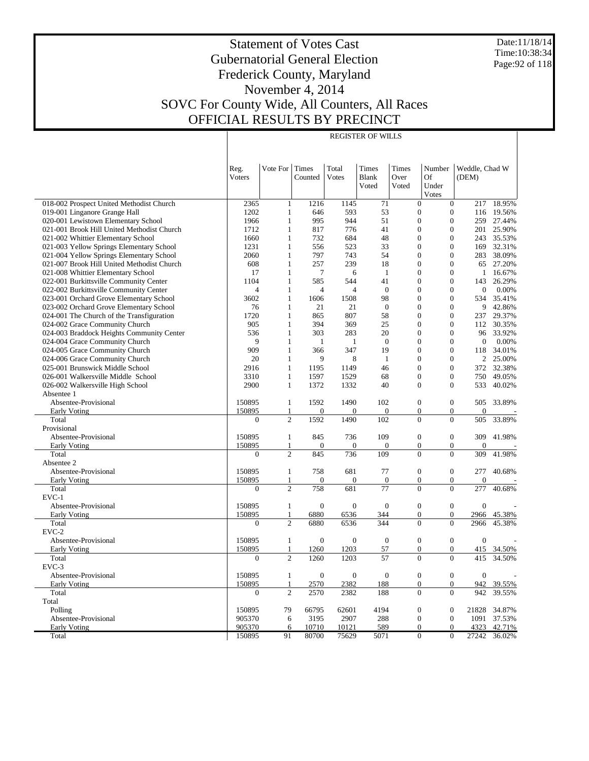Date:11/18/14 Time:10:38:34 Page:92 of 118

# Statement of Votes Cast Gubernatorial General Election Frederick County, Maryland November 4, 2014 SOVC For County Wide, All Counters, All Races OFFICIAL RESULTS BY PRECINCT

|                                             | Reg.<br>Voters   | Vote For                     | Times<br>Counted       | Total<br>Votes   | Times<br><b>Blank</b><br>Voted | Times<br>Over<br>Voted | Number<br>Of<br>Under<br>Votes | Weddle, Chad W<br>(DEM) |          |
|---------------------------------------------|------------------|------------------------------|------------------------|------------------|--------------------------------|------------------------|--------------------------------|-------------------------|----------|
| 018-002 Prospect United Methodist Church    | 2365             | $\mathbf{1}$                 | 1216                   | 1145             | 71                             | $\Omega$               | $\Omega$                       | 217                     | 18.95%   |
| 019-001 Linganore Grange Hall               | 1202             | $\mathbf{1}$                 | 646                    | 593              | 53                             | $\boldsymbol{0}$       | $\boldsymbol{0}$               | 116                     | 19.56%   |
| 020-001 Lewistown Elementary School         | 1966             | $\mathbf{1}$                 | 995                    | 944              | 51                             | $\overline{0}$         | $\mathbf{0}$                   | 259                     | 27.44%   |
| 021-001 Brook Hill United Methodist Church  | 1712             | $\mathbf{1}$                 | 817                    | 776              | 41                             | $\overline{0}$         | $\mathbf{0}$                   | 201                     | 25.90%   |
| 021-002 Whittier Elementary School          | 1660             | $\mathbf{1}$                 | 732                    | 684              | 48                             | $\overline{0}$         | $\mathbf{0}$                   | 243                     | 35.53%   |
| 021-003 Yellow Springs Elementary School    | 1231             | $\mathbf{1}$                 | 556                    | 523              | 33                             | $\Omega$               | $\Omega$                       | 169                     | 32.31%   |
| 021-004 Yellow Springs Elementary School    | 2060             | $\mathbf{1}$                 | 797                    | 743              | 54                             | $\boldsymbol{0}$       | $\boldsymbol{0}$               | 283                     | 38.09%   |
| 021-007 Brook Hill United Methodist Church  | 608              | $\mathbf{1}$                 | 257                    | 239              | 18                             | $\overline{0}$         | $\mathbf{0}$                   | 65                      | 27.20%   |
| 021-008 Whittier Elementary School          | 17               | $\mathbf{1}$                 | $\tau$                 | 6                | 1                              | $\overline{0}$         | $\mathbf{0}$                   | 1                       | 16.67%   |
| 022-001 Burkittsville Community Center      | 1104             | $\mathbf{1}$                 | 585                    | 544              | 41                             | $\overline{0}$         | $\mathbf{0}$                   | 143                     | 26.29%   |
| 022-002 Burkittsville Community Center      | $\overline{4}$   | $\mathbf{1}$                 | $\overline{4}$         | $\overline{4}$   | $\theta$                       | $\overline{0}$         | $\mathbf{0}$                   | $\mathbf{0}$            | 0.00%    |
| 023-001 Orchard Grove Elementary School     | 3602             | $\mathbf{1}$                 | 1606                   | 1508             | 98                             | $\overline{0}$         | $\mathbf{0}$                   | 534                     | 35.41%   |
| 023-002 Orchard Grove Elementary School     | 76               | $\mathbf{1}$                 | 21                     | 21               | $\overline{0}$                 | $\theta$               | $\theta$                       | 9                       | 42.86%   |
| 024-001 The Church of the Transfiguration   | 1720             | 1                            | 865                    | 807              | 58                             | $\overline{0}$         | $\overline{0}$                 | 237                     | 29.37%   |
| 024-002 Grace Community Church              | 905              | $\mathbf{1}$                 | 394                    | 369              | 25                             | $\mathbf{0}$           | $\mathbf{0}$                   | 112                     | 30.35%   |
| 024-003 Braddock Heights Community Center   | 536              | $\mathbf{1}$                 | 303                    | 283              | 20                             | $\overline{0}$         | $\mathbf{0}$                   | 96                      | 33.92%   |
| 024-004 Grace Community Church              | 9                | $\mathbf{1}$                 | $\mathbf{1}$           | $\mathbf{1}$     | $\theta$                       | $\overline{0}$         | $\mathbf{0}$                   | $\boldsymbol{0}$        | 0.00%    |
| 024-005 Grace Community Church              | 909              | $\mathbf{1}$                 | 366                    | 347              | 19                             | $\mathbf{0}$           | $\mathbf{0}$                   | 118                     | 34.01%   |
| 024-006 Grace Community Church              | 20               | $\mathbf{1}$                 | 9                      | 8                | $\mathbf{1}$                   | $\theta$               | $\theta$                       |                         | 2 25.00% |
| 025-001 Brunswick Middle School             | 2916             | $\mathbf{1}$                 | 1195                   | 1149             | 46                             | $\Omega$               | $\Omega$                       | 372                     | 32.38%   |
| 026-001 Walkersville Middle School          | 3310             | $\mathbf{1}$                 | 1597                   | 1529             | 68                             | $\boldsymbol{0}$       | $\boldsymbol{0}$               | 750                     | 49.05%   |
| 026-002 Walkersville High School            | 2900             | $\mathbf{1}$                 | 1372                   | 1332             | 40                             | $\overline{0}$         | $\mathbf{0}$                   | 533                     | 40.02%   |
| Absentee 1                                  |                  |                              |                        |                  |                                |                        |                                |                         |          |
| Absentee-Provisional                        | 150895           | $\mathbf{1}$                 | 1592                   | 1490             | 102                            | $\overline{0}$         | $\overline{0}$                 | 505                     | 33.89%   |
| <b>Early Voting</b>                         | 150895           | $\mathbf{1}$                 | $\mathbf{0}$           | $\mathbf{0}$     | $\mathbf{0}$                   | $\mathbf{0}$           | $\mathbf{0}$                   | $\mathbf{0}$            |          |
| Total                                       | $\Omega$         | $\overline{2}$               | 1592                   | 1490             | 102                            | $\Omega$               | $\theta$                       | 505                     | 33.89%   |
| Provisional                                 |                  |                              |                        |                  |                                |                        |                                |                         |          |
| Absentee-Provisional                        | 150895           | $\mathbf{1}$                 | 845                    | 736              | 109                            | $\mathbf{0}$           | $\boldsymbol{0}$               | 309                     | 41.98%   |
| <b>Early Voting</b>                         | 150895           | $\mathbf{1}$                 | $\mathbf{0}$           | $\mathbf{0}$     | $\overline{0}$                 | $\mathbf{0}$           | $\overline{0}$                 | $\mathbf{0}$            |          |
| Total                                       | $\Omega$         | $\overline{c}$               | 845                    | 736              | 109                            | $\Omega$               | $\Omega$                       | 309                     | 41.98%   |
| Absentee 2                                  |                  |                              |                        |                  |                                |                        |                                |                         |          |
| Absentee-Provisional                        | 150895           | $\mathbf{1}$                 | 758                    | 681              | 77                             | $\boldsymbol{0}$       | $\boldsymbol{0}$               | 277                     | 40.68%   |
| <b>Early Voting</b>                         | 150895           | $\mathbf{1}$                 | $\boldsymbol{0}$       | $\boldsymbol{0}$ | $\boldsymbol{0}$               | $\boldsymbol{0}$       | $\boldsymbol{0}$               | $\boldsymbol{0}$        |          |
| Total                                       | $\overline{0}$   | $\overline{2}$               | 758                    | 681              | $\overline{77}$                | $\theta$               | $\overline{0}$                 | 277                     | 40.68%   |
| $EVC-1$                                     |                  |                              |                        | $\overline{0}$   |                                | $\mathbf{0}$           | $\mathbf{0}$                   | $\mathbf{0}$            |          |
| Absentee-Provisional<br><b>Early Voting</b> | 150895<br>150895 | $\mathbf{1}$<br>$\mathbf{1}$ | $\overline{0}$<br>6880 | 6536             | $\overline{0}$<br>344          | $\mathbf{0}$           | $\mathbf{0}$                   | 2966                    | 45.38%   |
| Total                                       | $\Omega$         | $\overline{c}$               | 6880                   | 6536             | 344                            | $\theta$               | $\theta$                       | 2966                    | 45.38%   |
| $EVC-2$                                     |                  |                              |                        |                  |                                |                        |                                |                         |          |
| Absentee-Provisional                        | 150895           | $\mathbf{1}$                 | $\boldsymbol{0}$       | $\boldsymbol{0}$ | $\boldsymbol{0}$               | $\mathbf{0}$           | $\mathbf{0}$                   | $\boldsymbol{0}$        |          |
| <b>Early Voting</b>                         | 150895           | $\mathbf{1}$                 | 1260                   | 1203             | 57                             | $\boldsymbol{0}$       | $\overline{0}$                 | 415                     | 34.50%   |
| Total                                       | $\mathbf{0}$     | $\overline{2}$               | 1260                   | 1203             | 57                             | $\overline{0}$         | $\overline{0}$                 | 415                     | 34.50%   |
| $EVC-3$                                     |                  |                              |                        |                  |                                |                        |                                |                         |          |
| Absentee-Provisional                        | 150895           | $\mathbf{1}$                 | $\Omega$               | $\overline{0}$   | $\theta$                       | $\overline{0}$         | $\mathbf{0}$                   | $\overline{0}$          |          |
| <b>Early Voting</b>                         | 150895           | $\mathbf{1}$                 | 2570                   | 2382             | 188                            | $\boldsymbol{0}$       | $\boldsymbol{0}$               | 942                     | 39.55%   |
| Total                                       | $\mathbf{0}$     | $\overline{2}$               | 2570                   | 2382             | 188                            | $\mathbf{0}$           | $\mathbf{0}$                   | 942                     | 39.55%   |
| Total                                       |                  |                              |                        |                  |                                |                        |                                |                         |          |
| Polling                                     | 150895           | 79                           | 66795                  | 62601            | 4194                           | $\overline{0}$         | $\mathbf{0}$                   | 21828                   | 34.87%   |
| Absentee-Provisional                        | 905370           | 6                            | 3195                   | 2907             | 288                            | $\Omega$               | $\mathbf{0}$                   | 1091                    | 37.53%   |
| Early Voting                                | 905370           | 6                            | 10710                  | 10121            | 589                            | $\Omega$               | $\Omega$                       | 4323                    | 42.71%   |
| Total                                       | 150895           | 91                           | 80700                  | 75629            | 5071                           | $\Omega$               | $\Omega$                       | 27242                   | 36.02%   |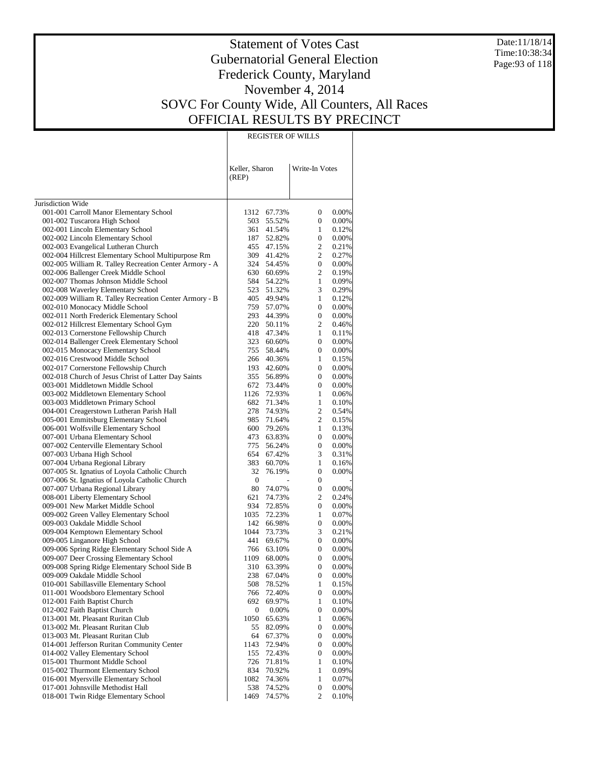Date:11/18/14 Time:10:38:34 Page:93 of 118

#### Statement of Votes Cast Gubernatorial General Election Frederick County, Maryland November 4, 2014 SOVC For County Wide, All Counters, All Races OFFICIAL RESULTS BY PRECINCT

|                                                                              | Keller, Sharon<br>(REP) |                      | Write-In Votes                 |                   |
|------------------------------------------------------------------------------|-------------------------|----------------------|--------------------------------|-------------------|
|                                                                              |                         |                      |                                |                   |
| Jurisdiction Wide                                                            |                         |                      |                                |                   |
| 001-001 Carroll Manor Elementary School                                      |                         | 1312 67.73%          | 0<br>0                         | 0.00%             |
| 001-002 Tuscarora High School<br>002-001 Lincoln Elementary School           | 361                     | 503 55.52%<br>41.54% | 1                              | 0.00%<br>0.12%    |
| 002-002 Lincoln Elementary School                                            |                         | 187 52.82%           | 0                              | 0.00%             |
| 002-003 Evangelical Lutheran Church                                          | 455                     | 47.15%               | 2                              | 0.21%             |
| 002-004 Hillcrest Elementary School Multipurpose Rm                          | 309                     | 41.42%               | 2                              | 0.27%             |
| 002-005 William R. Talley Recreation Center Armory - A                       | 324                     | 54.45%               | 0                              | 0.00%             |
| 002-006 Ballenger Creek Middle School                                        |                         | 630 60.69%           | 2                              | 0.19%             |
| 002-007 Thomas Johnson Middle School                                         | 584                     | 54.22%               | 1                              | 0.09%             |
| 002-008 Waverley Elementary School                                           |                         | 523 51.32%           | 3                              | 0.29%             |
| 002-009 William R. Talley Recreation Center Armory - B                       | 405                     | 49.94%               | 1                              | 0.12%             |
| 002-010 Monocacy Middle School                                               |                         | 759 57.07%           | 0                              | 0.00%             |
| 002-011 North Frederick Elementary School                                    | 293                     | 44.39%               | 0                              | 0.00%             |
| 002-012 Hillcrest Elementary School Gym                                      |                         | 220 50.11%           | 2                              | 0.46%             |
| 002-013 Cornerstone Fellowship Church                                        |                         | 418 47.34%           | 1                              | 0.11%             |
| 002-014 Ballenger Creek Elementary School                                    |                         | 323 60.60%           | 0                              | 0.00%             |
| 002-015 Monocacy Elementary School                                           | 755                     | 58.44%               | 0                              | 0.00%             |
| 002-016 Crestwood Middle School                                              |                         | 266 40.36%           | 1                              | 0.15%             |
| 002-017 Cornerstone Fellowship Church                                        |                         | 193 42.60%           | 0                              | 0.00%             |
| 002-018 Church of Jesus Christ of Latter Day Saints                          |                         | 355 56.89%           | 0                              | 0.00%             |
| 003-001 Middletown Middle School                                             | 672                     | 73.44%               | 0                              | 0.00%             |
| 003-002 Middletown Elementary School                                         |                         | 1126 72.93%          | 1                              | 0.06%             |
| 003-003 Middletown Primary School                                            |                         | 682 71.34%           | $\mathbf{1}$<br>$\overline{2}$ | 0.10%             |
| 004-001 Creagerstown Lutheran Parish Hall                                    | 985                     | 278 74.93%<br>71.64% | $\overline{c}$                 | 0.54%<br>0.15%    |
| 005-001 Emmitsburg Elementary School<br>006-001 Wolfsville Elementary School |                         | 600 79.26%           | 1                              | 0.13%             |
| 007-001 Urbana Elementary School                                             | 473                     | 63.83%               | 0                              | 0.00%             |
| 007-002 Centerville Elementary School                                        | 775                     | 56.24%               | 0                              | 0.00%             |
| 007-003 Urbana High School                                                   | 654                     | 67.42%               | 3                              | 0.31%             |
| 007-004 Urbana Regional Library                                              | 383                     | 60.70%               | 1                              | 0.16%             |
| 007-005 St. Ignatius of Loyola Catholic Church                               | 32                      | 76.19%               | 0                              | 0.00%             |
| 007-006 St. Ignatius of Loyola Catholic Church                               | 0                       |                      | 0                              |                   |
| 007-007 Urbana Regional Library                                              | 80                      | 74.07%               | 0                              | 0.00%             |
| 008-001 Liberty Elementary School                                            | 621                     | 74.73%               | 2                              | 0.24%             |
| 009-001 New Market Middle School                                             | 934                     | 72.85%               | 0                              | 0.00%             |
| 009-002 Green Valley Elementary School                                       |                         | 1035 72.23%          | 1                              | 0.07%             |
| 009-003 Oakdale Middle School                                                |                         | 142 66.98%           | 0                              | 0.00%             |
| 009-004 Kemptown Elementary School                                           |                         | 1044 73.73%          | 3                              | 0.21%             |
| 009-005 Linganore High School                                                | 441                     | 69.67%               | 0                              | 0.00%             |
| 009-006 Spring Ridge Elementary School Side A                                | 766                     | 63.10%               | 0                              | 0.00%             |
| 009-007 Deer Crossing Elementary School                                      | 1109                    | 68.00%               | 0                              | 0.00%             |
| 009-008 Spring Ridge Elementary School Side B                                | 310                     | 63.39%               | 0                              | 0.00%             |
| 009-009 Oakdale Middle School                                                | 238                     | 67.04%               | $\mathbf{0}$                   | 0.00%             |
| 010-001 Sabillasville Elementary School                                      | 508                     | 78.52%               | 1                              | 0.15%             |
| 011-001 Woodsboro Elementary School                                          | 766                     | 72.40%               | $\boldsymbol{0}$               | 0.00%             |
| 012-001 Faith Baptist Church                                                 | 692                     | 69.97%               | 1                              | 0.10%             |
| 012-002 Faith Baptist Church                                                 | 0                       | 0.00%                | $\boldsymbol{0}$               | 0.00%             |
| 013-001 Mt. Pleasant Ruritan Club<br>013-002 Mt. Pleasant Ruritan Club       | 1050                    | 65.63%               | 1<br>$\boldsymbol{0}$          | 0.06%<br>0.00%    |
| 013-003 Mt. Pleasant Ruritan Club                                            | 55<br>64                | 82.09%<br>67.37%     | 0                              |                   |
| 014-001 Jefferson Ruritan Community Center                                   | 1143                    | 72.94%               | $\boldsymbol{0}$               | 0.00%<br>$0.00\%$ |
| 014-002 Valley Elementary School                                             | 155                     | 72.43%               | 0                              | 0.00%             |
| 015-001 Thurmont Middle School                                               | 726                     | 71.81%               | $\mathbf{1}$                   | 0.10%             |
| 015-002 Thurmont Elementary School                                           | 834                     | 70.92%               | 1                              | 0.09%             |
| 016-001 Myersville Elementary School                                         | 1082                    | 74.36%               | $\mathbf{1}$                   | 0.07%             |
| 017-001 Johnsville Methodist Hall                                            | 538                     | 74.52%               | 0                              | 0.00%             |
| 018-001 Twin Ridge Elementary School                                         | 1469                    | 74.57%               | 2                              | 0.10%             |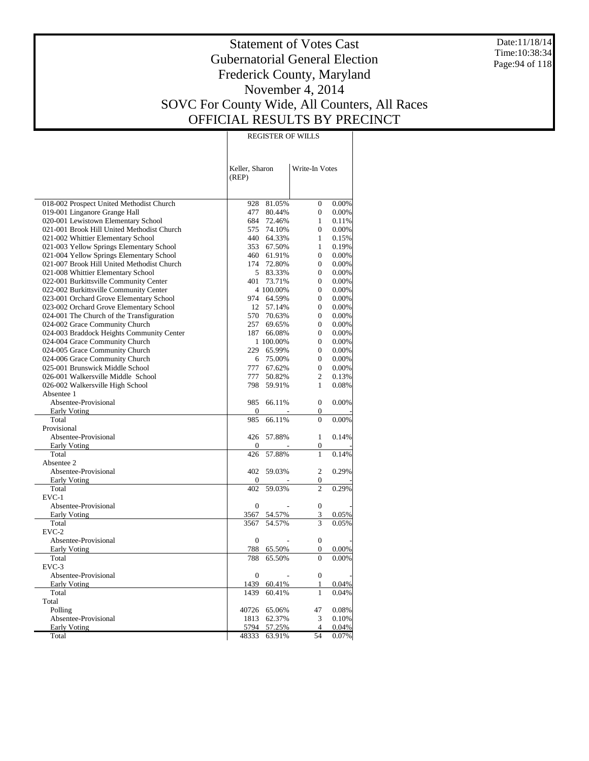Date:11/18/14 Time:10:38:34 Page:94 of 118

## Statement of Votes Cast Gubernatorial General Election Frederick County, Maryland November 4, 2014 SOVC For County Wide, All Counters, All Races OFFICIAL RESULTS BY PRECINCT

 $\overline{\phantom{a}}$ 

|                                                                                    | Keller, Sharon<br>(REP) |                         | Write-In Votes               |                |
|------------------------------------------------------------------------------------|-------------------------|-------------------------|------------------------------|----------------|
|                                                                                    |                         |                         |                              |                |
| 018-002 Prospect United Methodist Church                                           | 928                     | 81.05%                  | $\mathbf{0}$                 | 0.00%          |
| 019-001 Linganore Grange Hall                                                      | 477                     | 80.44%                  | $\mathbf{0}$                 | 0.00%          |
| 020-001 Lewistown Elementary School                                                |                         | 684 72.46%              | $\mathbf{1}$                 | 0.11%          |
| 021-001 Brook Hill United Methodist Church                                         | 575                     | 74.10%                  | $\Omega$                     | 0.00%          |
| 021-002 Whittier Elementary School                                                 |                         | 440 64.33%              | $\mathbf{1}$                 | 0.15%          |
| 021-003 Yellow Springs Elementary School                                           |                         | 353 67.50%              | 1                            | 0.19%          |
| 021-004 Yellow Springs Elementary School                                           |                         | 460 61.91%              | $\mathbf{0}$                 | 0.00%          |
| 021-007 Brook Hill United Methodist Church                                         | 174                     | 72.80%                  | $\mathbf{0}$                 | 0.00%          |
| 021-008 Whittier Elementary School                                                 | $5^{\circ}$             | 83.33%                  | $\Omega$<br>$\Omega$         | 0.00%          |
| 022-001 Burkittsville Community Center                                             |                         | 401 73.71%              |                              | 0.00%          |
| 022-002 Burkittsville Community Center                                             |                         | 4 100.00%               | $\mathbf{0}$                 | 0.00%          |
| 023-001 Orchard Grove Elementary School<br>023-002 Orchard Grove Elementary School |                         | 974 64.59%<br>12 57.14% | $\mathbf{0}$<br>$\mathbf{0}$ | 0.00%<br>0.00% |
| 024-001 The Church of the Transfiguration                                          |                         | 570 70.63%              | $\Omega$                     | 0.00%          |
| 024-002 Grace Community Church                                                     |                         | 257 69.65%              | $\Omega$                     | 0.00%          |
| 024-003 Braddock Heights Community Center                                          | 187                     | 66.08%                  | $\mathbf{0}$                 | 0.00%          |
| 024-004 Grace Community Church                                                     |                         | 1 100.00%               | $\mathbf{0}$                 | 0.00%          |
| 024-005 Grace Community Church                                                     |                         | 229 65.99%              | $\mathbf{0}$                 | 0.00%          |
| 024-006 Grace Community Church                                                     | 6                       | 75.00%                  | $\Omega$                     | 0.00%          |
| 025-001 Brunswick Middle School                                                    |                         | 777 67.62%              | $\Omega$                     | 0.00%          |
| 026-001 Walkersville Middle School                                                 |                         | 777 50.82%              | $\overline{c}$               | 0.13%          |
| 026-002 Walkersville High School                                                   |                         | 798 59.91%              | $\mathbf{1}$                 | 0.08%          |
| Absentee 1                                                                         |                         |                         |                              |                |
| Absentee-Provisional                                                               | 985                     | 66.11%                  | $\Omega$                     | 0.00%          |
| Early Voting                                                                       | $\Omega$                |                         | $\overline{0}$               |                |
| Total                                                                              | 985                     | 66.11%                  | $\mathbf{0}$                 | 0.00%          |
| Provisional                                                                        |                         |                         |                              |                |
| Absentee-Provisional                                                               |                         | 426 57.88%              | $\mathbf{1}$                 | 0.14%          |
| Early Voting                                                                       | $\Omega$                |                         | $\Omega$                     |                |
| Total                                                                              |                         | 426 57.88%              | 1                            | 0.14%          |
| Absentee 2                                                                         |                         |                         |                              |                |
| Absentee-Provisional                                                               |                         | 402 59.03%              | $\overline{c}$               | 0.29%          |
| Early Voting                                                                       | $\mathbf{0}$            |                         | $\mathbf{0}$                 |                |
| Total                                                                              | 402                     | 59.03%                  | $\overline{c}$               | 0.29%          |
| $EVC-1$                                                                            |                         |                         |                              |                |
| Absentee-Provisional                                                               | 0                       |                         | $\boldsymbol{0}$             |                |
| Early Voting                                                                       |                         | 3567 54.57%             | 3                            | 0.05%          |
| Total                                                                              | 3567                    | 54.57%                  | 3                            | 0.05%          |
| $EVC-2$                                                                            |                         |                         |                              |                |
| Absentee-Provisional                                                               | $\mathbf{0}$            |                         | $\Omega$                     |                |
| Early Voting                                                                       | 788                     | 65.50%                  | $\boldsymbol{0}$             | 0.00%          |
| Total                                                                              | 788                     | 65.50%                  | $\mathbf{0}$                 | 0.00%          |
| $EVC-3$                                                                            |                         |                         |                              |                |
| Absentee-Provisional                                                               | $\Omega$                |                         | $\mathbf{0}$                 |                |
| Early Voting                                                                       | 1439                    | 60.41%                  | $\mathbf{1}$                 | 0.04%          |
| Total                                                                              | 1439                    | 60.41%                  | 1                            | 0.04%          |
| Total                                                                              |                         |                         |                              |                |
| Polling                                                                            |                         | 40726 65.06%            | 47                           | 0.08%          |
| Absentee-Provisional                                                               |                         | 1813 62.37%             | 3                            | 0.10%          |
| Early Voting                                                                       | 5794                    | 57.25%                  | $\overline{4}$               | 0.04%          |
| Total                                                                              |                         | 48333 63.91%            | 54                           | 0.07%          |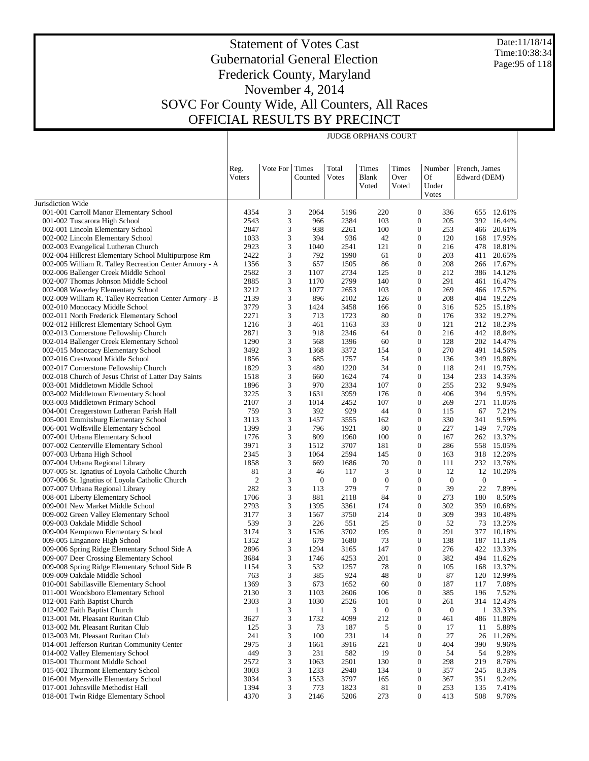Date:11/18/14 Time:10:38:34 Page:95 of 118

 $\overline{\phantom{a}}$ 

# Statement of Votes Cast Gubernatorial General Election Frederick County, Maryland November 4, 2014 SOVC For County Wide, All Counters, All Races OFFICIAL RESULTS BY PRECINCT

Τ

JUDGE ORPHANS COURT

|                                                                                                               | Reg.<br><b>V</b> oters | Vote For                         | Times<br>Counted | Total<br>Votes   | Times<br><b>Blank</b><br>Voted | Times<br>Over<br>Voted | Number<br>Of<br>Under<br>Votes                     | French, James<br>Edward (DEM) |                      |
|---------------------------------------------------------------------------------------------------------------|------------------------|----------------------------------|------------------|------------------|--------------------------------|------------------------|----------------------------------------------------|-------------------------------|----------------------|
| Jurisdiction Wide                                                                                             |                        |                                  |                  |                  |                                |                        |                                                    |                               |                      |
| 001-001 Carroll Manor Elementary School                                                                       | 4354                   | 3                                | 2064             | 5196             | 220                            |                        | $\boldsymbol{0}$<br>336                            |                               | 655 12.61%           |
| 001-002 Tuscarora High School                                                                                 | 2543                   | 3                                | 966              | 2384             | 103                            |                        | $\boldsymbol{0}$<br>205                            |                               | 392 16.44%           |
| 002-001 Lincoln Elementary School                                                                             | 2847                   | 3                                | 938              | 2261             | 100                            |                        | 253<br>$\boldsymbol{0}$                            |                               | 466 20.61%           |
| 002-002 Lincoln Elementary School                                                                             | 1033                   | 3                                | 394              | 936              | 42                             |                        | $\boldsymbol{0}$<br>120                            |                               | 168 17.95%           |
| 002-003 Evangelical Lutheran Church                                                                           | 2923                   | 3                                | 1040             | 2541             | 121                            |                        | $\boldsymbol{0}$<br>216                            |                               | 478 18.81%           |
| 002-004 Hillcrest Elementary School Multipurpose Rm<br>002-005 William R. Talley Recreation Center Armory - A | 2422                   | $\mathfrak z$                    | 792<br>657       | 1990<br>1505     | 61<br>86                       |                        | 203<br>$\boldsymbol{0}$<br>208<br>$\boldsymbol{0}$ | 411                           | 20.65%<br>266 17.67% |
| 002-006 Ballenger Creek Middle School                                                                         | 1356<br>2582           | 3<br>$\mathfrak z$               | 1107             | 2734             | 125                            |                        | $\boldsymbol{0}$<br>212                            |                               | 386 14.12%           |
| 002-007 Thomas Johnson Middle School                                                                          | 2885                   | $\ensuremath{\mathfrak{Z}}$      | 1170             | 2799             | 140                            |                        | 291<br>$\boldsymbol{0}$                            |                               | 461 16.47%           |
| 002-008 Waverley Elementary School                                                                            | 3212                   | $\mathfrak z$                    | 1077             | 2653             | 103                            |                        | $\boldsymbol{0}$<br>269                            |                               | 466 17.57%           |
| 002-009 William R. Talley Recreation Center Armory - B                                                        | 2139                   | $\ensuremath{\mathfrak{Z}}$      | 896              | 2102             | 126                            |                        | 208<br>$\boldsymbol{0}$                            |                               | 404 19.22%           |
| 002-010 Monocacy Middle School                                                                                | 3779                   | $\mathfrak z$                    | 1424             | 3458             | 166                            |                        | $\boldsymbol{0}$<br>316                            |                               | 525 15.18%           |
| 002-011 North Frederick Elementary School                                                                     | 2271                   | 3                                | 713              | 1723             | 80                             |                        | $\boldsymbol{0}$<br>176                            |                               | 332 19.27%           |
| 002-012 Hillcrest Elementary School Gym                                                                       | 1216                   | 3                                | 461              | 1163             | 33                             |                        | $\boldsymbol{0}$<br>121                            |                               | 212 18.23%           |
| 002-013 Cornerstone Fellowship Church                                                                         | 2871                   | 3                                | 918              | 2346             | 64                             |                        | 216<br>$\boldsymbol{0}$                            |                               | 442 18.84%           |
| 002-014 Ballenger Creek Elementary School                                                                     | 1290                   | $\mathfrak z$                    | 568              | 1396             | 60                             |                        | $\boldsymbol{0}$<br>128                            |                               | 202 14.47%           |
| 002-015 Monocacy Elementary School                                                                            | 3492                   | 3                                | 1368             | 3372             | 154                            |                        | 270<br>$\boldsymbol{0}$                            |                               | 491 14.56%           |
| 002-016 Crestwood Middle School                                                                               | 1856                   | 3                                | 685              | 1757             | 54                             |                        | $\boldsymbol{0}$<br>136                            |                               | 349 19.86%           |
| 002-017 Cornerstone Fellowship Church                                                                         | 1829                   | 3                                | 480              | 1220             | 34                             |                        | $\boldsymbol{0}$<br>118                            |                               | 241 19.75%           |
| 002-018 Church of Jesus Christ of Latter Day Saints                                                           | 1518                   | $\mathfrak z$                    | 660              | 1624             | 74                             |                        | $\boldsymbol{0}$<br>134                            | 233                           | 14.35%               |
| 003-001 Middletown Middle School                                                                              | 1896                   | $\ensuremath{\mathfrak{Z}}$      | 970              | 2334             | 107                            |                        | 255<br>$\boldsymbol{0}$                            | 232                           | 9.94%                |
| 003-002 Middletown Elementary School                                                                          | 3225                   | $\mathfrak z$                    | 1631             | 3959             | 176                            |                        | $\boldsymbol{0}$<br>406                            | 394                           | 9.95%                |
| 003-003 Middletown Primary School                                                                             | 2107                   | $\ensuremath{\mathfrak{Z}}$      | 1014             | 2452             | 107                            |                        | $\boldsymbol{0}$<br>269                            | 271                           | 11.05%               |
| 004-001 Creagerstown Lutheran Parish Hall                                                                     | 759                    | $\mathfrak z$                    | 392              | 929              | 44                             |                        | $\boldsymbol{0}$<br>115                            | 67                            | 7.21%                |
| 005-001 Emmitsburg Elementary School                                                                          | 3113                   | 3                                | 1457             | 3555             | 162                            |                        | 330<br>$\boldsymbol{0}$                            | 341                           | 9.59%                |
| 006-001 Wolfsville Elementary School                                                                          | 1399                   | 3                                | 796              | 1921             | 80                             |                        | $\boldsymbol{0}$<br>227                            | 149                           | 7.76%<br>262 13.37%  |
| 007-001 Urbana Elementary School<br>007-002 Centerville Elementary School                                     | 1776<br>3971           | 3<br>$\mathfrak z$               | 809<br>1512      | 1960<br>3707     | 100<br>181                     |                        | $\boldsymbol{0}$<br>167<br>$\boldsymbol{0}$<br>286 | 558                           | 15.05%               |
| 007-003 Urbana High School                                                                                    | 2345                   | 3                                | 1064             | 2594             | 145                            |                        | $\boldsymbol{0}$<br>163                            |                               | 318 12.26%           |
| 007-004 Urbana Regional Library                                                                               | 1858                   | 3                                | 669              | 1686             | 70                             |                        | $\boldsymbol{0}$<br>111                            |                               | 232 13.76%           |
| 007-005 St. Ignatius of Loyola Catholic Church                                                                | 81                     | 3                                | 46               | 117              | 3                              |                        | $\boldsymbol{0}$<br>12                             | 12                            | 10.26%               |
| 007-006 St. Ignatius of Loyola Catholic Church                                                                | $\boldsymbol{2}$       | 3                                | $\boldsymbol{0}$ | $\boldsymbol{0}$ | $\boldsymbol{0}$               |                        | $\mathbf{0}$<br>$\boldsymbol{0}$                   | $\mathbf{0}$                  |                      |
| 007-007 Urbana Regional Library                                                                               | 282                    | 3                                | 113              | 279              | 7                              |                        | 39<br>$\boldsymbol{0}$                             | 22                            | 7.89%                |
| 008-001 Liberty Elementary School                                                                             | 1706                   | $\mathfrak z$                    | 881              | 2118             | 84                             |                        | $\boldsymbol{0}$<br>273                            | 180                           | 8.50%                |
| 009-001 New Market Middle School                                                                              | 2793                   | $\ensuremath{\mathfrak{Z}}$      | 1395             | 3361             | 174                            |                        | $\boldsymbol{0}$<br>302                            | 359                           | 10.68%               |
| 009-002 Green Valley Elementary School                                                                        | 3177                   | $\mathfrak z$                    | 1567             | 3750             | 214                            |                        | $\boldsymbol{0}$<br>309                            | 393                           | 10.48%               |
| 009-003 Oakdale Middle School                                                                                 | 539                    | 3                                | 226              | 551              | 25                             |                        | $\boldsymbol{0}$<br>52                             |                               | 73 13.25%            |
| 009-004 Kemptown Elementary School                                                                            | 3174                   | $\mathfrak z$                    | 1526             | 3702             | 195                            |                        | $\boldsymbol{0}$<br>291                            | 377                           | 10.18%               |
| 009-005 Linganore High School                                                                                 | 1352                   | 3                                | 679              | 1680             | 73                             |                        | $\boldsymbol{0}$<br>138                            |                               | 187 11.13%           |
| 009-006 Spring Ridge Elementary School Side A                                                                 | 2896                   | 3                                | 1294             | 3165             | 147                            |                        | $\boldsymbol{0}$<br>276                            |                               | 422 13.33%           |
| 009-007 Deer Crossing Elementary School                                                                       | 3684                   | 3                                | 1746             | 4253             | 201                            |                        | 382<br>$\mathbf{0}$                                |                               | 494 11.62%           |
| 009-008 Spring Ridge Elementary School Side B                                                                 | 1154                   | 3                                | 532              | 1257             | 78                             |                        | $\mathbf{0}$<br>105                                |                               | 168 13.37%           |
| 009-009 Oakdale Middle School                                                                                 | 763                    | 3                                | 385              | 924              | 48                             |                        | $\boldsymbol{0}$<br>87                             | 120                           | 12.99%               |
| 010-001 Sabillasville Elementary School<br>011-001 Woodsboro Elementary School                                | 1369<br>2130           | $\ensuremath{\mathfrak{Z}}$<br>3 | 673<br>1103      | 1652<br>2606     | 60                             |                        | $\boldsymbol{0}$<br>187<br>$\boldsymbol{0}$<br>385 | 117<br>196                    | 7.08%<br>7.52%       |
| 012-001 Faith Baptist Church                                                                                  | 2303                   | 3                                | 1030             | 2526             | 106<br>101                     |                        | $\boldsymbol{0}$<br>261                            | 314                           | 12.43%               |
| 012-002 Faith Baptist Church                                                                                  | 1                      | 3                                | $\mathbf{1}$     | 3                | $\boldsymbol{0}$               |                        | $\boldsymbol{0}$<br>$\boldsymbol{0}$               |                               | 1 33.33%             |
| 013-001 Mt. Pleasant Ruritan Club                                                                             | 3627                   | 3                                | 1732             | 4099             | 212                            |                        | $\boldsymbol{0}$<br>461                            | 486                           | 11.86%               |
| 013-002 Mt. Pleasant Ruritan Club                                                                             | 125                    | 3                                | 73               | 187              | 5                              |                        | $\boldsymbol{0}$<br>17                             | 11                            | 5.88%                |
| 013-003 Mt. Pleasant Ruritan Club                                                                             | 241                    | 3                                | 100              | 231              | 14                             |                        | $\boldsymbol{0}$<br>27                             | 26                            | 11.26%               |
| 014-001 Jefferson Ruritan Community Center                                                                    | 2975                   | 3                                | 1661             | 3916             | 221                            |                        | $\boldsymbol{0}$<br>404                            | 390                           | 9.96%                |
| 014-002 Valley Elementary School                                                                              | 449                    | 3                                | 231              | 582              | 19                             |                        | $\boldsymbol{0}$<br>54                             | 54                            | 9.28%                |
| 015-001 Thurmont Middle School                                                                                | 2572                   | 3                                | 1063             | 2501             | 130                            |                        | $\boldsymbol{0}$<br>298                            | 219                           | 8.76%                |
| 015-002 Thurmont Elementary School                                                                            | 3003                   | 3                                | 1233             | 2940             | 134                            |                        | $\boldsymbol{0}$<br>357                            | 245                           | 8.33%                |
| 016-001 Myersville Elementary School                                                                          | 3034                   | 3                                | 1553             | 3797             | 165                            |                        | $\boldsymbol{0}$<br>367                            | 351                           | 9.24%                |
| 017-001 Johnsville Methodist Hall                                                                             | 1394                   | 3                                | 773              | 1823             | 81                             |                        | $\boldsymbol{0}$<br>253                            | 135                           | 7.41%                |
| 018-001 Twin Ridge Elementary School                                                                          | 4370                   | 3                                | 2146             | 5206             | 273                            |                        | $\boldsymbol{0}$<br>413                            | 508                           | 9.76%                |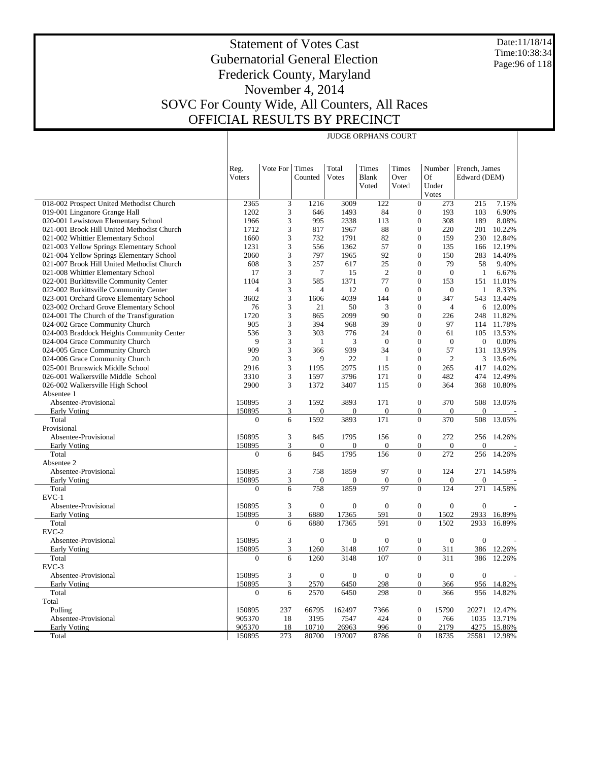Date:11/18/14 Time:10:38:34 Page:96 of 118

# Statement of Votes Cast Gubernatorial General Election Frederick County, Maryland November 4, 2014 SOVC For County Wide, All Counters, All Races OFFICIAL RESULTS BY PRECINCT

JUDGE ORPHANS COURT

| Vote For<br>Times<br>Total<br>Times<br><b>Times</b><br>Number<br>French, James<br>Reg.<br>Voters<br>Counted<br><b>Votes</b><br><b>Blank</b><br>Over<br>Of<br>Edward (DEM)<br>Under<br>Voted<br>Voted<br>Votes<br>3<br>018-002 Prospect United Methodist Church<br>2365<br>1216<br>3009<br>122<br>$\mathbf{0}$<br>273<br>215<br>7.15%<br>3<br>019-001 Linganore Grange Hall<br>1202<br>646<br>1493<br>84<br>$\mathbf{0}$<br>193<br>103<br>6.90%<br>020-001 Lewistown Elementary School<br>3<br>995<br>1966<br>2338<br>113<br>$\Omega$<br>308<br>189<br>8.08%<br>$\mathfrak z$<br>021-001 Brook Hill United Methodist Church<br>1712<br>817<br>1967<br>88<br>$\theta$<br>220<br>201<br>10.22%<br>021-002 Whittier Elementary School<br>3<br>732<br>1791<br>82<br>$\boldsymbol{0}$<br>159<br>12.84%<br>1660<br>230<br>3<br>021-003 Yellow Springs Elementary School<br>556<br>1362<br>57<br>$\mathbf{0}$<br>12.19%<br>1231<br>135<br>166<br>021-004 Yellow Springs Elementary School<br>3<br>797<br>92<br>$\mathbf{0}$<br>2060<br>1965<br>150<br>14.40%<br>283<br>3<br>021-007 Brook Hill United Methodist Church<br>257<br>617<br>25<br>$\overline{0}$<br>79<br>58<br>9.40%<br>608<br>$\mathfrak z$<br>$\overline{2}$<br>$\theta$<br>021-008 Whittier Elementary School<br>17<br>7<br>15<br>$\theta$<br>$\mathbf{1}$<br>6.67%<br>3<br>77<br>$\mathbf{0}$<br>022-001 Burkittsville Community Center<br>1104<br>585<br>1371<br>153<br>151<br>11.01%<br>3<br>022-002 Burkittsville Community Center<br>$\overline{4}$<br>$\overline{4}$<br>12<br>$\mathbf{0}$<br>$\overline{0}$<br>$\mathbf{0}$<br>8.33%<br>$\mathbf{1}$<br>3<br>4039<br>$\overline{0}$<br>347<br>023-001 Orchard Grove Elementary School<br>3602<br>1606<br>144<br>543<br>13.44%<br>3<br>$\theta$<br>023-002 Orchard Grove Elementary School<br>50<br>3<br>12.00%<br>76<br>21<br>$\overline{4}$<br>6<br>$\mathfrak z$<br>024-001 The Church of the Transfiguration<br>1720<br>865<br>2099<br>90<br>$\Omega$<br>226<br>11.82%<br>248<br>024-002 Grace Community Church<br>3<br>394<br>39<br>$\boldsymbol{0}$<br>905<br>968<br>97<br>114 11.78%<br>3<br>024-003 Braddock Heights Community Center<br>303<br>776<br>24<br>$\mathbf{0}$<br>13.53%<br>536<br>61<br>105<br>3<br>$\overline{0}$<br>024-004 Grace Community Church<br>9<br>3<br>$\mathbf{0}$<br>$\theta$<br>0.00%<br>1<br>$\mathbf{0}$<br>3<br>939<br>57<br>024-005 Grace Community Church<br>909<br>366<br>34<br>$\Omega$<br>131<br>13.95%<br>$\mathfrak z$<br>$\overline{2}$<br>024-006 Grace Community Church<br>20<br>$\mathbf Q$<br>22<br>$\mathbf{1}$<br>$\theta$<br>3<br>13.64%<br>3<br>$\overline{0}$<br>025-001 Brunswick Middle School<br>2916<br>1195<br>2975<br>115<br>265<br>417 14.02%<br>3<br>1597<br>3796<br>171<br>$\overline{0}$<br>482<br>12.49%<br>026-001 Walkersville Middle School<br>3310<br>474<br>3<br>$\overline{0}$<br>026-002 Walkersville High School<br>2900<br>1372<br>3407<br>115<br>364<br>368<br>10.80%<br>Absentee 1<br>$\mathfrak{Z}$<br>$\overline{0}$<br>Absentee-Provisional<br>150895<br>1592<br>3893<br>171<br>370<br>508<br>13.05%<br>150895<br>$\mathfrak{Z}$<br><b>Early Voting</b><br>$\boldsymbol{0}$<br>$\boldsymbol{0}$<br>$\boldsymbol{0}$<br>$\boldsymbol{0}$<br>$\theta$<br>$\theta$<br>6<br>1592<br>3893<br>171<br>Total<br>$\mathbf{0}$<br>$\Omega$<br>370<br>508<br>13.05%<br>Provisional<br>3<br>$\mathbf{0}$<br>150895<br>845<br>1795<br>156<br>272<br>Absentee-Provisional<br>256<br>14.26%<br>3<br><b>Early Voting</b><br>150895<br>$\mathbf{0}$<br>$\Omega$<br>$\theta$<br>$\mathbf{0}$<br>$\mathbf{0}$<br>$\Omega$<br>6<br>845<br>1795<br>156<br>$\Omega$<br>272<br>Total<br>$\Omega$<br>256<br>14.26%<br>Absentee 2<br>3<br>97<br>$\mathbf{0}$<br>150895<br>758<br>1859<br>124<br>14.58%<br>Absentee-Provisional<br>271<br>3<br>150895<br>$\boldsymbol{0}$<br>$\mathbf{0}$<br>$\mathbf{0}$<br><b>Early Voting</b><br>$\theta$<br>$\theta$<br>$\mathbf{0}$<br>97<br>6<br>758<br>1859<br>$\Omega$<br>124<br>271<br>Total<br>$\Omega$<br>14.58%<br>$EVC-1$<br>150895<br>3<br>$\overline{0}$<br>$\mathbf{0}$<br>$\mathbf{0}$<br>$\boldsymbol{0}$<br>$\overline{0}$<br>$\boldsymbol{0}$<br>Absentee-Provisional<br>3<br>591<br>2933<br>150895<br>6880<br>17365<br>$\mathbf{0}$<br>1502<br>16.89%<br><b>Early Voting</b><br>6<br>591<br>$\Omega$<br>1502<br>6880<br>17365<br>2933<br>16.89%<br>Total<br>$\theta$<br>$EVC-2$<br>$\mathfrak{Z}$<br>$\mathbf{0}$<br>$\overline{0}$<br>$\overline{0}$<br>$\mathbf{0}$<br>$\mathbf{0}$<br>$\overline{0}$<br>Absentee-Provisional<br>150895<br>150895<br>3<br>3148<br>107<br>$\boldsymbol{0}$<br>311<br>386<br>Early Voting<br>1260<br>12.26%<br>Total<br>6<br>$\overline{0}$<br>$\mathbf{0}$<br>1260<br>3148<br>107<br>311<br>386<br>12.26%<br>$EVC-3$<br>3<br>$\mathbf{0}$<br>$\mathbf{0}$<br>$\overline{0}$<br>$\mathbf{0}$<br>$\mathbf{0}$<br>$\mathbf{0}$<br>Absentee-Provisional<br>150895<br>3<br>298<br><b>Early Voting</b><br>150895<br>2570<br>6450<br>$\mathbf{0}$<br>366<br>956<br>14.82%<br>Total<br>$\theta$<br>6<br>2570<br>298<br>$\Omega$<br>14.82%<br>6450<br>366<br>956<br>Total<br>66795<br>$\overline{0}$<br>Polling<br>150895<br>237<br>162497<br>7366<br>15790<br>20271<br>12.47%<br>Absentee-Provisional<br>905370<br>18<br>3195<br>7547<br>424<br>$\mathbf{0}$<br>766<br>1035<br>13.71%<br>Early Voting<br>905370<br>18<br>10710<br>26963<br>996<br>$\Omega$<br>2179<br>4275<br>15.86%<br>273<br>80700<br>197007<br>8786<br>$\Omega$<br>18735<br>25581<br>12.98%<br>Total<br>150895 |  |  |  |  |  |
|------------------------------------------------------------------------------------------------------------------------------------------------------------------------------------------------------------------------------------------------------------------------------------------------------------------------------------------------------------------------------------------------------------------------------------------------------------------------------------------------------------------------------------------------------------------------------------------------------------------------------------------------------------------------------------------------------------------------------------------------------------------------------------------------------------------------------------------------------------------------------------------------------------------------------------------------------------------------------------------------------------------------------------------------------------------------------------------------------------------------------------------------------------------------------------------------------------------------------------------------------------------------------------------------------------------------------------------------------------------------------------------------------------------------------------------------------------------------------------------------------------------------------------------------------------------------------------------------------------------------------------------------------------------------------------------------------------------------------------------------------------------------------------------------------------------------------------------------------------------------------------------------------------------------------------------------------------------------------------------------------------------------------------------------------------------------------------------------------------------------------------------------------------------------------------------------------------------------------------------------------------------------------------------------------------------------------------------------------------------------------------------------------------------------------------------------------------------------------------------------------------------------------------------------------------------------------------------------------------------------------------------------------------------------------------------------------------------------------------------------------------------------------------------------------------------------------------------------------------------------------------------------------------------------------------------------------------------------------------------------------------------------------------------------------------------------------------------------------------------------------------------------------------------------------------------------------------------------------------------------------------------------------------------------------------------------------------------------------------------------------------------------------------------------------------------------------------------------------------------------------------------------------------------------------------------------------------------------------------------------------------------------------------------------------------------------------------------------------------------------------------------------------------------------------------------------------------------------------------------------------------------------------------------------------------------------------------------------------------------------------------------------------------------------------------------------------------------------------------------------------------------------------------------------------------------------------------------------------------------------------------------------------------------------------------------------------------------------------------------------------------------------------------------------------------------------------------------------------------------------------------------------------------------------------------------------------------------------------------------------------------------------------------------------------------------------------------------------------------------------------------------------------------------------------------------------------------------------------------------------------------------------------------------------------------------------------------------------------------------------------------------------------------------------------------------------------------------------------------------------------------------------------------------------------------------------------------------------------------------------------------------------------------------------------------------------------------------------------------------------------------------------------------------------------------------------------------------------------------------------------------------------------------|--|--|--|--|--|
|                                                                                                                                                                                                                                                                                                                                                                                                                                                                                                                                                                                                                                                                                                                                                                                                                                                                                                                                                                                                                                                                                                                                                                                                                                                                                                                                                                                                                                                                                                                                                                                                                                                                                                                                                                                                                                                                                                                                                                                                                                                                                                                                                                                                                                                                                                                                                                                                                                                                                                                                                                                                                                                                                                                                                                                                                                                                                                                                                                                                                                                                                                                                                                                                                                                                                                                                                                                                                                                                                                                                                                                                                                                                                                                                                                                                                                                                                                                                                                                                                                                                                                                                                                                                                                                                                                                                                                                                                                                                                                                                                                                                                                                                                                                                                                                                                                                                                                                                                                                                                                                                                                                                                                                                                                                                                                                                                                                                                                                                                                                                    |  |  |  |  |  |
|                                                                                                                                                                                                                                                                                                                                                                                                                                                                                                                                                                                                                                                                                                                                                                                                                                                                                                                                                                                                                                                                                                                                                                                                                                                                                                                                                                                                                                                                                                                                                                                                                                                                                                                                                                                                                                                                                                                                                                                                                                                                                                                                                                                                                                                                                                                                                                                                                                                                                                                                                                                                                                                                                                                                                                                                                                                                                                                                                                                                                                                                                                                                                                                                                                                                                                                                                                                                                                                                                                                                                                                                                                                                                                                                                                                                                                                                                                                                                                                                                                                                                                                                                                                                                                                                                                                                                                                                                                                                                                                                                                                                                                                                                                                                                                                                                                                                                                                                                                                                                                                                                                                                                                                                                                                                                                                                                                                                                                                                                                                                    |  |  |  |  |  |
|                                                                                                                                                                                                                                                                                                                                                                                                                                                                                                                                                                                                                                                                                                                                                                                                                                                                                                                                                                                                                                                                                                                                                                                                                                                                                                                                                                                                                                                                                                                                                                                                                                                                                                                                                                                                                                                                                                                                                                                                                                                                                                                                                                                                                                                                                                                                                                                                                                                                                                                                                                                                                                                                                                                                                                                                                                                                                                                                                                                                                                                                                                                                                                                                                                                                                                                                                                                                                                                                                                                                                                                                                                                                                                                                                                                                                                                                                                                                                                                                                                                                                                                                                                                                                                                                                                                                                                                                                                                                                                                                                                                                                                                                                                                                                                                                                                                                                                                                                                                                                                                                                                                                                                                                                                                                                                                                                                                                                                                                                                                                    |  |  |  |  |  |
|                                                                                                                                                                                                                                                                                                                                                                                                                                                                                                                                                                                                                                                                                                                                                                                                                                                                                                                                                                                                                                                                                                                                                                                                                                                                                                                                                                                                                                                                                                                                                                                                                                                                                                                                                                                                                                                                                                                                                                                                                                                                                                                                                                                                                                                                                                                                                                                                                                                                                                                                                                                                                                                                                                                                                                                                                                                                                                                                                                                                                                                                                                                                                                                                                                                                                                                                                                                                                                                                                                                                                                                                                                                                                                                                                                                                                                                                                                                                                                                                                                                                                                                                                                                                                                                                                                                                                                                                                                                                                                                                                                                                                                                                                                                                                                                                                                                                                                                                                                                                                                                                                                                                                                                                                                                                                                                                                                                                                                                                                                                                    |  |  |  |  |  |
|                                                                                                                                                                                                                                                                                                                                                                                                                                                                                                                                                                                                                                                                                                                                                                                                                                                                                                                                                                                                                                                                                                                                                                                                                                                                                                                                                                                                                                                                                                                                                                                                                                                                                                                                                                                                                                                                                                                                                                                                                                                                                                                                                                                                                                                                                                                                                                                                                                                                                                                                                                                                                                                                                                                                                                                                                                                                                                                                                                                                                                                                                                                                                                                                                                                                                                                                                                                                                                                                                                                                                                                                                                                                                                                                                                                                                                                                                                                                                                                                                                                                                                                                                                                                                                                                                                                                                                                                                                                                                                                                                                                                                                                                                                                                                                                                                                                                                                                                                                                                                                                                                                                                                                                                                                                                                                                                                                                                                                                                                                                                    |  |  |  |  |  |
|                                                                                                                                                                                                                                                                                                                                                                                                                                                                                                                                                                                                                                                                                                                                                                                                                                                                                                                                                                                                                                                                                                                                                                                                                                                                                                                                                                                                                                                                                                                                                                                                                                                                                                                                                                                                                                                                                                                                                                                                                                                                                                                                                                                                                                                                                                                                                                                                                                                                                                                                                                                                                                                                                                                                                                                                                                                                                                                                                                                                                                                                                                                                                                                                                                                                                                                                                                                                                                                                                                                                                                                                                                                                                                                                                                                                                                                                                                                                                                                                                                                                                                                                                                                                                                                                                                                                                                                                                                                                                                                                                                                                                                                                                                                                                                                                                                                                                                                                                                                                                                                                                                                                                                                                                                                                                                                                                                                                                                                                                                                                    |  |  |  |  |  |
|                                                                                                                                                                                                                                                                                                                                                                                                                                                                                                                                                                                                                                                                                                                                                                                                                                                                                                                                                                                                                                                                                                                                                                                                                                                                                                                                                                                                                                                                                                                                                                                                                                                                                                                                                                                                                                                                                                                                                                                                                                                                                                                                                                                                                                                                                                                                                                                                                                                                                                                                                                                                                                                                                                                                                                                                                                                                                                                                                                                                                                                                                                                                                                                                                                                                                                                                                                                                                                                                                                                                                                                                                                                                                                                                                                                                                                                                                                                                                                                                                                                                                                                                                                                                                                                                                                                                                                                                                                                                                                                                                                                                                                                                                                                                                                                                                                                                                                                                                                                                                                                                                                                                                                                                                                                                                                                                                                                                                                                                                                                                    |  |  |  |  |  |
|                                                                                                                                                                                                                                                                                                                                                                                                                                                                                                                                                                                                                                                                                                                                                                                                                                                                                                                                                                                                                                                                                                                                                                                                                                                                                                                                                                                                                                                                                                                                                                                                                                                                                                                                                                                                                                                                                                                                                                                                                                                                                                                                                                                                                                                                                                                                                                                                                                                                                                                                                                                                                                                                                                                                                                                                                                                                                                                                                                                                                                                                                                                                                                                                                                                                                                                                                                                                                                                                                                                                                                                                                                                                                                                                                                                                                                                                                                                                                                                                                                                                                                                                                                                                                                                                                                                                                                                                                                                                                                                                                                                                                                                                                                                                                                                                                                                                                                                                                                                                                                                                                                                                                                                                                                                                                                                                                                                                                                                                                                                                    |  |  |  |  |  |
|                                                                                                                                                                                                                                                                                                                                                                                                                                                                                                                                                                                                                                                                                                                                                                                                                                                                                                                                                                                                                                                                                                                                                                                                                                                                                                                                                                                                                                                                                                                                                                                                                                                                                                                                                                                                                                                                                                                                                                                                                                                                                                                                                                                                                                                                                                                                                                                                                                                                                                                                                                                                                                                                                                                                                                                                                                                                                                                                                                                                                                                                                                                                                                                                                                                                                                                                                                                                                                                                                                                                                                                                                                                                                                                                                                                                                                                                                                                                                                                                                                                                                                                                                                                                                                                                                                                                                                                                                                                                                                                                                                                                                                                                                                                                                                                                                                                                                                                                                                                                                                                                                                                                                                                                                                                                                                                                                                                                                                                                                                                                    |  |  |  |  |  |
|                                                                                                                                                                                                                                                                                                                                                                                                                                                                                                                                                                                                                                                                                                                                                                                                                                                                                                                                                                                                                                                                                                                                                                                                                                                                                                                                                                                                                                                                                                                                                                                                                                                                                                                                                                                                                                                                                                                                                                                                                                                                                                                                                                                                                                                                                                                                                                                                                                                                                                                                                                                                                                                                                                                                                                                                                                                                                                                                                                                                                                                                                                                                                                                                                                                                                                                                                                                                                                                                                                                                                                                                                                                                                                                                                                                                                                                                                                                                                                                                                                                                                                                                                                                                                                                                                                                                                                                                                                                                                                                                                                                                                                                                                                                                                                                                                                                                                                                                                                                                                                                                                                                                                                                                                                                                                                                                                                                                                                                                                                                                    |  |  |  |  |  |
|                                                                                                                                                                                                                                                                                                                                                                                                                                                                                                                                                                                                                                                                                                                                                                                                                                                                                                                                                                                                                                                                                                                                                                                                                                                                                                                                                                                                                                                                                                                                                                                                                                                                                                                                                                                                                                                                                                                                                                                                                                                                                                                                                                                                                                                                                                                                                                                                                                                                                                                                                                                                                                                                                                                                                                                                                                                                                                                                                                                                                                                                                                                                                                                                                                                                                                                                                                                                                                                                                                                                                                                                                                                                                                                                                                                                                                                                                                                                                                                                                                                                                                                                                                                                                                                                                                                                                                                                                                                                                                                                                                                                                                                                                                                                                                                                                                                                                                                                                                                                                                                                                                                                                                                                                                                                                                                                                                                                                                                                                                                                    |  |  |  |  |  |
|                                                                                                                                                                                                                                                                                                                                                                                                                                                                                                                                                                                                                                                                                                                                                                                                                                                                                                                                                                                                                                                                                                                                                                                                                                                                                                                                                                                                                                                                                                                                                                                                                                                                                                                                                                                                                                                                                                                                                                                                                                                                                                                                                                                                                                                                                                                                                                                                                                                                                                                                                                                                                                                                                                                                                                                                                                                                                                                                                                                                                                                                                                                                                                                                                                                                                                                                                                                                                                                                                                                                                                                                                                                                                                                                                                                                                                                                                                                                                                                                                                                                                                                                                                                                                                                                                                                                                                                                                                                                                                                                                                                                                                                                                                                                                                                                                                                                                                                                                                                                                                                                                                                                                                                                                                                                                                                                                                                                                                                                                                                                    |  |  |  |  |  |
|                                                                                                                                                                                                                                                                                                                                                                                                                                                                                                                                                                                                                                                                                                                                                                                                                                                                                                                                                                                                                                                                                                                                                                                                                                                                                                                                                                                                                                                                                                                                                                                                                                                                                                                                                                                                                                                                                                                                                                                                                                                                                                                                                                                                                                                                                                                                                                                                                                                                                                                                                                                                                                                                                                                                                                                                                                                                                                                                                                                                                                                                                                                                                                                                                                                                                                                                                                                                                                                                                                                                                                                                                                                                                                                                                                                                                                                                                                                                                                                                                                                                                                                                                                                                                                                                                                                                                                                                                                                                                                                                                                                                                                                                                                                                                                                                                                                                                                                                                                                                                                                                                                                                                                                                                                                                                                                                                                                                                                                                                                                                    |  |  |  |  |  |
|                                                                                                                                                                                                                                                                                                                                                                                                                                                                                                                                                                                                                                                                                                                                                                                                                                                                                                                                                                                                                                                                                                                                                                                                                                                                                                                                                                                                                                                                                                                                                                                                                                                                                                                                                                                                                                                                                                                                                                                                                                                                                                                                                                                                                                                                                                                                                                                                                                                                                                                                                                                                                                                                                                                                                                                                                                                                                                                                                                                                                                                                                                                                                                                                                                                                                                                                                                                                                                                                                                                                                                                                                                                                                                                                                                                                                                                                                                                                                                                                                                                                                                                                                                                                                                                                                                                                                                                                                                                                                                                                                                                                                                                                                                                                                                                                                                                                                                                                                                                                                                                                                                                                                                                                                                                                                                                                                                                                                                                                                                                                    |  |  |  |  |  |
|                                                                                                                                                                                                                                                                                                                                                                                                                                                                                                                                                                                                                                                                                                                                                                                                                                                                                                                                                                                                                                                                                                                                                                                                                                                                                                                                                                                                                                                                                                                                                                                                                                                                                                                                                                                                                                                                                                                                                                                                                                                                                                                                                                                                                                                                                                                                                                                                                                                                                                                                                                                                                                                                                                                                                                                                                                                                                                                                                                                                                                                                                                                                                                                                                                                                                                                                                                                                                                                                                                                                                                                                                                                                                                                                                                                                                                                                                                                                                                                                                                                                                                                                                                                                                                                                                                                                                                                                                                                                                                                                                                                                                                                                                                                                                                                                                                                                                                                                                                                                                                                                                                                                                                                                                                                                                                                                                                                                                                                                                                                                    |  |  |  |  |  |
|                                                                                                                                                                                                                                                                                                                                                                                                                                                                                                                                                                                                                                                                                                                                                                                                                                                                                                                                                                                                                                                                                                                                                                                                                                                                                                                                                                                                                                                                                                                                                                                                                                                                                                                                                                                                                                                                                                                                                                                                                                                                                                                                                                                                                                                                                                                                                                                                                                                                                                                                                                                                                                                                                                                                                                                                                                                                                                                                                                                                                                                                                                                                                                                                                                                                                                                                                                                                                                                                                                                                                                                                                                                                                                                                                                                                                                                                                                                                                                                                                                                                                                                                                                                                                                                                                                                                                                                                                                                                                                                                                                                                                                                                                                                                                                                                                                                                                                                                                                                                                                                                                                                                                                                                                                                                                                                                                                                                                                                                                                                                    |  |  |  |  |  |
|                                                                                                                                                                                                                                                                                                                                                                                                                                                                                                                                                                                                                                                                                                                                                                                                                                                                                                                                                                                                                                                                                                                                                                                                                                                                                                                                                                                                                                                                                                                                                                                                                                                                                                                                                                                                                                                                                                                                                                                                                                                                                                                                                                                                                                                                                                                                                                                                                                                                                                                                                                                                                                                                                                                                                                                                                                                                                                                                                                                                                                                                                                                                                                                                                                                                                                                                                                                                                                                                                                                                                                                                                                                                                                                                                                                                                                                                                                                                                                                                                                                                                                                                                                                                                                                                                                                                                                                                                                                                                                                                                                                                                                                                                                                                                                                                                                                                                                                                                                                                                                                                                                                                                                                                                                                                                                                                                                                                                                                                                                                                    |  |  |  |  |  |
|                                                                                                                                                                                                                                                                                                                                                                                                                                                                                                                                                                                                                                                                                                                                                                                                                                                                                                                                                                                                                                                                                                                                                                                                                                                                                                                                                                                                                                                                                                                                                                                                                                                                                                                                                                                                                                                                                                                                                                                                                                                                                                                                                                                                                                                                                                                                                                                                                                                                                                                                                                                                                                                                                                                                                                                                                                                                                                                                                                                                                                                                                                                                                                                                                                                                                                                                                                                                                                                                                                                                                                                                                                                                                                                                                                                                                                                                                                                                                                                                                                                                                                                                                                                                                                                                                                                                                                                                                                                                                                                                                                                                                                                                                                                                                                                                                                                                                                                                                                                                                                                                                                                                                                                                                                                                                                                                                                                                                                                                                                                                    |  |  |  |  |  |
|                                                                                                                                                                                                                                                                                                                                                                                                                                                                                                                                                                                                                                                                                                                                                                                                                                                                                                                                                                                                                                                                                                                                                                                                                                                                                                                                                                                                                                                                                                                                                                                                                                                                                                                                                                                                                                                                                                                                                                                                                                                                                                                                                                                                                                                                                                                                                                                                                                                                                                                                                                                                                                                                                                                                                                                                                                                                                                                                                                                                                                                                                                                                                                                                                                                                                                                                                                                                                                                                                                                                                                                                                                                                                                                                                                                                                                                                                                                                                                                                                                                                                                                                                                                                                                                                                                                                                                                                                                                                                                                                                                                                                                                                                                                                                                                                                                                                                                                                                                                                                                                                                                                                                                                                                                                                                                                                                                                                                                                                                                                                    |  |  |  |  |  |
|                                                                                                                                                                                                                                                                                                                                                                                                                                                                                                                                                                                                                                                                                                                                                                                                                                                                                                                                                                                                                                                                                                                                                                                                                                                                                                                                                                                                                                                                                                                                                                                                                                                                                                                                                                                                                                                                                                                                                                                                                                                                                                                                                                                                                                                                                                                                                                                                                                                                                                                                                                                                                                                                                                                                                                                                                                                                                                                                                                                                                                                                                                                                                                                                                                                                                                                                                                                                                                                                                                                                                                                                                                                                                                                                                                                                                                                                                                                                                                                                                                                                                                                                                                                                                                                                                                                                                                                                                                                                                                                                                                                                                                                                                                                                                                                                                                                                                                                                                                                                                                                                                                                                                                                                                                                                                                                                                                                                                                                                                                                                    |  |  |  |  |  |
|                                                                                                                                                                                                                                                                                                                                                                                                                                                                                                                                                                                                                                                                                                                                                                                                                                                                                                                                                                                                                                                                                                                                                                                                                                                                                                                                                                                                                                                                                                                                                                                                                                                                                                                                                                                                                                                                                                                                                                                                                                                                                                                                                                                                                                                                                                                                                                                                                                                                                                                                                                                                                                                                                                                                                                                                                                                                                                                                                                                                                                                                                                                                                                                                                                                                                                                                                                                                                                                                                                                                                                                                                                                                                                                                                                                                                                                                                                                                                                                                                                                                                                                                                                                                                                                                                                                                                                                                                                                                                                                                                                                                                                                                                                                                                                                                                                                                                                                                                                                                                                                                                                                                                                                                                                                                                                                                                                                                                                                                                                                                    |  |  |  |  |  |
|                                                                                                                                                                                                                                                                                                                                                                                                                                                                                                                                                                                                                                                                                                                                                                                                                                                                                                                                                                                                                                                                                                                                                                                                                                                                                                                                                                                                                                                                                                                                                                                                                                                                                                                                                                                                                                                                                                                                                                                                                                                                                                                                                                                                                                                                                                                                                                                                                                                                                                                                                                                                                                                                                                                                                                                                                                                                                                                                                                                                                                                                                                                                                                                                                                                                                                                                                                                                                                                                                                                                                                                                                                                                                                                                                                                                                                                                                                                                                                                                                                                                                                                                                                                                                                                                                                                                                                                                                                                                                                                                                                                                                                                                                                                                                                                                                                                                                                                                                                                                                                                                                                                                                                                                                                                                                                                                                                                                                                                                                                                                    |  |  |  |  |  |
|                                                                                                                                                                                                                                                                                                                                                                                                                                                                                                                                                                                                                                                                                                                                                                                                                                                                                                                                                                                                                                                                                                                                                                                                                                                                                                                                                                                                                                                                                                                                                                                                                                                                                                                                                                                                                                                                                                                                                                                                                                                                                                                                                                                                                                                                                                                                                                                                                                                                                                                                                                                                                                                                                                                                                                                                                                                                                                                                                                                                                                                                                                                                                                                                                                                                                                                                                                                                                                                                                                                                                                                                                                                                                                                                                                                                                                                                                                                                                                                                                                                                                                                                                                                                                                                                                                                                                                                                                                                                                                                                                                                                                                                                                                                                                                                                                                                                                                                                                                                                                                                                                                                                                                                                                                                                                                                                                                                                                                                                                                                                    |  |  |  |  |  |
|                                                                                                                                                                                                                                                                                                                                                                                                                                                                                                                                                                                                                                                                                                                                                                                                                                                                                                                                                                                                                                                                                                                                                                                                                                                                                                                                                                                                                                                                                                                                                                                                                                                                                                                                                                                                                                                                                                                                                                                                                                                                                                                                                                                                                                                                                                                                                                                                                                                                                                                                                                                                                                                                                                                                                                                                                                                                                                                                                                                                                                                                                                                                                                                                                                                                                                                                                                                                                                                                                                                                                                                                                                                                                                                                                                                                                                                                                                                                                                                                                                                                                                                                                                                                                                                                                                                                                                                                                                                                                                                                                                                                                                                                                                                                                                                                                                                                                                                                                                                                                                                                                                                                                                                                                                                                                                                                                                                                                                                                                                                                    |  |  |  |  |  |
|                                                                                                                                                                                                                                                                                                                                                                                                                                                                                                                                                                                                                                                                                                                                                                                                                                                                                                                                                                                                                                                                                                                                                                                                                                                                                                                                                                                                                                                                                                                                                                                                                                                                                                                                                                                                                                                                                                                                                                                                                                                                                                                                                                                                                                                                                                                                                                                                                                                                                                                                                                                                                                                                                                                                                                                                                                                                                                                                                                                                                                                                                                                                                                                                                                                                                                                                                                                                                                                                                                                                                                                                                                                                                                                                                                                                                                                                                                                                                                                                                                                                                                                                                                                                                                                                                                                                                                                                                                                                                                                                                                                                                                                                                                                                                                                                                                                                                                                                                                                                                                                                                                                                                                                                                                                                                                                                                                                                                                                                                                                                    |  |  |  |  |  |
|                                                                                                                                                                                                                                                                                                                                                                                                                                                                                                                                                                                                                                                                                                                                                                                                                                                                                                                                                                                                                                                                                                                                                                                                                                                                                                                                                                                                                                                                                                                                                                                                                                                                                                                                                                                                                                                                                                                                                                                                                                                                                                                                                                                                                                                                                                                                                                                                                                                                                                                                                                                                                                                                                                                                                                                                                                                                                                                                                                                                                                                                                                                                                                                                                                                                                                                                                                                                                                                                                                                                                                                                                                                                                                                                                                                                                                                                                                                                                                                                                                                                                                                                                                                                                                                                                                                                                                                                                                                                                                                                                                                                                                                                                                                                                                                                                                                                                                                                                                                                                                                                                                                                                                                                                                                                                                                                                                                                                                                                                                                                    |  |  |  |  |  |
|                                                                                                                                                                                                                                                                                                                                                                                                                                                                                                                                                                                                                                                                                                                                                                                                                                                                                                                                                                                                                                                                                                                                                                                                                                                                                                                                                                                                                                                                                                                                                                                                                                                                                                                                                                                                                                                                                                                                                                                                                                                                                                                                                                                                                                                                                                                                                                                                                                                                                                                                                                                                                                                                                                                                                                                                                                                                                                                                                                                                                                                                                                                                                                                                                                                                                                                                                                                                                                                                                                                                                                                                                                                                                                                                                                                                                                                                                                                                                                                                                                                                                                                                                                                                                                                                                                                                                                                                                                                                                                                                                                                                                                                                                                                                                                                                                                                                                                                                                                                                                                                                                                                                                                                                                                                                                                                                                                                                                                                                                                                                    |  |  |  |  |  |
|                                                                                                                                                                                                                                                                                                                                                                                                                                                                                                                                                                                                                                                                                                                                                                                                                                                                                                                                                                                                                                                                                                                                                                                                                                                                                                                                                                                                                                                                                                                                                                                                                                                                                                                                                                                                                                                                                                                                                                                                                                                                                                                                                                                                                                                                                                                                                                                                                                                                                                                                                                                                                                                                                                                                                                                                                                                                                                                                                                                                                                                                                                                                                                                                                                                                                                                                                                                                                                                                                                                                                                                                                                                                                                                                                                                                                                                                                                                                                                                                                                                                                                                                                                                                                                                                                                                                                                                                                                                                                                                                                                                                                                                                                                                                                                                                                                                                                                                                                                                                                                                                                                                                                                                                                                                                                                                                                                                                                                                                                                                                    |  |  |  |  |  |
|                                                                                                                                                                                                                                                                                                                                                                                                                                                                                                                                                                                                                                                                                                                                                                                                                                                                                                                                                                                                                                                                                                                                                                                                                                                                                                                                                                                                                                                                                                                                                                                                                                                                                                                                                                                                                                                                                                                                                                                                                                                                                                                                                                                                                                                                                                                                                                                                                                                                                                                                                                                                                                                                                                                                                                                                                                                                                                                                                                                                                                                                                                                                                                                                                                                                                                                                                                                                                                                                                                                                                                                                                                                                                                                                                                                                                                                                                                                                                                                                                                                                                                                                                                                                                                                                                                                                                                                                                                                                                                                                                                                                                                                                                                                                                                                                                                                                                                                                                                                                                                                                                                                                                                                                                                                                                                                                                                                                                                                                                                                                    |  |  |  |  |  |
|                                                                                                                                                                                                                                                                                                                                                                                                                                                                                                                                                                                                                                                                                                                                                                                                                                                                                                                                                                                                                                                                                                                                                                                                                                                                                                                                                                                                                                                                                                                                                                                                                                                                                                                                                                                                                                                                                                                                                                                                                                                                                                                                                                                                                                                                                                                                                                                                                                                                                                                                                                                                                                                                                                                                                                                                                                                                                                                                                                                                                                                                                                                                                                                                                                                                                                                                                                                                                                                                                                                                                                                                                                                                                                                                                                                                                                                                                                                                                                                                                                                                                                                                                                                                                                                                                                                                                                                                                                                                                                                                                                                                                                                                                                                                                                                                                                                                                                                                                                                                                                                                                                                                                                                                                                                                                                                                                                                                                                                                                                                                    |  |  |  |  |  |
|                                                                                                                                                                                                                                                                                                                                                                                                                                                                                                                                                                                                                                                                                                                                                                                                                                                                                                                                                                                                                                                                                                                                                                                                                                                                                                                                                                                                                                                                                                                                                                                                                                                                                                                                                                                                                                                                                                                                                                                                                                                                                                                                                                                                                                                                                                                                                                                                                                                                                                                                                                                                                                                                                                                                                                                                                                                                                                                                                                                                                                                                                                                                                                                                                                                                                                                                                                                                                                                                                                                                                                                                                                                                                                                                                                                                                                                                                                                                                                                                                                                                                                                                                                                                                                                                                                                                                                                                                                                                                                                                                                                                                                                                                                                                                                                                                                                                                                                                                                                                                                                                                                                                                                                                                                                                                                                                                                                                                                                                                                                                    |  |  |  |  |  |
|                                                                                                                                                                                                                                                                                                                                                                                                                                                                                                                                                                                                                                                                                                                                                                                                                                                                                                                                                                                                                                                                                                                                                                                                                                                                                                                                                                                                                                                                                                                                                                                                                                                                                                                                                                                                                                                                                                                                                                                                                                                                                                                                                                                                                                                                                                                                                                                                                                                                                                                                                                                                                                                                                                                                                                                                                                                                                                                                                                                                                                                                                                                                                                                                                                                                                                                                                                                                                                                                                                                                                                                                                                                                                                                                                                                                                                                                                                                                                                                                                                                                                                                                                                                                                                                                                                                                                                                                                                                                                                                                                                                                                                                                                                                                                                                                                                                                                                                                                                                                                                                                                                                                                                                                                                                                                                                                                                                                                                                                                                                                    |  |  |  |  |  |
|                                                                                                                                                                                                                                                                                                                                                                                                                                                                                                                                                                                                                                                                                                                                                                                                                                                                                                                                                                                                                                                                                                                                                                                                                                                                                                                                                                                                                                                                                                                                                                                                                                                                                                                                                                                                                                                                                                                                                                                                                                                                                                                                                                                                                                                                                                                                                                                                                                                                                                                                                                                                                                                                                                                                                                                                                                                                                                                                                                                                                                                                                                                                                                                                                                                                                                                                                                                                                                                                                                                                                                                                                                                                                                                                                                                                                                                                                                                                                                                                                                                                                                                                                                                                                                                                                                                                                                                                                                                                                                                                                                                                                                                                                                                                                                                                                                                                                                                                                                                                                                                                                                                                                                                                                                                                                                                                                                                                                                                                                                                                    |  |  |  |  |  |
|                                                                                                                                                                                                                                                                                                                                                                                                                                                                                                                                                                                                                                                                                                                                                                                                                                                                                                                                                                                                                                                                                                                                                                                                                                                                                                                                                                                                                                                                                                                                                                                                                                                                                                                                                                                                                                                                                                                                                                                                                                                                                                                                                                                                                                                                                                                                                                                                                                                                                                                                                                                                                                                                                                                                                                                                                                                                                                                                                                                                                                                                                                                                                                                                                                                                                                                                                                                                                                                                                                                                                                                                                                                                                                                                                                                                                                                                                                                                                                                                                                                                                                                                                                                                                                                                                                                                                                                                                                                                                                                                                                                                                                                                                                                                                                                                                                                                                                                                                                                                                                                                                                                                                                                                                                                                                                                                                                                                                                                                                                                                    |  |  |  |  |  |
|                                                                                                                                                                                                                                                                                                                                                                                                                                                                                                                                                                                                                                                                                                                                                                                                                                                                                                                                                                                                                                                                                                                                                                                                                                                                                                                                                                                                                                                                                                                                                                                                                                                                                                                                                                                                                                                                                                                                                                                                                                                                                                                                                                                                                                                                                                                                                                                                                                                                                                                                                                                                                                                                                                                                                                                                                                                                                                                                                                                                                                                                                                                                                                                                                                                                                                                                                                                                                                                                                                                                                                                                                                                                                                                                                                                                                                                                                                                                                                                                                                                                                                                                                                                                                                                                                                                                                                                                                                                                                                                                                                                                                                                                                                                                                                                                                                                                                                                                                                                                                                                                                                                                                                                                                                                                                                                                                                                                                                                                                                                                    |  |  |  |  |  |
|                                                                                                                                                                                                                                                                                                                                                                                                                                                                                                                                                                                                                                                                                                                                                                                                                                                                                                                                                                                                                                                                                                                                                                                                                                                                                                                                                                                                                                                                                                                                                                                                                                                                                                                                                                                                                                                                                                                                                                                                                                                                                                                                                                                                                                                                                                                                                                                                                                                                                                                                                                                                                                                                                                                                                                                                                                                                                                                                                                                                                                                                                                                                                                                                                                                                                                                                                                                                                                                                                                                                                                                                                                                                                                                                                                                                                                                                                                                                                                                                                                                                                                                                                                                                                                                                                                                                                                                                                                                                                                                                                                                                                                                                                                                                                                                                                                                                                                                                                                                                                                                                                                                                                                                                                                                                                                                                                                                                                                                                                                                                    |  |  |  |  |  |
|                                                                                                                                                                                                                                                                                                                                                                                                                                                                                                                                                                                                                                                                                                                                                                                                                                                                                                                                                                                                                                                                                                                                                                                                                                                                                                                                                                                                                                                                                                                                                                                                                                                                                                                                                                                                                                                                                                                                                                                                                                                                                                                                                                                                                                                                                                                                                                                                                                                                                                                                                                                                                                                                                                                                                                                                                                                                                                                                                                                                                                                                                                                                                                                                                                                                                                                                                                                                                                                                                                                                                                                                                                                                                                                                                                                                                                                                                                                                                                                                                                                                                                                                                                                                                                                                                                                                                                                                                                                                                                                                                                                                                                                                                                                                                                                                                                                                                                                                                                                                                                                                                                                                                                                                                                                                                                                                                                                                                                                                                                                                    |  |  |  |  |  |
|                                                                                                                                                                                                                                                                                                                                                                                                                                                                                                                                                                                                                                                                                                                                                                                                                                                                                                                                                                                                                                                                                                                                                                                                                                                                                                                                                                                                                                                                                                                                                                                                                                                                                                                                                                                                                                                                                                                                                                                                                                                                                                                                                                                                                                                                                                                                                                                                                                                                                                                                                                                                                                                                                                                                                                                                                                                                                                                                                                                                                                                                                                                                                                                                                                                                                                                                                                                                                                                                                                                                                                                                                                                                                                                                                                                                                                                                                                                                                                                                                                                                                                                                                                                                                                                                                                                                                                                                                                                                                                                                                                                                                                                                                                                                                                                                                                                                                                                                                                                                                                                                                                                                                                                                                                                                                                                                                                                                                                                                                                                                    |  |  |  |  |  |
|                                                                                                                                                                                                                                                                                                                                                                                                                                                                                                                                                                                                                                                                                                                                                                                                                                                                                                                                                                                                                                                                                                                                                                                                                                                                                                                                                                                                                                                                                                                                                                                                                                                                                                                                                                                                                                                                                                                                                                                                                                                                                                                                                                                                                                                                                                                                                                                                                                                                                                                                                                                                                                                                                                                                                                                                                                                                                                                                                                                                                                                                                                                                                                                                                                                                                                                                                                                                                                                                                                                                                                                                                                                                                                                                                                                                                                                                                                                                                                                                                                                                                                                                                                                                                                                                                                                                                                                                                                                                                                                                                                                                                                                                                                                                                                                                                                                                                                                                                                                                                                                                                                                                                                                                                                                                                                                                                                                                                                                                                                                                    |  |  |  |  |  |
|                                                                                                                                                                                                                                                                                                                                                                                                                                                                                                                                                                                                                                                                                                                                                                                                                                                                                                                                                                                                                                                                                                                                                                                                                                                                                                                                                                                                                                                                                                                                                                                                                                                                                                                                                                                                                                                                                                                                                                                                                                                                                                                                                                                                                                                                                                                                                                                                                                                                                                                                                                                                                                                                                                                                                                                                                                                                                                                                                                                                                                                                                                                                                                                                                                                                                                                                                                                                                                                                                                                                                                                                                                                                                                                                                                                                                                                                                                                                                                                                                                                                                                                                                                                                                                                                                                                                                                                                                                                                                                                                                                                                                                                                                                                                                                                                                                                                                                                                                                                                                                                                                                                                                                                                                                                                                                                                                                                                                                                                                                                                    |  |  |  |  |  |
|                                                                                                                                                                                                                                                                                                                                                                                                                                                                                                                                                                                                                                                                                                                                                                                                                                                                                                                                                                                                                                                                                                                                                                                                                                                                                                                                                                                                                                                                                                                                                                                                                                                                                                                                                                                                                                                                                                                                                                                                                                                                                                                                                                                                                                                                                                                                                                                                                                                                                                                                                                                                                                                                                                                                                                                                                                                                                                                                                                                                                                                                                                                                                                                                                                                                                                                                                                                                                                                                                                                                                                                                                                                                                                                                                                                                                                                                                                                                                                                                                                                                                                                                                                                                                                                                                                                                                                                                                                                                                                                                                                                                                                                                                                                                                                                                                                                                                                                                                                                                                                                                                                                                                                                                                                                                                                                                                                                                                                                                                                                                    |  |  |  |  |  |
|                                                                                                                                                                                                                                                                                                                                                                                                                                                                                                                                                                                                                                                                                                                                                                                                                                                                                                                                                                                                                                                                                                                                                                                                                                                                                                                                                                                                                                                                                                                                                                                                                                                                                                                                                                                                                                                                                                                                                                                                                                                                                                                                                                                                                                                                                                                                                                                                                                                                                                                                                                                                                                                                                                                                                                                                                                                                                                                                                                                                                                                                                                                                                                                                                                                                                                                                                                                                                                                                                                                                                                                                                                                                                                                                                                                                                                                                                                                                                                                                                                                                                                                                                                                                                                                                                                                                                                                                                                                                                                                                                                                                                                                                                                                                                                                                                                                                                                                                                                                                                                                                                                                                                                                                                                                                                                                                                                                                                                                                                                                                    |  |  |  |  |  |
|                                                                                                                                                                                                                                                                                                                                                                                                                                                                                                                                                                                                                                                                                                                                                                                                                                                                                                                                                                                                                                                                                                                                                                                                                                                                                                                                                                                                                                                                                                                                                                                                                                                                                                                                                                                                                                                                                                                                                                                                                                                                                                                                                                                                                                                                                                                                                                                                                                                                                                                                                                                                                                                                                                                                                                                                                                                                                                                                                                                                                                                                                                                                                                                                                                                                                                                                                                                                                                                                                                                                                                                                                                                                                                                                                                                                                                                                                                                                                                                                                                                                                                                                                                                                                                                                                                                                                                                                                                                                                                                                                                                                                                                                                                                                                                                                                                                                                                                                                                                                                                                                                                                                                                                                                                                                                                                                                                                                                                                                                                                                    |  |  |  |  |  |
|                                                                                                                                                                                                                                                                                                                                                                                                                                                                                                                                                                                                                                                                                                                                                                                                                                                                                                                                                                                                                                                                                                                                                                                                                                                                                                                                                                                                                                                                                                                                                                                                                                                                                                                                                                                                                                                                                                                                                                                                                                                                                                                                                                                                                                                                                                                                                                                                                                                                                                                                                                                                                                                                                                                                                                                                                                                                                                                                                                                                                                                                                                                                                                                                                                                                                                                                                                                                                                                                                                                                                                                                                                                                                                                                                                                                                                                                                                                                                                                                                                                                                                                                                                                                                                                                                                                                                                                                                                                                                                                                                                                                                                                                                                                                                                                                                                                                                                                                                                                                                                                                                                                                                                                                                                                                                                                                                                                                                                                                                                                                    |  |  |  |  |  |
|                                                                                                                                                                                                                                                                                                                                                                                                                                                                                                                                                                                                                                                                                                                                                                                                                                                                                                                                                                                                                                                                                                                                                                                                                                                                                                                                                                                                                                                                                                                                                                                                                                                                                                                                                                                                                                                                                                                                                                                                                                                                                                                                                                                                                                                                                                                                                                                                                                                                                                                                                                                                                                                                                                                                                                                                                                                                                                                                                                                                                                                                                                                                                                                                                                                                                                                                                                                                                                                                                                                                                                                                                                                                                                                                                                                                                                                                                                                                                                                                                                                                                                                                                                                                                                                                                                                                                                                                                                                                                                                                                                                                                                                                                                                                                                                                                                                                                                                                                                                                                                                                                                                                                                                                                                                                                                                                                                                                                                                                                                                                    |  |  |  |  |  |
|                                                                                                                                                                                                                                                                                                                                                                                                                                                                                                                                                                                                                                                                                                                                                                                                                                                                                                                                                                                                                                                                                                                                                                                                                                                                                                                                                                                                                                                                                                                                                                                                                                                                                                                                                                                                                                                                                                                                                                                                                                                                                                                                                                                                                                                                                                                                                                                                                                                                                                                                                                                                                                                                                                                                                                                                                                                                                                                                                                                                                                                                                                                                                                                                                                                                                                                                                                                                                                                                                                                                                                                                                                                                                                                                                                                                                                                                                                                                                                                                                                                                                                                                                                                                                                                                                                                                                                                                                                                                                                                                                                                                                                                                                                                                                                                                                                                                                                                                                                                                                                                                                                                                                                                                                                                                                                                                                                                                                                                                                                                                    |  |  |  |  |  |
|                                                                                                                                                                                                                                                                                                                                                                                                                                                                                                                                                                                                                                                                                                                                                                                                                                                                                                                                                                                                                                                                                                                                                                                                                                                                                                                                                                                                                                                                                                                                                                                                                                                                                                                                                                                                                                                                                                                                                                                                                                                                                                                                                                                                                                                                                                                                                                                                                                                                                                                                                                                                                                                                                                                                                                                                                                                                                                                                                                                                                                                                                                                                                                                                                                                                                                                                                                                                                                                                                                                                                                                                                                                                                                                                                                                                                                                                                                                                                                                                                                                                                                                                                                                                                                                                                                                                                                                                                                                                                                                                                                                                                                                                                                                                                                                                                                                                                                                                                                                                                                                                                                                                                                                                                                                                                                                                                                                                                                                                                                                                    |  |  |  |  |  |
|                                                                                                                                                                                                                                                                                                                                                                                                                                                                                                                                                                                                                                                                                                                                                                                                                                                                                                                                                                                                                                                                                                                                                                                                                                                                                                                                                                                                                                                                                                                                                                                                                                                                                                                                                                                                                                                                                                                                                                                                                                                                                                                                                                                                                                                                                                                                                                                                                                                                                                                                                                                                                                                                                                                                                                                                                                                                                                                                                                                                                                                                                                                                                                                                                                                                                                                                                                                                                                                                                                                                                                                                                                                                                                                                                                                                                                                                                                                                                                                                                                                                                                                                                                                                                                                                                                                                                                                                                                                                                                                                                                                                                                                                                                                                                                                                                                                                                                                                                                                                                                                                                                                                                                                                                                                                                                                                                                                                                                                                                                                                    |  |  |  |  |  |
|                                                                                                                                                                                                                                                                                                                                                                                                                                                                                                                                                                                                                                                                                                                                                                                                                                                                                                                                                                                                                                                                                                                                                                                                                                                                                                                                                                                                                                                                                                                                                                                                                                                                                                                                                                                                                                                                                                                                                                                                                                                                                                                                                                                                                                                                                                                                                                                                                                                                                                                                                                                                                                                                                                                                                                                                                                                                                                                                                                                                                                                                                                                                                                                                                                                                                                                                                                                                                                                                                                                                                                                                                                                                                                                                                                                                                                                                                                                                                                                                                                                                                                                                                                                                                                                                                                                                                                                                                                                                                                                                                                                                                                                                                                                                                                                                                                                                                                                                                                                                                                                                                                                                                                                                                                                                                                                                                                                                                                                                                                                                    |  |  |  |  |  |
|                                                                                                                                                                                                                                                                                                                                                                                                                                                                                                                                                                                                                                                                                                                                                                                                                                                                                                                                                                                                                                                                                                                                                                                                                                                                                                                                                                                                                                                                                                                                                                                                                                                                                                                                                                                                                                                                                                                                                                                                                                                                                                                                                                                                                                                                                                                                                                                                                                                                                                                                                                                                                                                                                                                                                                                                                                                                                                                                                                                                                                                                                                                                                                                                                                                                                                                                                                                                                                                                                                                                                                                                                                                                                                                                                                                                                                                                                                                                                                                                                                                                                                                                                                                                                                                                                                                                                                                                                                                                                                                                                                                                                                                                                                                                                                                                                                                                                                                                                                                                                                                                                                                                                                                                                                                                                                                                                                                                                                                                                                                                    |  |  |  |  |  |
|                                                                                                                                                                                                                                                                                                                                                                                                                                                                                                                                                                                                                                                                                                                                                                                                                                                                                                                                                                                                                                                                                                                                                                                                                                                                                                                                                                                                                                                                                                                                                                                                                                                                                                                                                                                                                                                                                                                                                                                                                                                                                                                                                                                                                                                                                                                                                                                                                                                                                                                                                                                                                                                                                                                                                                                                                                                                                                                                                                                                                                                                                                                                                                                                                                                                                                                                                                                                                                                                                                                                                                                                                                                                                                                                                                                                                                                                                                                                                                                                                                                                                                                                                                                                                                                                                                                                                                                                                                                                                                                                                                                                                                                                                                                                                                                                                                                                                                                                                                                                                                                                                                                                                                                                                                                                                                                                                                                                                                                                                                                                    |  |  |  |  |  |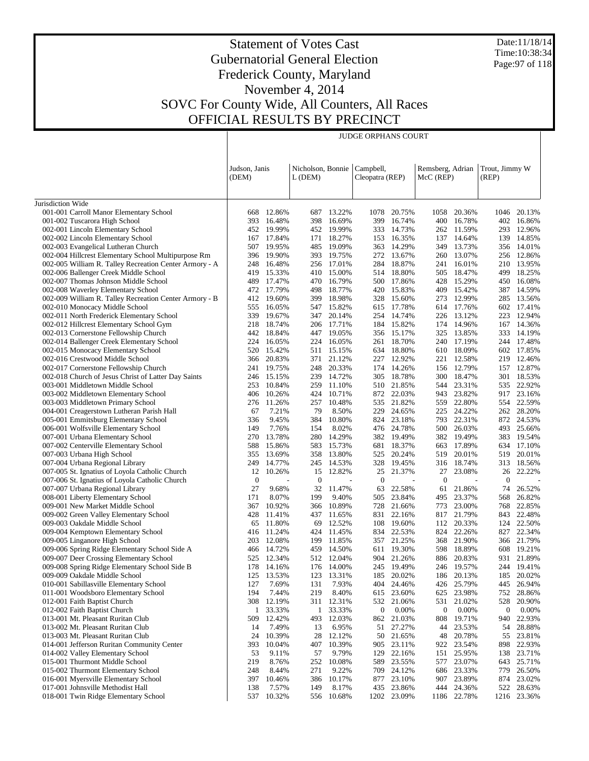Date:11/18/14 Time:10:38:34 Page:97 of 118

#### Statement of Votes Cast Gubernatorial General Election Frederick County, Maryland November 4, 2014 SOVC For County Wide, All Counters, All Races OFFICIAL RESULTS BY PRECINCT

Jurisdiction Wide 001-001 Carroll Manor Elementary School 001-002 Tuscarora High School 002-001 Lincoln Elementary School 002-002 Lincoln Elementary School 002-003 Evangelical Lutheran Church 002-004 Hillcrest Elementary School Multipurpose Rm 002-005 William R. Talley Recreation Center Armory - A 002-006 Ballenger Creek Middle School 002-007 Thomas Johnson Middle School 002-008 Waverley Elementary School 002-009 William R. Talley Recreation Center Armory - B 002-010 Monocacy Middle School 002-011 North Frederick Elementary School 002-012 Hillcrest Elementary School Gym 002-013 Cornerstone Fellowship Church 002-014 Ballenger Creek Elementary School 002-015 Monocacy Elementary School 002-016 Crestwood Middle School 002-017 Cornerstone Fellowship Church 002-018 Church of Jesus Christ of Latter Day Saints 003-001 Middletown Middle School 003-002 Middletown Elementary School 003-003 Middletown Primary School 004-001 Creagerstown Lutheran Parish Hall 005-001 Emmitsburg Elementary School 006-001 Wolfsville Elementary School 007-001 Urbana Elementary School 007-002 Centerville Elementary School 007-003 Urbana High School 007-004 Urbana Regional Library 007-005 St. Ignatius of Loyola Catholic Church 007-006 St. Ignatius of Loyola Catholic Church 007-007 Urbana Regional Library 008-001 Liberty Elementary School 009-001 New Market Middle School 009-002 Green Valley Elementary School 009-003 Oakdale Middle School 009-004 Kemptown Elementary School 009-005 Linganore High School 009-006 Spring Ridge Elementary School Side A 009-007 Deer Crossing Elementary School 009-008 Spring Ridge Elementary School Side B 009-009 Oakdale Middle School 010-001 Sabillasville Elementary School 011-001 Woodsboro Elementary School 012-001 Faith Baptist Church 012-002 Faith Baptist Church 013-001 Mt. Pleasant Ruritan Club 013-002 Mt. Pleasant Ruritan Club 013-003 Mt. Pleasant Ruritan Club 014-001 Jefferson Ruritan Community Center 014-002 Valley Elementary School 015-001 Thurmont Middle School 015-002 Thurmont Elementary School 016-001 Myersville Elementary School 017-001 Johnsville Methodist Hall 018-001 Twin Ridge Elementary School Judson, Janis (DEM) Nicholson, Bonnie L (DEM) Campbell, Cleopatra (REP) Remsberg, Adrian McC (REP) Trout, Jimmy W (REP) JUDGE ORPHANS COURT 668 12.86% 687 13.22% 1078 20.75% 1058 20.36% 1046 20.13% 393 16.48% 398 16.69% 399 16.74% 400 16.78% 402 16.86% 452 19.99% 452 19.99% 333 14.73% 262 11.59% 293 12.96% 167 17.84% 171 18.27% 153 16.35% 137 14.64% 139 14.85% 507 19.95% 485 19.09% 363 14.29% 349 13.73% 356 14.01% 396 19.90% 393 19.75% 272 13.67% 260 13.07% 256 12.86% 248 16.48% 256 17.01% 284 18.87% 241 16.01% 210 13.95% 419 15.33% 410 15.00% 514 18.80% 505 18.47% 499 18.25% 489 17.47% 470 16.79% 500 17.86% 428 15.29% 450 16.08% 472 17.79% 498 18.77% 420 15.83% 409 15.42% 387 14.59% 412 19.60% 399 18.98% 328 15.60% 273 12.99% 285 13.56% 555 16.05% 547 15.82% 615 17.78% 614 17.76% 602 17.41% 339 19.67% 347 20.14% 254 14.74% 226 13.12% 223 12.94% 218 18.74% 206 17.71% 184 15.82% 174 14.96% 167 14.36% 442 18.84% 447 19.05% 356 15.17% 325 13.85% 333 14.19% 224 16.05% 224 16.05% 261 18.70% 240 17.19% 244 17.48% 520 15.42% 511 15.15% 634 18.80% 610 18.09% 602 17.85% 366 20.83% 371 21.12% 227 12.92% 221 12.58% 219 12.46% 241 19.75% 248 20.33% 174 14.26% 156 12.79% 157 12.87% 246 15.15% 239 14.72% 305 18.78% 300 18.47% 301 18.53% 253 10.84% 259 11.10% 510 21.85% 544 23.31% 535 22.92% 406 10.26% 424 10.71% 872 22.03% 943 23.82% 917 23.16% 276 11.26% 257 10.48% 535 21.82% 559 22.80% 554 22.59% 67 7.21% 79 8.50% 229 24.65% 225 24.22% 262 28.20% 336 9.45% 384 10.80% 824 23.18% 793 22.31% 872 24.53% 149 7.76% 154 8.02% 476 24.78% 500 26.03% 493 25.66% 270 13.78% 280 14.29% 382 19.49% 382 19.49% 383 19.54% 588 15.86% 583 15.73% 681 18.37% 663 17.89% 634 17.10% 355 13.69% 358 13.80% 525 20.24% 519 20.01% 519 20.01% 249 14.77% 245 14.53% 328 19.45% 316 18.74% 313 18.56% 12 10.26% 15 12.82% 25 21.37% 27 23.08% 26 22.22%  $0$  - 0 - 0 - 0 - 0 -27 9.68% 32 11.47% 63 22.58% 61 21.86% 74 26.52% 171 8.07% 199 9.40% 505 23.84% 495 23.37% 568 26.82% 367 10.92% 366 10.89% 728 21.66% 773 23.00% 768 22.85% 428 11.41% 437 11.65% 831 22.16% 817 21.79% 843 22.48% 65 11.80% 69 12.52% 108 19.60% 112 20.33% 124 22.50% 416 11.24% 424 11.45% 834 22.53% 824 22.26% 827 22.34% 203 12.08% 199 11.85% 357 21.25% 368 21.90% 366 21.79% 466 14.72% 459 14.50% 611 19.30% 598 18.89% 608 19.21% 525 12.34% 512 12.04% 904 21.26% 886 20.83% 931 21.89% 178 14.16% 176 14.00% 245 19.49% 246 19.57% 244 19.41% 125 13.53% 123 13.31% 185 20.02% 186 20.13% 185 20.02% 127 7.69% 131 7.93% 404 24.46% 426 25.79% 445 26.94% 194 7.44% 219 8.40% 615 23.60% 625 23.98% 752 28.86% 308 12.19% 311 12.31% 532 21.06% 531 21.02% 528 20.90% 1 33.33% 1 33.33% 0 0.00% 0 0.00% 0 0.00% 509 12.42% 493 12.03% 862 21.03% 808 19.71% 940 22.93% 14 7.49% 13 6.95% 51 27.27% 44 23.53% 54 28.88% 24 10.39% 28 12.12% 50 21.65% 48 20.78% 55 23.81% 393 10.04% 407 10.39% 905 23.11% 922 23.54% 898 22.93% 53 9.11% 57 9.79% 129 22.16% 151 25.95% 138 23.71% 219 8.76% 252 10.08% 589 23.55% 577 23.07% 643 25.71% 248 8.44% 271 9.22% 709 24.12% 686 23.33% 779 26.50% 397 10.46% 386 10.17% 877 23.10% 907 23.89% 874 23.02% 138 7.57% 149 8.17% 435 23.86% 444 24.36% 522 28.63% 537 10.32% 556 10.68% 1202 23.09% 1186 22.78% 1216 23.36%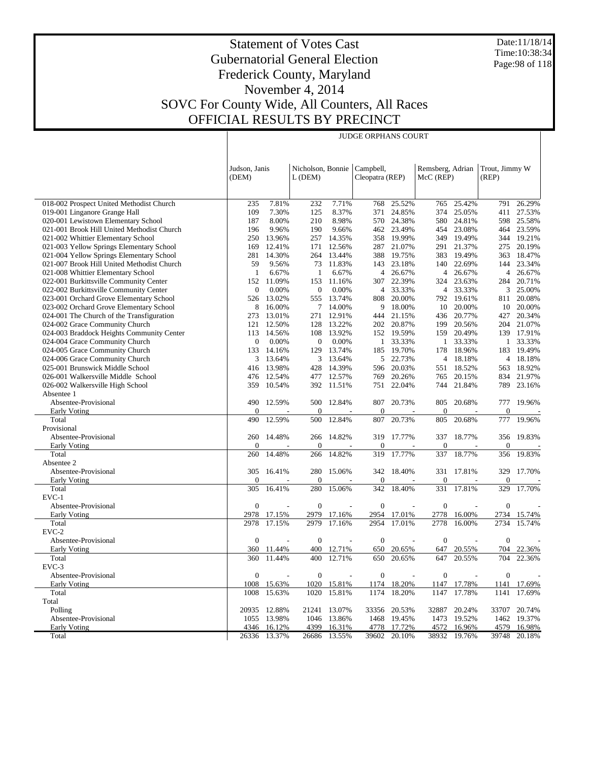Date:11/18/14 Time:10:38:34 Page:98 of 118

# Statement of Votes Cast Gubernatorial General Election Frederick County, Maryland November 4, 2014 SOVC For County Wide, All Counters, All Races OFFICIAL RESULTS BY PRECINCT

|                                            | <b>JUDGE ORPHANS COURT</b> |              |                              |              |                              |              |                               |              |                         |              |  |  |
|--------------------------------------------|----------------------------|--------------|------------------------------|--------------|------------------------------|--------------|-------------------------------|--------------|-------------------------|--------------|--|--|
|                                            | Judson, Janis<br>(DEM)     |              | Nicholson, Bonnie<br>L (DEM) |              | Campbell,<br>Cleopatra (REP) |              | Remsberg, Adrian<br>McC (REP) |              | Trout, Jimmy W<br>(REP) |              |  |  |
| 018-002 Prospect United Methodist Church   | 235                        | 7.81%        | 232                          | 7.71%        |                              | 768 25.52%   |                               | 765 25.42%   |                         | 791 26.29%   |  |  |
| 019-001 Linganore Grange Hall              | 109                        | 7.30%        | 125                          | 8.37%        | 371                          | 24.85%       | 374                           | 25.05%       | 411                     | 27.53%       |  |  |
| 020-001 Lewistown Elementary School        | 187                        | 8.00%        | 210                          | 8.98%        |                              | 570 24.38%   | 580                           | 24.81%       |                         | 598 25.58%   |  |  |
| 021-001 Brook Hill United Methodist Church | 196                        | 9.96%        | 190                          | 9.66%        |                              | 462 23.49%   | 454                           | 23.08%       | 464                     | 23.59%       |  |  |
| 021-002 Whittier Elementary School         | 250                        | 13.96%       | 257                          | 14.35%       |                              | 358 19.99%   | 349                           | 19.49%       | 344                     | 19.21%       |  |  |
| 021-003 Yellow Springs Elementary School   | 169                        | 12.41%       | 171                          | 12.56%       | 287                          | 21.07%       | 291                           | 21.37%       | 275                     | 20.19%       |  |  |
| 021-004 Yellow Springs Elementary School   | 281                        | 14.30%       |                              | 264 13.44%   | 388                          | 19.75%       | 383                           | 19.49%       | 363                     | 18.47%       |  |  |
| 021-007 Brook Hill United Methodist Church | 59                         | 9.56%        | 73                           | 11.83%       | 143                          | 23.18%       | 140                           | 22.69%       | 144                     | 23.34%       |  |  |
| 021-008 Whittier Elementary School         | $\mathbf{1}$               | 6.67%        | 1                            | 6.67%        | 4                            | 26.67%       | 4                             | 26.67%       | 4                       | 26.67%       |  |  |
| 022-001 Burkittsville Community Center     | 152                        | 11.09%       | 153                          | 11.16%       | 307                          | 22.39%       | 324                           | 23.63%       | 284                     | 20.71%       |  |  |
| 022-002 Burkittsville Community Center     | $\boldsymbol{0}$           | 0.00%        | $\boldsymbol{0}$             | 0.00%        |                              | 4 33.33%     |                               | 4 33.33%     | 3                       | 25.00%       |  |  |
| 023-001 Orchard Grove Elementary School    | 526                        | 13.02%       | 555                          | 13.74%       | 808                          | 20.00%       | 792                           | 19.61%       | 811                     | 20.08%       |  |  |
| 023-002 Orchard Grove Elementary School    | 8                          | 16.00%       |                              | 7 14.00%     | 9                            | 18.00%       | 10                            | 20.00%       |                         | 10 20.00%    |  |  |
| 024-001 The Church of the Transfiguration  | 273                        | 13.01%       | 271                          | 12.91%       | 444                          | 21.15%       | 436                           | 20.77%       | 427                     | 20.34%       |  |  |
| 024-002 Grace Community Church             | 121                        | 12.50%       | 128                          | 13.22%       | 202                          | 20.87%       | 199                           | 20.56%       | 204                     | 21.07%       |  |  |
| 024-003 Braddock Heights Community Center  | 113                        | 14.56%       | 108                          | 13.92%       |                              | 152 19.59%   | 159                           | 20.49%       | 139                     | 17.91%       |  |  |
| 024-004 Grace Community Church             | $\boldsymbol{0}$           | 0.00%        | $\boldsymbol{0}$             | 0.00%        | 1                            | 33.33%       | 1                             | 33.33%       | 1                       | 33.33%       |  |  |
| 024-005 Grace Community Church             | 133                        | 14.16%       | 129                          | 13.74%       | 185                          | 19.70%       | 178                           | 18.96%       | 183                     | 19.49%       |  |  |
| 024-006 Grace Community Church             | 3                          | 13.64%       | 3                            | 13.64%       | 5                            | 22.73%       | 4                             | 18.18%       | 4                       | 18.18%       |  |  |
| 025-001 Brunswick Middle School            | 416                        | 13.98%       | 428                          | 14.39%       | 596                          | 20.03%       |                               | 551 18.52%   | 563                     | 18.92%       |  |  |
| 026-001 Walkersville Middle School         | 476                        | 12.54%       | 477                          | 12.57%       | 769                          | 20.26%       | 765                           | 20.15%       | 834                     | 21.97%       |  |  |
| 026-002 Walkersville High School           | 359                        | 10.54%       | 392                          | 11.51%       | 751                          | 22.04%       | 744                           | 21.84%       | 789                     | 23.16%       |  |  |
| Absentee 1                                 |                            |              |                              |              |                              |              |                               |              |                         |              |  |  |
| Absentee-Provisional                       | 490                        | 12.59%       | 500                          | 12.84%       | 807                          | 20.73%       | 805                           | 20.68%       | 777                     | 19.96%       |  |  |
| <b>Early Voting</b>                        | $\mathbf{0}$               |              | $\boldsymbol{0}$             |              | $\theta$                     |              | $\mathbf{0}$                  |              | $\overline{0}$          |              |  |  |
| Total                                      | 490                        | 12.59%       | 500                          | 12.84%       | 807                          | 20.73%       | 805                           | 20.68%       | 777                     | 19.96%       |  |  |
| Provisional                                |                            |              |                              |              |                              |              |                               |              |                         |              |  |  |
| Absentee-Provisional                       | 260                        | 14.48%       | 266                          | 14.82%       | 319                          | 17.77%       | 337                           | 18.77%       | 356                     | 19.83%       |  |  |
| <b>Early Voting</b><br>Total               | $\mathbf{0}$<br>260        | 14.48%       | $\boldsymbol{0}$<br>266      | 14.82%       | $\theta$<br>319              | 17.77%       | $\overline{0}$<br>337         | 18.77%       | $\mathbf{0}$<br>356     | 19.83%       |  |  |
| Absentee 2                                 |                            |              |                              |              |                              |              |                               |              |                         |              |  |  |
| Absentee-Provisional                       | 305                        | 16.41%       | 280                          | 15.06%       | 342                          | 18.40%       | 331                           | 17.81%       | 329                     | 17.70%       |  |  |
| <b>Early Voting</b>                        | $\mathbf{0}$               |              | $\mathbf{0}$                 |              | $\theta$                     |              | $\overline{0}$                |              | $\overline{0}$          |              |  |  |
| Total                                      | 305                        | 16.41%       | 280                          | 15.06%       | 342                          | 18.40%       | 331                           | 17.81%       | 329                     | 17.70%       |  |  |
| $EVC-1$                                    |                            |              |                              |              |                              |              |                               |              |                         |              |  |  |
| Absentee-Provisional                       | $\mathbf{0}$               |              | $\overline{0}$               |              | $\mathbf{0}$                 |              | $\overline{0}$                |              | $\mathbf{0}$            |              |  |  |
| <b>Early Voting</b>                        | 2978                       | 17.15%       | 2979                         | 17.16%       | 2954                         | 17.01%       | 2778                          | 16.00%       | 2734                    | 15.74%       |  |  |
| Total                                      | 2978                       | 17.15%       | 2979                         | 17.16%       | 2954                         | 17.01%       | 2778                          | 16.00%       | 2734                    | 15.74%       |  |  |
| $EVC-2$                                    |                            |              |                              |              |                              |              |                               |              |                         |              |  |  |
| Absentee-Provisional                       | $\mathbf{0}$               |              | $\overline{0}$               |              | $\mathbf{0}$                 |              | $\overline{0}$                |              | $\overline{0}$          |              |  |  |
| <b>Early Voting</b>                        | 360                        | 11.44%       |                              | 400 12.71%   | 650                          | 20.65%       | 647                           | 20.55%       | 704                     | 22.36%       |  |  |
| Total                                      | 360                        | 11.44%       | 400                          | 12.71%       | 650                          | 20.65%       | 647                           | 20.55%       | 704                     | 22.36%       |  |  |
| $EVC-3$                                    |                            |              |                              |              |                              |              |                               |              |                         |              |  |  |
| Absentee-Provisional                       | $\mathbf{0}$               |              | $\boldsymbol{0}$             |              | $\mathbf{0}$                 |              | $\mathbf{0}$                  |              | $\mathbf{0}$            |              |  |  |
| <b>Early Voting</b>                        |                            | 1008 15.63%  |                              | 1020 15.81%  |                              | 1174 18.20%  |                               | 1147 17.78%  |                         | 1141 17.69%  |  |  |
| Total                                      |                            | 1008 15.63%  |                              | 1020 15.81%  |                              | 1174 18.20%  |                               | 1147 17.78%  |                         | 1141 17.69%  |  |  |
| Total                                      |                            |              |                              |              |                              |              |                               |              |                         |              |  |  |
| Polling                                    |                            | 20935 12.88% |                              | 21241 13.07% |                              | 33356 20.53% |                               | 32887 20.24% |                         | 33707 20.74% |  |  |
| Absentee-Provisional                       |                            | 1055 13.98%  |                              | 1046 13.86%  |                              | 1468 19.45%  |                               | 1473 19.52%  |                         | 1462 19.37%  |  |  |
| <b>Early Voting</b>                        |                            | 4346 16.12%  |                              | 4399 16.31%  |                              | 4778 17.72%  |                               | 4572 16.96%  |                         | 4579 16.98%  |  |  |
| Total                                      |                            | 26336 13.37% |                              | 26686 13.55% |                              | 39602 20.10% |                               | 38932 19.76% |                         | 39748 20.18% |  |  |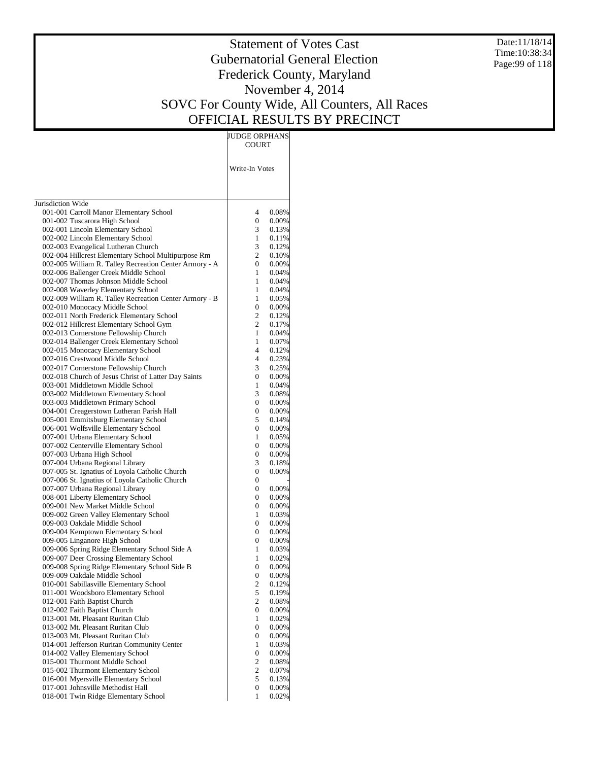Date:11/18/14 Time:10:38:34 Page:99 of 118

## Statement of Votes Cast Gubernatorial General Election Frederick County, Maryland November 4, 2014 SOVC For County Wide, All Counters, All Races OFFICIAL RESULTS BY PRECINCT

JUDGE ORPHANS

|                                                                                          | COURT                          |                      |
|------------------------------------------------------------------------------------------|--------------------------------|----------------------|
|                                                                                          | Write-In Votes                 |                      |
| Jurisdiction Wide                                                                        |                                |                      |
| 001-001 Carroll Manor Elementary School                                                  | 4                              | 0.08%                |
| 001-002 Tuscarora High School                                                            | $\mathbf{0}$                   | $0.00\%$             |
| 002-001 Lincoln Elementary School                                                        | 3                              | 0.13%                |
| 002-002 Lincoln Elementary School                                                        | 1                              | $0.11\%$             |
| 002-003 Evangelical Lutheran Church                                                      | 3                              | 0.12%                |
| 002-004 Hillcrest Elementary School Multipurpose Rm                                      | $\overline{2}$                 | $0.10\%$             |
| 002-005 William R. Talley Recreation Center Armory - A                                   | $\overline{0}$                 | $0.00\%$             |
| 002-006 Ballenger Creek Middle School                                                    | $\mathbf{1}$                   | $0.04\%$             |
| 002-007 Thomas Johnson Middle School                                                     | 1                              | 0.04%                |
| 002-008 Waverley Elementary School                                                       | 1<br>1                         | $0.04\%$             |
| 002-009 William R. Talley Recreation Center Armory - B<br>002-010 Monocacy Middle School | $\boldsymbol{0}$               | $0.05\%$<br>0.00%    |
| 002-011 North Frederick Elementary School                                                | 2                              | 0.12%                |
| 002-012 Hillcrest Elementary School Gym                                                  | $\overline{c}$                 | $0.17\%$             |
| 002-013 Cornerstone Fellowship Church                                                    | 1                              | $0.04\%$             |
| 002-014 Ballenger Creek Elementary School                                                | $\mathbf{1}$                   | $0.07\%$             |
| 002-015 Monocacy Elementary School                                                       | 4                              | 0.12%                |
| 002-016 Crestwood Middle School                                                          | $\overline{4}$                 | 0.23%                |
| 002-017 Cornerstone Fellowship Church                                                    | 3                              | 0.25%                |
| 002-018 Church of Jesus Christ of Latter Day Saints                                      | $\mathbf{0}$                   | $0.00\%$             |
| 003-001 Middletown Middle School                                                         | $\mathbf{1}$                   | $0.04\%$             |
| 003-002 Middletown Elementary School                                                     | 3                              | $0.08\%$             |
| 003-003 Middletown Primary School                                                        | 0                              | $0.00\%$             |
| 004-001 Creagerstown Lutheran Parish Hall                                                | $\overline{0}$                 | $0.00\%$             |
| 005-001 Emmitsburg Elementary School<br>006-001 Wolfsville Elementary School             | 5<br>$\Omega$                  | 0.14%                |
| 007-001 Urbana Elementary School                                                         | 1                              | $0.00\%$<br>$0.05\%$ |
| 007-002 Centerville Elementary School                                                    | $\overline{0}$                 | $0.00\%$             |
| 007-003 Urbana High School                                                               | $\mathbf{0}$                   | $0.00\%$             |
| 007-004 Urbana Regional Library                                                          | 3                              | 0.18%                |
| 007-005 St. Ignatius of Loyola Catholic Church                                           | $\overline{0}$                 | $0.00\%$             |
| 007-006 St. Ignatius of Loyola Catholic Church                                           | $\mathbf{0}$                   |                      |
| 007-007 Urbana Regional Library                                                          | $\mathbf{0}$                   | $0.00\%$             |
| 008-001 Liberty Elementary School                                                        | $\mathbf{0}$                   | $0.00\%$             |
| 009-001 New Market Middle School                                                         | $\overline{0}$                 | $0.00\%$             |
| 009-002 Green Valley Elementary School                                                   | $\mathbf{1}$                   | $0.03\%$             |
| 009-003 Oakdale Middle School                                                            | $\overline{0}$                 | $0.00\%$             |
| 009-004 Kemptown Elementary School                                                       | $\mathbf{0}$                   | $0.00\%$             |
| 009-005 Linganore High School<br>009-006 Spring Ridge Elementary School Side A           | $\overline{0}$<br>$\mathbf{1}$ | $0.00\%$<br>$0.03\%$ |
| 009-007 Deer Crossing Elementary School                                                  | 1                              | $0.02\%$             |
| 009-008 Spring Ridge Elementary School Side B                                            | $\overline{0}$                 | $0.00\%$             |
| 009-009 Oakdale Middle School                                                            | $\boldsymbol{0}$               | $0.00\%$             |
| 010-001 Sabillasville Elementary School                                                  | $\sqrt{2}$                     | 0.12%                |
| 011-001 Woodsboro Elementary School                                                      | 5                              | 0.19%                |
| 012-001 Faith Baptist Church                                                             | 2                              | 0.08%                |
| 012-002 Faith Baptist Church                                                             | 0                              | $0.00\%$             |
| 013-001 Mt. Pleasant Ruritan Club                                                        | $\mathbf{1}$                   | 0.02%                |
| 013-002 Mt. Pleasant Ruritan Club                                                        | 0                              | $0.00\%$             |
| 013-003 Mt. Pleasant Ruritan Club                                                        | 0                              | $0.00\%$             |
| 014-001 Jefferson Ruritan Community Center                                               | $\mathbf{1}$                   | $0.03\%$             |
| 014-002 Valley Elementary School                                                         | 0                              | 0.00%                |
| 015-001 Thurmont Middle School                                                           | 2                              | $0.08\%$             |
| 015-002 Thurmont Elementary School                                                       | $\overline{c}$                 | $0.07\%$             |
| 016-001 Myersville Elementary School<br>017-001 Johnsville Methodist Hall                | 5<br>$\boldsymbol{0}$          | 0.13%<br>0.00%       |
| 018-001 Twin Ridge Elementary School                                                     | 1                              | 0.02%                |
|                                                                                          |                                |                      |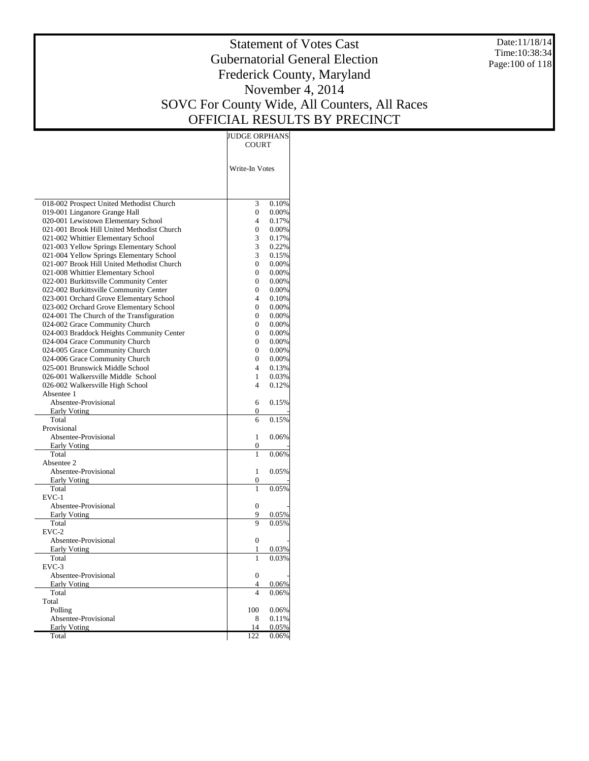Date:11/18/14 Time:10:38:34 Page:100 of 118

#### Statement of Votes Cast Gubernatorial General Election Frederick County, Maryland November 4, 2014 SOVC For County Wide, All Counters, All Races OFFICIAL RESULTS BY PRECINCT

JUDGE ORPHANS

 018-002 Prospect United Methodist Church 019-001 Linganore Grange Hall 020-001 Lewistown Elementary School 021-001 Brook Hill United Methodist Church 021-002 Whittier Elementary School 021-003 Yellow Springs Elementary School 021-004 Yellow Springs Elementary School 021-007 Brook Hill United Methodist Church 021-008 Whittier Elementary School 022-001 Burkittsville Community Center 022-002 Burkittsville Community Center 023-001 Orchard Grove Elementary School 023-002 Orchard Grove Elementary School 024-001 The Church of the Transfiguration 024-002 Grace Community Church 024-003 Braddock Heights Community Center 024-004 Grace Community Church 024-005 Grace Community Church 024-006 Grace Community Church 025-001 Brunswick Middle School 026-001 Walkersville Middle School 026-002 Walkersville High School Absentee 1 Absentee-Provisional Early Voting Total Provisional Absentee-Provisional Early Voting Total Absentee 2 Absentee-Provisional Early Voting Total EVC-1 Absentee-Provisional Early Voting Total EVC-2 Absentee-Provisional Early Voting Total EVC-3 Absentee-Provisional Early Voting Total Total Polling Absentee-Provisional Early Voting Total Write-In Votes COURT  $\frac{3}{0.10\%}$  $\begin{array}{cc}\n0 & 0.00\% \\
4 & 0.17\%\n\end{array}$  $\begin{array}{cc}\n 4 & 0.17\% \\
 0 & 0.00\% \n \end{array}$  $\begin{array}{cc}\n0 & 0.00\% \\
3 & 0.17\%\n\end{array}$  $3$  0.17%<br>3 0.22% 0.22%  $\begin{array}{cc} 3 & 0.15\% \\ 0 & 0.00\% \end{array}$ 0 0.00%  $\begin{array}{cc} 0 & 0.00\% \\ 0 & 0.00\% \end{array}$  $0 0.00\%$ <br>0 0.00% 0 0.00%  $\begin{array}{cc}\n 4 & 0.10\% \\
 0 & 0.00\% \n \end{array}$  $\begin{array}{cc}\n0 & 0.00\% \\
0 & 0.00\%\n\end{array}$  $0 0.00\%$ <br>0 0.00%  $\begin{array}{cc}\n 0 & 0.00\% \\
 0 & 0.00\% \n \end{array}$  $\begin{array}{cc}\n0 & 0.00\% \\
0 & 0.00\%\n\end{array}$  $\begin{array}{cc}\n0 & 0.00\% \\
0 & 0.00\%\n\end{array}$ 0 0.00% 0 0.00% 4 0.13%  $\begin{array}{cc} 1 & 0.03\% \\ 4 & 0.12\% \end{array}$ 0.12% 6 0.15%  $\overline{0}$ 6 0.15% 1 0.06% 0 - 1 0.06%  $\frac{1}{0}$  0.05% 0 - 1 0.05%  $\overline{0}$  $\frac{9}{9}$  0.05% 0.05%  $\overline{0}$ 0.03% 1 0.03%  $\overline{0}$ 4 0.06% 4 0.06% 100 0.06%<br>8 0.11% 0.11% 14 0.05% 122 0.06%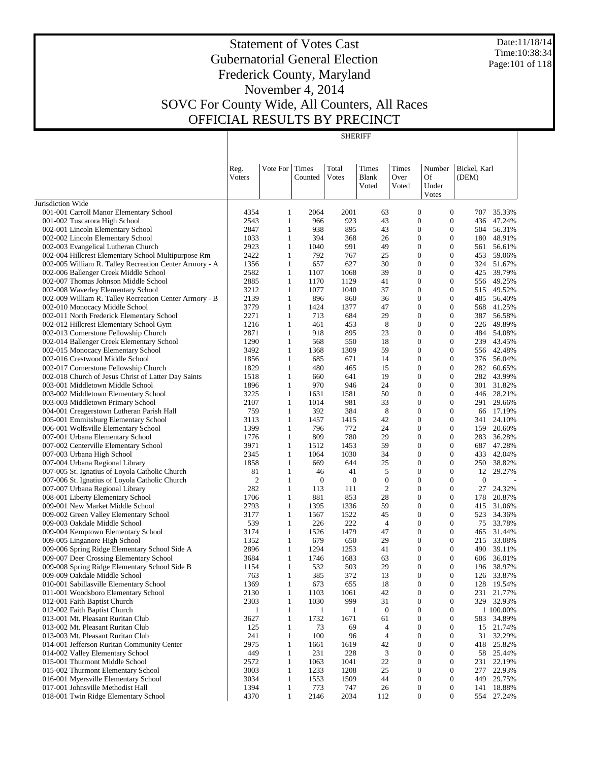Date:11/18/14 Time:10:38:34 Page:101 of 118

# Statement of Votes Cast Gubernatorial General Election Frederick County, Maryland November 4, 2014 SOVC For County Wide, All Counters, All Races OFFICIAL RESULTS BY PRECINCT

|                                                                                          | Reg.<br>Voters | Vote For Times               | Counted      | Total<br>Votes | Times<br><b>Blank</b><br>Voted | Times<br>Over<br>Voted | Number<br>Of<br>Under<br>Votes | Bickel, Karl<br>(DEM) |                      |
|------------------------------------------------------------------------------------------|----------------|------------------------------|--------------|----------------|--------------------------------|------------------------|--------------------------------|-----------------------|----------------------|
| Jurisdiction Wide                                                                        |                |                              |              |                |                                |                        |                                |                       |                      |
| 001-001 Carroll Manor Elementary School                                                  | 4354           | $\mathbf{1}$                 | 2064         | 2001           | 63                             | $\boldsymbol{0}$       | $\boldsymbol{0}$               | 707                   | 35.33%               |
| 001-002 Tuscarora High School                                                            | 2543           | 1                            | 966          | 923            | 43                             | 0                      | $\boldsymbol{0}$               |                       | 436 47.24%           |
| 002-001 Lincoln Elementary School                                                        | 2847           | $\mathbf{1}$                 | 938          | 895            | 43                             | 0                      | 0                              | 504                   | 56.31%               |
| 002-002 Lincoln Elementary School                                                        | 1033           | 1                            | 394          | 368            | 26                             | 0                      | 0                              |                       | 180 48.91%           |
| 002-003 Evangelical Lutheran Church                                                      | 2923           | $\mathbf{1}$                 | 1040         | 991            | 49                             | 0                      | 0                              | 561                   | 56.61%               |
| 002-004 Hillcrest Elementary School Multipurpose Rm                                      | 2422           | $\mathbf{1}$                 | 792          | 767            | 25                             | 0                      | 0                              | 453                   | 59.06%               |
| 002-005 William R. Talley Recreation Center Armory - A                                   | 1356           | $\mathbf{1}$                 | 657          | 627            | 30                             | 0                      | 0                              |                       | 324 51.67%           |
| 002-006 Ballenger Creek Middle School                                                    | 2582           | $\mathbf{1}$                 | 1107         | 1068           | 39                             | 0                      | 0                              | 425                   | 39.79%               |
| 002-007 Thomas Johnson Middle School                                                     | 2885           | $\mathbf{1}$                 | 1170         | 1129           | 41                             | 0                      | 0                              |                       | 556 49.25%           |
| 002-008 Waverley Elementary School                                                       | 3212           | $\mathbf{1}$                 | 1077         | 1040           | 37                             | 0                      | 0                              |                       | 515 49.52%           |
| 002-009 William R. Talley Recreation Center Armory - B                                   | 2139           | $\mathbf{1}$<br>$\mathbf{1}$ | 896<br>1424  | 860            | 36                             | 0<br>0                 | 0<br>0                         | 485                   | 56.40%               |
| 002-010 Monocacy Middle School                                                           | 3779<br>2271   | $\mathbf{1}$                 | 713          | 1377<br>684    | 47<br>29                       | 0                      | 0                              | 387                   | 568 41.25%<br>56.58% |
| 002-011 North Frederick Elementary School<br>002-012 Hillcrest Elementary School Gym     | 1216           | 1                            | 461          | 453            | 8                              | 0                      | 0                              | 226                   | 49.89%               |
| 002-013 Cornerstone Fellowship Church                                                    | 2871           | $\mathbf{1}$                 | 918          | 895            | 23                             | 0                      | 0                              |                       | 484 54.08%           |
| 002-014 Ballenger Creek Elementary School                                                | 1290           | $\mathbf{1}$                 | 568          | 550            | 18                             | 0                      | 0                              |                       | 239 43.45%           |
| 002-015 Monocacy Elementary School                                                       | 3492           | $\mathbf{1}$                 | 1368         | 1309           | 59                             | 0                      | 0                              |                       | 556 42.48%           |
| 002-016 Crestwood Middle School                                                          | 1856           | $\mathbf{1}$                 | 685          | 671            | 14                             | 0                      | 0                              |                       | 376 56.04%           |
| 002-017 Cornerstone Fellowship Church                                                    | 1829           | $\mathbf{1}$                 | 480          | 465            | 15                             | 0                      | 0                              | 282                   | 60.65%               |
| 002-018 Church of Jesus Christ of Latter Day Saints                                      | 1518           | 1                            | 660          | 641            | 19                             | 0                      | 0                              |                       | 282 43.99%           |
| 003-001 Middletown Middle School                                                         | 1896           | $\mathbf{1}$                 | 970          | 946            | 24                             | 0                      | 0                              | 301                   | 31.82%               |
| 003-002 Middletown Elementary School                                                     | 3225           | $\mathbf{1}$                 | 1631         | 1581           | 50                             | 0                      | 0                              |                       | 446 28.21%           |
| 003-003 Middletown Primary School                                                        | 2107           | $\mathbf{1}$                 | 1014         | 981            | 33                             | 0                      | 0                              | 291                   | 29.66%               |
| 004-001 Creagerstown Lutheran Parish Hall                                                | 759            | $\mathbf{1}$                 | 392          | 384            | 8                              | 0                      | 0                              |                       | 66 17.19%            |
| 005-001 Emmitsburg Elementary School                                                     | 3113           | $\mathbf{1}$                 | 1457         | 1415           | 42                             | 0                      | 0                              | 341                   | 24.10%               |
| 006-001 Wolfsville Elementary School                                                     | 1399           | 1                            | 796          | 772            | 24                             | 0                      | 0                              | 159                   | 20.60%               |
| 007-001 Urbana Elementary School                                                         | 1776           | $\mathbf{1}$                 | 809          | 780            | 29                             | 0                      | 0                              | 283                   | 36.28%               |
| 007-002 Centerville Elementary School                                                    | 3971           | $\mathbf{1}$                 | 1512         | 1453           | 59                             | 0                      | 0                              |                       | 687 47.28%           |
| 007-003 Urbana High School                                                               | 2345           | $\mathbf{1}$                 | 1064         | 1030           | 34                             | 0                      | 0                              |                       | 433 42.04%           |
| 007-004 Urbana Regional Library                                                          | 1858           | 1                            | 669          | 644            | 25                             | 0                      | 0                              | 250                   | 38.82%               |
| 007-005 St. Ignatius of Loyola Catholic Church                                           | 81             | $\mathbf{1}$                 | 46           | 41             | 5                              | 0                      | 0                              | 12                    | 29.27%               |
| 007-006 St. Ignatius of Loyola Catholic Church                                           | $\overline{c}$ | $\mathbf{1}$                 | $\bf{0}$     | $\mathbf{0}$   | $\boldsymbol{0}$               | 0                      | 0                              | $\boldsymbol{0}$      |                      |
| 007-007 Urbana Regional Library                                                          | 282            | $\mathbf{1}$                 | 113          | 111            | 2                              | 0                      | 0                              | 27                    | 24.32%               |
| 008-001 Liberty Elementary School                                                        | 1706           | $\mathbf{1}$                 | 881          | 853            | 28                             | 0                      | 0                              | 178                   | 20.87%               |
| 009-001 New Market Middle School                                                         | 2793           | $\mathbf{1}$                 | 1395         | 1336           | 59                             | 0                      | 0                              | 415                   | 31.06%               |
| 009-002 Green Valley Elementary School                                                   | 3177           | 1                            | 1567         | 1522           | 45                             | 0                      | 0                              | 523                   | 34.36%               |
| 009-003 Oakdale Middle School                                                            | 539            | $\mathbf{1}$                 | 226          | 222            | 4                              | 0                      | 0                              | 75                    | 33.78%               |
| 009-004 Kemptown Elementary School                                                       | 3174           | $\mathbf{1}$                 | 1526         | 1479           | 47                             | 0                      | 0                              | 465                   | 31.44%               |
| 009-005 Linganore High School                                                            | 1352           | $\mathbf{1}$                 | 679          | 650            | 29                             | 0                      | 0                              |                       | 215 33.08%           |
| 009-006 Spring Ridge Elementary School Side A<br>009-007 Deer Crossing Elementary School | 2896<br>3684   | $\mathbf{1}$<br>$\mathbf{1}$ | 1294<br>1746 | 1253<br>1683   | 41                             | 0<br>0                 | 0<br>0                         | 490<br>606            | 39.11%<br>36.01%     |
| 009-008 Spring Ridge Elementary School Side B                                            | 1154           | $\mathbf{1}$                 | 532          | 503            | 63<br>29                       | $\boldsymbol{0}$       | $\boldsymbol{0}$               |                       | 196 38.97%           |
| 009-009 Oakdale Middle School                                                            | 763            | $\mathbf{1}$                 | 385          | 372            | 13                             | $\boldsymbol{0}$       | $\boldsymbol{0}$               |                       | 126 33.87%           |
| 010-001 Sabillasville Elementary School                                                  | 1369           | 1                            | 673          | 655            | 18                             | $\boldsymbol{0}$       | $\boldsymbol{0}$               |                       | 128 19.54%           |
| 011-001 Woodsboro Elementary School                                                      | 2130           | $\mathbf{1}$                 | 1103         | 1061           | 42                             | 0                      | 0                              |                       | 231 21.77%           |
| 012-001 Faith Baptist Church                                                             | 2303           | 1                            | 1030         | 999            | 31                             | 0                      | 0                              |                       | 329 32.93%           |
| 012-002 Faith Baptist Church                                                             | 1              | 1                            | 1            | 1              | $\boldsymbol{0}$               | 0                      | 0                              |                       | 1 100.00%            |
| 013-001 Mt. Pleasant Ruritan Club                                                        | 3627           | 1                            | 1732         | 1671           | 61                             | 0                      | 0                              |                       | 583 34.89%           |
| 013-002 Mt. Pleasant Ruritan Club                                                        | 125            | $\mathbf{1}$                 | 73           | 69             | 4                              | 0                      | 0                              |                       | 15 21.74%            |
| 013-003 Mt. Pleasant Ruritan Club                                                        | 241            | $\mathbf{1}$                 | 100          | 96             | $\overline{4}$                 | 0                      | 0                              | 31                    | 32.29%               |
| 014-001 Jefferson Ruritan Community Center                                               | 2975           | $\mathbf{1}$                 | 1661         | 1619           | 42                             | 0                      | 0                              | 418                   | 25.82%               |
| 014-002 Valley Elementary School                                                         | 449            | $\mathbf{1}$                 | 231          | 228            | 3                              | 0                      | 0                              |                       | 58 25.44%            |
| 015-001 Thurmont Middle School                                                           | 2572           | $\mathbf{1}$                 | 1063         | 1041           | 22                             | 0                      | 0                              | 231                   | 22.19%               |
| 015-002 Thurmont Elementary School                                                       | 3003           | 1                            | 1233         | 1208           | 25                             | 0                      | 0                              | 277                   | 22.93%               |
| 016-001 Myersville Elementary School                                                     | 3034           | $\mathbf{1}$                 | 1553         | 1509           | 44                             | 0                      | 0                              | 449                   | 29.75%               |
| 017-001 Johnsville Methodist Hall                                                        | 1394           | $\mathbf{1}$                 | 773          | 747            | 26                             | 0                      | 0                              |                       | 141 18.88%           |
| 018-001 Twin Ridge Elementary School                                                     | 4370           | $\mathbf{1}$                 | 2146         | 2034           | 112                            | $\boldsymbol{0}$       | 0                              |                       | 554 27.24%           |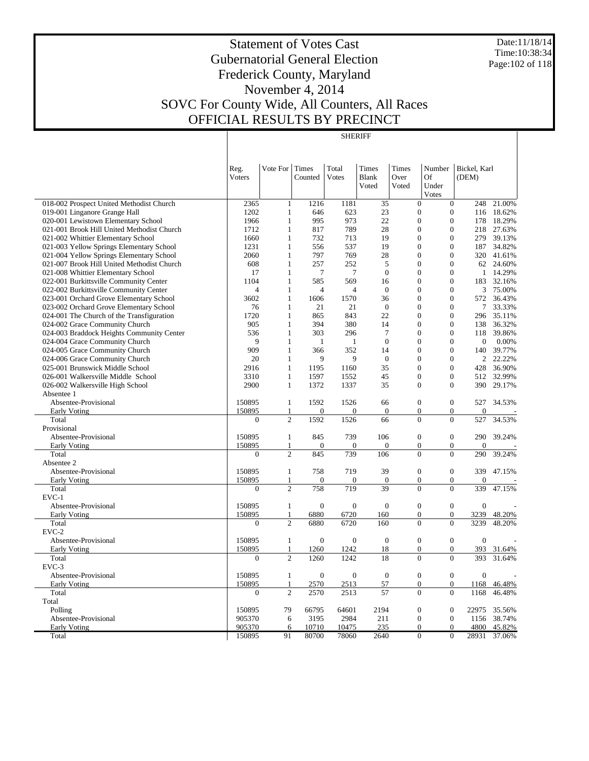Date:11/18/14 Time:10:38:34 Page:102 of 118

# Statement of Votes Cast Gubernatorial General Election Frederick County, Maryland November 4, 2014 SOVC For County Wide, All Counters, All Races OFFICIAL RESULTS BY PRECINCT

|                                            | Reg.<br>Voters   | Vote For                       | <b>Times</b><br>Counted | Total<br>Votes   | Times<br><b>Blank</b><br>Voted | Times<br>Over<br>Voted             | Number<br>Of<br>Under<br>Votes | Bickel, Karl<br>(DEM) |            |
|--------------------------------------------|------------------|--------------------------------|-------------------------|------------------|--------------------------------|------------------------------------|--------------------------------|-----------------------|------------|
| 018-002 Prospect United Methodist Church   | 2365             | $\mathbf{1}$                   | 1216                    | 1181             | 35                             | $\overline{0}$                     | $\mathbf{0}$                   | 248                   | 21.00%     |
| 019-001 Linganore Grange Hall              | 1202             | $\mathbf{1}$                   | 646                     | 623              | 23                             | $\boldsymbol{0}$                   | $\boldsymbol{0}$               | 116                   | 18.62%     |
| 020-001 Lewistown Elementary School        | 1966             | $\mathbf{1}$                   | 995                     | 973              | 22                             | $\overline{0}$                     | $\mathbf{0}$                   | 178                   | 18.29%     |
| 021-001 Brook Hill United Methodist Church | 1712             | $\mathbf{1}$                   | 817                     | 789              | 28                             | $\overline{0}$                     | $\mathbf{0}$                   | 218                   | 27.63%     |
| 021-002 Whittier Elementary School         | 1660             | $\mathbf{1}$                   | 732                     | 713              | 19                             | $\overline{0}$                     | $\mathbf{0}$                   | 279                   | 39.13%     |
| 021-003 Yellow Springs Elementary School   | 1231             | $\mathbf{1}$                   | 556                     | 537              | 19                             | $\theta$                           | $\Omega$                       | 187                   | 34.82%     |
| 021-004 Yellow Springs Elementary School   | 2060             | $\mathbf{1}$                   | 797                     | 769              | 28                             | $\overline{0}$                     | $\mathbf{0}$                   | 320                   | 41.61%     |
| 021-007 Brook Hill United Methodist Church | 608              | $\mathbf{1}$                   | 257                     | 252              | 5                              | $\theta$                           | $\mathbf{0}$                   |                       | 62 24.60%  |
| 021-008 Whittier Elementary School         | 17               | $\mathbf{1}$                   | 7                       | $\overline{7}$   | $\Omega$                       | $\theta$                           | $\theta$                       | 1                     | 14.29%     |
| 022-001 Burkittsville Community Center     | 1104             | $\mathbf{1}$                   | 585                     | 569              | 16                             | $\overline{0}$                     | $\mathbf{0}$                   | 183                   | 32.16%     |
| 022-002 Burkittsville Community Center     | $\overline{4}$   | $\mathbf{1}$                   | $\overline{4}$          | $\overline{4}$   | $\boldsymbol{0}$               | $\overline{0}$                     | $\mathbf{0}$                   | 3                     | 75.00%     |
| 023-001 Orchard Grove Elementary School    | 3602             | $\mathbf{1}$                   | 1606                    | 1570             | 36                             | $\overline{0}$                     | $\mathbf{0}$                   | 572                   | 36.43%     |
| 023-002 Orchard Grove Elementary School    | 76               | $\mathbf{1}$                   | 21                      | 21               | $\mathbf{0}$                   | $\overline{0}$                     | $\mathbf{0}$                   | 7                     | 33.33%     |
| 024-001 The Church of the Transfiguration  | 1720             | $\mathbf{1}$                   | 865                     | 843              | 22                             | $\overline{0}$                     | $\mathbf{0}$                   | 296                   | 35.11%     |
| 024-002 Grace Community Church             | 905              | $\mathbf{1}$                   | 394                     | 380              | 14                             | $\overline{0}$                     | $\mathbf{0}$                   | 138                   | 36.32%     |
| 024-003 Braddock Heights Community Center  | 536              | $\mathbf{1}$                   | 303                     | 296              | $7\phantom{.0}$                | $\overline{0}$                     | $\mathbf{0}$                   | 118                   | 39.86%     |
| 024-004 Grace Community Church             | 9                | $\mathbf{1}$                   | $\mathbf{1}$            | $\mathbf{1}$     | $\overline{0}$                 | $\overline{0}$                     | $\mathbf{0}$                   | $\mathbf{0}$          | 0.00%      |
| 024-005 Grace Community Church             | 909              | $\mathbf{1}$                   | 366                     | 352              | 14                             | $\theta$                           | $\theta$                       | 140                   | 39.77%     |
| 024-006 Grace Community Church             | 20               | $\mathbf{1}$                   | 9                       | 9                | $\mathbf{0}$                   | $\theta$                           | $\Omega$                       |                       | 2 22.22%   |
| 025-001 Brunswick Middle School            | 2916             | $\mathbf{1}$                   | 1195                    | 1160             | 35                             | $\overline{0}$                     | $\mathbf{0}$                   | 428                   | 36.90%     |
| 026-001 Walkersville Middle School         | 3310             | $\mathbf{1}$                   | 1597                    | 1552             | 45                             | $\boldsymbol{0}$                   | $\boldsymbol{0}$               |                       | 512 32.99% |
| 026-002 Walkersville High School           | 2900             | $\mathbf{1}$                   | 1372                    | 1337             | 35                             | $\overline{0}$                     | $\mathbf{0}$                   | 390                   | 29.17%     |
| Absentee 1                                 |                  |                                |                         |                  |                                |                                    |                                |                       |            |
| Absentee-Provisional                       | 150895           | $\mathbf{1}$                   | 1592                    | 1526             | 66                             | $\boldsymbol{0}$                   | $\boldsymbol{0}$               | 527                   | 34.53%     |
| Early Voting                               | 150895           | $\mathbf{1}$                   | $\mathbf{0}$            | $\mathbf{0}$     | $\mathbf{0}$                   | $\overline{0}$                     | $\mathbf{0}$                   | $\mathbf{0}$          |            |
| Total                                      | $\overline{0}$   | $\overline{2}$                 | 1592                    | 1526             | 66                             | $\overline{0}$                     | $\mathbf{0}$                   | 527                   | 34.53%     |
| Provisional                                |                  |                                |                         |                  |                                |                                    |                                |                       |            |
| Absentee-Provisional                       | 150895           | $\mathbf{1}$                   | 845                     | 739              | 106                            | $\mathbf{0}$                       | $\mathbf{0}$                   | 290                   | 39.24%     |
| <b>Early Voting</b>                        | 150895           | $\mathbf{1}$                   | $\mathbf{0}$            | $\mathbf{0}$     | $\mathbf{0}$                   | $\overline{0}$                     | $\overline{0}$                 | $\mathbf{0}$          |            |
| Total                                      | $\Omega$         | $\overline{c}$                 | 845                     | 739              | 106                            | $\theta$                           | $\Omega$                       | 290                   | 39.24%     |
| Absentee 2                                 |                  |                                |                         |                  |                                |                                    |                                |                       |            |
| Absentee-Provisional                       | 150895           | $\mathbf{1}$                   | 758                     | 719              | 39                             | $\boldsymbol{0}$                   | $\boldsymbol{0}$               | 339                   | 47.15%     |
| <b>Early Voting</b>                        | 150895           | $\mathbf{1}$                   | $\mathbf{0}$            | $\mathbf{0}$     | $\boldsymbol{0}$               | $\boldsymbol{0}$                   | $\boldsymbol{0}$               | $\Omega$              |            |
| Total                                      | $\overline{0}$   | $\overline{2}$                 | 758                     | 719              | 39                             | $\mathbf{0}$                       | $\boldsymbol{0}$               | 339                   | 47.15%     |
| $EVC-1$                                    |                  |                                |                         |                  |                                |                                    |                                |                       |            |
| Absentee-Provisional                       | 150895           | $\mathbf{1}$                   | $\mathbf{0}$            | $\boldsymbol{0}$ | $\overline{0}$                 | $\mathbf{0}$                       | $\boldsymbol{0}$               | $\boldsymbol{0}$      |            |
| <b>Early Voting</b>                        | 150895           | $\mathbf{1}$                   | 6880                    | 6720             | 160                            | $\boldsymbol{0}$                   | $\boldsymbol{0}$               | 3239                  | 48.20%     |
| Total                                      | $\overline{0}$   | $\overline{2}$                 | 6880                    | 6720             | 160                            | $\mathbf{0}$                       | $\overline{0}$                 | 3239                  | 48.20%     |
| $EVC-2$                                    |                  |                                |                         |                  |                                |                                    |                                |                       |            |
| Absentee-Provisional                       | 150895           | $\mathbf{1}$                   | $\theta$                | $\overline{0}$   | $\overline{0}$                 | $\overline{0}$                     | $\boldsymbol{0}$               | $\overline{0}$        |            |
| <b>Early Voting</b>                        | 150895           | $\mathbf{1}$<br>$\overline{2}$ | 1260                    | 1242             | 18                             | $\mathbf{0}$<br>$\theta$           | $\boldsymbol{0}$<br>$\Omega$   | 393                   | 31.64%     |
| Total                                      | $\Omega$         |                                | 1260                    | 1242             | 18                             |                                    |                                | 393                   | 31.64%     |
| $EVC-3$                                    |                  |                                | $\Omega$                | $\theta$         |                                |                                    |                                |                       |            |
| Absentee-Provisional                       | 150895           | $\mathbf{1}$                   |                         |                  | $\boldsymbol{0}$               | $\boldsymbol{0}$                   | $\boldsymbol{0}$               | $\boldsymbol{0}$      |            |
| Early Voting                               | 150895           | $\mathbf{1}$                   | 2570                    | 2513             | 57                             | $\boldsymbol{0}$                   | $\boldsymbol{0}$               | 1168                  | 46.48%     |
| Total                                      | $\boldsymbol{0}$ | $\overline{2}$                 | 2570                    | 2513             | 57                             | $\overline{0}$                     | $\mathbf{0}$                   | 1168                  | 46.48%     |
| Total                                      |                  | 79                             |                         |                  |                                |                                    | $\boldsymbol{0}$               | 22975                 | 35.56%     |
| Polling<br>Absentee-Provisional            | 150895<br>905370 | 6                              | 66795<br>3195           | 64601<br>2984    | 2194<br>211                    | $\boldsymbol{0}$<br>$\overline{0}$ | $\mathbf{0}$                   |                       | 38.74%     |
| <b>Early Voting</b>                        | 905370           | 6                              | 10710                   | 10475            | 235                            | $\Omega$                           | $\Omega$                       | 1156<br>4800          | 45.82%     |
| Total                                      | 150895           | 91                             | 80700                   | 78060            | 2640                           | $\Omega$                           | $\Omega$                       | 28931                 | 37.06%     |
|                                            |                  |                                |                         |                  |                                |                                    |                                |                       |            |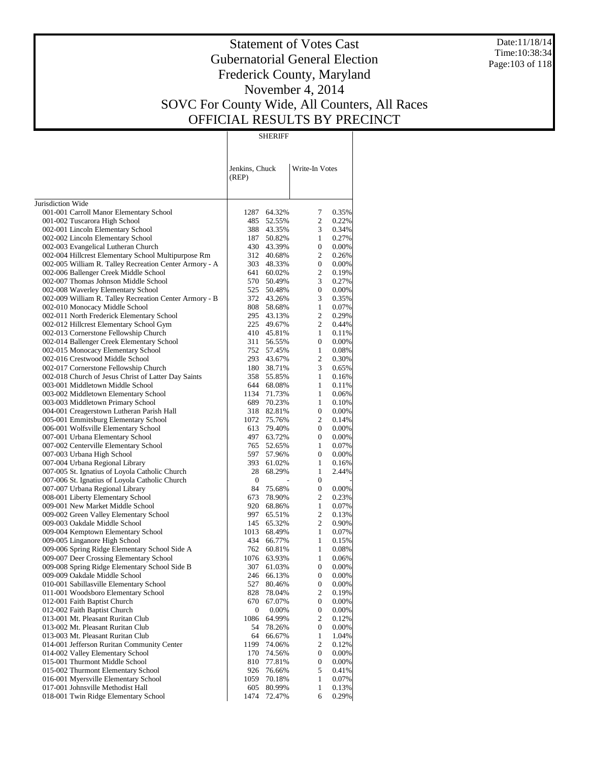Date:11/18/14 Time:10:38:34 Page:103 of 118

## Statement of Votes Cast Gubernatorial General Election Frederick County, Maryland November 4, 2014 SOVC For County Wide, All Counters, All Races OFFICIAL RESULTS BY PRECINCT

|                                                                                                 | Jenkins, Chuck<br>(REP) |                  | Write-In Votes                     |                   |  |
|-------------------------------------------------------------------------------------------------|-------------------------|------------------|------------------------------------|-------------------|--|
|                                                                                                 |                         |                  |                                    |                   |  |
| Jurisdiction Wide                                                                               |                         |                  |                                    |                   |  |
| 001-001 Carroll Manor Elementary School                                                         | 1287                    | 64.32%           | 7                                  | 0.35%             |  |
| 001-002 Tuscarora High School                                                                   | 485                     | 52.55%           | 2                                  | 0.22%             |  |
| 002-001 Lincoln Elementary School                                                               |                         | 388 43.35%       | 3                                  | 0.34%             |  |
| 002-002 Lincoln Elementary School                                                               | 187                     | 50.82%           | 1                                  | 0.27%             |  |
| 002-003 Evangelical Lutheran Church                                                             |                         | 430 43.39%       | $\boldsymbol{0}$                   | 0.00%             |  |
| 002-004 Hillcrest Elementary School Multipurpose Rm                                             | 312                     | 40.68%           | 2                                  | 0.26%             |  |
| 002-005 William R. Talley Recreation Center Armory - A<br>002-006 Ballenger Creek Middle School | 303                     | 48.33%           | $\boldsymbol{0}$<br>$\overline{2}$ | 0.00%             |  |
| 002-007 Thomas Johnson Middle School                                                            | 641<br>570              | 60.02%           | 3                                  | 0.19%<br>0.27%    |  |
| 002-008 Waverley Elementary School                                                              | 525                     | 50.49%<br>50.48% | $\boldsymbol{0}$                   | 0.00%             |  |
| 002-009 William R. Talley Recreation Center Armory - B                                          | 372                     | 43.26%           | 3                                  | 0.35%             |  |
| 002-010 Monocacy Middle School                                                                  | 808                     | 58.68%           | 1                                  | 0.07%             |  |
| 002-011 North Frederick Elementary School                                                       | 295                     | 43.13%           | $\overline{2}$                     | 0.29%             |  |
| 002-012 Hillcrest Elementary School Gym                                                         | 225                     | 49.67%           | $\overline{c}$                     | 0.44%             |  |
| 002-013 Cornerstone Fellowship Church                                                           | 410                     | 45.81%           | $\mathbf{1}$                       | 0.11%             |  |
| 002-014 Ballenger Creek Elementary School                                                       | 311                     | 56.55%           | 0                                  | 0.00%             |  |
| 002-015 Monocacy Elementary School                                                              |                         | 752 57.45%       | $\mathbf{1}$                       | 0.08%             |  |
| 002-016 Crestwood Middle School                                                                 |                         | 293 43.67%       | $\overline{2}$                     | 0.30%             |  |
| 002-017 Cornerstone Fellowship Church                                                           |                         | 180 38.71%       | 3                                  | 0.65%             |  |
| 002-018 Church of Jesus Christ of Latter Day Saints                                             |                         | 358 55.85%       | 1                                  | 0.16%             |  |
| 003-001 Middletown Middle School                                                                | 644                     | 68.08%           | $\mathbf{1}$                       | 0.11%             |  |
| 003-002 Middletown Elementary School                                                            | 1134                    | 71.73%           | $\mathbf{1}$                       | 0.06%             |  |
| 003-003 Middletown Primary School                                                               | 689                     | 70.23%           | $\mathbf{1}$                       | 0.10%             |  |
| 004-001 Creagerstown Lutheran Parish Hall                                                       |                         | 318 82.81%       | 0                                  | 0.00%             |  |
| 005-001 Emmitsburg Elementary School                                                            |                         | 1072 75.76%      | $\overline{c}$                     | 0.14%             |  |
| 006-001 Wolfsville Elementary School                                                            | 613                     | 79.40%           | 0                                  | 0.00%             |  |
| 007-001 Urbana Elementary School                                                                |                         | 497 63.72%       | $\mathbf{0}$                       | 0.00%             |  |
| 007-002 Centerville Elementary School                                                           |                         | 765 52.65%       | 1                                  | 0.07%             |  |
| 007-003 Urbana High School                                                                      | 597                     | 57.96%           | $\mathbf{0}$                       | 0.00%             |  |
| 007-004 Urbana Regional Library                                                                 | 393                     | 61.02%           | 1                                  | 0.16%             |  |
| 007-005 St. Ignatius of Loyola Catholic Church                                                  | 28                      | 68.29%           | $\mathbf{1}$                       | 2.44%             |  |
| 007-006 St. Ignatius of Loyola Catholic Church                                                  | $\boldsymbol{0}$        |                  | 0                                  |                   |  |
| 007-007 Urbana Regional Library                                                                 |                         | 84 75.68%        | $\boldsymbol{0}$                   | 0.00%             |  |
| 008-001 Liberty Elementary School                                                               | 673                     | 78.90%           | 2                                  | 0.23%             |  |
| 009-001 New Market Middle School                                                                | 920                     | 68.86%           | $\mathbf{1}$                       | 0.07%             |  |
| 009-002 Green Valley Elementary School                                                          | 997                     | 65.51%           | $\mathfrak{2}$                     | 0.13%             |  |
| 009-003 Oakdale Middle School                                                                   | 145                     | 65.32%           | $\overline{c}$                     | 0.90%             |  |
| 009-004 Kemptown Elementary School                                                              | 1013                    | 68.49%           | 1                                  | 0.07%             |  |
| 009-005 Linganore High School                                                                   | 434                     | 66.77%           | $\mathbf{1}$                       | 0.15%             |  |
| 009-006 Spring Ridge Elementary School Side A                                                   |                         | 762 60.81%       | $\mathbf{1}$                       | 0.08%             |  |
| 009-007 Deer Crossing Elementary School                                                         |                         | 1076 63.93%      | $\mathbf{1}$                       | 0.06%             |  |
| 009-008 Spring Ridge Elementary School Side B<br>009-009 Oakdale Middle School                  | 307                     | 61.03%           | 0                                  | 0.00%             |  |
| 010-001 Sabillasville Elementary School                                                         |                         | 246 66.13%       | 0<br>$\boldsymbol{0}$              | 0.00%<br>$0.00\%$ |  |
| 011-001 Woodsboro Elementary School                                                             | 527<br>828              | 80.46%<br>78.04% | $\overline{c}$                     | 0.19%             |  |
| 012-001 Faith Baptist Church                                                                    | 670                     | 67.07%           | 0                                  | $0.00\%$          |  |
| 012-002 Faith Baptist Church                                                                    | 0                       | 0.00%            | $\boldsymbol{0}$                   | $0.00\%$          |  |
| 013-001 Mt. Pleasant Ruritan Club                                                               | 1086                    | 64.99%           | $\mathbf{2}$                       | 0.12%             |  |
| 013-002 Mt. Pleasant Ruritan Club                                                               | 54                      | 78.26%           | $\boldsymbol{0}$                   | $0.00\%$          |  |
| 013-003 Mt. Pleasant Ruritan Club                                                               | 64                      | 66.67%           | 1                                  | 1.04%             |  |
| 014-001 Jefferson Ruritan Community Center                                                      | 1199                    | 74.06%           | $\mathbf{2}$                       | 0.12%             |  |
| 014-002 Valley Elementary School                                                                | 170                     | 74.56%           | 0                                  | $0.00\%$          |  |
| 015-001 Thurmont Middle School                                                                  | 810                     | 77.81%           | $\boldsymbol{0}$                   | $0.00\%$          |  |
| 015-002 Thurmont Elementary School                                                              | 926                     | 76.66%           | 5                                  | 0.41%             |  |
| 016-001 Myersville Elementary School                                                            | 1059                    | 70.18%           | $\mathbf{1}$                       | $0.07\%$          |  |
| 017-001 Johnsville Methodist Hall                                                               | 605                     | 80.99%           | 1                                  | 0.13%             |  |
| 018-001 Twin Ridge Elementary School                                                            | 1474                    | 72.47%           | 6                                  | 0.29%             |  |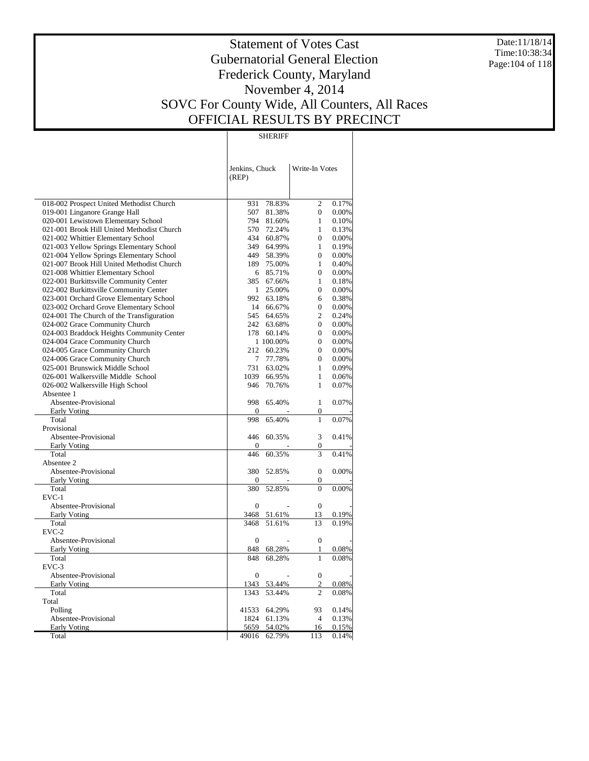Date:11/18/14 Time:10:38:34 Page:104 of 118

## Statement of Votes Cast Gubernatorial General Election Frederick County, Maryland November 4, 2014 SOVC For County Wide, All Counters, All Races OFFICIAL RESULTS BY PRECINCT

|                                                                           | Jenkins, Chuck   |                       | Write-In Votes         |                |
|---------------------------------------------------------------------------|------------------|-----------------------|------------------------|----------------|
|                                                                           | (REP)            |                       |                        |                |
|                                                                           | 931              | 78.83%                | 2                      | 0.17%          |
| 018-002 Prospect United Methodist Church<br>019-001 Linganore Grange Hall | 507              | 81.38%                | $\Omega$               | 0.00%          |
| 020-001 Lewistown Elementary School                                       | 794              | 81.60%                | 1                      | 0.10%          |
| 021-001 Brook Hill United Methodist Church                                | 570              | 72.24%                | $\mathbf{1}$           | 0.13%          |
| 021-002 Whittier Elementary School                                        | 434              | 60.87%                | $\overline{0}$         | 0.00%          |
| 021-003 Yellow Springs Elementary School                                  | 349              | 64.99%                | $\mathbf{1}$           | 0.19%          |
| 021-004 Yellow Springs Elementary School                                  | 449              | 58.39%                | $\mathbf{0}$           | 0.00%          |
| 021-007 Brook Hill United Methodist Church                                | 189              | 75.00%                | 1                      | 0.40%          |
| 021-008 Whittier Elementary School                                        | 6                | 85.71%                | $\Omega$               | 0.00%          |
| 022-001 Burkittsville Community Center                                    | 385              | 67.66%                | 1                      | 0.18%          |
| 022-002 Burkittsville Community Center                                    | $\mathbf{1}$     | 25.00%                | $\Omega$               | 0.00%          |
| 023-001 Orchard Grove Elementary School                                   |                  | 992 63.18%            | 6                      | 0.38%          |
| 023-002 Orchard Grove Elementary School                                   |                  | 14 66.67%             | $\mathbf{0}$           | 0.00%          |
| 024-001 The Church of the Transfiguration                                 |                  | 545 64.65%            | $\overline{c}$         | 0.24%          |
| 024-002 Grace Community Church                                            |                  | 242 63.68%            | $\mathbf{0}$           | 0.00%          |
| 024-003 Braddock Heights Community Center                                 |                  | 178 60.14%            | $\mathbf{0}$           | 0.00%          |
| 024-004 Grace Community Church                                            |                  | 1 100.00%             | $\Omega$               | 0.00%          |
| 024-005 Grace Community Church                                            |                  | 212 60.23%            | $\Omega$               | 0.00%          |
| 024-006 Grace Community Church                                            | $\tau$           | 77.78%                | $\mathbf{0}$           | 0.00%          |
| 025-001 Brunswick Middle School                                           | 731              | 63.02%                | $\mathbf{1}$           | 0.09%          |
| 026-001 Walkersville Middle School                                        | 1039             | 66.95%                | 1                      | 0.06%          |
| 026-002 Walkersville High School                                          | 946              | 70.76%                | $\mathbf{1}$           | 0.07%          |
| Absentee 1                                                                |                  |                       |                        |                |
| Absentee-Provisional                                                      | 998              | 65.40%                | 1                      | 0.07%          |
| Early Voting                                                              | $\Omega$         |                       | $\Omega$               |                |
| Total                                                                     | 998              | 65.40%                | $\mathbf{1}$           | 0.07%          |
| Provisional                                                               |                  |                       |                        |                |
| Absentee-Provisional                                                      | 446              | 60.35%                | 3                      | 0.41%          |
| Early Voting                                                              | $\overline{0}$   |                       | 0                      |                |
| Total                                                                     | 446              | 60.35%                | 3                      | 0.41%          |
| Absentee 2                                                                |                  |                       |                        |                |
| Absentee-Provisional                                                      | 380              | 52.85%                | $\Omega$               | 0.00%          |
| Early Voting                                                              | $\Omega$         |                       | $\boldsymbol{0}$       |                |
| Total                                                                     | 380              | 52.85%                | $\Omega$               | 0.00%          |
| $EVC-1$                                                                   |                  |                       |                        |                |
| Absentee-Provisional                                                      | $\mathbf{0}$     |                       | $\boldsymbol{0}$<br>13 |                |
| Early Voting<br>Total                                                     | 3468             | 3468 51.61%<br>51.61% | 13                     | 0.19%<br>0.19% |
| $EVC-2$                                                                   |                  |                       |                        |                |
| Absentee-Provisional                                                      | $\boldsymbol{0}$ |                       | $\boldsymbol{0}$       |                |
| Early Voting                                                              | 848              | 68.28%                | 1                      | 0.08%          |
| Total                                                                     | 848              | 68.28%                | $\mathbf{1}$           | 0.08%          |
| $EVC-3$                                                                   |                  |                       |                        |                |
| Absentee-Provisional                                                      | $\mathbf{0}$     |                       | $\mathbf{0}$           |                |
| <b>Early Voting</b>                                                       | 1343             | 53.44%                | 2                      | 0.08%          |
| Total                                                                     | 1343             | 53.44%                | $\overline{c}$         | 0.08%          |
| Total                                                                     |                  |                       |                        |                |
| Polling                                                                   | 41533            | 64.29%                | 93                     | 0.14%          |
| Absentee-Provisional                                                      | 1824             | 61.13%                | 4                      | 0.13%          |
| <b>Early Voting</b>                                                       | 5659             | 54.02%                | 16                     | 0.15%          |
| Total                                                                     | 49016            | 62.79%                | 113                    | 0.14%          |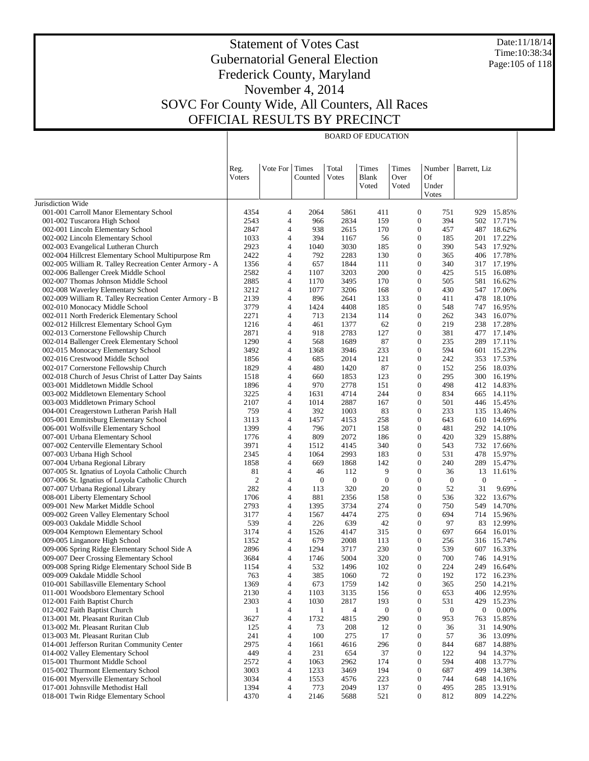Date:11/18/14 Time:10:38:34 Page:105 of 118

# Statement of Votes Cast Gubernatorial General Election Frederick County, Maryland November 4, 2014 SOVC For County Wide, All Counters, All Races OFFICIAL RESULTS BY PRECINCT

BOARD OF EDUCATION

|                                                        | Reg.<br>Voters | Vote For Times | Counted          | Total<br>Votes   | Times<br><b>Blank</b><br>Voted | Times<br>Over<br>Voted | Number<br>Of<br>Under<br>Votes       | Barrett, Liz     |            |
|--------------------------------------------------------|----------------|----------------|------------------|------------------|--------------------------------|------------------------|--------------------------------------|------------------|------------|
| Jurisdiction Wide                                      |                |                |                  |                  |                                |                        |                                      |                  |            |
| 001-001 Carroll Manor Elementary School                | 4354           | $\overline{4}$ | 2064             | 5861             | 411                            |                        | $\boldsymbol{0}$<br>751              | 929              | 15.85%     |
| 001-002 Tuscarora High School                          | 2543           | 4              | 966              | 2834             | 159                            |                        | $\boldsymbol{0}$<br>394              |                  | 502 17.71% |
| 002-001 Lincoln Elementary School                      | 2847           | 4              | 938              | 2615             | 170                            |                        | $\boldsymbol{0}$<br>457              |                  | 487 18.62% |
| 002-002 Lincoln Elementary School                      | 1033           | 4              | 394              | 1167             | 56                             |                        | $\boldsymbol{0}$<br>185              |                  | 201 17.22% |
| 002-003 Evangelical Lutheran Church                    | 2923           | 4              | 1040             | 3030             | 185                            |                        | $\boldsymbol{0}$<br>390              |                  | 543 17.92% |
| 002-004 Hillcrest Elementary School Multipurpose Rm    | 2422           | 4              | 792              | 2283             | 130                            |                        | $\boldsymbol{0}$<br>365              |                  | 406 17.78% |
| 002-005 William R. Talley Recreation Center Armory - A | 1356           | 4              | 657              | 1844             | 111                            |                        | $\boldsymbol{0}$<br>340              |                  | 317 17.19% |
| 002-006 Ballenger Creek Middle School                  | 2582           | 4              | 1107             | 3203             | 200                            |                        | $\boldsymbol{0}$<br>425              | 515              | 16.08%     |
| 002-007 Thomas Johnson Middle School                   | 2885           | 4              | 1170             | 3495             | 170                            |                        | $\boldsymbol{0}$<br>505              | 581              | 16.62%     |
| 002-008 Waverley Elementary School                     | 3212           | 4              | 1077             | 3206             | 168                            |                        | $\boldsymbol{0}$<br>430              |                  | 547 17.06% |
| 002-009 William R. Talley Recreation Center Armory - B | 2139           | 4              | 896              | 2641             | 133                            |                        | $\boldsymbol{0}$<br>411              | 478              | 18.10%     |
| 002-010 Monocacy Middle School                         | 3779           | 4              | 1424             | 4408             | 185                            |                        | $\boldsymbol{0}$<br>548              |                  | 747 16.95% |
| 002-011 North Frederick Elementary School              | 2271           | 4              | 713              | 2134             | 114                            |                        | $\boldsymbol{0}$<br>262              | 343              | 16.07%     |
| 002-012 Hillcrest Elementary School Gym                | 1216           | 4              | 461              | 1377             | 62                             |                        | $\boldsymbol{0}$<br>219              |                  | 238 17.28% |
| 002-013 Cornerstone Fellowship Church                  | 2871           | 4              | 918              | 2783             | 127                            |                        | $\boldsymbol{0}$<br>381              |                  | 477 17.14% |
| 002-014 Ballenger Creek Elementary School              | 1290           | 4              | 568              | 1689             | 87                             |                        | $\boldsymbol{0}$<br>235              |                  | 289 17.11% |
| 002-015 Monocacy Elementary School                     | 3492           | 4              | 1368             | 3946             | 233                            |                        | $\boldsymbol{0}$<br>594              | 601              | 15.23%     |
| 002-016 Crestwood Middle School                        | 1856           | 4              | 685              | 2014             | 121                            |                        | $\boldsymbol{0}$<br>242              |                  | 353 17.53% |
| 002-017 Cornerstone Fellowship Church                  | 1829           | 4              | 480              | 1420             | 87                             |                        | $\boldsymbol{0}$<br>152              |                  | 256 18.03% |
| 002-018 Church of Jesus Christ of Latter Day Saints    | 1518           | 4              | 660              | 1853             | 123                            |                        | $\boldsymbol{0}$<br>295              |                  | 300 16.19% |
| 003-001 Middletown Middle School                       | 1896           | 4              | 970              | 2778             | 151                            |                        | $\boldsymbol{0}$<br>498              |                  | 412 14.83% |
| 003-002 Middletown Elementary School                   | 3225           | 4              | 1631             | 4714             | 244                            |                        | $\boldsymbol{0}$<br>834              |                  | 665 14.11% |
| 003-003 Middletown Primary School                      | 2107           | 4              | 1014             | 2887             | 167                            |                        | $\boldsymbol{0}$<br>501              |                  | 446 15.45% |
| 004-001 Creagerstown Lutheran Parish Hall              | 759            | 4              | 392              | 1003             | 83                             |                        | $\boldsymbol{0}$<br>233              |                  | 135 13.46% |
| 005-001 Emmitsburg Elementary School                   | 3113           | 4              | 1457             | 4153             | 258                            |                        | $\boldsymbol{0}$<br>643              |                  | 610 14.69% |
| 006-001 Wolfsville Elementary School                   | 1399           | 4              | 796              | 2071             | 158                            |                        | $\boldsymbol{0}$<br>481              |                  | 292 14.10% |
| 007-001 Urbana Elementary School                       | 1776           | 4              | 809              | 2072             | 186                            |                        | $\boldsymbol{0}$<br>420              | 329              | 15.88%     |
| 007-002 Centerville Elementary School                  | 3971           | 4              | 1512             | 4145             | 340                            |                        | $\boldsymbol{0}$<br>543              |                  | 732 17.66% |
| 007-003 Urbana High School                             | 2345           | $\overline{4}$ | 1064             | 2993             | 183                            |                        | $\boldsymbol{0}$<br>531              | 478              | 15.97%     |
| 007-004 Urbana Regional Library                        | 1858           | 4              | 669              | 1868             | 142                            |                        | $\boldsymbol{0}$<br>240              | 289              | 15.47%     |
| 007-005 St. Ignatius of Loyola Catholic Church         | 81             | 4              | 46               | 112              | 9                              |                        | $\boldsymbol{0}$<br>36               | 13               | 11.61%     |
| 007-006 St. Ignatius of Loyola Catholic Church         | $\overline{c}$ | 4              | $\boldsymbol{0}$ | $\boldsymbol{0}$ | $\boldsymbol{0}$               |                        | $\boldsymbol{0}$<br>$\boldsymbol{0}$ | $\boldsymbol{0}$ |            |
| 007-007 Urbana Regional Library                        | 282            | 4              | 113              | 320              | 20                             |                        | $\boldsymbol{0}$<br>52               | 31               | 9.69%      |
| 008-001 Liberty Elementary School                      | 1706           | 4              | 881              | 2356             | 158                            |                        | $\boldsymbol{0}$<br>536              | 322              | 13.67%     |
| 009-001 New Market Middle School                       | 2793           | 4              | 1395             | 3734             | 274                            |                        | $\boldsymbol{0}$<br>750              | 549              | 14.70%     |
| 009-002 Green Valley Elementary School                 | 3177           | 4              | 1567             | 4474             | 275                            |                        | $\boldsymbol{0}$<br>694              |                  | 714 15.96% |
| 009-003 Oakdale Middle School                          | 539            | 4              | 226              | 639              | 42                             |                        | $\boldsymbol{0}$<br>97               | 83               | 12.99%     |
| 009-004 Kemptown Elementary School                     | 3174           | 4              | 1526             | 4147             | 315                            |                        | $\boldsymbol{0}$<br>697              |                  | 664 16.01% |
| 009-005 Linganore High School                          | 1352           | 4              | 679              | 2008             | 113                            |                        | $\boldsymbol{0}$<br>256              |                  | 316 15.74% |
| 009-006 Spring Ridge Elementary School Side A          | 2896           | 4              | 1294             | 3717             | 230                            |                        | $\boldsymbol{0}$<br>539              |                  | 607 16.33% |
| 009-007 Deer Crossing Elementary School                | 3684           | 4              | 1746             | 5004             | 320                            |                        | $\boldsymbol{0}$<br>700              | 746              | 14.91%     |
| 009-008 Spring Ridge Elementary School Side B          | 1154           | $\overline{4}$ | 532              | 1496             | 102                            |                        | $\boldsymbol{0}$<br>224              |                  | 249 16.64% |
| 009-009 Oakdale Middle School                          | 763            | 4              | 385              | 1060             | 72                             |                        | $\boldsymbol{0}$<br>192              |                  | 172 16.23% |
| 010-001 Sabillasville Elementary School                | 1369           | 4              | 673              | 1759             | 142                            |                        | $\boldsymbol{0}$<br>365              |                  | 250 14.21% |
| 011-001 Woodsboro Elementary School                    | 2130           | 4              | 1103             | 3135             | 156                            |                        | $\boldsymbol{0}$<br>653              |                  | 406 12.95% |
| 012-001 Faith Baptist Church                           | 2303           | 4              | 1030             | 2817             | 193                            |                        | 531<br>0                             | 429              | 15.23%     |
| 012-002 Faith Baptist Church                           | 1              | 4              | 1                | $\overline{4}$   | $\boldsymbol{0}$               |                        | $\boldsymbol{0}$<br>$\boldsymbol{0}$ | $\boldsymbol{0}$ | 0.00%      |
| 013-001 Mt. Pleasant Ruritan Club                      | 3627           | 4              | 1732             | 4815             | 290                            |                        | $\boldsymbol{0}$<br>953              | 763              | 15.85%     |
| 013-002 Mt. Pleasant Ruritan Club                      | 125            | 4              | 73               | 208              | 12                             |                        | $\boldsymbol{0}$<br>36               | 31               | 14.90%     |
| 013-003 Mt. Pleasant Ruritan Club                      | 241            | 4              | 100              | 275              | 17                             |                        | $\boldsymbol{0}$<br>57               |                  | 36 13.09%  |
| 014-001 Jefferson Ruritan Community Center             | 2975           | 4              | 1661             | 4616             | 296                            |                        | $\boldsymbol{0}$<br>844              |                  | 687 14.88% |
| 014-002 Valley Elementary School                       | 449            | 4              | 231              | 654              | 37                             |                        | 122<br>0                             |                  | 94 14.37%  |
| 015-001 Thurmont Middle School                         | 2572           | 4              | 1063             | 2962             | 174                            |                        | $\boldsymbol{0}$<br>594              |                  | 408 13.77% |
| 015-002 Thurmont Elementary School                     | 3003           | 4              | 1233             | 3469             | 194                            |                        | 687<br>0                             |                  | 499 14.38% |
| 016-001 Myersville Elementary School                   | 3034           | 4              | 1553             | 4576             | 223                            |                        | $\boldsymbol{0}$<br>744              | 648              | 14.16%     |
| 017-001 Johnsville Methodist Hall                      | 1394           | 4              | 773              | 2049             | 137                            |                        | 495<br>0                             | 285              | 13.91%     |
| 018-001 Twin Ridge Elementary School                   | 4370           | $\overline{4}$ | 2146             | 5688             | 521                            |                        | $\boldsymbol{0}$<br>812              | 809              | 14.22%     |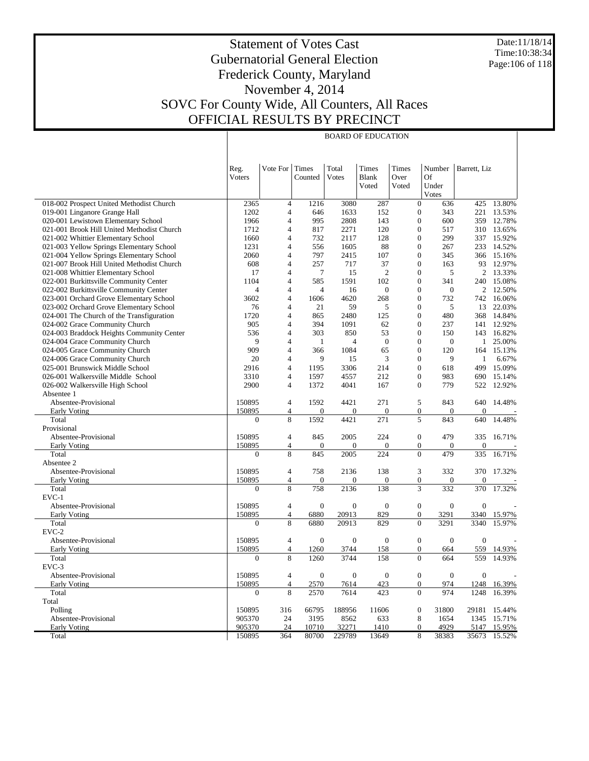Date:11/18/14 Time:10:38:34 Page:106 of 118

# Statement of Votes Cast Gubernatorial General Election Frederick County, Maryland November 4, 2014 SOVC For County Wide, All Counters, All Races OFFICIAL RESULTS BY PRECINCT

BOARD OF EDUCATION

|                                            | Reg.<br>Voters | Vote For       | <b>Times</b><br>Counted | Total<br><b>V</b> otes | <b>Times</b><br><b>Blank</b><br>Voted | Times<br>Over<br>Voted | Number<br>Of<br>Under<br>Votes | Barrett, Liz   |        |
|--------------------------------------------|----------------|----------------|-------------------------|------------------------|---------------------------------------|------------------------|--------------------------------|----------------|--------|
| 018-002 Prospect United Methodist Church   | 2365           | $\overline{4}$ | 1216                    | 3080                   | 287                                   | $\overline{0}$         | 636                            | 425            | 13.80% |
| 019-001 Linganore Grange Hall              | 1202           | $\overline{4}$ | 646                     | 1633                   | 152                                   | $\mathbf{0}$           | 343                            | 221            | 13.53% |
| 020-001 Lewistown Elementary School        | 1966           | $\overline{4}$ | 995                     | 2808                   | 143                                   | $\mathbf{0}$           | 600                            | 359            | 12.78% |
| 021-001 Brook Hill United Methodist Church | 1712           | $\overline{4}$ | 817                     | 2271                   | 120                                   | $\mathbf{0}$           | 517                            | 310            | 13.65% |
| 021-002 Whittier Elementary School         | 1660           | $\overline{4}$ | 732                     | 2117                   | 128                                   | $\Omega$               | 299                            | 337            | 15.92% |
| 021-003 Yellow Springs Elementary School   | 1231           | $\overline{4}$ | 556                     | 1605                   | 88                                    | $\mathbf{0}$           | 267                            | 233            | 14.52% |
| 021-004 Yellow Springs Elementary School   | 2060           | $\overline{4}$ | 797                     | 2415                   | 107                                   | $\mathbf{0}$           | 345                            | 366            | 15.16% |
| 021-007 Brook Hill United Methodist Church | 608            | $\overline{4}$ | 257                     | 717                    | 37                                    | $\overline{0}$         | 163                            | 93             | 12.97% |
| 021-008 Whittier Elementary School         | 17             | $\overline{4}$ | $7\phantom{.0}$         | 15                     | $\overline{2}$                        | $\mathbf{0}$           | 5                              | 2              | 13.33% |
| 022-001 Burkittsville Community Center     | 1104           | $\overline{4}$ | 585                     | 1591                   | 102                                   | $\Omega$               | 341                            | 240            | 15.08% |
| 022-002 Burkittsville Community Center     | $\overline{4}$ | $\overline{4}$ | $\overline{4}$          | 16                     | $\mathbf{0}$                          | $\mathbf{0}$           | $\mathbf{0}$                   | $\overline{c}$ | 12.50% |
| 023-001 Orchard Grove Elementary School    | 3602           | $\overline{4}$ | 1606                    | 4620                   | 268                                   | $\overline{0}$         | 732                            | 742            | 16.06% |
| 023-002 Orchard Grove Elementary School    | 76             | $\overline{4}$ | 21                      | 59                     | 5                                     | $\Omega$               | 5                              | 13             | 22.03% |
| 024-001 The Church of the Transfiguration  | 1720           | $\overline{4}$ | 865                     | 2480                   | 125                                   | $\Omega$               | 480                            | 368            | 14.84% |
| 024-002 Grace Community Church             | 905            | $\overline{4}$ | 394                     | 1091                   | 62                                    | $\mathbf{0}$           | 237                            | 141            | 12.92% |
| 024-003 Braddock Heights Community Center  | 536            | $\overline{4}$ | 303                     | 850                    | 53                                    | $\mathbf{0}$           | 150                            | 143            | 16.82% |
| 024-004 Grace Community Church             | 9              | $\overline{4}$ | 1                       | $\overline{4}$         | $\theta$                              | $\Omega$               | $\mathbf{0}$                   | $\mathbf{1}$   | 25.00% |
| 024-005 Grace Community Church             | 909            | $\overline{4}$ | 366                     | 1084                   | 65                                    | $\Omega$               | 120                            | 164            | 15.13% |
| 024-006 Grace Community Church             | 20             | $\overline{4}$ | 9                       | 15                     | 3                                     | $\mathbf{0}$           | 9                              | $\mathbf{1}$   | 6.67%  |
| 025-001 Brunswick Middle School            | 2916           | $\overline{4}$ | 1195                    | 3306                   | 214                                   | $\Omega$               | 618                            | 499            | 15.09% |
| 026-001 Walkersville Middle School         | 3310           | $\overline{4}$ | 1597                    | 4557                   | 212                                   | $\mathbf{0}$           | 983                            | 690            | 15.14% |
| 026-002 Walkersville High School           | 2900           | $\overline{4}$ | 1372                    | 4041                   | 167                                   | $\mathbf{0}$           | 779                            | 522            | 12.92% |
| Absentee 1                                 |                |                |                         |                        |                                       |                        |                                |                |        |
| Absentee-Provisional                       | 150895         | $\overline{4}$ | 1592                    | 4421                   | 271                                   | 5                      | 843                            | 640            | 14.48% |
| <b>Early Voting</b>                        | 150895         | $\overline{4}$ | $\mathbf{0}$            | $\Omega$               | $\Omega$                              | $\mathbf{0}$           | $\Omega$                       | $\mathbf{0}$   |        |
| Total                                      | $\overline{0}$ | $\overline{8}$ | 1592                    | 4421                   | 271                                   | 5                      | 843                            | 640            | 14.48% |
| Provisional                                |                |                |                         |                        |                                       |                        |                                |                |        |
| Absentee-Provisional                       | 150895         | $\overline{4}$ | 845                     | 2005                   | 224                                   | $\mathbf{0}$           | 479                            | 335            | 16.71% |
| <b>Early Voting</b>                        | 150895         | $\overline{4}$ | $\mathbf{0}$            | $\theta$               | $\Omega$                              | $\mathbf{0}$           | $\mathbf{0}$                   | $\Omega$       |        |
| Total                                      | $\Omega$       | 8              | 845                     | 2005                   | 224                                   | $\Omega$               | 479                            | 335            | 16.71% |
| Absentee 2                                 |                |                |                         |                        |                                       |                        |                                |                |        |
| Absentee-Provisional                       | 150895         | $\overline{4}$ | 758                     | 2136                   | 138                                   | 3                      | 332                            | 370            | 17.32% |
| <b>Early Voting</b>                        | 150895         | $\overline{4}$ | $\mathbf{0}$            | $\overline{0}$         | $\theta$                              | $\overline{0}$         | $\mathbf{0}$                   | $\Omega$       |        |
| Total                                      | $\theta$       | 8              | 758                     | 2136                   | 138                                   | 3                      | 332                            | 370            | 17.32% |
| $EVC-1$                                    |                |                |                         |                        |                                       |                        |                                |                |        |
| Absentee-Provisional                       | 150895         | $\overline{4}$ | $\overline{0}$          | $\overline{0}$         | $\mathbf{0}$                          | $\overline{0}$         | $\mathbf{0}$                   | $\overline{0}$ |        |
| <b>Early Voting</b>                        | 150895         | $\overline{4}$ | 6880                    | 20913                  | 829                                   | $\overline{0}$         | 3291                           | 3340           | 15.97% |
| Total                                      | $\theta$       | 8              | 6880                    | 20913                  | 829                                   | $\Omega$               | 3291                           | 3340           | 15.97% |
| $EVC-2$                                    |                |                |                         |                        |                                       |                        |                                |                |        |
| Absentee-Provisional                       | 150895         | $\overline{4}$ | $\overline{0}$          | $\overline{0}$         | $\mathbf{0}$                          | $\mathbf{0}$           | $\mathbf{0}$                   | $\overline{0}$ |        |
| <b>Early Voting</b>                        | 150895         | $\overline{4}$ | 1260                    | 3744                   | 158                                   | $\overline{0}$         | 664                            | 559            | 14.93% |
| Total                                      | $\theta$       | 8              | 1260                    | 3744                   | 158                                   | $\theta$               | 664                            | 559            | 14.93% |
| $EVC-3$                                    |                |                |                         |                        |                                       |                        |                                |                |        |
| Absentee-Provisional                       | 150895         | $\overline{4}$ | $\overline{0}$          | $\overline{0}$         | $\mathbf{0}$                          | $\mathbf{0}$           | $\overline{0}$                 | $\overline{0}$ |        |
| <b>Early Voting</b>                        | 150895         | $\overline{4}$ | 2570                    | 7614                   | 423                                   | $\overline{0}$         | 974                            | 1248           | 16.39% |
| Total                                      | $\overline{0}$ | 8              | 2570                    | 7614                   | 423                                   | $\Omega$               | 974                            | 1248           | 16.39% |
| Total                                      |                |                |                         |                        |                                       |                        |                                |                |        |
| Polling                                    | 150895         | 316            | 66795                   | 188956                 | 11606                                 | $\mathbf{0}$           | 31800                          | 29181          | 15.44% |
| Absentee-Provisional                       | 905370         | 24             | 3195                    | 8562                   | 633                                   | 8                      | 1654                           | 1345           | 15.71% |
| <b>Early Voting</b>                        | 905370         | 24             | 10710                   | 32271                  | 1410                                  | $\Omega$               | 4929                           | 5147           | 15.95% |
| Total                                      | 150895         | 364            | 80700                   | 229789                 | 13649                                 | 8                      | 38383                          | 35673          | 15.52% |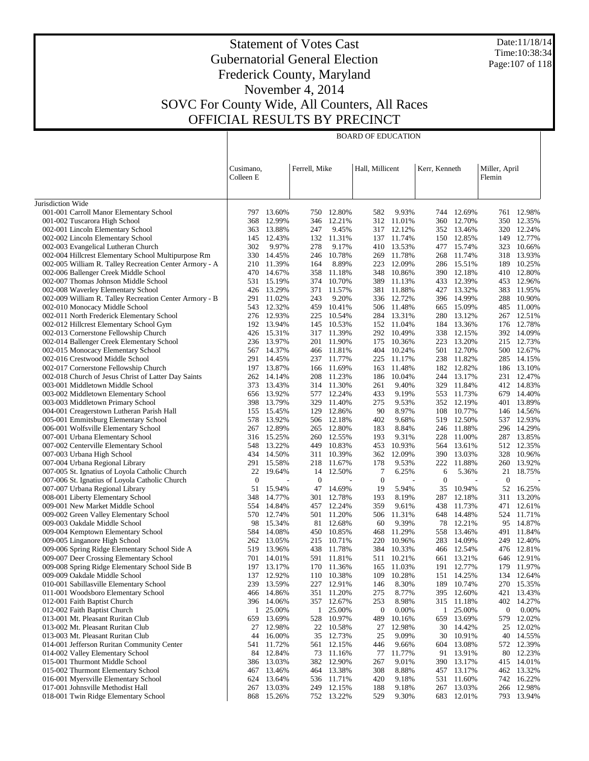Date:11/18/14 Time:10:38:34 Page:107 of 118

## Statement of Votes Cast Gubernatorial General Election Frederick County, Maryland November 4, 2014 SOVC For County Wide, All Counters, All Races OFFICIAL RESULTS BY PRECINCT

|                                                                                      | <b>BOARD OF EDUCATION</b> |                          |                  |                      |                  |                          |               |                      |                         |                          |  |  |
|--------------------------------------------------------------------------------------|---------------------------|--------------------------|------------------|----------------------|------------------|--------------------------|---------------|----------------------|-------------------------|--------------------------|--|--|
|                                                                                      | Cusimano,<br>Colleen E    |                          | Ferrell, Mike    |                      | Hall, Millicent  |                          | Kerr, Kenneth |                      | Miller, April<br>Flemin |                          |  |  |
|                                                                                      |                           |                          |                  |                      |                  |                          |               |                      |                         |                          |  |  |
| Jurisdiction Wide                                                                    |                           | 13.60%                   |                  | 12.80%               | 582              | 9.93%                    | 744           |                      |                         | 761 12.98%               |  |  |
| 001-001 Carroll Manor Elementary School<br>001-002 Tuscarora High School             | 797<br>368                | 12.99%                   | 750<br>346       | 12.21%               |                  | 312 11.01%               | 360           | 12.69%<br>12.70%     |                         | 350 12.35%               |  |  |
| 002-001 Lincoln Elementary School                                                    | 363                       | 13.88%                   | 247              | 9.45%                |                  | 317 12.12%               |               | 352 13.46%           |                         | 320 12.24%               |  |  |
| 002-002 Lincoln Elementary School                                                    | 145                       | 12.43%                   |                  | 132 11.31%           | 137              | 11.74%                   |               | 150 12.85%           |                         | 149 12.77%               |  |  |
| 002-003 Evangelical Lutheran Church                                                  | 302                       | 9.97%                    | 278              | 9.17%                | 410              | 13.53%                   |               | 477 15.74%           |                         | 323 10.66%               |  |  |
| 002-004 Hillcrest Elementary School Multipurpose Rm                                  | 330                       | 14.45%                   | 246              | 10.78%               | 269              | 11.78%                   |               | 268 11.74%           |                         | 318 13.93%               |  |  |
| 002-005 William R. Talley Recreation Center Armory - A                               | 210                       | 11.39%                   | 164              | 8.89%                | 223              | 12.09%                   |               | 286 15.51%           | 189                     | 10.25%                   |  |  |
| 002-006 Ballenger Creek Middle School                                                | 470                       | 14.67%                   | 358              | 11.18%               | 348              | 10.86%                   |               | 390 12.18%           |                         | 410 12.80%               |  |  |
| 002-007 Thomas Johnson Middle School                                                 | 531                       | 15.19%                   | 374              | 10.70%               | 389              | 11.13%                   |               | 433 12.39%           |                         | 453 12.96%               |  |  |
| 002-008 Waverley Elementary School                                                   |                           | 426 13.29%               | 371              | 11.57%               | 381              | 11.88%                   |               | 427 13.32%           |                         | 383 11.95%               |  |  |
| 002-009 William R. Talley Recreation Center Armory - B                               | 291                       | 11.02%                   | 243              | 9.20%                | 336              | 12.72%                   |               | 396 14.99%           | 288                     | 10.90%                   |  |  |
| 002-010 Monocacy Middle School                                                       |                           | 543 12.32%               | 459              | 10.41%<br>10.54%     |                  | 506 11.48%               |               | 665 15.09%<br>13.12% |                         | 485 11.00%<br>267 12.51% |  |  |
| 002-011 North Frederick Elementary School<br>002-012 Hillcrest Elementary School Gym |                           | 276 12.93%<br>192 13.94% | 225<br>145       | 10.53%               |                  | 284 13.31%<br>152 11.04% | 280<br>184    | 13.36%               |                         | 176 12.78%               |  |  |
| 002-013 Cornerstone Fellowship Church                                                | 426                       | 15.31%                   | 317              | 11.39%               |                  | 292 10.49%               |               | 338 12.15%           |                         | 392 14.09%               |  |  |
| 002-014 Ballenger Creek Elementary School                                            | 236                       | 13.97%                   | 201              | 11.90%               | 175              | 10.36%                   |               | 223 13.20%           |                         | 215 12.73%               |  |  |
| 002-015 Monocacy Elementary School                                                   | 567                       | 14.37%                   | 466              | 11.81%               | 404              | 10.24%                   |               | 501 12.70%           |                         | 500 12.67%               |  |  |
| 002-016 Crestwood Middle School                                                      | 291                       | 14.45%                   | 237              | 11.77%               | 225              | 11.17%                   |               | 238 11.82%           |                         | 285 14.15%               |  |  |
| 002-017 Cornerstone Fellowship Church                                                | 197                       | 13.87%                   | 166              | 11.69%               | 163              | 11.48%                   |               | 182 12.82%           |                         | 186 13.10%               |  |  |
| 002-018 Church of Jesus Christ of Latter Day Saints                                  | 262                       | 14.14%                   | 208              | 11.23%               | 186              | 10.04%                   | 244           | 13.17%               |                         | 231 12.47%               |  |  |
| 003-001 Middletown Middle School                                                     | 373                       | 13.43%                   |                  | 314 11.30%           | 261              | 9.40%                    |               | 329 11.84%           |                         | 412 14.83%               |  |  |
| 003-002 Middletown Elementary School                                                 | 656                       | 13.92%                   | 577              | 12.24%               | 433              | 9.19%                    |               | 553 11.73%           |                         | 679 14.40%               |  |  |
| 003-003 Middletown Primary School                                                    | 398                       | 13.79%                   | 329              | 11.40%               | 275              | 9.53%                    |               | 352 12.19%           |                         | 401 13.89%               |  |  |
| 004-001 Creagerstown Lutheran Parish Hall                                            | 155                       | 15.45%                   | 129              | 12.86%               | 90               | 8.97%                    | 108           | 10.77%               |                         | 146 14.56%               |  |  |
| 005-001 Emmitsburg Elementary School                                                 | 578                       | 13.92%                   | 506              | 12.18%               | 402              | 9.68%                    |               | 519 12.50%           |                         | 537 12.93%               |  |  |
| 006-001 Wolfsville Elementary School                                                 | 267                       | 12.89%                   | 265              | 12.80%               | 183              | 8.84%                    |               | 246 11.88%           |                         | 296 14.29%               |  |  |
| 007-001 Urbana Elementary School                                                     | 316<br>548                | 15.25%<br>13.22%         | 260              | 12.55%<br>10.83%     | 193<br>453       | 9.31%<br>10.93%          | 228           | 11.00%<br>564 13.61% |                         | 287 13.85%<br>512 12.35% |  |  |
| 007-002 Centerville Elementary School<br>007-003 Urbana High School                  | 434                       | 14.50%                   | 449<br>311       | 10.39%               | 362              | 12.09%                   | 390           | 13.03%               | 328                     | 10.96%                   |  |  |
| 007-004 Urbana Regional Library                                                      | 291                       | 15.58%                   | 218              | 11.67%               | 178              | 9.53%                    |               | 222 11.88%           |                         | 260 13.92%               |  |  |
| 007-005 St. Ignatius of Loyola Catholic Church                                       | 22                        | 19.64%                   | 14               | 12.50%               | 7                | 6.25%                    | 6             | 5.36%                | 21                      | 18.75%                   |  |  |
| 007-006 St. Ignatius of Loyola Catholic Church                                       | $\boldsymbol{0}$          |                          | $\boldsymbol{0}$ |                      | $\boldsymbol{0}$ |                          | $\mathbf{0}$  |                      | $\mathbf{0}$            |                          |  |  |
| 007-007 Urbana Regional Library                                                      | 51                        | 15.94%                   | 47               | 14.69%               | 19               | 5.94%                    | 35            | 10.94%               |                         | 52 16.25%                |  |  |
| 008-001 Liberty Elementary School                                                    | 348                       | 14.77%                   | 301              | 12.78%               | 193              | 8.19%                    | 287           | 12.18%               | 311                     | 13.20%                   |  |  |
| 009-001 New Market Middle School                                                     | 554                       | 14.84%                   | 457              | 12.24%               | 359              | 9.61%                    | 438           | 11.73%               | 471                     | 12.61%                   |  |  |
| 009-002 Green Valley Elementary School                                               | 570                       | 12.74%                   | 501              | 11.20%               | 506              | 11.31%                   |               | 648 14.48%           |                         | 524 11.71%               |  |  |
| 009-003 Oakdale Middle School                                                        | 98                        | 15.34%                   | 81               | 12.68%               | 60               | 9.39%                    |               | 78 12.21%            |                         | 95 14.87%                |  |  |
| 009-004 Kemptown Elementary School                                                   | 584                       | 14.08%                   | 450              | 10.85%               | 468              | 11.29%<br>10.96%         |               | 558 13.46%           |                         | 491 11.84%               |  |  |
| 009-005 Linganore High School<br>009-006 Spring Ridge Elementary School Side A       | 262                       | 13.05%<br>519 13.96%     | 215              | 10.71%<br>438 11.78% | 220              | 384 10.33%               | 283           | 14.09%<br>466 12.54% | 249                     | 12.40%<br>476 12.81%     |  |  |
| 009-007 Deer Crossing Elementary School                                              |                           | 701 14.01%               |                  | 591 11.81%           |                  | 511 10.21%               |               | 661 13.21%           |                         | 646 12.91%               |  |  |
| 009-008 Spring Ridge Elementary School Side B                                        |                           | 197 13.17%               |                  | 170 11.36%           | 165              | 11.03%                   |               | 191 12.77%           |                         | 179 11.97%               |  |  |
| 009-009 Oakdale Middle School                                                        | 137                       | 12.92%                   | 110              | 10.38%               | 109              | 10.28%                   |               | 151 14.25%           |                         | 134 12.64%               |  |  |
| 010-001 Sabillasville Elementary School                                              | 239                       | 13.59%                   | 227              | 12.91%               | 146              | 8.30%                    |               | 189 10.74%           |                         | 270 15.35%               |  |  |
| 011-001 Woodsboro Elementary School                                                  | 466                       | 14.86%                   | 351              | 11.20%               | 275              | 8.77%                    | 395           | 12.60%               | 421                     | 13.43%                   |  |  |
| 012-001 Faith Baptist Church                                                         |                           | 396 14.06%               |                  | 357 12.67%           | 253              | 8.98%                    |               | 315 11.18%           |                         | 402 14.27%               |  |  |
| 012-002 Faith Baptist Church                                                         | 1                         | 25.00%                   | 1                | 25.00%               | $\mathbf 0$      | 0.00%                    | $\mathbf{1}$  | 25.00%               | $\boldsymbol{0}$        | 0.00%                    |  |  |
| 013-001 Mt. Pleasant Ruritan Club                                                    |                           | 659 13.69%               | 528              | 10.97%               | 489              | 10.16%                   |               | 659 13.69%           |                         | 579 12.02%               |  |  |
| 013-002 Mt. Pleasant Ruritan Club                                                    | 27                        | 12.98%                   |                  | 22 10.58%            | 27               | 12.98%                   | 30            | 14.42%               | 25                      | 12.02%                   |  |  |
| 013-003 Mt. Pleasant Ruritan Club                                                    | 44                        | 16.00%                   | 35               | 12.73%               | 25               | 9.09%                    | 30            | 10.91%               |                         | 40 14.55%                |  |  |
| 014-001 Jefferson Ruritan Community Center                                           | 541                       | 11.72%                   | 561              | 12.15%               | 446              | 9.66%                    |               | 604 13.08%           |                         | 572 12.39%               |  |  |
| 014-002 Valley Elementary School                                                     | 84                        | 12.84%                   | 73               | 11.16%               | 77               | 11.77%                   |               | 91 13.91%            | 80                      | 12.23%                   |  |  |
| 015-001 Thurmont Middle School<br>015-002 Thurmont Elementary School                 | 386<br>467                | 13.03%<br>13.46%         | 382<br>464       | 12.90%<br>13.38%     | 267<br>308       | 9.01%<br>8.88%           | 390<br>457    | 13.17%<br>13.17%     | 415                     | 14.01%<br>462 13.32%     |  |  |
| 016-001 Myersville Elementary School                                                 | 624                       | 13.64%                   | 536              | 11.71%               | 420              | 9.18%                    | 531           | 11.60%               |                         | 742 16.22%               |  |  |
| 017-001 Johnsville Methodist Hall                                                    | 267                       | 13.03%                   |                  | 249 12.15%           | 188              | 9.18%                    |               | 267 13.03%           | 266                     | 12.98%                   |  |  |
| 018-001 Twin Ridge Elementary School                                                 | 868                       | 15.26%                   |                  | 752 13.22%           | 529              | 9.30%                    |               | 683 12.01%           |                         | 793 13.94%               |  |  |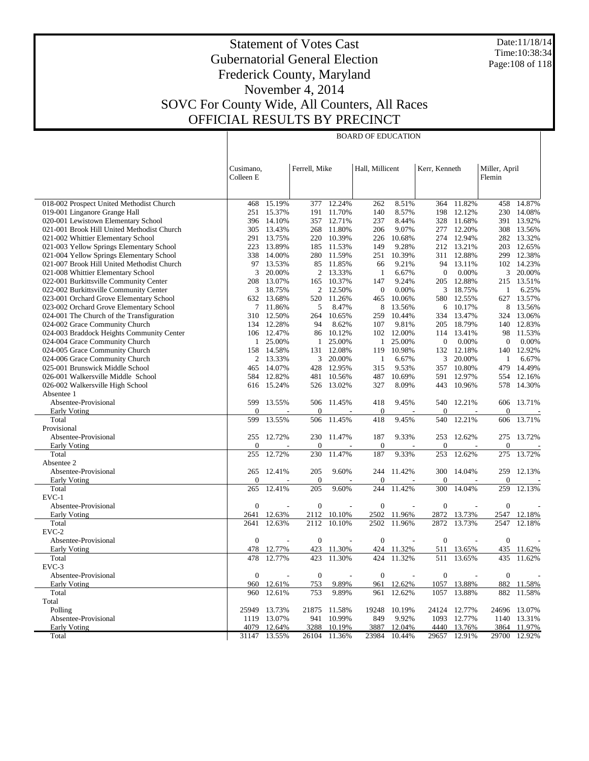Date:11/18/14 Time:10:38:34 Page:108 of 118

# Gubernatorial General Election Frederick County, Maryland November 4, 2014 SOVC For County Wide, All Counters, All Races OFFICIAL RESULTS BY PRECINCT

Statement of Votes Cast

BOARD OF EDUCATION

|                                            | Cusimano,      |            | Ferrell, Mike  |                | Hall, Millicent  |        | Kerr, Kenneth  |            | Miller, April    |            |
|--------------------------------------------|----------------|------------|----------------|----------------|------------------|--------|----------------|------------|------------------|------------|
|                                            | Colleen E      |            |                |                |                  |        |                |            | Flemin           |            |
|                                            |                |            |                |                |                  |        |                |            |                  |            |
|                                            |                |            |                |                |                  |        |                |            |                  |            |
| 018-002 Prospect United Methodist Church   | 468            | 15.19%     | 377            | 12.24%         | 262              | 8.51%  |                | 364 11.82% | 458              | 14.87%     |
| 019-001 Linganore Grange Hall              | 251            | 15.37%     | 191            | 11.70%         | 140              | 8.57%  | 198            | 12.12%     | 230              | 14.08%     |
| 020-001 Lewistown Elementary School        | 396            | 14.10%     | 357            | 12.71%         | 237              | 8.44%  | 328            | 11.68%     | 391              | 13.92%     |
| 021-001 Brook Hill United Methodist Church | 305            | 13.43%     | 268            | 11.80%         | 206              | 9.07%  | 277            | 12.20%     | 308              | 13.56%     |
| 021-002 Whittier Elementary School         |                | 291 13.75% | 220            | 10.39%         | 226              | 10.68% |                | 274 12.94% |                  | 282 13.32% |
| 021-003 Yellow Springs Elementary School   | 223            | 13.89%     | 185            | 11.53%         | 149              | 9.28%  | 212            | 13.21%     | 203              | 12.65%     |
| 021-004 Yellow Springs Elementary School   | 338            | 14.00%     | 280            | 11.59%         | 251              | 10.39% | 311            | 12.88%     | 299              | 12.38%     |
| 021-007 Brook Hill United Methodist Church |                | 97 13.53%  | 85             | 11.85%         | 66               | 9.21%  |                | 94 13.11%  |                  | 102 14.23% |
| 021-008 Whittier Elementary School         | 3              | 20.00%     | $\overline{c}$ | 13.33%         | 1                | 6.67%  | $\mathbf{0}$   | 0.00%      | 3                | 20.00%     |
| 022-001 Burkittsville Community Center     | 208            | 13.07%     | 165            | 10.37%         | 147              | 9.24%  | 205            | 12.88%     | 215              | 13.51%     |
| 022-002 Burkittsville Community Center     | 3              | 18.75%     | 2              | 12.50%         | $\mathbf{0}$     | 0.00%  | 3              | 18.75%     | 1                | 6.25%      |
| 023-001 Orchard Grove Elementary School    | 632            | 13.68%     | 520            | 11.26%         | 465              | 10.06% | 580            | 12.55%     | 627              | 13.57%     |
| 023-002 Orchard Grove Elementary School    | $\tau$         | 11.86%     | 5              | 8.47%          | 8                | 13.56% | 6              | 10.17%     | 8                | 13.56%     |
| 024-001 The Church of the Transfiguration  | 310            | 12.50%     | 264            | 10.65%         | 259              | 10.44% | 334            | 13.47%     |                  | 324 13.06% |
| 024-002 Grace Community Church             | 134            | 12.28%     | 94             | 8.62%          | 107              | 9.81%  | 205            | 18.79%     | 140              | 12.83%     |
| 024-003 Braddock Heights Community Center  | 106            | 12.47%     | 86             | 10.12%         | 102              | 12.00% | 114            | 13.41%     | 98               | 11.53%     |
| 024-004 Grace Community Church             | $\mathbf{1}$   | 25.00%     | 1              | 25.00%         | $\mathbf{1}$     | 25.00% | $\overline{0}$ | 0.00%      | $\mathbf{0}$     | 0.00%      |
| 024-005 Grace Community Church             | 158            | 14.58%     | 131            | 12.08%         | 119              | 10.98% | 132            | 12.18%     | 140              | 12.92%     |
| 024-006 Grace Community Church             | $\overline{c}$ | 13.33%     | 3              | 20.00%         | $\mathbf{1}$     | 6.67%  | 3              | 20.00%     | $\mathbf{1}$     | 6.67%      |
| 025-001 Brunswick Middle School            | 465            | 14.07%     | 428            | 12.95%         | 315              | 9.53%  |                | 357 10.80% | 479              | 14.49%     |
| 026-001 Walkersville Middle School         | 584            | 12.82%     | 481            | 10.56%         | 487              | 10.69% | 591            | 12.97%     | 554              | 12.16%     |
| 026-002 Walkersville High School           | 616            | 15.24%     | 526            | 13.02%         | 327              | 8.09%  | 443            | 10.96%     | 578              | 14.30%     |
| Absentee 1                                 |                |            |                |                |                  |        |                |            |                  |            |
| Absentee-Provisional                       | 599            | 13.55%     | 506            | 11.45%         | 418              | 9.45%  | 540            | 12.21%     | 606              | 13.71%     |
| <b>Early Voting</b>                        | $\Omega$       |            | $\Omega$       |                | $\boldsymbol{0}$ |        | $\theta$       |            | $\theta$         |            |
| Total                                      | 599            | 13.55%     | 506            | 11.45%         | 418              | 9.45%  | 540            | 12.21%     | 606              | 13.71%     |
| Provisional                                |                |            |                |                |                  |        |                |            |                  |            |
| Absentee-Provisional                       | 255            | 12.72%     | 230            | 11.47%         | 187              | 9.33%  | 253            | 12.62%     | 275              | 13.72%     |
| <b>Early Voting</b>                        | $\mathbf{0}$   |            | $\mathbf{0}$   |                | $\boldsymbol{0}$ |        | $\overline{0}$ |            | $\boldsymbol{0}$ |            |
| Total                                      | 255            | 12.72%     | 230            | 11.47%         | 187              | 9.33%  | 253            | 12.62%     | 275              | 13.72%     |
| Absentee 2                                 |                |            |                |                |                  |        |                |            |                  |            |
| Absentee-Provisional                       | 265            | 12.41%     | 205            | 9.60%          | 244              | 11.42% | 300            | 14.04%     | 259              | 12.13%     |
| <b>Early Voting</b>                        | $\overline{0}$ |            | $\mathbf{0}$   |                | $\overline{0}$   |        | $\Omega$       |            | $\mathbf{0}$     |            |
| Total                                      | 265            | 12.41%     | 205            | 9.60%          | 244              | 11.42% | 300            | 14.04%     | 259              | 12.13%     |
| $EVC-1$                                    |                |            |                |                |                  |        |                |            |                  |            |
| Absentee-Provisional                       | $\theta$       |            | $\mathbf{0}$   |                | $\theta$         |        | $\theta$       |            | $\overline{0}$   |            |
|                                            | 2641           | 12.63%     | 2112           | 10.10%         | 2502             | 11.96% | 2872           | 13.73%     | 2547             | 12.18%     |
| <b>Early Voting</b>                        |                |            |                |                |                  |        |                |            |                  |            |
| Total                                      | 2641           | 12.63%     | 2112           | 10.10%         | 2502             | 11.96% | 2872           | 13.73%     | 2547             | 12.18%     |
| $EVC-2$                                    |                |            |                |                |                  |        |                |            |                  |            |
| Absentee-Provisional                       | $\theta$       |            | $\theta$       |                | $\overline{0}$   |        | $\theta$       |            | $\overline{0}$   |            |
| <b>Early Voting</b>                        | 478            | 12.77%     | 423            | 11.30%         | 424              | 11.32% | 511            | 13.65%     | 435              | 11.62%     |
| Total                                      | 478            | 12.77%     | 423            | 11.30%         | 424              | 11.32% | 511            | 13.65%     | 435              | 11.62%     |
| $EVC-3$                                    |                |            |                |                |                  |        |                |            |                  |            |
| Absentee-Provisional                       | $\Omega$       |            | $\mathbf{0}$   | $\overline{a}$ | $\mathbf{0}$     |        | $\Omega$       |            | $\mathbf{0}$     |            |
| Early Voting                               | 960            | 12.61%     | 753            | 9.89%          | 961              | 12.62% | 1057           | 13.88%     | 882              | 11.58%     |
| Total                                      | 960            | 12.61%     | 753            | 9.89%          | 961              | 12.62% | 1057           | 13.88%     | 882              | 11.58%     |
| Total                                      |                |            |                |                |                  |        |                |            |                  |            |
| Polling                                    | 25949          | 13.73%     | 21875          | 11.58%         | 19248            | 10.19% | 24124          | 12.77%     | 24696            | 13.07%     |
| Absentee-Provisional                       | 1119           | 13.07%     | 941            | 10.99%         | 849              | 9.92%  | 1093           | 12.77%     | 1140             | 13.31%     |
| Early Voting                               | 4079           | 12.64%     | 3288           | 10.19%         | 3887             | 12.04% | 4440           | 13.76%     | 3864             | 11.97%     |
| Total                                      | 31147          | 13.55%     | 26104          | 11.36%         | 23984            | 10.44% | 29657          | 12.91%     | 29700            | 12.92%     |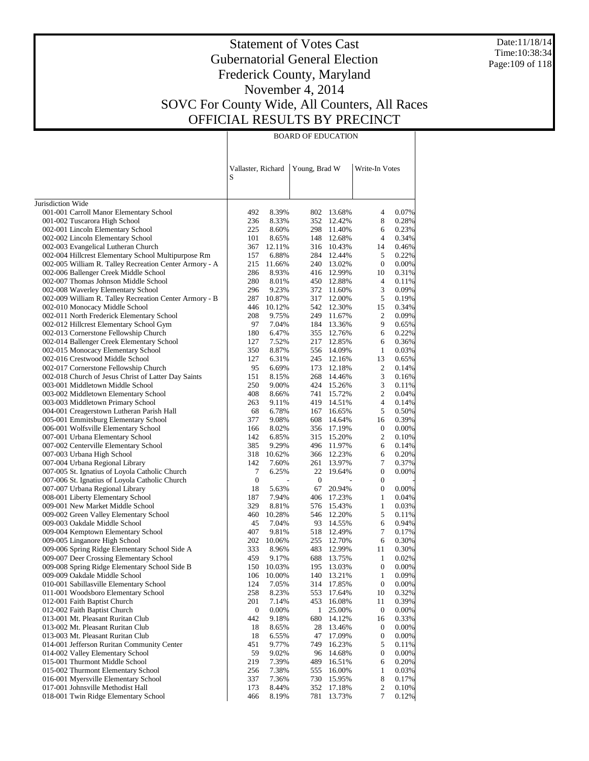Date:11/18/14 Time:10:38:34 Page:109 of 118

### Statement of Votes Cast Gubernatorial General Election Frederick County, Maryland November 4, 2014 SOVC For County Wide, All Counters, All Races OFFICIAL RESULTS BY PRECINCT

BOARD OF EDUCATION

|                                                                     | S                | Vallaster, Richard |              | Young, Brad W    | Write-In Votes         |                   |  |  |
|---------------------------------------------------------------------|------------------|--------------------|--------------|------------------|------------------------|-------------------|--|--|
| Jurisdiction Wide                                                   |                  |                    |              |                  |                        |                   |  |  |
| 001-001 Carroll Manor Elementary School                             | 492              | 8.39%              | 802          | 13.68%           | 4                      | 0.07%             |  |  |
| 001-002 Tuscarora High School                                       | 236              | 8.33%              | 352          | 12.42%           | 8                      | 0.28%             |  |  |
| 002-001 Lincoln Elementary School                                   | 225              | 8.60%              | 298          | 11.40%           | 6                      | 0.23%             |  |  |
| 002-002 Lincoln Elementary School                                   | 101              | 8.65%              | 148          | 12.68%           | 4                      | 0.34%             |  |  |
| 002-003 Evangelical Lutheran Church                                 | 367              | 12.11%             | 316          | 10.43%           | 14                     | 0.46%             |  |  |
| 002-004 Hillcrest Elementary School Multipurpose Rm                 | 157              | 6.88%              | 284          | 12.44%           | 5                      | 0.22%             |  |  |
| 002-005 William R. Talley Recreation Center Armory - A              | 215              | 11.66%             |              | 240 13.02%       | $\boldsymbol{0}$       | $0.00\%$          |  |  |
| 002-006 Ballenger Creek Middle School                               | 286              | 8.93%              |              | 416 12.99%       | 10                     | 0.31%             |  |  |
| 002-007 Thomas Johnson Middle School                                | 280              | 8.01%              |              | 450 12.88%       | 4                      | 0.11%             |  |  |
| 002-008 Waverley Elementary School                                  | 296              | 9.23%              | 372          | 11.60%           | 3                      | 0.09%             |  |  |
| 002-009 William R. Talley Recreation Center Armory - B              | 287              | 10.87%             | 317          | 12.00%           | 5                      | 0.19%             |  |  |
| 002-010 Monocacy Middle School                                      | 446              | 10.12%             | 542          | 12.30%           | 15                     | 0.34%             |  |  |
| 002-011 North Frederick Elementary School                           | 208              | 9.75%              | 249          | 11.67%           | 2                      | 0.09%             |  |  |
| 002-012 Hillcrest Elementary School Gym                             | 97               | 7.04%              | 184          | 13.36%           | 9                      | 0.65%             |  |  |
| 002-013 Cornerstone Fellowship Church                               | 180              | 6.47%              | 355          | 12.76%           | 6                      | 0.22%             |  |  |
| 002-014 Ballenger Creek Elementary School                           | 127              | 7.52%              | 217          | 12.85%           | 6                      | 0.36%             |  |  |
| 002-015 Monocacy Elementary School                                  | 350              | 8.87%              | 556          | 14.09%           | 1                      | 0.03%             |  |  |
| 002-016 Crestwood Middle School                                     | 127              | 6.31%              | 245          | 12.16%           | 13                     | 0.65%             |  |  |
| 002-017 Cornerstone Fellowship Church                               | 95               | 6.69%              | 173          | 12.18%           | 2                      | 0.14%             |  |  |
| 002-018 Church of Jesus Christ of Latter Day Saints                 | 151              | 8.15%              | 268          | 14.46%           | 3                      | 0.16%             |  |  |
| 003-001 Middletown Middle School                                    | 250              | 9.00%              | 424          | 15.26%           | 3                      | 0.11%             |  |  |
| 003-002 Middletown Elementary School                                | 408              | 8.66%              | 741          | 15.72%           | 2                      | 0.04%             |  |  |
| 003-003 Middletown Primary School                                   | 263              | 9.11%              | 419          | 14.51%           | 4                      | 0.14%             |  |  |
| 004-001 Creagerstown Lutheran Parish Hall                           | 68               | 6.78%              | 167          | 16.65%           | 5                      | 0.50%             |  |  |
| 005-001 Emmitsburg Elementary School                                | 377              | 9.08%              | 608          | 14.64%           | 16                     | 0.39%             |  |  |
| 006-001 Wolfsville Elementary School                                | 166              | 8.02%              | 356          | 17.19%           | $\boldsymbol{0}$       | $0.00\%$          |  |  |
| 007-001 Urbana Elementary School                                    | 142              | 6.85%              | 315          | 15.20%           | 2                      | 0.10%             |  |  |
| 007-002 Centerville Elementary School                               | 385              | 9.29%              | 496          | 11.97%           | 6                      | 0.14%             |  |  |
| 007-003 Urbana High School                                          | 318              | 10.62%             | 366          | 12.23%           | 6                      | 0.20%             |  |  |
| 007-004 Urbana Regional Library                                     | 142              | 7.60%              | 261          | 13.97%           | 7                      | 0.37%             |  |  |
| 007-005 St. Ignatius of Loyola Catholic Church                      | 7                | 6.25%              | 22           | 19.64%           | $\boldsymbol{0}$       | $0.00\%$          |  |  |
| 007-006 St. Ignatius of Loyola Catholic Church                      | $\boldsymbol{0}$ |                    | $\mathbf{0}$ |                  | 0                      |                   |  |  |
| 007-007 Urbana Regional Library                                     | 18               | 5.63%              | 67           | 20.94%           | 0                      | $0.00\%$          |  |  |
| 008-001 Liberty Elementary School                                   | 187              | 7.94%              | 406          | 17.23%           | $\mathbf{1}$           | 0.04%             |  |  |
| 009-001 New Market Middle School                                    | 329              | 8.81%              | 576          | 15.43%           | $\mathbf{1}$           | 0.03%             |  |  |
| 009-002 Green Valley Elementary School                              | 460              | 10.28%             | 546          | 12.20%           | 5                      | 0.11%             |  |  |
| 009-003 Oakdale Middle School                                       | 45               | 7.04%              | 93           | 14.55%           | 6                      | 0.94%             |  |  |
| 009-004 Kemptown Elementary School                                  | 407              | 9.81%              | 518          | 12.49%           | 7                      | 0.17%             |  |  |
| 009-005 Linganore High School                                       | 202              | 10.06%             | 255          | 12.70%           | 6                      | 0.30%             |  |  |
| 009-006 Spring Ridge Elementary School Side A                       | 333              | 8.96%              | 483          | 12.99%           | 11                     | 0.30%             |  |  |
| 009-007 Deer Crossing Elementary School                             | 459              | 9.17%              | 688          | 13.75%           | $\mathbf{1}$           | 0.02%             |  |  |
| 009-008 Spring Ridge Elementary School Side B                       | 150              | 10.03%             | 195          | 13.03%           | $\boldsymbol{0}$       | $0.00\%$          |  |  |
| 009-009 Oakdale Middle School                                       | 106              | 10.00%             | 140          | 13.21%           | 1                      | 0.09%             |  |  |
| 010-001 Sabillasville Elementary School                             | 124<br>258       | 7.05%              | 314          | 17.85%           | $\boldsymbol{0}$<br>10 | $0.00\%$<br>0.32% |  |  |
| 011-001 Woodsboro Elementary School<br>012-001 Faith Baptist Church | 201              | 8.23%              | 553          | 17.64%           |                        |                   |  |  |
| 012-002 Faith Baptist Church                                        | $\boldsymbol{0}$ | 7.14%              | 453<br>1     | 16.08%           | 11<br>$\boldsymbol{0}$ | 0.39%             |  |  |
| 013-001 Mt. Pleasant Ruritan Club                                   | 442              | 0.00%              |              | 25.00%<br>14.12% |                        | $0.00\%$          |  |  |
| 013-002 Mt. Pleasant Ruritan Club                                   | 18               | 9.18%<br>8.65%     | 680<br>28    | 13.46%           | 16<br>$\boldsymbol{0}$ | 0.33%<br>0.00%    |  |  |
| 013-003 Mt. Pleasant Ruritan Club                                   | 18               | 6.55%              | 47           | 17.09%           | 0                      | $0.00\%$          |  |  |
| 014-001 Jefferson Ruritan Community Center                          | 451              | 9.77%              | 749          | 16.23%           | 5                      | 0.11%             |  |  |
| 014-002 Valley Elementary School                                    | 59               | 9.02%              | 96           | 14.68%           | 0                      | 0.00%             |  |  |
| 015-001 Thurmont Middle School                                      | 219              | 7.39%              | 489          | 16.51%           | 6                      | 0.20%             |  |  |
| 015-002 Thurmont Elementary School                                  | 256              | 7.38%              | 555          | 16.00%           | 1                      | 0.03%             |  |  |
| 016-001 Myersville Elementary School                                | 337              | 7.36%              | 730          | 15.95%           | 8                      | 0.17%             |  |  |
| 017-001 Johnsville Methodist Hall                                   | 173              | 8.44%              | 352          | 17.18%           | 2                      | 0.10%             |  |  |
| 018-001 Twin Ridge Elementary School                                | 466              | 8.19%              | 781          | 13.73%           | 7                      | 0.12%             |  |  |
|                                                                     |                  |                    |              |                  |                        |                   |  |  |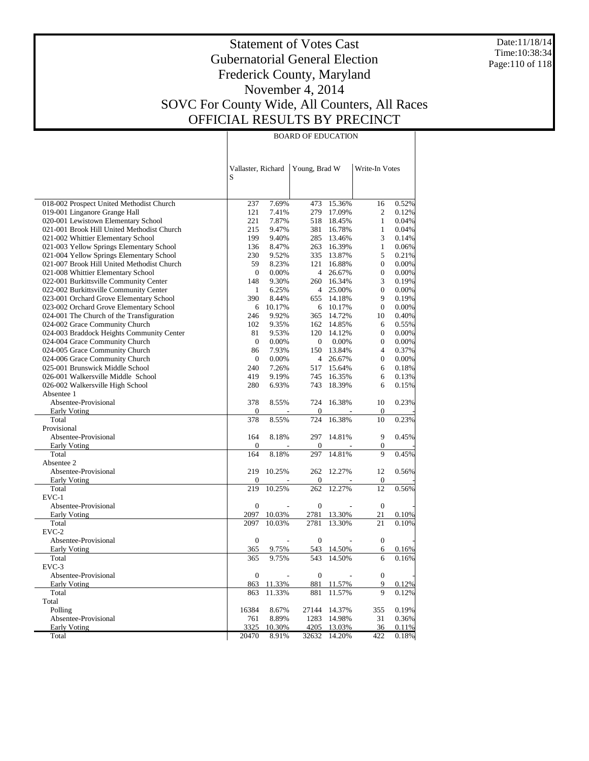Date:11/18/14 Time:10:38:34 Page:110 of 118

### Statement of Votes Cast Gubernatorial General Election Frederick County, Maryland November 4, 2014 SOVC For County Wide, All Counters, All Races OFFICIAL RESULTS BY PRECINCT

BOARD OF EDUCATION

|                                            | Vallaster, Richard<br>S |        | Young, Brad W    |              | Write-In Votes   |       |
|--------------------------------------------|-------------------------|--------|------------------|--------------|------------------|-------|
| 018-002 Prospect United Methodist Church   | 237                     | 7.69%  | 473              | 15.36%       | 16               | 0.52% |
| 019-001 Linganore Grange Hall              | 121                     | 7.41%  | 279              | 17.09%       | 2                | 0.12% |
| 020-001 Lewistown Elementary School        | 221                     | 7.87%  | 518              | 18.45%       | $\mathbf{1}$     | 0.04% |
| 021-001 Brook Hill United Methodist Church | 215                     | 9.47%  | 381              | 16.78%       | $\mathbf{1}$     | 0.04% |
| 021-002 Whittier Elementary School         | 199                     | 9.40%  |                  | 285 13.46%   | 3                | 0.14% |
| 021-003 Yellow Springs Elementary School   | 136                     | 8.47%  | 263              | 16.39%       | $\mathbf{1}$     | 0.06% |
| 021-004 Yellow Springs Elementary School   | 230                     | 9.52%  |                  | 335 13.87%   | 5                | 0.21% |
| 021-007 Brook Hill United Methodist Church | 59                      | 8.23%  | 121              | 16.88%       | $\boldsymbol{0}$ | 0.00% |
| 021-008 Whittier Elementary School         | $\mathbf{0}$            | 0.00%  |                  | 4 26.67%     | $\mathbf{0}$     | 0.00% |
| 022-001 Burkittsville Community Center     | 148                     | 9.30%  |                  | 260 16.34%   | 3                | 0.19% |
| 022-002 Burkittsville Community Center     | $\mathbf{1}$            | 6.25%  |                  | 4 25.00%     | $\mathbf{0}$     | 0.00% |
| 023-001 Orchard Grove Elementary School    | 390                     | 8.44%  |                  | 655 14.18%   | 9                | 0.19% |
| 023-002 Orchard Grove Elementary School    | 6                       | 10.17% |                  | 6 10.17%     | $\boldsymbol{0}$ | 0.00% |
| 024-001 The Church of the Transfiguration  | 246                     | 9.92%  |                  | 365 14.72%   | 10               | 0.40% |
| 024-002 Grace Community Church             | 102                     | 9.35%  |                  | 162 14.85%   | 6                | 0.55% |
| 024-003 Braddock Heights Community Center  | 81                      | 9.53%  |                  | 120 14.12%   | $\overline{0}$   | 0.00% |
| 024-004 Grace Community Church             | $\mathbf{0}$            | 0.00%  | $\mathbf{0}$     | 0.00%        | $\overline{0}$   | 0.00% |
| 024-005 Grace Community Church             | 86                      | 7.93%  |                  | 150 13.84%   | $\overline{4}$   | 0.37% |
| 024-006 Grace Community Church             | $\boldsymbol{0}$        | 0.00%  |                  | 4 26.67%     | $\boldsymbol{0}$ | 0.00% |
| 025-001 Brunswick Middle School            | 240                     | 7.26%  | 517              | 15.64%       | 6                | 0.18% |
| 026-001 Walkersville Middle School         | 419                     | 9.19%  | 745              | 16.35%       | 6                | 0.13% |
| 026-002 Walkersville High School           | 280                     | 6.93%  | 743              | 18.39%       | 6                | 0.15% |
| Absentee 1                                 |                         |        |                  |              |                  |       |
| Absentee-Provisional                       | 378                     | 8.55%  | 724              | 16.38%       | 10               | 0.23% |
| Early Voting                               | $\mathbf{0}$            |        | $\mathbf{0}$     |              | $\theta$         |       |
| Total                                      | 378                     | 8.55%  | 724              | 16.38%       | 10               | 0.23% |
| Provisional<br>Absentee-Provisional        | 164                     | 8.18%  | 297              | 14.81%       | 9                | 0.45% |
| Early Voting                               | $\Omega$                |        | $\Omega$         |              | $\mathbf{0}$     |       |
| Total                                      | 164                     | 8.18%  | 297              | 14.81%       | 9                | 0.45% |
| Absentee 2                                 |                         |        |                  |              |                  |       |
| Absentee-Provisional                       | 219                     | 10.25% | 262              | 12.27%       | 12               | 0.56% |
| Early Voting                               | $\boldsymbol{0}$        |        | $\boldsymbol{0}$ |              | $\boldsymbol{0}$ |       |
| Total                                      | 219                     | 10.25% | 262              | 12.27%       | 12               | 0.56% |
| $EVC-1$                                    |                         |        |                  |              |                  |       |
| Absentee-Provisional                       | $\mathbf{0}$            |        | $\mathbf{0}$     |              | $\boldsymbol{0}$ |       |
| Early Voting                               | 2097                    | 10.03% | 2781             | 13.30%       | 21               | 0.10% |
| Total                                      | 2097                    | 10.03% | 2781             | 13.30%       | 21               | 0.10% |
| $EVC-2$                                    |                         |        |                  |              |                  |       |
| Absentee-Provisional                       | $\mathbf{0}$            |        | $\mathbf{0}$     |              | $\mathbf{0}$     |       |
| Early Voting                               | 365                     | 9.75%  | 543              | 14.50%       | 6                | 0.16% |
| Total                                      | 365                     | 9.75%  | 543              | 14.50%       | 6                | 0.16% |
| $EVC-3$                                    |                         |        |                  |              |                  |       |
| Absentee-Provisional                       | $\mathbf{0}$            |        | $\overline{0}$   |              | $\boldsymbol{0}$ |       |
| <b>Early Voting</b>                        | 863                     | 11.33% | 881              | 11.57%       | 9                | 0.12% |
| Total                                      | 863                     | 11.33% | 881              | 11.57%       | $\overline{Q}$   | 0.12% |
| Total                                      |                         |        |                  |              |                  |       |
| Polling                                    | 16384                   | 8.67%  | 27144            | 14.37%       | 355              | 0.19% |
| Absentee-Provisional                       | 761                     | 8.89%  | 1283             | 14.98%       | 31               | 0.36% |
| Early Voting                               | 3325                    | 10.30% | 4205             | 13.03%       | 36               | 0.11% |
| Total                                      | 20470                   | 8.91%  |                  | 32632 14.20% | 422              | 0.18% |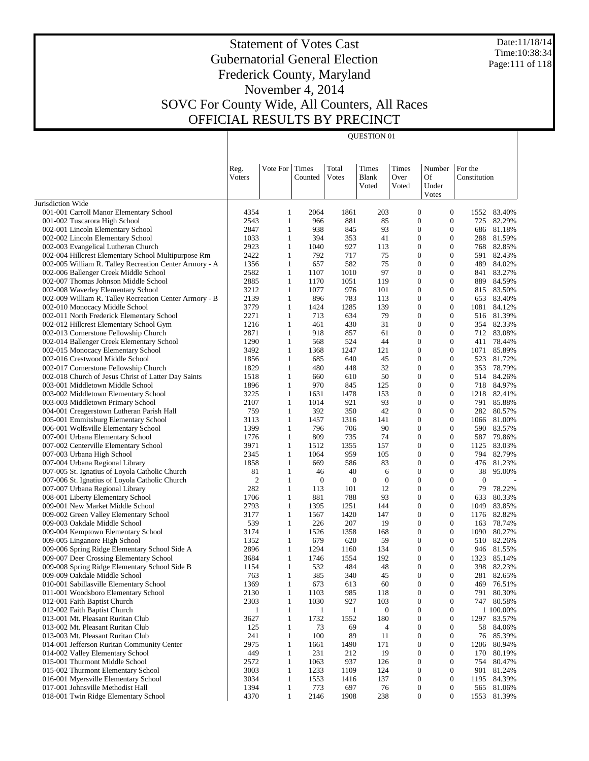Date:11/18/14 Time:10:38:34 Page:111 of 118

# Statement of Votes Cast Gubernatorial General Election Frederick County, Maryland November 4, 2014 SOVC For County Wide, All Counters, All Races OFFICIAL RESULTS BY PRECINCT

|                                                                              | Reg.<br><b>Voters</b> | Vote For Times               | Counted          | Total<br>Votes | Times<br><b>Blank</b><br>Voted | Times<br>Over<br>Voted               | Number<br>Of<br>Under<br>Votes       | For the<br>Constitution |                           |
|------------------------------------------------------------------------------|-----------------------|------------------------------|------------------|----------------|--------------------------------|--------------------------------------|--------------------------------------|-------------------------|---------------------------|
| Jurisdiction Wide                                                            |                       |                              |                  |                |                                |                                      |                                      |                         |                           |
| 001-001 Carroll Manor Elementary School                                      | 4354                  | $\mathbf{1}$                 | 2064             | 1861           | 203                            | $\boldsymbol{0}$                     | $\boldsymbol{0}$                     |                         | 1552 83.40%               |
| 001-002 Tuscarora High School                                                | 2543                  | $\mathbf{1}$                 | 966              | 881            | 85                             | $\boldsymbol{0}$                     | $\boldsymbol{0}$                     | 725                     | 82.29%                    |
| 002-001 Lincoln Elementary School                                            | 2847                  | $\mathbf{1}$                 | 938              | 845            | 93                             | $\boldsymbol{0}$                     | $\boldsymbol{0}$                     |                         | 686 81.18%                |
| 002-002 Lincoln Elementary School                                            | 1033                  | $\mathbf{1}$                 | 394              | 353            | 41                             | $\boldsymbol{0}$                     | $\boldsymbol{0}$                     |                         | 288 81.59%                |
| 002-003 Evangelical Lutheran Church                                          | 2923                  | $\mathbf{1}$                 | 1040             | 927            | 113                            | $\boldsymbol{0}$                     | $\boldsymbol{0}$                     | 768                     | 82.85%                    |
| 002-004 Hillcrest Elementary School Multipurpose Rm                          | 2422                  | $\mathbf{1}$                 | 792              | 717            | 75                             | $\boldsymbol{0}$                     | $\boldsymbol{0}$                     |                         | 591 82.43%                |
| 002-005 William R. Talley Recreation Center Armory - A                       | 1356                  | $\mathbf{1}$                 | 657              | 582            | 75                             | $\boldsymbol{0}$                     | $\boldsymbol{0}$                     | 489                     | 84.02%                    |
| 002-006 Ballenger Creek Middle School                                        | 2582                  | $\mathbf{1}$                 | 1107             | 1010           | 97                             | $\boldsymbol{0}$                     | $\boldsymbol{0}$                     |                         | 841 83.27%                |
| 002-007 Thomas Johnson Middle School                                         | 2885                  | $\mathbf{1}$                 | 1170             | 1051           | 119                            | $\boldsymbol{0}$                     | $\boldsymbol{0}$                     |                         | 889 84.59%                |
| 002-008 Waverley Elementary School                                           | 3212                  | $\mathbf{1}$                 | 1077             | 976            | 101                            | $\boldsymbol{0}$                     | $\boldsymbol{0}$                     |                         | 815 83.50%                |
| 002-009 William R. Talley Recreation Center Armory - B                       | 2139                  | $\mathbf{1}$                 | 896              | 783            | 113                            | $\boldsymbol{0}$                     | $\boldsymbol{0}$                     |                         | 653 83.40%                |
| 002-010 Monocacy Middle School                                               | 3779                  | $\mathbf{1}$                 | 1424             | 1285           | 139                            | $\boldsymbol{0}$                     | $\boldsymbol{0}$                     |                         | 1081 84.12%               |
| 002-011 North Frederick Elementary School                                    | 2271                  | $\mathbf{1}$                 | 713              | 634            | 79                             | $\boldsymbol{0}$                     | $\boldsymbol{0}$                     |                         | 516 81.39%                |
| 002-012 Hillcrest Elementary School Gym                                      | 1216                  | $\mathbf{1}$                 | 461              | 430            | 31                             | $\boldsymbol{0}$                     | $\boldsymbol{0}$                     |                         | 354 82.33%                |
| 002-013 Cornerstone Fellowship Church                                        | 2871                  | $\mathbf{1}$                 | 918              | 857            | 61                             | $\boldsymbol{0}$                     | $\boldsymbol{0}$                     |                         | 712 83.08%                |
| 002-014 Ballenger Creek Elementary School                                    | 1290                  | $\mathbf{1}$                 | 568              | 524            | 44                             | $\boldsymbol{0}$                     | $\boldsymbol{0}$                     | 411                     | 78.44%                    |
| 002-015 Monocacy Elementary School                                           | 3492                  | $\mathbf{1}$                 | 1368             | 1247           | 121                            | $\boldsymbol{0}$                     | $\boldsymbol{0}$                     | 1071                    | 85.89%                    |
| 002-016 Crestwood Middle School                                              | 1856                  | $\mathbf{1}$                 | 685              | 640            | 45                             | $\boldsymbol{0}$                     | $\boldsymbol{0}$                     |                         | 523 81.72%                |
| 002-017 Cornerstone Fellowship Church                                        | 1829                  | $\mathbf{1}$                 | 480              | 448            | 32                             | $\boldsymbol{0}$                     | $\boldsymbol{0}$                     |                         | 353 78.79%                |
| 002-018 Church of Jesus Christ of Latter Day Saints                          | 1518                  | $\mathbf{1}$                 | 660              | 610            | 50                             | $\boldsymbol{0}$                     | $\boldsymbol{0}$                     |                         | 514 84.26%                |
| 003-001 Middletown Middle School                                             | 1896                  | $\mathbf{1}$                 | 970              | 845            | 125                            | $\boldsymbol{0}$                     | $\boldsymbol{0}$                     |                         | 718 84.97%                |
| 003-002 Middletown Elementary School                                         | 3225                  | $\mathbf{1}$                 | 1631             | 1478           | 153                            | $\boldsymbol{0}$                     | $\boldsymbol{0}$                     |                         | 1218 82.41%               |
| 003-003 Middletown Primary School                                            | 2107                  | $\mathbf{1}$                 | 1014             | 921            | 93                             | $\boldsymbol{0}$                     | $\boldsymbol{0}$                     |                         | 791 85.88%                |
| 004-001 Creagerstown Lutheran Parish Hall                                    | 759<br>3113           | $\mathbf{1}$<br>$\mathbf{1}$ | 392<br>1457      | 350<br>1316    | 42<br>141                      | $\boldsymbol{0}$<br>$\boldsymbol{0}$ | $\boldsymbol{0}$<br>$\boldsymbol{0}$ |                         | 282 80.57%<br>1066 81.00% |
| 005-001 Emmitsburg Elementary School<br>006-001 Wolfsville Elementary School | 1399                  | $\mathbf{1}$                 | 796              | 706            | 90                             | $\boldsymbol{0}$                     | $\boldsymbol{0}$                     |                         | 590 83.57%                |
| 007-001 Urbana Elementary School                                             | 1776                  | $\mathbf{1}$                 | 809              | 735            | 74                             | $\boldsymbol{0}$                     | $\boldsymbol{0}$                     | 587                     | 79.86%                    |
| 007-002 Centerville Elementary School                                        | 3971                  | $\mathbf{1}$                 | 1512             | 1355           | 157                            | $\boldsymbol{0}$                     | $\boldsymbol{0}$                     |                         | 1125 83.03%               |
| 007-003 Urbana High School                                                   | 2345                  | $\mathbf{1}$                 | 1064             | 959            | 105                            | $\boldsymbol{0}$                     | $\boldsymbol{0}$                     | 794                     | 82.79%                    |
| 007-004 Urbana Regional Library                                              | 1858                  | $\mathbf{1}$                 | 669              | 586            | 83                             | $\boldsymbol{0}$                     | $\boldsymbol{0}$                     |                         | 476 81.23%                |
| 007-005 St. Ignatius of Loyola Catholic Church                               | 81                    | $\mathbf{1}$                 | 46               | 40             | 6                              | $\boldsymbol{0}$                     | $\boldsymbol{0}$                     | 38                      | 95.00%                    |
| 007-006 St. Ignatius of Loyola Catholic Church                               | $\overline{c}$        | $\mathbf{1}$                 | $\boldsymbol{0}$ | $\mathbf{0}$   | $\boldsymbol{0}$               | $\boldsymbol{0}$                     | $\boldsymbol{0}$                     | $\boldsymbol{0}$        |                           |
| 007-007 Urbana Regional Library                                              | 282                   | $\mathbf{1}$                 | 113              | 101            | 12                             | $\boldsymbol{0}$                     | $\boldsymbol{0}$                     | 79                      | 78.22%                    |
| 008-001 Liberty Elementary School                                            | 1706                  | $\mathbf{1}$                 | 881              | 788            | 93                             | $\boldsymbol{0}$                     | $\boldsymbol{0}$                     | 633                     | 80.33%                    |
| 009-001 New Market Middle School                                             | 2793                  | $\mathbf{1}$                 | 1395             | 1251           | 144                            | $\boldsymbol{0}$                     | $\boldsymbol{0}$                     | 1049                    | 83.85%                    |
| 009-002 Green Valley Elementary School                                       | 3177                  | $\mathbf{1}$                 | 1567             | 1420           | 147                            | $\boldsymbol{0}$                     | $\boldsymbol{0}$                     |                         | 1176 82.82%               |
| 009-003 Oakdale Middle School                                                | 539                   | $\mathbf{1}$                 | 226              | 207            | 19                             | $\boldsymbol{0}$                     | $\boldsymbol{0}$                     | 163                     | 78.74%                    |
| 009-004 Kemptown Elementary School                                           | 3174                  | $\mathbf{1}$                 | 1526             | 1358           | 168                            | $\boldsymbol{0}$                     | $\boldsymbol{0}$                     |                         | 1090 80.27%               |
| 009-005 Linganore High School                                                | 1352                  | $\mathbf{1}$                 | 679              | 620            | 59                             | $\boldsymbol{0}$                     | $\boldsymbol{0}$                     |                         | 510 82.26%                |
| 009-006 Spring Ridge Elementary School Side A                                | 2896                  | $\mathbf{1}$                 | 1294             | 1160           | 134                            | $\boldsymbol{0}$                     | $\boldsymbol{0}$                     |                         | 946 81.55%                |
| 009-007 Deer Crossing Elementary School                                      | 3684                  | $\mathbf{1}$                 | 1746             | 1554           | 192                            | $\boldsymbol{0}$                     | $\boldsymbol{0}$                     |                         | 1323 85.14%               |
| 009-008 Spring Ridge Elementary School Side B                                | 1154                  | $\mathbf{1}$                 | 532              | 484            | 48                             | $\boldsymbol{0}$                     | $\boldsymbol{0}$                     |                         | 398 82.23%                |
| 009-009 Oakdale Middle School                                                | 763                   | $\mathbf{1}$                 | 385              | 340            | 45                             | $\boldsymbol{0}$                     | $\boldsymbol{0}$                     |                         | 281 82.65%                |
| 010-001 Sabillasville Elementary School                                      | 1369                  | $\mathbf{1}$                 | 673              | 613            | 60                             | $\boldsymbol{0}$                     | $\boldsymbol{0}$                     |                         | 469 76.51%                |
| 011-001 Woodsboro Elementary School                                          | 2130                  | $\mathbf{1}$                 | 1103             | 985            | 118                            | $\boldsymbol{0}$                     | 0                                    | 791                     | 80.30%                    |
| 012-001 Faith Baptist Church                                                 | 2303                  | $\mathbf{1}$                 | 1030             | 927            | 103                            | 0                                    | 0                                    |                         | 747 80.58%                |
| 012-002 Faith Baptist Church                                                 | 1                     | $\mathbf{1}$                 | $\mathbf{1}$     | 1              | $\boldsymbol{0}$               | 0                                    | 0                                    |                         | 1 100.00%                 |
| 013-001 Mt. Pleasant Ruritan Club                                            | 3627                  | $\mathbf{1}$                 | 1732             | 1552           | 180                            | 0                                    | $\boldsymbol{0}$                     |                         | 1297 83.57%               |
| 013-002 Mt. Pleasant Ruritan Club                                            | 125                   | $\mathbf{1}$                 | 73               | 69             | 4                              | 0                                    | $\boldsymbol{0}$                     | 58                      | 84.06%                    |
| 013-003 Mt. Pleasant Ruritan Club                                            | 241                   | $\mathbf{1}$                 | 100              | 89             | 11                             | 0                                    | 0                                    |                         | 76 85.39%                 |
| 014-001 Jefferson Ruritan Community Center                                   | 2975                  | $\mathbf{1}$                 | 1661             | 1490           | 171                            | $\boldsymbol{0}$                     | $\boldsymbol{0}$                     | 1206                    | 80.94%                    |
| 014-002 Valley Elementary School                                             | 449                   | $\mathbf{1}$                 | 231              | 212            | 19                             | 0                                    | 0                                    |                         | 170 80.19%                |
| 015-001 Thurmont Middle School                                               | 2572                  | $\mathbf{1}$                 | 1063             | 937            | 126                            | 0                                    | 0                                    | 754                     | 80.47%                    |
| 015-002 Thurmont Elementary School                                           | 3003                  | $\mathbf{1}$                 | 1233             | 1109           | 124                            | 0                                    | 0                                    |                         | 901 81.24%                |
| 016-001 Myersville Elementary School                                         | 3034                  | $\mathbf{1}$                 | 1553             | 1416           | 137                            | $\boldsymbol{0}$                     | 0                                    |                         | 1195 84.39%               |
| 017-001 Johnsville Methodist Hall                                            | 1394                  | $\mathbf{1}$                 | 773              | 697            | 76                             | 0                                    | 0                                    |                         | 565 81.06%                |
| 018-001 Twin Ridge Elementary School                                         | 4370                  | $\mathbf{1}$                 | 2146             | 1908           | 238                            | $\boldsymbol{0}$                     | $\boldsymbol{0}$                     | 1553                    | 81.39%                    |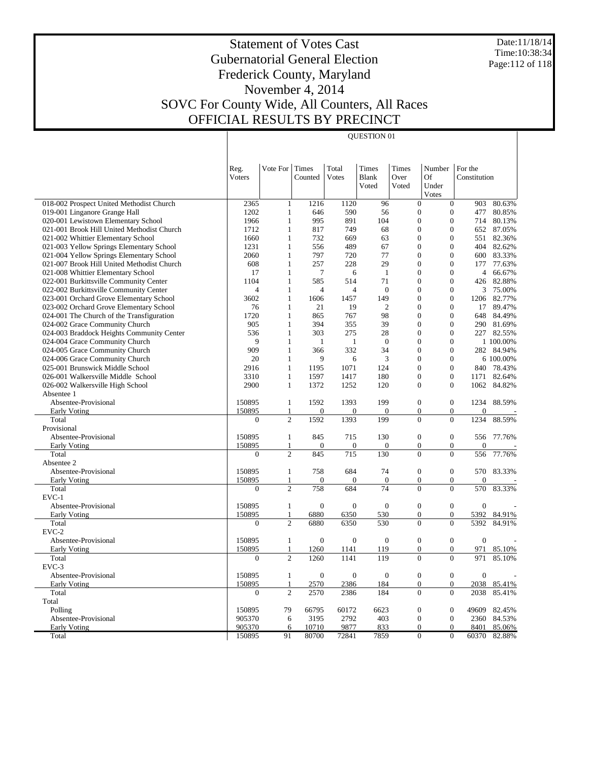Date:11/18/14 Time:10:38:34 Page:112 of 118

#### Statement of Votes Cast Gubernatorial General Election Frederick County, Maryland November 4, 2014 SOVC For County Wide, All Counters, All Races OFFICIAL RESULTS BY PRECINCT QUESTION 01

 $\overline{\phantom{a}}$ 

|                                            | Reg.<br>Voters   | Vote For                       | Times<br>Counted | Total<br>Votes   | Times<br><b>Blank</b><br>Voted | <b>Times</b><br>Over<br>Voted | Number<br>Of<br>Under<br>Votes | For the<br>Constitution |            |
|--------------------------------------------|------------------|--------------------------------|------------------|------------------|--------------------------------|-------------------------------|--------------------------------|-------------------------|------------|
| 018-002 Prospect United Methodist Church   | 2365             | $\mathbf{1}$                   | 1216             | 1120             | 96                             | $\overline{0}$                | $\mathbf{0}$                   | 903                     | 80.63%     |
| 019-001 Linganore Grange Hall              | 1202             | $\mathbf{1}$                   | 646              | 590              | 56                             | $\overline{0}$                | $\mathbf{0}$                   | 477                     | 80.85%     |
| 020-001 Lewistown Elementary School        | 1966             | $\mathbf{1}$                   | 995              | 891              | 104                            | $\theta$                      | $\theta$                       | 714                     | 80.13%     |
| 021-001 Brook Hill United Methodist Church | 1712             | $\mathbf{1}$                   | 817              | 749              | 68                             | $\overline{0}$                | $\mathbf{0}$                   |                         | 652 87.05% |
| 021-002 Whittier Elementary School         | 1660             | $\mathbf{1}$                   | 732              | 669              | 63                             | $\mathbf{0}$                  | $\boldsymbol{0}$               | 551                     | 82.36%     |
| 021-003 Yellow Springs Elementary School   | 1231             | $\mathbf{1}$                   | 556              | 489              | 67                             | $\overline{0}$                | $\mathbf{0}$                   | 404                     | 82.62%     |
| 021-004 Yellow Springs Elementary School   | 2060             | $\mathbf{1}$                   | 797              | 720              | 77                             | $\overline{0}$                | $\mathbf{0}$                   | 600                     | 83.33%     |
| 021-007 Brook Hill United Methodist Church | 608              | $\mathbf{1}$                   | 257              | 228              | 29                             | $\overline{0}$                | $\mathbf{0}$                   | 177                     | 77.63%     |
| 021-008 Whittier Elementary School         | 17               | $\mathbf{1}$                   | 7                | 6                | $\mathbf{1}$                   | $\theta$                      | $\theta$                       | $\overline{4}$          | 66.67%     |
| 022-001 Burkittsville Community Center     | 1104             | $\mathbf{1}$                   | 585              | 514              | 71                             | $\mathbf{0}$                  | $\mathbf{0}$                   | 426                     | 82.88%     |
| 022-002 Burkittsville Community Center     | $\overline{4}$   | $\mathbf{1}$                   | $\overline{4}$   | $\overline{4}$   | $\overline{0}$                 | $\theta$                      | $\mathbf{0}$                   | 3                       | 75.00%     |
| 023-001 Orchard Grove Elementary School    | 3602             | $\mathbf{1}$                   | 1606             | 1457             | 149                            | $\theta$                      | $\theta$                       | 1206                    | 82.77%     |
| 023-002 Orchard Grove Elementary School    | 76               | $\mathbf{1}$                   | 21               | 19               | $\overline{2}$                 | $\mathbf{0}$                  | $\mathbf{0}$                   | 17                      | 89.47%     |
| 024-001 The Church of the Transfiguration  | 1720             | $\mathbf{1}$                   | 865              | 767              | 98                             | $\overline{0}$                | $\mathbf{0}$                   | 648                     | 84.49%     |
| 024-002 Grace Community Church             | 905              | $\mathbf{1}$                   | 394              | 355              | 39                             | $\mathbf{0}$                  | $\mathbf{0}$                   |                         | 290 81.69% |
| 024-003 Braddock Heights Community Center  | 536              | $\mathbf{1}$                   | 303              | 275              | 28                             | $\overline{0}$                | $\mathbf{0}$                   |                         | 227 82.55% |
| 024-004 Grace Community Church             | 9                | $\mathbf{1}$                   | 1                | $\mathbf{1}$     | $\mathbf{0}$                   | $\theta$                      | $\Omega$                       |                         | 1 100,00%  |
| 024-005 Grace Community Church             | 909              | $\mathbf{1}$                   | 366              | 332              | 34                             | $\mathbf{0}$                  | $\mathbf{0}$                   |                         | 282 84.94% |
| 024-006 Grace Community Church             | 20               | $\mathbf{1}$                   | 9                | 6                | 3                              | $\theta$                      | $\Omega$                       |                         | 6 100.00%  |
| 025-001 Brunswick Middle School            | 2916             | $\mathbf{1}$                   | 1195             | 1071             | 124                            | $\theta$                      | $\boldsymbol{0}$               | 840                     | 78.43%     |
| 026-001 Walkersville Middle School         | 3310             | $\mathbf{1}$                   | 1597             | 1417             | 180                            | $\boldsymbol{0}$              | $\mathbf{0}$                   | 1171                    | 82.64%     |
| 026-002 Walkersville High School           | 2900             | $\mathbf{1}$                   | 1372             | 1252             | 120                            | $\overline{0}$                | $\mathbf{0}$                   | 1062                    | 84.82%     |
| Absentee 1                                 |                  |                                |                  |                  |                                |                               |                                |                         |            |
| Absentee-Provisional                       | 150895           | $\mathbf{1}$                   | 1592             | 1393             | 199                            | $\overline{0}$                | $\mathbf{0}$                   | 1234                    | 88.59%     |
| <b>Early Voting</b>                        | 150895           | $\mathbf{1}$                   | $\mathbf{0}$     | $\mathbf{0}$     | $\mathbf{0}$                   | $\overline{0}$                | $\overline{0}$                 | $\mathbf{0}$            |            |
| Total                                      | $\mathbf{0}$     | $\overline{c}$                 | 1592             | 1393             | 199                            | $\theta$                      | $\theta$                       | 1234                    | 88.59%     |
| Provisional                                |                  |                                |                  |                  |                                |                               |                                |                         |            |
| Absentee-Provisional                       | 150895           | $\mathbf{1}$                   | 845              | 715              | 130                            | $\overline{0}$                | $\mathbf{0}$                   | 556                     | 77.76%     |
| <b>Early Voting</b>                        | 150895           | $\mathbf{1}$                   | $\boldsymbol{0}$ | $\boldsymbol{0}$ | $\boldsymbol{0}$               | $\boldsymbol{0}$              | $\boldsymbol{0}$               | $\Omega$                |            |
| Total                                      | $\overline{0}$   | $\overline{2}$                 | 845              | 715              | 130                            | $\overline{0}$                | $\overline{0}$                 | 556                     | 77.76%     |
| Absentee 2                                 |                  |                                |                  |                  |                                |                               |                                |                         |            |
| Absentee-Provisional                       | 150895           | $\mathbf{1}$                   | 758              | 684              | 74                             | $\mathbf{0}$                  | $\mathbf{0}$                   | 570                     | 83.33%     |
| <b>Early Voting</b>                        | 150895           | $\mathbf{1}$<br>$\overline{2}$ | $\mathbf{0}$     | $\mathbf{0}$     | $\boldsymbol{0}$               | $\mathbf{0}$                  | $\mathbf{0}$                   | $\mathbf{0}$            |            |
| Total<br>$EVC-1$                           | $\overline{0}$   |                                | 758              | 684              | 74                             | $\mathbf{0}$                  | $\mathbf{0}$                   | 570                     | 83.33%     |
| Absentee-Provisional                       | 150895           | $\mathbf{1}$                   | $\mathbf{0}$     | $\mathbf{0}$     | $\overline{0}$                 | $\overline{0}$                | $\mathbf{0}$                   | $\mathbf{0}$            |            |
| <b>Early Voting</b>                        | 150895           | $\mathbf{1}$                   | 6880             | 6350             | 530                            | $\mathbf{0}$                  | $\mathbf{0}$                   | 5392                    | 84.91%     |
| Total                                      | $\theta$         | $\overline{2}$                 | 6880             | 6350             | 530                            | $\Omega$                      | $\Omega$                       | 5392                    | 84.91%     |
| $EVC-2$                                    |                  |                                |                  |                  |                                |                               |                                |                         |            |
| Absentee-Provisional                       | 150895           | $\mathbf{1}$                   | $\overline{0}$   | $\overline{0}$   | $\overline{0}$                 | $\overline{0}$                | $\boldsymbol{0}$               | $\overline{0}$          |            |
| <b>Early Voting</b>                        | 150895           | $\mathbf{1}$                   | 1260             | 1141             | 119                            | $\boldsymbol{0}$              | $\boldsymbol{0}$               | 971                     | 85.10%     |
| Total                                      | $\mathbf{0}$     | $\overline{2}$                 | 1260             | 1141             | 119                            | $\theta$                      | $\Omega$                       | 971                     | 85.10%     |
| $EVC-3$                                    |                  |                                |                  |                  |                                |                               |                                |                         |            |
| Absentee-Provisional                       | 150895           | $\mathbf{1}$                   | $\overline{0}$   | $\mathbf{0}$     | $\overline{0}$                 | $\mathbf{0}$                  | $\boldsymbol{0}$               | $\overline{0}$          |            |
| Early Voting                               | 150895           | $\mathbf{1}$                   | 2570             | 2386             | 184                            | $\overline{0}$                | $\overline{0}$                 | 2038                    | 85.41%     |
| Total                                      | $\boldsymbol{0}$ | $\overline{c}$                 | 2570             | 2386             | 184                            | $\theta$                      | $\Omega$                       | 2038                    | 85.41%     |
| Total                                      |                  |                                |                  |                  |                                |                               |                                |                         |            |
| Polling                                    | 150895           | 79                             | 66795            | 60172            | 6623                           | $\boldsymbol{0}$              | $\overline{0}$                 | 49609                   | 82.45%     |
| Absentee-Provisional                       | 905370           | 6                              | 3195             | 2792             | 403                            | $\overline{0}$                | $\mathbf{0}$                   | 2360                    | 84.53%     |
| <b>Early Voting</b>                        | 905370           | 6                              | 10710            | 9877             | 833                            | $\Omega$                      | $\Omega$                       | 8401                    | 85.06%     |
| Total                                      | 150895           | 91                             | 80700            | 72841            | 7859                           | $\Omega$                      | $\Omega$                       | 60370                   | 82.88%     |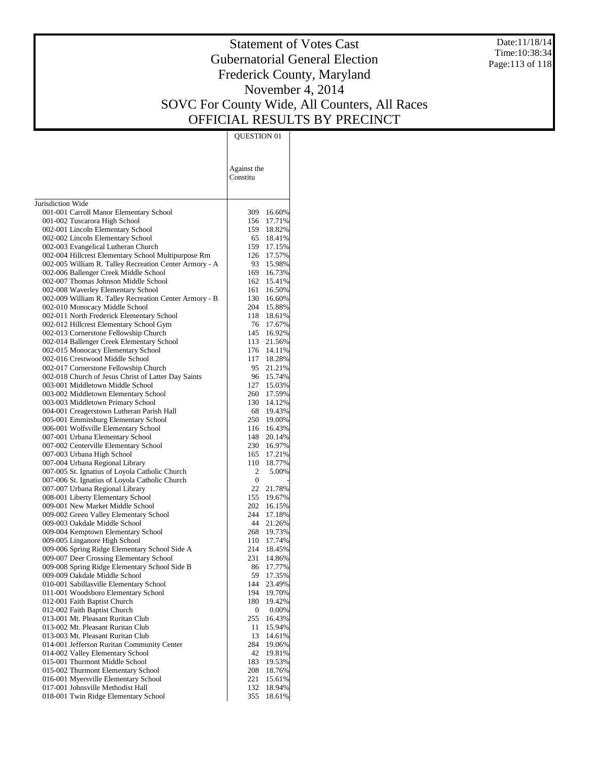Date:11/18/14 Time:10:38:34 Page:113 of 118

# Statement of Votes Cast Gubernatorial General Election Frederick County, Maryland November 4, 2014 SOVC For County Wide, All Counters, All Races OFFICIAL RESULTS BY PRECINCT

|                                                                                                               | Against the<br>Constitu |                  |
|---------------------------------------------------------------------------------------------------------------|-------------------------|------------------|
| Jurisdiction Wide                                                                                             |                         |                  |
| 001-001 Carroll Manor Elementary School                                                                       | 309                     | 16.60%           |
| 001-002 Tuscarora High School                                                                                 | 156                     | 17.71%           |
| 002-001 Lincoln Elementary School                                                                             | 159                     | 18.82%           |
| 002-002 Lincoln Elementary School                                                                             | 65                      | 18.41%           |
| 002-003 Evangelical Lutheran Church                                                                           | 159                     | 17.15%           |
| 002-004 Hillcrest Elementary School Multipurpose Rm<br>002-005 William R. Talley Recreation Center Armory - A | 126<br>93               | 17.57%           |
| 002-006 Ballenger Creek Middle School                                                                         | 169                     | 15.98%<br>16.73% |
| 002-007 Thomas Johnson Middle School                                                                          | 162                     | 15.41%           |
| 002-008 Waverley Elementary School                                                                            | 161                     | 16.50%           |
| 002-009 William R. Talley Recreation Center Armory - B                                                        | 130                     | 16.60%           |
| 002-010 Monocacy Middle School                                                                                | 204                     | 15.88%           |
| 002-011 North Frederick Elementary School                                                                     | 118                     | 18.61%           |
| 002-012 Hillcrest Elementary School Gym                                                                       | 76                      | 17.67%           |
| 002-013 Cornerstone Fellowship Church                                                                         | 145                     | 16.92%           |
| 002-014 Ballenger Creek Elementary School                                                                     | 113                     | 21.56%           |
| 002-015 Monocacy Elementary School                                                                            | 176                     | 14.11%           |
| 002-016 Crestwood Middle School                                                                               | 117                     | 18.28%           |
| 002-017 Cornerstone Fellowship Church                                                                         | 95                      | 21.21%           |
| 002-018 Church of Jesus Christ of Latter Day Saints                                                           | 96                      | 15.74%           |
| 003-001 Middletown Middle School                                                                              | 127                     | 15.03%           |
| 003-002 Middletown Elementary School                                                                          | 260                     | 17.59%           |
| 003-003 Middletown Primary School                                                                             | 130                     | 14.12%           |
| 004-001 Creagerstown Lutheran Parish Hall                                                                     | 68                      | 19.43%           |
| 005-001 Emmitsburg Elementary School                                                                          | 250                     | 19.00%           |
| 006-001 Wolfsville Elementary School<br>007-001 Urbana Elementary School                                      | 116<br>148              | 16.43%<br>20.14% |
| 007-002 Centerville Elementary School                                                                         | 230                     | 16.97%           |
| 007-003 Urbana High School                                                                                    | 165                     | 17.21%           |
| 007-004 Urbana Regional Library                                                                               | 110                     | 18.77%           |
| 007-005 St. Ignatius of Loyola Catholic Church                                                                | 2                       | 5.00%            |
| 007-006 St. Ignatius of Loyola Catholic Church                                                                | $\mathbf{0}$            |                  |
| 007-007 Urbana Regional Library                                                                               | 22                      | 21.78%           |
| 008-001 Liberty Elementary School                                                                             | 155                     | 19.67%           |
| 009-001 New Market Middle School                                                                              | 202                     | 16.15%           |
| 009-002 Green Valley Elementary School                                                                        | 244                     | 17.18%           |
| 009-003 Oakdale Middle School                                                                                 | 44                      | 21.26%           |
| 009-004 Kemptown Elementary School                                                                            | 268                     | 19.73%           |
| 009-005 Linganore High School                                                                                 | 110                     | 17.74%           |
| 009-006 Spring Ridge Elementary School Side A<br>009-007 Deer Crossing Elementary School                      | 214                     | 18.45%           |
| 009-008 Spring Ridge Elementary School Side B                                                                 | 231<br>86               | 14.86%<br>17.77% |
| 009-009 Oakdale Middle School                                                                                 | 59                      | 17.35%           |
| 010-001 Sabillasville Elementary School                                                                       | 144                     | 23.49%           |
| 011-001 Woodsboro Elementary School                                                                           | 194                     | 19.70%           |
| 012-001 Faith Baptist Church                                                                                  | 180                     | 19.42%           |
| 012-002 Faith Baptist Church                                                                                  | 0                       | 0.00%            |
| 013-001 Mt. Pleasant Ruritan Club                                                                             | 255                     | 16.43%           |
| 013-002 Mt. Pleasant Ruritan Club                                                                             | 11                      | 15.94%           |
| 013-003 Mt. Pleasant Ruritan Club                                                                             | 13                      | 14.61%           |
| 014-001 Jefferson Ruritan Community Center                                                                    | 284                     | 19.06%           |
| 014-002 Valley Elementary School                                                                              | 42                      | 19.81%           |
| 015-001 Thurmont Middle School                                                                                | 183                     | 19.53%           |
| 015-002 Thurmont Elementary School                                                                            | 208                     | 18.76%           |
| 016-001 Myersville Elementary School<br>017-001 Johnsville Methodist Hall                                     | 221                     | 15.61%           |
| 018-001 Twin Ridge Elementary School                                                                          | 132<br>355              | 18.94%<br>18.61% |
|                                                                                                               |                         |                  |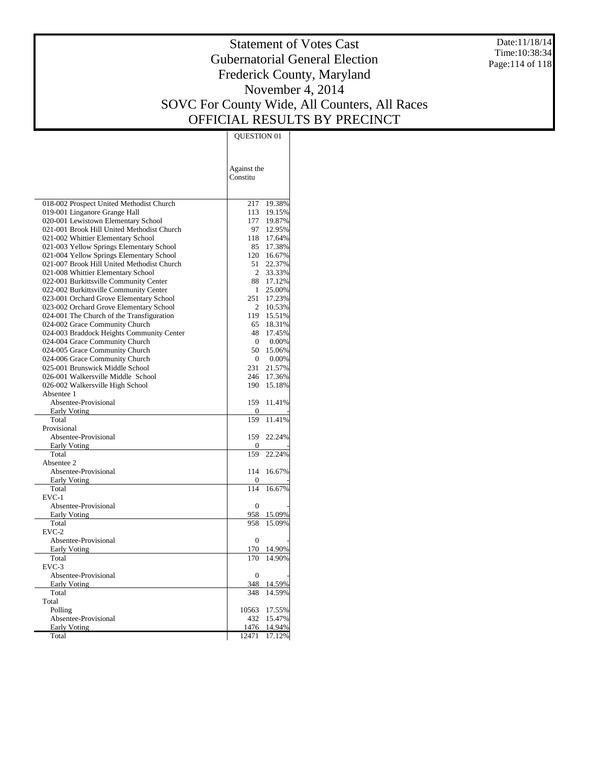Date:11/18/14 Time:10:38:34 Page:114 of 118

# Statement of Votes Cast Gubernatorial General Election Frederick County, Maryland November 4, 2014 SOVC For County Wide, All Counters, All Races OFFICIAL RESULTS BY PRECINCT

|                                                                           | Against the<br>Constitu |          |
|---------------------------------------------------------------------------|-------------------------|----------|
|                                                                           |                         |          |
|                                                                           | 217                     | 19.38%   |
| 018-002 Prospect United Methodist Church<br>019-001 Linganore Grange Hall | 113                     | 19.15%   |
| 020-001 Lewistown Elementary School                                       | 177                     | 19.87%   |
| 021-001 Brook Hill United Methodist Church                                | 97                      | 12.95%   |
| 021-002 Whittier Elementary School                                        | 118                     | 17.64%   |
| 021-003 Yellow Springs Elementary School                                  | 85                      | 17.38%   |
| 021-004 Yellow Springs Elementary School                                  | 120                     | 16.67%   |
| 021-007 Brook Hill United Methodist Church                                | 51                      | 22.37%   |
| 021-008 Whittier Elementary School                                        | $\overline{2}$          | 33.33%   |
| 022-001 Burkittsville Community Center                                    | 88                      | 17.12%   |
| 022-002 Burkittsville Community Center                                    | $\mathbf{1}$            | 25.00%   |
| 023-001 Orchard Grove Elementary School                                   | 251                     | 17.23%   |
| 023-002 Orchard Grove Elementary School                                   | $\overline{2}$          | 10.53%   |
| 024-001 The Church of the Transfiguration                                 | 119                     | 15.51%   |
| 024-002 Grace Community Church                                            | 65                      | 18.31%   |
| 024-003 Braddock Heights Community Center                                 | 48                      | 17.45%   |
| 024-004 Grace Community Church                                            | $\overline{0}$          | $0.00\%$ |
| 024-005 Grace Community Church                                            | 50                      | 15.06%   |
| 024-006 Grace Community Church                                            | $\overline{0}$          | 0.00%    |
| 025-001 Brunswick Middle School                                           | 231                     | 21.57%   |
| 026-001 Walkersville Middle School                                        | 246                     | 17.36%   |
| 026-002 Walkersville High School                                          | 190                     | 15.18%   |
| Absentee 1                                                                |                         |          |
| Absentee-Provisional                                                      | 159                     | 11.41%   |
| <b>Early Voting</b>                                                       | $\mathbf{0}$            |          |
| Total                                                                     | 159                     | 11.41%   |
| Provisional                                                               |                         |          |
| Absentee-Provisional                                                      | 159                     | 22.24%   |
| Early Voting                                                              | $\mathbf{0}$            |          |
| Total                                                                     | 159                     | 22.24%   |
| Absentee 2                                                                |                         |          |
| Absentee-Provisional                                                      | 114                     | 16.67%   |
| Early Voting                                                              | 0                       |          |
| Total                                                                     | 114                     | 16.67%   |
| $EVC-1$                                                                   |                         |          |
| Absentee-Provisional                                                      | $\mathbf{0}$            |          |
| <b>Early Voting</b>                                                       | 958                     | 15.09%   |
| Total                                                                     | 958                     | 15.09%   |
| $EVC-2$                                                                   |                         |          |
| Absentee-Provisional                                                      | $\boldsymbol{0}$        |          |
| Early Voting                                                              | 170                     | 14.90%   |
| Total                                                                     | 170                     | 14.90%   |
| $EVC-3$                                                                   |                         |          |
| Absentee-Provisional                                                      | $\mathbf{0}$            |          |
| <b>Early Voting</b>                                                       | 348                     | 14.59%   |
| Total                                                                     | 348                     | 14.59%   |
| Total                                                                     |                         |          |
| Polling                                                                   | 10563                   | 17.55%   |
| Absentee-Provisional                                                      | 432                     | 15.47%   |
| Early Voting                                                              | 1476                    | 14.94%   |
| Total                                                                     | 12471                   | 17.12%   |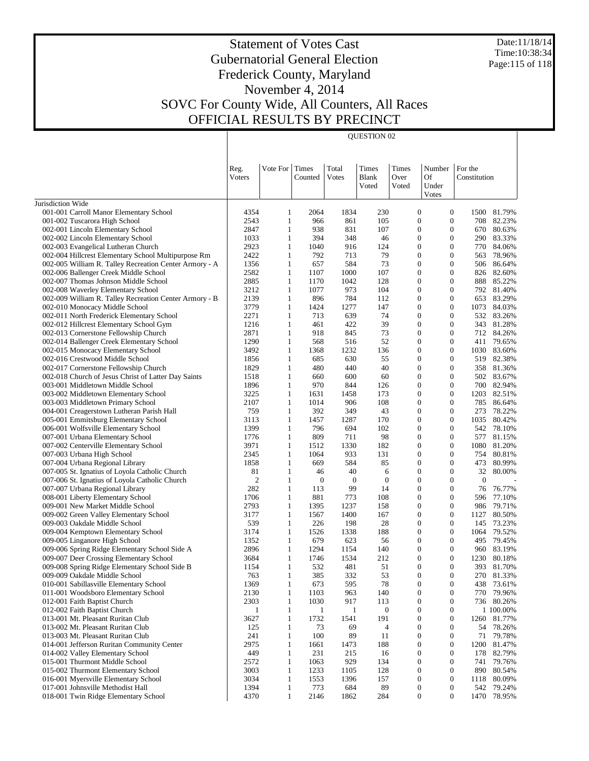Date:11/18/14 Time:10:38:34 Page:115 of 118

# Statement of Votes Cast Gubernatorial General Election Frederick County, Maryland November 4, 2014 SOVC For County Wide, All Counters, All Races OFFICIAL RESULTS BY PRECINCT

|                                                                         | Reg.<br>Voters | Vote For Times               | Counted      | Total<br>Votes | Times<br><b>Blank</b><br>Voted | Times<br>Over<br>Voted | Number<br><b>Of</b><br>Under<br>Votes                                        | For the<br>Constitution |                      |
|-------------------------------------------------------------------------|----------------|------------------------------|--------------|----------------|--------------------------------|------------------------|------------------------------------------------------------------------------|-------------------------|----------------------|
| Jurisdiction Wide                                                       |                |                              |              |                |                                |                        |                                                                              |                         |                      |
| 001-001 Carroll Manor Elementary School                                 | 4354           | $\mathbf{1}$                 | 2064         | 1834           | 230                            |                        | $\boldsymbol{0}$<br>$\boldsymbol{0}$                                         |                         | 1500 81.79%          |
| 001-002 Tuscarora High School                                           | 2543           | $\mathbf{1}$                 | 966          | 861            | 105                            |                        | $\boldsymbol{0}$<br>$\boldsymbol{0}$                                         | 708                     | 82.23%               |
| 002-001 Lincoln Elementary School                                       | 2847           | $\mathbf{1}$                 | 938          | 831            | 107                            |                        | $\boldsymbol{0}$<br>$\boldsymbol{0}$                                         | 670                     | 80.63%               |
| 002-002 Lincoln Elementary School                                       | 1033           | $\mathbf{1}$                 | 394          | 348            | 46                             |                        | $\boldsymbol{0}$<br>$\boldsymbol{0}$                                         |                         | 290 83.33%           |
| 002-003 Evangelical Lutheran Church                                     | 2923           | $\mathbf{1}$                 | 1040         | 916            | 124                            |                        | $\boldsymbol{0}$<br>$\boldsymbol{0}$                                         | 770                     | 84.06%               |
| 002-004 Hillcrest Elementary School Multipurpose Rm                     | 2422           | $\mathbf{1}$                 | 792          | 713            | 79                             |                        | $\boldsymbol{0}$<br>$\boldsymbol{0}$                                         | 563                     | 78.96%               |
| 002-005 William R. Talley Recreation Center Armory - A                  | 1356           | $\mathbf{1}$                 | 657          | 584            | 73                             |                        | $\boldsymbol{0}$<br>$\boldsymbol{0}$                                         | 506                     | 86.64%               |
| 002-006 Ballenger Creek Middle School                                   | 2582           | $\mathbf{1}$                 | 1107         | 1000           | 107                            |                        | $\boldsymbol{0}$<br>$\boldsymbol{0}$                                         |                         | 826 82.60%           |
| 002-007 Thomas Johnson Middle School                                    | 2885           | $\mathbf{1}$                 | 1170         | 1042           | 128                            |                        | $\boldsymbol{0}$<br>$\boldsymbol{0}$                                         |                         | 888 85.22%           |
| 002-008 Waverley Elementary School                                      | 3212           | $\mathbf{1}$                 | 1077         | 973            | 104                            |                        | $\boldsymbol{0}$<br>$\boldsymbol{0}$                                         |                         | 792 81.40%           |
| 002-009 William R. Talley Recreation Center Armory - B                  | 2139           | $\mathbf{1}$                 | 896          | 784            | 112                            |                        | $\boldsymbol{0}$<br>$\boldsymbol{0}$                                         |                         | 653 83.29%           |
| 002-010 Monocacy Middle School                                          | 3779           | $\mathbf{1}$                 | 1424         | 1277           | 147                            |                        | $\boldsymbol{0}$<br>$\boldsymbol{0}$                                         |                         | 1073 84.03%          |
| 002-011 North Frederick Elementary School                               | 2271           | $\mathbf{1}$                 | 713          | 639            | 74                             |                        | $\boldsymbol{0}$<br>$\boldsymbol{0}$                                         |                         | 532 83.26%           |
| 002-012 Hillcrest Elementary School Gym                                 | 1216           | $\mathbf{1}$                 | 461          | 422            | 39                             |                        | $\boldsymbol{0}$<br>$\boldsymbol{0}$                                         |                         | 343 81.28%           |
| 002-013 Cornerstone Fellowship Church                                   | 2871           | $\mathbf{1}$                 | 918          | 845            | 73                             |                        | $\boldsymbol{0}$<br>$\boldsymbol{0}$                                         |                         | 712 84.26%           |
| 002-014 Ballenger Creek Elementary School                               | 1290           | $\mathbf{1}$                 | 568          | 516            | 52                             |                        | $\boldsymbol{0}$<br>$\boldsymbol{0}$                                         | 411                     | 79.65%               |
| 002-015 Monocacy Elementary School                                      | 3492           | $\mathbf{1}$                 | 1368         | 1232           | 136                            |                        | $\boldsymbol{0}$<br>$\boldsymbol{0}$                                         |                         | 1030 83.60%          |
| 002-016 Crestwood Middle School                                         | 1856           | $\mathbf{1}$                 | 685          | 630            | 55                             |                        | $\boldsymbol{0}$<br>$\boldsymbol{0}$                                         |                         | 519 82.38%           |
| 002-017 Cornerstone Fellowship Church                                   | 1829           | $\mathbf{1}$                 | 480          | 440            | 40                             |                        | $\boldsymbol{0}$<br>$\boldsymbol{0}$                                         |                         | 358 81.36%           |
| 002-018 Church of Jesus Christ of Latter Day Saints                     | 1518           | $\mathbf{1}$                 | 660          | 600            | 60                             |                        | $\boldsymbol{0}$<br>$\boldsymbol{0}$                                         |                         | 502 83.67%           |
| 003-001 Middletown Middle School                                        | 1896           | $\mathbf{1}$                 | 970          | 844            | 126                            |                        | $\boldsymbol{0}$<br>$\boldsymbol{0}$                                         |                         | 700 82.94%           |
| 003-002 Middletown Elementary School                                    | 3225           | $\mathbf{1}$                 | 1631         | 1458           | 173                            |                        | $\boldsymbol{0}$<br>$\boldsymbol{0}$                                         |                         | 1203 82.51%          |
| 003-003 Middletown Primary School                                       | 2107           | $\mathbf{1}$                 | 1014         | 906            | 108                            |                        | $\boldsymbol{0}$<br>$\boldsymbol{0}$                                         |                         | 785 86.64%           |
| 004-001 Creagerstown Lutheran Parish Hall                               | 759            | $\mathbf{1}$                 | 392          | 349            | 43                             |                        | $\boldsymbol{0}$<br>$\boldsymbol{0}$                                         | 273                     | 78.22%               |
| 005-001 Emmitsburg Elementary School                                    | 3113           | $\mathbf{1}$                 | 1457         | 1287           | 170                            |                        | $\boldsymbol{0}$<br>$\boldsymbol{0}$                                         | 1035                    | 80.42%               |
| 006-001 Wolfsville Elementary School                                    | 1399           | $\mathbf{1}$                 | 796          | 694            | 102                            |                        | $\boldsymbol{0}$<br>$\boldsymbol{0}$                                         |                         | 542 78.10%           |
| 007-001 Urbana Elementary School                                        | 1776           | $\mathbf{1}$                 | 809          | 711            | 98                             |                        | $\boldsymbol{0}$<br>$\boldsymbol{0}$                                         | 577                     | 81.15%               |
| 007-002 Centerville Elementary School                                   | 3971           | $\mathbf{1}$                 | 1512         | 1330           | 182                            |                        | $\boldsymbol{0}$<br>$\boldsymbol{0}$                                         |                         | 1080 81.20%          |
| 007-003 Urbana High School                                              | 2345           | $\mathbf{1}$                 | 1064         | 933            | 131                            |                        | $\boldsymbol{0}$<br>$\boldsymbol{0}$                                         | 754                     | 80.81%               |
| 007-004 Urbana Regional Library                                         | 1858           | $\mathbf{1}$                 | 669          | 584            | 85                             |                        | $\boldsymbol{0}$<br>$\boldsymbol{0}$                                         | 473                     | 80.99%               |
| 007-005 St. Ignatius of Loyola Catholic Church                          | 81             | $\mathbf{1}$                 | 46           | 40             | 6                              |                        | $\boldsymbol{0}$<br>$\boldsymbol{0}$                                         | 32                      | 80.00%               |
| 007-006 St. Ignatius of Loyola Catholic Church                          | $\overline{c}$ | $\mathbf{1}$                 | $\mathbf{0}$ | $\mathbf 0$    | $\boldsymbol{0}$               |                        | $\boldsymbol{0}$<br>$\boldsymbol{0}$                                         | $\boldsymbol{0}$        |                      |
| 007-007 Urbana Regional Library                                         | 282            | $\mathbf{1}$                 | 113          | 99             | 14                             |                        | $\boldsymbol{0}$<br>$\boldsymbol{0}$                                         | 76                      | 76.77%               |
| 008-001 Liberty Elementary School                                       | 1706<br>2793   | $\mathbf{1}$<br>$\mathbf{1}$ | 881          | 773<br>1237    | 108<br>158                     |                        | $\boldsymbol{0}$<br>$\boldsymbol{0}$<br>$\boldsymbol{0}$<br>$\boldsymbol{0}$ |                         | 596 77.10%<br>79.71% |
| 009-001 New Market Middle School                                        |                | $\mathbf{1}$                 | 1395         | 1400           |                                |                        | $\boldsymbol{0}$<br>$\boldsymbol{0}$                                         | 986                     |                      |
| 009-002 Green Valley Elementary School<br>009-003 Oakdale Middle School | 3177<br>539    | $\mathbf{1}$                 | 1567<br>226  | 198            | 167<br>28                      |                        | $\boldsymbol{0}$<br>$\boldsymbol{0}$                                         | 1127<br>145             | 80.50%<br>73.23%     |
| 009-004 Kemptown Elementary School                                      | 3174           | $\mathbf{1}$                 | 1526         | 1338           | 188                            |                        | $\boldsymbol{0}$<br>$\boldsymbol{0}$                                         |                         | 1064 79.52%          |
| 009-005 Linganore High School                                           | 1352           | $\mathbf{1}$                 | 679          | 623            | 56                             |                        | $\boldsymbol{0}$<br>$\boldsymbol{0}$                                         |                         | 495 79.45%           |
| 009-006 Spring Ridge Elementary School Side A                           | 2896           | $\mathbf{1}$                 | 1294         | 1154           | 140                            |                        | $\boldsymbol{0}$<br>$\boldsymbol{0}$                                         |                         | 960 83.19%           |
| 009-007 Deer Crossing Elementary School                                 | 3684           | $\mathbf{1}$                 | 1746         | 1534           | 212                            |                        | $\boldsymbol{0}$<br>$\boldsymbol{0}$                                         |                         | 1230 80.18%          |
| 009-008 Spring Ridge Elementary School Side B                           | 1154           | $\mathbf{1}$                 | 532          | 481            | 51                             |                        | $\boldsymbol{0}$<br>$\boldsymbol{0}$                                         |                         | 393 81.70%           |
| 009-009 Oakdale Middle School                                           | 763            | $\mathbf{1}$                 | 385          | 332            | 53                             |                        | $\boldsymbol{0}$<br>$\boldsymbol{0}$                                         |                         | 270 81.33%           |
| 010-001 Sabillasville Elementary School                                 | 1369           | $\mathbf{1}$                 | 673          | 595            | 78                             |                        | $\boldsymbol{0}$<br>$\boldsymbol{0}$                                         |                         | 438 73.61%           |
| 011-001 Woodsboro Elementary School                                     | 2130           | $\mathbf{1}$                 | 1103         | 963            | 140                            |                        | $\boldsymbol{0}$<br>0                                                        | 770                     | 79.96%               |
| 012-001 Faith Baptist Church                                            | 2303           | $\mathbf{1}$                 | 1030         | 917            | 113                            |                        | 0<br>0                                                                       |                         | 736 80.26%           |
| 012-002 Faith Baptist Church                                            | 1              | $\mathbf{1}$                 | 1            | $\mathbf{1}$   | $\boldsymbol{0}$               |                        | 0<br>0                                                                       |                         | 1 100.00%            |
| 013-001 Mt. Pleasant Ruritan Club                                       | 3627           | $\mathbf{1}$                 | 1732         | 1541           | 191                            |                        | $\boldsymbol{0}$<br>0                                                        |                         | 1260 81.77%          |
| 013-002 Mt. Pleasant Ruritan Club                                       | 125            | $\mathbf{1}$                 | 73           | 69             | 4                              |                        | $\boldsymbol{0}$<br>0                                                        |                         | 54 78.26%            |
| 013-003 Mt. Pleasant Ruritan Club                                       | 241            | $\mathbf{1}$                 | 100          | 89             | 11                             |                        | 0<br>0                                                                       | 71                      | 79.78%               |
| 014-001 Jefferson Ruritan Community Center                              | 2975           | $\mathbf{1}$                 | 1661         | 1473           | 188                            |                        | $\boldsymbol{0}$<br>0                                                        | 1200                    | 81.47%               |
| 014-002 Valley Elementary School                                        | 449            | $\mathbf{1}$                 | 231          | 215            | 16                             |                        | $\boldsymbol{0}$<br>0                                                        |                         | 178 82.79%           |
| 015-001 Thurmont Middle School                                          | 2572           | $\mathbf{1}$                 | 1063         | 929            | 134                            |                        | 0<br>0                                                                       | 741                     | 79.76%               |
| 015-002 Thurmont Elementary School                                      | 3003           | $\mathbf{1}$                 | 1233         | 1105           | 128                            |                        | 0<br>0                                                                       |                         | 890 80.54%           |
| 016-001 Myersville Elementary School                                    | 3034           | $\mathbf{1}$                 | 1553         | 1396           | 157                            |                        | 0<br>0                                                                       | 1118                    | 80.09%               |
| 017-001 Johnsville Methodist Hall                                       | 1394           | $\mathbf{1}$                 | 773          | 684            | 89                             |                        | 0<br>0                                                                       |                         | 542 79.24%           |
| 018-001 Twin Ridge Elementary School                                    | 4370           | $\mathbf{1}$                 | 2146         | 1862           | 284                            |                        | $\boldsymbol{0}$<br>$\boldsymbol{0}$                                         | 1470                    | 78.95%               |
|                                                                         |                |                              |              |                |                                |                        |                                                                              |                         |                      |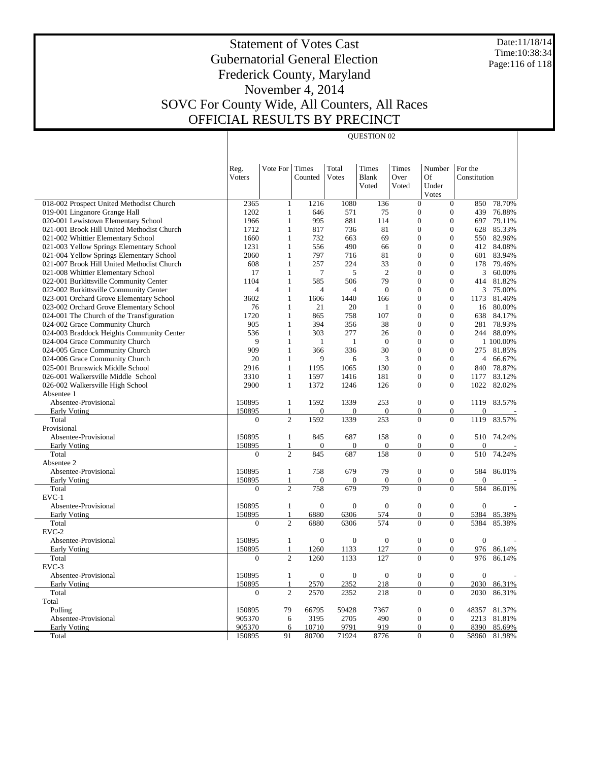Date:11/18/14 Time:10:38:34 Page:116 of 118

#### Statement of Votes Cast Gubernatorial General Election Frederick County, Maryland November 4, 2014 SOVC For County Wide, All Counters, All Races OFFICIAL RESULTS BY PRECINCT QUESTION 02

 $\overline{\phantom{a}}$ 

|                                            | Reg.<br>Voters           | Vote For                       | <b>Times</b><br>Counted | Total<br><b>Votes</b>   | <b>Times</b><br><b>Blank</b><br>Voted | <b>Times</b><br>Over<br>Voted      | Number<br>Of<br>Under<br>Votes   | For the<br>Constitution |            |
|--------------------------------------------|--------------------------|--------------------------------|-------------------------|-------------------------|---------------------------------------|------------------------------------|----------------------------------|-------------------------|------------|
| 018-002 Prospect United Methodist Church   | 2365                     | $\mathbf{1}$                   | 1216                    | 1080                    | 136                                   | $\boldsymbol{0}$                   | $\mathbf{0}$                     | 850                     | 78.70%     |
| 019-001 Linganore Grange Hall              | 1202                     | $\mathbf{1}$                   | 646                     | 571                     | 75                                    | $\overline{0}$                     | $\mathbf{0}$                     | 439                     | 76.88%     |
| 020-001 Lewistown Elementary School        | 1966                     | $\mathbf{1}$                   | 995                     | 881                     | 114                                   | $\overline{0}$                     | $\Omega$                         | 697                     | 79.11%     |
| 021-001 Brook Hill United Methodist Church | 1712                     | $\mathbf{1}$                   | 817                     | 736                     | 81                                    | $\boldsymbol{0}$                   | $\boldsymbol{0}$                 |                         | 628 85.33% |
| 021-002 Whittier Elementary School         | 1660                     | $\mathbf{1}$                   | 732                     | 663                     | 69                                    | $\overline{0}$                     | $\mathbf{0}$                     |                         | 550 82.96% |
| 021-003 Yellow Springs Elementary School   | 1231                     | $\mathbf{1}$                   | 556                     | 490                     | 66                                    | $\overline{0}$                     | $\mathbf{0}$                     | 412                     | 84.08%     |
| 021-004 Yellow Springs Elementary School   | 2060                     | 1                              | 797                     | 716                     | 81                                    | $\overline{0}$                     | $\mathbf{0}$                     | 601                     | 83.94%     |
| 021-007 Brook Hill United Methodist Church | 608                      | $\mathbf{1}$                   | 257                     | 224                     | 33                                    | $\overline{0}$                     | $\mathbf{0}$                     | 178                     | 79.46%     |
| 021-008 Whittier Elementary School         | 17                       | $\mathbf{1}$                   | $7\phantom{.0}$         | 5                       | $\overline{2}$                        | $\Omega$                           | $\mathbf{0}$                     | 3                       | 60.00%     |
| 022-001 Burkittsville Community Center     | 1104                     | $\mathbf{1}$                   | 585                     | 506                     | 79                                    | $\mathbf{0}$                       | $\mathbf{0}$                     | 414                     | 81.82%     |
| 022-002 Burkittsville Community Center     | $\overline{4}$           | $\mathbf{1}$                   | $\overline{4}$          | $\overline{4}$          | $\overline{0}$                        | $\overline{0}$                     | $\mathbf{0}$                     | 3                       | 75.00%     |
| 023-001 Orchard Grove Elementary School    | 3602                     | $\mathbf{1}$                   | 1606                    | 1440                    | 166                                   | $\theta$                           | $\mathbf{0}$                     | 1173                    | 81.46%     |
| 023-002 Orchard Grove Elementary School    | 76                       | $\mathbf{1}$                   | 21                      | 20                      | $\mathbf{1}$                          | $\overline{0}$                     | $\mathbf{0}$                     | 16                      | 80.00%     |
| 024-001 The Church of the Transfiguration  | 1720                     | $\mathbf{1}$                   | 865                     | 758                     | 107                                   | $\overline{0}$                     | $\mathbf{0}$                     | 638                     | 84.17%     |
| 024-002 Grace Community Church             | 905                      | $\mathbf{1}$                   | 394                     | 356                     | 38                                    | $\theta$                           | $\boldsymbol{0}$                 | 281                     | 78.93%     |
| 024-003 Braddock Heights Community Center  | 536                      | $\mathbf{1}$                   | 303                     | 277                     | 26                                    | $\overline{0}$                     | $\mathbf{0}$                     |                         | 244 88.09% |
| 024-004 Grace Community Church             | 9                        | $\mathbf{1}$                   | $\mathbf{1}$            | $\mathbf{1}$            | $\overline{0}$                        | $\overline{0}$                     | $\Omega$                         |                         | 1 100,00%  |
| 024-005 Grace Community Church             | 909                      | $\mathbf{1}$                   | 366                     | 336                     | 30                                    | $\overline{0}$                     | $\mathbf{0}$                     | 275                     | 81.85%     |
| 024-006 Grace Community Church             | 20                       | $\mathbf{1}$                   | 9                       | 6                       | 3                                     | $\overline{0}$                     | $\mathbf{0}$                     | $\overline{4}$          | 66.67%     |
| 025-001 Brunswick Middle School            | 2916                     | $\mathbf{1}$                   | 1195                    | 1065                    | 130                                   | $\Omega$                           | $\mathbf{0}$                     | 840                     | 78.87%     |
| 026-001 Walkersville Middle School         | 3310                     | $\mathbf{1}$                   | 1597                    | 1416                    | 181                                   | $\mathbf{0}$                       | $\boldsymbol{0}$                 | 1177                    | 83.12%     |
| 026-002 Walkersville High School           | 2900                     | $\mathbf{1}$                   | 1372                    | 1246                    | 126                                   | $\overline{0}$                     | $\mathbf{0}$                     | 1022                    | 82.02%     |
| Absentee 1                                 |                          |                                |                         |                         |                                       |                                    |                                  |                         |            |
| Absentee-Provisional                       | 150895                   | $\mathbf{1}$                   | 1592                    | 1339                    | 253                                   | $\mathbf{0}$                       | $\mathbf{0}$                     | 1119                    | 83.57%     |
| <b>Early Voting</b>                        | 150895                   | $\mathbf{1}$                   | $\mathbf{0}$            | $\theta$                | $\overline{0}$                        | $\mathbf{0}$                       | $\mathbf{0}$                     | $\Omega$                |            |
| Total                                      | $\mathbf{0}$             | $\overline{c}$                 | 1592                    | 1339                    | 253                                   | $\theta$                           | $\theta$                         | 1119                    | 83.57%     |
| Provisional                                |                          |                                |                         |                         |                                       |                                    |                                  |                         |            |
| Absentee-Provisional                       | 150895                   | $\mathbf{1}$                   | 845                     | 687                     | 158                                   | $\mathbf{0}$                       | $\mathbf{0}$                     | 510                     | 74.24%     |
| <b>Early Voting</b>                        | 150895                   | $\mathbf{1}$                   | $\mathbf{0}$            | $\mathbf{0}$            | $\overline{0}$                        | $\mathbf{0}$                       | $\overline{0}$                   | $\mathbf{0}$            |            |
| Total                                      | $\Omega$                 | $\overline{c}$                 | 845                     | 687                     | 158                                   | $\Omega$                           | $\Omega$                         | 510                     | 74.24%     |
| Absentee 2                                 |                          |                                |                         |                         |                                       |                                    |                                  |                         |            |
| Absentee-Provisional                       | 150895                   | $\mathbf{1}$                   | 758                     | 679                     | 79                                    | $\boldsymbol{0}$                   | $\boldsymbol{0}$                 | 584                     | 86.01%     |
| <b>Early Voting</b>                        | 150895<br>$\overline{0}$ | $\mathbf{1}$<br>$\overline{2}$ | $\boldsymbol{0}$<br>758 | $\boldsymbol{0}$<br>679 | $\boldsymbol{0}$<br>79                | $\boldsymbol{0}$<br>$\overline{0}$ | $\boldsymbol{0}$<br>$\mathbf{0}$ | $\mathbf{0}$            |            |
| Total<br>$EVC-1$                           |                          |                                |                         |                         |                                       |                                    |                                  | 584                     | 86.01%     |
| Absentee-Provisional                       | 150895                   | $\mathbf{1}$                   | $\overline{0}$          | $\overline{0}$          | $\overline{0}$                        | $\mathbf{0}$                       | $\mathbf{0}$                     | $\mathbf{0}$            |            |
| <b>Early Voting</b>                        | 150895                   | $\mathbf{1}$                   | 6880                    | 6306                    | 574                                   | $\mathbf{0}$                       | $\mathbf{0}$                     | 5384                    | 85.38%     |
| Total                                      | $\theta$                 | $\overline{c}$                 | 6880                    | 6306                    | 574                                   | $\theta$                           | $\theta$                         | 5384                    | 85.38%     |
| $EVC-2$                                    |                          |                                |                         |                         |                                       |                                    |                                  |                         |            |
| Absentee-Provisional                       | 150895                   | $\mathbf{1}$                   | $\overline{0}$          | $\overline{0}$          | $\overline{0}$                        | $\mathbf{0}$                       | $\boldsymbol{0}$                 | $\mathbf{0}$            |            |
| <b>Early Voting</b>                        | 150895                   | $\mathbf{1}$                   | 1260                    | 1133                    | 127                                   | $\boldsymbol{0}$                   | $\mathbf{0}$                     | 976                     | 86.14%     |
| Total                                      | $\theta$                 | $\overline{2}$                 | 1260                    | 1133                    | 127                                   | $\theta$                           | $\Omega$                         | 976                     | 86.14%     |
| $EVC-3$                                    |                          |                                |                         |                         |                                       |                                    |                                  |                         |            |
| Absentee-Provisional                       | 150895                   | $\mathbf{1}$                   | $\theta$                | $\Omega$                | $\theta$                              | $\boldsymbol{0}$                   | $\boldsymbol{0}$                 | $\boldsymbol{0}$        |            |
| <b>Early Voting</b>                        | 150895                   | $\mathbf{1}$                   | 2570                    | 2352                    | 218                                   | $\boldsymbol{0}$                   | $\mathbf{0}$                     | 2030                    | 86.31%     |
| Total                                      | $\mathbf{0}$             | $\overline{c}$                 | 2570                    | 2352                    | 218                                   | $\theta$                           | $\Omega$                         | 2030                    | 86.31%     |
| Total                                      |                          |                                |                         |                         |                                       |                                    |                                  |                         |            |
| Polling                                    | 150895                   | 79                             | 66795                   | 59428                   | 7367                                  | $\boldsymbol{0}$                   | $\mathbf{0}$                     | 48357                   | 81.37%     |
| Absentee-Provisional                       | 905370                   | 6                              | 3195                    | 2705                    | 490                                   | $\overline{0}$                     | $\mathbf{0}$                     | 2213                    | 81.81%     |
| <b>Early Voting</b>                        | 905370                   | 6                              | 10710                   | 9791                    | 919                                   | $\overline{0}$                     | $\overline{0}$                   | 8390                    | 85.69%     |
| Total                                      | 150895                   | 91                             | 80700                   | 71924                   | 8776                                  | $\mathbf{0}$                       | $\mathbf{0}$                     | 58960                   | 81.98%     |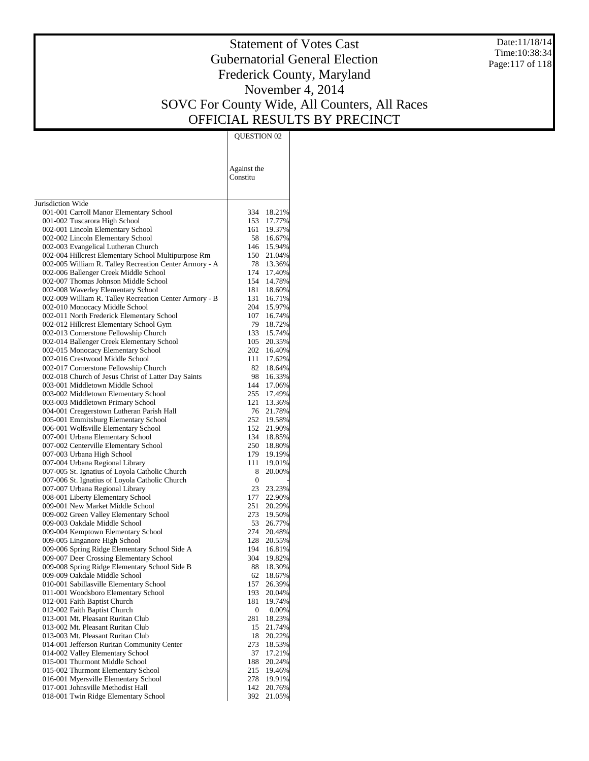Date:11/18/14 Time:10:38:34 Page:117 of 118

# Statement of Votes Cast Gubernatorial General Election Frederick County, Maryland November 4, 2014 SOVC For County Wide, All Counters, All Races OFFICIAL RESULTS BY PRECINCT

|                                                                                                               | Against the<br>Constitu |                  |
|---------------------------------------------------------------------------------------------------------------|-------------------------|------------------|
| Jurisdiction Wide                                                                                             |                         |                  |
| 001-001 Carroll Manor Elementary School                                                                       | 334                     | 18.21%           |
| 001-002 Tuscarora High School                                                                                 | 153                     | 17.77%           |
| 002-001 Lincoln Elementary School                                                                             | 161                     | 19.37%           |
| 002-002 Lincoln Elementary School                                                                             | 58                      | 16.67%           |
| 002-003 Evangelical Lutheran Church                                                                           | 146                     | 15.94%           |
| 002-004 Hillcrest Elementary School Multipurpose Rm<br>002-005 William R. Talley Recreation Center Armory - A | 150<br>78               | 21.04%<br>13.36% |
| 002-006 Ballenger Creek Middle School                                                                         | 174                     | 17.40%           |
| 002-007 Thomas Johnson Middle School                                                                          | 154                     | 14.78%           |
| 002-008 Waverley Elementary School                                                                            | 181                     | 18.60%           |
| 002-009 William R. Talley Recreation Center Armory - B                                                        | 131                     | 16.71%           |
| 002-010 Monocacy Middle School                                                                                | 204                     | 15.97%           |
| 002-011 North Frederick Elementary School                                                                     | 107                     | 16.74%           |
| 002-012 Hillcrest Elementary School Gym                                                                       | 79                      | 18.72%           |
| 002-013 Cornerstone Fellowship Church                                                                         | 133                     | 15.74%           |
| 002-014 Ballenger Creek Elementary School                                                                     | 105                     | 20.35%           |
| 002-015 Monocacy Elementary School                                                                            | 202                     | 16.40%           |
| 002-016 Crestwood Middle School                                                                               | 111                     | 17.62%           |
| 002-017 Cornerstone Fellowship Church                                                                         | 82                      | 18.64%           |
| 002-018 Church of Jesus Christ of Latter Day Saints                                                           | 98                      | 16.33%           |
| 003-001 Middletown Middle School                                                                              | 144                     | 17.06%           |
| 003-002 Middletown Elementary School<br>003-003 Middletown Primary School                                     | 255<br>121              | 17.49%<br>13.36% |
| 004-001 Creagerstown Lutheran Parish Hall                                                                     | 76                      | 21.78%           |
| 005-001 Emmitsburg Elementary School                                                                          | 252                     | 19.58%           |
| 006-001 Wolfsville Elementary School                                                                          | 152                     | 21.90%           |
| 007-001 Urbana Elementary School                                                                              | 134                     | 18.85%           |
| 007-002 Centerville Elementary School                                                                         | 250                     | 18.80%           |
| 007-003 Urbana High School                                                                                    | 179                     | 19.19%           |
| 007-004 Urbana Regional Library                                                                               | 111                     | 19.01%           |
| 007-005 St. Ignatius of Loyola Catholic Church                                                                | 8                       | 20.00%           |
| 007-006 St. Ignatius of Loyola Catholic Church                                                                | $\mathbf{0}$            |                  |
| 007-007 Urbana Regional Library                                                                               | 23                      | 23.23%           |
| 008-001 Liberty Elementary School                                                                             | 177                     | 22.90%           |
| 009-001 New Market Middle School                                                                              | 251                     | 20.29%           |
| 009-002 Green Valley Elementary School<br>009-003 Oakdale Middle School                                       | 273<br>53               | 19.50%           |
| 009-004 Kemptown Elementary School                                                                            | 274                     | 26.77%<br>20.48% |
| 009-005 Linganore High School                                                                                 | 128                     | 20.55%           |
| 009-006 Spring Ridge Elementary School Side A                                                                 | 194                     | 16.81%           |
| 009-007 Deer Crossing Elementary School                                                                       | 304                     | 19.82%           |
| 009-008 Spring Ridge Elementary School Side B                                                                 | 88                      | 18.30%           |
| 009-009 Oakdale Middle School                                                                                 | 62                      | 18.67%           |
| 010-001 Sabillasville Elementary School                                                                       | 157                     | 26.39%           |
| 011-001 Woodsboro Elementary School                                                                           | 193                     | 20.04%           |
| 012-001 Faith Baptist Church                                                                                  | 181                     | 19.74%           |
| 012-002 Faith Baptist Church                                                                                  | 0                       | $0.00\%$         |
| 013-001 Mt. Pleasant Ruritan Club                                                                             | 281                     | 18.23%           |
| 013-002 Mt. Pleasant Ruritan Club                                                                             | 15                      | 21.74%           |
| 013-003 Mt. Pleasant Ruritan Club                                                                             | 18                      | 20.22%           |
| 014-001 Jefferson Ruritan Community Center<br>014-002 Valley Elementary School                                | 273<br>37               | 18.53%<br>17.21% |
| 015-001 Thurmont Middle School                                                                                | 188                     | 20.24%           |
| 015-002 Thurmont Elementary School                                                                            | 215                     | 19.46%           |
| 016-001 Myersville Elementary School                                                                          | 278                     | 19.91%           |
| 017-001 Johnsville Methodist Hall                                                                             | 142                     | 20.76%           |
| 018-001 Twin Ridge Elementary School                                                                          | 392                     | 21.05%           |